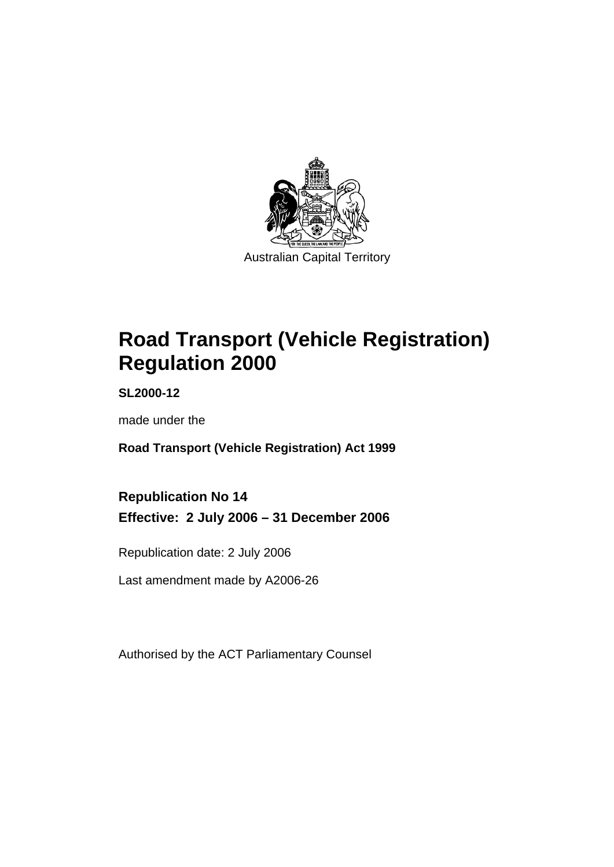

Australian Capital Territory

# **Road Transport (Vehicle Registration) Regulation 2000**

**SL2000-12** 

made under the

**Road Transport (Vehicle Registration) Act 1999** 

**Republication No 14 Effective: 2 July 2006 – 31 December 2006** 

Republication date: 2 July 2006

Last amendment made by A2006-26

Authorised by the ACT Parliamentary Counsel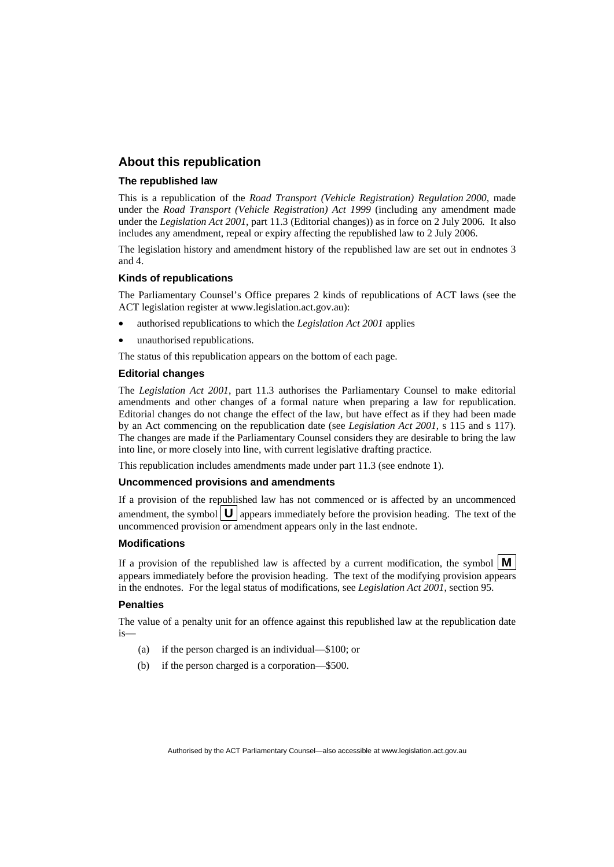## **About this republication**

#### **The republished law**

This is a republication of the *Road Transport (Vehicle Registration) Regulation 2000*, made under the *Road Transport (Vehicle Registration) Act 1999* (including any amendment made under the *Legislation Act 2001*, part 11.3 (Editorial changes)) as in force on 2 July 2006*.* It also includes any amendment, repeal or expiry affecting the republished law to 2 July 2006.

The legislation history and amendment history of the republished law are set out in endnotes 3 and 4.

#### **Kinds of republications**

The Parliamentary Counsel's Office prepares 2 kinds of republications of ACT laws (see the ACT legislation register at www.legislation.act.gov.au):

- authorised republications to which the *Legislation Act 2001* applies
- unauthorised republications.

The status of this republication appears on the bottom of each page.

#### **Editorial changes**

The *Legislation Act 2001*, part 11.3 authorises the Parliamentary Counsel to make editorial amendments and other changes of a formal nature when preparing a law for republication. Editorial changes do not change the effect of the law, but have effect as if they had been made by an Act commencing on the republication date (see *Legislation Act 2001*, s 115 and s 117). The changes are made if the Parliamentary Counsel considers they are desirable to bring the law into line, or more closely into line, with current legislative drafting practice.

This republication includes amendments made under part 11.3 (see endnote 1).

#### **Uncommenced provisions and amendments**

If a provision of the republished law has not commenced or is affected by an uncommenced amendment, the symbol  $\mathbf{U}$  appears immediately before the provision heading. The text of the uncommenced provision or amendment appears only in the last endnote.

#### **Modifications**

If a provision of the republished law is affected by a current modification, the symbol  $\mathbf{M}$ appears immediately before the provision heading. The text of the modifying provision appears in the endnotes. For the legal status of modifications, see *Legislation Act 2001*, section 95.

#### **Penalties**

The value of a penalty unit for an offence against this republished law at the republication date is—

- (a) if the person charged is an individual—\$100; or
- (b) if the person charged is a corporation—\$500.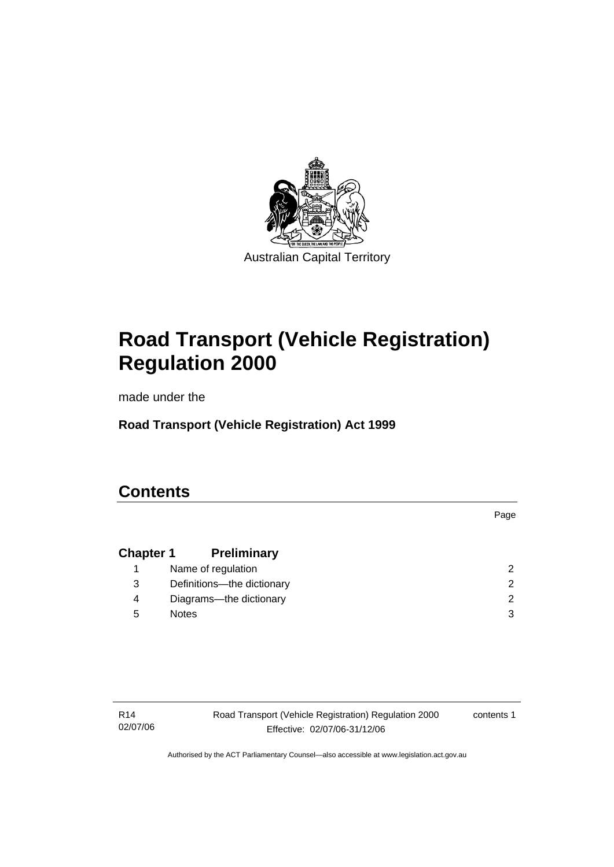

Australian Capital Territory

# **Road Transport (Vehicle Registration) Regulation 2000**

made under the

**Road Transport (Vehicle Registration) Act 1999** 

## **Contents**

**Chapter 1 Preliminary** 1 Name of regulation 2 3 Definitions—the dictionary 2 4 Diagrams—the dictionary 2 5 Notes 3

R14 02/07/06 Road Transport (Vehicle Registration) Regulation 2000 Effective: 02/07/06-31/12/06

contents 1

Page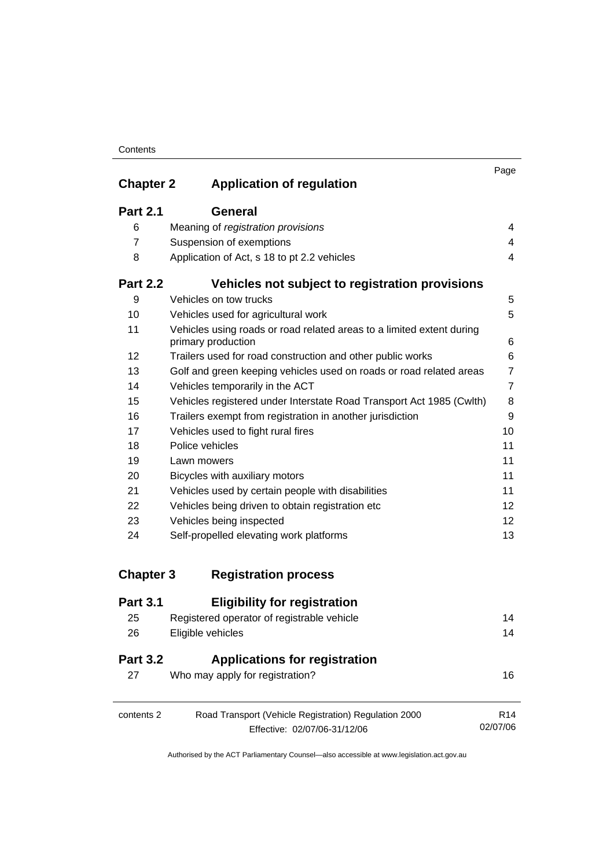#### **Contents**

| <b>Chapter 2</b> | <b>Application of regulation</b>                                                            | Page           |
|------------------|---------------------------------------------------------------------------------------------|----------------|
|                  |                                                                                             |                |
| <b>Part 2.1</b>  | General                                                                                     |                |
| 6                | Meaning of registration provisions                                                          | 4              |
| $\overline{7}$   | Suspension of exemptions                                                                    | 4              |
| 8                | Application of Act, s 18 to pt 2.2 vehicles                                                 | $\overline{4}$ |
| <b>Part 2.2</b>  | Vehicles not subject to registration provisions                                             |                |
| 9                | Vehicles on tow trucks                                                                      | 5              |
| 10               | Vehicles used for agricultural work                                                         | 5              |
| 11               | Vehicles using roads or road related areas to a limited extent during<br>primary production | 6              |
| 12               | Trailers used for road construction and other public works                                  | 6              |
| 13               | Golf and green keeping vehicles used on roads or road related areas                         | $\overline{7}$ |
| 14               | Vehicles temporarily in the ACT                                                             | $\overline{7}$ |
| 15               | Vehicles registered under Interstate Road Transport Act 1985 (Cwlth)                        | 8              |
| 16               | Trailers exempt from registration in another jurisdiction                                   | 9              |
| 17               | Vehicles used to fight rural fires                                                          | 10             |
| 18               | Police vehicles                                                                             | 11             |
| 19               | Lawn mowers                                                                                 | 11             |
| 20               | Bicycles with auxiliary motors                                                              | 11             |
| 21               | Vehicles used by certain people with disabilities                                           | 11             |
| 22               | Vehicles being driven to obtain registration etc                                            | 12             |
| 23               | Vehicles being inspected                                                                    | 12             |
| 24               | Self-propelled elevating work platforms                                                     | 13             |
| <b>Chapter 3</b> | <b>Registration process</b>                                                                 |                |

| <b>Part 3.1</b>       | <b>Eligibility for registration</b>                                     |                 |
|-----------------------|-------------------------------------------------------------------------|-----------------|
| 25                    | Registered operator of registrable vehicle                              | 14              |
| 26                    | Eligible vehicles                                                       | 14              |
| <b>Part 3.2</b><br>27 | <b>Applications for registration</b><br>Who may apply for registration? | 16              |
| contents 2            | Road Transport (Vehicle Registration) Regulation 2000                   | R <sub>14</sub> |
|                       | Effective: 02/07/06-31/12/06                                            | 02/07/06        |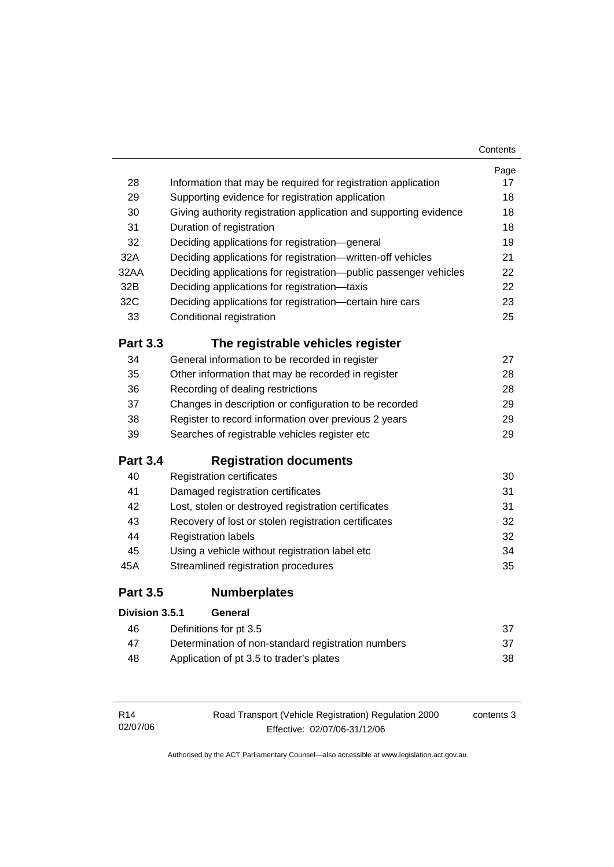|                 |                                                                   | Contents |
|-----------------|-------------------------------------------------------------------|----------|
|                 |                                                                   | Page     |
| 28              | Information that may be required for registration application     | 17       |
| 29              | Supporting evidence for registration application                  |          |
| 30              | Giving authority registration application and supporting evidence | 18       |
| 31              | Duration of registration                                          | 18       |
| 32              | Deciding applications for registration-general                    | 19       |
| 32A             | Deciding applications for registration-written-off vehicles       | 21       |
| 32AA            | Deciding applications for registration--public passenger vehicles | 22       |
| 32B             | Deciding applications for registration-taxis                      | 22       |
| 32C             | Deciding applications for registration-certain hire cars          | 23       |
| 33              | Conditional registration                                          | 25       |
| <b>Part 3.3</b> | The registrable vehicles register                                 |          |
| 34              | General information to be recorded in register                    | 27       |
| 35              | Other information that may be recorded in register                | 28       |
| 36              | Recording of dealing restrictions                                 | 28       |
| 37              | Changes in description or configuration to be recorded            | 29       |
| 38              | Register to record information over previous 2 years              |          |
| 39              | Searches of registrable vehicles register etc                     | 29       |
| <b>Part 3.4</b> | <b>Registration documents</b>                                     |          |
| 40              | <b>Registration certificates</b>                                  | 30       |
| 41              | Damaged registration certificates                                 | 31       |
| 42              | Lost, stolen or destroyed registration certificates               | 31       |
| 43              | Recovery of lost or stolen registration certificates              | 32       |
| 44              | <b>Registration labels</b>                                        | 32       |
| 45              | Using a vehicle without registration label etc                    | 34       |
| 45A             | Streamlined registration procedures                               | 35       |
| <b>Part 3.5</b> | <b>Numberplates</b>                                               |          |
| Division 3.5.1  | General                                                           |          |
| 46              | Definitions for pt 3.5                                            | 37       |
| 47              | Determination of non-standard registration numbers                | 37       |
| 48              | Application of pt 3.5 to trader's plates                          | 38       |

| R14      | Road Transport (Vehicle Registration) Regulation 2000 | contents 3 |
|----------|-------------------------------------------------------|------------|
| 02/07/06 | Effective: 02/07/06-31/12/06                          |            |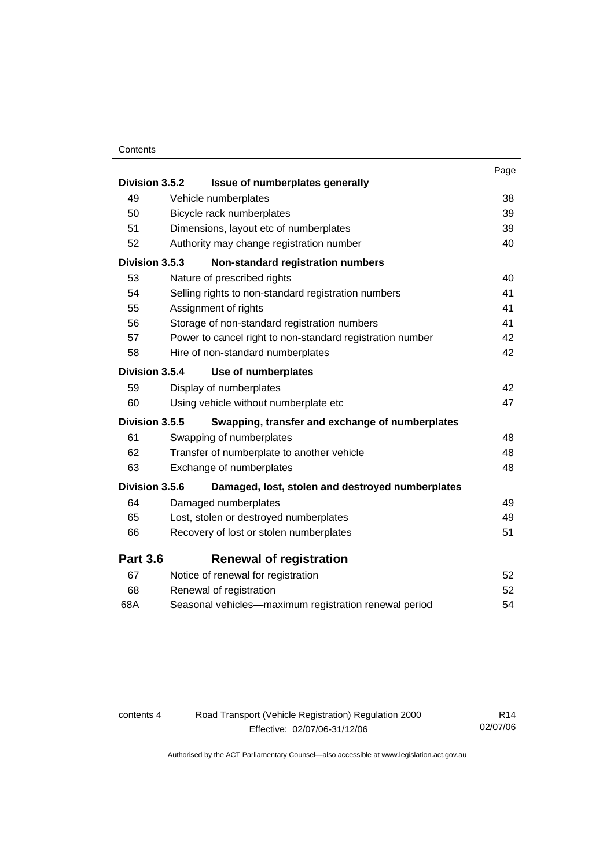#### **Contents**

| Division 3.5.2  | Issue of numberplates generally                           | Page |
|-----------------|-----------------------------------------------------------|------|
| 49              | Vehicle numberplates                                      | 38   |
| 50              | Bicycle rack numberplates                                 | 39   |
| 51              | Dimensions, layout etc of numberplates                    | 39   |
| 52              | Authority may change registration number                  | 40   |
| Division 3.5.3  | Non-standard registration numbers                         |      |
| 53              | Nature of prescribed rights                               | 40   |
| 54              | Selling rights to non-standard registration numbers       | 41   |
| 55              | Assignment of rights                                      | 41   |
| 56              | Storage of non-standard registration numbers              | 41   |
| 57              | Power to cancel right to non-standard registration number | 42   |
| 58              | Hire of non-standard numberplates                         | 42   |
| Division 3.5.4  | Use of numberplates                                       |      |
| 59              | Display of numberplates                                   | 42   |
| 60              | Using vehicle without numberplate etc                     | 47   |
| Division 3.5.5  | Swapping, transfer and exchange of numberplates           |      |
| 61              | Swapping of numberplates                                  | 48   |
| 62              | Transfer of numberplate to another vehicle                | 48   |
| 63              | Exchange of numberplates                                  | 48   |
| Division 3.5.6  | Damaged, lost, stolen and destroyed numberplates          |      |
| 64              | Damaged numberplates                                      | 49   |
| 65              | Lost, stolen or destroyed numberplates                    | 49   |
| 66              | Recovery of lost or stolen numberplates                   | 51   |
| <b>Part 3.6</b> | <b>Renewal of registration</b>                            |      |
| 67              | Notice of renewal for registration                        | 52   |
| 68              | Renewal of registration                                   | 52   |
| 68A             | Seasonal vehicles-maximum registration renewal period     | 54   |

| contents 4 | Road Transport (Vehicle Registration) Regulation 2000 | R <sub>14</sub> |
|------------|-------------------------------------------------------|-----------------|
|            | Effective: 02/07/06-31/12/06                          | 02/07/06        |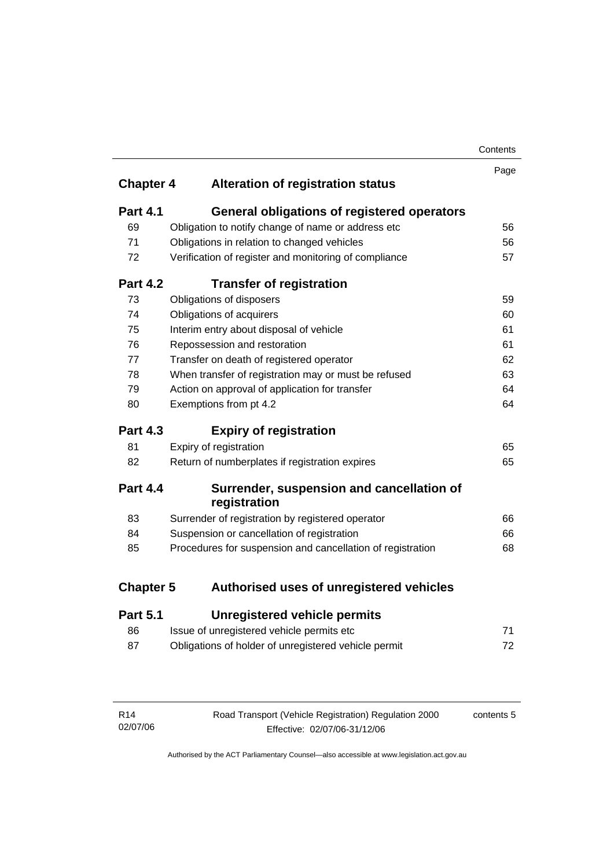| Contents |
|----------|
|----------|

| <b>Chapter 4</b> | <b>Alteration of registration status</b>                   | Page |
|------------------|------------------------------------------------------------|------|
|                  |                                                            |      |
| <b>Part 4.1</b>  | <b>General obligations of registered operators</b>         |      |
| 69               | Obligation to notify change of name or address etc         | 56   |
| 71               | Obligations in relation to changed vehicles                | 56   |
| 72               | Verification of register and monitoring of compliance      | 57   |
| <b>Part 4.2</b>  | <b>Transfer of registration</b>                            |      |
| 73               | Obligations of disposers                                   | 59   |
| 74               | Obligations of acquirers                                   | 60   |
| 75               | Interim entry about disposal of vehicle                    | 61   |
| 76               | Repossession and restoration                               | 61   |
| 77               | Transfer on death of registered operator                   | 62   |
| 78               | When transfer of registration may or must be refused       | 63   |
| 79               | Action on approval of application for transfer             | 64   |
| 80               | Exemptions from pt 4.2                                     | 64   |
| <b>Part 4.3</b>  | <b>Expiry of registration</b>                              |      |
| 81               | Expiry of registration                                     | 65   |
| 82               | Return of numberplates if registration expires             | 65   |
| <b>Part 4.4</b>  | Surrender, suspension and cancellation of<br>registration  |      |
| 83               | Surrender of registration by registered operator           | 66   |
| 84               | Suspension or cancellation of registration                 | 66   |
| 85               | Procedures for suspension and cancellation of registration | 68   |
| <b>Chapter 5</b> | Authorised uses of unregistered vehicles                   |      |
| <b>Part 5.1</b>  | <b>Unregistered vehicle permits</b>                        |      |
| 86               | Issue of unregistered vehicle permits etc                  | 71   |

| Obligations of holder of unregistered vehicle permit |  |
|------------------------------------------------------|--|

| R14      | Road Transport (Vehicle Registration) Regulation 2000 | contents 5 |
|----------|-------------------------------------------------------|------------|
| 02/07/06 | Effective: 02/07/06-31/12/06                          |            |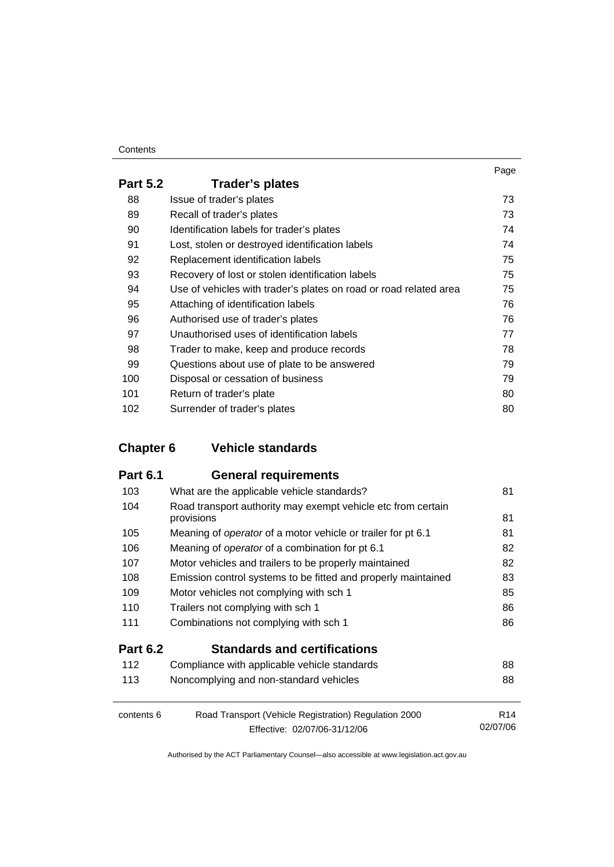#### **Contents**

| <b>Part 5.2</b> | Trader's plates                                                   |    |
|-----------------|-------------------------------------------------------------------|----|
| 88              | Issue of trader's plates                                          | 73 |
| 89              | Recall of trader's plates                                         | 73 |
| 90              | Identification labels for trader's plates                         | 74 |
| 91              | Lost, stolen or destroyed identification labels                   | 74 |
| 92              | Replacement identification labels                                 | 75 |
| 93              | Recovery of lost or stolen identification labels                  | 75 |
| 94              | Use of vehicles with trader's plates on road or road related area | 75 |
| 95              | Attaching of identification labels                                | 76 |
| 96              | Authorised use of trader's plates                                 | 76 |
| 97              | Unauthorised uses of identification labels                        | 77 |
| 98              | Trader to make, keep and produce records                          | 78 |
| 99              | Questions about use of plate to be answered                       | 79 |
| 100             | Disposal or cessation of business                                 | 79 |
| 101             | Return of trader's plate                                          | 80 |
| 102             | Surrender of trader's plates                                      | 80 |

## **Chapter 6 Vehicle standards**

| <b>Part 6.1</b> | <b>General requirements</b>                                                |                 |
|-----------------|----------------------------------------------------------------------------|-----------------|
| 103             | What are the applicable vehicle standards?                                 | 81              |
| 104             | Road transport authority may exempt vehicle etc from certain<br>provisions | 81              |
| 105             | Meaning of <i>operator</i> of a motor vehicle or trailer for pt 6.1        | 81              |
| 106             | Meaning of <i>operator</i> of a combination for pt 6.1                     | 82              |
| 107             | Motor vehicles and trailers to be properly maintained                      | 82              |
| 108             | Emission control systems to be fitted and properly maintained              | 83              |
| 109             | Motor vehicles not complying with sch 1                                    | 85              |
| 110             | Trailers not complying with sch 1                                          | 86              |
| 111             | Combinations not complying with sch 1                                      | 86              |
| <b>Part 6.2</b> | <b>Standards and certifications</b>                                        |                 |
| 112             | Compliance with applicable vehicle standards                               | 88              |
| 113             | Noncomplying and non-standard vehicles                                     | 88              |
| contents 6      | Road Transport (Vehicle Registration) Regulation 2000                      | R <sub>14</sub> |
|                 | Effective: 02/07/06-31/12/06                                               | 02/07/06        |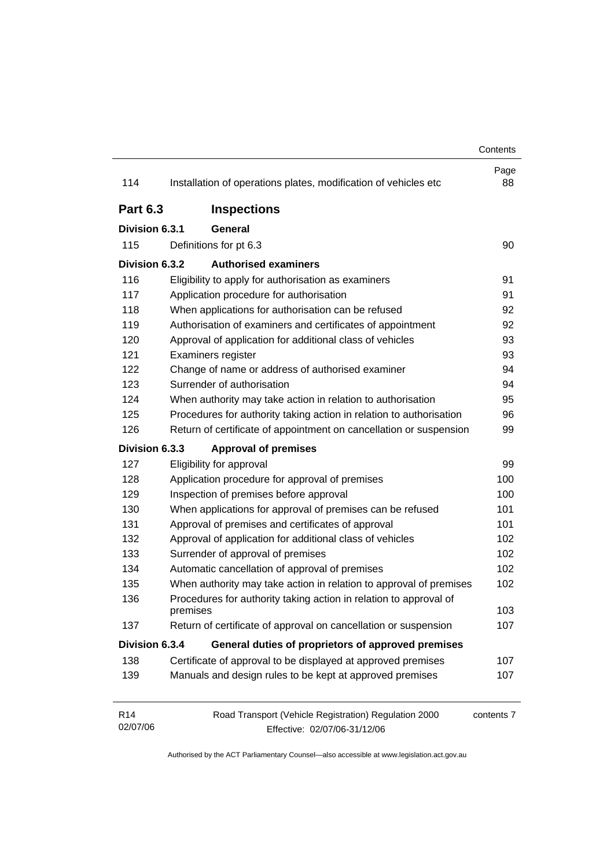|                             |                                                                                       | Contents   |
|-----------------------------|---------------------------------------------------------------------------------------|------------|
| 114                         | Installation of operations plates, modification of vehicles etc                       | Page<br>88 |
| <b>Part 6.3</b>             | <b>Inspections</b>                                                                    |            |
| Division 6.3.1              | General                                                                               |            |
| 115                         | Definitions for pt 6.3                                                                | 90         |
| Division 6.3.2              | <b>Authorised examiners</b>                                                           |            |
| 116                         | Eligibility to apply for authorisation as examiners                                   | 91         |
| 117                         | Application procedure for authorisation                                               | 91         |
| 118                         | When applications for authorisation can be refused                                    | 92         |
| 119                         | Authorisation of examiners and certificates of appointment                            | 92         |
| 120                         | Approval of application for additional class of vehicles                              | 93         |
| 121                         | Examiners register                                                                    | 93         |
| 122                         | Change of name or address of authorised examiner                                      | 94         |
| 123                         | Surrender of authorisation                                                            | 94         |
| 124                         | When authority may take action in relation to authorisation                           | 95         |
| 125                         | Procedures for authority taking action in relation to authorisation                   | 96         |
| 126                         | Return of certificate of appointment on cancellation or suspension                    | 99         |
| Division 6.3.3              | <b>Approval of premises</b>                                                           |            |
| 127                         | Eligibility for approval                                                              | 99         |
| 128                         | Application procedure for approval of premises                                        | 100        |
| 129                         | Inspection of premises before approval                                                | 100        |
| 130                         | When applications for approval of premises can be refused                             | 101        |
| 131                         | Approval of premises and certificates of approval                                     | 101        |
| 132                         | Approval of application for additional class of vehicles                              | 102        |
| 133                         | Surrender of approval of premises                                                     | 102        |
| 134                         | Automatic cancellation of approval of premises                                        | 102        |
| 135                         | When authority may take action in relation to approval of premises                    | 102        |
| 136                         | Procedures for authority taking action in relation to approval of<br>premises         | 103        |
| 137                         | Return of certificate of approval on cancellation or suspension                       | 107        |
| Division 6.3.4              | General duties of proprietors of approved premises                                    |            |
| 138                         | Certificate of approval to be displayed at approved premises                          | 107        |
| 139                         | Manuals and design rules to be kept at approved premises                              | 107        |
| R <sub>14</sub><br>02/07/06 | Road Transport (Vehicle Registration) Regulation 2000<br>Effective: 02/07/06-31/12/06 | contents 7 |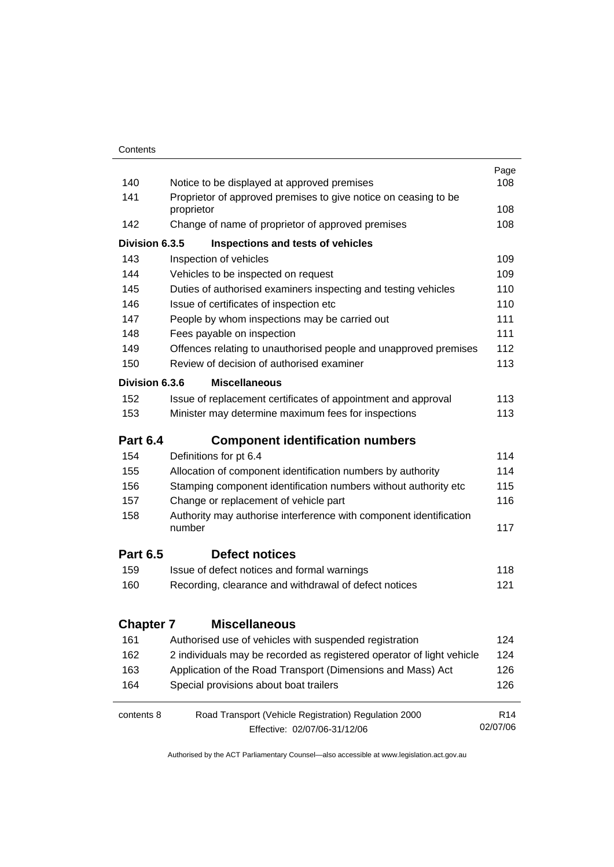| 140              | Notice to be displayed at approved premises                                  | Page<br>108     |  |  |  |  |
|------------------|------------------------------------------------------------------------------|-----------------|--|--|--|--|
| 141              | Proprietor of approved premises to give notice on ceasing to be              |                 |  |  |  |  |
|                  | proprietor                                                                   | 108             |  |  |  |  |
| 142              | Change of name of proprietor of approved premises                            |                 |  |  |  |  |
| Division 6.3.5   | Inspections and tests of vehicles                                            |                 |  |  |  |  |
| 143              | Inspection of vehicles                                                       | 109             |  |  |  |  |
| 144              | Vehicles to be inspected on request                                          | 109             |  |  |  |  |
| 145              | Duties of authorised examiners inspecting and testing vehicles               | 110             |  |  |  |  |
| 146              | Issue of certificates of inspection etc                                      | 110             |  |  |  |  |
| 147              | People by whom inspections may be carried out                                | 111             |  |  |  |  |
| 148              | Fees payable on inspection                                                   | 111             |  |  |  |  |
| 149              | Offences relating to unauthorised people and unapproved premises             | 112             |  |  |  |  |
| 150              | Review of decision of authorised examiner                                    | 113             |  |  |  |  |
| Division 6.3.6   | <b>Miscellaneous</b>                                                         |                 |  |  |  |  |
| 152              | Issue of replacement certificates of appointment and approval                | 113             |  |  |  |  |
| 153              | Minister may determine maximum fees for inspections                          | 113             |  |  |  |  |
| <b>Part 6.4</b>  | <b>Component identification numbers</b>                                      |                 |  |  |  |  |
| 154              | Definitions for pt 6.4                                                       | 114             |  |  |  |  |
| 155              | Allocation of component identification numbers by authority                  | 114             |  |  |  |  |
| 156              | Stamping component identification numbers without authority etc              | 115             |  |  |  |  |
| 157              | Change or replacement of vehicle part                                        | 116             |  |  |  |  |
| 158              | Authority may authorise interference with component identification<br>number | 117             |  |  |  |  |
| <b>Part 6.5</b>  | <b>Defect notices</b>                                                        |                 |  |  |  |  |
| 159              | Issue of defect notices and formal warnings                                  | 118             |  |  |  |  |
| 160              | Recording, clearance and withdrawal of defect notices                        | 121             |  |  |  |  |
| <b>Chapter 7</b> | <b>Miscellaneous</b>                                                         |                 |  |  |  |  |
| 161              | Authorised use of vehicles with suspended registration                       | 124             |  |  |  |  |
| 162              | 2 individuals may be recorded as registered operator of light vehicle        | 124             |  |  |  |  |
| 163              | Application of the Road Transport (Dimensions and Mass) Act                  | 126             |  |  |  |  |
| 164              | Special provisions about boat trailers                                       | 126             |  |  |  |  |
| contents 8       | Road Transport (Vehicle Registration) Regulation 2000                        | R <sub>14</sub> |  |  |  |  |
|                  | Effective: 02/07/06-31/12/06                                                 | 02/07/06        |  |  |  |  |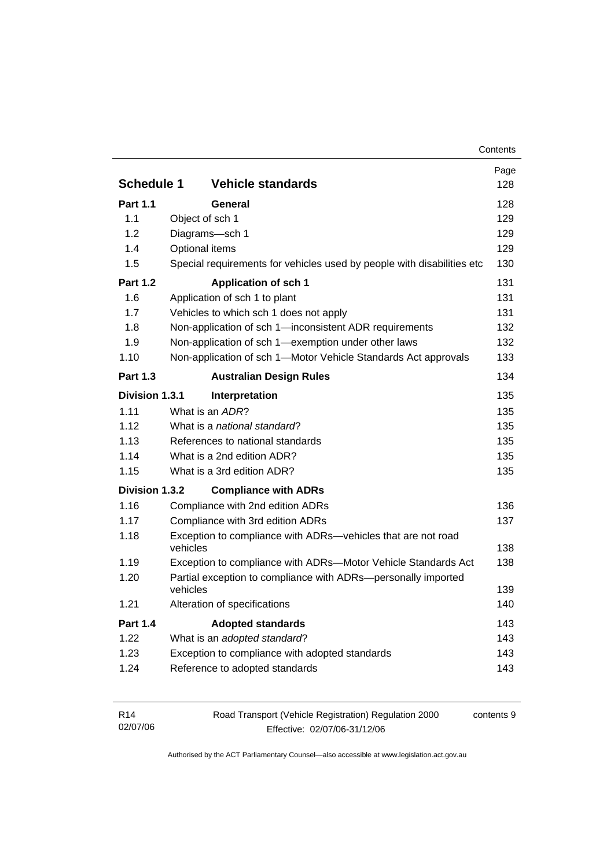| <b>Schedule 1</b> | <b>Vehicle standards</b>                                                  | Page<br>128 |
|-------------------|---------------------------------------------------------------------------|-------------|
| <b>Part 1.1</b>   | <b>General</b>                                                            | 128         |
| 1.1               | Object of sch 1                                                           | 129         |
| 1.2               | Diagrams-sch 1                                                            | 129         |
| 1.4               | Optional items                                                            | 129         |
| 1.5               | Special requirements for vehicles used by people with disabilities etc    | 130         |
| <b>Part 1.2</b>   | <b>Application of sch 1</b>                                               | 131         |
| 1.6               | Application of sch 1 to plant                                             | 131         |
| 1.7               | Vehicles to which sch 1 does not apply                                    | 131         |
| 1.8               | Non-application of sch 1-inconsistent ADR requirements                    | 132         |
| 1.9               | Non-application of sch 1-exemption under other laws                       | 132         |
| 1.10              | Non-application of sch 1-Motor Vehicle Standards Act approvals            | 133         |
| <b>Part 1.3</b>   | <b>Australian Design Rules</b>                                            | 134         |
| Division 1.3.1    | Interpretation                                                            | 135         |
| 1.11              | What is an ADR?                                                           | 135         |
| 1.12              | What is a national standard?                                              | 135         |
| 1.13              | References to national standards                                          | 135         |
| 1.14              | What is a 2nd edition ADR?                                                | 135         |
| 1.15              | What is a 3rd edition ADR?                                                | 135         |
| Division 1.3.2    | <b>Compliance with ADRs</b>                                               |             |
| 1.16              | Compliance with 2nd edition ADRs                                          | 136         |
| 1.17              | Compliance with 3rd edition ADRs                                          | 137         |
| 1.18              | Exception to compliance with ADRs-vehicles that are not road<br>vehicles  | 138         |
| 1.19              | Exception to compliance with ADRs-Motor Vehicle Standards Act             | 138         |
| 1.20              | Partial exception to compliance with ADRs-personally imported<br>vehicles | 139         |
| 1.21              | Alteration of specifications                                              | 140         |
| <b>Part 1.4</b>   | <b>Adopted standards</b>                                                  | 143         |
| 1.22              | What is an adopted standard?                                              | 143         |
| 1.23              | Exception to compliance with adopted standards                            | 143         |
|                   | Reference to adopted standards                                            | 143         |

| R14      | Road Transport (Vehicle Registration) Regulation 2000 | contents 9 |
|----------|-------------------------------------------------------|------------|
| 02/07/06 | Effective: 02/07/06-31/12/06                          |            |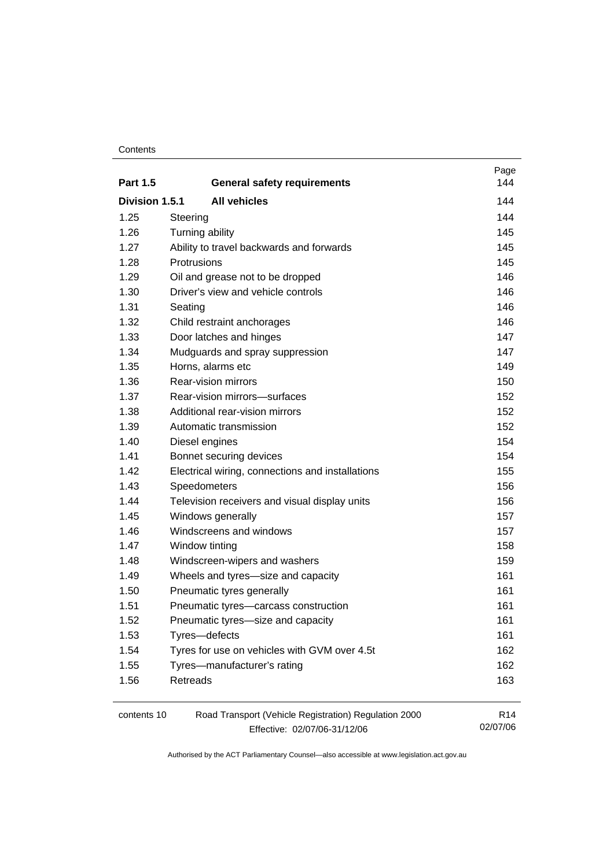#### **Contents**

| <b>Part 1.5</b> | <b>General safety requirements</b>                                                    | Page<br>144                 |
|-----------------|---------------------------------------------------------------------------------------|-----------------------------|
| Division 1.5.1  | <b>All vehicles</b>                                                                   | 144                         |
| 1.25            | Steering                                                                              | 144                         |
| 1.26            | Turning ability                                                                       | 145                         |
| 1.27            | Ability to travel backwards and forwards                                              | 145                         |
| 1.28            | Protrusions                                                                           | 145                         |
| 1.29            | Oil and grease not to be dropped                                                      | 146                         |
| 1.30            | Driver's view and vehicle controls                                                    | 146                         |
| 1.31            | Seating                                                                               | 146                         |
| 1.32            | Child restraint anchorages                                                            | 146                         |
| 1.33            | Door latches and hinges                                                               | 147                         |
| 1.34            | Mudguards and spray suppression                                                       | 147                         |
| 1.35            | Horns, alarms etc                                                                     | 149                         |
| 1.36            | Rear-vision mirrors                                                                   | 150                         |
| 1.37            | Rear-vision mirrors-surfaces                                                          | 152                         |
| 1.38            | Additional rear-vision mirrors                                                        | 152                         |
| 1.39            | Automatic transmission                                                                | 152                         |
| 1.40            | Diesel engines                                                                        | 154                         |
| 1.41            | Bonnet securing devices                                                               | 154                         |
| 1.42            | Electrical wiring, connections and installations                                      | 155                         |
| 1.43            | Speedometers                                                                          | 156                         |
| 1.44            | Television receivers and visual display units                                         | 156                         |
| 1.45            | Windows generally                                                                     | 157                         |
| 1.46            | Windscreens and windows                                                               | 157                         |
| 1.47            | Window tinting                                                                        | 158                         |
| 1.48            | Windscreen-wipers and washers                                                         | 159                         |
| 1.49            | Wheels and tyres-size and capacity                                                    | 161                         |
| 1.50            | Pneumatic tyres generally                                                             | 161                         |
| 1.51            | Pneumatic tyres-carcass construction                                                  | 161                         |
| 1.52            | Pneumatic tyres-size and capacity                                                     | 161                         |
| 1.53            | Tyres-defects                                                                         | 161                         |
| 1.54            | Tyres for use on vehicles with GVM over 4.5t                                          | 162                         |
| 1.55            | Tyres-manufacturer's rating                                                           | 162                         |
| 1.56            | Retreads                                                                              | 163                         |
| contents 10     | Road Transport (Vehicle Registration) Regulation 2000<br>Effective: 02/07/06-31/12/06 | R <sub>14</sub><br>02/07/06 |

Effective: 02/07/06-31/12/06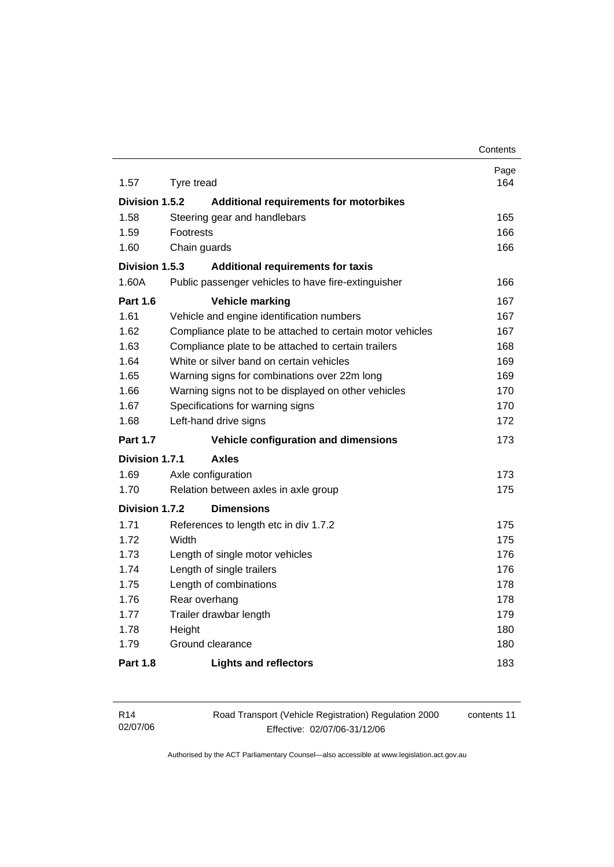|                 |            |                                                           | Contents    |
|-----------------|------------|-----------------------------------------------------------|-------------|
| 1.57            | Tyre tread |                                                           | Page<br>164 |
|                 |            |                                                           |             |
| Division 1.5.2  |            | Additional requirements for motorbikes                    |             |
| 1.58            |            | Steering gear and handlebars                              | 165<br>166  |
| 1.59<br>1.60    | Footrests  |                                                           | 166         |
|                 |            | Chain guards                                              |             |
| Division 1.5.3  |            | <b>Additional requirements for taxis</b>                  |             |
| 1.60A           |            | Public passenger vehicles to have fire-extinguisher       | 166         |
| <b>Part 1.6</b> |            | <b>Vehicle marking</b>                                    | 167         |
| 1.61            |            | Vehicle and engine identification numbers                 | 167         |
| 1.62            |            | Compliance plate to be attached to certain motor vehicles | 167         |
| 1.63            |            | Compliance plate to be attached to certain trailers       | 168         |
| 1.64            |            | White or silver band on certain vehicles                  | 169         |
| 1.65            |            | Warning signs for combinations over 22m long              | 169         |
| 1.66            |            | Warning signs not to be displayed on other vehicles       | 170         |
| 1.67            |            | Specifications for warning signs                          | 170         |
| 1.68            |            | Left-hand drive signs                                     | 172         |
| <b>Part 1.7</b> |            | Vehicle configuration and dimensions                      | 173         |
| Division 1.7.1  |            | <b>Axles</b>                                              |             |
| 1.69            |            | Axle configuration                                        | 173         |
| 1.70            |            | Relation between axles in axle group                      | 175         |
| Division 1.7.2  |            | <b>Dimensions</b>                                         |             |
| 1.71            |            | References to length etc in div 1.7.2                     | 175         |
| 1.72            | Width      |                                                           | 175         |
| 1.73            |            | Length of single motor vehicles                           | 176         |
| 1.74            |            | Length of single trailers                                 | 176         |
| 1.75            |            | Length of combinations                                    | 178         |
| 1.76            |            | Rear overhang                                             | 178         |
| 1.77            |            | Trailer drawbar length                                    | 179         |
| 1.78            | Height     |                                                           | 180         |
| 1.79            |            | Ground clearance                                          | 180         |
| <b>Part 1.8</b> |            | <b>Lights and reflectors</b>                              | 183         |

| R14      | Road Transport (Vehicle Registration) Regulation 2000 | contents 11 |
|----------|-------------------------------------------------------|-------------|
| 02/07/06 | Effective: 02/07/06-31/12/06                          |             |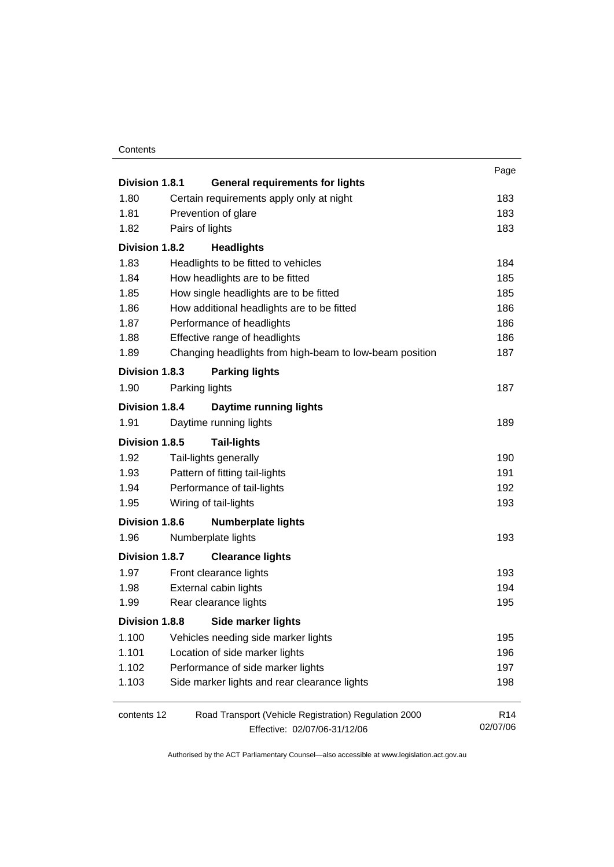#### **Contents**

| Division 1.8.1        |                                     | <b>General requirements for lights</b>                  | Page            |  |
|-----------------------|-------------------------------------|---------------------------------------------------------|-----------------|--|
| 1.80                  |                                     | Certain requirements apply only at night                | 183             |  |
| 1.81                  |                                     | Prevention of glare                                     | 183             |  |
| 1.82                  | Pairs of lights                     |                                                         |                 |  |
|                       | Division 1.8.2<br><b>Headlights</b> |                                                         |                 |  |
| 1.83                  |                                     | Headlights to be fitted to vehicles                     | 184             |  |
| 1.84                  |                                     | How headlights are to be fitted                         | 185             |  |
| 1.85                  |                                     | How single headlights are to be fitted                  | 185             |  |
| 1.86                  |                                     | How additional headlights are to be fitted              | 186             |  |
| 1.87                  |                                     | Performance of headlights                               | 186             |  |
| 1.88                  |                                     | Effective range of headlights                           | 186             |  |
| 1.89                  |                                     | Changing headlights from high-beam to low-beam position | 187             |  |
| Division 1.8.3        |                                     | <b>Parking lights</b>                                   |                 |  |
| 1.90                  |                                     | Parking lights                                          | 187             |  |
| Division 1.8.4        |                                     | <b>Daytime running lights</b>                           |                 |  |
| 1.91                  |                                     | Daytime running lights                                  | 189             |  |
| Division 1.8.5        |                                     | <b>Tail-lights</b>                                      |                 |  |
| 1.92                  |                                     | Tail-lights generally                                   | 190             |  |
| 1.93                  |                                     | Pattern of fitting tail-lights                          | 191             |  |
| 1.94                  |                                     | Performance of tail-lights                              | 192             |  |
| 1.95                  |                                     | Wiring of tail-lights                                   | 193             |  |
| <b>Division 1.8.6</b> |                                     | <b>Numberplate lights</b>                               |                 |  |
| 1.96                  |                                     | Numberplate lights                                      | 193             |  |
| Division 1.8.7        |                                     | <b>Clearance lights</b>                                 |                 |  |
| 1.97                  |                                     | Front clearance lights                                  | 193             |  |
| 1.98                  |                                     | External cabin lights                                   | 194             |  |
| 1.99                  |                                     | Rear clearance lights                                   | 195             |  |
| Division 1.8.8        |                                     | Side marker lights                                      |                 |  |
| 1.100                 |                                     | Vehicles needing side marker lights                     | 195             |  |
| 1.101                 |                                     | Location of side marker lights                          | 196             |  |
| 1.102                 |                                     | Performance of side marker lights                       | 197             |  |
| 1.103                 |                                     | Side marker lights and rear clearance lights            | 198             |  |
| contents 12           |                                     | Road Transport (Vehicle Registration) Regulation 2000   | R <sub>14</sub> |  |
|                       |                                     | Effective: 02/07/06-31/12/06                            | 02/07/06        |  |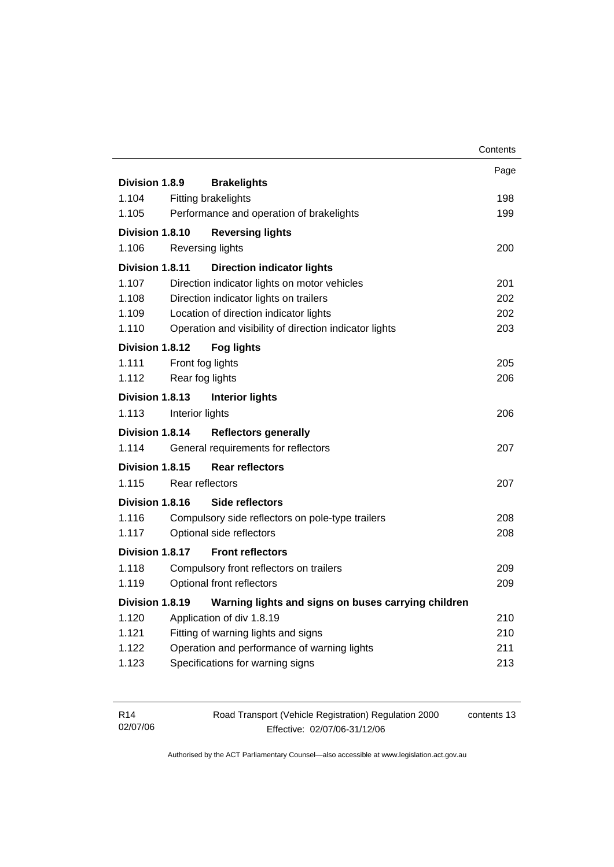|                 |                 |                                                        | Contents |
|-----------------|-----------------|--------------------------------------------------------|----------|
|                 |                 |                                                        | Page     |
| Division 1.8.9  |                 | <b>Brakelights</b>                                     |          |
| 1.104           |                 | <b>Fitting brakelights</b>                             | 198      |
| 1.105           |                 | Performance and operation of brakelights               | 199      |
| Division 1.8.10 |                 | <b>Reversing lights</b>                                |          |
| 1.106           |                 | <b>Reversing lights</b>                                | 200      |
| Division 1.8.11 |                 | <b>Direction indicator lights</b>                      |          |
| 1.107           |                 | Direction indicator lights on motor vehicles           | 201      |
| 1.108           |                 | Direction indicator lights on trailers                 | 202      |
| 1.109           |                 | Location of direction indicator lights                 | 202      |
| 1.110           |                 | Operation and visibility of direction indicator lights | 203      |
| Division 1.8.12 |                 | <b>Fog lights</b>                                      |          |
| 1.111           |                 | Front fog lights                                       | 205      |
| 1.112           |                 | Rear fog lights                                        | 206      |
| Division 1.8.13 |                 | <b>Interior lights</b>                                 |          |
| 1.113           | Interior lights |                                                        | 206      |
| Division 1.8.14 |                 | <b>Reflectors generally</b>                            |          |
| 1.114           |                 | General requirements for reflectors                    | 207      |
| Division 1.8.15 |                 | <b>Rear reflectors</b>                                 |          |
| 1.115           |                 | Rear reflectors                                        | 207      |
| Division 1.8.16 |                 | Side reflectors                                        |          |
| 1.116           |                 | Compulsory side reflectors on pole-type trailers       | 208      |
| 1.117           |                 | Optional side reflectors                               | 208      |
| Division 1.8.17 |                 | <b>Front reflectors</b>                                |          |
| 1.118           |                 | Compulsory front reflectors on trailers                | 209      |
| 1.119           |                 | Optional front reflectors                              | 209      |
| Division 1.8.19 |                 | Warning lights and signs on buses carrying children    |          |
| 1.120           |                 | Application of div 1.8.19                              | 210      |
| 1.121           |                 | Fitting of warning lights and signs                    | 210      |
| 1.122           |                 | Operation and performance of warning lights            | 211      |
| 1.123           |                 | Specifications for warning signs                       | 213      |
|                 |                 |                                                        |          |

| R14      | Road Transport (Vehicle Registration) Regulation 2000 | contents 13 |
|----------|-------------------------------------------------------|-------------|
| 02/07/06 | Effective: 02/07/06-31/12/06                          |             |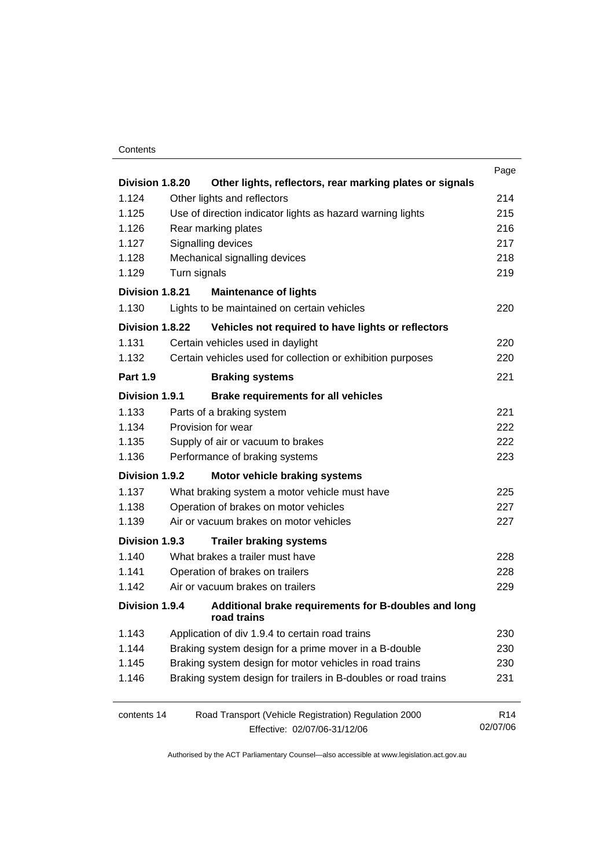#### **Contents**

|                 |                                                                     | Page            |
|-----------------|---------------------------------------------------------------------|-----------------|
| Division 1.8.20 | Other lights, reflectors, rear marking plates or signals            |                 |
| 1.124           | Other lights and reflectors                                         | 214             |
| 1.125           | Use of direction indicator lights as hazard warning lights          | 215             |
| 1.126           | Rear marking plates                                                 | 216             |
| 1.127           | Signalling devices                                                  | 217             |
| 1.128           | Mechanical signalling devices                                       | 218             |
| 1.129           | Turn signals                                                        | 219             |
| Division 1.8.21 | <b>Maintenance of lights</b>                                        |                 |
| 1.130           | Lights to be maintained on certain vehicles                         | 220             |
| Division 1.8.22 | Vehicles not required to have lights or reflectors                  |                 |
| 1.131           | Certain vehicles used in daylight                                   | 220             |
| 1.132           | Certain vehicles used for collection or exhibition purposes         | 220             |
| <b>Part 1.9</b> | <b>Braking systems</b>                                              | 221             |
| Division 1.9.1  | <b>Brake requirements for all vehicles</b>                          |                 |
| 1.133           | Parts of a braking system                                           | 221             |
| 1.134           | Provision for wear                                                  | 222             |
| 1.135           | Supply of air or vacuum to brakes                                   | 222             |
| 1.136           | Performance of braking systems                                      | 223             |
| Division 1.9.2  | Motor vehicle braking systems                                       |                 |
| 1.137           | What braking system a motor vehicle must have                       | 225             |
| 1.138           | Operation of brakes on motor vehicles                               | 227             |
| 1.139           | Air or vacuum brakes on motor vehicles                              | 227             |
| Division 1.9.3  | <b>Trailer braking systems</b>                                      |                 |
| 1.140           | What brakes a trailer must have                                     | 228             |
| 1.141           | Operation of brakes on trailers                                     | 228             |
| 1.142           | Air or vacuum brakes on trailers                                    | 229             |
| Division 1.9.4  | Additional brake requirements for B-doubles and long<br>road trains |                 |
| 1.143           | Application of div 1.9.4 to certain road trains                     | 230             |
| 1.144           | Braking system design for a prime mover in a B-double               | 230             |
| 1.145           | Braking system design for motor vehicles in road trains             | 230             |
| 1.146           | Braking system design for trailers in B-doubles or road trains      | 231             |
| contents 14     | Road Transport (Vehicle Registration) Regulation 2000               | R <sub>14</sub> |
|                 | Effective: 02/07/06-31/12/06                                        | 02/07/06        |
|                 |                                                                     |                 |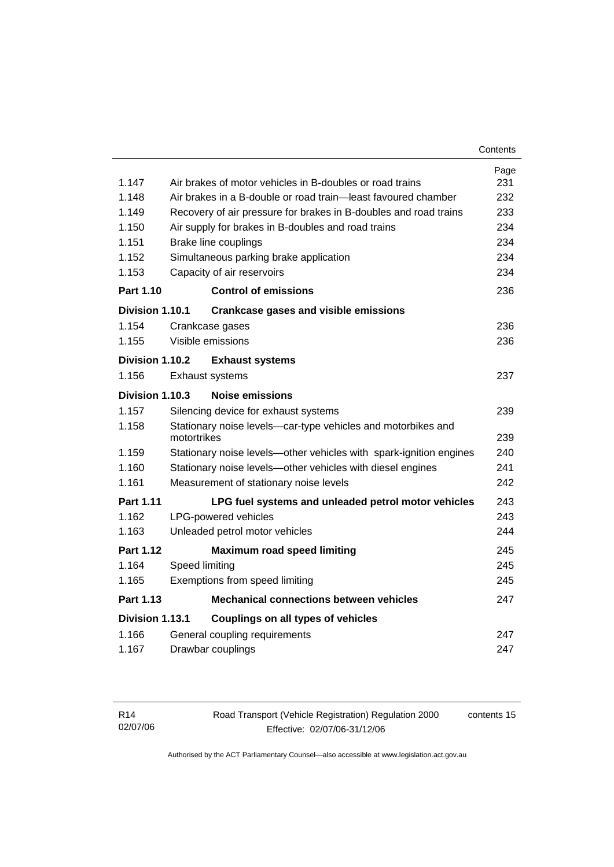| 1.147            | Air brakes of motor vehicles in B-doubles or road trains                    | Page<br>231 |  |
|------------------|-----------------------------------------------------------------------------|-------------|--|
| 1.148            | Air brakes in a B-double or road train—least favoured chamber               | 232         |  |
| 1.149            | Recovery of air pressure for brakes in B-doubles and road trains            |             |  |
| 1.150            | Air supply for brakes in B-doubles and road trains                          |             |  |
| 1.151            | Brake line couplings                                                        | 234         |  |
| 1.152            | Simultaneous parking brake application                                      | 234         |  |
| 1.153            | Capacity of air reservoirs                                                  | 234         |  |
| <b>Part 1.10</b> | <b>Control of emissions</b>                                                 | 236         |  |
| Division 1.10.1  | <b>Crankcase gases and visible emissions</b>                                |             |  |
| 1.154            | Crankcase gases                                                             | 236         |  |
| 1.155            | Visible emissions                                                           | 236         |  |
| Division 1.10.2  | <b>Exhaust systems</b>                                                      |             |  |
| 1.156            | <b>Exhaust systems</b>                                                      | 237         |  |
| Division 1.10.3  | <b>Noise emissions</b>                                                      |             |  |
| 1.157            | Silencing device for exhaust systems                                        | 239         |  |
| 1.158            | Stationary noise levels-car-type vehicles and motorbikes and<br>motortrikes | 239         |  |
| 1.159            | Stationary noise levels-other vehicles with spark-ignition engines          | 240         |  |
| 1.160            | Stationary noise levels-other vehicles with diesel engines                  |             |  |
| 1.161            | Measurement of stationary noise levels                                      | 242         |  |
| <b>Part 1.11</b> | LPG fuel systems and unleaded petrol motor vehicles                         | 243         |  |
| 1.162            | <b>LPG-powered vehicles</b>                                                 | 243         |  |
| 1.163            | Unleaded petrol motor vehicles                                              | 244         |  |
| <b>Part 1.12</b> | <b>Maximum road speed limiting</b>                                          | 245         |  |
| 1.164            | Speed limiting                                                              | 245         |  |
| 1.165            | Exemptions from speed limiting                                              | 245         |  |
| Part 1.13        | <b>Mechanical connections between vehicles</b>                              | 247         |  |
| Division 1.13.1  | Couplings on all types of vehicles                                          |             |  |
| 1.166            | General coupling requirements                                               | 247         |  |
| 1.167            | Drawbar couplings                                                           | 247         |  |

| R14      | Road Transport (Vehicle Registration) Regulation 2000 | contents 15 |
|----------|-------------------------------------------------------|-------------|
| 02/07/06 | Effective: 02/07/06-31/12/06                          |             |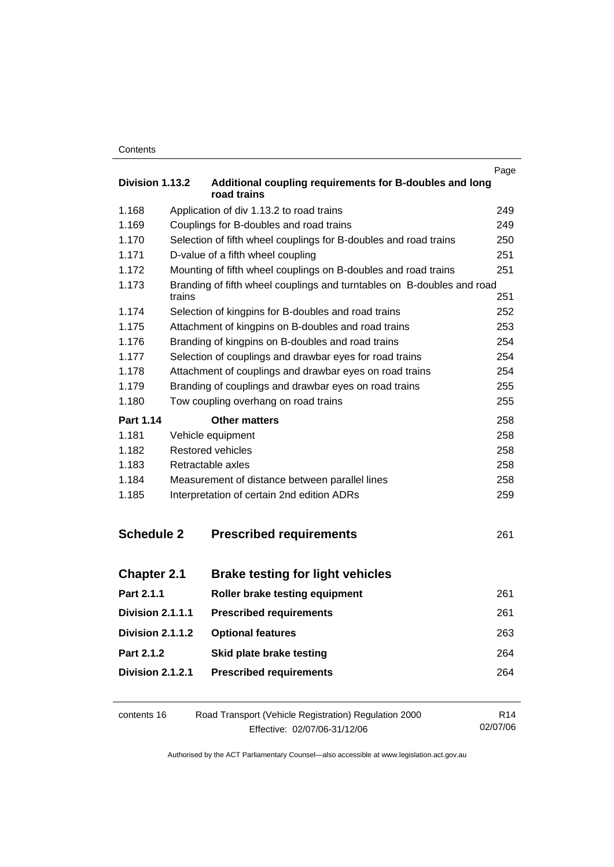| Contents |
|----------|
|----------|

|                         |        |                                                                        | Page |
|-------------------------|--------|------------------------------------------------------------------------|------|
| Division 1.13.2         |        | Additional coupling requirements for B-doubles and long<br>road trains |      |
| 1.168                   |        | Application of div 1.13.2 to road trains                               | 249  |
| 1.169                   |        | Couplings for B-doubles and road trains                                | 249  |
| 1.170                   |        | Selection of fifth wheel couplings for B-doubles and road trains       | 250  |
| 1.171                   |        | D-value of a fifth wheel coupling                                      | 251  |
| 1.172                   |        | Mounting of fifth wheel couplings on B-doubles and road trains         | 251  |
| 1.173                   | trains | Branding of fifth wheel couplings and turntables on B-doubles and road | 251  |
| 1.174                   |        | Selection of kingpins for B-doubles and road trains                    | 252  |
| 1.175                   |        | Attachment of kingpins on B-doubles and road trains                    | 253  |
| 1.176                   |        | Branding of kingpins on B-doubles and road trains                      | 254  |
| 1.177                   |        | Selection of couplings and drawbar eyes for road trains                | 254  |
| 1.178                   |        | Attachment of couplings and drawbar eyes on road trains                | 254  |
| 1.179                   |        | Branding of couplings and drawbar eyes on road trains                  | 255  |
| 1.180                   |        | Tow coupling overhang on road trains                                   | 255  |
| Part 1.14               |        | <b>Other matters</b>                                                   | 258  |
| 1.181                   |        | Vehicle equipment                                                      | 258  |
| 1.182                   |        | Restored vehicles                                                      | 258  |
| 1.183                   |        | Retractable axles                                                      | 258  |
| 1.184                   |        | Measurement of distance between parallel lines                         | 258  |
| 1.185                   |        | Interpretation of certain 2nd edition ADRs                             | 259  |
| <b>Schedule 2</b>       |        | <b>Prescribed requirements</b>                                         | 261  |
| <b>Chapter 2.1</b>      |        | <b>Brake testing for light vehicles</b>                                |      |
| Part 2.1.1              |        | Roller brake testing equipment                                         | 261  |
| Division 2.1.1.1        |        | <b>Prescribed requirements</b>                                         | 261  |
| <b>Division 2.1.1.2</b> |        | <b>Optional features</b>                                               | 263  |
| Part 2.1.2              |        | Skid plate brake testing                                               | 264  |
| Division 2.1.2.1        |        | <b>Prescribed requirements</b>                                         | 264  |
|                         |        |                                                                        |      |

| contents 16 | Road Transport (Vehicle Registration) Regulation 2000 | R <sub>14</sub> |
|-------------|-------------------------------------------------------|-----------------|
|             | Effective: 02/07/06-31/12/06                          | 02/07/06        |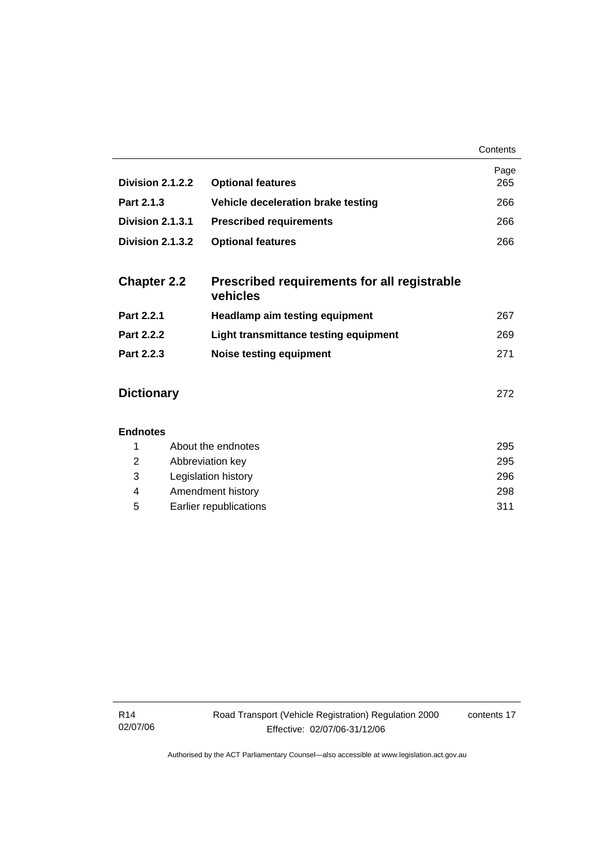|                    |                                                         | Contents    |
|--------------------|---------------------------------------------------------|-------------|
| Division 2.1.2.2   | <b>Optional features</b>                                | Page<br>265 |
| Part 2.1.3         | Vehicle deceleration brake testing                      | 266         |
| Division 2.1.3.1   | <b>Prescribed requirements</b>                          | 266         |
| Division 2.1.3.2   | <b>Optional features</b>                                | 266         |
| <b>Chapter 2.2</b> | Prescribed requirements for all registrable<br>vehicles |             |
| Part 2.2.1         | <b>Headlamp aim testing equipment</b>                   | 267         |
| Part 2.2.2         | Light transmittance testing equipment                   | 269         |
| Part 2.2.3         | <b>Noise testing equipment</b>                          | 271         |
| <b>Dictionary</b>  |                                                         | 272         |
| <b>Endnotes</b>    |                                                         |             |
| 1                  | About the endnotes                                      | 295         |
| 2                  | Abbreviation key                                        | 295         |
| 3                  | Legislation history                                     | 296         |

 4 Amendment history 298 5 Earlier republications 311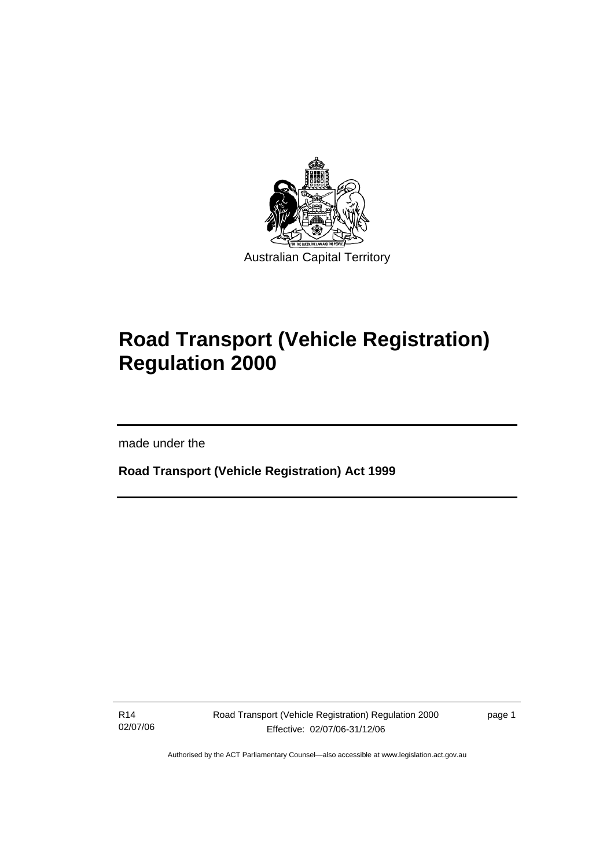

# **Road Transport (Vehicle Registration) Regulation 2000**

made under the

I

**Road Transport (Vehicle Registration) Act 1999** 

R14 02/07/06 Road Transport (Vehicle Registration) Regulation 2000 Effective: 02/07/06-31/12/06

page 1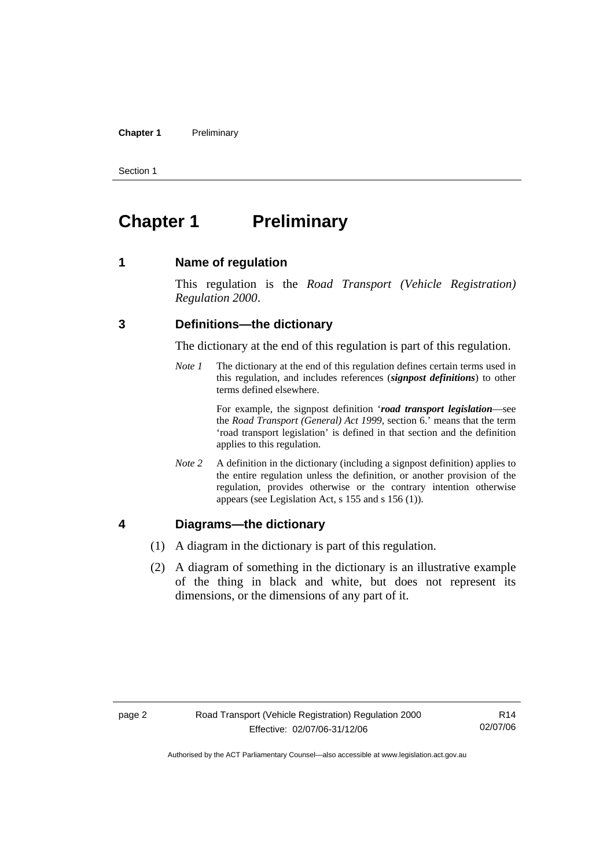#### **Chapter 1** Preliminary

Section 1

## **Chapter 1** Preliminary

### **1 Name of regulation**

This regulation is the *Road Transport (Vehicle Registration) Regulation 2000*.

### **3 Definitions—the dictionary**

The dictionary at the end of this regulation is part of this regulation.

*Note 1* The dictionary at the end of this regulation defines certain terms used in this regulation, and includes references (*signpost definitions*) to other terms defined elsewhere.

> For example, the signpost definition '*road transport legislation*—see the *Road Transport (General) Act 1999*, section 6.' means that the term 'road transport legislation' is defined in that section and the definition applies to this regulation.

*Note 2* A definition in the dictionary (including a signpost definition) applies to the entire regulation unless the definition, or another provision of the regulation, provides otherwise or the contrary intention otherwise appears (see Legislation Act, s 155 and s 156 (1)).

## **4 Diagrams—the dictionary**

- (1) A diagram in the dictionary is part of this regulation.
- (2) A diagram of something in the dictionary is an illustrative example of the thing in black and white, but does not represent its dimensions, or the dimensions of any part of it.

R14 02/07/06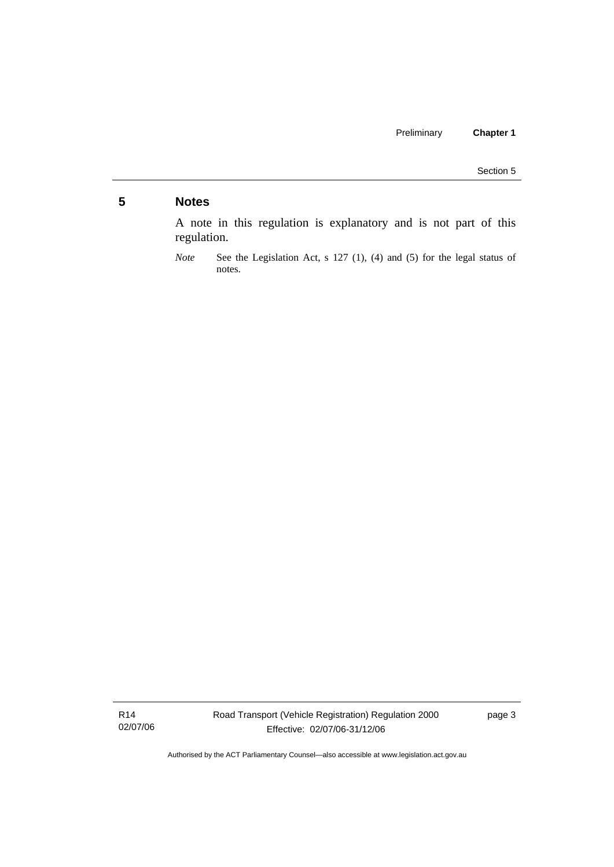## **5 Notes**

A note in this regulation is explanatory and is not part of this regulation.

R14 02/07/06

*Note* See the Legislation Act, s 127 (1), (4) and (5) for the legal status of notes.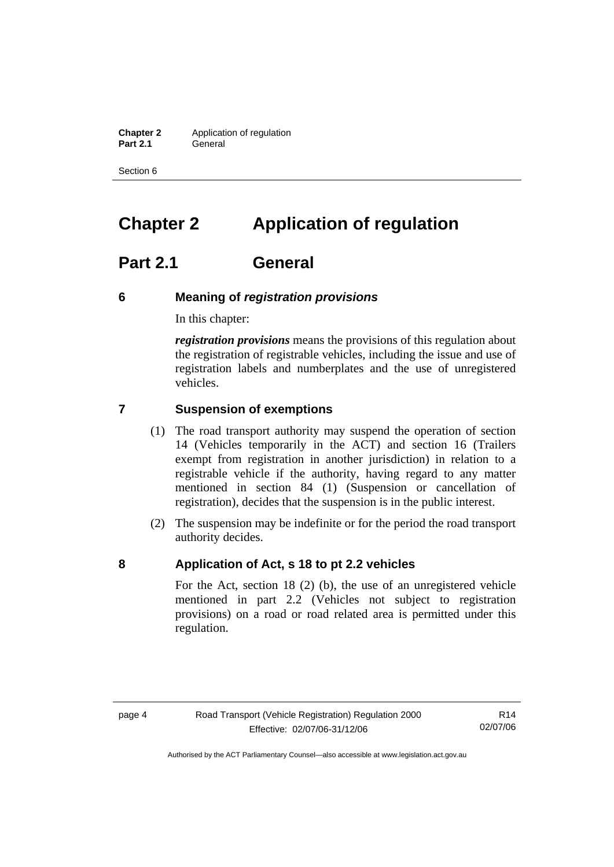**Chapter 2** Application of regulation **Part 2.1** General

Section 6

## **Chapter 2 Application of regulation**

## **Part 2.1 General**

## **6 Meaning of** *registration provisions*

In this chapter:

*registration provisions* means the provisions of this regulation about the registration of registrable vehicles, including the issue and use of registration labels and numberplates and the use of unregistered vehicles.

## **7 Suspension of exemptions**

- (1) The road transport authority may suspend the operation of section 14 (Vehicles temporarily in the ACT) and section 16 (Trailers exempt from registration in another jurisdiction) in relation to a registrable vehicle if the authority, having regard to any matter mentioned in section 84 (1) (Suspension or cancellation of registration), decides that the suspension is in the public interest.
- (2) The suspension may be indefinite or for the period the road transport authority decides.

### **8 Application of Act, s 18 to pt 2.2 vehicles**

For the Act, section 18 (2) (b), the use of an unregistered vehicle mentioned in part 2.2 (Vehicles not subject to registration provisions) on a road or road related area is permitted under this regulation.

R14 02/07/06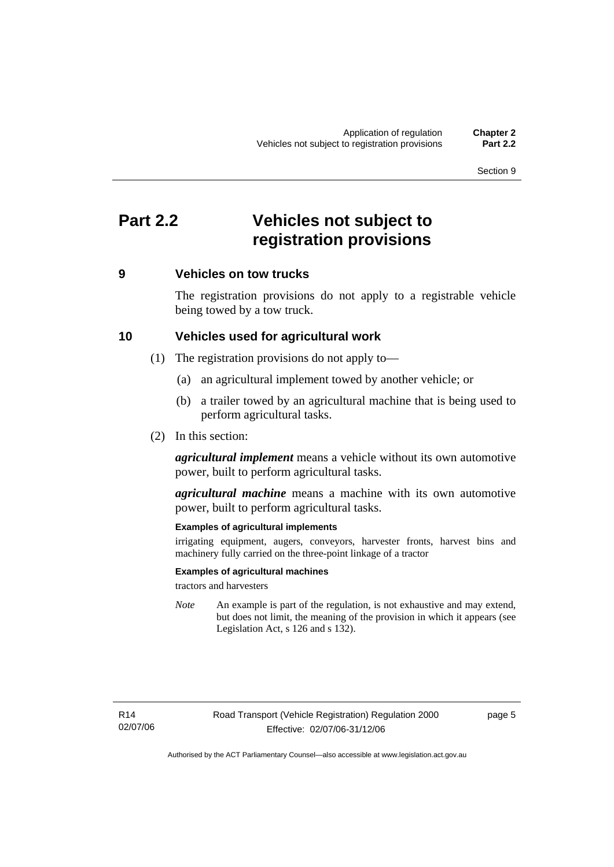## **Part 2.2 Vehicles not subject to registration provisions**

## **9 Vehicles on tow trucks**

The registration provisions do not apply to a registrable vehicle being towed by a tow truck.

### **10 Vehicles used for agricultural work**

- (1) The registration provisions do not apply to—
	- (a) an agricultural implement towed by another vehicle; or
	- (b) a trailer towed by an agricultural machine that is being used to perform agricultural tasks.
- (2) In this section:

*agricultural implement* means a vehicle without its own automotive power, built to perform agricultural tasks.

*agricultural machine* means a machine with its own automotive power, built to perform agricultural tasks.

#### **Examples of agricultural implements**

irrigating equipment, augers, conveyors, harvester fronts, harvest bins and machinery fully carried on the three-point linkage of a tractor

#### **Examples of agricultural machines**

tractors and harvesters

*Note* An example is part of the regulation, is not exhaustive and may extend, but does not limit, the meaning of the provision in which it appears (see Legislation Act, s 126 and s 132).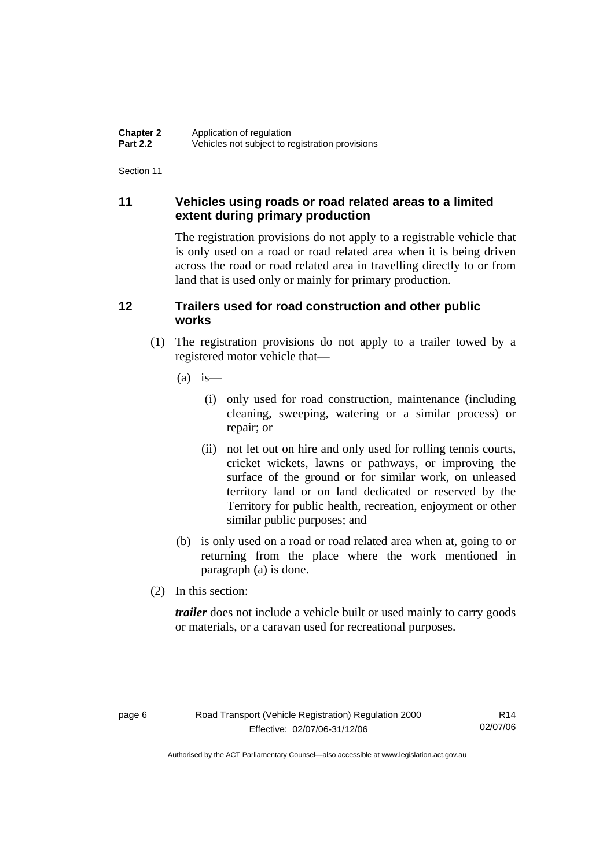## **11 Vehicles using roads or road related areas to a limited extent during primary production**

The registration provisions do not apply to a registrable vehicle that is only used on a road or road related area when it is being driven across the road or road related area in travelling directly to or from land that is used only or mainly for primary production.

## **12 Trailers used for road construction and other public works**

- (1) The registration provisions do not apply to a trailer towed by a registered motor vehicle that—
	- $(a)$  is
		- (i) only used for road construction, maintenance (including cleaning, sweeping, watering or a similar process) or repair; or
		- (ii) not let out on hire and only used for rolling tennis courts, cricket wickets, lawns or pathways, or improving the surface of the ground or for similar work, on unleased territory land or on land dedicated or reserved by the Territory for public health, recreation, enjoyment or other similar public purposes; and
	- (b) is only used on a road or road related area when at, going to or returning from the place where the work mentioned in paragraph (a) is done.
- (2) In this section:

*trailer* does not include a vehicle built or used mainly to carry goods or materials, or a caravan used for recreational purposes.

R14 02/07/06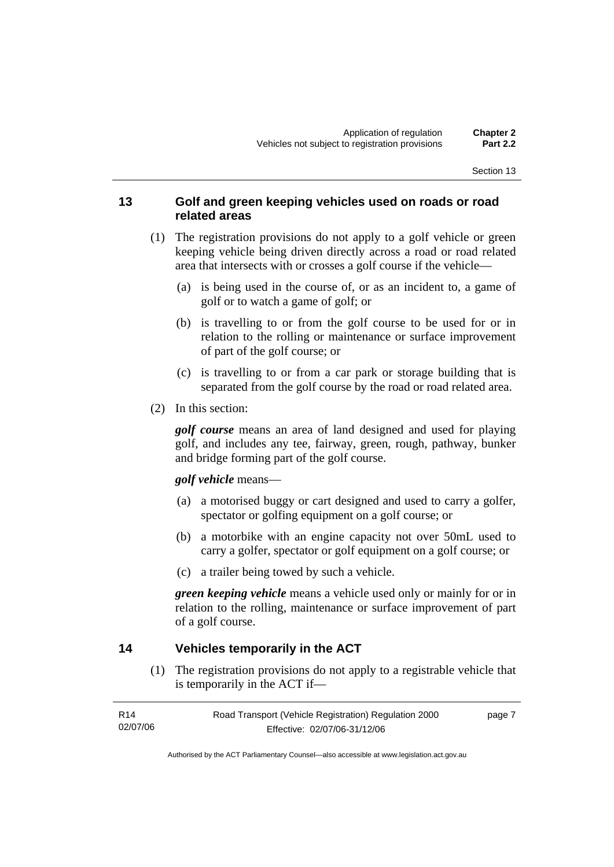## **13 Golf and green keeping vehicles used on roads or road related areas**

- (1) The registration provisions do not apply to a golf vehicle or green keeping vehicle being driven directly across a road or road related area that intersects with or crosses a golf course if the vehicle—
	- (a) is being used in the course of, or as an incident to, a game of golf or to watch a game of golf; or
	- (b) is travelling to or from the golf course to be used for or in relation to the rolling or maintenance or surface improvement of part of the golf course; or
	- (c) is travelling to or from a car park or storage building that is separated from the golf course by the road or road related area.
- (2) In this section:

*golf course* means an area of land designed and used for playing golf, and includes any tee, fairway, green, rough, pathway, bunker and bridge forming part of the golf course.

#### *golf vehicle* means—

- (a) a motorised buggy or cart designed and used to carry a golfer, spectator or golfing equipment on a golf course; or
- (b) a motorbike with an engine capacity not over 50mL used to carry a golfer, spectator or golf equipment on a golf course; or
- (c) a trailer being towed by such a vehicle.

*green keeping vehicle* means a vehicle used only or mainly for or in relation to the rolling, maintenance or surface improvement of part of a golf course.

## **14 Vehicles temporarily in the ACT**

 (1) The registration provisions do not apply to a registrable vehicle that is temporarily in the ACT if—

| R14      | Road Transport (Vehicle Registration) Regulation 2000 | page 7 |
|----------|-------------------------------------------------------|--------|
| 02/07/06 | Effective: 02/07/06-31/12/06                          |        |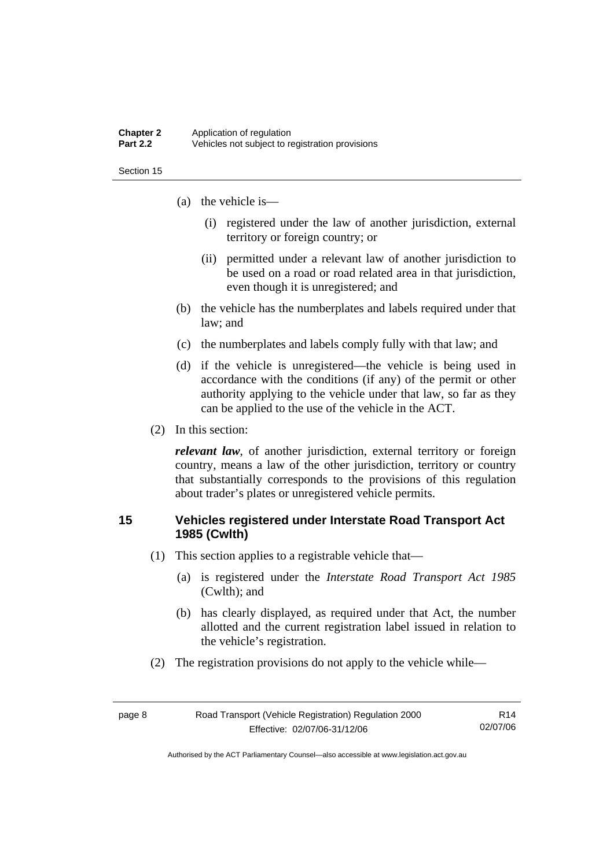#### **Chapter 2** Application of regulation<br>**Part 2.2** Vehicles not subject to re **Part 2.2** Vehicles not subject to registration provisions

Section 15

- (a) the vehicle is—
	- (i) registered under the law of another jurisdiction, external territory or foreign country; or
	- (ii) permitted under a relevant law of another jurisdiction to be used on a road or road related area in that jurisdiction, even though it is unregistered; and
- (b) the vehicle has the numberplates and labels required under that law; and
- (c) the numberplates and labels comply fully with that law; and
- (d) if the vehicle is unregistered—the vehicle is being used in accordance with the conditions (if any) of the permit or other authority applying to the vehicle under that law, so far as they can be applied to the use of the vehicle in the ACT.
- (2) In this section:

*relevant law*, of another jurisdiction, external territory or foreign country, means a law of the other jurisdiction, territory or country that substantially corresponds to the provisions of this regulation about trader's plates or unregistered vehicle permits.

## **15 Vehicles registered under Interstate Road Transport Act 1985 (Cwlth)**

- (1) This section applies to a registrable vehicle that—
	- (a) is registered under the *Interstate Road Transport Act 1985* (Cwlth); and
	- (b) has clearly displayed, as required under that Act, the number allotted and the current registration label issued in relation to the vehicle's registration.
- (2) The registration provisions do not apply to the vehicle while—

| page 8 | Road Transport (Vehicle Registration) Regulation 2000 | R <sub>14</sub> |
|--------|-------------------------------------------------------|-----------------|
|        | Effective: 02/07/06-31/12/06                          | 02/07/06        |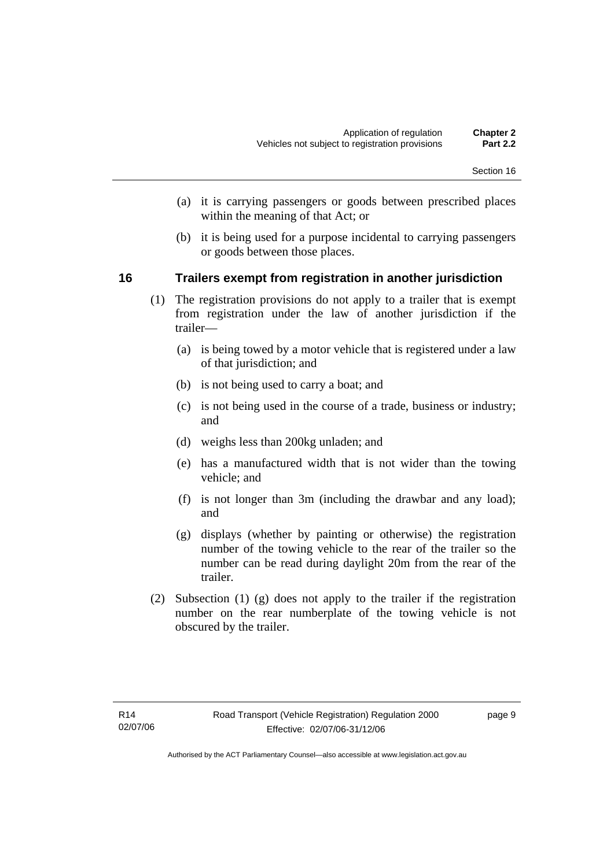- (a) it is carrying passengers or goods between prescribed places within the meaning of that Act; or
- (b) it is being used for a purpose incidental to carrying passengers or goods between those places.

## **16 Trailers exempt from registration in another jurisdiction**

- (1) The registration provisions do not apply to a trailer that is exempt from registration under the law of another jurisdiction if the trailer—
	- (a) is being towed by a motor vehicle that is registered under a law of that jurisdiction; and
	- (b) is not being used to carry a boat; and
	- (c) is not being used in the course of a trade, business or industry; and
	- (d) weighs less than 200kg unladen; and
	- (e) has a manufactured width that is not wider than the towing vehicle; and
	- (f) is not longer than 3m (including the drawbar and any load); and
	- (g) displays (whether by painting or otherwise) the registration number of the towing vehicle to the rear of the trailer so the number can be read during daylight 20m from the rear of the trailer.
- (2) Subsection (1) (g) does not apply to the trailer if the registration number on the rear numberplate of the towing vehicle is not obscured by the trailer.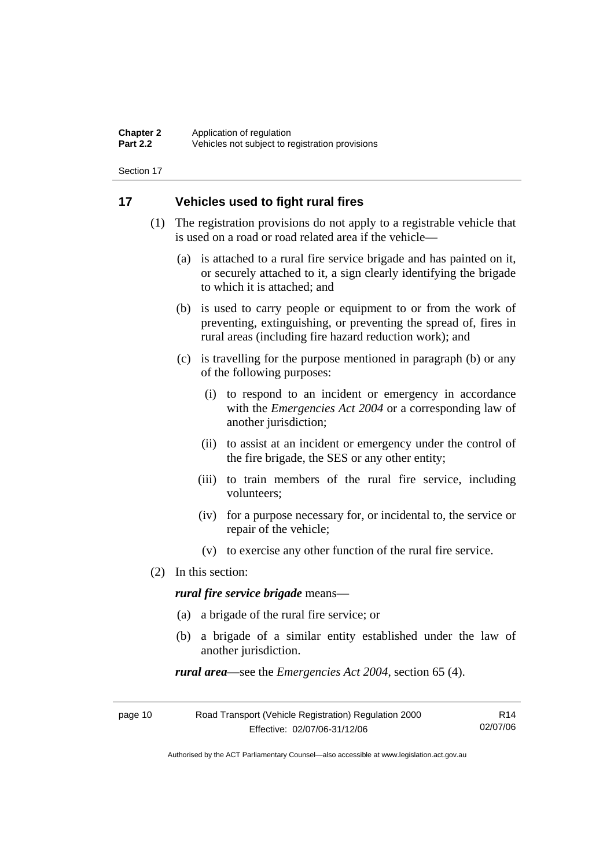## **17 Vehicles used to fight rural fires**

- (1) The registration provisions do not apply to a registrable vehicle that is used on a road or road related area if the vehicle—
	- (a) is attached to a rural fire service brigade and has painted on it, or securely attached to it, a sign clearly identifying the brigade to which it is attached; and
	- (b) is used to carry people or equipment to or from the work of preventing, extinguishing, or preventing the spread of, fires in rural areas (including fire hazard reduction work); and
	- (c) is travelling for the purpose mentioned in paragraph (b) or any of the following purposes:
		- (i) to respond to an incident or emergency in accordance with the *Emergencies Act 2004* or a corresponding law of another jurisdiction;
		- (ii) to assist at an incident or emergency under the control of the fire brigade, the SES or any other entity;
		- (iii) to train members of the rural fire service, including volunteers;
		- (iv) for a purpose necessary for, or incidental to, the service or repair of the vehicle;
		- (v) to exercise any other function of the rural fire service.
- (2) In this section:

*rural fire service brigade* means—

- (a) a brigade of the rural fire service; or
- (b) a brigade of a similar entity established under the law of another jurisdiction.

*rural area*—see the *Emergencies Act 2004*, section 65 (4).

| page 10 | Road Transport (Vehicle Registration) Regulation 2000 | R14      |
|---------|-------------------------------------------------------|----------|
|         | Effective: 02/07/06-31/12/06                          | 02/07/06 |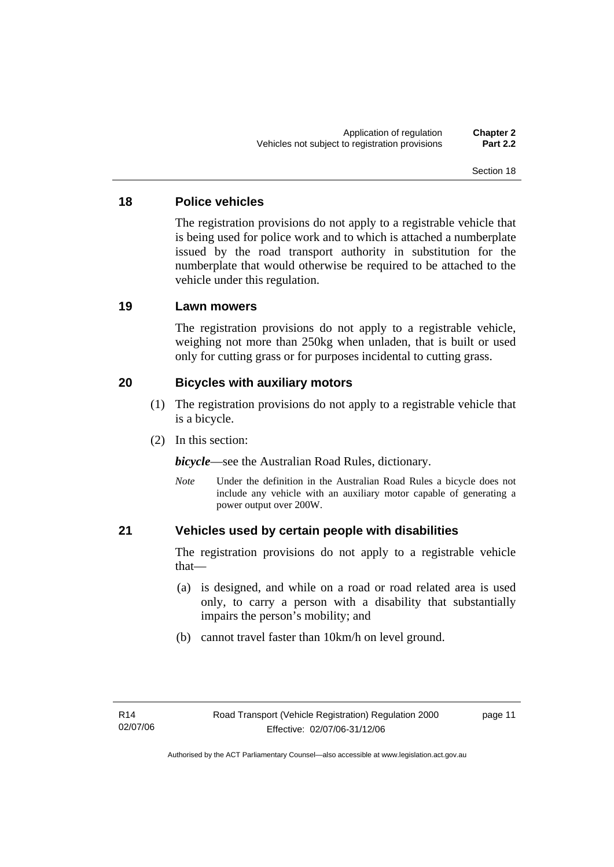## **18 Police vehicles**

The registration provisions do not apply to a registrable vehicle that is being used for police work and to which is attached a numberplate issued by the road transport authority in substitution for the numberplate that would otherwise be required to be attached to the vehicle under this regulation.

## **19 Lawn mowers**

The registration provisions do not apply to a registrable vehicle, weighing not more than 250kg when unladen, that is built or used only for cutting grass or for purposes incidental to cutting grass.

## **20 Bicycles with auxiliary motors**

- (1) The registration provisions do not apply to a registrable vehicle that is a bicycle.
- (2) In this section:

*bicycle*—see the Australian Road Rules, dictionary.

*Note* Under the definition in the Australian Road Rules a bicycle does not include any vehicle with an auxiliary motor capable of generating a power output over 200W.

## **21 Vehicles used by certain people with disabilities**

The registration provisions do not apply to a registrable vehicle that—

- (a) is designed, and while on a road or road related area is used only, to carry a person with a disability that substantially impairs the person's mobility; and
- (b) cannot travel faster than 10km/h on level ground.

page 11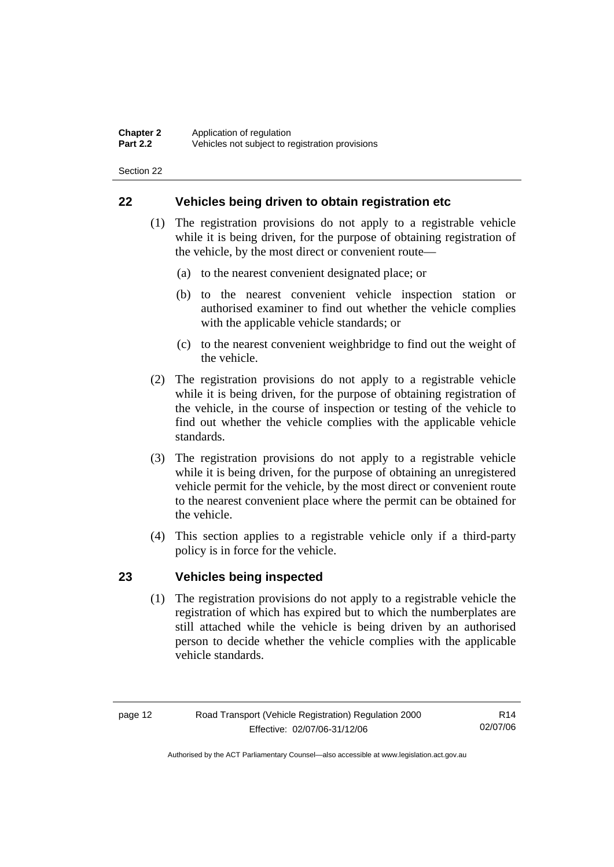## **22 Vehicles being driven to obtain registration etc**

- (1) The registration provisions do not apply to a registrable vehicle while it is being driven, for the purpose of obtaining registration of the vehicle, by the most direct or convenient route—
	- (a) to the nearest convenient designated place; or
	- (b) to the nearest convenient vehicle inspection station or authorised examiner to find out whether the vehicle complies with the applicable vehicle standards; or
	- (c) to the nearest convenient weighbridge to find out the weight of the vehicle.
- (2) The registration provisions do not apply to a registrable vehicle while it is being driven, for the purpose of obtaining registration of the vehicle, in the course of inspection or testing of the vehicle to find out whether the vehicle complies with the applicable vehicle standards.
- (3) The registration provisions do not apply to a registrable vehicle while it is being driven, for the purpose of obtaining an unregistered vehicle permit for the vehicle, by the most direct or convenient route to the nearest convenient place where the permit can be obtained for the vehicle.
- (4) This section applies to a registrable vehicle only if a third-party policy is in force for the vehicle.

## **23 Vehicles being inspected**

 (1) The registration provisions do not apply to a registrable vehicle the registration of which has expired but to which the numberplates are still attached while the vehicle is being driven by an authorised person to decide whether the vehicle complies with the applicable vehicle standards.

R14 02/07/06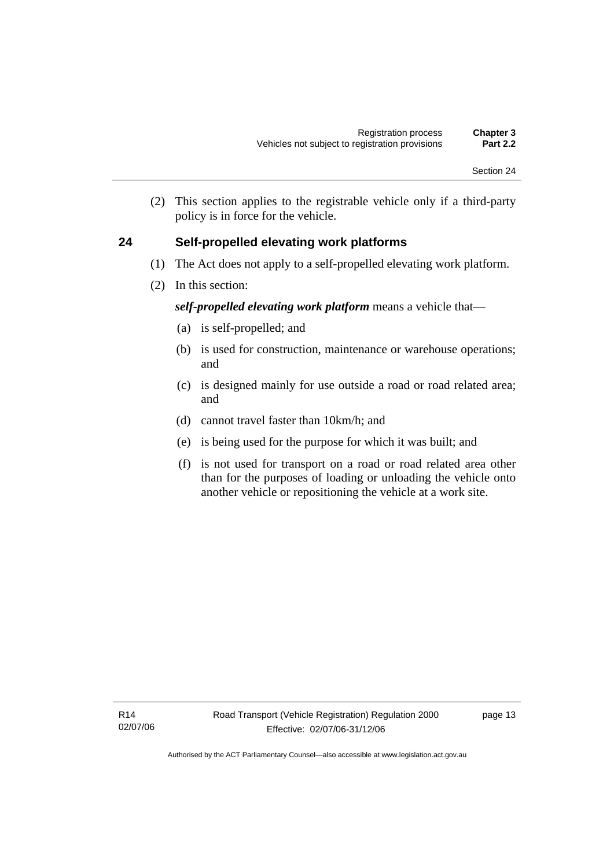(2) This section applies to the registrable vehicle only if a third-party policy is in force for the vehicle.

## **24 Self-propelled elevating work platforms**

- (1) The Act does not apply to a self-propelled elevating work platform.
- (2) In this section:

## *self-propelled elevating work platform* means a vehicle that—

- (a) is self-propelled; and
- (b) is used for construction, maintenance or warehouse operations; and
- (c) is designed mainly for use outside a road or road related area; and
- (d) cannot travel faster than 10km/h; and
- (e) is being used for the purpose for which it was built; and
- (f) is not used for transport on a road or road related area other than for the purposes of loading or unloading the vehicle onto another vehicle or repositioning the vehicle at a work site.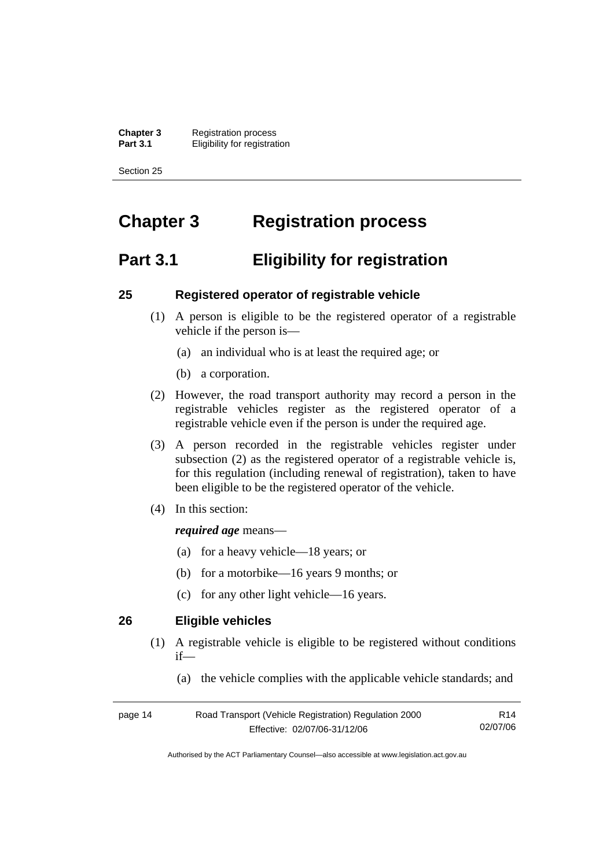**Chapter 3** Registration process<br>**Part 3.1** Fligibility for registrat *<u>Eligibility</u>* for registration

Section 25

## **Chapter 3 Registration process**

## **Part 3.1 Eligibility for registration**

## **25 Registered operator of registrable vehicle**

- (1) A person is eligible to be the registered operator of a registrable vehicle if the person is—
	- (a) an individual who is at least the required age; or
	- (b) a corporation.
- (2) However, the road transport authority may record a person in the registrable vehicles register as the registered operator of a registrable vehicle even if the person is under the required age.
- (3) A person recorded in the registrable vehicles register under subsection (2) as the registered operator of a registrable vehicle is, for this regulation (including renewal of registration), taken to have been eligible to be the registered operator of the vehicle.
- (4) In this section:

### *required age* means—

- (a) for a heavy vehicle—18 years; or
- (b) for a motorbike—16 years 9 months; or
- (c) for any other light vehicle—16 years.

## **26 Eligible vehicles**

- (1) A registrable vehicle is eligible to be registered without conditions if—
	- (a) the vehicle complies with the applicable vehicle standards; and

| page 14 | Road Transport (Vehicle Registration) Regulation 2000 | R14      |
|---------|-------------------------------------------------------|----------|
|         | Effective: 02/07/06-31/12/06                          | 02/07/06 |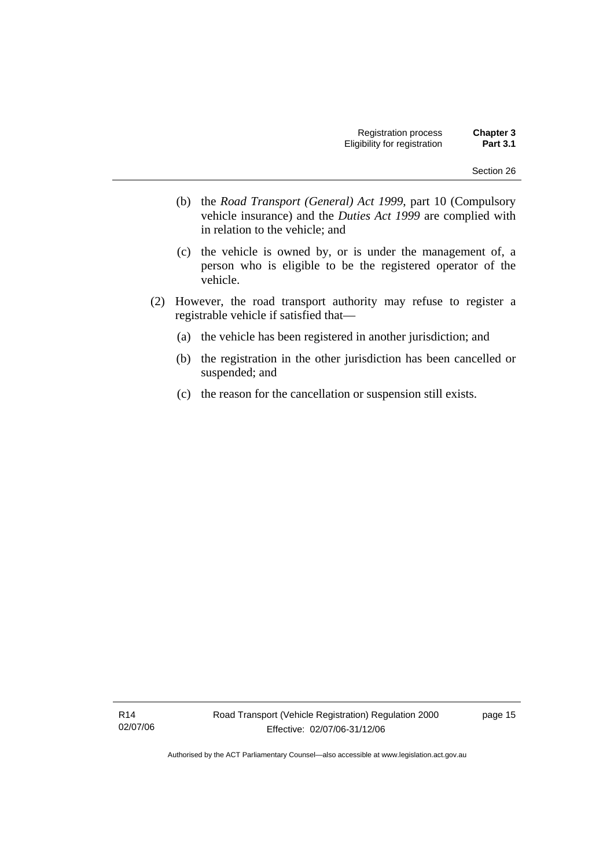- (b) the *Road Transport (General) Act 1999*, part 10 (Compulsory vehicle insurance) and the *Duties Act 1999* are complied with in relation to the vehicle; and
- (c) the vehicle is owned by, or is under the management of, a person who is eligible to be the registered operator of the vehicle.
- (2) However, the road transport authority may refuse to register a registrable vehicle if satisfied that—
	- (a) the vehicle has been registered in another jurisdiction; and
	- (b) the registration in the other jurisdiction has been cancelled or suspended; and
	- (c) the reason for the cancellation or suspension still exists.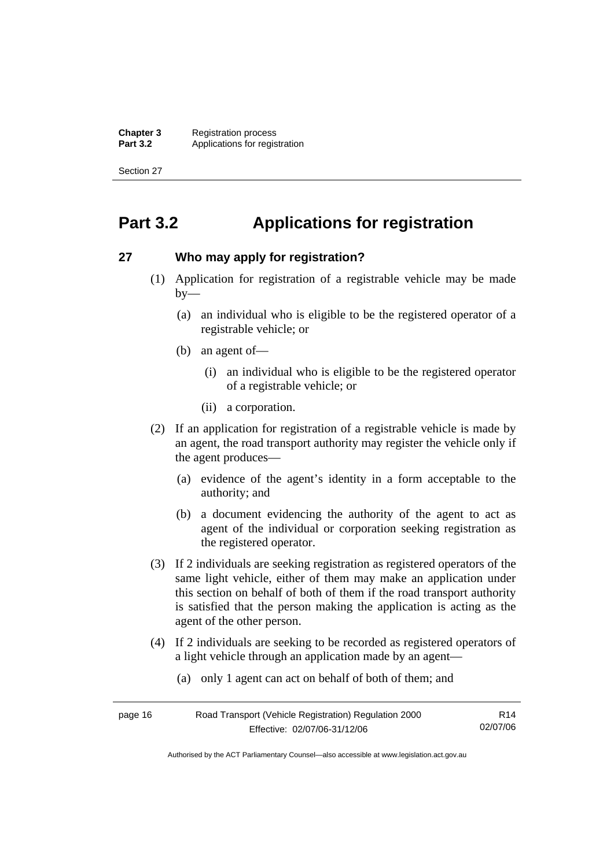**Chapter 3** Registration process<br>**Part 3.2** Applications for regis Applications for registration

Section 27

## **Part 3.2 Applications for registration**

## **27 Who may apply for registration?**

- (1) Application for registration of a registrable vehicle may be made  $by-$ 
	- (a) an individual who is eligible to be the registered operator of a registrable vehicle; or
	- (b) an agent of—
		- (i) an individual who is eligible to be the registered operator of a registrable vehicle; or
		- (ii) a corporation.
- (2) If an application for registration of a registrable vehicle is made by an agent, the road transport authority may register the vehicle only if the agent produces—
	- (a) evidence of the agent's identity in a form acceptable to the authority; and
	- (b) a document evidencing the authority of the agent to act as agent of the individual or corporation seeking registration as the registered operator.
- (3) If 2 individuals are seeking registration as registered operators of the same light vehicle, either of them may make an application under this section on behalf of both of them if the road transport authority is satisfied that the person making the application is acting as the agent of the other person.
- (4) If 2 individuals are seeking to be recorded as registered operators of a light vehicle through an application made by an agent—
	- (a) only 1 agent can act on behalf of both of them; and

| page 16 | Road Transport (Vehicle Registration) Regulation 2000 | R14      |
|---------|-------------------------------------------------------|----------|
|         | Effective: 02/07/06-31/12/06                          | 02/07/06 |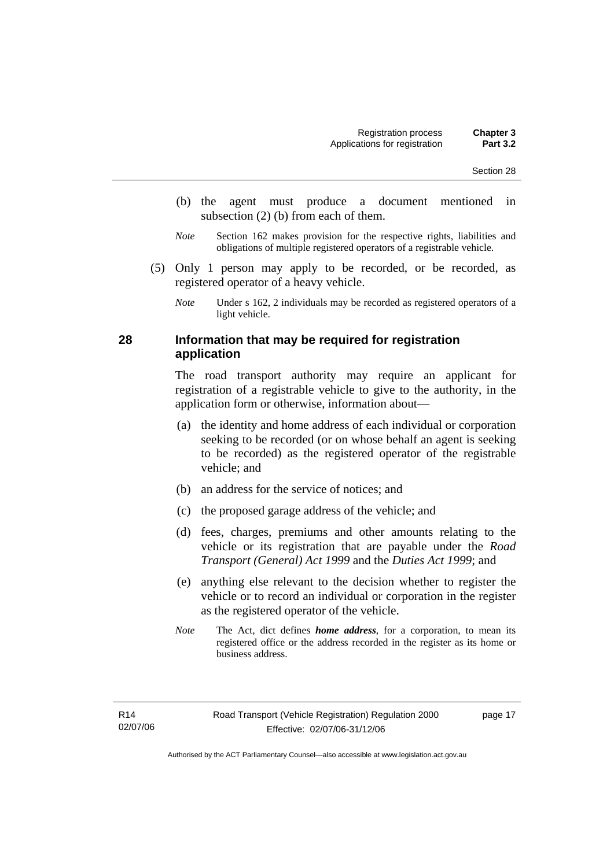- (b) the agent must produce a document mentioned in subsection (2) (b) from each of them.
- *Note* Section 162 makes provision for the respective rights, liabilities and obligations of multiple registered operators of a registrable vehicle.
- (5) Only 1 person may apply to be recorded, or be recorded, as registered operator of a heavy vehicle.

*Note* Under s 162, 2 individuals may be recorded as registered operators of a light vehicle.

### **28 Information that may be required for registration application**

The road transport authority may require an applicant for registration of a registrable vehicle to give to the authority, in the application form or otherwise, information about—

- (a) the identity and home address of each individual or corporation seeking to be recorded (or on whose behalf an agent is seeking to be recorded) as the registered operator of the registrable vehicle; and
- (b) an address for the service of notices; and
- (c) the proposed garage address of the vehicle; and
- (d) fees, charges, premiums and other amounts relating to the vehicle or its registration that are payable under the *Road Transport (General) Act 1999* and the *Duties Act 1999*; and
- (e) anything else relevant to the decision whether to register the vehicle or to record an individual or corporation in the register as the registered operator of the vehicle.
- *Note* The Act, dict defines *home address*, for a corporation, to mean its registered office or the address recorded in the register as its home or business address.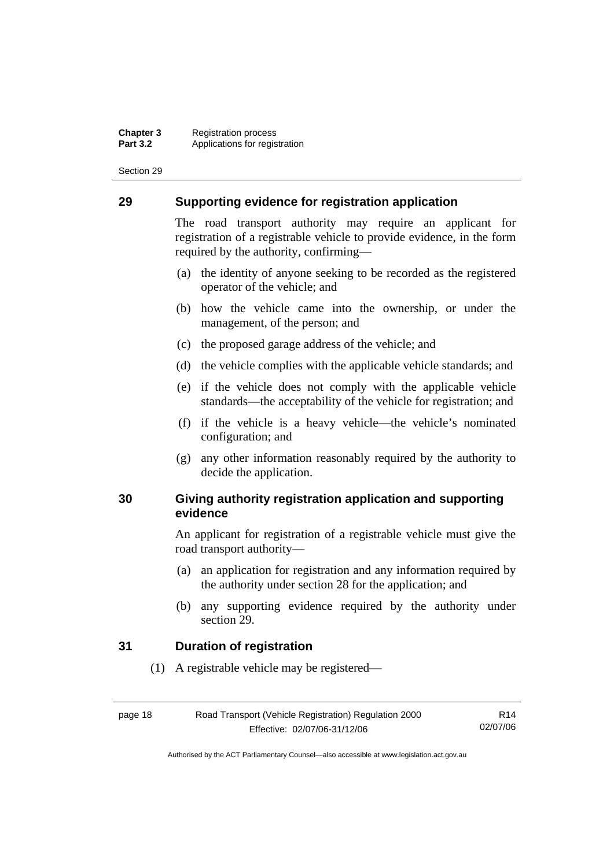### **29 Supporting evidence for registration application**

The road transport authority may require an applicant for registration of a registrable vehicle to provide evidence, in the form required by the authority, confirming—

- (a) the identity of anyone seeking to be recorded as the registered operator of the vehicle; and
- (b) how the vehicle came into the ownership, or under the management, of the person; and
- (c) the proposed garage address of the vehicle; and
- (d) the vehicle complies with the applicable vehicle standards; and
- (e) if the vehicle does not comply with the applicable vehicle standards—the acceptability of the vehicle for registration; and
- (f) if the vehicle is a heavy vehicle—the vehicle's nominated configuration; and
- (g) any other information reasonably required by the authority to decide the application.

### **30 Giving authority registration application and supporting evidence**

An applicant for registration of a registrable vehicle must give the road transport authority—

- (a) an application for registration and any information required by the authority under section 28 for the application; and
- (b) any supporting evidence required by the authority under section 29.

### **31 Duration of registration**

(1) A registrable vehicle may be registered—

| page 18 | Road Transport (Vehicle Registration) Regulation 2000 | R <sub>14</sub> |
|---------|-------------------------------------------------------|-----------------|
|         | Effective: 02/07/06-31/12/06                          | 02/07/06        |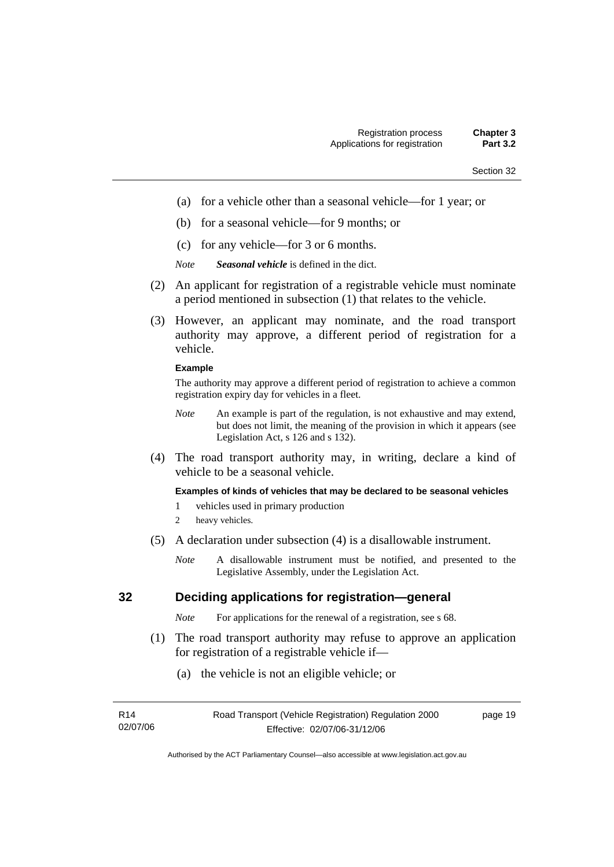- (a) for a vehicle other than a seasonal vehicle—for 1 year; or
- (b) for a seasonal vehicle—for 9 months; or
- (c) for any vehicle—for 3 or 6 months.
- *Note Seasonal vehicle* is defined in the dict.
- (2) An applicant for registration of a registrable vehicle must nominate a period mentioned in subsection (1) that relates to the vehicle.
- (3) However, an applicant may nominate, and the road transport authority may approve, a different period of registration for a vehicle.

#### **Example**

The authority may approve a different period of registration to achieve a common registration expiry day for vehicles in a fleet.

- *Note* An example is part of the regulation, is not exhaustive and may extend, but does not limit, the meaning of the provision in which it appears (see Legislation Act, s 126 and s 132).
- (4) The road transport authority may, in writing, declare a kind of vehicle to be a seasonal vehicle.

#### **Examples of kinds of vehicles that may be declared to be seasonal vehicles**

- 1 vehicles used in primary production
- 2 heavy vehicles.
- (5) A declaration under subsection (4) is a disallowable instrument.
	- *Note* A disallowable instrument must be notified, and presented to the Legislative Assembly, under the Legislation Act.

### **32 Deciding applications for registration—general**

*Note* For applications for the renewal of a registration, see s 68.

- (1) The road transport authority may refuse to approve an application for registration of a registrable vehicle if—
	- (a) the vehicle is not an eligible vehicle; or

| R14      | Road Transport (Vehicle Registration) Regulation 2000 | page 19 |
|----------|-------------------------------------------------------|---------|
| 02/07/06 | Effective: 02/07/06-31/12/06                          |         |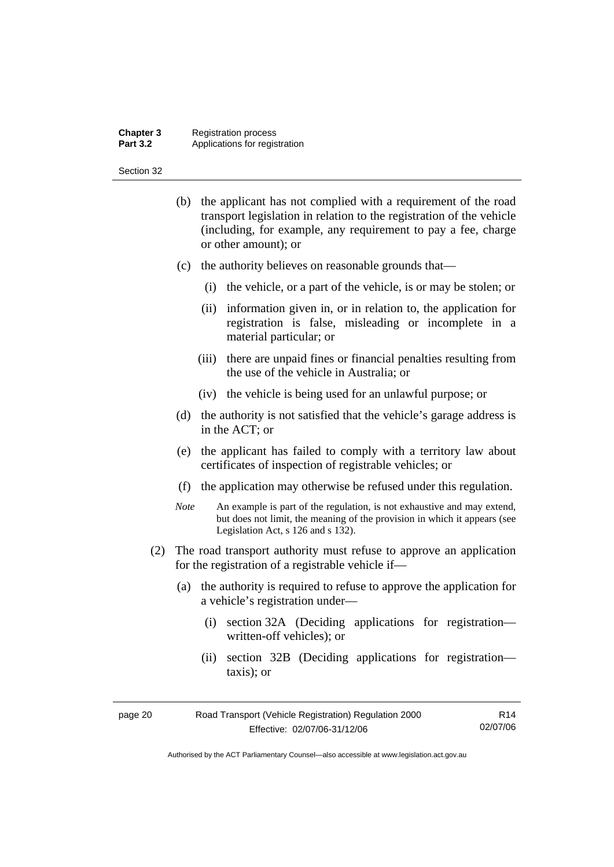#### **Chapter 3** Registration process **Part 3.2 Applications for registration**

#### Section 32

- (b) the applicant has not complied with a requirement of the road transport legislation in relation to the registration of the vehicle (including, for example, any requirement to pay a fee, charge or other amount); or
- (c) the authority believes on reasonable grounds that—
	- (i) the vehicle, or a part of the vehicle, is or may be stolen; or
	- (ii) information given in, or in relation to, the application for registration is false, misleading or incomplete in a material particular; or
	- (iii) there are unpaid fines or financial penalties resulting from the use of the vehicle in Australia; or
	- (iv) the vehicle is being used for an unlawful purpose; or
- (d) the authority is not satisfied that the vehicle's garage address is in the ACT; or
- (e) the applicant has failed to comply with a territory law about certificates of inspection of registrable vehicles; or
- (f) the application may otherwise be refused under this regulation.
- *Note* An example is part of the regulation, is not exhaustive and may extend, but does not limit, the meaning of the provision in which it appears (see Legislation Act, s 126 and s 132).
- (2) The road transport authority must refuse to approve an application for the registration of a registrable vehicle if—
	- (a) the authority is required to refuse to approve the application for a vehicle's registration under—
		- (i) section 32A (Deciding applications for registration written-off vehicles); or
		- (ii) section 32B (Deciding applications for registration taxis); or

| Road Transport (Vehicle Registration) Regulation 2000<br>page 20 |                              | R14      |
|------------------------------------------------------------------|------------------------------|----------|
|                                                                  | Effective: 02/07/06-31/12/06 | 02/07/06 |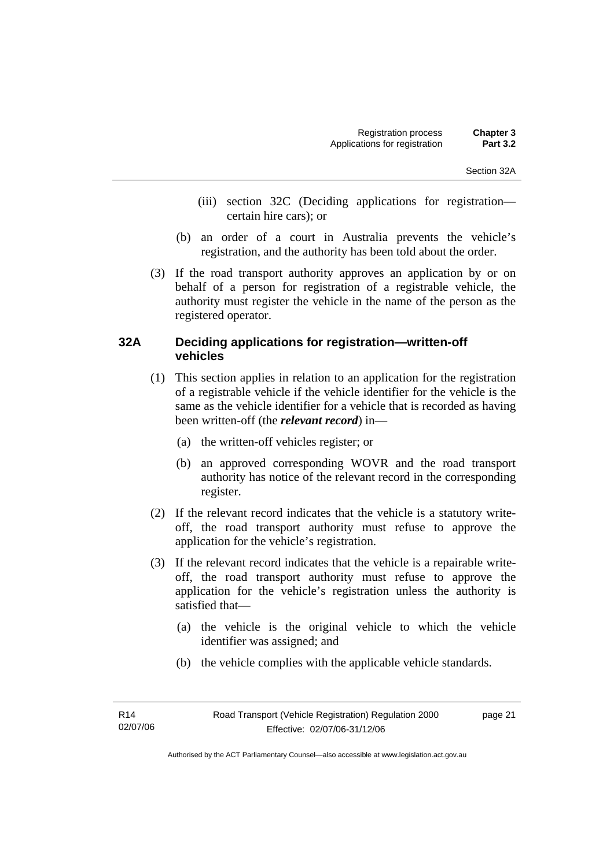- (iii) section 32C (Deciding applications for registration certain hire cars); or
- (b) an order of a court in Australia prevents the vehicle's registration, and the authority has been told about the order.
- (3) If the road transport authority approves an application by or on behalf of a person for registration of a registrable vehicle, the authority must register the vehicle in the name of the person as the registered operator.

### **32A Deciding applications for registration—written-off vehicles**

- (1) This section applies in relation to an application for the registration of a registrable vehicle if the vehicle identifier for the vehicle is the same as the vehicle identifier for a vehicle that is recorded as having been written-off (the *relevant record*) in—
	- (a) the written-off vehicles register; or
	- (b) an approved corresponding WOVR and the road transport authority has notice of the relevant record in the corresponding register.
- (2) If the relevant record indicates that the vehicle is a statutory writeoff, the road transport authority must refuse to approve the application for the vehicle's registration.
- (3) If the relevant record indicates that the vehicle is a repairable writeoff, the road transport authority must refuse to approve the application for the vehicle's registration unless the authority is satisfied that—
	- (a) the vehicle is the original vehicle to which the vehicle identifier was assigned; and
	- (b) the vehicle complies with the applicable vehicle standards.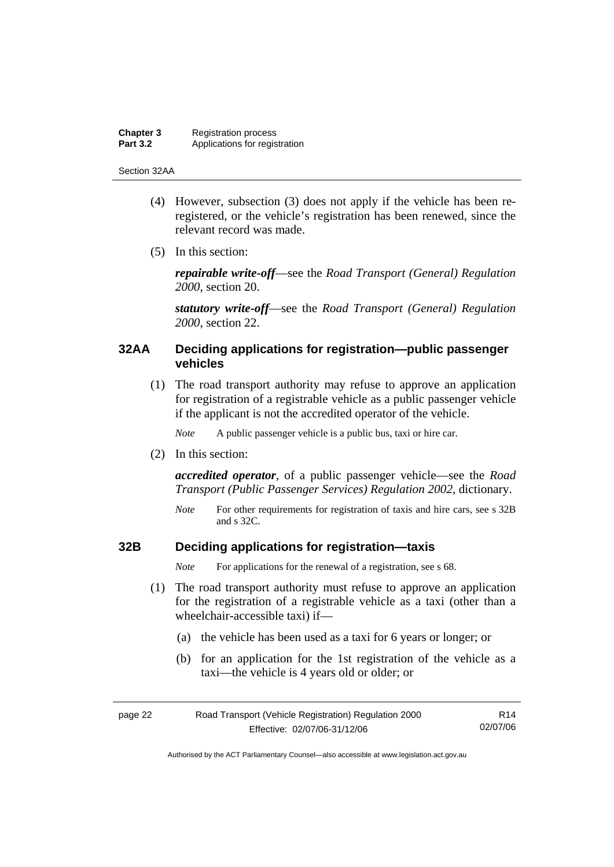#### **Chapter 3** Registration process<br>**Part 3.2** Applications for regis Applications for registration

#### Section 32AA

- (4) However, subsection (3) does not apply if the vehicle has been reregistered, or the vehicle's registration has been renewed, since the relevant record was made.
- (5) In this section:

*repairable write-off*—see the *Road Transport (General) Regulation 2000*, section 20.

*statutory write-off*—see the *Road Transport (General) Regulation 2000*, section 22.

### **32AA Deciding applications for registration—public passenger vehicles**

 (1) The road transport authority may refuse to approve an application for registration of a registrable vehicle as a public passenger vehicle if the applicant is not the accredited operator of the vehicle.

*Note* A public passenger vehicle is a public bus, taxi or hire car.

(2) In this section:

*accredited operator*, of a public passenger vehicle—see the *Road Transport (Public Passenger Services) Regulation 2002*, dictionary.

*Note* For other requirements for registration of taxis and hire cars, see s 32B and s 32C.

### **32B Deciding applications for registration—taxis**

*Note* For applications for the renewal of a registration, see s 68.

- (1) The road transport authority must refuse to approve an application for the registration of a registrable vehicle as a taxi (other than a wheelchair-accessible taxi) if—
	- (a) the vehicle has been used as a taxi for 6 years or longer; or
	- (b) for an application for the 1st registration of the vehicle as a taxi—the vehicle is 4 years old or older; or

| page 22 | Road Transport (Vehicle Registration) Regulation 2000 | R <sub>14</sub> |
|---------|-------------------------------------------------------|-----------------|
|         | Effective: 02/07/06-31/12/06                          | 02/07/06        |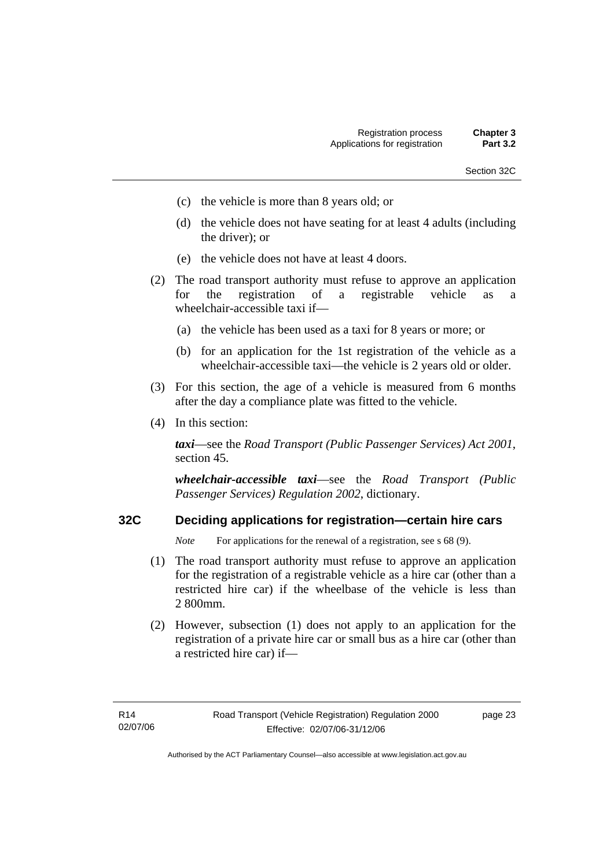- Section 32C
- (c) the vehicle is more than 8 years old; or
- (d) the vehicle does not have seating for at least 4 adults (including the driver); or
- (e) the vehicle does not have at least 4 doors.
- (2) The road transport authority must refuse to approve an application for the registration of a registrable vehicle as a wheelchair-accessible taxi if—
	- (a) the vehicle has been used as a taxi for 8 years or more; or
	- (b) for an application for the 1st registration of the vehicle as a wheelchair-accessible taxi—the vehicle is 2 years old or older.
- (3) For this section, the age of a vehicle is measured from 6 months after the day a compliance plate was fitted to the vehicle.
- (4) In this section:

*taxi*—see the *Road Transport (Public Passenger Services) Act 2001*, section 45.

*wheelchair-accessible taxi*—see the *Road Transport (Public Passenger Services) Regulation 2002*, dictionary.

### **32C Deciding applications for registration—certain hire cars**

*Note* For applications for the renewal of a registration, see s 68 (9).

- (1) The road transport authority must refuse to approve an application for the registration of a registrable vehicle as a hire car (other than a restricted hire car) if the wheelbase of the vehicle is less than 2 800mm.
- (2) However, subsection (1) does not apply to an application for the registration of a private hire car or small bus as a hire car (other than a restricted hire car) if—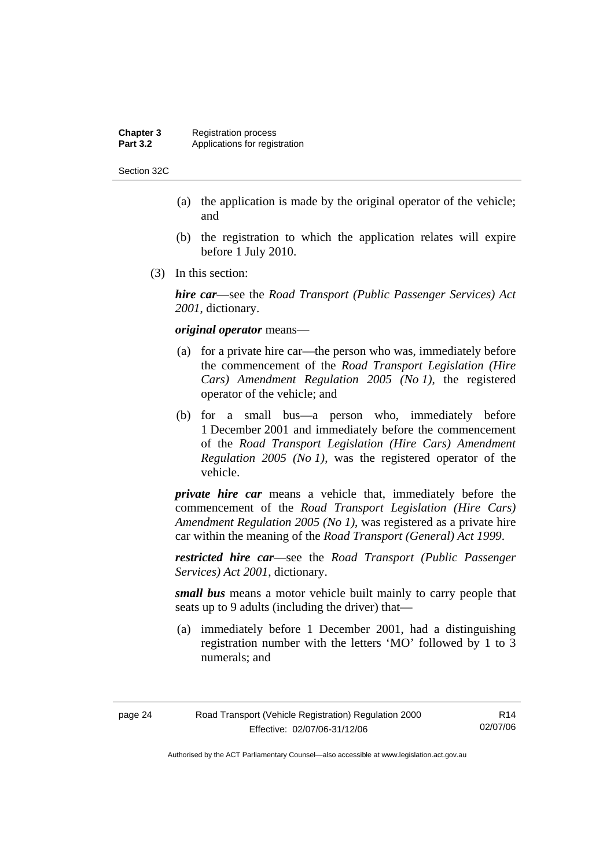#### **Chapter 3** Registration process<br>**Part 3.2** Applications for regis Applications for registration

Section 32C

- (a) the application is made by the original operator of the vehicle; and
- (b) the registration to which the application relates will expire before 1 July 2010.
- (3) In this section:

*hire car*—see the *Road Transport (Public Passenger Services) Act 2001*, dictionary.

#### *original operator* means—

- (a) for a private hire car—the person who was, immediately before the commencement of the *Road Transport Legislation (Hire Cars) Amendment Regulation 2005 (No 1)*, the registered operator of the vehicle; and
- (b) for a small bus—a person who, immediately before 1 December 2001 and immediately before the commencement of the *Road Transport Legislation (Hire Cars) Amendment Regulation 2005 (No 1)*, was the registered operator of the vehicle.

*private hire car* means a vehicle that, immediately before the commencement of the *Road Transport Legislation (Hire Cars) Amendment Regulation 2005 (No 1)*, was registered as a private hire car within the meaning of the *Road Transport (General) Act 1999*.

*restricted hire car*—see the *Road Transport (Public Passenger Services) Act 2001*, dictionary.

*small bus* means a motor vehicle built mainly to carry people that seats up to 9 adults (including the driver) that—

 (a) immediately before 1 December 2001, had a distinguishing registration number with the letters 'MO' followed by 1 to 3 numerals; and

| page 24 | Road Transport (Vehicle Registration) Regulation 2000 | R14      |
|---------|-------------------------------------------------------|----------|
|         | Effective: 02/07/06-31/12/06                          | 02/07/06 |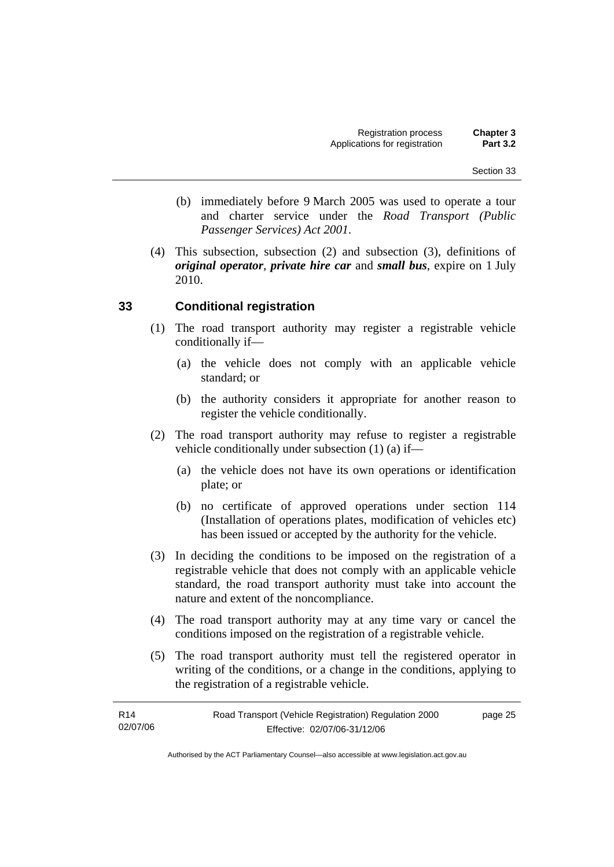- (b) immediately before 9 March 2005 was used to operate a tour and charter service under the *Road Transport (Public Passenger Services) Act 2001*.
- (4) This subsection, subsection (2) and subsection (3), definitions of *original operator*, *private hire car* and *small bus*, expire on 1 July 2010.

### **33 Conditional registration**

- (1) The road transport authority may register a registrable vehicle conditionally if—
	- (a) the vehicle does not comply with an applicable vehicle standard; or
	- (b) the authority considers it appropriate for another reason to register the vehicle conditionally.
- (2) The road transport authority may refuse to register a registrable vehicle conditionally under subsection (1) (a) if—
	- (a) the vehicle does not have its own operations or identification plate; or
	- (b) no certificate of approved operations under section 114 (Installation of operations plates, modification of vehicles etc) has been issued or accepted by the authority for the vehicle.
- (3) In deciding the conditions to be imposed on the registration of a registrable vehicle that does not comply with an applicable vehicle standard, the road transport authority must take into account the nature and extent of the noncompliance.
- (4) The road transport authority may at any time vary or cancel the conditions imposed on the registration of a registrable vehicle.
- (5) The road transport authority must tell the registered operator in writing of the conditions, or a change in the conditions, applying to the registration of a registrable vehicle.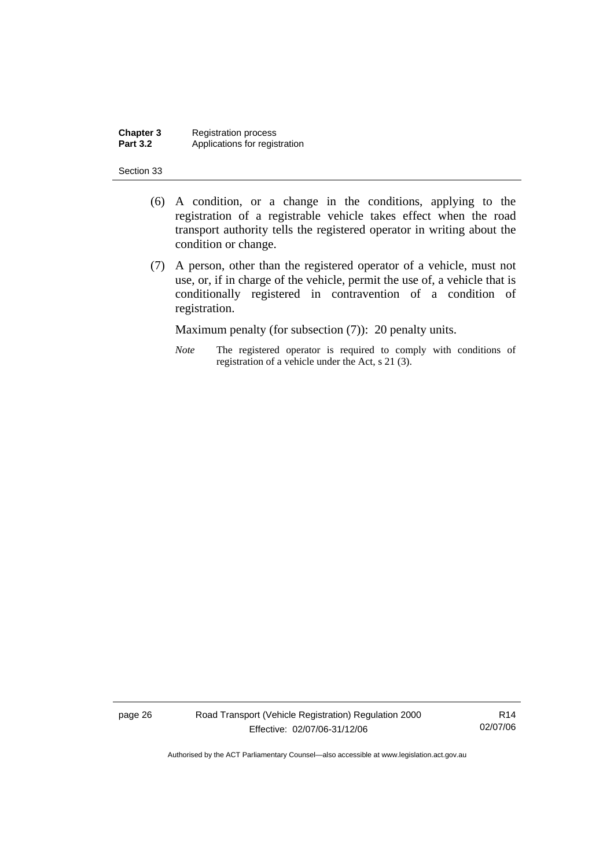**Chapter 3** Registration process<br>**Part 3.2** Applications for regis Applications for registration

#### Section 33

- (6) A condition, or a change in the conditions, applying to the registration of a registrable vehicle takes effect when the road transport authority tells the registered operator in writing about the condition or change.
- (7) A person, other than the registered operator of a vehicle, must not use, or, if in charge of the vehicle, permit the use of, a vehicle that is conditionally registered in contravention of a condition of registration.

Maximum penalty (for subsection (7)): 20 penalty units.

*Note* The registered operator is required to comply with conditions of registration of a vehicle under the Act, s 21 (3).

page 26 Road Transport (Vehicle Registration) Regulation 2000 Effective: 02/07/06-31/12/06

R14 02/07/06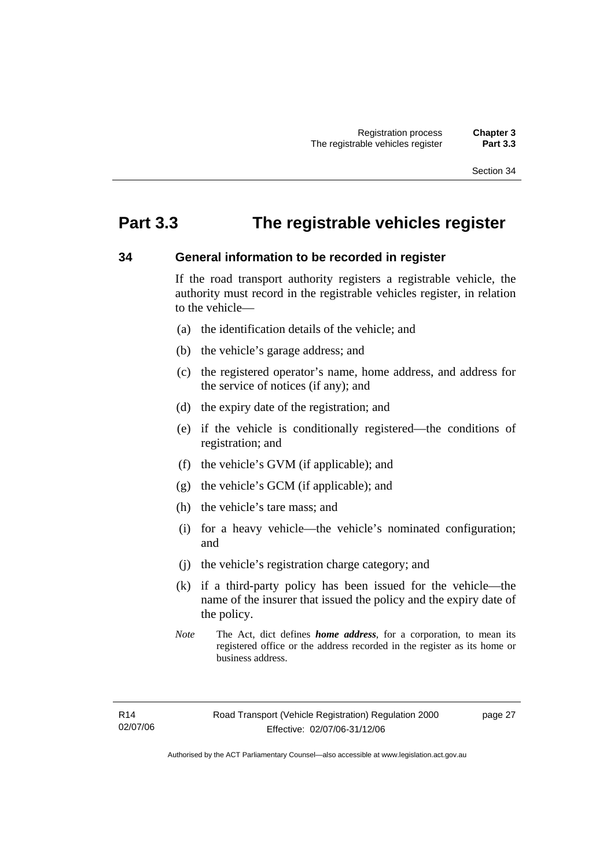# **Part 3.3 The registrable vehicles register**

### **34 General information to be recorded in register**

If the road transport authority registers a registrable vehicle, the authority must record in the registrable vehicles register, in relation to the vehicle—

- (a) the identification details of the vehicle; and
- (b) the vehicle's garage address; and
- (c) the registered operator's name, home address, and address for the service of notices (if any); and
- (d) the expiry date of the registration; and
- (e) if the vehicle is conditionally registered—the conditions of registration; and
- (f) the vehicle's GVM (if applicable); and
- (g) the vehicle's GCM (if applicable); and
- (h) the vehicle's tare mass; and
- (i) for a heavy vehicle—the vehicle's nominated configuration; and
- (j) the vehicle's registration charge category; and
- (k) if a third-party policy has been issued for the vehicle—the name of the insurer that issued the policy and the expiry date of the policy.
- *Note* The Act, dict defines *home address*, for a corporation, to mean its registered office or the address recorded in the register as its home or business address.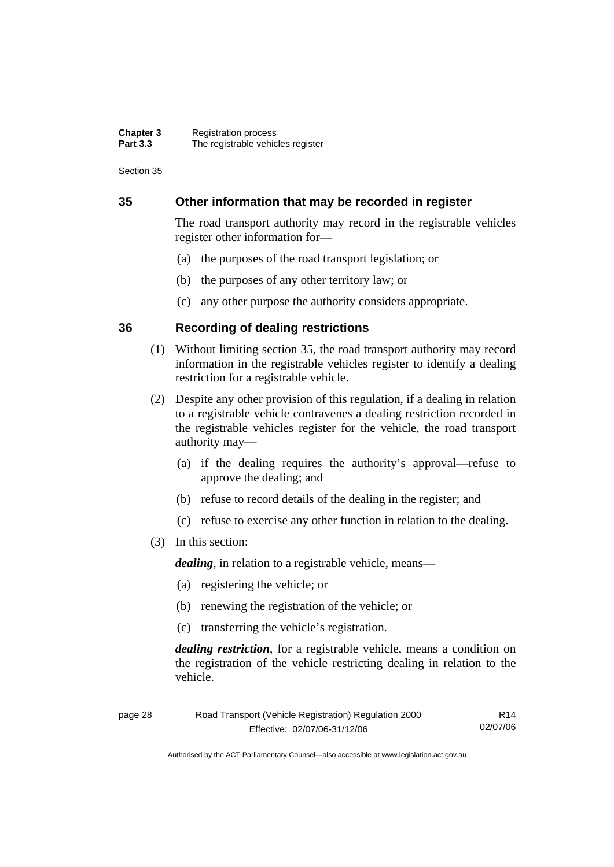#### **Chapter 3** Registration process **Part 3.3** The registrable vehicles register

Section 35

### **35 Other information that may be recorded in register**

The road transport authority may record in the registrable vehicles register other information for—

- (a) the purposes of the road transport legislation; or
- (b) the purposes of any other territory law; or
- (c) any other purpose the authority considers appropriate.

### **36 Recording of dealing restrictions**

- (1) Without limiting section 35, the road transport authority may record information in the registrable vehicles register to identify a dealing restriction for a registrable vehicle.
- (2) Despite any other provision of this regulation, if a dealing in relation to a registrable vehicle contravenes a dealing restriction recorded in the registrable vehicles register for the vehicle, the road transport authority may—
	- (a) if the dealing requires the authority's approval—refuse to approve the dealing; and
	- (b) refuse to record details of the dealing in the register; and
	- (c) refuse to exercise any other function in relation to the dealing.
- (3) In this section:

*dealing*, in relation to a registrable vehicle, means—

- (a) registering the vehicle; or
- (b) renewing the registration of the vehicle; or
- (c) transferring the vehicle's registration.

*dealing restriction*, for a registrable vehicle, means a condition on the registration of the vehicle restricting dealing in relation to the vehicle.

| Road Transport (Vehicle Registration) Regulation 2000<br>page 28 |                              | R14      |
|------------------------------------------------------------------|------------------------------|----------|
|                                                                  | Effective: 02/07/06-31/12/06 | 02/07/06 |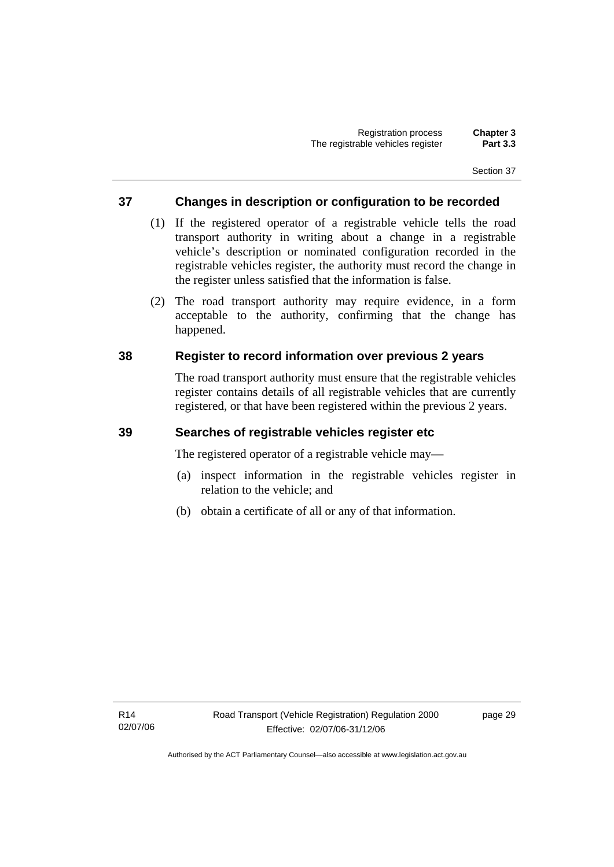### **37 Changes in description or configuration to be recorded**

- (1) If the registered operator of a registrable vehicle tells the road transport authority in writing about a change in a registrable vehicle's description or nominated configuration recorded in the registrable vehicles register, the authority must record the change in the register unless satisfied that the information is false.
- (2) The road transport authority may require evidence, in a form acceptable to the authority, confirming that the change has happened.

### **38 Register to record information over previous 2 years**

The road transport authority must ensure that the registrable vehicles register contains details of all registrable vehicles that are currently registered, or that have been registered within the previous 2 years.

### **39 Searches of registrable vehicles register etc**

The registered operator of a registrable vehicle may—

- (a) inspect information in the registrable vehicles register in relation to the vehicle; and
- (b) obtain a certificate of all or any of that information.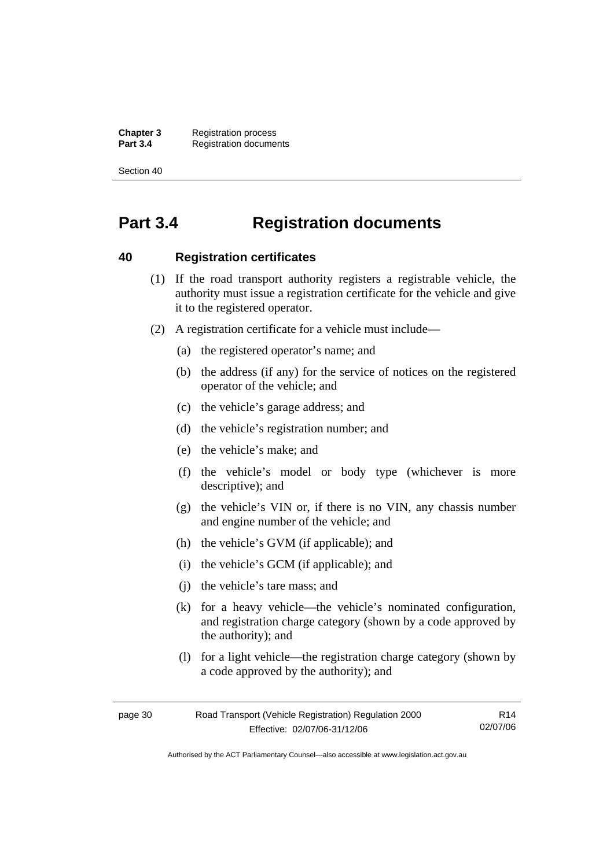**Chapter 3** Registration process<br>**Part 3.4** Registration docume **Registration documents** 

Section 40

# **Part 3.4 Registration documents**

#### **40 Registration certificates**

- (1) If the road transport authority registers a registrable vehicle, the authority must issue a registration certificate for the vehicle and give it to the registered operator.
- (2) A registration certificate for a vehicle must include—
	- (a) the registered operator's name; and
	- (b) the address (if any) for the service of notices on the registered operator of the vehicle; and
	- (c) the vehicle's garage address; and
	- (d) the vehicle's registration number; and
	- (e) the vehicle's make; and
	- (f) the vehicle's model or body type (whichever is more descriptive); and
	- (g) the vehicle's VIN or, if there is no VIN, any chassis number and engine number of the vehicle; and
	- (h) the vehicle's GVM (if applicable); and
	- (i) the vehicle's GCM (if applicable); and
	- (j) the vehicle's tare mass; and
	- (k) for a heavy vehicle—the vehicle's nominated configuration, and registration charge category (shown by a code approved by the authority); and
	- (l) for a light vehicle—the registration charge category (shown by a code approved by the authority); and

| page 30 | Road Transport (Vehicle Registration) Regulation 2000 | R <sub>14</sub> |
|---------|-------------------------------------------------------|-----------------|
|         | Effective: 02/07/06-31/12/06                          | 02/07/06        |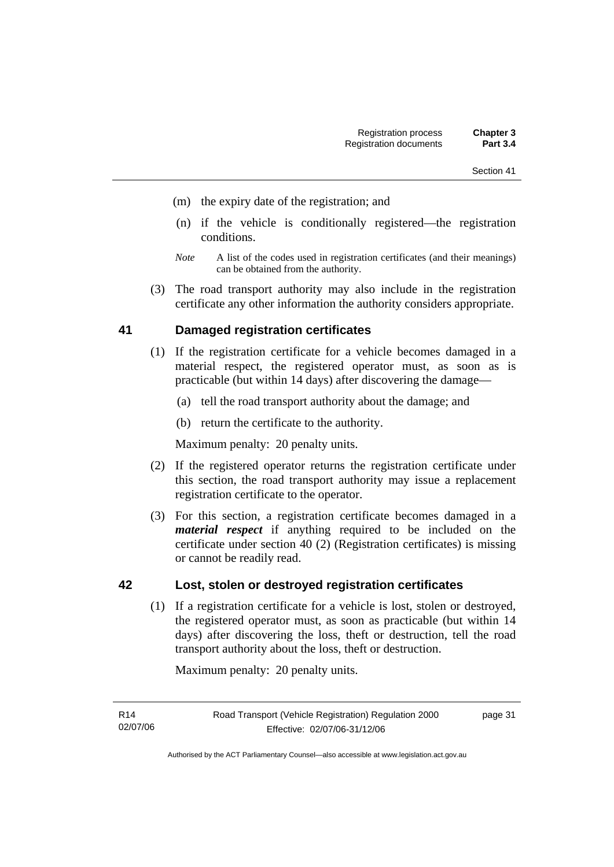- Section 41
- (m) the expiry date of the registration; and
- (n) if the vehicle is conditionally registered—the registration conditions.
- *Note* A list of the codes used in registration certificates (and their meanings) can be obtained from the authority.
- (3) The road transport authority may also include in the registration certificate any other information the authority considers appropriate.

### **41 Damaged registration certificates**

- (1) If the registration certificate for a vehicle becomes damaged in a material respect, the registered operator must, as soon as is practicable (but within 14 days) after discovering the damage—
	- (a) tell the road transport authority about the damage; and
	- (b) return the certificate to the authority.

Maximum penalty: 20 penalty units.

- (2) If the registered operator returns the registration certificate under this section, the road transport authority may issue a replacement registration certificate to the operator.
- (3) For this section, a registration certificate becomes damaged in a *material respect* if anything required to be included on the certificate under section 40 (2) (Registration certificates) is missing or cannot be readily read.

### **42 Lost, stolen or destroyed registration certificates**

 (1) If a registration certificate for a vehicle is lost, stolen or destroyed, the registered operator must, as soon as practicable (but within 14 days) after discovering the loss, theft or destruction, tell the road transport authority about the loss, theft or destruction.

Maximum penalty: 20 penalty units.

page 31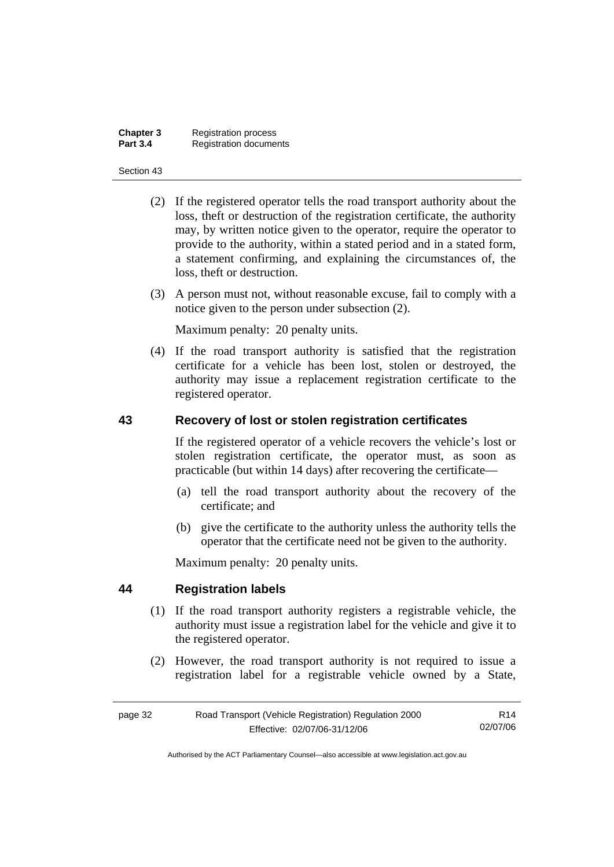| Chapter 3       | <b>Registration process</b>   |
|-----------------|-------------------------------|
| <b>Part 3.4</b> | <b>Registration documents</b> |

- (2) If the registered operator tells the road transport authority about the loss, theft or destruction of the registration certificate, the authority may, by written notice given to the operator, require the operator to provide to the authority, within a stated period and in a stated form, a statement confirming, and explaining the circumstances of, the loss, theft or destruction.
- (3) A person must not, without reasonable excuse, fail to comply with a notice given to the person under subsection (2).

Maximum penalty: 20 penalty units.

 (4) If the road transport authority is satisfied that the registration certificate for a vehicle has been lost, stolen or destroyed, the authority may issue a replacement registration certificate to the registered operator.

### **43 Recovery of lost or stolen registration certificates**

If the registered operator of a vehicle recovers the vehicle's lost or stolen registration certificate, the operator must, as soon as practicable (but within 14 days) after recovering the certificate—

- (a) tell the road transport authority about the recovery of the certificate; and
- (b) give the certificate to the authority unless the authority tells the operator that the certificate need not be given to the authority.

Maximum penalty: 20 penalty units.

### **44 Registration labels**

- (1) If the road transport authority registers a registrable vehicle, the authority must issue a registration label for the vehicle and give it to the registered operator.
- (2) However, the road transport authority is not required to issue a registration label for a registrable vehicle owned by a State,

| page 32 | Road Transport (Vehicle Registration) Regulation 2000 |          |
|---------|-------------------------------------------------------|----------|
|         | Effective: 02/07/06-31/12/06                          | 02/07/06 |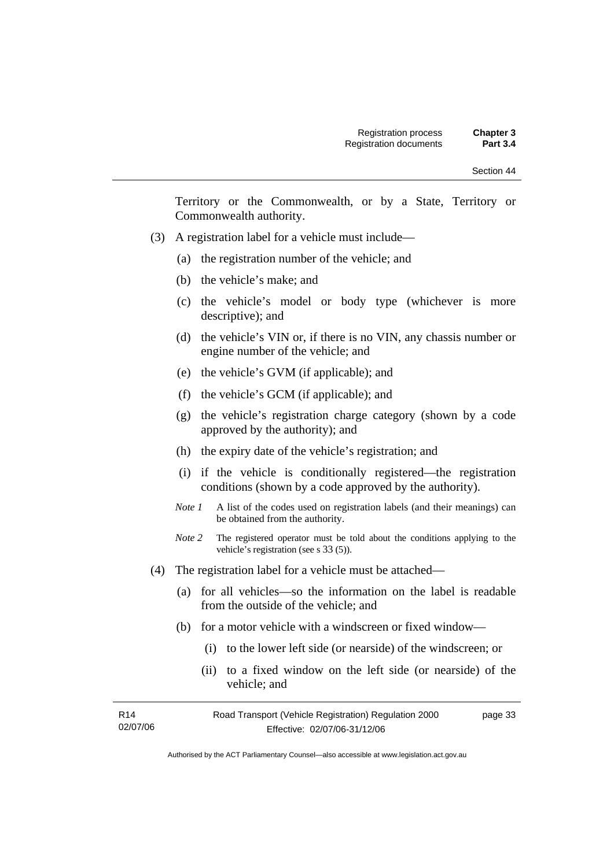Territory or the Commonwealth, or by a State, Territory or Commonwealth authority.

- (3) A registration label for a vehicle must include—
	- (a) the registration number of the vehicle; and
	- (b) the vehicle's make; and
	- (c) the vehicle's model or body type (whichever is more descriptive); and
	- (d) the vehicle's VIN or, if there is no VIN, any chassis number or engine number of the vehicle; and
	- (e) the vehicle's GVM (if applicable); and
	- (f) the vehicle's GCM (if applicable); and
	- (g) the vehicle's registration charge category (shown by a code approved by the authority); and
	- (h) the expiry date of the vehicle's registration; and
	- (i) if the vehicle is conditionally registered—the registration conditions (shown by a code approved by the authority).
	- *Note 1* A list of the codes used on registration labels (and their meanings) can be obtained from the authority.
	- *Note* 2 The registered operator must be told about the conditions applying to the vehicle's registration (see s 33 (5)).
- (4) The registration label for a vehicle must be attached—
	- (a) for all vehicles—so the information on the label is readable from the outside of the vehicle; and
	- (b) for a motor vehicle with a windscreen or fixed window—
		- (i) to the lower left side (or nearside) of the windscreen; or
		- (ii) to a fixed window on the left side (or nearside) of the vehicle; and

| R <sub>14</sub> | Road Transport (Vehicle Registration) Regulation 2000 | page 33 |
|-----------------|-------------------------------------------------------|---------|
| 02/07/06        | Effective: 02/07/06-31/12/06                          |         |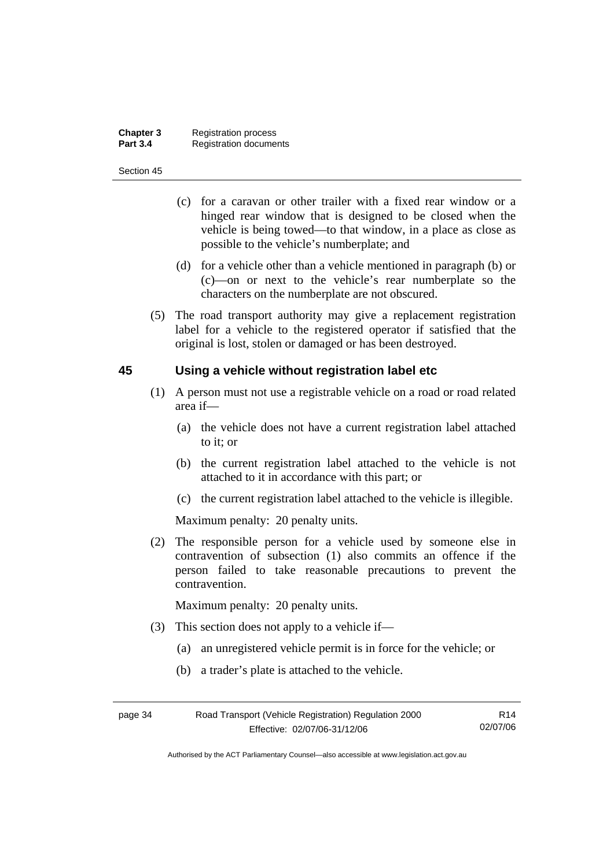| Chapter 3       | <b>Registration process</b>   |
|-----------------|-------------------------------|
| <b>Part 3.4</b> | <b>Registration documents</b> |

- (c) for a caravan or other trailer with a fixed rear window or a hinged rear window that is designed to be closed when the vehicle is being towed—to that window, in a place as close as possible to the vehicle's numberplate; and
- (d) for a vehicle other than a vehicle mentioned in paragraph (b) or (c)—on or next to the vehicle's rear numberplate so the characters on the numberplate are not obscured.
- (5) The road transport authority may give a replacement registration label for a vehicle to the registered operator if satisfied that the original is lost, stolen or damaged or has been destroyed.

#### **45 Using a vehicle without registration label etc**

- (1) A person must not use a registrable vehicle on a road or road related area if—
	- (a) the vehicle does not have a current registration label attached to it; or
	- (b) the current registration label attached to the vehicle is not attached to it in accordance with this part; or
	- (c) the current registration label attached to the vehicle is illegible.

Maximum penalty: 20 penalty units.

 (2) The responsible person for a vehicle used by someone else in contravention of subsection (1) also commits an offence if the person failed to take reasonable precautions to prevent the contravention.

Maximum penalty: 20 penalty units.

- (3) This section does not apply to a vehicle if—
	- (a) an unregistered vehicle permit is in force for the vehicle; or
	- (b) a trader's plate is attached to the vehicle.

| page 34 | Road Transport (Vehicle Registration) Regulation 2000 |          |
|---------|-------------------------------------------------------|----------|
|         | Effective: 02/07/06-31/12/06                          | 02/07/06 |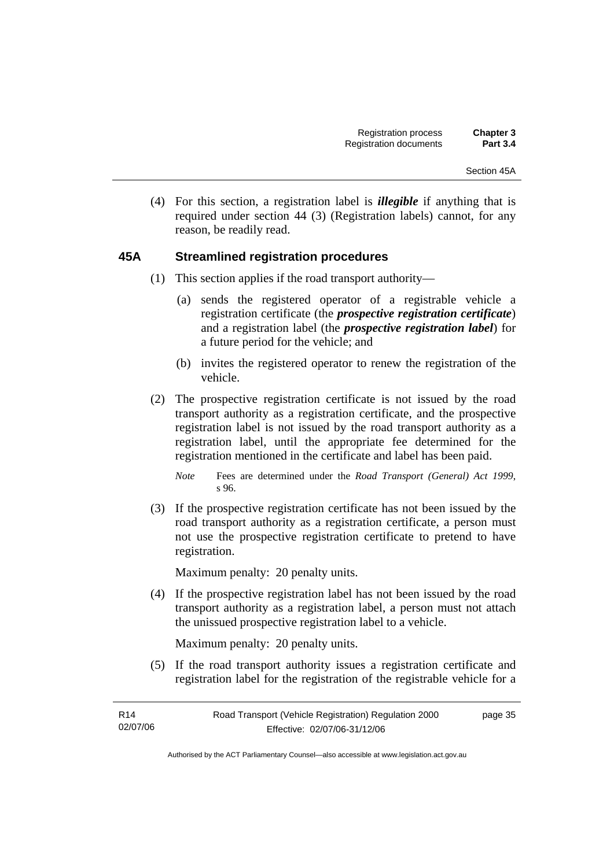(4) For this section, a registration label is *illegible* if anything that is required under section 44 (3) (Registration labels) cannot, for any reason, be readily read.

### **45A Streamlined registration procedures**

- (1) This section applies if the road transport authority—
	- (a) sends the registered operator of a registrable vehicle a registration certificate (the *prospective registration certificate*) and a registration label (the *prospective registration label*) for a future period for the vehicle; and
	- (b) invites the registered operator to renew the registration of the vehicle.
- (2) The prospective registration certificate is not issued by the road transport authority as a registration certificate, and the prospective registration label is not issued by the road transport authority as a registration label, until the appropriate fee determined for the registration mentioned in the certificate and label has been paid.

 (3) If the prospective registration certificate has not been issued by the road transport authority as a registration certificate, a person must not use the prospective registration certificate to pretend to have registration.

Maximum penalty: 20 penalty units.

 (4) If the prospective registration label has not been issued by the road transport authority as a registration label, a person must not attach the unissued prospective registration label to a vehicle.

Maximum penalty: 20 penalty units.

 (5) If the road transport authority issues a registration certificate and registration label for the registration of the registrable vehicle for a

*Note* Fees are determined under the *Road Transport (General) Act 1999*, s 96.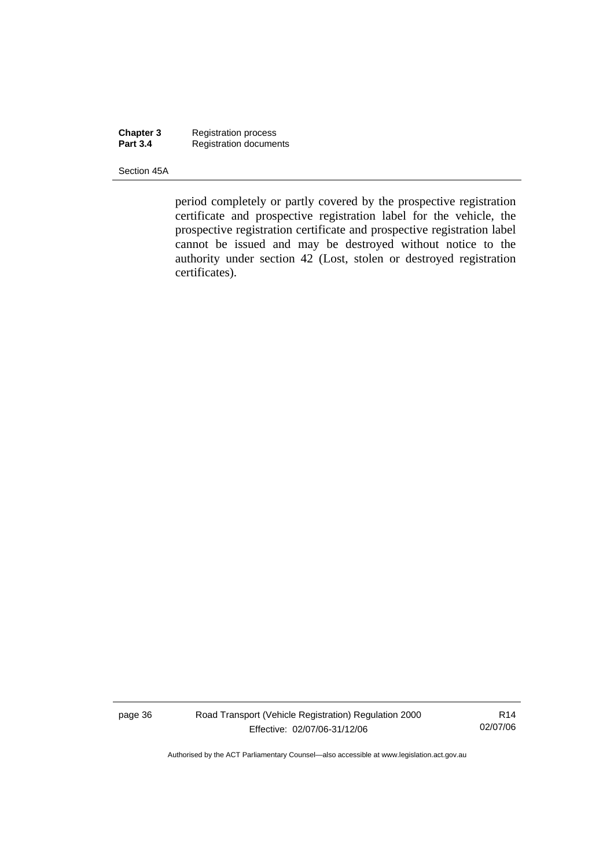**Chapter 3** Registration process **Part 3.4 Registration documents** 

Section 45A

period completely or partly covered by the prospective registration certificate and prospective registration label for the vehicle, the prospective registration certificate and prospective registration label cannot be issued and may be destroyed without notice to the authority under section 42 (Lost, stolen or destroyed registration certificates).

page 36 Road Transport (Vehicle Registration) Regulation 2000 Effective: 02/07/06-31/12/06

R14 02/07/06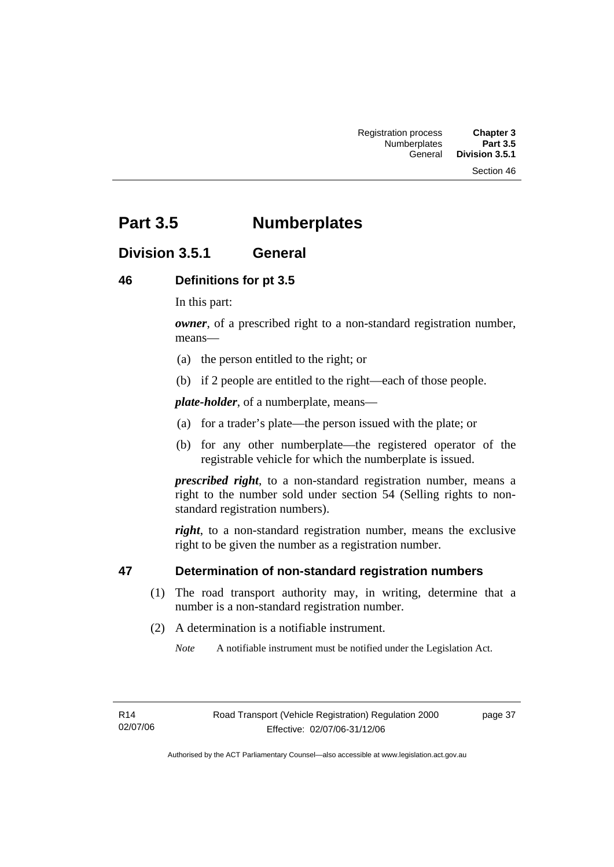# **Part 3.5 Numberplates**

### **Division 3.5.1 General**

### **46 Definitions for pt 3.5**

In this part:

*owner*, of a prescribed right to a non-standard registration number. means—

- (a) the person entitled to the right; or
- (b) if 2 people are entitled to the right—each of those people.

*plate-holder*, of a numberplate, means—

- (a) for a trader's plate—the person issued with the plate; or
- (b) for any other numberplate—the registered operator of the registrable vehicle for which the numberplate is issued.

*prescribed right*, to a non-standard registration number, means a right to the number sold under section 54 (Selling rights to nonstandard registration numbers).

*right*, to a non-standard registration number, means the exclusive right to be given the number as a registration number.

### **47 Determination of non-standard registration numbers**

- (1) The road transport authority may, in writing, determine that a number is a non-standard registration number.
- (2) A determination is a notifiable instrument.

*Note* A notifiable instrument must be notified under the Legislation Act.

R14 02/07/06 page 37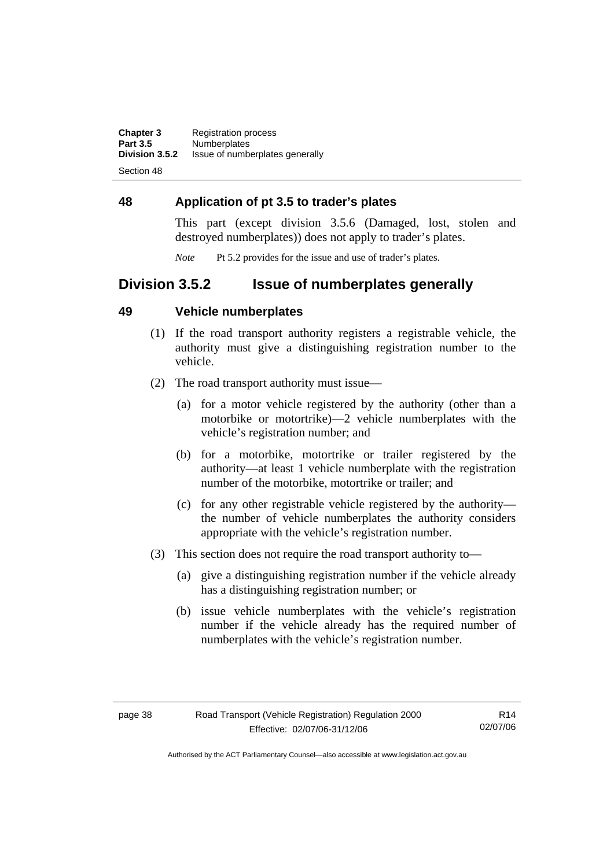**Chapter 3** Registration process<br>**Part 3.5** Numberplates **Part 3.5 Numberplates**<br>**Division 3.5.2** Issue of number **Division 3.5.2** Issue of numberplates generally

Section 48

### **48 Application of pt 3.5 to trader's plates**

This part (except division 3.5.6 (Damaged, lost, stolen and destroyed numberplates)) does not apply to trader's plates.

*Note* Pt 5.2 provides for the issue and use of trader's plates.

### **Division 3.5.2 Issue of numberplates generally**

### **49 Vehicle numberplates**

- (1) If the road transport authority registers a registrable vehicle, the authority must give a distinguishing registration number to the vehicle.
- (2) The road transport authority must issue—
	- (a) for a motor vehicle registered by the authority (other than a motorbike or motortrike)—2 vehicle numberplates with the vehicle's registration number; and
	- (b) for a motorbike, motortrike or trailer registered by the authority—at least 1 vehicle numberplate with the registration number of the motorbike, motortrike or trailer; and
	- (c) for any other registrable vehicle registered by the authority the number of vehicle numberplates the authority considers appropriate with the vehicle's registration number.
- (3) This section does not require the road transport authority to—
	- (a) give a distinguishing registration number if the vehicle already has a distinguishing registration number; or
	- (b) issue vehicle numberplates with the vehicle's registration number if the vehicle already has the required number of numberplates with the vehicle's registration number.

R14 02/07/06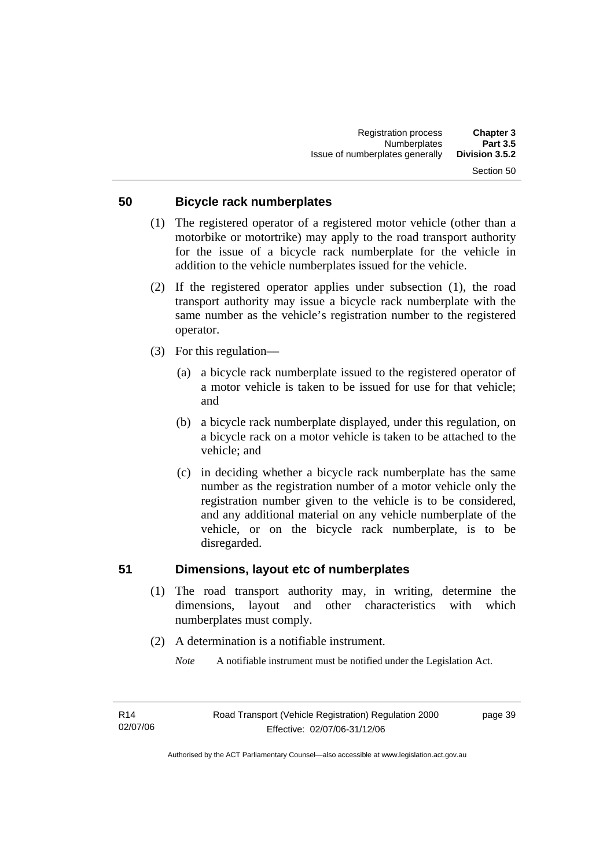### **50 Bicycle rack numberplates**

- (1) The registered operator of a registered motor vehicle (other than a motorbike or motortrike) may apply to the road transport authority for the issue of a bicycle rack numberplate for the vehicle in addition to the vehicle numberplates issued for the vehicle.
- (2) If the registered operator applies under subsection (1), the road transport authority may issue a bicycle rack numberplate with the same number as the vehicle's registration number to the registered operator.
- (3) For this regulation—
	- (a) a bicycle rack numberplate issued to the registered operator of a motor vehicle is taken to be issued for use for that vehicle; and
	- (b) a bicycle rack numberplate displayed, under this regulation, on a bicycle rack on a motor vehicle is taken to be attached to the vehicle; and
	- (c) in deciding whether a bicycle rack numberplate has the same number as the registration number of a motor vehicle only the registration number given to the vehicle is to be considered, and any additional material on any vehicle numberplate of the vehicle, or on the bicycle rack numberplate, is to be disregarded.

#### **51 Dimensions, layout etc of numberplates**

- (1) The road transport authority may, in writing, determine the dimensions, layout and other characteristics with which numberplates must comply.
- (2) A determination is a notifiable instrument.

*Note* A notifiable instrument must be notified under the Legislation Act.

page 39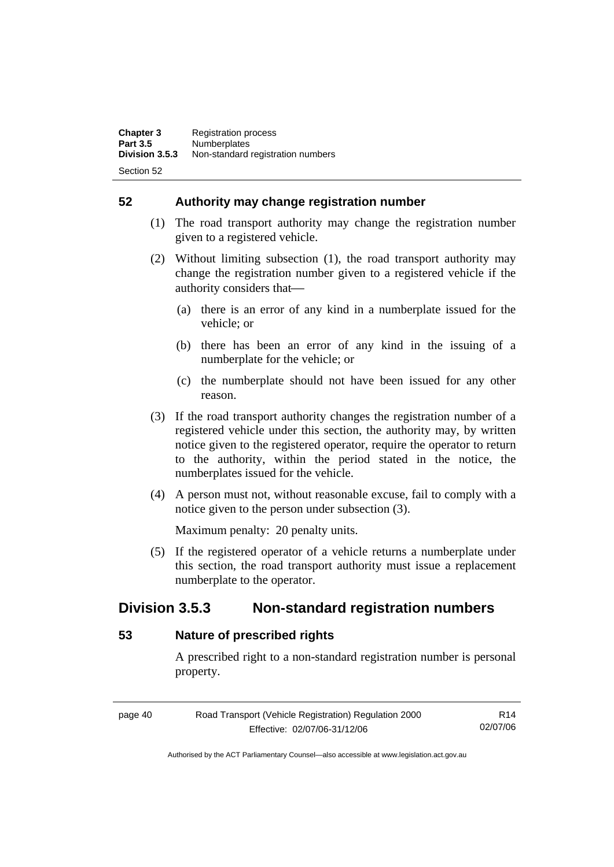**52 Authority may change registration number** 

- (1) The road transport authority may change the registration number given to a registered vehicle.
- (2) Without limiting subsection (1), the road transport authority may change the registration number given to a registered vehicle if the authority considers that-
	- (a) there is an error of any kind in a numberplate issued for the vehicle; or
	- (b) there has been an error of any kind in the issuing of a numberplate for the vehicle; or
	- (c) the numberplate should not have been issued for any other reason.
- (3) If the road transport authority changes the registration number of a registered vehicle under this section, the authority may, by written notice given to the registered operator, require the operator to return to the authority, within the period stated in the notice, the numberplates issued for the vehicle.
- (4) A person must not, without reasonable excuse, fail to comply with a notice given to the person under subsection (3).

Maximum penalty: 20 penalty units.

 (5) If the registered operator of a vehicle returns a numberplate under this section, the road transport authority must issue a replacement numberplate to the operator.

## **Division 3.5.3 Non-standard registration numbers**

### **53 Nature of prescribed rights**

A prescribed right to a non-standard registration number is personal property.

page 40 Road Transport (Vehicle Registration) Regulation 2000 Effective: 02/07/06-31/12/06 R14 02/07/06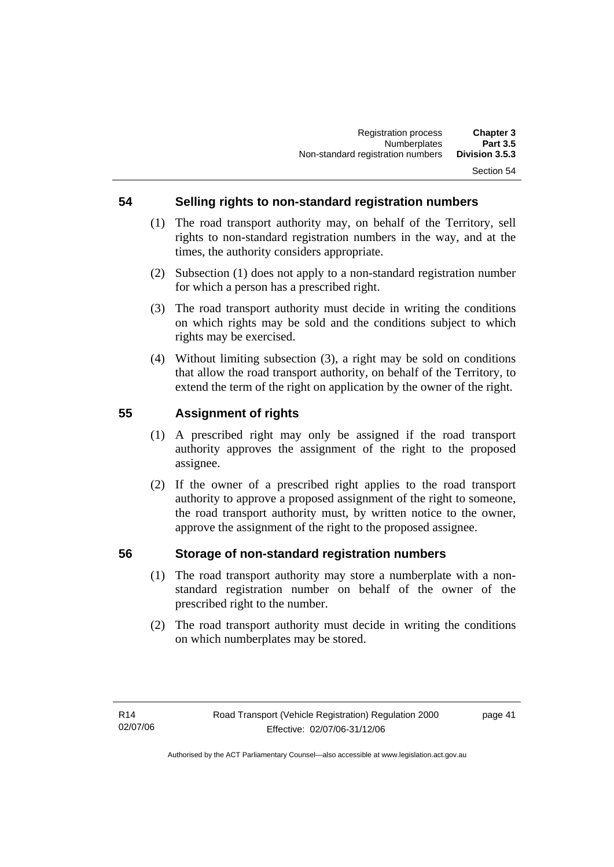### **54 Selling rights to non-standard registration numbers**

- (1) The road transport authority may, on behalf of the Territory, sell rights to non-standard registration numbers in the way, and at the times, the authority considers appropriate.
- (2) Subsection (1) does not apply to a non-standard registration number for which a person has a prescribed right.
- (3) The road transport authority must decide in writing the conditions on which rights may be sold and the conditions subject to which rights may be exercised.
- (4) Without limiting subsection (3), a right may be sold on conditions that allow the road transport authority, on behalf of the Territory, to extend the term of the right on application by the owner of the right.

### **55 Assignment of rights**

- (1) A prescribed right may only be assigned if the road transport authority approves the assignment of the right to the proposed assignee.
- (2) If the owner of a prescribed right applies to the road transport authority to approve a proposed assignment of the right to someone, the road transport authority must, by written notice to the owner, approve the assignment of the right to the proposed assignee.

### **56 Storage of non-standard registration numbers**

- (1) The road transport authority may store a numberplate with a nonstandard registration number on behalf of the owner of the prescribed right to the number.
- (2) The road transport authority must decide in writing the conditions on which numberplates may be stored.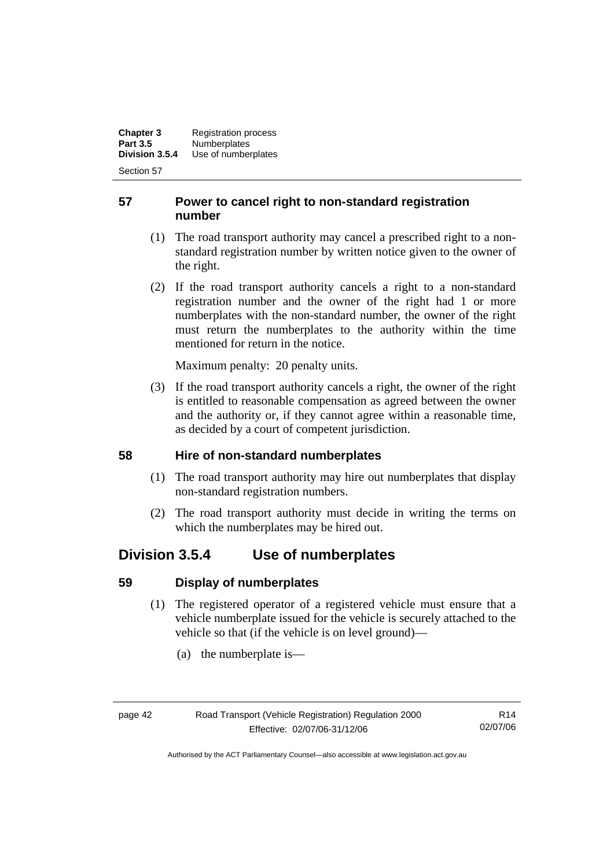**Chapter 3** Registration process<br>**Part 3.5** Numberplates **Part 3.5 Numberplates**<br>**Division 3.5.4 Use of number Division 3.5.4** Use of numberplates

Section 57

### **57 Power to cancel right to non-standard registration number**

- (1) The road transport authority may cancel a prescribed right to a nonstandard registration number by written notice given to the owner of the right.
- (2) If the road transport authority cancels a right to a non-standard registration number and the owner of the right had 1 or more numberplates with the non-standard number, the owner of the right must return the numberplates to the authority within the time mentioned for return in the notice.

Maximum penalty: 20 penalty units.

 (3) If the road transport authority cancels a right, the owner of the right is entitled to reasonable compensation as agreed between the owner and the authority or, if they cannot agree within a reasonable time, as decided by a court of competent jurisdiction.

### **58 Hire of non-standard numberplates**

- (1) The road transport authority may hire out numberplates that display non-standard registration numbers.
- (2) The road transport authority must decide in writing the terms on which the numberplates may be hired out.

## **Division 3.5.4 Use of numberplates**

### **59 Display of numberplates**

- (1) The registered operator of a registered vehicle must ensure that a vehicle numberplate issued for the vehicle is securely attached to the vehicle so that (if the vehicle is on level ground)—
	- (a) the numberplate is—

R14 02/07/06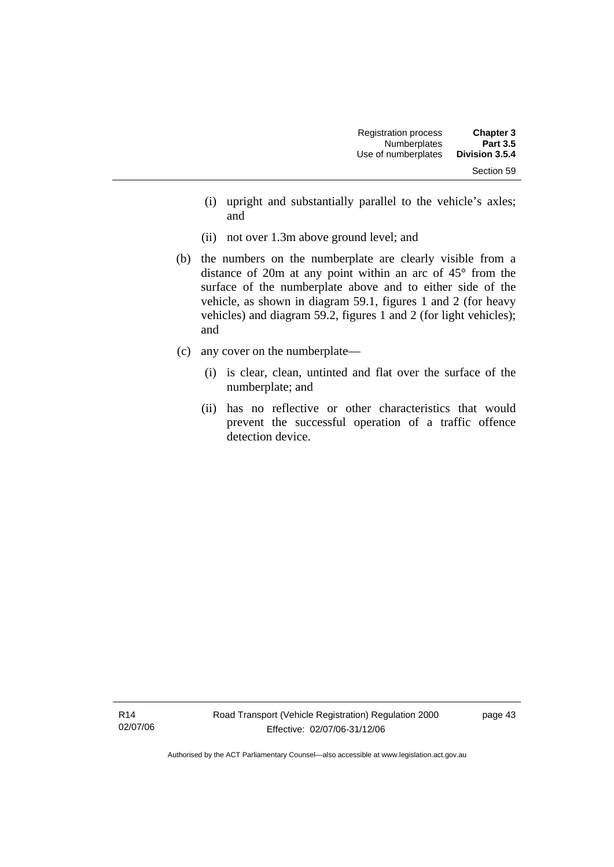| <b>Registration process</b> | <b>Chapter 3</b> |  |
|-----------------------------|------------------|--|
| <b>Numberplates</b>         | <b>Part 3.5</b>  |  |
| Use of numberplates         | Division 3.5.4   |  |
|                             | Section 59       |  |

- (i) upright and substantially parallel to the vehicle's axles; and
- (ii) not over 1.3m above ground level; and
- (b) the numbers on the numberplate are clearly visible from a distance of 20m at any point within an arc of 45° from the surface of the numberplate above and to either side of the vehicle, as shown in diagram 59.1, figures 1 and 2 (for heavy vehicles) and diagram 59.2, figures 1 and 2 (for light vehicles); and
- (c) any cover on the numberplate—
	- (i) is clear, clean, untinted and flat over the surface of the numberplate; and
	- (ii) has no reflective or other characteristics that would prevent the successful operation of a traffic offence detection device.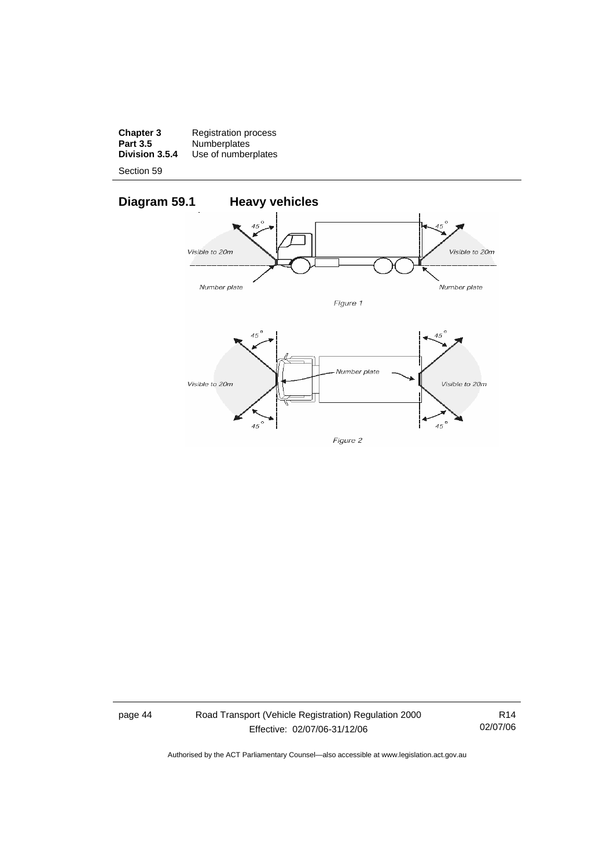**Chapter 3** Registration process **Part 3.5** Numberplates **Division 3.5.4** Use of numberplates

Section 59



page 44 Road Transport (Vehicle Registration) Regulation 2000 Effective: 02/07/06-31/12/06

R14 02/07/06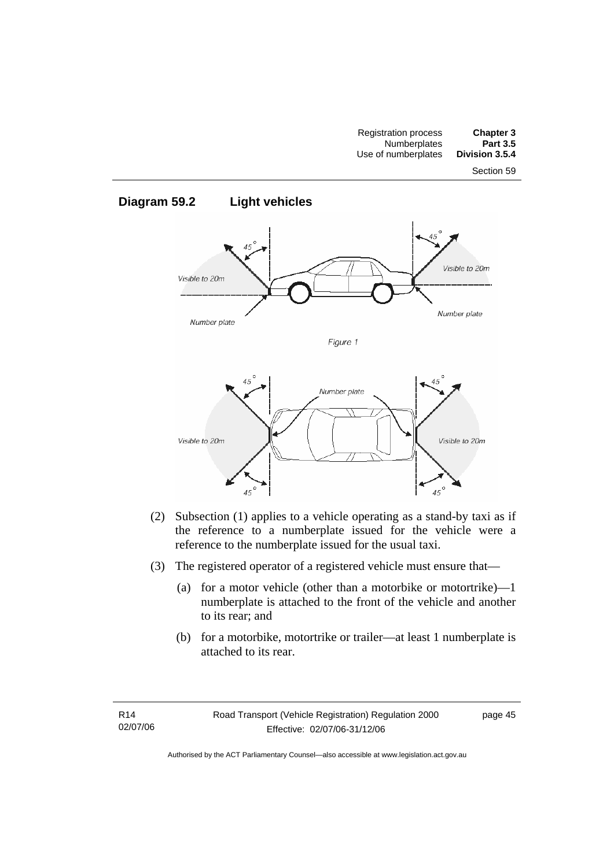

- (2) Subsection (1) applies to a vehicle operating as a stand-by taxi as if the reference to a numberplate issued for the vehicle were a reference to the numberplate issued for the usual taxi.
- (3) The registered operator of a registered vehicle must ensure that—
	- (a) for a motor vehicle (other than a motorbike or motortrike)—1 numberplate is attached to the front of the vehicle and another to its rear; and
	- (b) for a motorbike, motortrike or trailer—at least 1 numberplate is attached to its rear.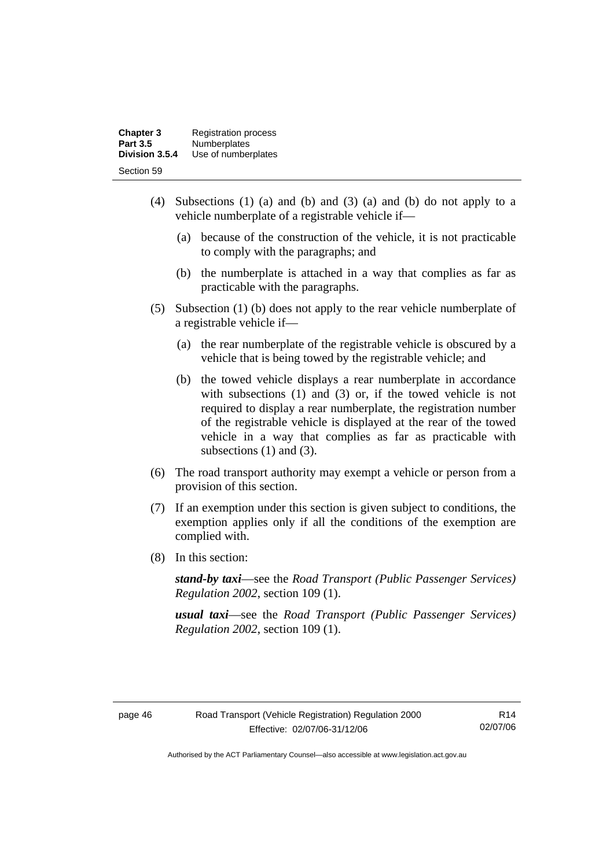| <b>Chapter 3</b> | <b>Registration process</b> |
|------------------|-----------------------------|
| <b>Part 3.5</b>  | <b>Numberplates</b>         |
| Division 3.5.4   | Use of numberplates         |
| Section 59       |                             |

- (4) Subsections (1) (a) and (b) and (3) (a) and (b) do not apply to a vehicle numberplate of a registrable vehicle if—
	- (a) because of the construction of the vehicle, it is not practicable to comply with the paragraphs; and
	- (b) the numberplate is attached in a way that complies as far as practicable with the paragraphs.
- (5) Subsection (1) (b) does not apply to the rear vehicle numberplate of a registrable vehicle if—
	- (a) the rear numberplate of the registrable vehicle is obscured by a vehicle that is being towed by the registrable vehicle; and
	- (b) the towed vehicle displays a rear numberplate in accordance with subsections (1) and (3) or, if the towed vehicle is not required to display a rear numberplate, the registration number of the registrable vehicle is displayed at the rear of the towed vehicle in a way that complies as far as practicable with subsections (1) and (3).
- (6) The road transport authority may exempt a vehicle or person from a provision of this section.
- (7) If an exemption under this section is given subject to conditions, the exemption applies only if all the conditions of the exemption are complied with.
- (8) In this section:

*stand-by taxi*—see the *Road Transport (Public Passenger Services) Regulation 2002*, section 109 (1).

*usual taxi*—see the *Road Transport (Public Passenger Services) Regulation 2002*, section 109 (1).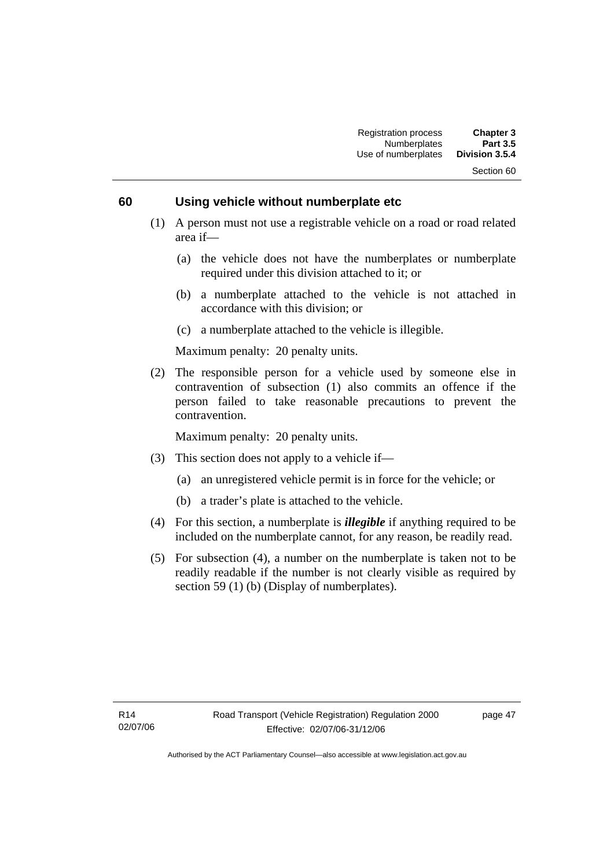#### **60 Using vehicle without numberplate etc**

- (1) A person must not use a registrable vehicle on a road or road related area if—
	- (a) the vehicle does not have the numberplates or numberplate required under this division attached to it; or
	- (b) a numberplate attached to the vehicle is not attached in accordance with this division; or
	- (c) a numberplate attached to the vehicle is illegible.

Maximum penalty: 20 penalty units.

 (2) The responsible person for a vehicle used by someone else in contravention of subsection (1) also commits an offence if the person failed to take reasonable precautions to prevent the contravention.

Maximum penalty: 20 penalty units.

- (3) This section does not apply to a vehicle if—
	- (a) an unregistered vehicle permit is in force for the vehicle; or
	- (b) a trader's plate is attached to the vehicle.
- (4) For this section, a numberplate is *illegible* if anything required to be included on the numberplate cannot, for any reason, be readily read.
- (5) For subsection (4), a number on the numberplate is taken not to be readily readable if the number is not clearly visible as required by section 59 (1) (b) (Display of numberplates).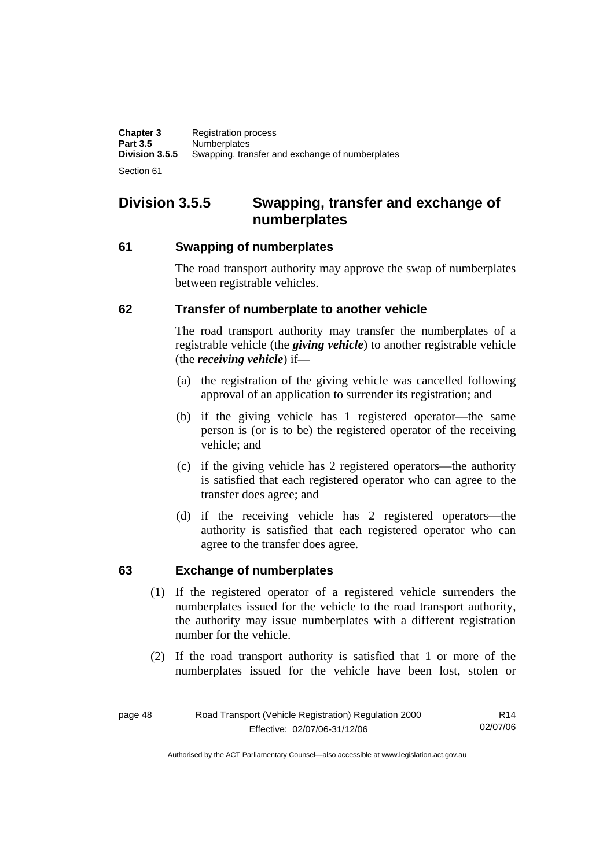# **Division 3.5.5 Swapping, transfer and exchange of numberplates**

### **61 Swapping of numberplates**

The road transport authority may approve the swap of numberplates between registrable vehicles.

### **62 Transfer of numberplate to another vehicle**

The road transport authority may transfer the numberplates of a registrable vehicle (the *giving vehicle*) to another registrable vehicle (the *receiving vehicle*) if—

- (a) the registration of the giving vehicle was cancelled following approval of an application to surrender its registration; and
- (b) if the giving vehicle has 1 registered operator—the same person is (or is to be) the registered operator of the receiving vehicle; and
- (c) if the giving vehicle has 2 registered operators—the authority is satisfied that each registered operator who can agree to the transfer does agree; and
- (d) if the receiving vehicle has 2 registered operators—the authority is satisfied that each registered operator who can agree to the transfer does agree.

### **63 Exchange of numberplates**

- (1) If the registered operator of a registered vehicle surrenders the numberplates issued for the vehicle to the road transport authority, the authority may issue numberplates with a different registration number for the vehicle.
- (2) If the road transport authority is satisfied that 1 or more of the numberplates issued for the vehicle have been lost, stolen or

| page 48 | Road Transport (Vehicle Registration) Regulation 2000 | R <sub>14</sub> |
|---------|-------------------------------------------------------|-----------------|
|         | Effective: 02/07/06-31/12/06                          | 02/07/06        |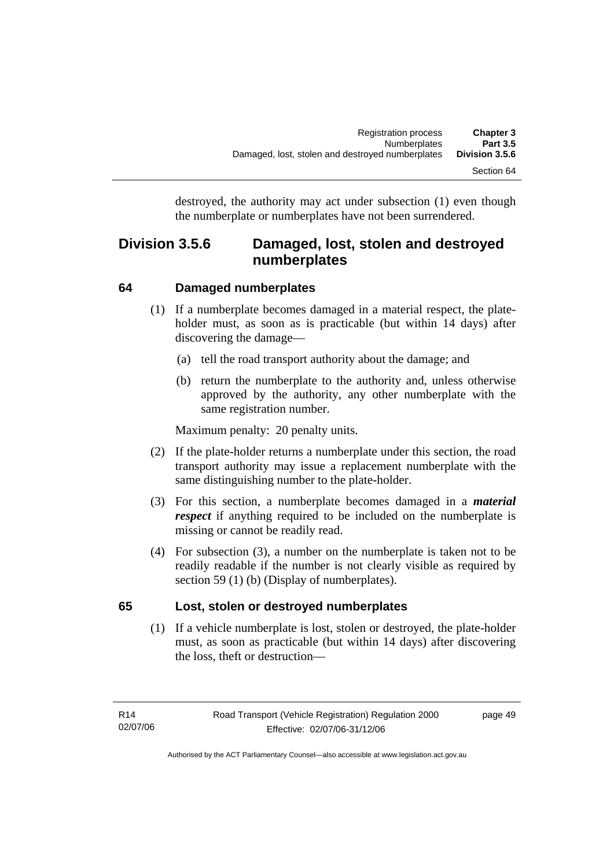destroyed, the authority may act under subsection (1) even though the numberplate or numberplates have not been surrendered.

## **Division 3.5.6 Damaged, lost, stolen and destroyed numberplates**

### **64 Damaged numberplates**

- (1) If a numberplate becomes damaged in a material respect, the plateholder must, as soon as is practicable (but within 14 days) after discovering the damage—
	- (a) tell the road transport authority about the damage; and
	- (b) return the numberplate to the authority and, unless otherwise approved by the authority, any other numberplate with the same registration number.

Maximum penalty: 20 penalty units.

- (2) If the plate-holder returns a numberplate under this section, the road transport authority may issue a replacement numberplate with the same distinguishing number to the plate-holder.
- (3) For this section, a numberplate becomes damaged in a *material respect* if anything required to be included on the numberplate is missing or cannot be readily read.
- (4) For subsection (3), a number on the numberplate is taken not to be readily readable if the number is not clearly visible as required by section 59 (1) (b) (Display of numberplates).

### **65 Lost, stolen or destroyed numberplates**

 (1) If a vehicle numberplate is lost, stolen or destroyed, the plate-holder must, as soon as practicable (but within 14 days) after discovering the loss, theft or destruction—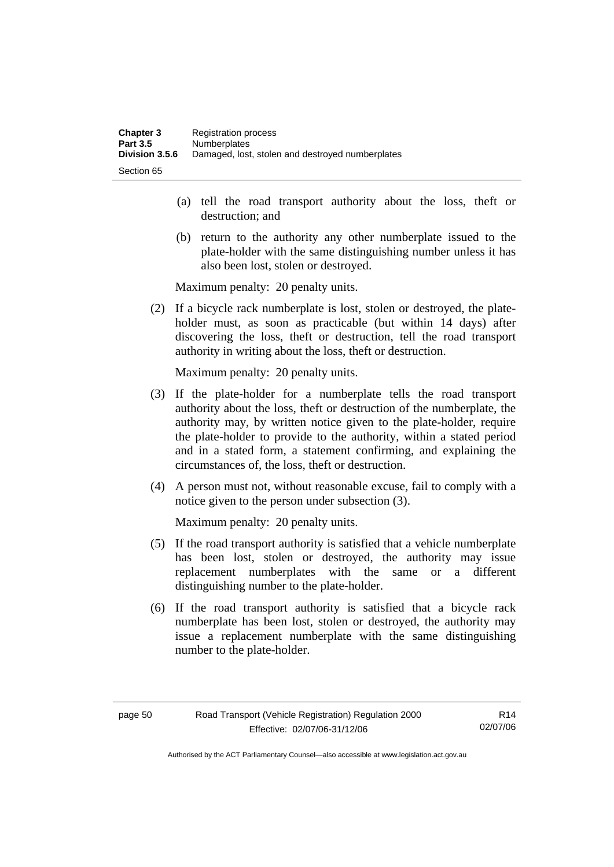- (a) tell the road transport authority about the loss, theft or destruction; and
- (b) return to the authority any other numberplate issued to the plate-holder with the same distinguishing number unless it has also been lost, stolen or destroyed.

Maximum penalty: 20 penalty units.

 (2) If a bicycle rack numberplate is lost, stolen or destroyed, the plateholder must, as soon as practicable (but within 14 days) after discovering the loss, theft or destruction, tell the road transport authority in writing about the loss, theft or destruction.

Maximum penalty: 20 penalty units.

- (3) If the plate-holder for a numberplate tells the road transport authority about the loss, theft or destruction of the numberplate, the authority may, by written notice given to the plate-holder, require the plate-holder to provide to the authority, within a stated period and in a stated form, a statement confirming, and explaining the circumstances of, the loss, theft or destruction.
- (4) A person must not, without reasonable excuse, fail to comply with a notice given to the person under subsection (3).

Maximum penalty: 20 penalty units.

- (5) If the road transport authority is satisfied that a vehicle numberplate has been lost, stolen or destroyed, the authority may issue replacement numberplates with the same or a different distinguishing number to the plate-holder.
- (6) If the road transport authority is satisfied that a bicycle rack numberplate has been lost, stolen or destroyed, the authority may issue a replacement numberplate with the same distinguishing number to the plate-holder.

R14 02/07/06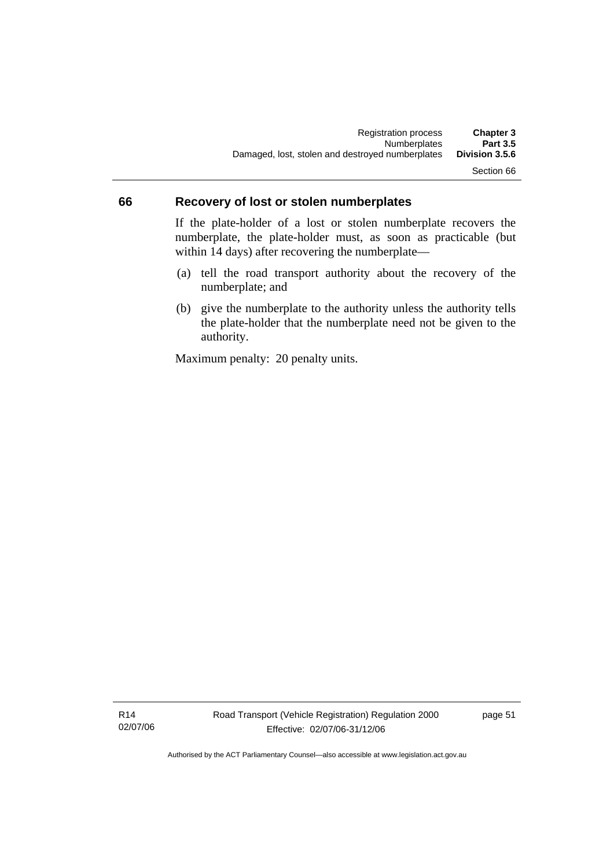### **66 Recovery of lost or stolen numberplates**

If the plate-holder of a lost or stolen numberplate recovers the numberplate, the plate-holder must, as soon as practicable (but within 14 days) after recovering the numberplate—

- (a) tell the road transport authority about the recovery of the numberplate; and
- (b) give the numberplate to the authority unless the authority tells the plate-holder that the numberplate need not be given to the authority.

Maximum penalty: 20 penalty units.

R14 02/07/06 page 51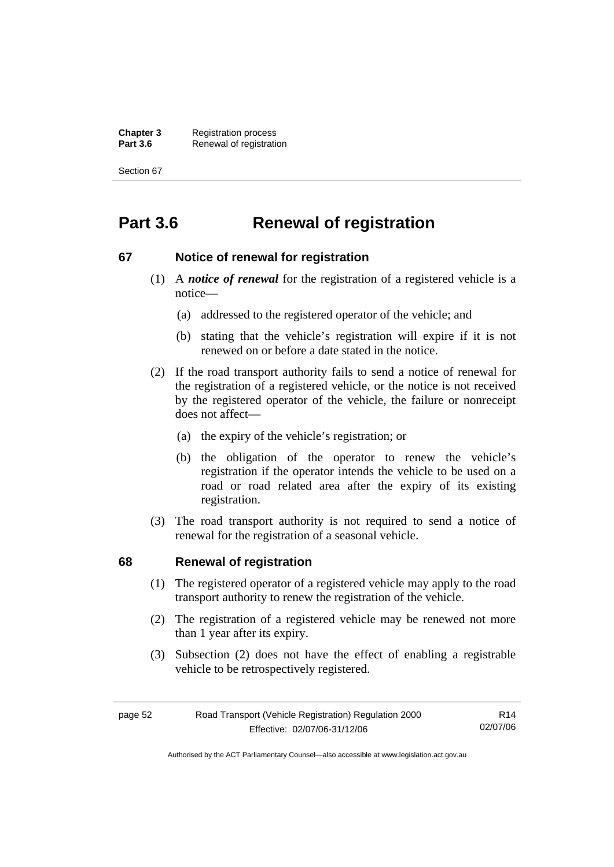**Chapter 3** Registration process<br>**Part 3.6** Renewal of registration **Renewal of registration** 

Section 67

# **Part 3.6 Renewal of registration**

#### **67 Notice of renewal for registration**

- (1) A *notice of renewal* for the registration of a registered vehicle is a notice—
	- (a) addressed to the registered operator of the vehicle; and
	- (b) stating that the vehicle's registration will expire if it is not renewed on or before a date stated in the notice.
- (2) If the road transport authority fails to send a notice of renewal for the registration of a registered vehicle, or the notice is not received by the registered operator of the vehicle, the failure or nonreceipt does not affect—
	- (a) the expiry of the vehicle's registration; or
	- (b) the obligation of the operator to renew the vehicle's registration if the operator intends the vehicle to be used on a road or road related area after the expiry of its existing registration.
- (3) The road transport authority is not required to send a notice of renewal for the registration of a seasonal vehicle.

#### **68 Renewal of registration**

- (1) The registered operator of a registered vehicle may apply to the road transport authority to renew the registration of the vehicle.
- (2) The registration of a registered vehicle may be renewed not more than 1 year after its expiry.
- (3) Subsection (2) does not have the effect of enabling a registrable vehicle to be retrospectively registered.

| page 52 | Road Transport (Vehicle Registration) Regulation 2000 | R14      |
|---------|-------------------------------------------------------|----------|
|         | Effective: 02/07/06-31/12/06                          | 02/07/06 |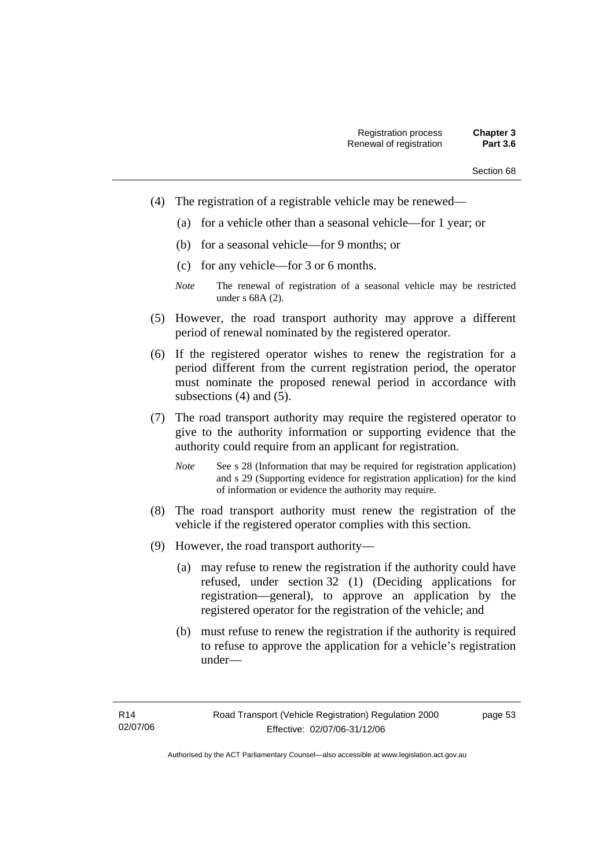- (4) The registration of a registrable vehicle may be renewed—
	- (a) for a vehicle other than a seasonal vehicle—for 1 year; or
	- (b) for a seasonal vehicle—for 9 months; or
	- (c) for any vehicle—for 3 or 6 months.
	- *Note* The renewal of registration of a seasonal vehicle may be restricted under s 68A (2).
- (5) However, the road transport authority may approve a different period of renewal nominated by the registered operator.
- (6) If the registered operator wishes to renew the registration for a period different from the current registration period, the operator must nominate the proposed renewal period in accordance with subsections (4) and (5).
- (7) The road transport authority may require the registered operator to give to the authority information or supporting evidence that the authority could require from an applicant for registration.
	- *Note* See s 28 (Information that may be required for registration application) and s 29 (Supporting evidence for registration application) for the kind of information or evidence the authority may require.
- (8) The road transport authority must renew the registration of the vehicle if the registered operator complies with this section.
- (9) However, the road transport authority—
	- (a) may refuse to renew the registration if the authority could have refused, under section 32 (1) (Deciding applications for registration—general), to approve an application by the registered operator for the registration of the vehicle; and
	- (b) must refuse to renew the registration if the authority is required to refuse to approve the application for a vehicle's registration under—

page 53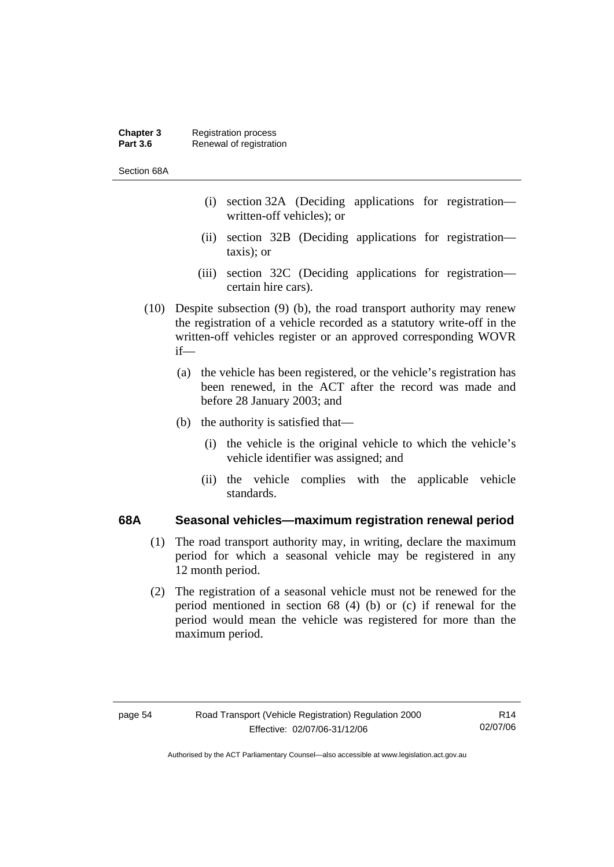#### **Chapter 3** Registration process<br>**Part 3.6** Renewal of registration **Renewal of registration**

Section 68A

- (i) section 32A (Deciding applications for registration written-off vehicles); or
- (ii) section 32B (Deciding applications for registration taxis); or
- (iii) section 32C (Deciding applications for registration certain hire cars).
- (10) Despite subsection (9) (b), the road transport authority may renew the registration of a vehicle recorded as a statutory write-off in the written-off vehicles register or an approved corresponding WOVR if—
	- (a) the vehicle has been registered, or the vehicle's registration has been renewed, in the ACT after the record was made and before 28 January 2003; and
	- (b) the authority is satisfied that—
		- (i) the vehicle is the original vehicle to which the vehicle's vehicle identifier was assigned; and
		- (ii) the vehicle complies with the applicable vehicle standards.

#### **68A Seasonal vehicles—maximum registration renewal period**

- (1) The road transport authority may, in writing, declare the maximum period for which a seasonal vehicle may be registered in any 12 month period.
- (2) The registration of a seasonal vehicle must not be renewed for the period mentioned in section 68 (4) (b) or (c) if renewal for the period would mean the vehicle was registered for more than the maximum period.

R14 02/07/06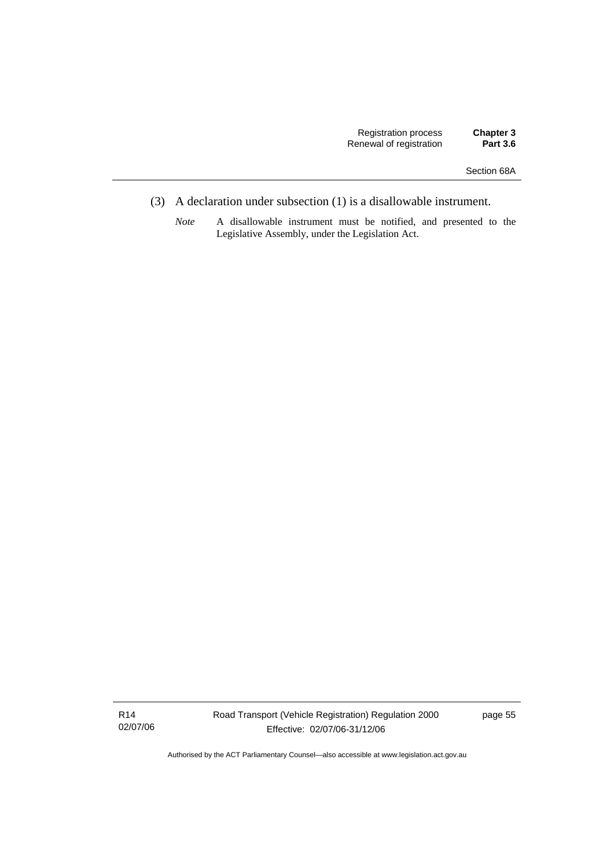- (3) A declaration under subsection (1) is a disallowable instrument.
	- *Note* A disallowable instrument must be notified, and presented to the Legislative Assembly, under the Legislation Act.

R14 02/07/06 Road Transport (Vehicle Registration) Regulation 2000 Effective: 02/07/06-31/12/06

page 55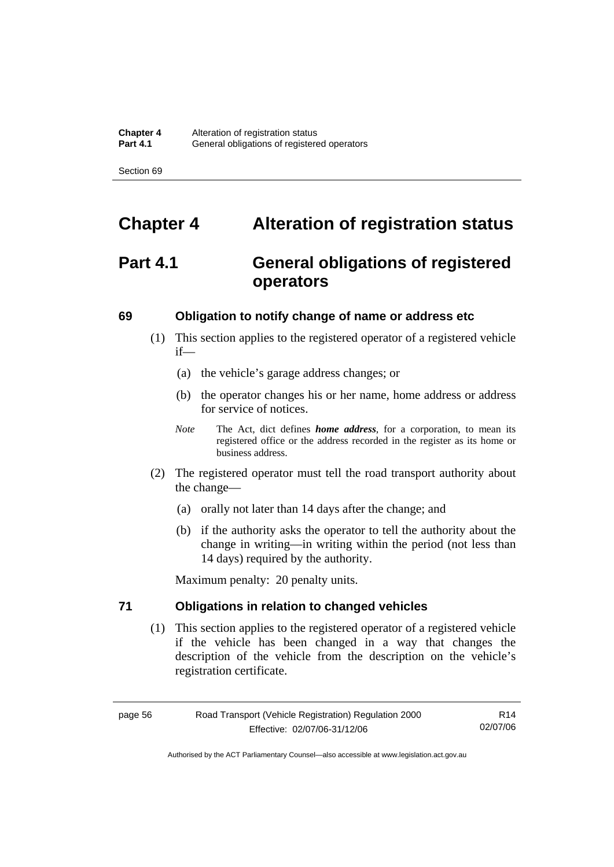# **Chapter 4 Alteration of registration status**

# **Part 4.1 General obligations of registered operators**

#### **69 Obligation to notify change of name or address etc**

- (1) This section applies to the registered operator of a registered vehicle if—
	- (a) the vehicle's garage address changes; or
	- (b) the operator changes his or her name, home address or address for service of notices.
	- *Note* The Act, dict defines *home address*, for a corporation, to mean its registered office or the address recorded in the register as its home or business address.
- (2) The registered operator must tell the road transport authority about the change—
	- (a) orally not later than 14 days after the change; and
	- (b) if the authority asks the operator to tell the authority about the change in writing—in writing within the period (not less than 14 days) required by the authority.

Maximum penalty: 20 penalty units.

### **71 Obligations in relation to changed vehicles**

 (1) This section applies to the registered operator of a registered vehicle if the vehicle has been changed in a way that changes the description of the vehicle from the description on the vehicle's registration certificate.

page 56 Road Transport (Vehicle Registration) Regulation 2000 Effective: 02/07/06-31/12/06

R14 02/07/06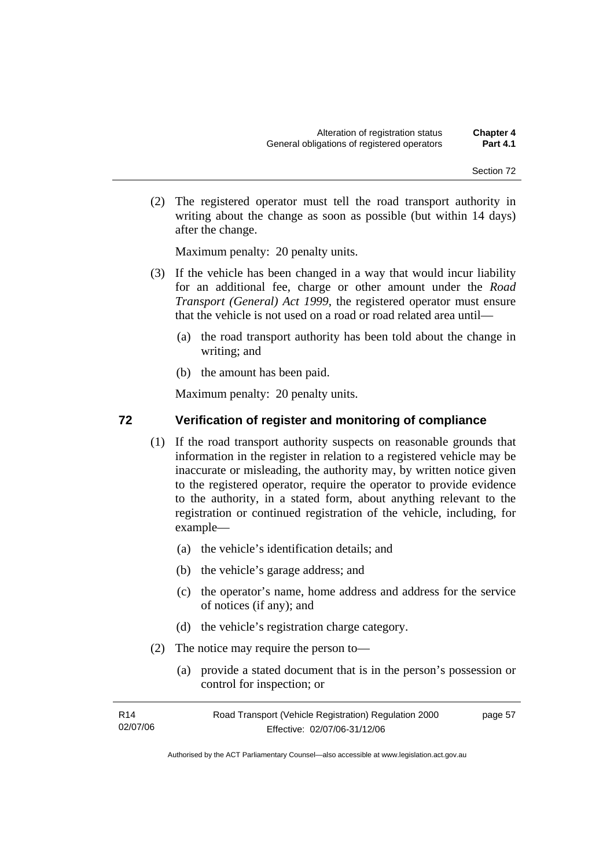(2) The registered operator must tell the road transport authority in writing about the change as soon as possible (but within 14 days) after the change.

Maximum penalty: 20 penalty units.

- (3) If the vehicle has been changed in a way that would incur liability for an additional fee, charge or other amount under the *Road Transport (General) Act 1999*, the registered operator must ensure that the vehicle is not used on a road or road related area until—
	- (a) the road transport authority has been told about the change in writing; and
	- (b) the amount has been paid.

Maximum penalty: 20 penalty units.

#### **72 Verification of register and monitoring of compliance**

- (1) If the road transport authority suspects on reasonable grounds that information in the register in relation to a registered vehicle may be inaccurate or misleading, the authority may, by written notice given to the registered operator, require the operator to provide evidence to the authority, in a stated form, about anything relevant to the registration or continued registration of the vehicle, including, for example—
	- (a) the vehicle's identification details; and
	- (b) the vehicle's garage address; and
	- (c) the operator's name, home address and address for the service of notices (if any); and
	- (d) the vehicle's registration charge category.
- (2) The notice may require the person to—
	- (a) provide a stated document that is in the person's possession or control for inspection; or

| R14      | Road Transport (Vehicle Registration) Regulation 2000 | page 57 |
|----------|-------------------------------------------------------|---------|
| 02/07/06 | Effective: 02/07/06-31/12/06                          |         |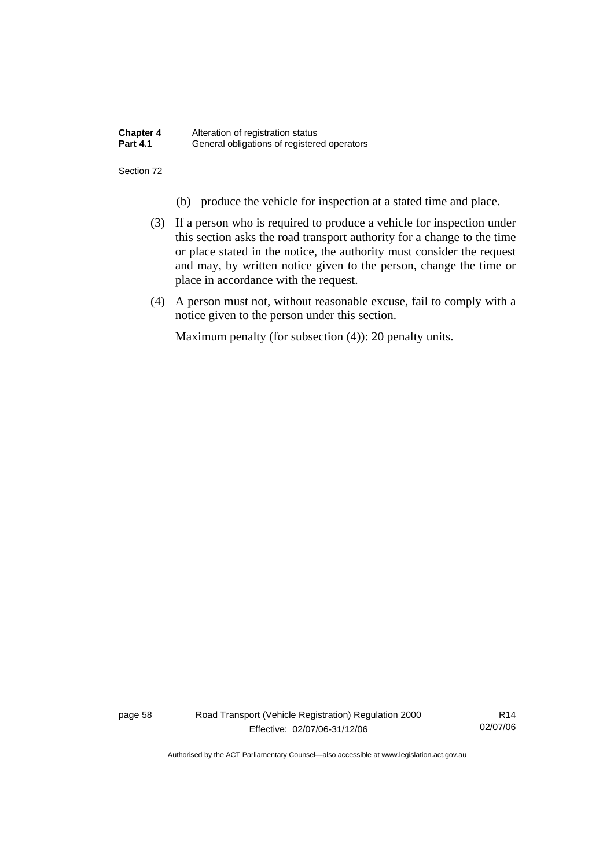| <b>Chapter 4</b> | Alteration of registration status           |
|------------------|---------------------------------------------|
| <b>Part 4.1</b>  | General obligations of registered operators |

- (b) produce the vehicle for inspection at a stated time and place.
- (3) If a person who is required to produce a vehicle for inspection under this section asks the road transport authority for a change to the time or place stated in the notice, the authority must consider the request and may, by written notice given to the person, change the time or place in accordance with the request.
- (4) A person must not, without reasonable excuse, fail to comply with a notice given to the person under this section.

Maximum penalty (for subsection (4)): 20 penalty units.

page 58 Road Transport (Vehicle Registration) Regulation 2000 Effective: 02/07/06-31/12/06

R14 02/07/06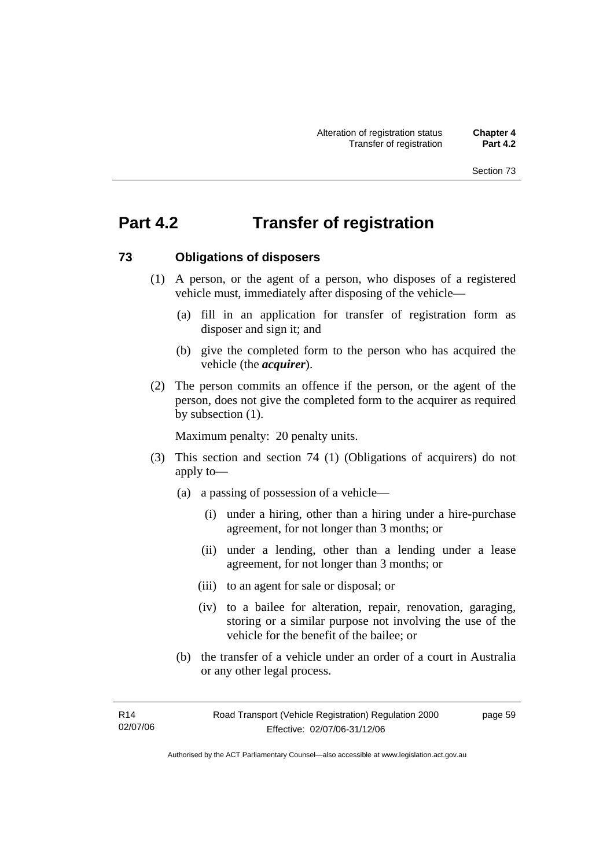# **Part 4.2 Transfer of registration**

#### **73 Obligations of disposers**

- (1) A person, or the agent of a person, who disposes of a registered vehicle must, immediately after disposing of the vehicle—
	- (a) fill in an application for transfer of registration form as disposer and sign it; and
	- (b) give the completed form to the person who has acquired the vehicle (the *acquirer*).
- (2) The person commits an offence if the person, or the agent of the person, does not give the completed form to the acquirer as required by subsection (1).

Maximum penalty: 20 penalty units.

- (3) This section and section 74 (1) (Obligations of acquirers) do not apply to—
	- (a) a passing of possession of a vehicle—
		- (i) under a hiring, other than a hiring under a hire-purchase agreement, for not longer than 3 months; or
		- (ii) under a lending, other than a lending under a lease agreement, for not longer than 3 months; or
		- (iii) to an agent for sale or disposal; or
		- (iv) to a bailee for alteration, repair, renovation, garaging, storing or a similar purpose not involving the use of the vehicle for the benefit of the bailee; or
	- (b) the transfer of a vehicle under an order of a court in Australia or any other legal process.

page 59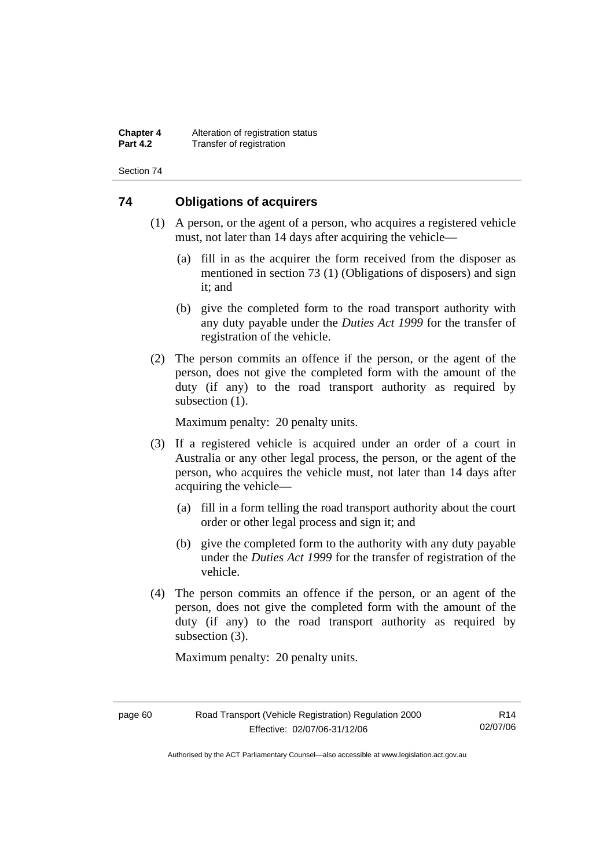**Chapter 4** Alteration of registration status<br>**Part 4.2** Transfer of registration **Transfer of registration** 

Section 74

### **74 Obligations of acquirers**

- (1) A person, or the agent of a person, who acquires a registered vehicle must, not later than 14 days after acquiring the vehicle—
	- (a) fill in as the acquirer the form received from the disposer as mentioned in section 73 (1) (Obligations of disposers) and sign it; and
	- (b) give the completed form to the road transport authority with any duty payable under the *Duties Act 1999* for the transfer of registration of the vehicle.
- (2) The person commits an offence if the person, or the agent of the person, does not give the completed form with the amount of the duty (if any) to the road transport authority as required by subsection  $(1)$ .

Maximum penalty: 20 penalty units.

- (3) If a registered vehicle is acquired under an order of a court in Australia or any other legal process, the person, or the agent of the person, who acquires the vehicle must, not later than 14 days after acquiring the vehicle—
	- (a) fill in a form telling the road transport authority about the court order or other legal process and sign it; and
	- (b) give the completed form to the authority with any duty payable under the *Duties Act 1999* for the transfer of registration of the vehicle.
- (4) The person commits an offence if the person, or an agent of the person, does not give the completed form with the amount of the duty (if any) to the road transport authority as required by subsection (3).

Maximum penalty: 20 penalty units.

R14 02/07/06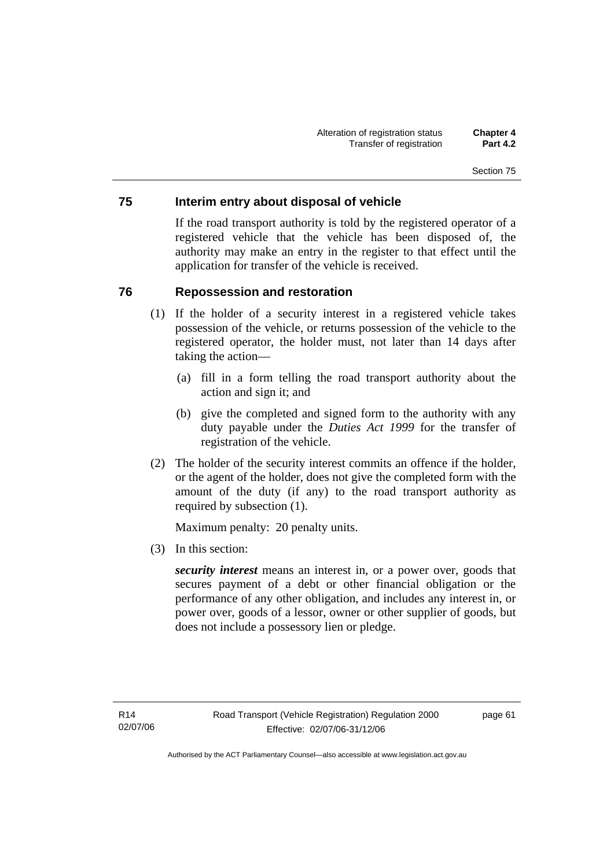### **75 Interim entry about disposal of vehicle**

If the road transport authority is told by the registered operator of a registered vehicle that the vehicle has been disposed of, the authority may make an entry in the register to that effect until the application for transfer of the vehicle is received.

### **76 Repossession and restoration**

- (1) If the holder of a security interest in a registered vehicle takes possession of the vehicle, or returns possession of the vehicle to the registered operator, the holder must, not later than 14 days after taking the action—
	- (a) fill in a form telling the road transport authority about the action and sign it; and
	- (b) give the completed and signed form to the authority with any duty payable under the *Duties Act 1999* for the transfer of registration of the vehicle.
- (2) The holder of the security interest commits an offence if the holder, or the agent of the holder, does not give the completed form with the amount of the duty (if any) to the road transport authority as required by subsection (1).

Maximum penalty: 20 penalty units.

(3) In this section:

*security interest* means an interest in, or a power over, goods that secures payment of a debt or other financial obligation or the performance of any other obligation, and includes any interest in, or power over, goods of a lessor, owner or other supplier of goods, but does not include a possessory lien or pledge.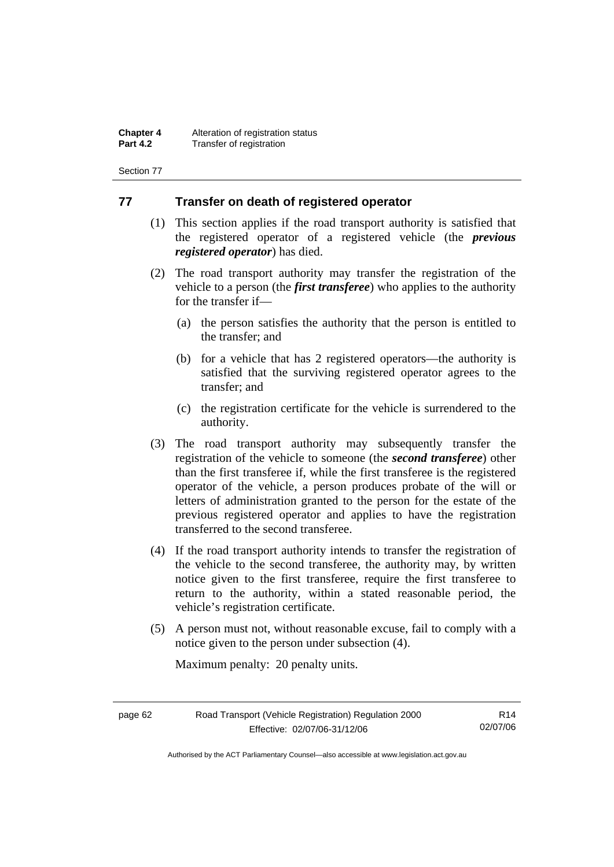**Chapter 4** Alteration of registration status<br>**Part 4.2** Transfer of registration **Transfer of registration** 

Section 77

#### **77 Transfer on death of registered operator**

- (1) This section applies if the road transport authority is satisfied that the registered operator of a registered vehicle (the *previous registered operator*) has died.
- (2) The road transport authority may transfer the registration of the vehicle to a person (the *first transferee*) who applies to the authority for the transfer if—
	- (a) the person satisfies the authority that the person is entitled to the transfer; and
	- (b) for a vehicle that has 2 registered operators—the authority is satisfied that the surviving registered operator agrees to the transfer; and
	- (c) the registration certificate for the vehicle is surrendered to the authority.
- (3) The road transport authority may subsequently transfer the registration of the vehicle to someone (the *second transferee*) other than the first transferee if, while the first transferee is the registered operator of the vehicle, a person produces probate of the will or letters of administration granted to the person for the estate of the previous registered operator and applies to have the registration transferred to the second transferee.
- (4) If the road transport authority intends to transfer the registration of the vehicle to the second transferee, the authority may, by written notice given to the first transferee, require the first transferee to return to the authority, within a stated reasonable period, the vehicle's registration certificate.
- (5) A person must not, without reasonable excuse, fail to comply with a notice given to the person under subsection (4).

Maximum penalty: 20 penalty units.

| page 62 | Road Transport (Vehicle Registration) Regulation 2000 | R14      |
|---------|-------------------------------------------------------|----------|
|         | Effective: 02/07/06-31/12/06                          | 02/07/06 |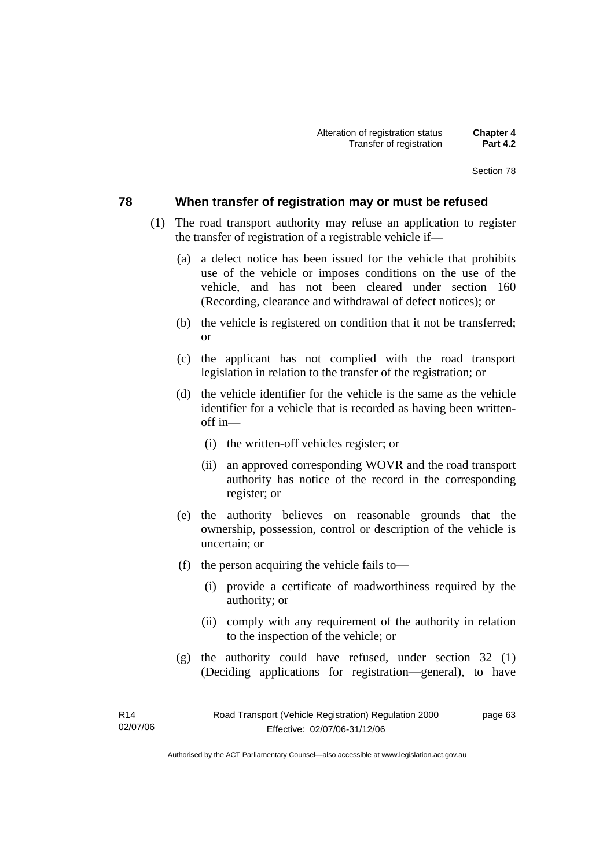#### **78 When transfer of registration may or must be refused**

- (1) The road transport authority may refuse an application to register the transfer of registration of a registrable vehicle if—
	- (a) a defect notice has been issued for the vehicle that prohibits use of the vehicle or imposes conditions on the use of the vehicle, and has not been cleared under section 160 (Recording, clearance and withdrawal of defect notices); or
	- (b) the vehicle is registered on condition that it not be transferred; or
	- (c) the applicant has not complied with the road transport legislation in relation to the transfer of the registration; or
	- (d) the vehicle identifier for the vehicle is the same as the vehicle identifier for a vehicle that is recorded as having been writtenoff in—
		- (i) the written-off vehicles register; or
		- (ii) an approved corresponding WOVR and the road transport authority has notice of the record in the corresponding register; or
	- (e) the authority believes on reasonable grounds that the ownership, possession, control or description of the vehicle is uncertain; or
	- (f) the person acquiring the vehicle fails to—
		- (i) provide a certificate of roadworthiness required by the authority; or
		- (ii) comply with any requirement of the authority in relation to the inspection of the vehicle; or
	- (g) the authority could have refused, under section 32 (1) (Deciding applications for registration—general), to have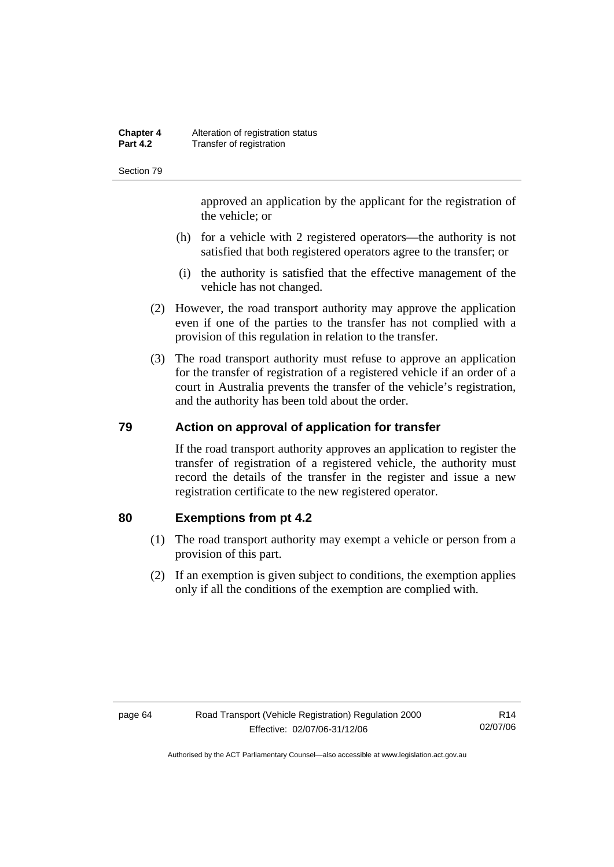#### **Chapter 4** Alteration of registration status<br>**Part 4.2** Transfer of registration **Transfer of registration**

Section 79

approved an application by the applicant for the registration of the vehicle; or

- (h) for a vehicle with 2 registered operators—the authority is not satisfied that both registered operators agree to the transfer; or
- (i) the authority is satisfied that the effective management of the vehicle has not changed.
- (2) However, the road transport authority may approve the application even if one of the parties to the transfer has not complied with a provision of this regulation in relation to the transfer.
- (3) The road transport authority must refuse to approve an application for the transfer of registration of a registered vehicle if an order of a court in Australia prevents the transfer of the vehicle's registration, and the authority has been told about the order.

### **79 Action on approval of application for transfer**

If the road transport authority approves an application to register the transfer of registration of a registered vehicle, the authority must record the details of the transfer in the register and issue a new registration certificate to the new registered operator.

#### **80 Exemptions from pt 4.2**

- (1) The road transport authority may exempt a vehicle or person from a provision of this part.
- (2) If an exemption is given subject to conditions, the exemption applies only if all the conditions of the exemption are complied with.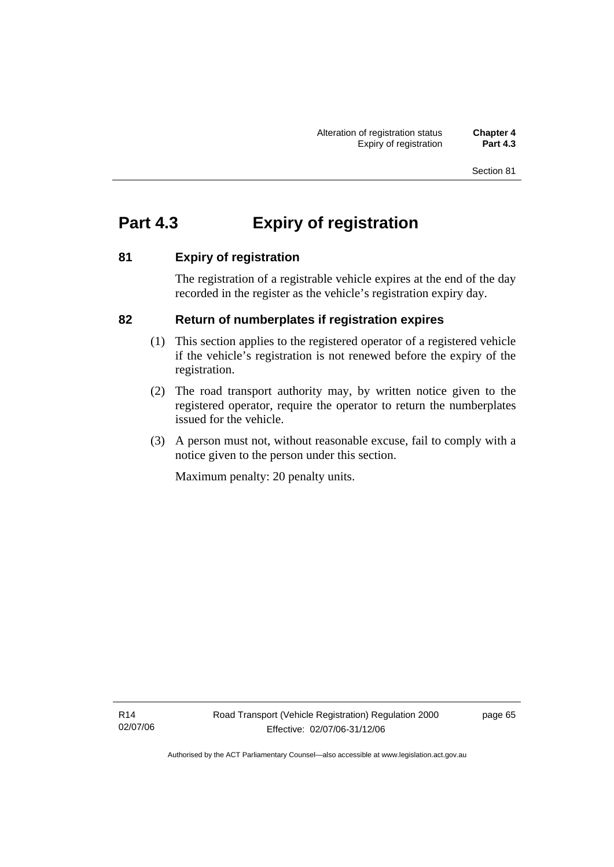# **Part 4.3 Expiry of registration**

# **81 Expiry of registration**

The registration of a registrable vehicle expires at the end of the day recorded in the register as the vehicle's registration expiry day.

# **82 Return of numberplates if registration expires**

- (1) This section applies to the registered operator of a registered vehicle if the vehicle's registration is not renewed before the expiry of the registration.
- (2) The road transport authority may, by written notice given to the registered operator, require the operator to return the numberplates issued for the vehicle.
- (3) A person must not, without reasonable excuse, fail to comply with a notice given to the person under this section.

Maximum penalty: 20 penalty units.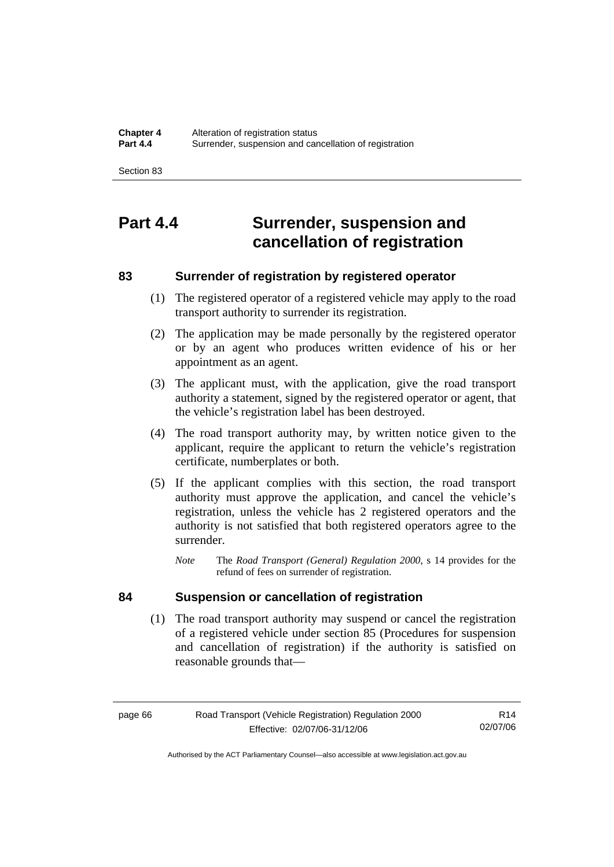# **Part 4.4 Surrender, suspension and cancellation of registration**

## **83 Surrender of registration by registered operator**

- (1) The registered operator of a registered vehicle may apply to the road transport authority to surrender its registration.
- (2) The application may be made personally by the registered operator or by an agent who produces written evidence of his or her appointment as an agent.
- (3) The applicant must, with the application, give the road transport authority a statement, signed by the registered operator or agent, that the vehicle's registration label has been destroyed.
- (4) The road transport authority may, by written notice given to the applicant, require the applicant to return the vehicle's registration certificate, numberplates or both.
- (5) If the applicant complies with this section, the road transport authority must approve the application, and cancel the vehicle's registration, unless the vehicle has 2 registered operators and the authority is not satisfied that both registered operators agree to the surrender.
	- *Note* The *Road Transport (General) Regulation 2000*, s 14 provides for the refund of fees on surrender of registration.

#### **84 Suspension or cancellation of registration**

 (1) The road transport authority may suspend or cancel the registration of a registered vehicle under section 85 (Procedures for suspension and cancellation of registration) if the authority is satisfied on reasonable grounds that—

R14 02/07/06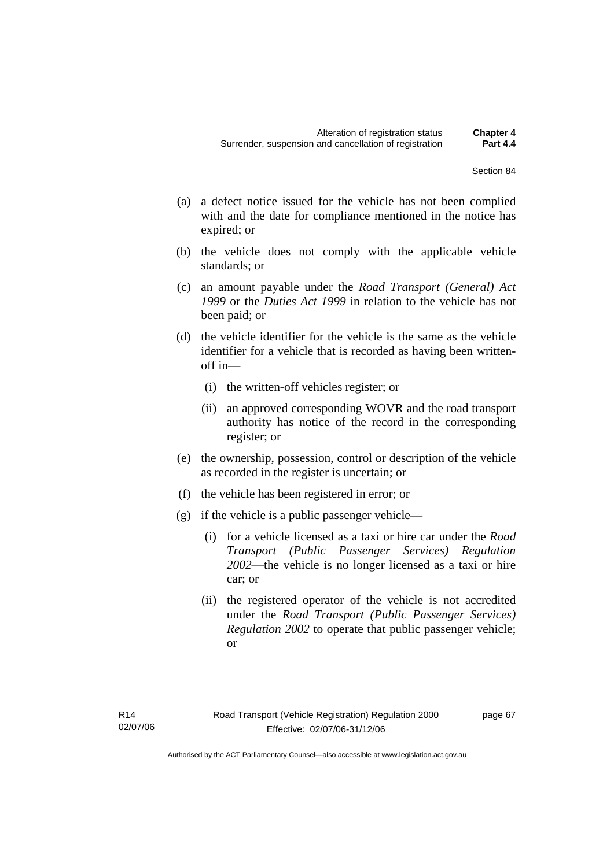- (a) a defect notice issued for the vehicle has not been complied with and the date for compliance mentioned in the notice has expired; or
- (b) the vehicle does not comply with the applicable vehicle standards; or
- (c) an amount payable under the *Road Transport (General) Act 1999* or the *Duties Act 1999* in relation to the vehicle has not been paid; or
- (d) the vehicle identifier for the vehicle is the same as the vehicle identifier for a vehicle that is recorded as having been writtenoff in—
	- (i) the written-off vehicles register; or
	- (ii) an approved corresponding WOVR and the road transport authority has notice of the record in the corresponding register; or
- (e) the ownership, possession, control or description of the vehicle as recorded in the register is uncertain; or
- (f) the vehicle has been registered in error; or
- (g) if the vehicle is a public passenger vehicle—
	- (i) for a vehicle licensed as a taxi or hire car under the *Road Transport (Public Passenger Services) Regulation 2002*—the vehicle is no longer licensed as a taxi or hire car; or
	- (ii) the registered operator of the vehicle is not accredited under the *Road Transport (Public Passenger Services) Regulation 2002* to operate that public passenger vehicle; or

page 67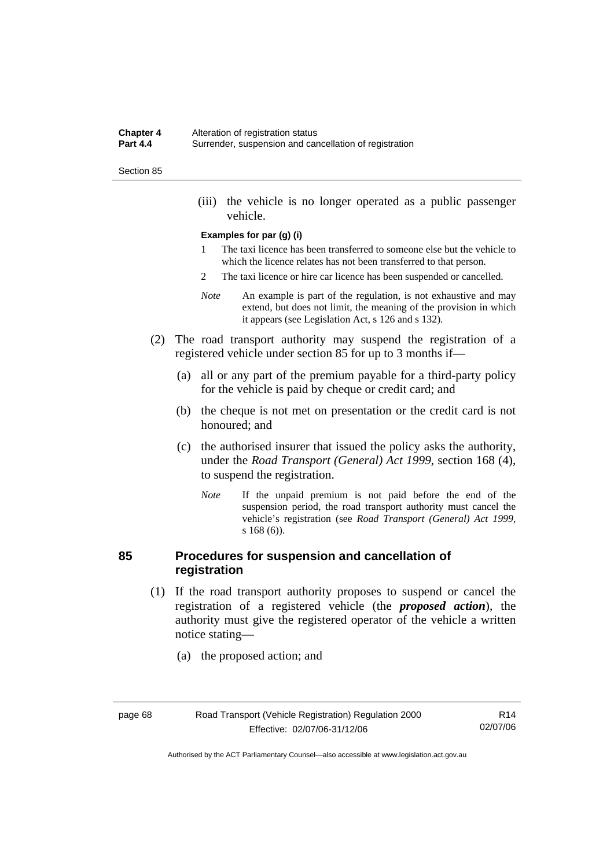#### **Chapter 4** Alteration of registration status<br>**Part 4.4** Surrender suspension and can **Part 4.4** Surrender, suspension and cancellation of registration

#### Section 85

 (iii) the vehicle is no longer operated as a public passenger vehicle.

#### **Examples for par (g) (i)**

- 1 The taxi licence has been transferred to someone else but the vehicle to which the licence relates has not been transferred to that person.
- 2 The taxi licence or hire car licence has been suspended or cancelled.
- *Note* An example is part of the regulation, is not exhaustive and may extend, but does not limit, the meaning of the provision in which it appears (see Legislation Act, s 126 and s 132).
- (2) The road transport authority may suspend the registration of a registered vehicle under section 85 for up to 3 months if—
	- (a) all or any part of the premium payable for a third-party policy for the vehicle is paid by cheque or credit card; and
	- (b) the cheque is not met on presentation or the credit card is not honoured; and
	- (c) the authorised insurer that issued the policy asks the authority, under the *Road Transport (General) Act 1999*, section 168 (4), to suspend the registration.
		- *Note* If the unpaid premium is not paid before the end of the suspension period, the road transport authority must cancel the vehicle's registration (see *Road Transport (General) Act 1999*, s 168 (6)).

#### **85 Procedures for suspension and cancellation of registration**

- (1) If the road transport authority proposes to suspend or cancel the registration of a registered vehicle (the *proposed action*), the authority must give the registered operator of the vehicle a written notice stating—
	- (a) the proposed action; and

| page 68 |
|---------|
|---------|

R14 02/07/06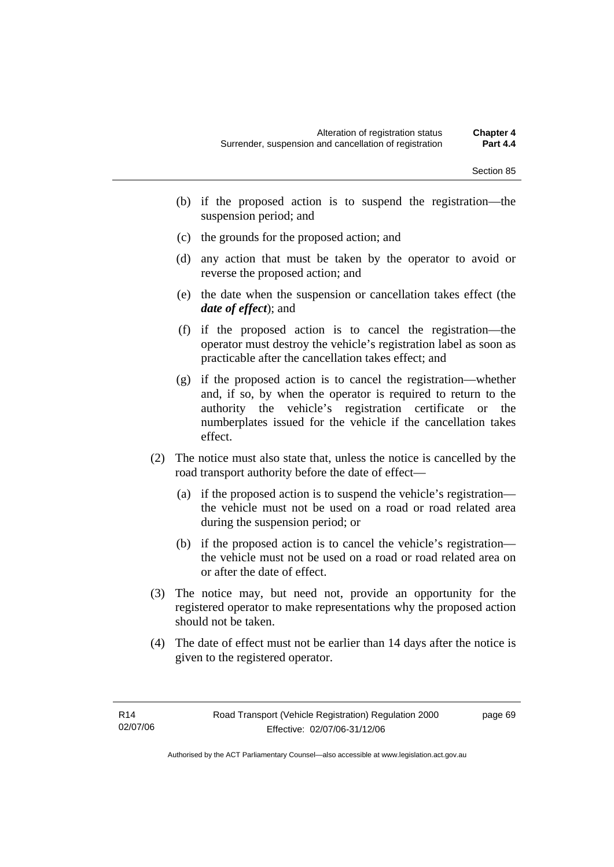- (b) if the proposed action is to suspend the registration—the suspension period; and
- (c) the grounds for the proposed action; and
- (d) any action that must be taken by the operator to avoid or reverse the proposed action; and
- (e) the date when the suspension or cancellation takes effect (the *date of effect*); and
- (f) if the proposed action is to cancel the registration—the operator must destroy the vehicle's registration label as soon as practicable after the cancellation takes effect; and
- (g) if the proposed action is to cancel the registration—whether and, if so, by when the operator is required to return to the authority the vehicle's registration certificate or the numberplates issued for the vehicle if the cancellation takes effect.
- (2) The notice must also state that, unless the notice is cancelled by the road transport authority before the date of effect—
	- (a) if the proposed action is to suspend the vehicle's registration the vehicle must not be used on a road or road related area during the suspension period; or
	- (b) if the proposed action is to cancel the vehicle's registration the vehicle must not be used on a road or road related area on or after the date of effect.
- (3) The notice may, but need not, provide an opportunity for the registered operator to make representations why the proposed action should not be taken.
- (4) The date of effect must not be earlier than 14 days after the notice is given to the registered operator.

page 69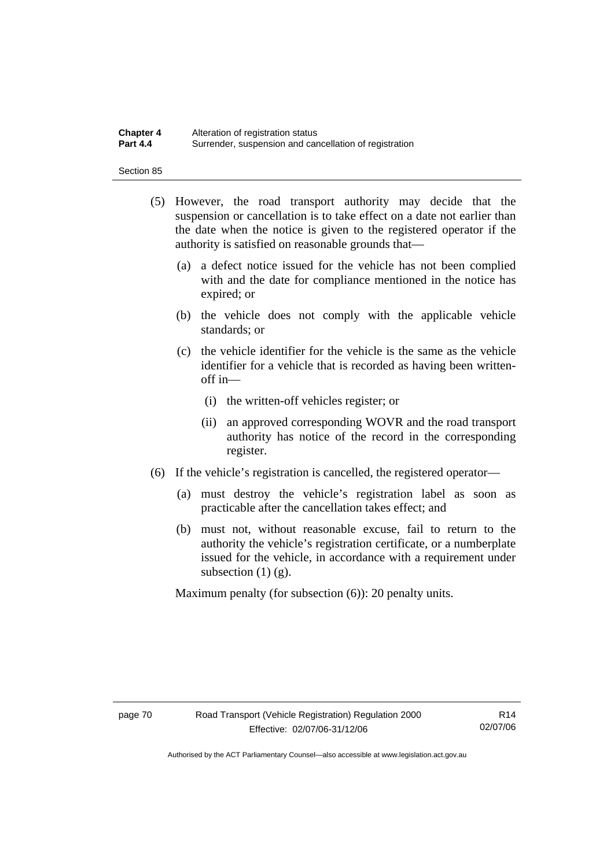#### **Chapter 4** Alteration of registration status<br>**Part 4.4** Surrender suspension and can **Part 4.4** Surrender, suspension and cancellation of registration

Section 85

- (5) However, the road transport authority may decide that the suspension or cancellation is to take effect on a date not earlier than the date when the notice is given to the registered operator if the authority is satisfied on reasonable grounds that—
	- (a) a defect notice issued for the vehicle has not been complied with and the date for compliance mentioned in the notice has expired; or
	- (b) the vehicle does not comply with the applicable vehicle standards; or
	- (c) the vehicle identifier for the vehicle is the same as the vehicle identifier for a vehicle that is recorded as having been writtenoff in—
		- (i) the written-off vehicles register; or
		- (ii) an approved corresponding WOVR and the road transport authority has notice of the record in the corresponding register.
- (6) If the vehicle's registration is cancelled, the registered operator—
	- (a) must destroy the vehicle's registration label as soon as practicable after the cancellation takes effect; and
	- (b) must not, without reasonable excuse, fail to return to the authority the vehicle's registration certificate, or a numberplate issued for the vehicle, in accordance with a requirement under subsection  $(1)$   $(g)$ .

Maximum penalty (for subsection (6)): 20 penalty units.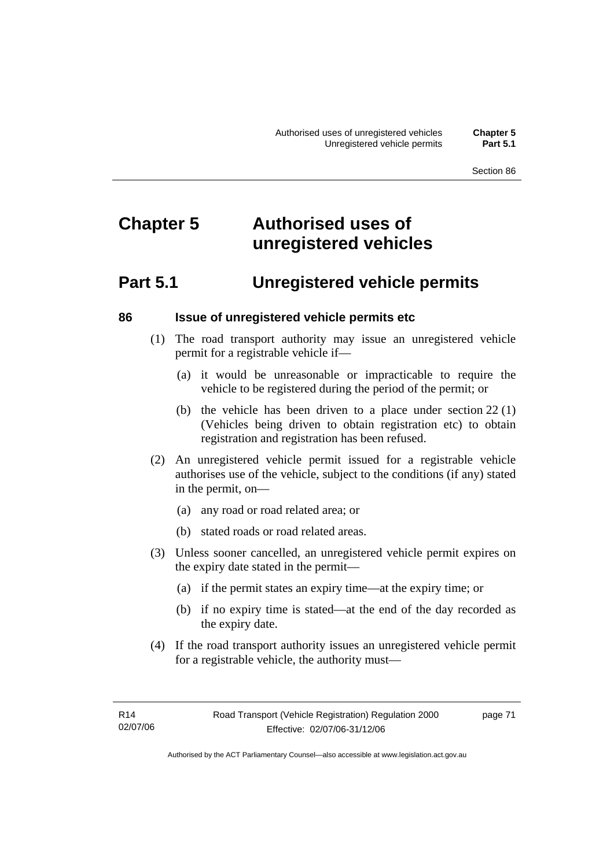# **Chapter 5 Authorised uses of unregistered vehicles**

# **Part 5.1 Unregistered vehicle permits**

#### **86 Issue of unregistered vehicle permits etc**

- (1) The road transport authority may issue an unregistered vehicle permit for a registrable vehicle if—
	- (a) it would be unreasonable or impracticable to require the vehicle to be registered during the period of the permit; or
	- (b) the vehicle has been driven to a place under section 22 (1) (Vehicles being driven to obtain registration etc) to obtain registration and registration has been refused.
- (2) An unregistered vehicle permit issued for a registrable vehicle authorises use of the vehicle, subject to the conditions (if any) stated in the permit, on—
	- (a) any road or road related area; or
	- (b) stated roads or road related areas.
- (3) Unless sooner cancelled, an unregistered vehicle permit expires on the expiry date stated in the permit—
	- (a) if the permit states an expiry time—at the expiry time; or
	- (b) if no expiry time is stated—at the end of the day recorded as the expiry date.
- (4) If the road transport authority issues an unregistered vehicle permit for a registrable vehicle, the authority must—

page 71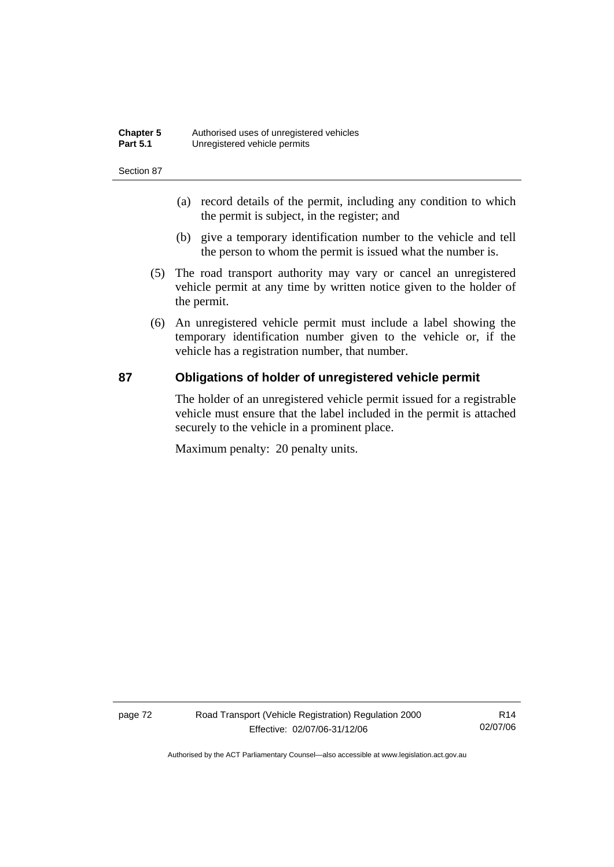| <b>Chapter 5</b> | Authorised uses of unregistered vehicles |
|------------------|------------------------------------------|
| <b>Part 5.1</b>  | Unregistered vehicle permits             |

- (a) record details of the permit, including any condition to which the permit is subject, in the register; and
- (b) give a temporary identification number to the vehicle and tell the person to whom the permit is issued what the number is.
- (5) The road transport authority may vary or cancel an unregistered vehicle permit at any time by written notice given to the holder of the permit.
- (6) An unregistered vehicle permit must include a label showing the temporary identification number given to the vehicle or, if the vehicle has a registration number, that number.

#### **87 Obligations of holder of unregistered vehicle permit**

The holder of an unregistered vehicle permit issued for a registrable vehicle must ensure that the label included in the permit is attached securely to the vehicle in a prominent place.

Maximum penalty: 20 penalty units.

page 72 Road Transport (Vehicle Registration) Regulation 2000 Effective: 02/07/06-31/12/06

R14 02/07/06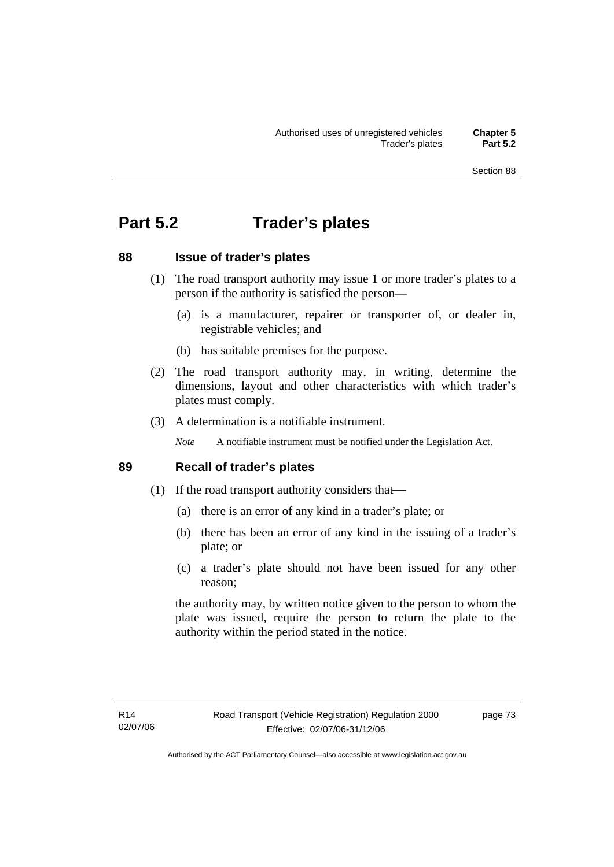# **Part 5.2 Trader's plates**

### **88 Issue of trader's plates**

- (1) The road transport authority may issue 1 or more trader's plates to a person if the authority is satisfied the person—
	- (a) is a manufacturer, repairer or transporter of, or dealer in, registrable vehicles; and
	- (b) has suitable premises for the purpose.
- (2) The road transport authority may, in writing, determine the dimensions, layout and other characteristics with which trader's plates must comply.
- (3) A determination is a notifiable instrument.

*Note* A notifiable instrument must be notified under the Legislation Act.

#### **89 Recall of trader's plates**

- (1) If the road transport authority considers that—
	- (a) there is an error of any kind in a trader's plate; or
	- (b) there has been an error of any kind in the issuing of a trader's plate; or
	- (c) a trader's plate should not have been issued for any other reason;

the authority may, by written notice given to the person to whom the plate was issued, require the person to return the plate to the authority within the period stated in the notice.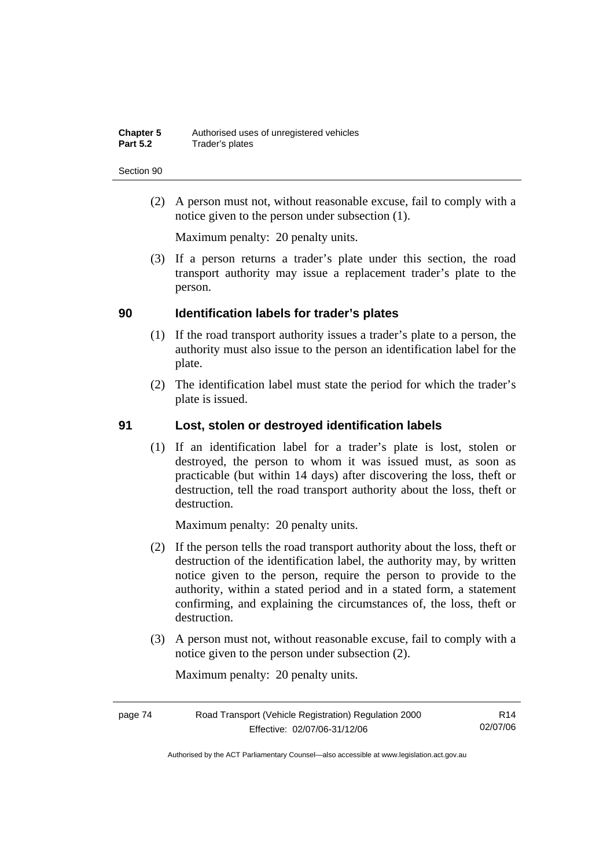(2) A person must not, without reasonable excuse, fail to comply with a notice given to the person under subsection (1).

Maximum penalty: 20 penalty units.

 (3) If a person returns a trader's plate under this section, the road transport authority may issue a replacement trader's plate to the person.

#### **90 Identification labels for trader's plates**

- (1) If the road transport authority issues a trader's plate to a person, the authority must also issue to the person an identification label for the plate.
- (2) The identification label must state the period for which the trader's plate is issued.

#### **91 Lost, stolen or destroyed identification labels**

 (1) If an identification label for a trader's plate is lost, stolen or destroyed, the person to whom it was issued must, as soon as practicable (but within 14 days) after discovering the loss, theft or destruction, tell the road transport authority about the loss, theft or destruction.

Maximum penalty: 20 penalty units.

- (2) If the person tells the road transport authority about the loss, theft or destruction of the identification label, the authority may, by written notice given to the person, require the person to provide to the authority, within a stated period and in a stated form, a statement confirming, and explaining the circumstances of, the loss, theft or destruction.
- (3) A person must not, without reasonable excuse, fail to comply with a notice given to the person under subsection (2).

Maximum penalty: 20 penalty units.

| page 74 | Road Transport (Vehicle Registration) Regulation 2000 | R14      |
|---------|-------------------------------------------------------|----------|
|         | Effective: 02/07/06-31/12/06                          | 02/07/06 |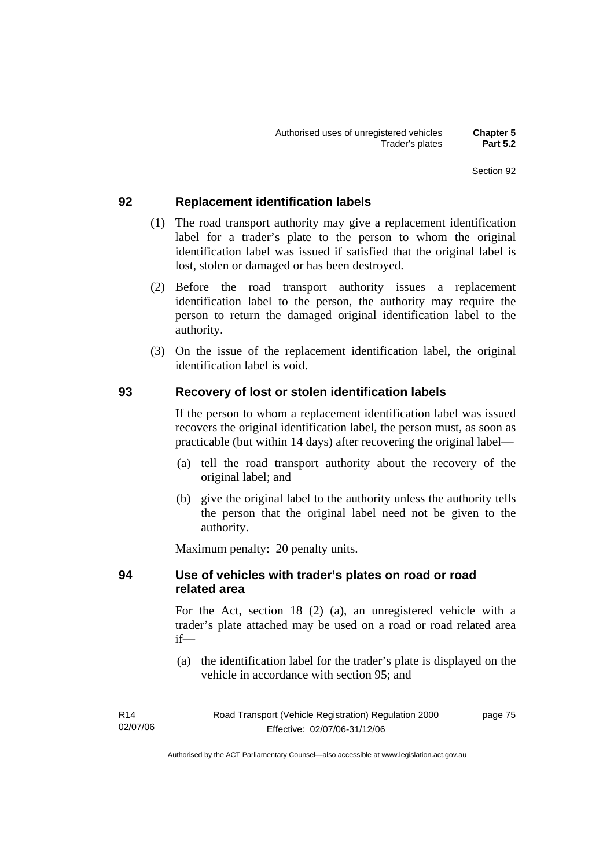#### **92 Replacement identification labels**

- (1) The road transport authority may give a replacement identification label for a trader's plate to the person to whom the original identification label was issued if satisfied that the original label is lost, stolen or damaged or has been destroyed.
- (2) Before the road transport authority issues a replacement identification label to the person, the authority may require the person to return the damaged original identification label to the authority.
- (3) On the issue of the replacement identification label, the original identification label is void.

#### **93 Recovery of lost or stolen identification labels**

If the person to whom a replacement identification label was issued recovers the original identification label, the person must, as soon as practicable (but within 14 days) after recovering the original label—

- (a) tell the road transport authority about the recovery of the original label; and
- (b) give the original label to the authority unless the authority tells the person that the original label need not be given to the authority.

Maximum penalty: 20 penalty units.

### **94 Use of vehicles with trader's plates on road or road related area**

For the Act, section 18 (2) (a), an unregistered vehicle with a trader's plate attached may be used on a road or road related area if—

 (a) the identification label for the trader's plate is displayed on the vehicle in accordance with section 95; and

| R14      | Road Transport (Vehicle Registration) Regulation 2000 | page 75 |
|----------|-------------------------------------------------------|---------|
| 02/07/06 | Effective: 02/07/06-31/12/06                          |         |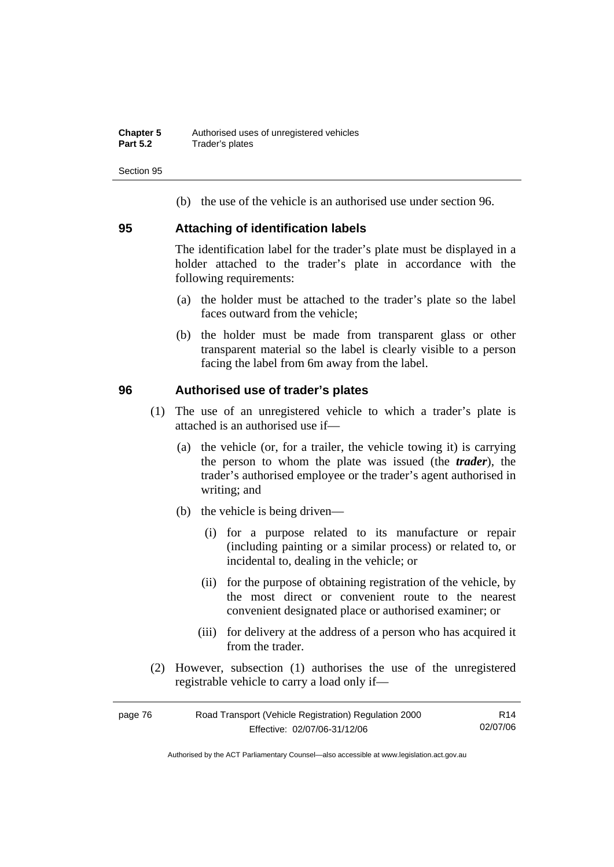(b) the use of the vehicle is an authorised use under section 96.

#### **95 Attaching of identification labels**

The identification label for the trader's plate must be displayed in a holder attached to the trader's plate in accordance with the following requirements:

- (a) the holder must be attached to the trader's plate so the label faces outward from the vehicle;
- (b) the holder must be made from transparent glass or other transparent material so the label is clearly visible to a person facing the label from 6m away from the label.

#### **96 Authorised use of trader's plates**

- (1) The use of an unregistered vehicle to which a trader's plate is attached is an authorised use if—
	- (a) the vehicle (or, for a trailer, the vehicle towing it) is carrying the person to whom the plate was issued (the *trader*), the trader's authorised employee or the trader's agent authorised in writing; and
	- (b) the vehicle is being driven—
		- (i) for a purpose related to its manufacture or repair (including painting or a similar process) or related to, or incidental to, dealing in the vehicle; or
		- (ii) for the purpose of obtaining registration of the vehicle, by the most direct or convenient route to the nearest convenient designated place or authorised examiner; or
		- (iii) for delivery at the address of a person who has acquired it from the trader.
- (2) However, subsection (1) authorises the use of the unregistered registrable vehicle to carry a load only if—

| page 76 | Road Transport (Vehicle Registration) Regulation 2000 | R <sub>14</sub> |
|---------|-------------------------------------------------------|-----------------|
|         | Effective: 02/07/06-31/12/06                          | 02/07/06        |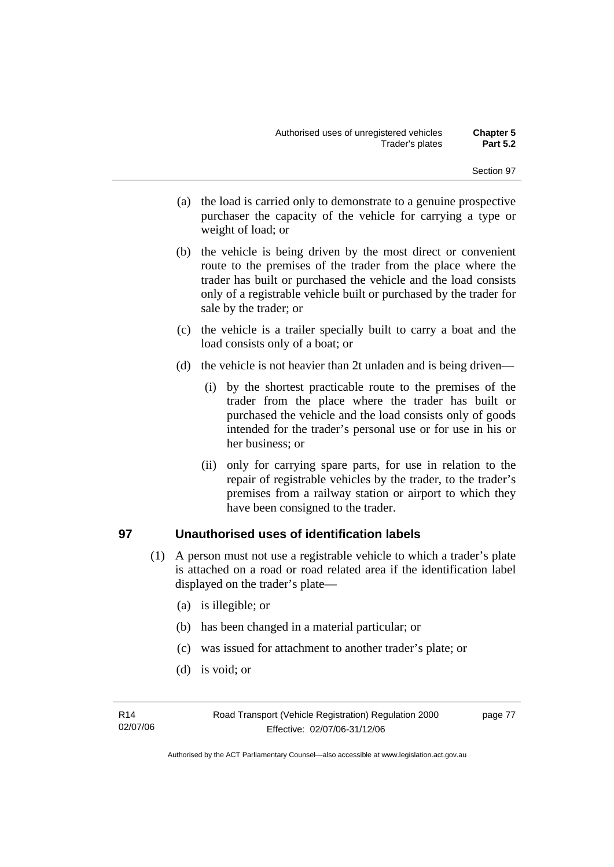- (a) the load is carried only to demonstrate to a genuine prospective purchaser the capacity of the vehicle for carrying a type or weight of load; or
- (b) the vehicle is being driven by the most direct or convenient route to the premises of the trader from the place where the trader has built or purchased the vehicle and the load consists only of a registrable vehicle built or purchased by the trader for sale by the trader; or
- (c) the vehicle is a trailer specially built to carry a boat and the load consists only of a boat; or
- (d) the vehicle is not heavier than 2t unladen and is being driven—
	- (i) by the shortest practicable route to the premises of the trader from the place where the trader has built or purchased the vehicle and the load consists only of goods intended for the trader's personal use or for use in his or her business; or
	- (ii) only for carrying spare parts, for use in relation to the repair of registrable vehicles by the trader, to the trader's premises from a railway station or airport to which they have been consigned to the trader.

## **97 Unauthorised uses of identification labels**

- (1) A person must not use a registrable vehicle to which a trader's plate is attached on a road or road related area if the identification label displayed on the trader's plate—
	- (a) is illegible; or
	- (b) has been changed in a material particular; or
	- (c) was issued for attachment to another trader's plate; or
	- (d) is void; or

page 77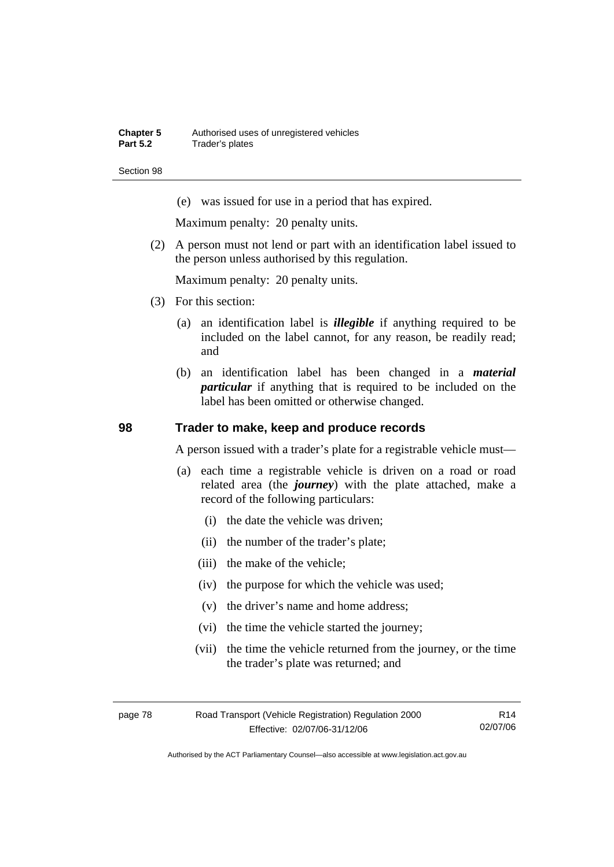(e) was issued for use in a period that has expired.

Maximum penalty: 20 penalty units.

 (2) A person must not lend or part with an identification label issued to the person unless authorised by this regulation.

Maximum penalty: 20 penalty units.

- (3) For this section:
	- (a) an identification label is *illegible* if anything required to be included on the label cannot, for any reason, be readily read; and
	- (b) an identification label has been changed in a *material particular* if anything that is required to be included on the label has been omitted or otherwise changed.

#### **98 Trader to make, keep and produce records**

A person issued with a trader's plate for a registrable vehicle must—

- (a) each time a registrable vehicle is driven on a road or road related area (the *journey*) with the plate attached, make a record of the following particulars:
	- (i) the date the vehicle was driven;
	- (ii) the number of the trader's plate;
	- (iii) the make of the vehicle;
	- (iv) the purpose for which the vehicle was used;
	- (v) the driver's name and home address;
	- (vi) the time the vehicle started the journey;
	- (vii) the time the vehicle returned from the journey, or the time the trader's plate was returned; and

| page 78 | Road Transport (Vehicle Registration) Regulation 2000 | R14      |
|---------|-------------------------------------------------------|----------|
|         | Effective: 02/07/06-31/12/06                          | 02/07/06 |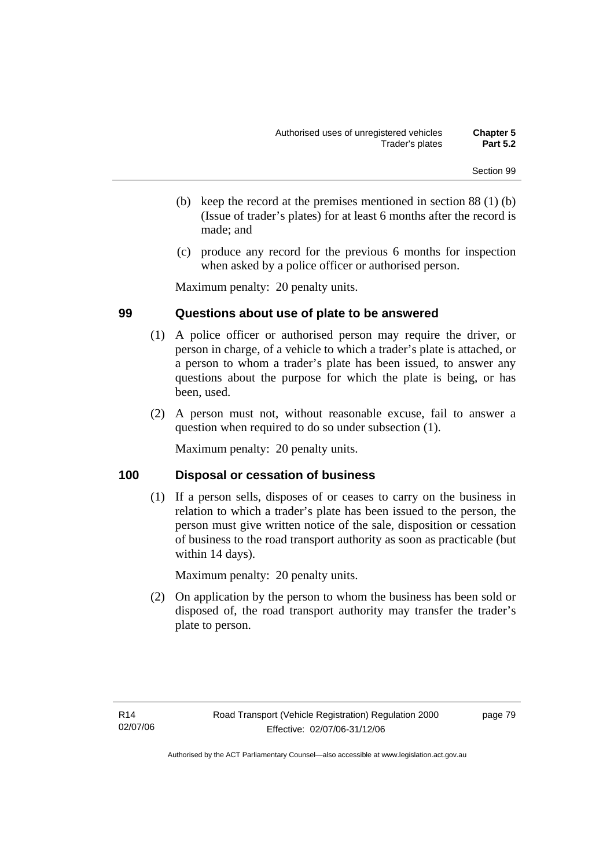- (b) keep the record at the premises mentioned in section 88 (1) (b) (Issue of trader's plates) for at least 6 months after the record is made; and
- (c) produce any record for the previous 6 months for inspection when asked by a police officer or authorised person.

Maximum penalty: 20 penalty units.

#### **99 Questions about use of plate to be answered**

- (1) A police officer or authorised person may require the driver, or person in charge, of a vehicle to which a trader's plate is attached, or a person to whom a trader's plate has been issued, to answer any questions about the purpose for which the plate is being, or has been, used.
- (2) A person must not, without reasonable excuse, fail to answer a question when required to do so under subsection (1).

Maximum penalty: 20 penalty units.

#### **100 Disposal or cessation of business**

 (1) If a person sells, disposes of or ceases to carry on the business in relation to which a trader's plate has been issued to the person, the person must give written notice of the sale, disposition or cessation of business to the road transport authority as soon as practicable (but within 14 days).

Maximum penalty: 20 penalty units.

 (2) On application by the person to whom the business has been sold or disposed of, the road transport authority may transfer the trader's plate to person.

page 79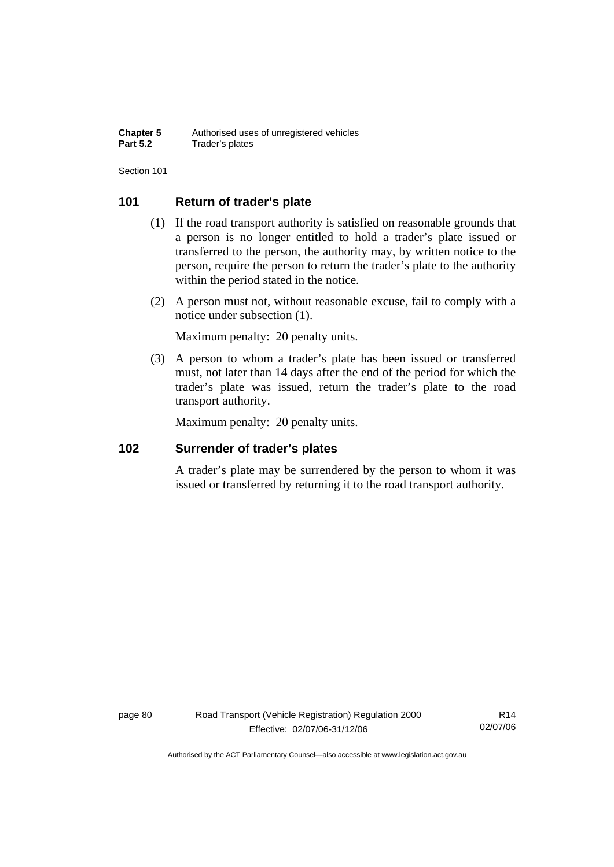### **101 Return of trader's plate**

- (1) If the road transport authority is satisfied on reasonable grounds that a person is no longer entitled to hold a trader's plate issued or transferred to the person, the authority may, by written notice to the person, require the person to return the trader's plate to the authority within the period stated in the notice.
- (2) A person must not, without reasonable excuse, fail to comply with a notice under subsection (1).

Maximum penalty: 20 penalty units.

 (3) A person to whom a trader's plate has been issued or transferred must, not later than 14 days after the end of the period for which the trader's plate was issued, return the trader's plate to the road transport authority.

Maximum penalty: 20 penalty units.

#### **102 Surrender of trader's plates**

A trader's plate may be surrendered by the person to whom it was issued or transferred by returning it to the road transport authority.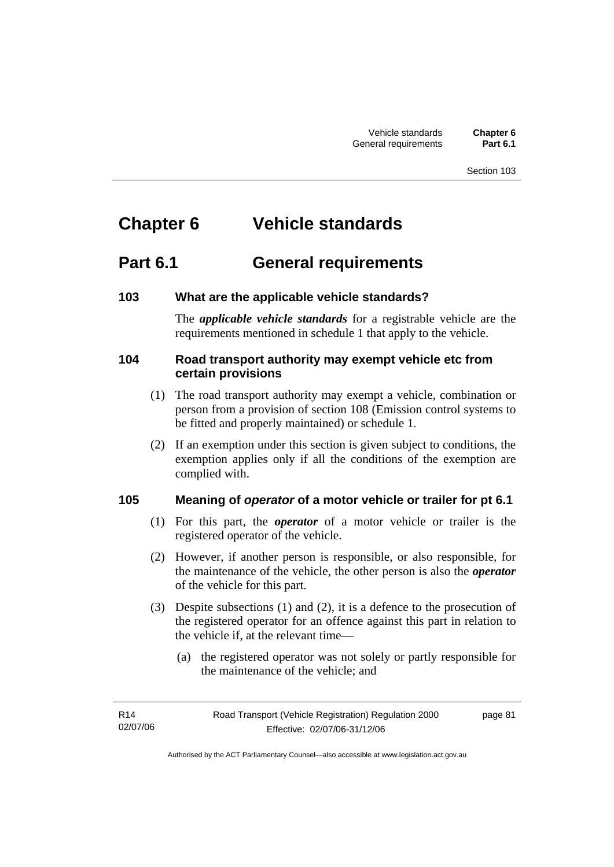# **Chapter 6 Vehicle standards**

# **Part 6.1 General requirements**

## **103 What are the applicable vehicle standards?**

The *applicable vehicle standards* for a registrable vehicle are the requirements mentioned in schedule 1 that apply to the vehicle.

### **104 Road transport authority may exempt vehicle etc from certain provisions**

- (1) The road transport authority may exempt a vehicle, combination or person from a provision of section 108 (Emission control systems to be fitted and properly maintained) or schedule 1.
- (2) If an exemption under this section is given subject to conditions, the exemption applies only if all the conditions of the exemption are complied with.

## **105 Meaning of** *operator* **of a motor vehicle or trailer for pt 6.1**

- (1) For this part, the *operator* of a motor vehicle or trailer is the registered operator of the vehicle.
- (2) However, if another person is responsible, or also responsible, for the maintenance of the vehicle, the other person is also the *operator* of the vehicle for this part.
- (3) Despite subsections (1) and (2), it is a defence to the prosecution of the registered operator for an offence against this part in relation to the vehicle if, at the relevant time—
	- (a) the registered operator was not solely or partly responsible for the maintenance of the vehicle; and

page 81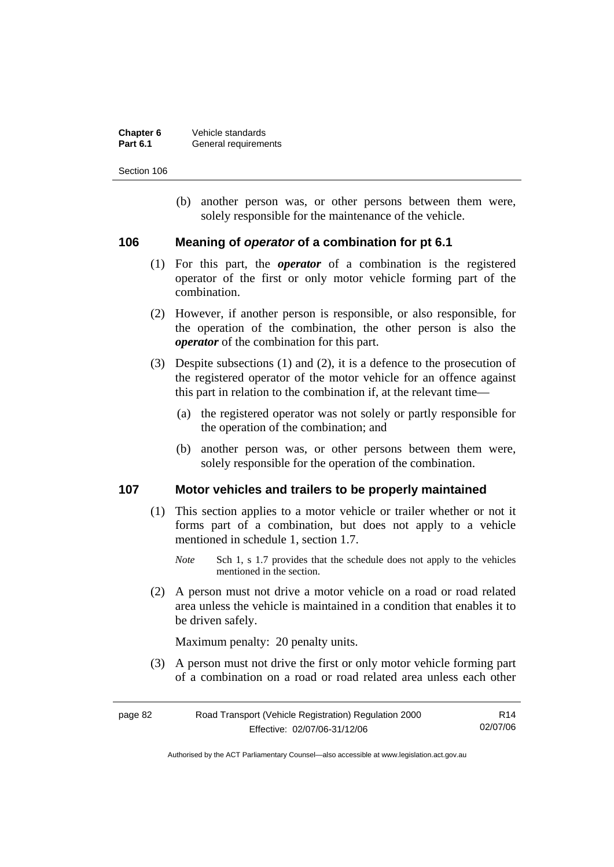| Chapter 6       | Vehicle standards    |
|-----------------|----------------------|
| <b>Part 6.1</b> | General requirements |

 (b) another person was, or other persons between them were, solely responsible for the maintenance of the vehicle.

#### **106 Meaning of** *operator* **of a combination for pt 6.1**

- (1) For this part, the *operator* of a combination is the registered operator of the first or only motor vehicle forming part of the combination.
- (2) However, if another person is responsible, or also responsible, for the operation of the combination, the other person is also the *operator* of the combination for this part.
- (3) Despite subsections (1) and (2), it is a defence to the prosecution of the registered operator of the motor vehicle for an offence against this part in relation to the combination if, at the relevant time—
	- (a) the registered operator was not solely or partly responsible for the operation of the combination; and
	- (b) another person was, or other persons between them were, solely responsible for the operation of the combination.

#### **107 Motor vehicles and trailers to be properly maintained**

- (1) This section applies to a motor vehicle or trailer whether or not it forms part of a combination, but does not apply to a vehicle mentioned in schedule 1, section 1.7.
	- *Note* Sch 1, s 1.7 provides that the schedule does not apply to the vehicles mentioned in the section.
- (2) A person must not drive a motor vehicle on a road or road related area unless the vehicle is maintained in a condition that enables it to be driven safely.

Maximum penalty: 20 penalty units.

 (3) A person must not drive the first or only motor vehicle forming part of a combination on a road or road related area unless each other

| page 82 | Road Transport (Vehicle Registration) Regulation 2000 | R14      |
|---------|-------------------------------------------------------|----------|
|         | Effective: 02/07/06-31/12/06                          | 02/07/06 |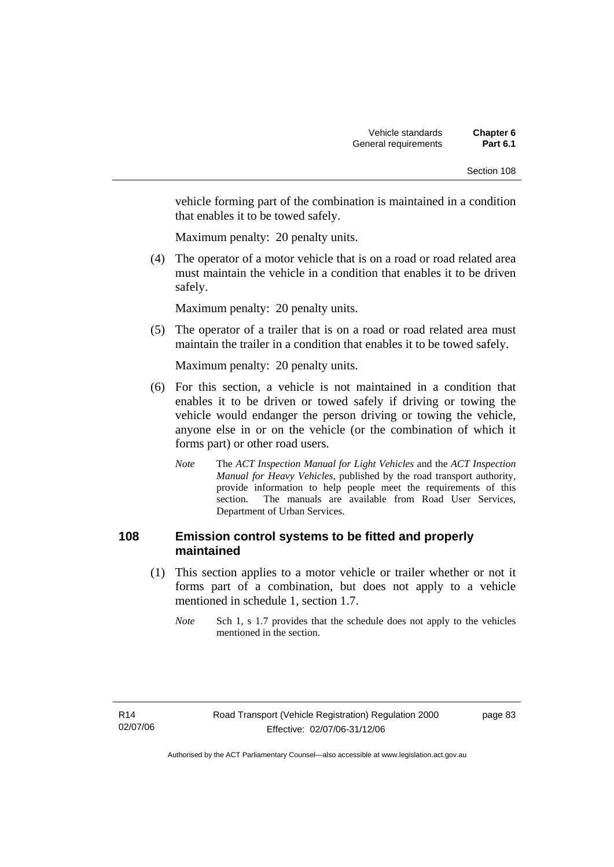vehicle forming part of the combination is maintained in a condition that enables it to be towed safely.

Maximum penalty: 20 penalty units.

 (4) The operator of a motor vehicle that is on a road or road related area must maintain the vehicle in a condition that enables it to be driven safely.

Maximum penalty: 20 penalty units.

 (5) The operator of a trailer that is on a road or road related area must maintain the trailer in a condition that enables it to be towed safely.

Maximum penalty: 20 penalty units.

- (6) For this section, a vehicle is not maintained in a condition that enables it to be driven or towed safely if driving or towing the vehicle would endanger the person driving or towing the vehicle, anyone else in or on the vehicle (or the combination of which it forms part) or other road users.
	- *Note* The *ACT Inspection Manual for Light Vehicles* and the *ACT Inspection Manual for Heavy Vehicles*, published by the road transport authority, provide information to help people meet the requirements of this section. The manuals are available from Road User Services, Department of Urban Services.

### **108 Emission control systems to be fitted and properly maintained**

- (1) This section applies to a motor vehicle or trailer whether or not it forms part of a combination, but does not apply to a vehicle mentioned in schedule 1, section 1.7.
	- *Note* Sch 1, s 1.7 provides that the schedule does not apply to the vehicles mentioned in the section.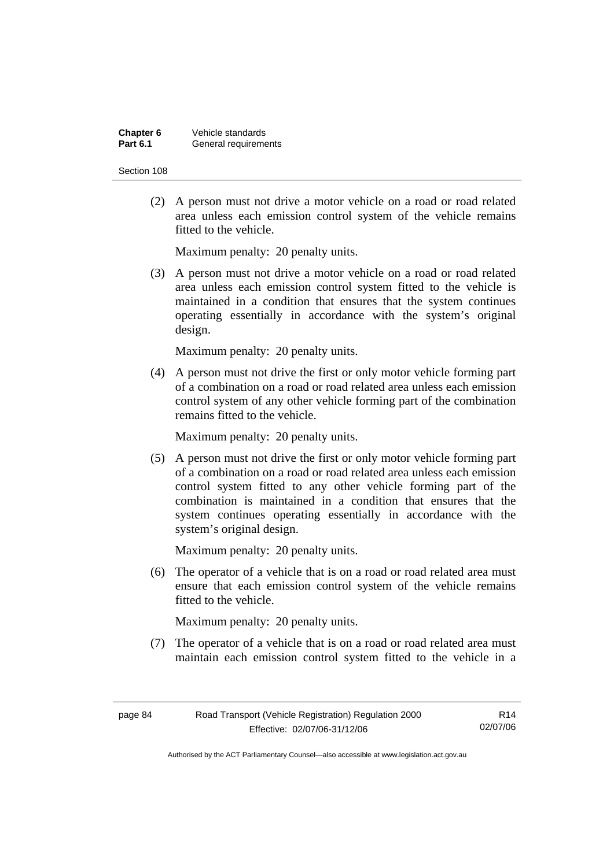| Chapter 6       | Vehicle standards    |
|-----------------|----------------------|
| <b>Part 6.1</b> | General requirements |

 (2) A person must not drive a motor vehicle on a road or road related area unless each emission control system of the vehicle remains fitted to the vehicle.

Maximum penalty: 20 penalty units.

 (3) A person must not drive a motor vehicle on a road or road related area unless each emission control system fitted to the vehicle is maintained in a condition that ensures that the system continues operating essentially in accordance with the system's original design.

Maximum penalty: 20 penalty units.

 (4) A person must not drive the first or only motor vehicle forming part of a combination on a road or road related area unless each emission control system of any other vehicle forming part of the combination remains fitted to the vehicle.

Maximum penalty: 20 penalty units.

 (5) A person must not drive the first or only motor vehicle forming part of a combination on a road or road related area unless each emission control system fitted to any other vehicle forming part of the combination is maintained in a condition that ensures that the system continues operating essentially in accordance with the system's original design.

Maximum penalty: 20 penalty units.

 (6) The operator of a vehicle that is on a road or road related area must ensure that each emission control system of the vehicle remains fitted to the vehicle.

Maximum penalty: 20 penalty units.

 (7) The operator of a vehicle that is on a road or road related area must maintain each emission control system fitted to the vehicle in a

R14 02/07/06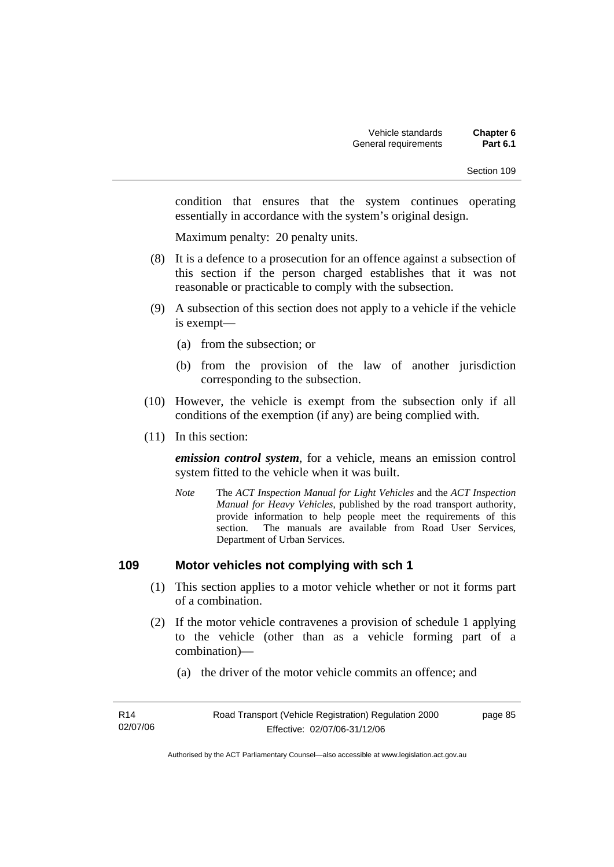condition that ensures that the system continues operating essentially in accordance with the system's original design.

Maximum penalty: 20 penalty units.

- (8) It is a defence to a prosecution for an offence against a subsection of this section if the person charged establishes that it was not reasonable or practicable to comply with the subsection.
- (9) A subsection of this section does not apply to a vehicle if the vehicle is exempt—
	- (a) from the subsection; or
	- (b) from the provision of the law of another jurisdiction corresponding to the subsection.
- (10) However, the vehicle is exempt from the subsection only if all conditions of the exemption (if any) are being complied with.
- (11) In this section:

*emission control system*, for a vehicle, means an emission control system fitted to the vehicle when it was built.

*Note* The *ACT Inspection Manual for Light Vehicles* and the *ACT Inspection Manual for Heavy Vehicles*, published by the road transport authority, provide information to help people meet the requirements of this section. The manuals are available from Road User Services, Department of Urban Services.

#### **109 Motor vehicles not complying with sch 1**

- (1) This section applies to a motor vehicle whether or not it forms part of a combination.
- (2) If the motor vehicle contravenes a provision of schedule 1 applying to the vehicle (other than as a vehicle forming part of a combination)—
	- (a) the driver of the motor vehicle commits an offence; and

| R14      | Road Transport (Vehicle Registration) Regulation 2000 | page 85 |
|----------|-------------------------------------------------------|---------|
| 02/07/06 | Effective: 02/07/06-31/12/06                          |         |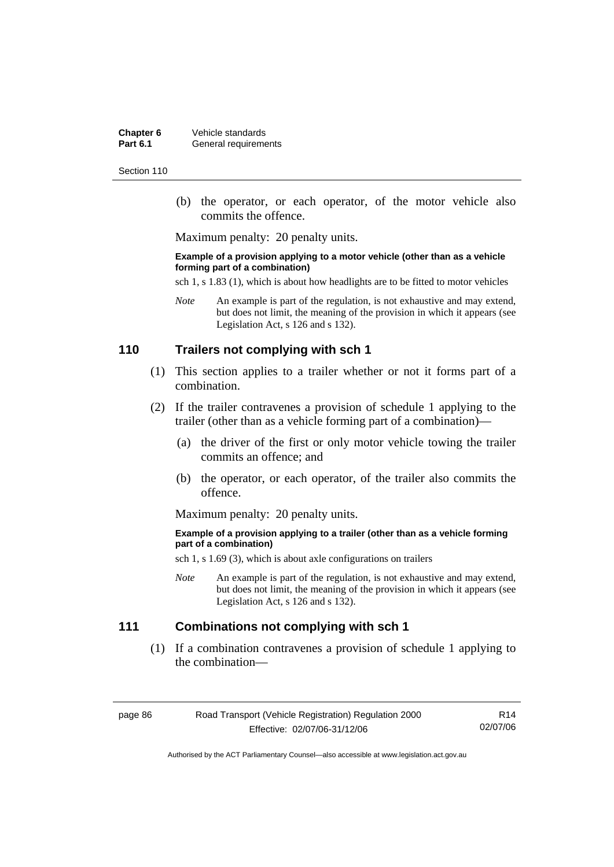**Chapter 6** Vehicle standards<br>**Part 6.1** General requirement **General requirements** 

Section 110

 (b) the operator, or each operator, of the motor vehicle also commits the offence.

Maximum penalty: 20 penalty units.

#### **Example of a provision applying to a motor vehicle (other than as a vehicle forming part of a combination)**

sch 1, s 1.83 (1), which is about how headlights are to be fitted to motor vehicles

*Note* An example is part of the regulation, is not exhaustive and may extend, but does not limit, the meaning of the provision in which it appears (see Legislation Act, s 126 and s 132).

#### **110 Trailers not complying with sch 1**

- (1) This section applies to a trailer whether or not it forms part of a combination.
- (2) If the trailer contravenes a provision of schedule 1 applying to the trailer (other than as a vehicle forming part of a combination)—
	- (a) the driver of the first or only motor vehicle towing the trailer commits an offence; and
	- (b) the operator, or each operator, of the trailer also commits the offence.

Maximum penalty: 20 penalty units.

#### **Example of a provision applying to a trailer (other than as a vehicle forming part of a combination)**

sch 1, s 1.69 (3), which is about axle configurations on trailers

*Note* An example is part of the regulation, is not exhaustive and may extend, but does not limit, the meaning of the provision in which it appears (see Legislation Act, s 126 and s 132).

# **111 Combinations not complying with sch 1**

 (1) If a combination contravenes a provision of schedule 1 applying to the combination—

page 86 Road Transport (Vehicle Registration) Regulation 2000 Effective: 02/07/06-31/12/06

R14 02/07/06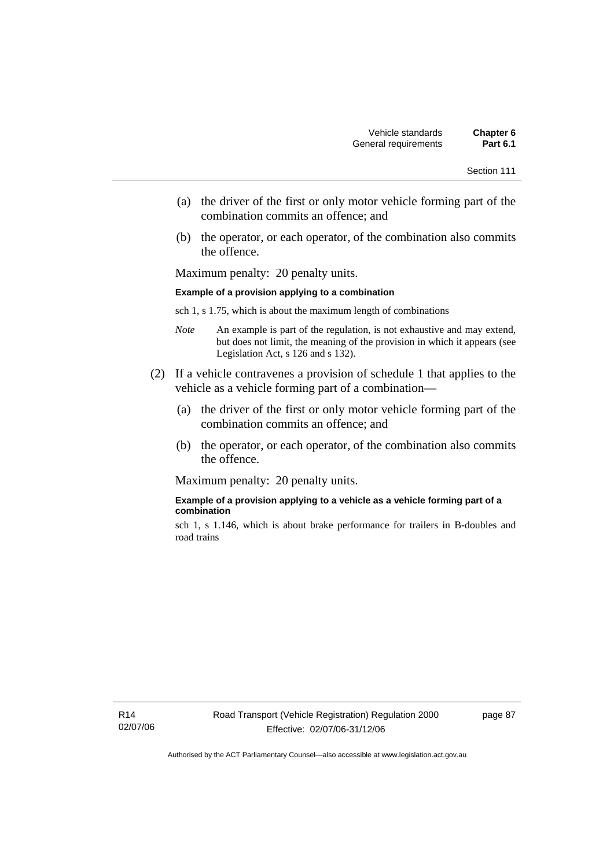- (a) the driver of the first or only motor vehicle forming part of the combination commits an offence; and
- (b) the operator, or each operator, of the combination also commits the offence.

Maximum penalty: 20 penalty units.

#### **Example of a provision applying to a combination**

sch 1, s 1.75, which is about the maximum length of combinations

- *Note* An example is part of the regulation, is not exhaustive and may extend, but does not limit, the meaning of the provision in which it appears (see Legislation Act, s 126 and s 132).
- (2) If a vehicle contravenes a provision of schedule 1 that applies to the vehicle as a vehicle forming part of a combination—
	- (a) the driver of the first or only motor vehicle forming part of the combination commits an offence; and
	- (b) the operator, or each operator, of the combination also commits the offence.

Maximum penalty: 20 penalty units.

#### **Example of a provision applying to a vehicle as a vehicle forming part of a combination**

sch 1, s 1.146, which is about brake performance for trailers in B-doubles and road trains

page 87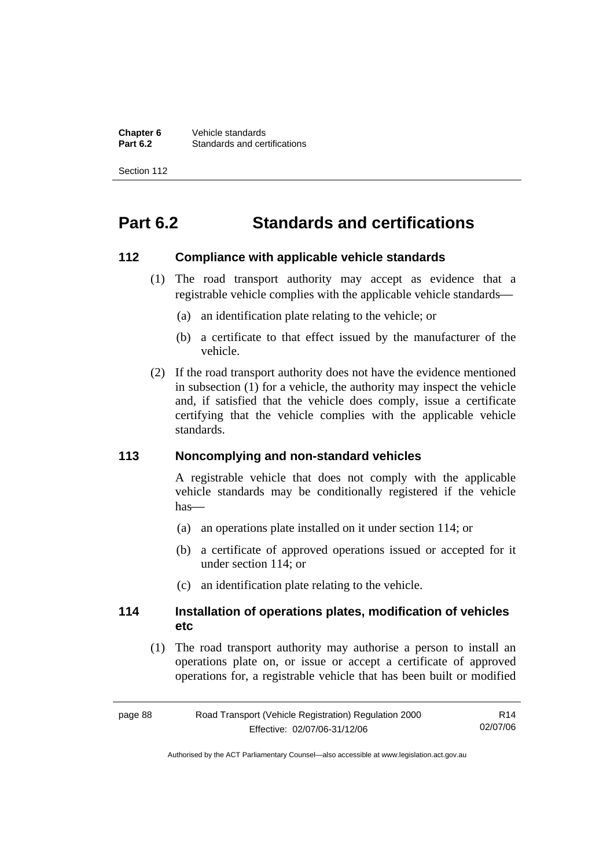**Chapter 6** Vehicle standards<br>**Part 6.2** Standards and cer-**Standards and certifications** 

Section 112

# **Part 6.2 Standards and certifications**

#### **112 Compliance with applicable vehicle standards**

- (1) The road transport authority may accept as evidence that a registrable vehicle complies with the applicable vehicle standards—
	- (a) an identification plate relating to the vehicle; or
	- (b) a certificate to that effect issued by the manufacturer of the vehicle.
- (2) If the road transport authority does not have the evidence mentioned in subsection (1) for a vehicle, the authority may inspect the vehicle and, if satisfied that the vehicle does comply, issue a certificate certifying that the vehicle complies with the applicable vehicle standards.

#### **113 Noncomplying and non-standard vehicles**

A registrable vehicle that does not comply with the applicable vehicle standards may be conditionally registered if the vehicle  $has$ —

- (a) an operations plate installed on it under section 114; or
- (b) a certificate of approved operations issued or accepted for it under section 114; or
- (c) an identification plate relating to the vehicle.

#### **114 Installation of operations plates, modification of vehicles etc**

 (1) The road transport authority may authorise a person to install an operations plate on, or issue or accept a certificate of approved operations for, a registrable vehicle that has been built or modified

| page 88 | Road Transport (Vehicle Registration) Regulation 2000 | R14      |
|---------|-------------------------------------------------------|----------|
|         | Effective: 02/07/06-31/12/06                          | 02/07/06 |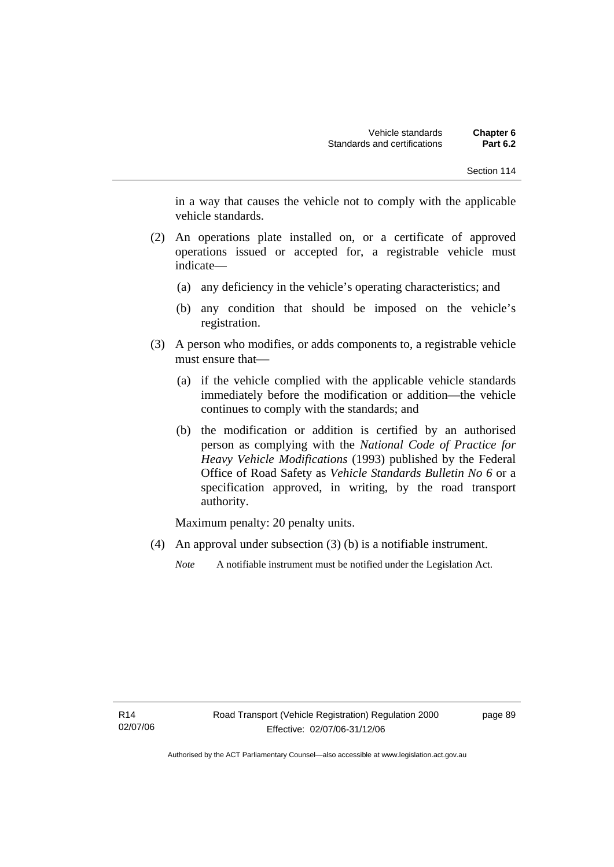in a way that causes the vehicle not to comply with the applicable vehicle standards.

- (2) An operations plate installed on, or a certificate of approved operations issued or accepted for, a registrable vehicle must indicate—
	- (a) any deficiency in the vehicle's operating characteristics; and
	- (b) any condition that should be imposed on the vehicle's registration.
- (3) A person who modifies, or adds components to, a registrable vehicle must ensure that—
	- (a) if the vehicle complied with the applicable vehicle standards immediately before the modification or addition—the vehicle continues to comply with the standards; and
	- (b) the modification or addition is certified by an authorised person as complying with the *National Code of Practice for Heavy Vehicle Modifications* (1993) published by the Federal Office of Road Safety as *Vehicle Standards Bulletin No 6* or a specification approved, in writing, by the road transport authority.

Maximum penalty: 20 penalty units.

(4) An approval under subsection (3) (b) is a notifiable instrument.

*Note* A notifiable instrument must be notified under the Legislation Act.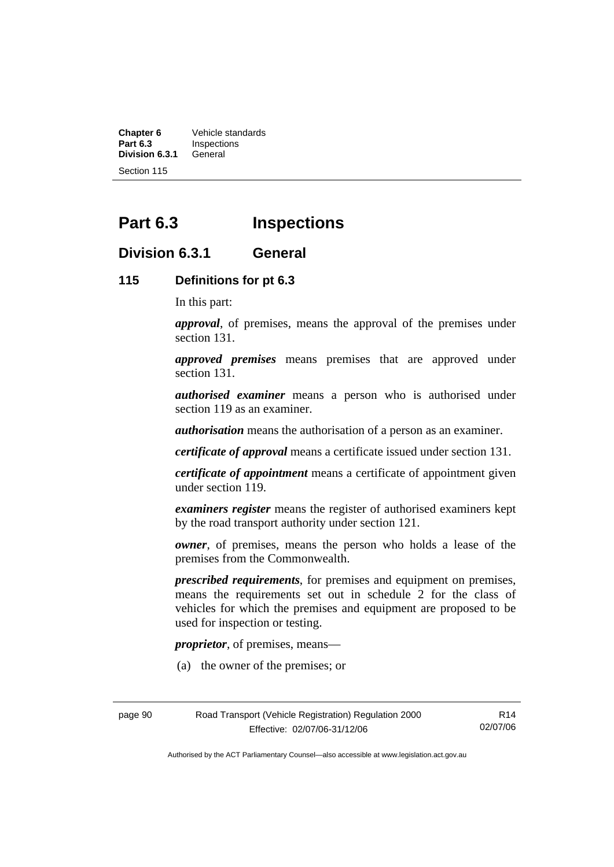**Chapter 6** Vehicle standards<br>**Part 6.3** Inspections **Inspections**<br>General **Division 6.3.1** 

Section 115

# **Part 6.3 Inspections**

### **Division 6.3.1 General**

### **115 Definitions for pt 6.3**

In this part:

*approval*, of premises, means the approval of the premises under section 131.

*approved premises* means premises that are approved under section 131.

*authorised examiner* means a person who is authorised under section 119 as an examiner.

*authorisation* means the authorisation of a person as an examiner.

*certificate of approval* means a certificate issued under section 131.

*certificate of appointment* means a certificate of appointment given under section 119.

*examiners register* means the register of authorised examiners kept by the road transport authority under section 121.

*owner*, of premises, means the person who holds a lease of the premises from the Commonwealth.

*prescribed requirements*, for premises and equipment on premises, means the requirements set out in schedule 2 for the class of vehicles for which the premises and equipment are proposed to be used for inspection or testing.

*proprietor*, of premises, means—

(a) the owner of the premises; or

page 90 Road Transport (Vehicle Registration) Regulation 2000 Effective: 02/07/06-31/12/06

R14 02/07/06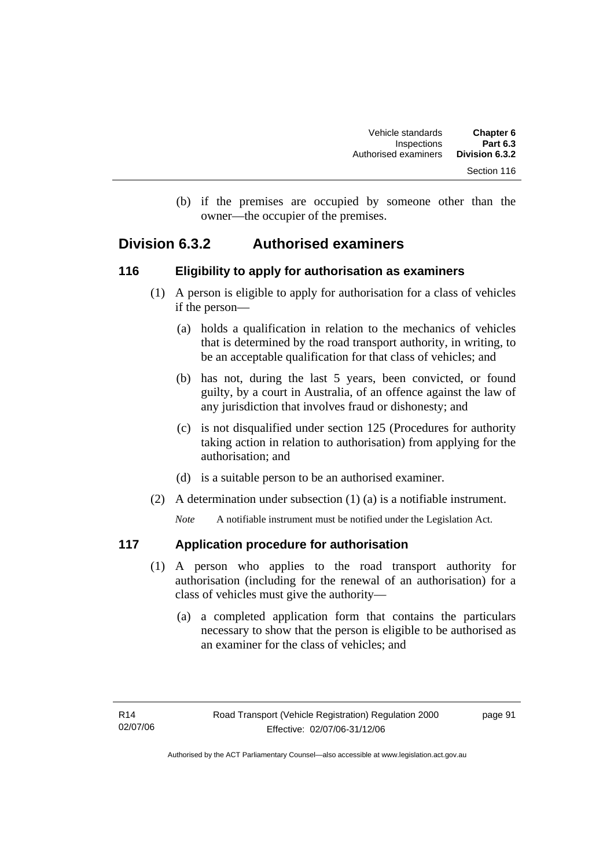(b) if the premises are occupied by someone other than the owner—the occupier of the premises.

### **Division 6.3.2 Authorised examiners**

### **116 Eligibility to apply for authorisation as examiners**

- (1) A person is eligible to apply for authorisation for a class of vehicles if the person—
	- (a) holds a qualification in relation to the mechanics of vehicles that is determined by the road transport authority, in writing, to be an acceptable qualification for that class of vehicles; and
	- (b) has not, during the last 5 years, been convicted, or found guilty, by a court in Australia, of an offence against the law of any jurisdiction that involves fraud or dishonesty; and
	- (c) is not disqualified under section 125 (Procedures for authority taking action in relation to authorisation) from applying for the authorisation; and
	- (d) is a suitable person to be an authorised examiner.
- (2) A determination under subsection (1) (a) is a notifiable instrument.

*Note* A notifiable instrument must be notified under the Legislation Act.

### **117 Application procedure for authorisation**

- (1) A person who applies to the road transport authority for authorisation (including for the renewal of an authorisation) for a class of vehicles must give the authority—
	- (a) a completed application form that contains the particulars necessary to show that the person is eligible to be authorised as an examiner for the class of vehicles; and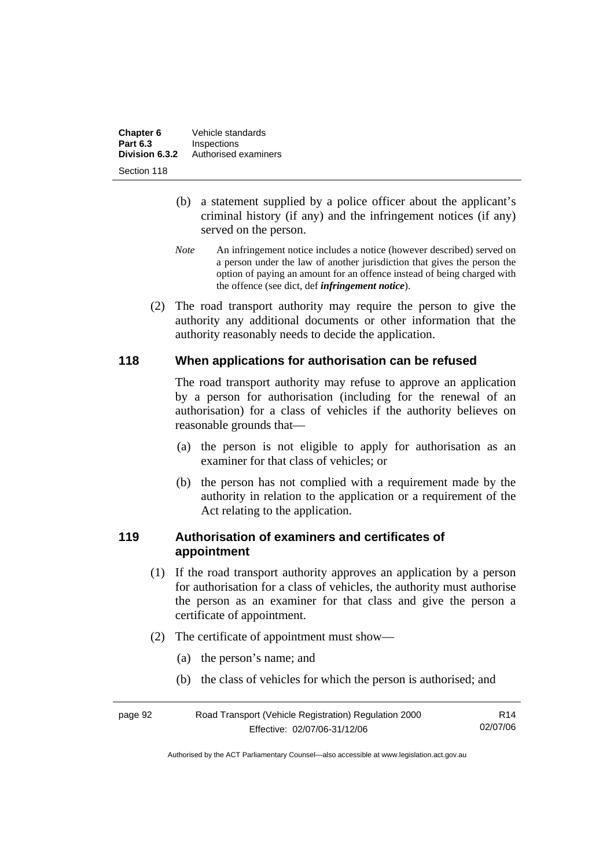| Chapter 6<br><b>Part 6.3</b> | Vehicle standards                   |
|------------------------------|-------------------------------------|
| Division 6.3.2               | Inspections<br>Authorised examiners |
| Section 118                  |                                     |

- (b) a statement supplied by a police officer about the applicant's criminal history (if any) and the infringement notices (if any) served on the person.
- *Note* An infringement notice includes a notice (however described) served on a person under the law of another jurisdiction that gives the person the option of paying an amount for an offence instead of being charged with the offence (see dict, def *infringement notice*).
- (2) The road transport authority may require the person to give the authority any additional documents or other information that the authority reasonably needs to decide the application.

### **118 When applications for authorisation can be refused**

The road transport authority may refuse to approve an application by a person for authorisation (including for the renewal of an authorisation) for a class of vehicles if the authority believes on reasonable grounds that—

- (a) the person is not eligible to apply for authorisation as an examiner for that class of vehicles; or
- (b) the person has not complied with a requirement made by the authority in relation to the application or a requirement of the Act relating to the application.

### **119 Authorisation of examiners and certificates of appointment**

- (1) If the road transport authority approves an application by a person for authorisation for a class of vehicles, the authority must authorise the person as an examiner for that class and give the person a certificate of appointment.
- (2) The certificate of appointment must show—
	- (a) the person's name; and
	- (b) the class of vehicles for which the person is authorised; and

| page 92 | Road Transport (Vehicle Registration) Regulation 2000 |          |
|---------|-------------------------------------------------------|----------|
|         | Effective: 02/07/06-31/12/06                          | 02/07/06 |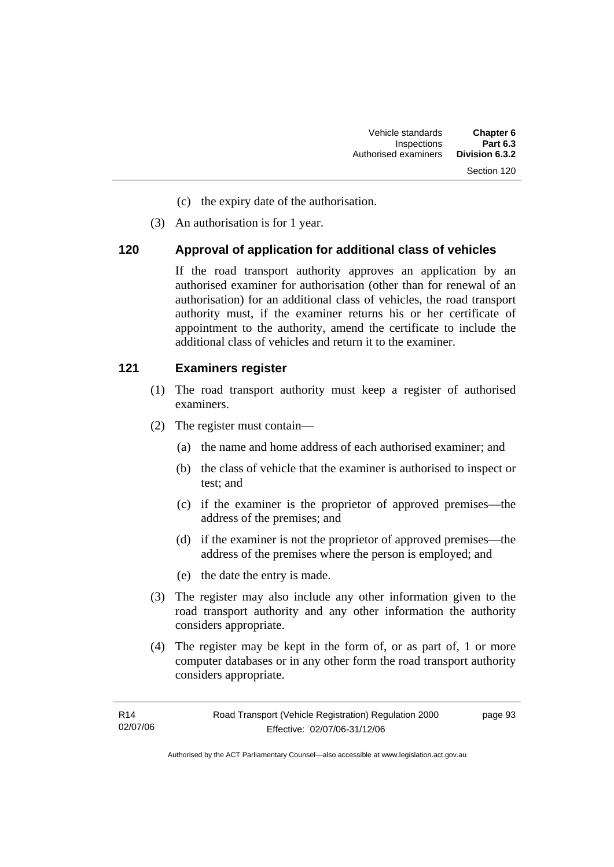- Section 120
- (c) the expiry date of the authorisation.
- (3) An authorisation is for 1 year.

### **120 Approval of application for additional class of vehicles**

If the road transport authority approves an application by an authorised examiner for authorisation (other than for renewal of an authorisation) for an additional class of vehicles, the road transport authority must, if the examiner returns his or her certificate of appointment to the authority, amend the certificate to include the additional class of vehicles and return it to the examiner.

### **121 Examiners register**

- (1) The road transport authority must keep a register of authorised examiners.
- (2) The register must contain—
	- (a) the name and home address of each authorised examiner; and
	- (b) the class of vehicle that the examiner is authorised to inspect or test; and
	- (c) if the examiner is the proprietor of approved premises—the address of the premises; and
	- (d) if the examiner is not the proprietor of approved premises—the address of the premises where the person is employed; and
	- (e) the date the entry is made.
- (3) The register may also include any other information given to the road transport authority and any other information the authority considers appropriate.
- (4) The register may be kept in the form of, or as part of, 1 or more computer databases or in any other form the road transport authority considers appropriate.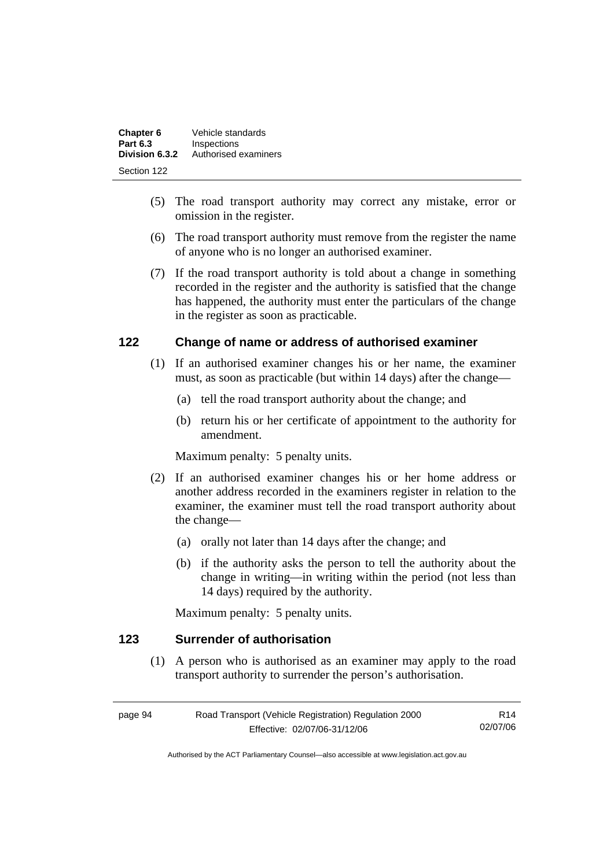| Chapter 6       | Vehicle standards    |
|-----------------|----------------------|
| <b>Part 6.3</b> | Inspections          |
| Division 6.3.2  | Authorised examiners |
| Section 122     |                      |

- (5) The road transport authority may correct any mistake, error or omission in the register.
- (6) The road transport authority must remove from the register the name of anyone who is no longer an authorised examiner.
- (7) If the road transport authority is told about a change in something recorded in the register and the authority is satisfied that the change has happened, the authority must enter the particulars of the change in the register as soon as practicable.

### **122 Change of name or address of authorised examiner**

- (1) If an authorised examiner changes his or her name, the examiner must, as soon as practicable (but within 14 days) after the change—
	- (a) tell the road transport authority about the change; and
	- (b) return his or her certificate of appointment to the authority for amendment.

Maximum penalty: 5 penalty units.

- (2) If an authorised examiner changes his or her home address or another address recorded in the examiners register in relation to the examiner, the examiner must tell the road transport authority about the change—
	- (a) orally not later than 14 days after the change; and
	- (b) if the authority asks the person to tell the authority about the change in writing—in writing within the period (not less than 14 days) required by the authority.

Maximum penalty: 5 penalty units.

### **123 Surrender of authorisation**

 (1) A person who is authorised as an examiner may apply to the road transport authority to surrender the person's authorisation.

| page 94 | Road Transport (Vehicle Registration) Regulation 2000 | R14      |
|---------|-------------------------------------------------------|----------|
|         | Effective: 02/07/06-31/12/06                          | 02/07/06 |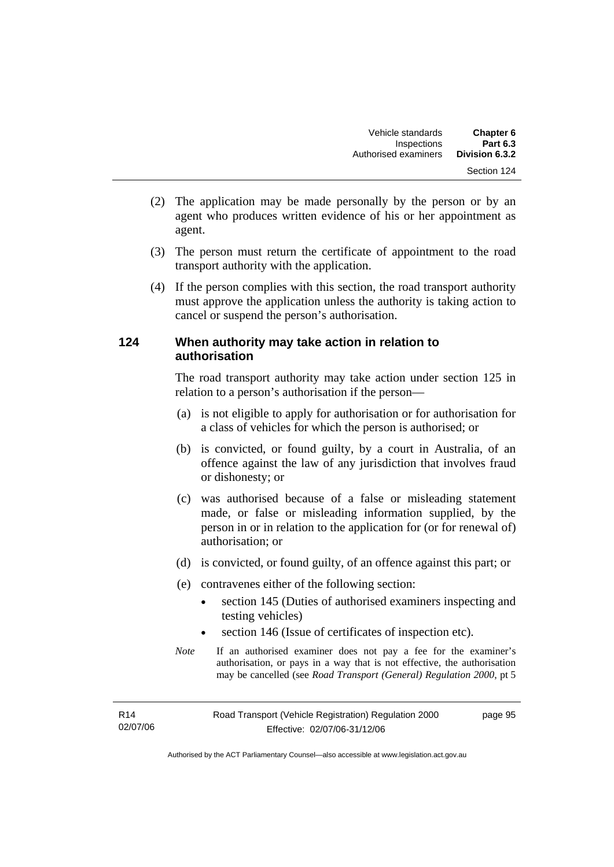- (2) The application may be made personally by the person or by an agent who produces written evidence of his or her appointment as agent.
- (3) The person must return the certificate of appointment to the road transport authority with the application.
- (4) If the person complies with this section, the road transport authority must approve the application unless the authority is taking action to cancel or suspend the person's authorisation.

### **124 When authority may take action in relation to authorisation**

The road transport authority may take action under section 125 in relation to a person's authorisation if the person—

- (a) is not eligible to apply for authorisation or for authorisation for a class of vehicles for which the person is authorised; or
- (b) is convicted, or found guilty, by a court in Australia, of an offence against the law of any jurisdiction that involves fraud or dishonesty; or
- (c) was authorised because of a false or misleading statement made, or false or misleading information supplied, by the person in or in relation to the application for (or for renewal of) authorisation; or
- (d) is convicted, or found guilty, of an offence against this part; or
- (e) contravenes either of the following section:
	- section 145 (Duties of authorised examiners inspecting and testing vehicles)
	- section 146 (Issue of certificates of inspection etc).
- *Note* If an authorised examiner does not pay a fee for the examiner's authorisation, or pays in a way that is not effective, the authorisation may be cancelled (see *Road Transport (General) Regulation 2000*, pt 5

page 95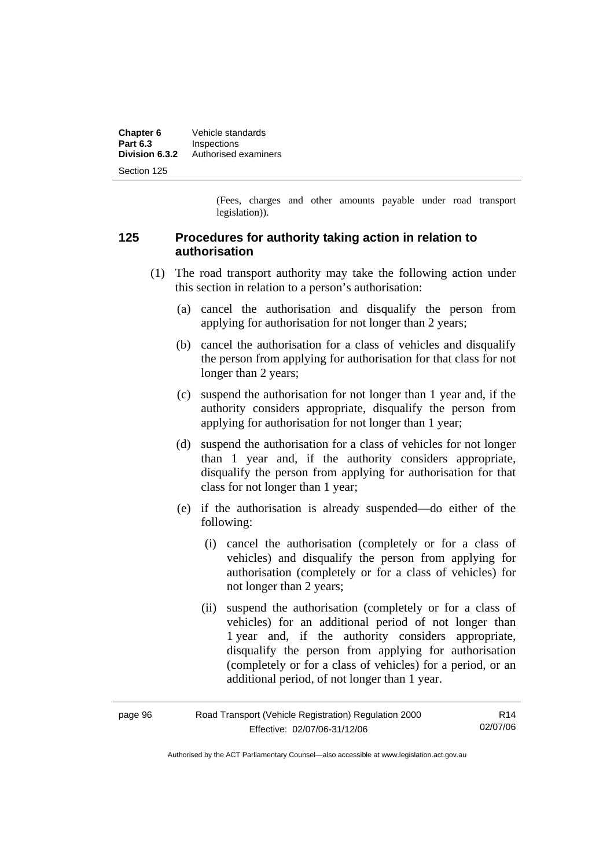| Chapter 6<br><b>Part 6.3</b> | Vehicle standards<br>Inspections |
|------------------------------|----------------------------------|
| Division 6.3.2               | Authorised examiners             |
| Section 125                  |                                  |

(Fees, charges and other amounts payable under road transport legislation)).

### **125 Procedures for authority taking action in relation to authorisation**

- (1) The road transport authority may take the following action under this section in relation to a person's authorisation:
	- (a) cancel the authorisation and disqualify the person from applying for authorisation for not longer than 2 years;
	- (b) cancel the authorisation for a class of vehicles and disqualify the person from applying for authorisation for that class for not longer than 2 years:
	- (c) suspend the authorisation for not longer than 1 year and, if the authority considers appropriate, disqualify the person from applying for authorisation for not longer than 1 year;
	- (d) suspend the authorisation for a class of vehicles for not longer than 1 year and, if the authority considers appropriate, disqualify the person from applying for authorisation for that class for not longer than 1 year;
	- (e) if the authorisation is already suspended—do either of the following:
		- (i) cancel the authorisation (completely or for a class of vehicles) and disqualify the person from applying for authorisation (completely or for a class of vehicles) for not longer than 2 years;
		- (ii) suspend the authorisation (completely or for a class of vehicles) for an additional period of not longer than 1 year and, if the authority considers appropriate, disqualify the person from applying for authorisation (completely or for a class of vehicles) for a period, or an additional period, of not longer than 1 year.

| page 96 | Road Transport (Vehicle Registration) Regulation 2000 | R <sub>14</sub> |
|---------|-------------------------------------------------------|-----------------|
|         | Effective: 02/07/06-31/12/06                          | 02/07/06        |

Authorised by the ACT Parliamentary Counsel—also accessible at www.legislation.act.gov.au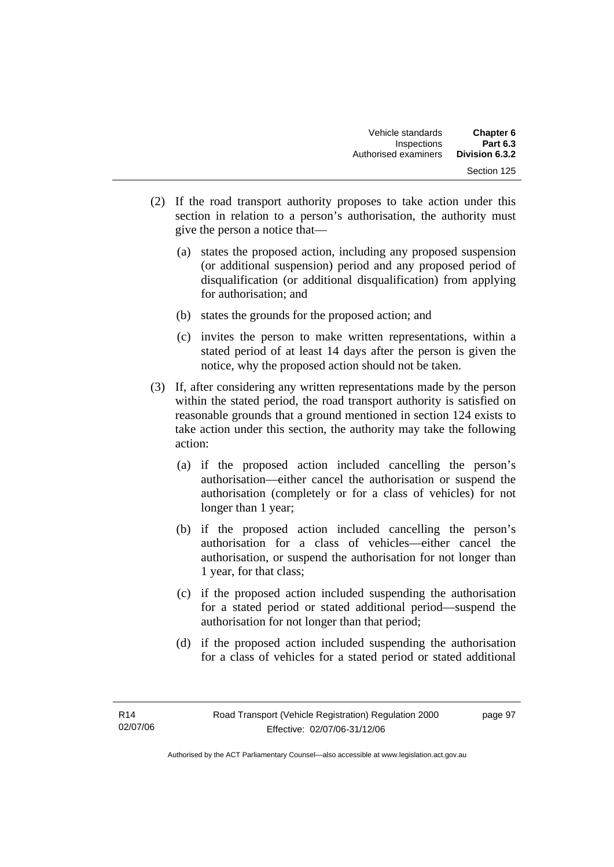- (2) If the road transport authority proposes to take action under this section in relation to a person's authorisation, the authority must give the person a notice that—
	- (a) states the proposed action, including any proposed suspension (or additional suspension) period and any proposed period of disqualification (or additional disqualification) from applying for authorisation; and
	- (b) states the grounds for the proposed action; and
	- (c) invites the person to make written representations, within a stated period of at least 14 days after the person is given the notice, why the proposed action should not be taken.
- (3) If, after considering any written representations made by the person within the stated period, the road transport authority is satisfied on reasonable grounds that a ground mentioned in section 124 exists to take action under this section, the authority may take the following action:
	- (a) if the proposed action included cancelling the person's authorisation—either cancel the authorisation or suspend the authorisation (completely or for a class of vehicles) for not longer than 1 year;
	- (b) if the proposed action included cancelling the person's authorisation for a class of vehicles—either cancel the authorisation, or suspend the authorisation for not longer than 1 year, for that class;
	- (c) if the proposed action included suspending the authorisation for a stated period or stated additional period—suspend the authorisation for not longer than that period;
	- (d) if the proposed action included suspending the authorisation for a class of vehicles for a stated period or stated additional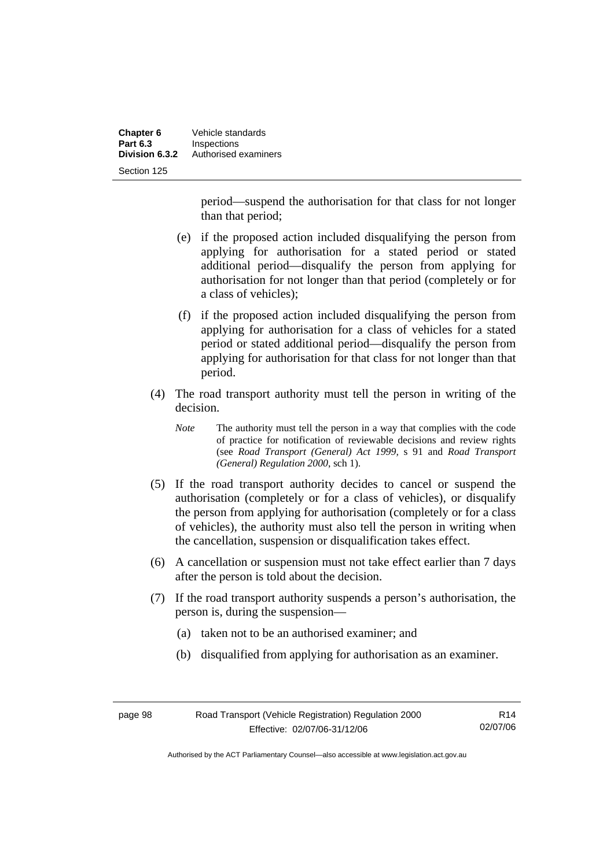| Chapter 6       | Vehicle standards    |
|-----------------|----------------------|
| <b>Part 6.3</b> | Inspections          |
| Division 6.3.2  | Authorised examiners |
| Section 125     |                      |

period—suspend the authorisation for that class for not longer than that period;

- (e) if the proposed action included disqualifying the person from applying for authorisation for a stated period or stated additional period—disqualify the person from applying for authorisation for not longer than that period (completely or for a class of vehicles);
- (f) if the proposed action included disqualifying the person from applying for authorisation for a class of vehicles for a stated period or stated additional period—disqualify the person from applying for authorisation for that class for not longer than that period.
- (4) The road transport authority must tell the person in writing of the decision.
	- *Note* The authority must tell the person in a way that complies with the code of practice for notification of reviewable decisions and review rights (see *Road Transport (General) Act 1999,* s 91 and *Road Transport (General) Regulation 2000*, sch 1).
- (5) If the road transport authority decides to cancel or suspend the authorisation (completely or for a class of vehicles), or disqualify the person from applying for authorisation (completely or for a class of vehicles), the authority must also tell the person in writing when the cancellation, suspension or disqualification takes effect.
- (6) A cancellation or suspension must not take effect earlier than 7 days after the person is told about the decision.
- (7) If the road transport authority suspends a person's authorisation, the person is, during the suspension—
	- (a) taken not to be an authorised examiner; and
	- (b) disqualified from applying for authorisation as an examiner.

| uя<br>vade s |  |
|--------------|--|
|--------------|--|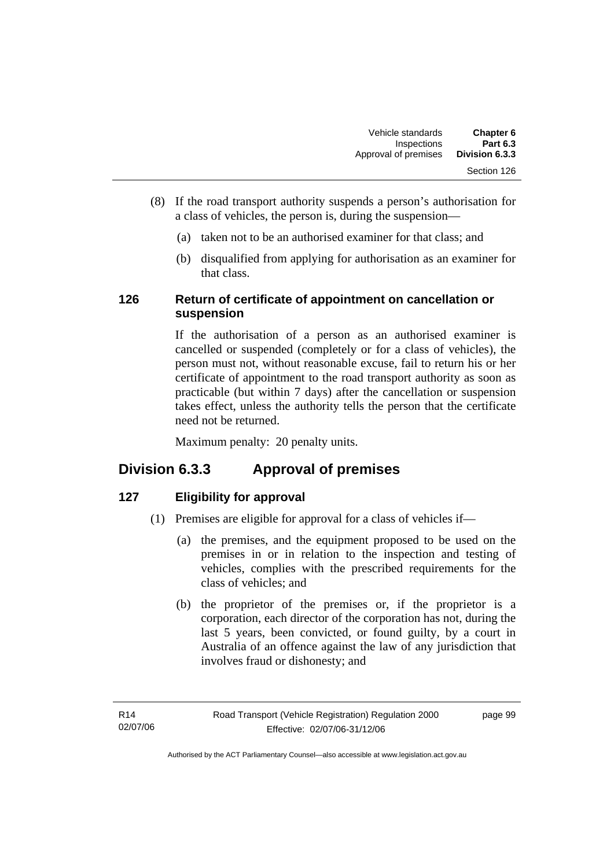- (8) If the road transport authority suspends a person's authorisation for a class of vehicles, the person is, during the suspension—
	- (a) taken not to be an authorised examiner for that class; and
	- (b) disqualified from applying for authorisation as an examiner for that class.

### **126 Return of certificate of appointment on cancellation or suspension**

If the authorisation of a person as an authorised examiner is cancelled or suspended (completely or for a class of vehicles), the person must not, without reasonable excuse, fail to return his or her certificate of appointment to the road transport authority as soon as practicable (but within 7 days) after the cancellation or suspension takes effect, unless the authority tells the person that the certificate need not be returned.

Maximum penalty: 20 penalty units.

### **Division 6.3.3 Approval of premises**

### **127 Eligibility for approval**

- (1) Premises are eligible for approval for a class of vehicles if—
	- (a) the premises, and the equipment proposed to be used on the premises in or in relation to the inspection and testing of vehicles, complies with the prescribed requirements for the class of vehicles; and
	- (b) the proprietor of the premises or, if the proprietor is a corporation, each director of the corporation has not, during the last 5 years, been convicted, or found guilty, by a court in Australia of an offence against the law of any jurisdiction that involves fraud or dishonesty; and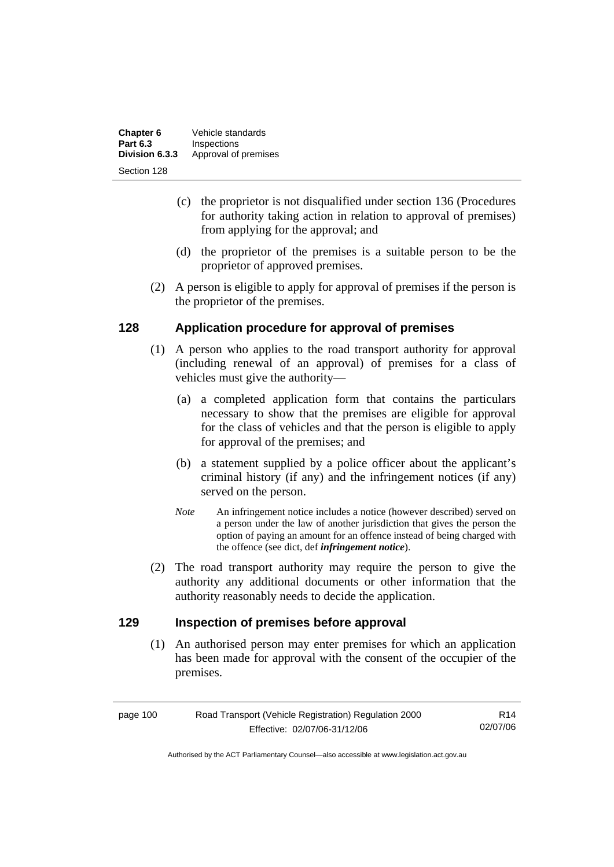| Chapter 6       | Vehicle standards    |
|-----------------|----------------------|
| <b>Part 6.3</b> | Inspections          |
| Division 6.3.3  | Approval of premises |
| Section 128     |                      |

- (c) the proprietor is not disqualified under section 136 (Procedures for authority taking action in relation to approval of premises) from applying for the approval; and
- (d) the proprietor of the premises is a suitable person to be the proprietor of approved premises.
- (2) A person is eligible to apply for approval of premises if the person is the proprietor of the premises.

### **128 Application procedure for approval of premises**

- (1) A person who applies to the road transport authority for approval (including renewal of an approval) of premises for a class of vehicles must give the authority—
	- (a) a completed application form that contains the particulars necessary to show that the premises are eligible for approval for the class of vehicles and that the person is eligible to apply for approval of the premises; and
	- (b) a statement supplied by a police officer about the applicant's criminal history (if any) and the infringement notices (if any) served on the person.
	- *Note* An infringement notice includes a notice (however described) served on a person under the law of another jurisdiction that gives the person the option of paying an amount for an offence instead of being charged with the offence (see dict, def *infringement notice*).
- (2) The road transport authority may require the person to give the authority any additional documents or other information that the authority reasonably needs to decide the application.

### **129 Inspection of premises before approval**

 (1) An authorised person may enter premises for which an application has been made for approval with the consent of the occupier of the premises.

| page 100 | Road Transport (Vehicle Registration) Regulation 2000 |          |
|----------|-------------------------------------------------------|----------|
|          | Effective: 02/07/06-31/12/06                          | 02/07/06 |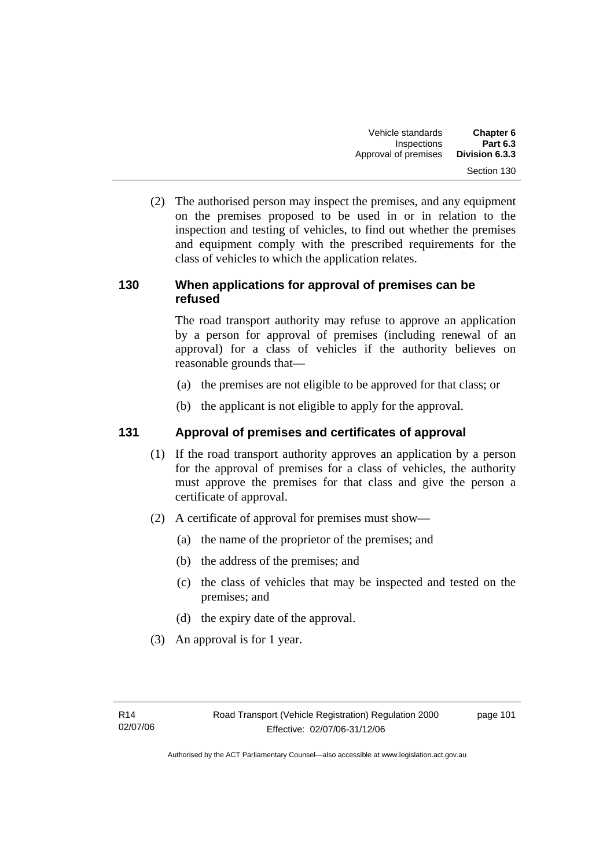(2) The authorised person may inspect the premises, and any equipment on the premises proposed to be used in or in relation to the inspection and testing of vehicles, to find out whether the premises and equipment comply with the prescribed requirements for the class of vehicles to which the application relates.

### **130 When applications for approval of premises can be refused**

The road transport authority may refuse to approve an application by a person for approval of premises (including renewal of an approval) for a class of vehicles if the authority believes on reasonable grounds that—

- (a) the premises are not eligible to be approved for that class; or
- (b) the applicant is not eligible to apply for the approval.

### **131 Approval of premises and certificates of approval**

- (1) If the road transport authority approves an application by a person for the approval of premises for a class of vehicles, the authority must approve the premises for that class and give the person a certificate of approval.
- (2) A certificate of approval for premises must show—
	- (a) the name of the proprietor of the premises; and
	- (b) the address of the premises; and
	- (c) the class of vehicles that may be inspected and tested on the premises; and
	- (d) the expiry date of the approval.
- (3) An approval is for 1 year.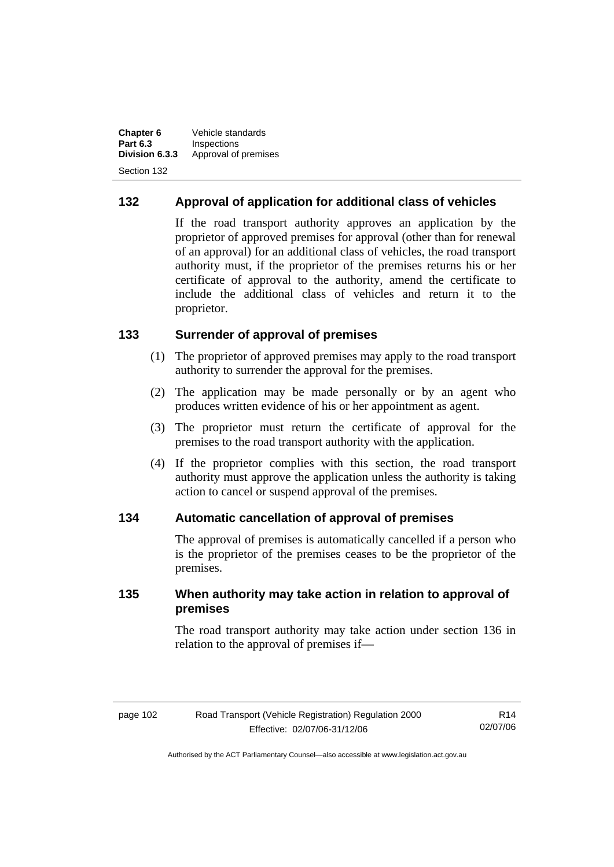**Chapter 6** Vehicle standards<br>**Part 6.3** Inspections **Part 6.3 Inspections**<br>**Division 6.3.3** Approval of Approval of premises Section 132

### **132 Approval of application for additional class of vehicles**

If the road transport authority approves an application by the proprietor of approved premises for approval (other than for renewal of an approval) for an additional class of vehicles, the road transport authority must, if the proprietor of the premises returns his or her certificate of approval to the authority, amend the certificate to include the additional class of vehicles and return it to the proprietor.

### **133 Surrender of approval of premises**

- (1) The proprietor of approved premises may apply to the road transport authority to surrender the approval for the premises.
- (2) The application may be made personally or by an agent who produces written evidence of his or her appointment as agent.
- (3) The proprietor must return the certificate of approval for the premises to the road transport authority with the application.
- (4) If the proprietor complies with this section, the road transport authority must approve the application unless the authority is taking action to cancel or suspend approval of the premises.

### **134 Automatic cancellation of approval of premises**

The approval of premises is automatically cancelled if a person who is the proprietor of the premises ceases to be the proprietor of the premises.

### **135 When authority may take action in relation to approval of premises**

The road transport authority may take action under section 136 in relation to the approval of premises if—

| page 102 | Road Transport (Vehicle Registration) Regulation 2000 | R <sub>14</sub> |
|----------|-------------------------------------------------------|-----------------|
|          | Effective: 02/07/06-31/12/06                          | 02/07/06        |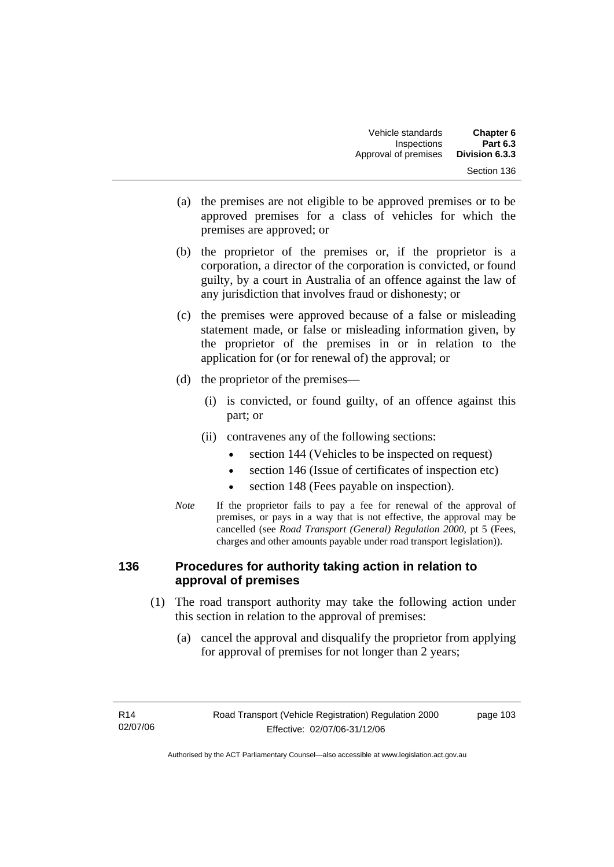- (a) the premises are not eligible to be approved premises or to be approved premises for a class of vehicles for which the premises are approved; or
- (b) the proprietor of the premises or, if the proprietor is a corporation, a director of the corporation is convicted, or found guilty, by a court in Australia of an offence against the law of any jurisdiction that involves fraud or dishonesty; or
- (c) the premises were approved because of a false or misleading statement made, or false or misleading information given, by the proprietor of the premises in or in relation to the application for (or for renewal of) the approval; or
- (d) the proprietor of the premises—
	- (i) is convicted, or found guilty, of an offence against this part; or
	- (ii) contravenes any of the following sections:
		- section 144 (Vehicles to be inspected on request)
		- section 146 (Issue of certificates of inspection etc)
		- section 148 (Fees payable on inspection).
- *Note* If the proprietor fails to pay a fee for renewal of the approval of premises, or pays in a way that is not effective, the approval may be cancelled (see *Road Transport (General) Regulation 2000*, pt 5 (Fees, charges and other amounts payable under road transport legislation)).

### **136 Procedures for authority taking action in relation to approval of premises**

- (1) The road transport authority may take the following action under this section in relation to the approval of premises:
	- (a) cancel the approval and disqualify the proprietor from applying for approval of premises for not longer than 2 years;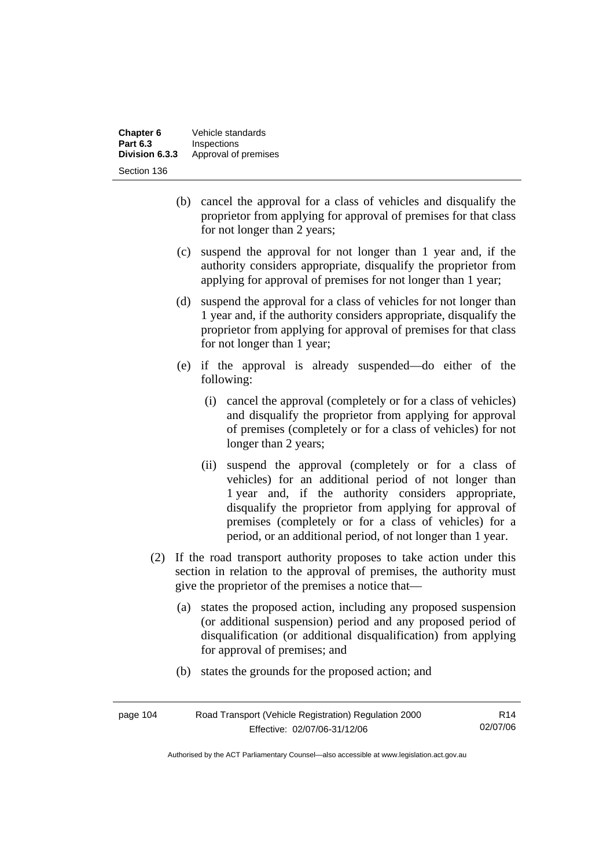| Chapter 6       | Vehicle standards    |
|-----------------|----------------------|
| <b>Part 6.3</b> | Inspections          |
| Division 6.3.3  | Approval of premises |
| Section 136     |                      |

- (b) cancel the approval for a class of vehicles and disqualify the proprietor from applying for approval of premises for that class for not longer than 2 years;
- (c) suspend the approval for not longer than 1 year and, if the authority considers appropriate, disqualify the proprietor from applying for approval of premises for not longer than 1 year;
- (d) suspend the approval for a class of vehicles for not longer than 1 year and, if the authority considers appropriate, disqualify the proprietor from applying for approval of premises for that class for not longer than 1 year;
- (e) if the approval is already suspended—do either of the following:
	- (i) cancel the approval (completely or for a class of vehicles) and disqualify the proprietor from applying for approval of premises (completely or for a class of vehicles) for not longer than 2 years;
	- (ii) suspend the approval (completely or for a class of vehicles) for an additional period of not longer than 1 year and, if the authority considers appropriate, disqualify the proprietor from applying for approval of premises (completely or for a class of vehicles) for a period, or an additional period, of not longer than 1 year.
- (2) If the road transport authority proposes to take action under this section in relation to the approval of premises, the authority must give the proprietor of the premises a notice that—
	- (a) states the proposed action, including any proposed suspension (or additional suspension) period and any proposed period of disqualification (or additional disqualification) from applying for approval of premises; and
	- (b) states the grounds for the proposed action; and

| page 104 | Road Transport (Vehicle Registration) Regulation 2000 | R <sub>14</sub> |
|----------|-------------------------------------------------------|-----------------|
|          | Effective: 02/07/06-31/12/06                          | 02/07/06        |

Authorised by the ACT Parliamentary Counsel—also accessible at www.legislation.act.gov.au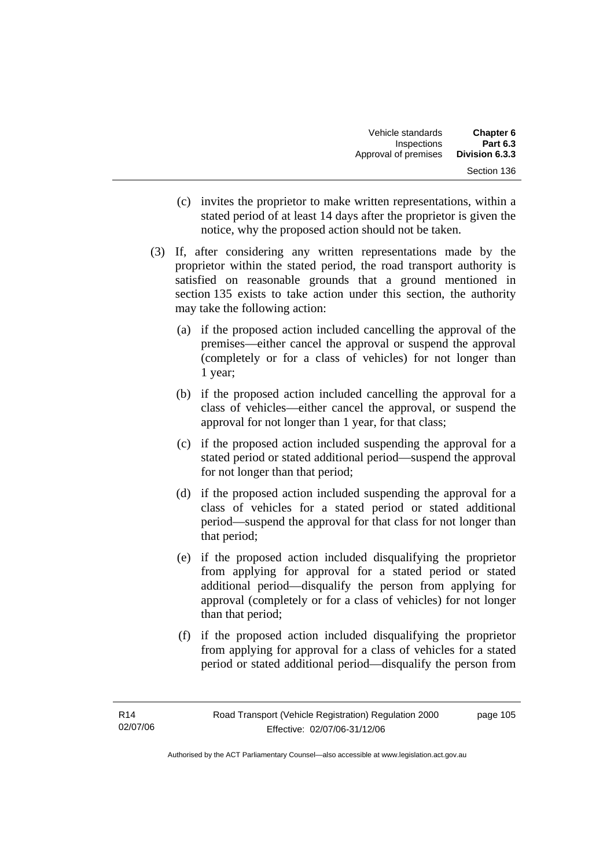- (c) invites the proprietor to make written representations, within a stated period of at least 14 days after the proprietor is given the notice, why the proposed action should not be taken.
- (3) If, after considering any written representations made by the proprietor within the stated period, the road transport authority is satisfied on reasonable grounds that a ground mentioned in section 135 exists to take action under this section, the authority may take the following action:
	- (a) if the proposed action included cancelling the approval of the premises—either cancel the approval or suspend the approval (completely or for a class of vehicles) for not longer than 1 year;
	- (b) if the proposed action included cancelling the approval for a class of vehicles—either cancel the approval, or suspend the approval for not longer than 1 year, for that class;
	- (c) if the proposed action included suspending the approval for a stated period or stated additional period—suspend the approval for not longer than that period;
	- (d) if the proposed action included suspending the approval for a class of vehicles for a stated period or stated additional period—suspend the approval for that class for not longer than that period;
	- (e) if the proposed action included disqualifying the proprietor from applying for approval for a stated period or stated additional period—disqualify the person from applying for approval (completely or for a class of vehicles) for not longer than that period;
	- (f) if the proposed action included disqualifying the proprietor from applying for approval for a class of vehicles for a stated period or stated additional period—disqualify the person from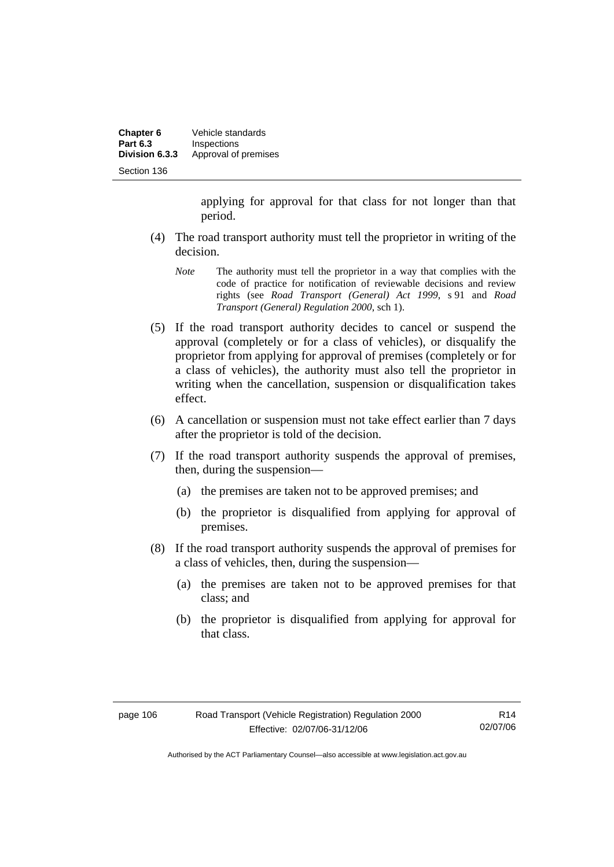| Chapter 6       | Vehicle standards    |
|-----------------|----------------------|
| <b>Part 6.3</b> | Inspections          |
| Division 6.3.3  | Approval of premises |
| Section 136     |                      |

applying for approval for that class for not longer than that period.

- (4) The road transport authority must tell the proprietor in writing of the decision.
	- *Note* The authority must tell the proprietor in a way that complies with the code of practice for notification of reviewable decisions and review rights (see *Road Transport (General) Act 1999*, s 91 and *Road Transport (General) Regulation 2000*, sch 1).
- (5) If the road transport authority decides to cancel or suspend the approval (completely or for a class of vehicles), or disqualify the proprietor from applying for approval of premises (completely or for a class of vehicles), the authority must also tell the proprietor in writing when the cancellation, suspension or disqualification takes effect.
- (6) A cancellation or suspension must not take effect earlier than 7 days after the proprietor is told of the decision.
- (7) If the road transport authority suspends the approval of premises, then, during the suspension—
	- (a) the premises are taken not to be approved premises; and
	- (b) the proprietor is disqualified from applying for approval of premises.
- (8) If the road transport authority suspends the approval of premises for a class of vehicles, then, during the suspension—
	- (a) the premises are taken not to be approved premises for that class; and
	- (b) the proprietor is disqualified from applying for approval for that class.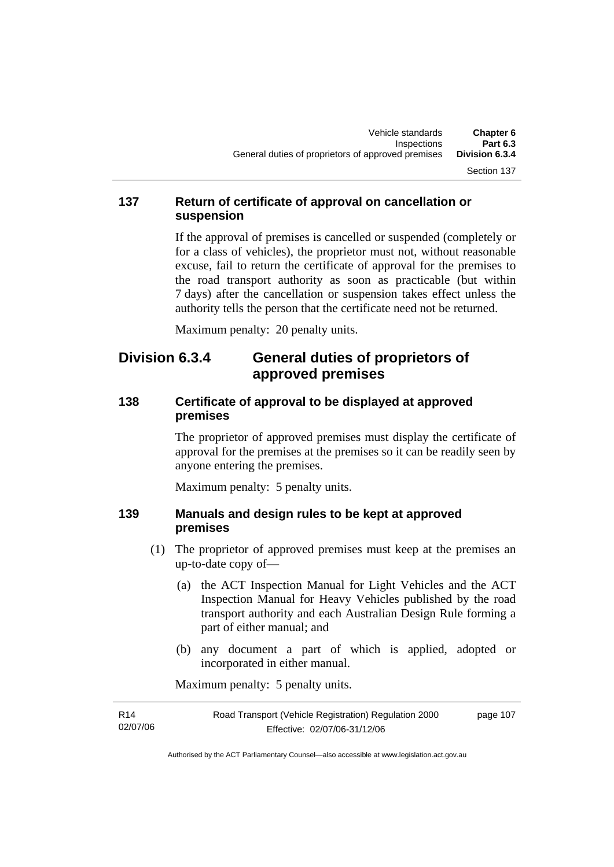### **137 Return of certificate of approval on cancellation or suspension**

If the approval of premises is cancelled or suspended (completely or for a class of vehicles), the proprietor must not, without reasonable excuse, fail to return the certificate of approval for the premises to the road transport authority as soon as practicable (but within 7 days) after the cancellation or suspension takes effect unless the authority tells the person that the certificate need not be returned.

Maximum penalty: 20 penalty units.

## **Division 6.3.4 General duties of proprietors of approved premises**

### **138 Certificate of approval to be displayed at approved premises**

The proprietor of approved premises must display the certificate of approval for the premises at the premises so it can be readily seen by anyone entering the premises.

Maximum penalty: 5 penalty units.

### **139 Manuals and design rules to be kept at approved premises**

- (1) The proprietor of approved premises must keep at the premises an up-to-date copy of—
	- (a) the ACT Inspection Manual for Light Vehicles and the ACT Inspection Manual for Heavy Vehicles published by the road transport authority and each Australian Design Rule forming a part of either manual; and
	- (b) any document a part of which is applied, adopted or incorporated in either manual.

Maximum penalty: 5 penalty units.

| R <sub>14</sub> | Road Transport (Vehicle Registration) Regulation 2000 | page 107 |
|-----------------|-------------------------------------------------------|----------|
| 02/07/06        | Effective: 02/07/06-31/12/06                          |          |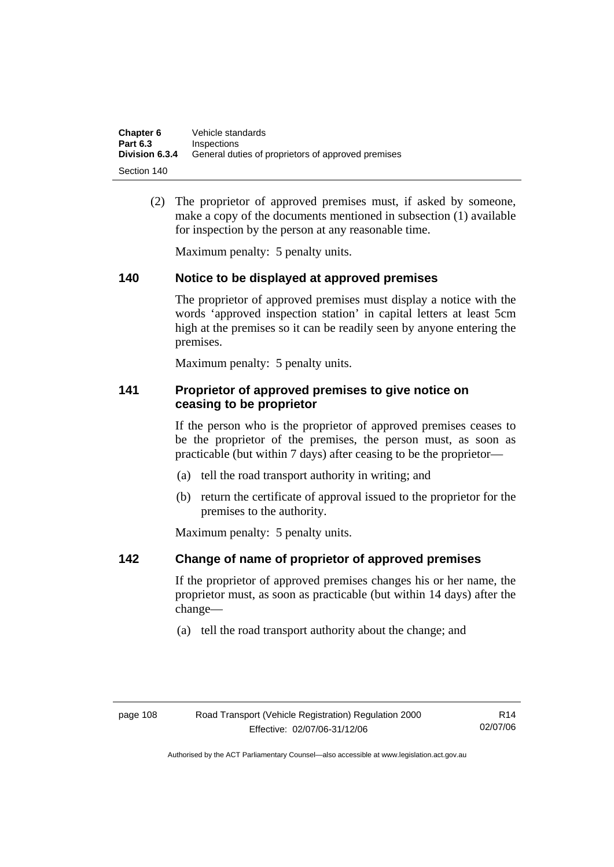| Chapter 6       | Vehicle standards                                  |
|-----------------|----------------------------------------------------|
| <b>Part 6.3</b> | Inspections                                        |
| Division 6.3.4  | General duties of proprietors of approved premises |
| Section 140     |                                                    |

 (2) The proprietor of approved premises must, if asked by someone, make a copy of the documents mentioned in subsection (1) available for inspection by the person at any reasonable time.

Maximum penalty: 5 penalty units.

### **140 Notice to be displayed at approved premises**

The proprietor of approved premises must display a notice with the words 'approved inspection station' in capital letters at least 5cm high at the premises so it can be readily seen by anyone entering the premises.

Maximum penalty: 5 penalty units.

### **141 Proprietor of approved premises to give notice on ceasing to be proprietor**

If the person who is the proprietor of approved premises ceases to be the proprietor of the premises, the person must, as soon as practicable (but within 7 days) after ceasing to be the proprietor—

- (a) tell the road transport authority in writing; and
- (b) return the certificate of approval issued to the proprietor for the premises to the authority.

Maximum penalty: 5 penalty units.

### **142 Change of name of proprietor of approved premises**

If the proprietor of approved premises changes his or her name, the proprietor must, as soon as practicable (but within 14 days) after the change—

(a) tell the road transport authority about the change; and

R14 02/07/06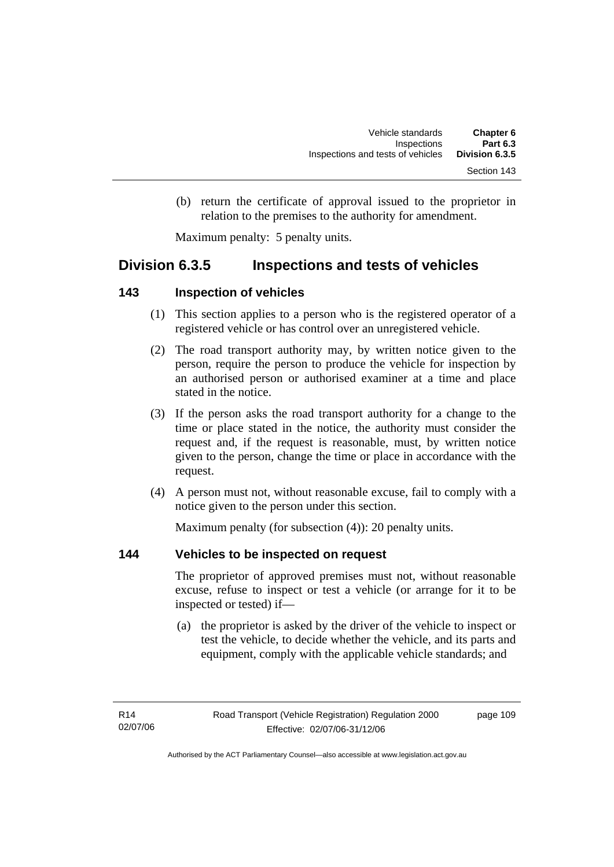(b) return the certificate of approval issued to the proprietor in relation to the premises to the authority for amendment.

Maximum penalty: 5 penalty units.

### **Division 6.3.5 Inspections and tests of vehicles**

### **143 Inspection of vehicles**

- (1) This section applies to a person who is the registered operator of a registered vehicle or has control over an unregistered vehicle.
- (2) The road transport authority may, by written notice given to the person, require the person to produce the vehicle for inspection by an authorised person or authorised examiner at a time and place stated in the notice.
- (3) If the person asks the road transport authority for a change to the time or place stated in the notice, the authority must consider the request and, if the request is reasonable, must, by written notice given to the person, change the time or place in accordance with the request.
- (4) A person must not, without reasonable excuse, fail to comply with a notice given to the person under this section.

Maximum penalty (for subsection (4)): 20 penalty units.

### **144 Vehicles to be inspected on request**

The proprietor of approved premises must not, without reasonable excuse, refuse to inspect or test a vehicle (or arrange for it to be inspected or tested) if—

 (a) the proprietor is asked by the driver of the vehicle to inspect or test the vehicle, to decide whether the vehicle, and its parts and equipment, comply with the applicable vehicle standards; and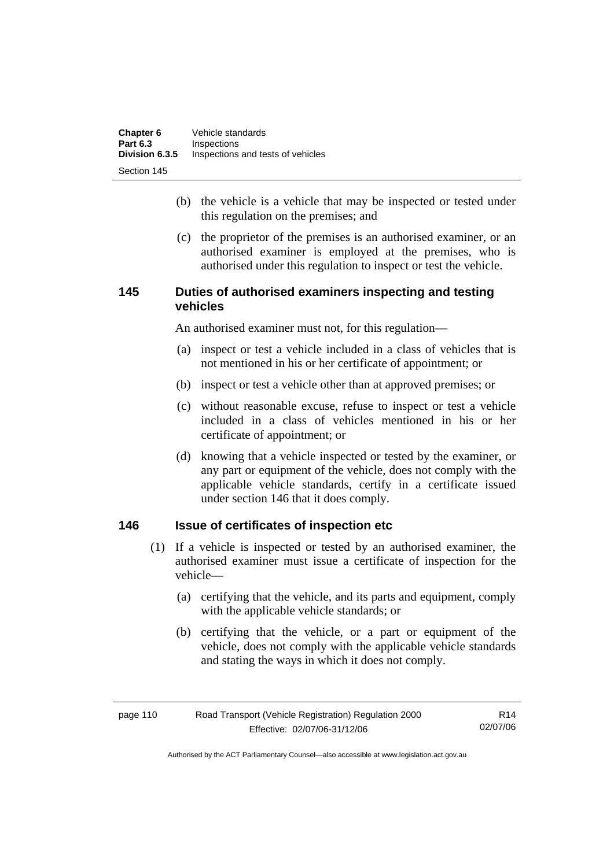- (b) the vehicle is a vehicle that may be inspected or tested under this regulation on the premises; and
- (c) the proprietor of the premises is an authorised examiner, or an authorised examiner is employed at the premises, who is authorised under this regulation to inspect or test the vehicle.

### **145 Duties of authorised examiners inspecting and testing vehicles**

An authorised examiner must not, for this regulation—

- (a) inspect or test a vehicle included in a class of vehicles that is not mentioned in his or her certificate of appointment; or
- (b) inspect or test a vehicle other than at approved premises; or
- (c) without reasonable excuse, refuse to inspect or test a vehicle included in a class of vehicles mentioned in his or her certificate of appointment; or
- (d) knowing that a vehicle inspected or tested by the examiner, or any part or equipment of the vehicle, does not comply with the applicable vehicle standards, certify in a certificate issued under section 146 that it does comply.

### **146 Issue of certificates of inspection etc**

- (1) If a vehicle is inspected or tested by an authorised examiner, the authorised examiner must issue a certificate of inspection for the vehicle—
	- (a) certifying that the vehicle, and its parts and equipment, comply with the applicable vehicle standards; or
	- (b) certifying that the vehicle, or a part or equipment of the vehicle, does not comply with the applicable vehicle standards and stating the ways in which it does not comply.

| Road Transport (Vehicle Registration) Regulation 2000<br>page 110 |                              | R14      |
|-------------------------------------------------------------------|------------------------------|----------|
|                                                                   | Effective: 02/07/06-31/12/06 | 02/07/06 |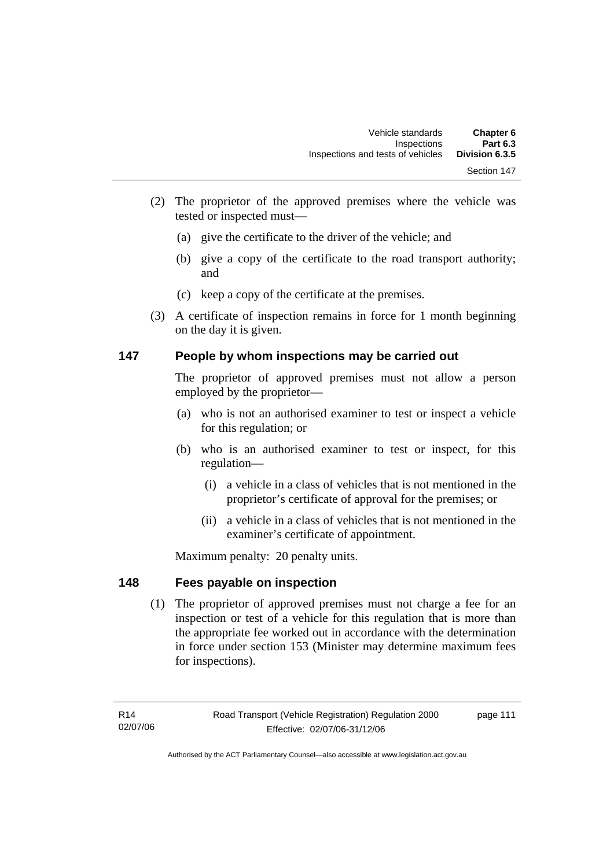- (2) The proprietor of the approved premises where the vehicle was tested or inspected must—
	- (a) give the certificate to the driver of the vehicle; and
	- (b) give a copy of the certificate to the road transport authority; and
	- (c) keep a copy of the certificate at the premises.
- (3) A certificate of inspection remains in force for 1 month beginning on the day it is given.

### **147 People by whom inspections may be carried out**

The proprietor of approved premises must not allow a person employed by the proprietor—

- (a) who is not an authorised examiner to test or inspect a vehicle for this regulation; or
- (b) who is an authorised examiner to test or inspect, for this regulation—
	- (i) a vehicle in a class of vehicles that is not mentioned in the proprietor's certificate of approval for the premises; or
	- (ii) a vehicle in a class of vehicles that is not mentioned in the examiner's certificate of appointment.

Maximum penalty: 20 penalty units.

### **148 Fees payable on inspection**

 (1) The proprietor of approved premises must not charge a fee for an inspection or test of a vehicle for this regulation that is more than the appropriate fee worked out in accordance with the determination in force under section 153 (Minister may determine maximum fees for inspections).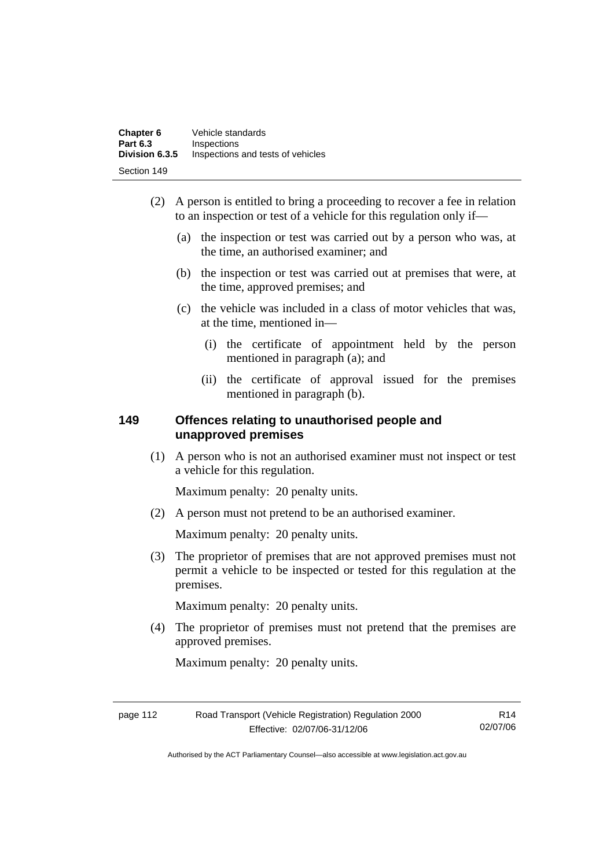- (2) A person is entitled to bring a proceeding to recover a fee in relation to an inspection or test of a vehicle for this regulation only if—
	- (a) the inspection or test was carried out by a person who was, at the time, an authorised examiner; and
	- (b) the inspection or test was carried out at premises that were, at the time, approved premises; and
	- (c) the vehicle was included in a class of motor vehicles that was, at the time, mentioned in—
		- (i) the certificate of appointment held by the person mentioned in paragraph (a); and
		- (ii) the certificate of approval issued for the premises mentioned in paragraph (b).

### **149 Offences relating to unauthorised people and unapproved premises**

 (1) A person who is not an authorised examiner must not inspect or test a vehicle for this regulation.

Maximum penalty: 20 penalty units.

(2) A person must not pretend to be an authorised examiner.

Maximum penalty: 20 penalty units.

 (3) The proprietor of premises that are not approved premises must not permit a vehicle to be inspected or tested for this regulation at the premises.

Maximum penalty: 20 penalty units.

 (4) The proprietor of premises must not pretend that the premises are approved premises.

Maximum penalty: 20 penalty units.

| page 112 | Road Transport (Vehicle Registration) Regulation 2000 | R14      |
|----------|-------------------------------------------------------|----------|
|          | Effective: 02/07/06-31/12/06                          | 02/07/06 |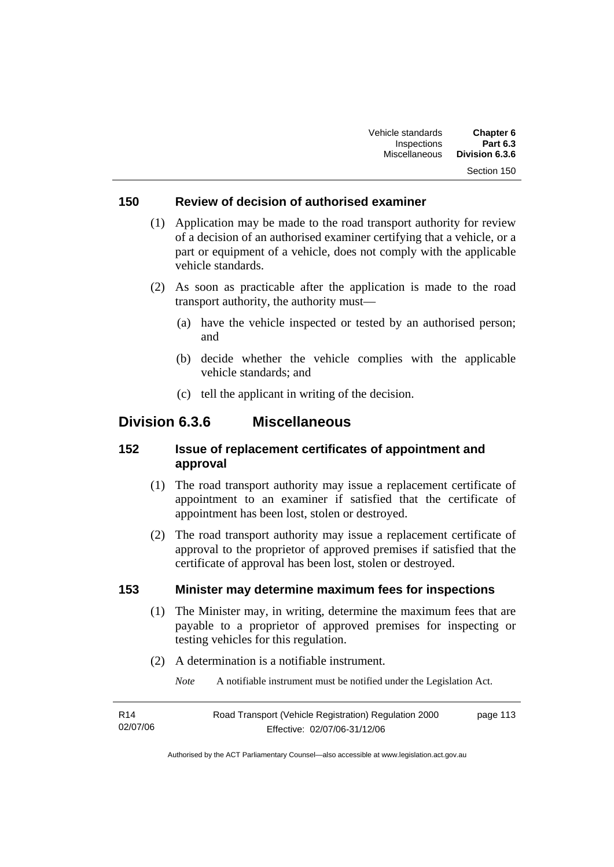### **150 Review of decision of authorised examiner**

- (1) Application may be made to the road transport authority for review of a decision of an authorised examiner certifying that a vehicle, or a part or equipment of a vehicle, does not comply with the applicable vehicle standards.
- (2) As soon as practicable after the application is made to the road transport authority, the authority must—
	- (a) have the vehicle inspected or tested by an authorised person; and
	- (b) decide whether the vehicle complies with the applicable vehicle standards; and
	- (c) tell the applicant in writing of the decision.

### **Division 6.3.6 Miscellaneous**

### **152 Issue of replacement certificates of appointment and approval**

- (1) The road transport authority may issue a replacement certificate of appointment to an examiner if satisfied that the certificate of appointment has been lost, stolen or destroyed.
- (2) The road transport authority may issue a replacement certificate of approval to the proprietor of approved premises if satisfied that the certificate of approval has been lost, stolen or destroyed.

#### **153 Minister may determine maximum fees for inspections**

- (1) The Minister may, in writing, determine the maximum fees that are payable to a proprietor of approved premises for inspecting or testing vehicles for this regulation.
- (2) A determination is a notifiable instrument.

*Note* A notifiable instrument must be notified under the Legislation Act.

| R14      | Road Transport (Vehicle Registration) Regulation 2000 | page 113 |
|----------|-------------------------------------------------------|----------|
| 02/07/06 | Effective: 02/07/06-31/12/06                          |          |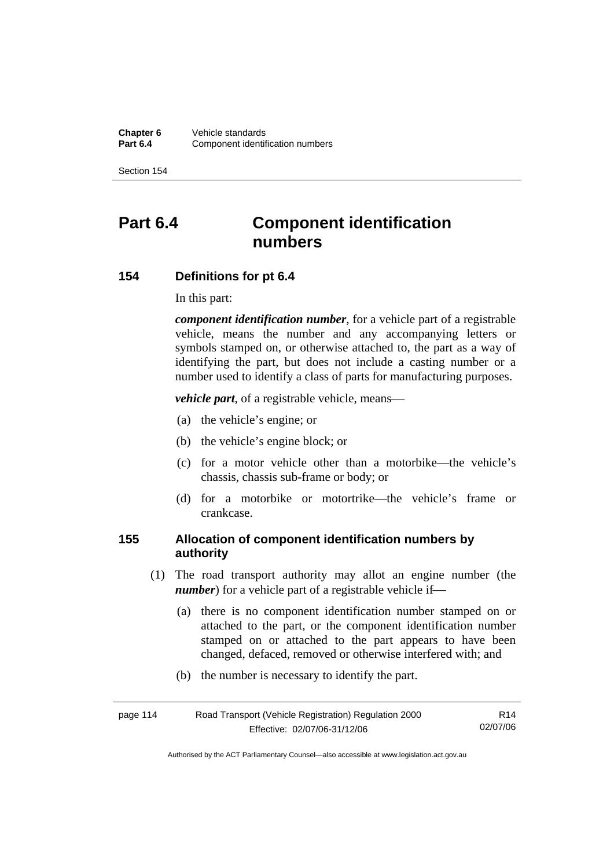**Chapter 6** Vehicle standards<br>**Part 6.4** Component identif **Component identification numbers** 

Section 154

# **Part 6.4 Component identification numbers**

### **154 Definitions for pt 6.4**

In this part:

*component identification number*, for a vehicle part of a registrable vehicle, means the number and any accompanying letters or symbols stamped on, or otherwise attached to, the part as a way of identifying the part, but does not include a casting number or a number used to identify a class of parts for manufacturing purposes.

*vehicle part*, of a registrable vehicle, means—

- (a) the vehicle's engine; or
- (b) the vehicle's engine block; or
- (c) for a motor vehicle other than a motorbike—the vehicle's chassis, chassis sub-frame or body; or
- (d) for a motorbike or motortrike—the vehicle's frame or crankcase.

### **155 Allocation of component identification numbers by authority**

- (1) The road transport authority may allot an engine number (the *number*) for a vehicle part of a registrable vehicle if-
	- (a) there is no component identification number stamped on or attached to the part, or the component identification number stamped on or attached to the part appears to have been changed, defaced, removed or otherwise interfered with; and
	- (b) the number is necessary to identify the part.

| Road Transport (Vehicle Registration) Regulation 2000<br>page 114 |                              | R14      |
|-------------------------------------------------------------------|------------------------------|----------|
|                                                                   | Effective: 02/07/06-31/12/06 | 02/07/06 |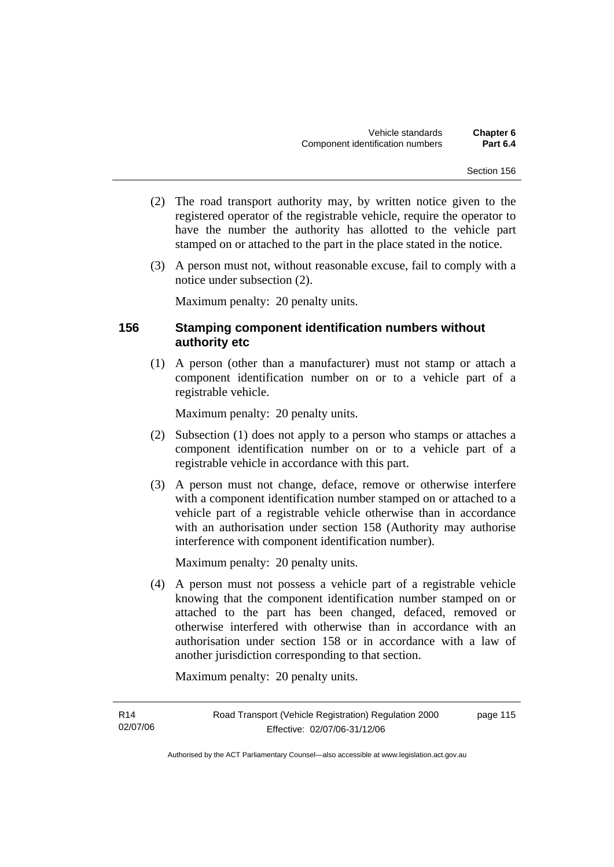- (2) The road transport authority may, by written notice given to the registered operator of the registrable vehicle, require the operator to have the number the authority has allotted to the vehicle part stamped on or attached to the part in the place stated in the notice.
- (3) A person must not, without reasonable excuse, fail to comply with a notice under subsection (2).

Maximum penalty: 20 penalty units.

### **156 Stamping component identification numbers without authority etc**

 (1) A person (other than a manufacturer) must not stamp or attach a component identification number on or to a vehicle part of a registrable vehicle.

Maximum penalty: 20 penalty units.

- (2) Subsection (1) does not apply to a person who stamps or attaches a component identification number on or to a vehicle part of a registrable vehicle in accordance with this part.
- (3) A person must not change, deface, remove or otherwise interfere with a component identification number stamped on or attached to a vehicle part of a registrable vehicle otherwise than in accordance with an authorisation under section 158 (Authority may authorise interference with component identification number).

Maximum penalty: 20 penalty units.

 (4) A person must not possess a vehicle part of a registrable vehicle knowing that the component identification number stamped on or attached to the part has been changed, defaced, removed or otherwise interfered with otherwise than in accordance with an authorisation under section 158 or in accordance with a law of another jurisdiction corresponding to that section.

Maximum penalty: 20 penalty units.

R14 02/07/06 page 115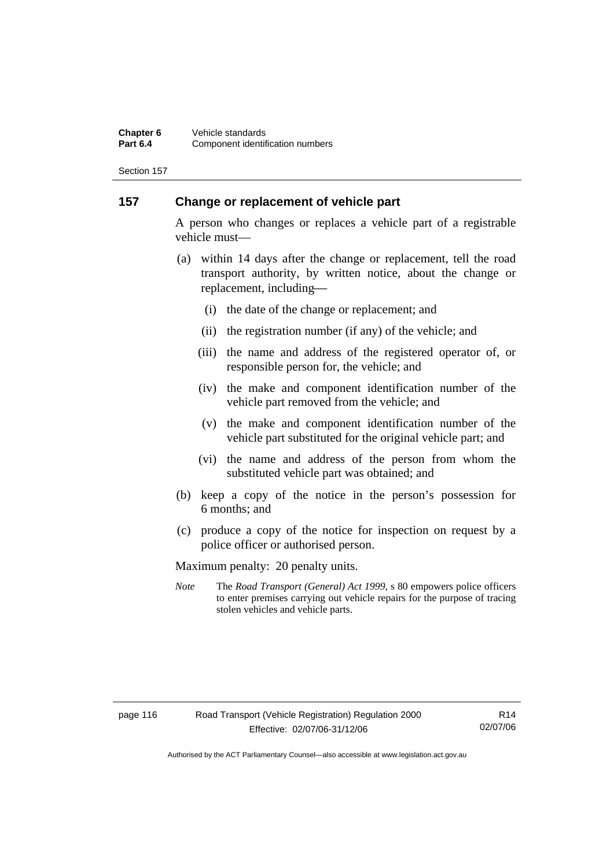### **157 Change or replacement of vehicle part**

A person who changes or replaces a vehicle part of a registrable vehicle must—

- (a) within 14 days after the change or replacement, tell the road transport authority, by written notice, about the change or replacement, including-
	- (i) the date of the change or replacement; and
	- (ii) the registration number (if any) of the vehicle; and
	- (iii) the name and address of the registered operator of, or responsible person for, the vehicle; and
	- (iv) the make and component identification number of the vehicle part removed from the vehicle; and
	- (v) the make and component identification number of the vehicle part substituted for the original vehicle part; and
	- (vi) the name and address of the person from whom the substituted vehicle part was obtained; and
- (b) keep a copy of the notice in the person's possession for 6 months; and
- (c) produce a copy of the notice for inspection on request by a police officer or authorised person.

Maximum penalty: 20 penalty units.

*Note* The *Road Transport (General) Act 1999*, s 80 empowers police officers to enter premises carrying out vehicle repairs for the purpose of tracing stolen vehicles and vehicle parts.

R14 02/07/06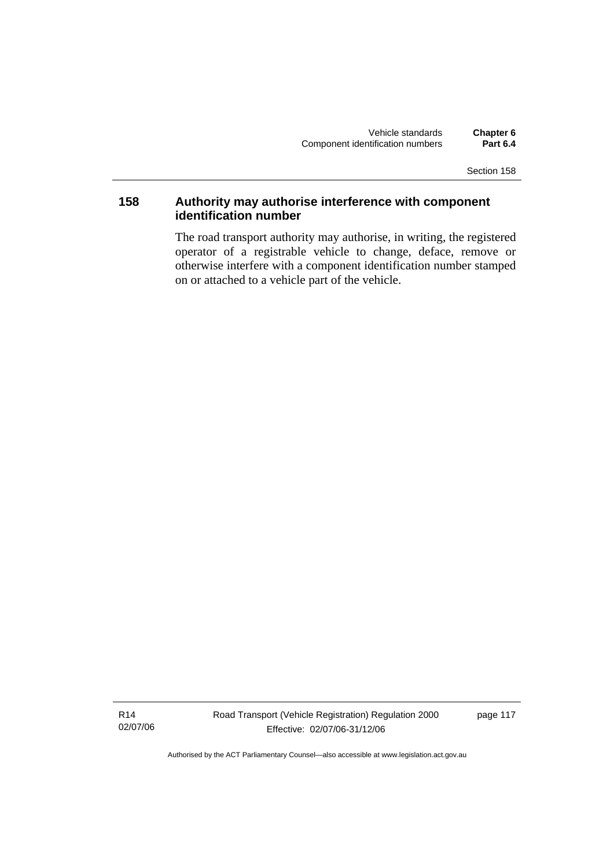### **158 Authority may authorise interference with component identification number**

The road transport authority may authorise, in writing, the registered operator of a registrable vehicle to change, deface, remove or otherwise interfere with a component identification number stamped on or attached to a vehicle part of the vehicle.

R14 02/07/06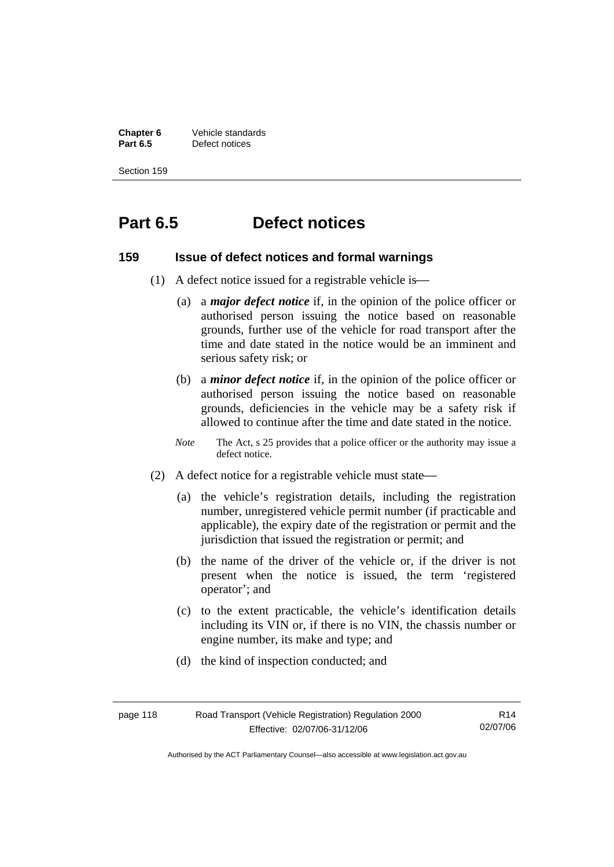**Chapter 6 Vehicle standards**<br>**Part 6.5 Defect notices Part 6.5** Defect notices

Section 159

# **Part 6.5 Defect notices**

### **159 Issue of defect notices and formal warnings**

- (1) A defect notice issued for a registrable vehicle is—
	- (a) a *major defect notice* if, in the opinion of the police officer or authorised person issuing the notice based on reasonable grounds, further use of the vehicle for road transport after the time and date stated in the notice would be an imminent and serious safety risk; or
	- (b) a *minor defect notice* if, in the opinion of the police officer or authorised person issuing the notice based on reasonable grounds, deficiencies in the vehicle may be a safety risk if allowed to continue after the time and date stated in the notice.
	- *Note* The Act, s 25 provides that a police officer or the authority may issue a defect notice.
- (2) A defect notice for a registrable vehicle must state—
	- (a) the vehicle's registration details, including the registration number, unregistered vehicle permit number (if practicable and applicable), the expiry date of the registration or permit and the jurisdiction that issued the registration or permit; and
	- (b) the name of the driver of the vehicle or, if the driver is not present when the notice is issued, the term 'registered operator'; and
	- (c) to the extent practicable, the vehicle's identification details including its VIN or, if there is no VIN, the chassis number or engine number, its make and type; and
	- (d) the kind of inspection conducted; and

| page 118 | Road Transport (Vehicle Registration) Regulation 2000 | R14      |
|----------|-------------------------------------------------------|----------|
|          | Effective: 02/07/06-31/12/06                          | 02/07/06 |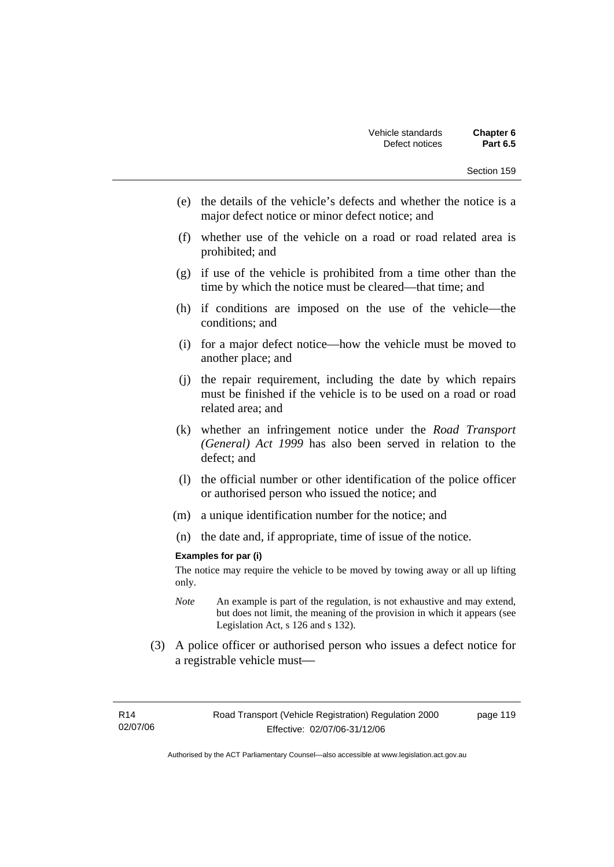- (e) the details of the vehicle's defects and whether the notice is a major defect notice or minor defect notice; and
- (f) whether use of the vehicle on a road or road related area is prohibited; and
- (g) if use of the vehicle is prohibited from a time other than the time by which the notice must be cleared—that time; and
- (h) if conditions are imposed on the use of the vehicle—the conditions; and
- (i) for a major defect notice—how the vehicle must be moved to another place; and
- (j) the repair requirement, including the date by which repairs must be finished if the vehicle is to be used on a road or road related area; and
- (k) whether an infringement notice under the *Road Transport (General) Act 1999* has also been served in relation to the defect; and
- (l) the official number or other identification of the police officer or authorised person who issued the notice; and
- (m) a unique identification number for the notice; and
- (n) the date and, if appropriate, time of issue of the notice.

#### **Examples for par (i)**

The notice may require the vehicle to be moved by towing away or all up lifting only.

- *Note* An example is part of the regulation, is not exhaustive and may extend, but does not limit, the meaning of the provision in which it appears (see Legislation Act, s 126 and s 132).
- (3) A police officer or authorised person who issues a defect notice for a registrable vehicle must-

page 119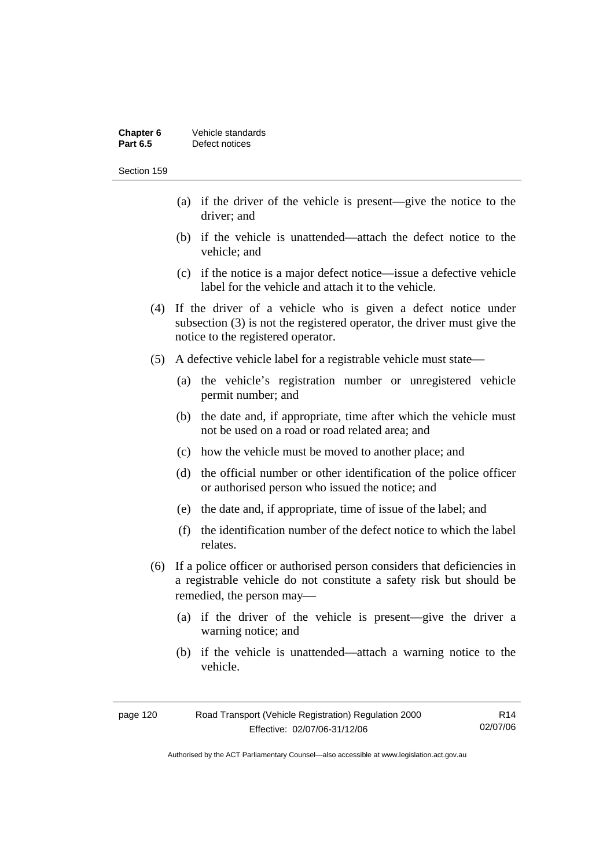| Chapter 6       | Vehicle standards |
|-----------------|-------------------|
| <b>Part 6.5</b> | Defect notices    |

- (a) if the driver of the vehicle is present—give the notice to the driver; and
- (b) if the vehicle is unattended—attach the defect notice to the vehicle; and
- (c) if the notice is a major defect notice—issue a defective vehicle label for the vehicle and attach it to the vehicle.
- (4) If the driver of a vehicle who is given a defect notice under subsection (3) is not the registered operator, the driver must give the notice to the registered operator.
- (5) A defective vehicle label for a registrable vehicle must state—
	- (a) the vehicle's registration number or unregistered vehicle permit number; and
	- (b) the date and, if appropriate, time after which the vehicle must not be used on a road or road related area; and
	- (c) how the vehicle must be moved to another place; and
	- (d) the official number or other identification of the police officer or authorised person who issued the notice; and
	- (e) the date and, if appropriate, time of issue of the label; and
	- (f) the identification number of the defect notice to which the label relates.
- (6) If a police officer or authorised person considers that deficiencies in a registrable vehicle do not constitute a safety risk but should be remedied, the person may—
	- (a) if the driver of the vehicle is present—give the driver a warning notice; and
	- (b) if the vehicle is unattended—attach a warning notice to the vehicle.

| page 120 | Road Transport (Vehicle Registration) Regulation 2000 | R14      |
|----------|-------------------------------------------------------|----------|
|          | Effective: 02/07/06-31/12/06                          | 02/07/06 |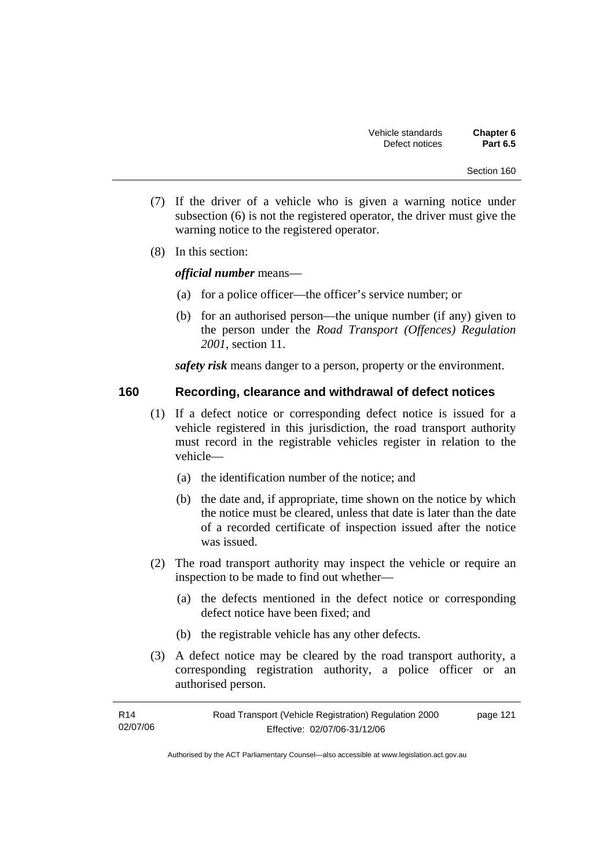- (7) If the driver of a vehicle who is given a warning notice under subsection (6) is not the registered operator, the driver must give the warning notice to the registered operator.
- (8) In this section:

*official number* means—

- (a) for a police officer—the officer's service number; or
- (b) for an authorised person—the unique number (if any) given to the person under the *Road Transport (Offences) Regulation 2001*, section 11.

*safety risk* means danger to a person, property or the environment.

### **160 Recording, clearance and withdrawal of defect notices**

- (1) If a defect notice or corresponding defect notice is issued for a vehicle registered in this jurisdiction, the road transport authority must record in the registrable vehicles register in relation to the vehicle—
	- (a) the identification number of the notice; and
	- (b) the date and, if appropriate, time shown on the notice by which the notice must be cleared, unless that date is later than the date of a recorded certificate of inspection issued after the notice was issued.
- (2) The road transport authority may inspect the vehicle or require an inspection to be made to find out whether—
	- (a) the defects mentioned in the defect notice or corresponding defect notice have been fixed; and
	- (b) the registrable vehicle has any other defects.
- (3) A defect notice may be cleared by the road transport authority, a corresponding registration authority, a police officer or an authorised person.

| R14      | Road Transport (Vehicle Registration) Regulation 2000 | page 121 |
|----------|-------------------------------------------------------|----------|
| 02/07/06 | Effective: 02/07/06-31/12/06                          |          |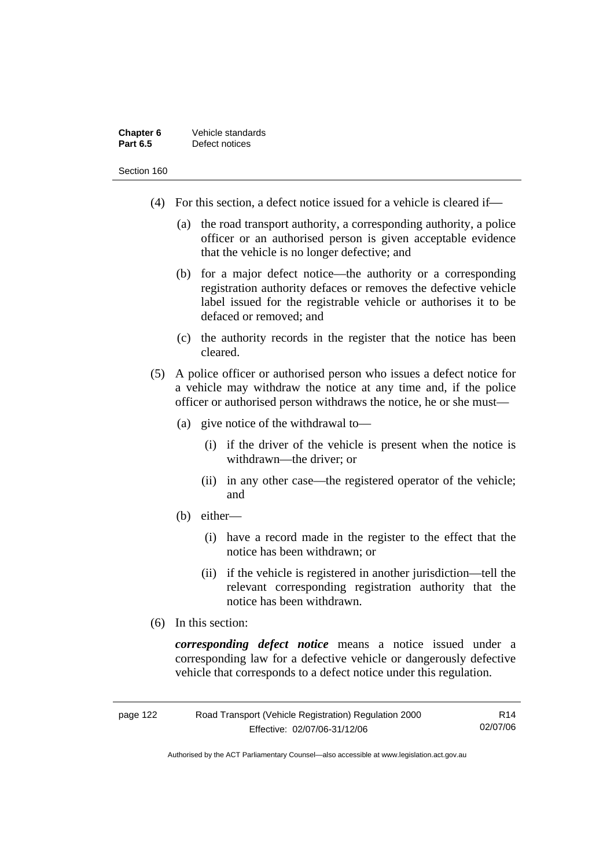| Chapter 6       | Vehicle standards |
|-----------------|-------------------|
| <b>Part 6.5</b> | Defect notices    |

- (4) For this section, a defect notice issued for a vehicle is cleared if—
	- (a) the road transport authority, a corresponding authority, a police officer or an authorised person is given acceptable evidence that the vehicle is no longer defective; and
	- (b) for a major defect notice—the authority or a corresponding registration authority defaces or removes the defective vehicle label issued for the registrable vehicle or authorises it to be defaced or removed; and
	- (c) the authority records in the register that the notice has been cleared.
- (5) A police officer or authorised person who issues a defect notice for a vehicle may withdraw the notice at any time and, if the police officer or authorised person withdraws the notice, he or she must—
	- (a) give notice of the withdrawal to—
		- (i) if the driver of the vehicle is present when the notice is withdrawn—the driver; or
		- (ii) in any other case—the registered operator of the vehicle; and
	- (b) either—
		- (i) have a record made in the register to the effect that the notice has been withdrawn; or
		- (ii) if the vehicle is registered in another jurisdiction—tell the relevant corresponding registration authority that the notice has been withdrawn.
- (6) In this section:

*corresponding defect notice* means a notice issued under a corresponding law for a defective vehicle or dangerously defective vehicle that corresponds to a defect notice under this regulation.

| page 122 | Road Transport (Vehicle Registration) Regulation 2000 | R14      |
|----------|-------------------------------------------------------|----------|
|          | Effective: 02/07/06-31/12/06                          | 02/07/06 |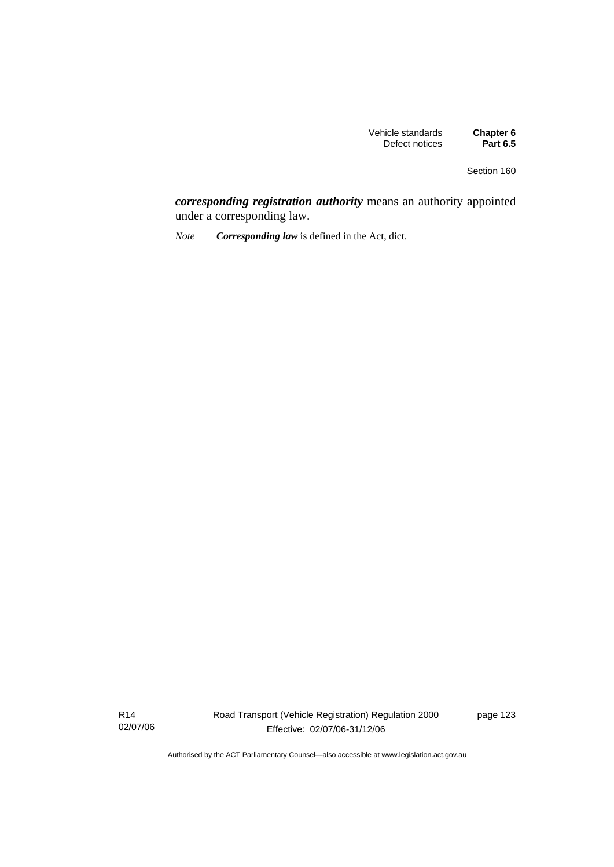*corresponding registration authority* means an authority appointed under a corresponding law.

*Note Corresponding law* is defined in the Act, dict.

R14 02/07/06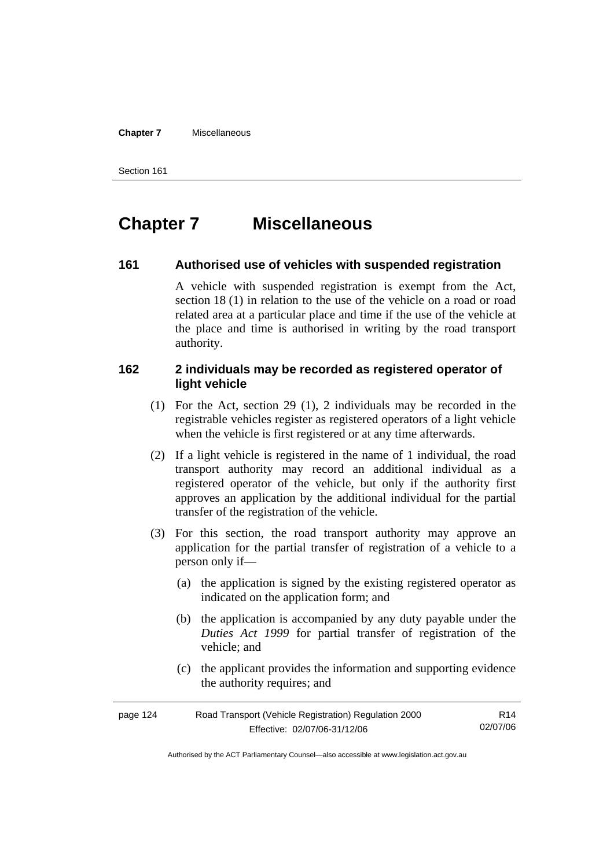#### **Chapter 7** Miscellaneous

Section 161

# **Chapter 7 Miscellaneous**

### **161 Authorised use of vehicles with suspended registration**

A vehicle with suspended registration is exempt from the Act, section 18 (1) in relation to the use of the vehicle on a road or road related area at a particular place and time if the use of the vehicle at the place and time is authorised in writing by the road transport authority.

### **162 2 individuals may be recorded as registered operator of light vehicle**

- (1) For the Act, section 29 (1), 2 individuals may be recorded in the registrable vehicles register as registered operators of a light vehicle when the vehicle is first registered or at any time afterwards.
- (2) If a light vehicle is registered in the name of 1 individual, the road transport authority may record an additional individual as a registered operator of the vehicle, but only if the authority first approves an application by the additional individual for the partial transfer of the registration of the vehicle.
- (3) For this section, the road transport authority may approve an application for the partial transfer of registration of a vehicle to a person only if—
	- (a) the application is signed by the existing registered operator as indicated on the application form; and
	- (b) the application is accompanied by any duty payable under the *Duties Act 1999* for partial transfer of registration of the vehicle; and
	- (c) the applicant provides the information and supporting evidence the authority requires; and

| page 124 | Road Transport (Vehicle Registration) Regulation 2000 |          |
|----------|-------------------------------------------------------|----------|
|          | Effective: 02/07/06-31/12/06                          | 02/07/06 |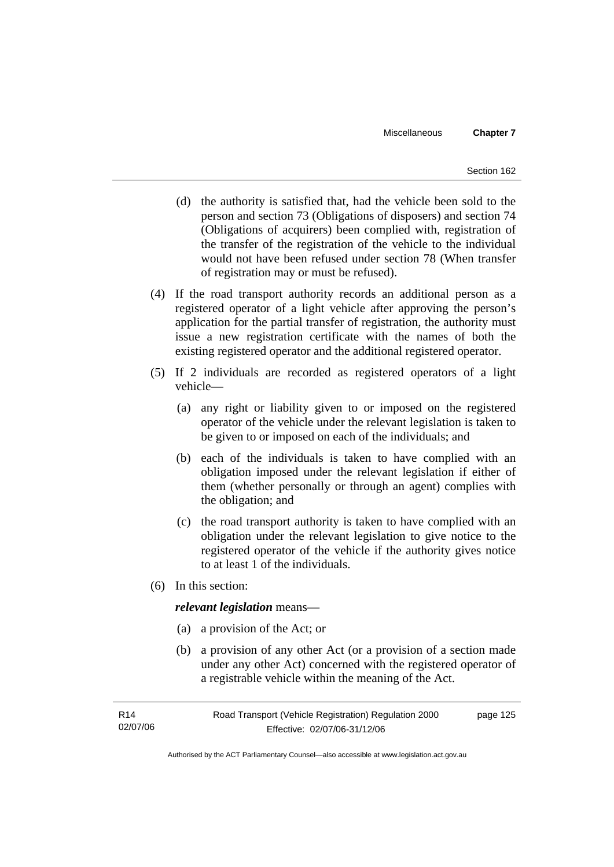- (d) the authority is satisfied that, had the vehicle been sold to the person and section 73 (Obligations of disposers) and section 74 (Obligations of acquirers) been complied with, registration of the transfer of the registration of the vehicle to the individual would not have been refused under section 78 (When transfer of registration may or must be refused).
- (4) If the road transport authority records an additional person as a registered operator of a light vehicle after approving the person's application for the partial transfer of registration, the authority must issue a new registration certificate with the names of both the existing registered operator and the additional registered operator.
- (5) If 2 individuals are recorded as registered operators of a light vehicle—
	- (a) any right or liability given to or imposed on the registered operator of the vehicle under the relevant legislation is taken to be given to or imposed on each of the individuals; and
	- (b) each of the individuals is taken to have complied with an obligation imposed under the relevant legislation if either of them (whether personally or through an agent) complies with the obligation; and
	- (c) the road transport authority is taken to have complied with an obligation under the relevant legislation to give notice to the registered operator of the vehicle if the authority gives notice to at least 1 of the individuals.
- (6) In this section:

#### *relevant legislation* means—

- (a) a provision of the Act; or
- (b) a provision of any other Act (or a provision of a section made under any other Act) concerned with the registered operator of a registrable vehicle within the meaning of the Act.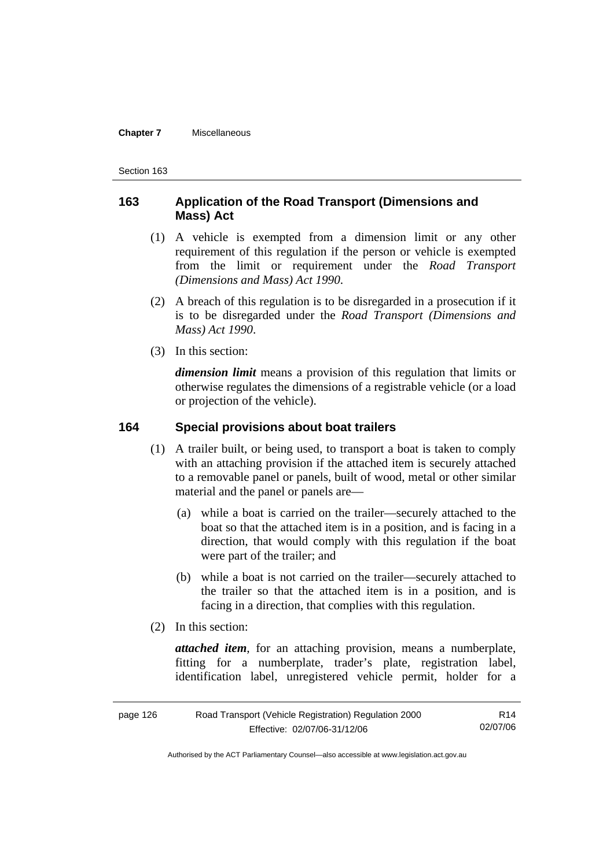#### **Chapter 7** Miscellaneous

Section 163

#### **163 Application of the Road Transport (Dimensions and Mass) Act**

- (1) A vehicle is exempted from a dimension limit or any other requirement of this regulation if the person or vehicle is exempted from the limit or requirement under the *Road Transport (Dimensions and Mass) Act 1990*.
- (2) A breach of this regulation is to be disregarded in a prosecution if it is to be disregarded under the *Road Transport (Dimensions and Mass) Act 1990*.
- (3) In this section:

*dimension limit* means a provision of this regulation that limits or otherwise regulates the dimensions of a registrable vehicle (or a load or projection of the vehicle).

#### **164 Special provisions about boat trailers**

- (1) A trailer built, or being used, to transport a boat is taken to comply with an attaching provision if the attached item is securely attached to a removable panel or panels, built of wood, metal or other similar material and the panel or panels are—
	- (a) while a boat is carried on the trailer—securely attached to the boat so that the attached item is in a position, and is facing in a direction, that would comply with this regulation if the boat were part of the trailer; and
	- (b) while a boat is not carried on the trailer—securely attached to the trailer so that the attached item is in a position, and is facing in a direction, that complies with this regulation.
- (2) In this section:

*attached item*, for an attaching provision, means a numberplate, fitting for a numberplate, trader's plate, registration label, identification label, unregistered vehicle permit, holder for a

| page 126 | Road Transport (Vehicle Registration) Regulation 2000 | R14      |
|----------|-------------------------------------------------------|----------|
|          | Effective: 02/07/06-31/12/06                          | 02/07/06 |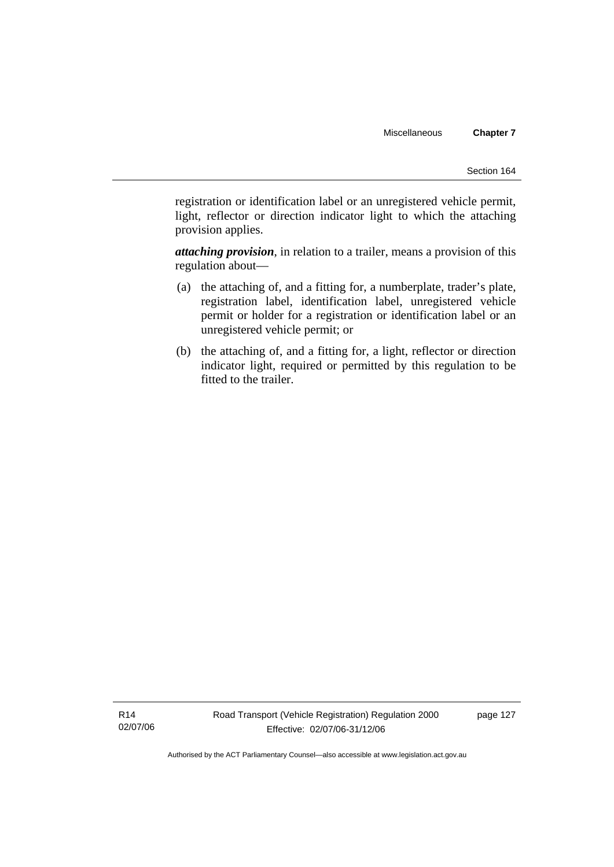registration or identification label or an unregistered vehicle permit, light, reflector or direction indicator light to which the attaching provision applies.

*attaching provision*, in relation to a trailer, means a provision of this regulation about—

- (a) the attaching of, and a fitting for, a numberplate, trader's plate, registration label, identification label, unregistered vehicle permit or holder for a registration or identification label or an unregistered vehicle permit; or
- (b) the attaching of, and a fitting for, a light, reflector or direction indicator light, required or permitted by this regulation to be fitted to the trailer.

R14 02/07/06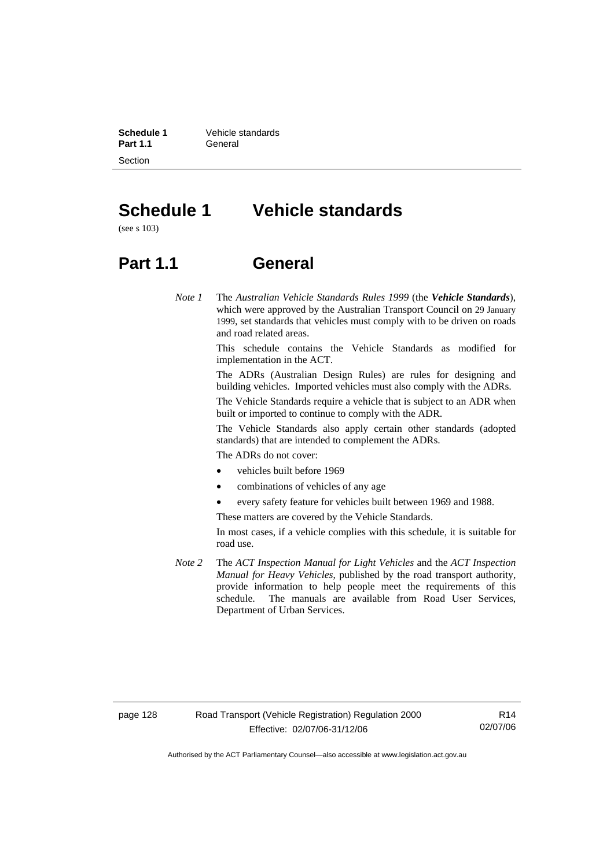Section

**Schedule 1 Vehicle standards**<br>**Part 1.1 Ceneral Part 1.1** General

# **Schedule 1 Vehicle standards**

(see s 103)

## **Part 1.1 General**

*Note 1* The *Australian Vehicle Standards Rules 1999* (the *Vehicle Standards*), which were approved by the Australian Transport Council on 29 January 1999, set standards that vehicles must comply with to be driven on roads and road related areas.

> This schedule contains the Vehicle Standards as modified for implementation in the ACT.

> The ADRs (Australian Design Rules) are rules for designing and building vehicles. Imported vehicles must also comply with the ADRs.

> The Vehicle Standards require a vehicle that is subject to an ADR when built or imported to continue to comply with the ADR.

> The Vehicle Standards also apply certain other standards (adopted standards) that are intended to complement the ADRs.

The ADRs do not cover:

- vehicles built before 1969
- combinations of vehicles of any age
- every safety feature for vehicles built between 1969 and 1988.

These matters are covered by the Vehicle Standards.

In most cases, if a vehicle complies with this schedule, it is suitable for road use.

*Note 2* The *ACT Inspection Manual for Light Vehicles* and the *ACT Inspection Manual for Heavy Vehicles*, published by the road transport authority, provide information to help people meet the requirements of this schedule. The manuals are available from Road User Services, Department of Urban Services.

R14 02/07/06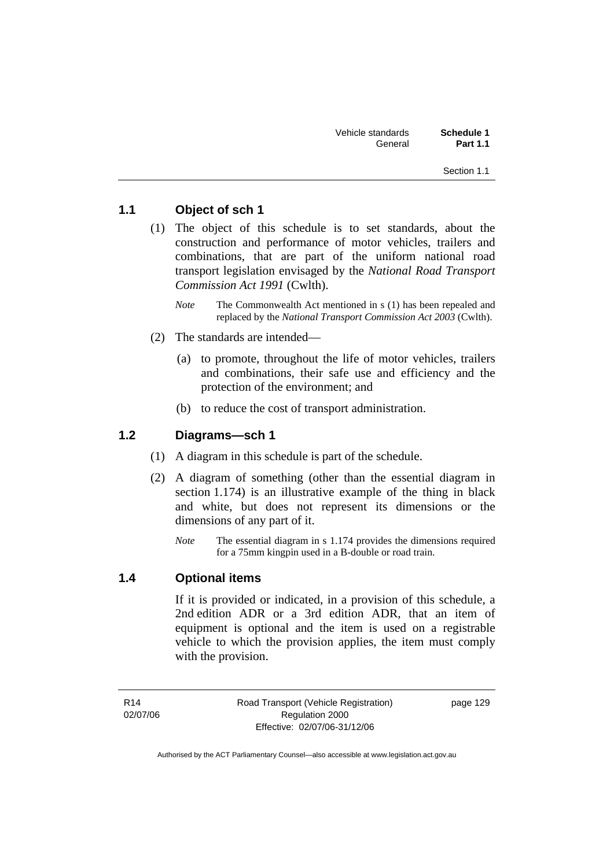| Vehicle standards | Schedule 1      |
|-------------------|-----------------|
| General           | <b>Part 1.1</b> |

Section 1.1

## **1.1 Object of sch 1**

- (1) The object of this schedule is to set standards, about the construction and performance of motor vehicles, trailers and combinations, that are part of the uniform national road transport legislation envisaged by the *National Road Transport Commission Act 1991* (Cwlth).
	- *Note* The Commonwealth Act mentioned in s (1) has been repealed and replaced by the *National Transport Commission Act 2003* (Cwlth).
- (2) The standards are intended—
	- (a) to promote, throughout the life of motor vehicles, trailers and combinations, their safe use and efficiency and the protection of the environment; and
	- (b) to reduce the cost of transport administration.

#### **1.2 Diagrams—sch 1**

- (1) A diagram in this schedule is part of the schedule.
- (2) A diagram of something (other than the essential diagram in section 1.174) is an illustrative example of the thing in black and white, but does not represent its dimensions or the dimensions of any part of it.
	- *Note* The essential diagram in s 1.174 provides the dimensions required for a 75mm kingpin used in a B-double or road train.

#### **1.4 Optional items**

If it is provided or indicated, in a provision of this schedule, a 2nd edition ADR or a 3rd edition ADR, that an item of equipment is optional and the item is used on a registrable vehicle to which the provision applies, the item must comply with the provision.

R14 02/07/06 Road Transport (Vehicle Registration) Regulation 2000 Effective: 02/07/06-31/12/06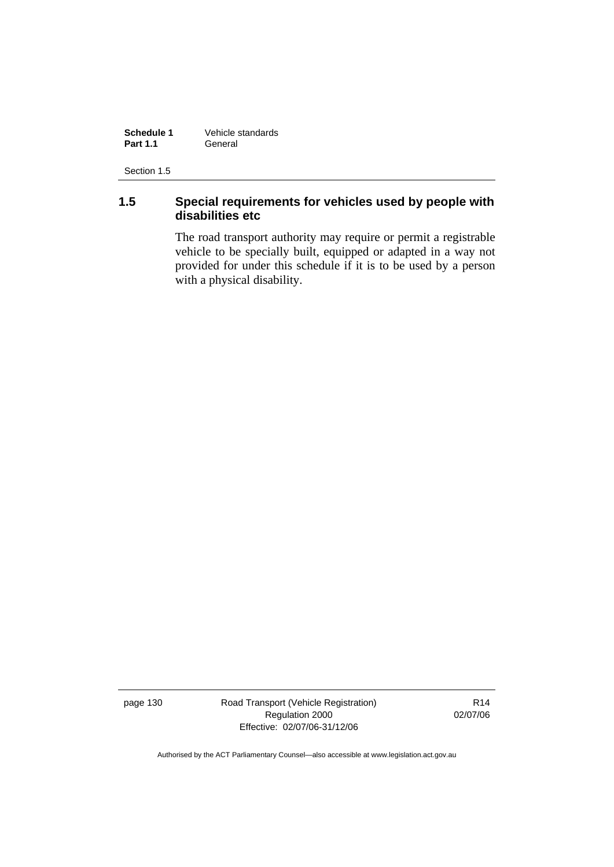**Schedule 1** Vehicle standards<br> **Part 1.1** General General

Section 1.5

#### **1.5 Special requirements for vehicles used by people with disabilities etc**

The road transport authority may require or permit a registrable vehicle to be specially built, equipped or adapted in a way not provided for under this schedule if it is to be used by a person with a physical disability.

page 130 Road Transport (Vehicle Registration) Regulation 2000 Effective: 02/07/06-31/12/06

R14 02/07/06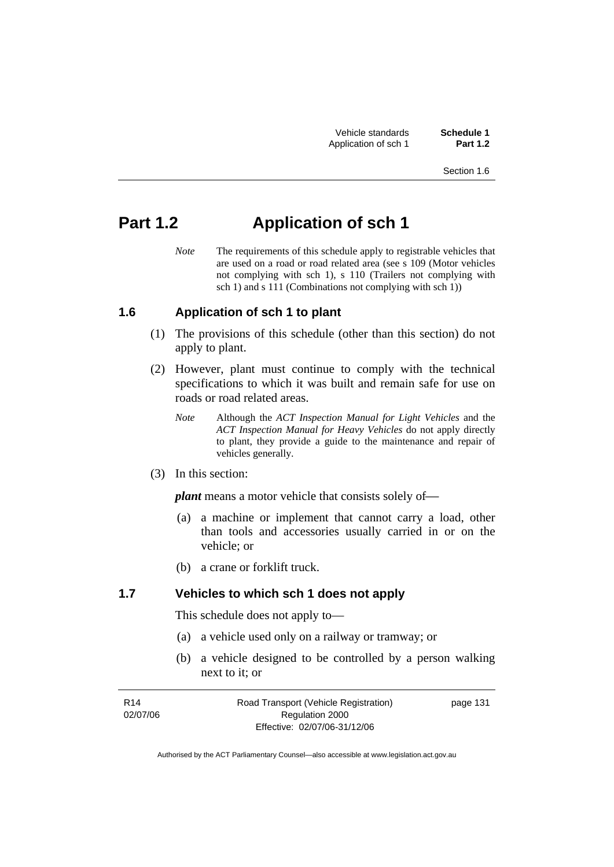Vehicle standards **Schedule 1**  Application of sch 1

# **Part 1.2 Application of sch 1**

*Note* The requirements of this schedule apply to registrable vehicles that are used on a road or road related area (see s 109 (Motor vehicles not complying with sch 1), s 110 (Trailers not complying with sch 1) and s 111 (Combinations not complying with sch 1))

#### **1.6 Application of sch 1 to plant**

- (1) The provisions of this schedule (other than this section) do not apply to plant.
- (2) However, plant must continue to comply with the technical specifications to which it was built and remain safe for use on roads or road related areas.
	- *Note* Although the *ACT Inspection Manual for Light Vehicles* and the *ACT Inspection Manual for Heavy Vehicles* do not apply directly to plant, they provide a guide to the maintenance and repair of vehicles generally.
- (3) In this section:

*plant* means a motor vehicle that consists solely of—

- (a) a machine or implement that cannot carry a load, other than tools and accessories usually carried in or on the vehicle; or
- (b) a crane or forklift truck.

#### **1.7 Vehicles to which sch 1 does not apply**

This schedule does not apply to—

- (a) a vehicle used only on a railway or tramway; or
- (b) a vehicle designed to be controlled by a person walking next to it; or

| R <sub>14</sub> | Road Transport (Vehicle Registration) | page 131 |
|-----------------|---------------------------------------|----------|
| 02/07/06        | Regulation 2000                       |          |
|                 | Effective: 02/07/06-31/12/06          |          |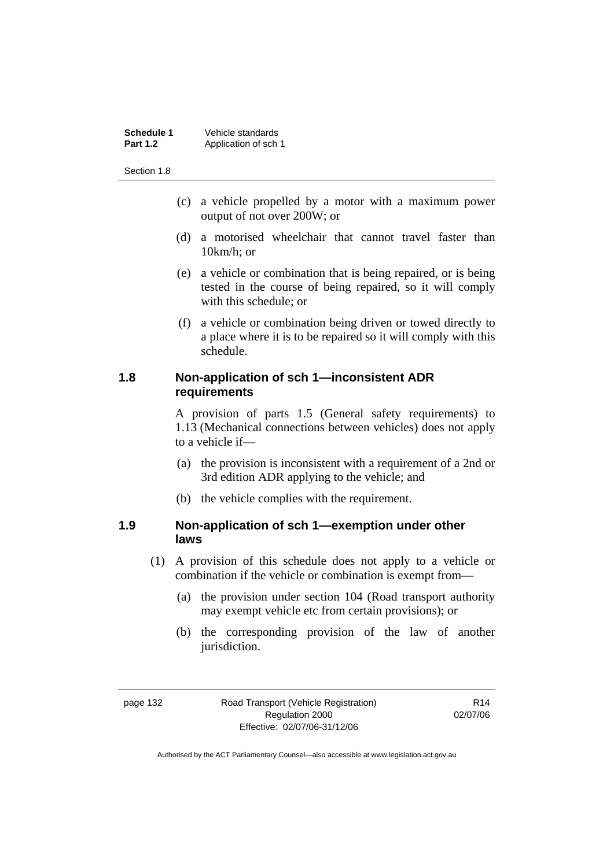| Schedule 1      | Vehicle standards    |
|-----------------|----------------------|
| <b>Part 1.2</b> | Application of sch 1 |

Section 1.8

- (c) a vehicle propelled by a motor with a maximum power output of not over 200W; or
- (d) a motorised wheelchair that cannot travel faster than 10km/h; or
- (e) a vehicle or combination that is being repaired, or is being tested in the course of being repaired, so it will comply with this schedule; or
- (f) a vehicle or combination being driven or towed directly to a place where it is to be repaired so it will comply with this schedule.

### **1.8 Non-application of sch 1—inconsistent ADR requirements**

A provision of parts 1.5 (General safety requirements) to 1.13 (Mechanical connections between vehicles) does not apply to a vehicle if—

- (a) the provision is inconsistent with a requirement of a 2nd or 3rd edition ADR applying to the vehicle; and
- (b) the vehicle complies with the requirement.

#### **1.9 Non-application of sch 1—exemption under other laws**

- (1) A provision of this schedule does not apply to a vehicle or combination if the vehicle or combination is exempt from—
	- (a) the provision under section 104 (Road transport authority may exempt vehicle etc from certain provisions); or
	- (b) the corresponding provision of the law of another jurisdiction.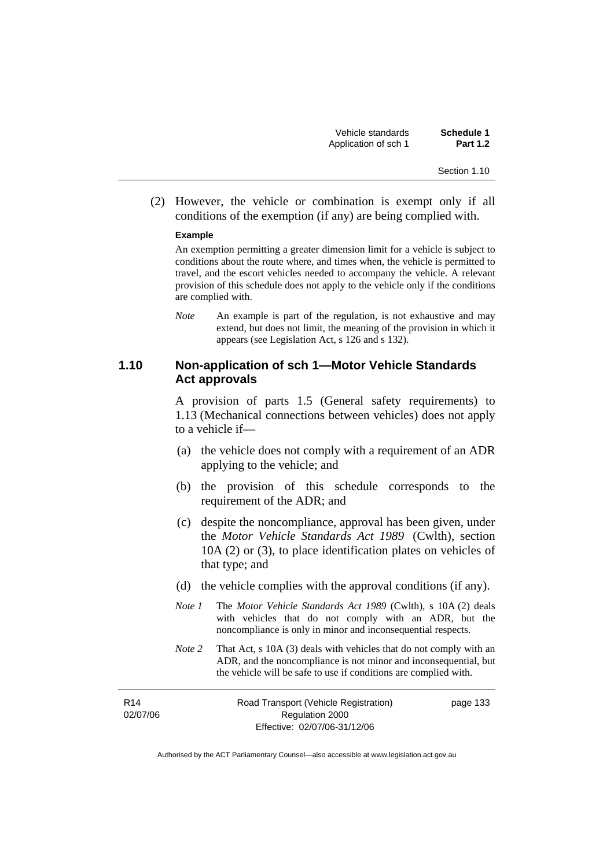| Vehicle standards    | Schedule 1      |
|----------------------|-----------------|
| Application of sch 1 | <b>Part 1.2</b> |

Section 1.10

 (2) However, the vehicle or combination is exempt only if all conditions of the exemption (if any) are being complied with.

#### **Example**

An exemption permitting a greater dimension limit for a vehicle is subject to conditions about the route where, and times when, the vehicle is permitted to travel, and the escort vehicles needed to accompany the vehicle. A relevant provision of this schedule does not apply to the vehicle only if the conditions are complied with.

*Note* An example is part of the regulation, is not exhaustive and may extend, but does not limit, the meaning of the provision in which it appears (see Legislation Act, s 126 and s 132).

#### **1.10 Non-application of sch 1—Motor Vehicle Standards Act approvals**

A provision of parts 1.5 (General safety requirements) to 1.13 (Mechanical connections between vehicles) does not apply to a vehicle if—

- (a) the vehicle does not comply with a requirement of an ADR applying to the vehicle; and
- (b) the provision of this schedule corresponds to the requirement of the ADR; and
- (c) despite the noncompliance, approval has been given, under the *Motor Vehicle Standards Act 1989* (Cwlth), section 10A (2) or (3), to place identification plates on vehicles of that type; and
- (d) the vehicle complies with the approval conditions (if any).
- *Note 1* The *Motor Vehicle Standards Act 1989* (Cwlth), s 10A (2) deals with vehicles that do not comply with an ADR, but the noncompliance is only in minor and inconsequential respects.
- *Note 2* That Act, s 10A (3) deals with vehicles that do not comply with an ADR, and the noncompliance is not minor and inconsequential, but the vehicle will be safe to use if conditions are complied with.

R14 02/07/06 Road Transport (Vehicle Registration) Regulation 2000 Effective: 02/07/06-31/12/06

page 133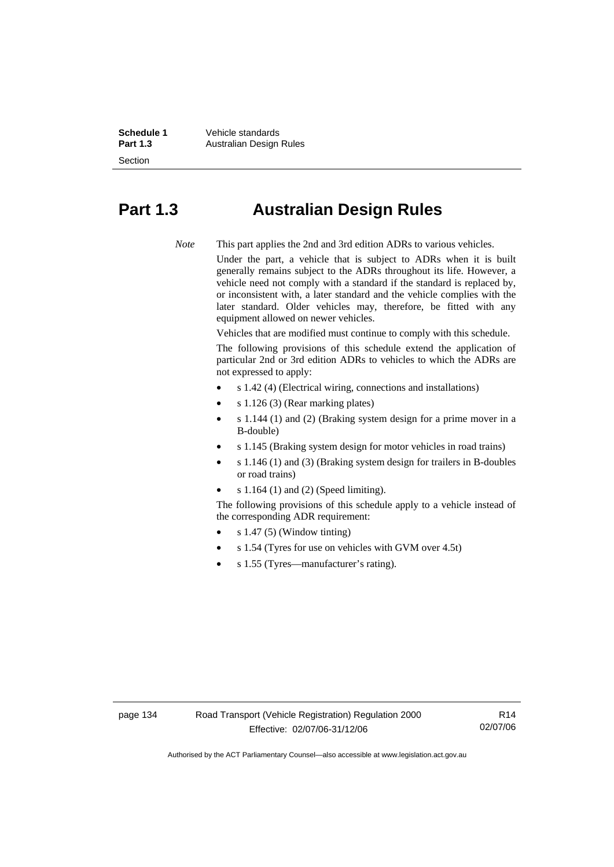Section

**Schedule 1** Vehicle standards<br> **Part 1.3** Australian Design **Australian Design Rules** 

## **Part 1.3 Australian Design Rules**

*Note* This part applies the 2nd and 3rd edition ADRs to various vehicles.

Under the part, a vehicle that is subject to ADRs when it is built generally remains subject to the ADRs throughout its life. However, a vehicle need not comply with a standard if the standard is replaced by, or inconsistent with, a later standard and the vehicle complies with the later standard. Older vehicles may, therefore, be fitted with any equipment allowed on newer vehicles.

Vehicles that are modified must continue to comply with this schedule.

The following provisions of this schedule extend the application of particular 2nd or 3rd edition ADRs to vehicles to which the ADRs are not expressed to apply:

- s 1.42 (4) (Electrical wiring, connections and installations)
- s 1.126 (3) (Rear marking plates)
- s 1.144 (1) and (2) (Braking system design for a prime mover in a B-double)
- s 1.145 (Braking system design for motor vehicles in road trains)
- s 1.146 (1) and (3) (Braking system design for trailers in B-doubles or road trains)
- s 1.164 (1) and (2) (Speed limiting).

The following provisions of this schedule apply to a vehicle instead of the corresponding ADR requirement:

- s 1.47 (5) (Window tinting)
- s 1.54 (Tyres for use on vehicles with GVM over 4.5t)
- s 1.55 (Tyres—manufacturer's rating).

R14 02/07/06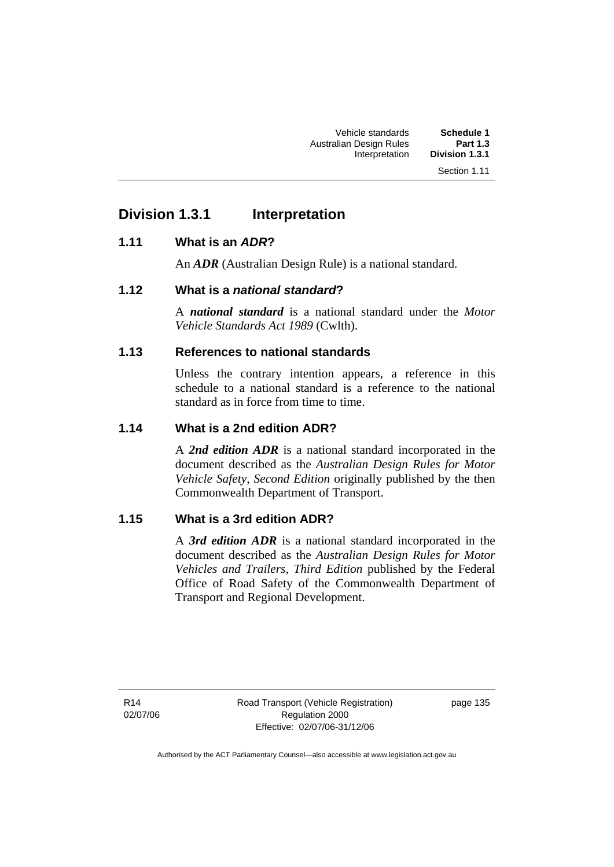## **Division 1.3.1 Interpretation**

#### **1.11 What is an** *ADR***?**

An *ADR* (Australian Design Rule) is a national standard.

#### **1.12 What is a** *national standard***?**

A *national standard* is a national standard under the *Motor Vehicle Standards Act 1989* (Cwlth).

### **1.13 References to national standards**

Unless the contrary intention appears, a reference in this schedule to a national standard is a reference to the national standard as in force from time to time.

#### **1.14 What is a 2nd edition ADR?**

A *2nd edition ADR* is a national standard incorporated in the document described as the *Australian Design Rules for Motor Vehicle Safety, Second Edition* originally published by the then Commonwealth Department of Transport.

#### **1.15 What is a 3rd edition ADR?**

A *3rd edition ADR* is a national standard incorporated in the document described as the *Australian Design Rules for Motor Vehicles and Trailers, Third Edition* published by the Federal Office of Road Safety of the Commonwealth Department of Transport and Regional Development.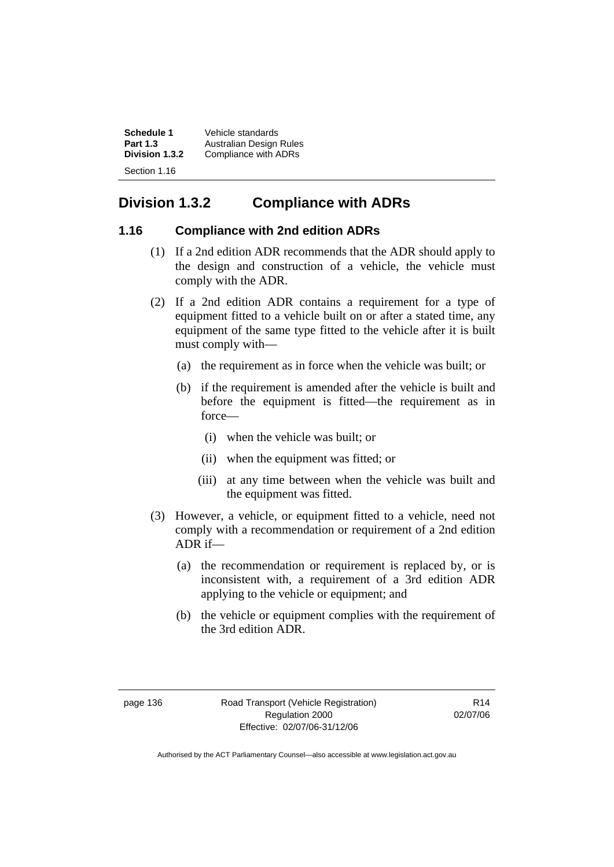| Schedule 1      | Vehicle standards       |
|-----------------|-------------------------|
| <b>Part 1.3</b> | Australian Design Rules |
| Division 1.3.2  | Compliance with ADRs    |
| Section 1.16    |                         |

## **Division 1.3.2 Compliance with ADRs**

#### **1.16 Compliance with 2nd edition ADRs**

- (1) If a 2nd edition ADR recommends that the ADR should apply to the design and construction of a vehicle, the vehicle must comply with the ADR.
- (2) If a 2nd edition ADR contains a requirement for a type of equipment fitted to a vehicle built on or after a stated time, any equipment of the same type fitted to the vehicle after it is built must comply with—
	- (a) the requirement as in force when the vehicle was built; or
	- (b) if the requirement is amended after the vehicle is built and before the equipment is fitted—the requirement as in force—
		- (i) when the vehicle was built; or
		- (ii) when the equipment was fitted; or
		- (iii) at any time between when the vehicle was built and the equipment was fitted.
- (3) However, a vehicle, or equipment fitted to a vehicle, need not comply with a recommendation or requirement of a 2nd edition ADR if—
	- (a) the recommendation or requirement is replaced by, or is inconsistent with, a requirement of a 3rd edition ADR applying to the vehicle or equipment; and
	- (b) the vehicle or equipment complies with the requirement of the 3rd edition ADR.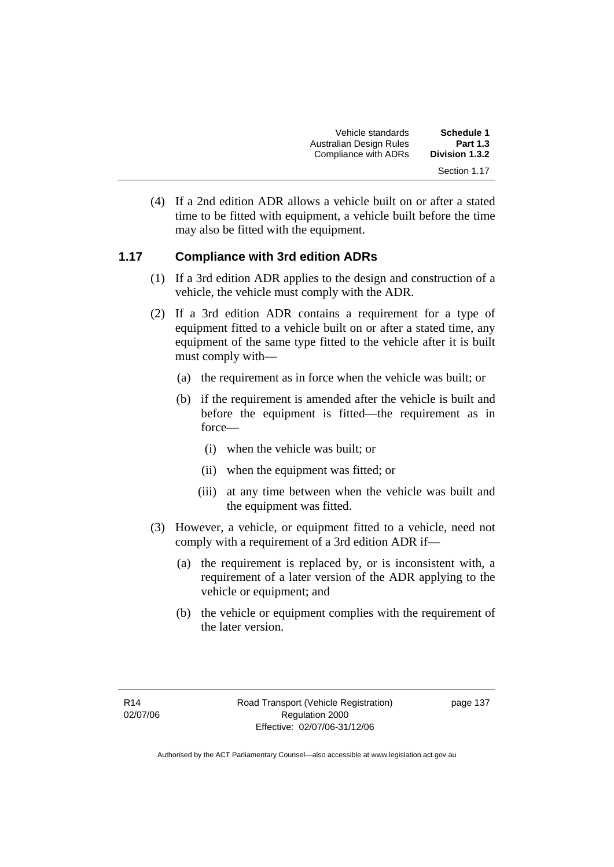| <b>Schedule 1</b><br><b>Part 1.3</b> | Vehicle standards<br>Australian Design Rules |
|--------------------------------------|----------------------------------------------|
| Division 1.3.2                       | Compliance with ADRs                         |
| Section 1.17                         |                                              |

 (4) If a 2nd edition ADR allows a vehicle built on or after a stated time to be fitted with equipment, a vehicle built before the time may also be fitted with the equipment.

#### **1.17 Compliance with 3rd edition ADRs**

- (1) If a 3rd edition ADR applies to the design and construction of a vehicle, the vehicle must comply with the ADR.
- (2) If a 3rd edition ADR contains a requirement for a type of equipment fitted to a vehicle built on or after a stated time, any equipment of the same type fitted to the vehicle after it is built must comply with—
	- (a) the requirement as in force when the vehicle was built; or
	- (b) if the requirement is amended after the vehicle is built and before the equipment is fitted—the requirement as in force—
		- (i) when the vehicle was built; or
		- (ii) when the equipment was fitted; or
		- (iii) at any time between when the vehicle was built and the equipment was fitted.
- (3) However, a vehicle, or equipment fitted to a vehicle, need not comply with a requirement of a 3rd edition ADR if—
	- (a) the requirement is replaced by, or is inconsistent with, a requirement of a later version of the ADR applying to the vehicle or equipment; and
	- (b) the vehicle or equipment complies with the requirement of the later version.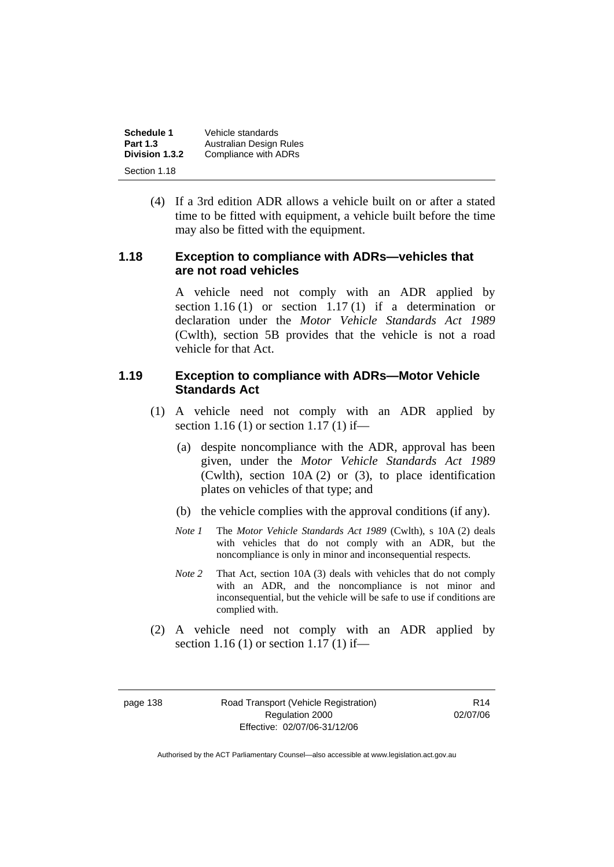| Schedule 1      | Vehicle standards       |
|-----------------|-------------------------|
| <b>Part 1.3</b> | Australian Design Rules |
| Division 1.3.2  | Compliance with ADRs    |
| Section 1.18    |                         |

 (4) If a 3rd edition ADR allows a vehicle built on or after a stated time to be fitted with equipment, a vehicle built before the time may also be fitted with the equipment.

#### **1.18 Exception to compliance with ADRs—vehicles that are not road vehicles**

A vehicle need not comply with an ADR applied by section 1.16 (1) or section 1.17 (1) if a determination or declaration under the *Motor Vehicle Standards Act 1989* (Cwlth), section 5B provides that the vehicle is not a road vehicle for that Act.

#### **1.19 Exception to compliance with ADRs—Motor Vehicle Standards Act**

- (1) A vehicle need not comply with an ADR applied by section 1.16 (1) or section 1.17 (1) if—
	- (a) despite noncompliance with the ADR, approval has been given, under the *Motor Vehicle Standards Act 1989*  (Cwlth), section 10A (2) or (3), to place identification plates on vehicles of that type; and
	- (b) the vehicle complies with the approval conditions (if any).
	- *Note 1* The *Motor Vehicle Standards Act 1989* (Cwlth), s 10A (2) deals with vehicles that do not comply with an ADR, but the noncompliance is only in minor and inconsequential respects.
	- *Note 2* That Act, section 10A (3) deals with vehicles that do not comply with an ADR, and the noncompliance is not minor and inconsequential, but the vehicle will be safe to use if conditions are complied with.
- (2) A vehicle need not comply with an ADR applied by section 1.16 (1) or section 1.17 (1) if—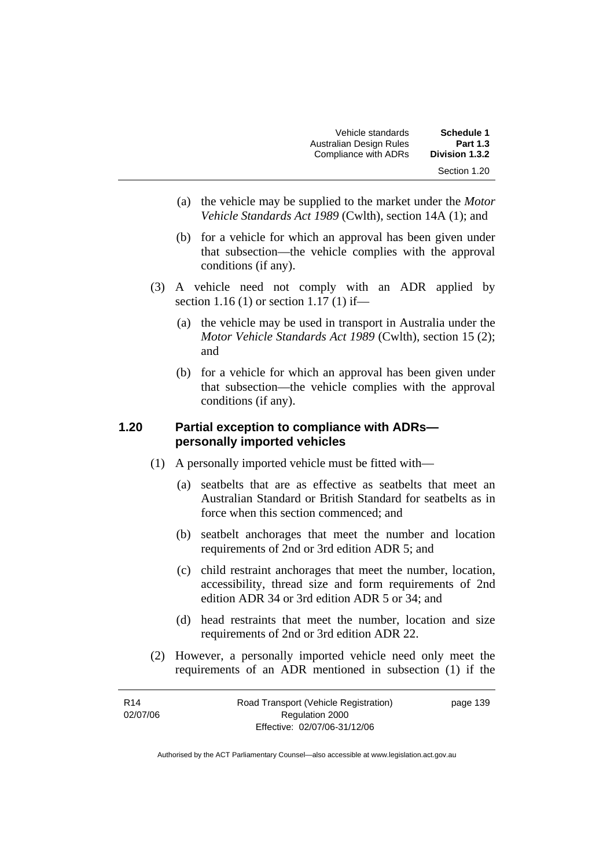| Schedule 1      | Vehicle standards       |
|-----------------|-------------------------|
| <b>Part 1.3</b> | Australian Design Rules |
| Division 1.3.2  | Compliance with ADRs    |
| Section 1.20    |                         |

- (a) the vehicle may be supplied to the market under the *Motor Vehicle Standards Act 1989* (Cwlth), section 14A (1); and
- (b) for a vehicle for which an approval has been given under that subsection—the vehicle complies with the approval conditions (if any).
- (3) A vehicle need not comply with an ADR applied by section 1.16 (1) or section 1.17 (1) if—
	- (a) the vehicle may be used in transport in Australia under the *Motor Vehicle Standards Act 1989* (Cwlth), section 15 (2); and
	- (b) for a vehicle for which an approval has been given under that subsection—the vehicle complies with the approval conditions (if any).

#### **1.20 Partial exception to compliance with ADRs personally imported vehicles**

- (1) A personally imported vehicle must be fitted with—
	- (a) seatbelts that are as effective as seatbelts that meet an Australian Standard or British Standard for seatbelts as in force when this section commenced; and
	- (b) seatbelt anchorages that meet the number and location requirements of 2nd or 3rd edition ADR 5; and
	- (c) child restraint anchorages that meet the number, location, accessibility, thread size and form requirements of 2nd edition ADR 34 or 3rd edition ADR 5 or 34; and
	- (d) head restraints that meet the number, location and size requirements of 2nd or 3rd edition ADR 22.
- (2) However, a personally imported vehicle need only meet the requirements of an ADR mentioned in subsection (1) if the

| R <sub>14</sub> | Road Transport (Vehicle Registration) | page 139 |
|-----------------|---------------------------------------|----------|
| 02/07/06        | Regulation 2000                       |          |
|                 | Effective: 02/07/06-31/12/06          |          |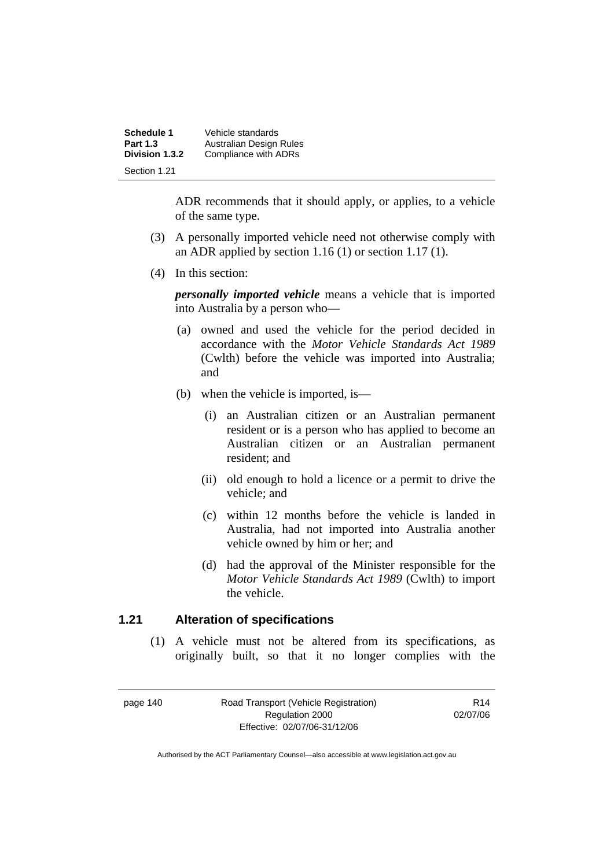| Schedule 1      | Vehicle standards       |
|-----------------|-------------------------|
| <b>Part 1.3</b> | Australian Design Rules |
| Division 1.3.2  | Compliance with ADRs    |
| Section 1.21    |                         |

ADR recommends that it should apply, or applies, to a vehicle of the same type.

- (3) A personally imported vehicle need not otherwise comply with an ADR applied by section 1.16 (1) or section 1.17 (1).
- (4) In this section:

*personally imported vehicle* means a vehicle that is imported into Australia by a person who—

- (a) owned and used the vehicle for the period decided in accordance with the *Motor Vehicle Standards Act 1989*  (Cwlth) before the vehicle was imported into Australia; and
- (b) when the vehicle is imported, is—
	- (i) an Australian citizen or an Australian permanent resident or is a person who has applied to become an Australian citizen or an Australian permanent resident; and
	- (ii) old enough to hold a licence or a permit to drive the vehicle; and
	- (c) within 12 months before the vehicle is landed in Australia, had not imported into Australia another vehicle owned by him or her; and
	- (d) had the approval of the Minister responsible for the *Motor Vehicle Standards Act 1989* (Cwlth) to import the vehicle.

#### **1.21 Alteration of specifications**

 (1) A vehicle must not be altered from its specifications, as originally built, so that it no longer complies with the

page 140 Road Transport (Vehicle Registration) Regulation 2000 Effective: 02/07/06-31/12/06

R14 02/07/06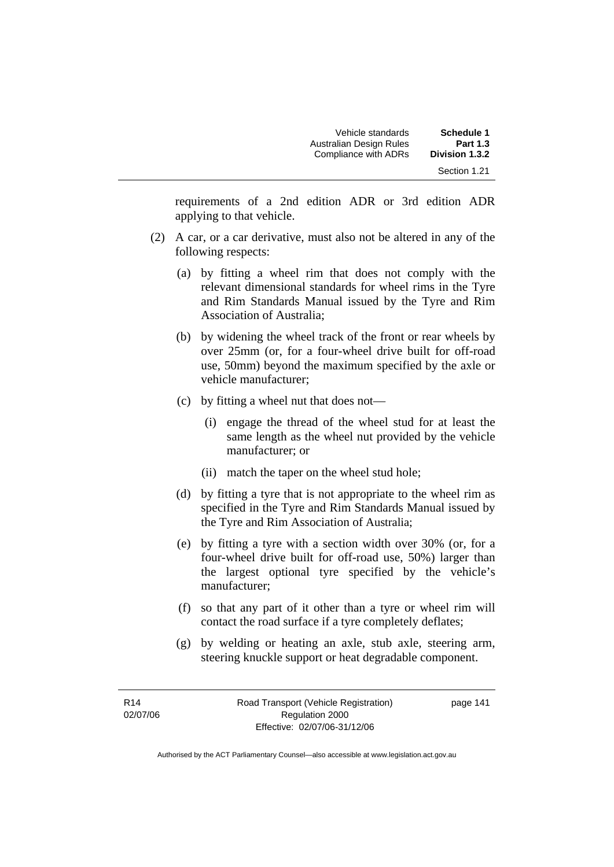| <b>Schedule 1</b><br><b>Part 1.3</b> | Vehicle standards<br>Australian Design Rules |
|--------------------------------------|----------------------------------------------|
| Division 1.3.2                       | Compliance with ADRs                         |
| Section 1.21                         |                                              |

requirements of a 2nd edition ADR or 3rd edition ADR applying to that vehicle.

- (2) A car, or a car derivative, must also not be altered in any of the following respects:
	- (a) by fitting a wheel rim that does not comply with the relevant dimensional standards for wheel rims in the Tyre and Rim Standards Manual issued by the Tyre and Rim Association of Australia;
	- (b) by widening the wheel track of the front or rear wheels by over 25mm (or, for a four-wheel drive built for off-road use, 50mm) beyond the maximum specified by the axle or vehicle manufacturer;
	- (c) by fitting a wheel nut that does not—
		- (i) engage the thread of the wheel stud for at least the same length as the wheel nut provided by the vehicle manufacturer; or
		- (ii) match the taper on the wheel stud hole;
	- (d) by fitting a tyre that is not appropriate to the wheel rim as specified in the Tyre and Rim Standards Manual issued by the Tyre and Rim Association of Australia;
	- (e) by fitting a tyre with a section width over 30% (or, for a four-wheel drive built for off-road use, 50%) larger than the largest optional tyre specified by the vehicle's manufacturer;
	- (f) so that any part of it other than a tyre or wheel rim will contact the road surface if a tyre completely deflates;
	- (g) by welding or heating an axle, stub axle, steering arm, steering knuckle support or heat degradable component.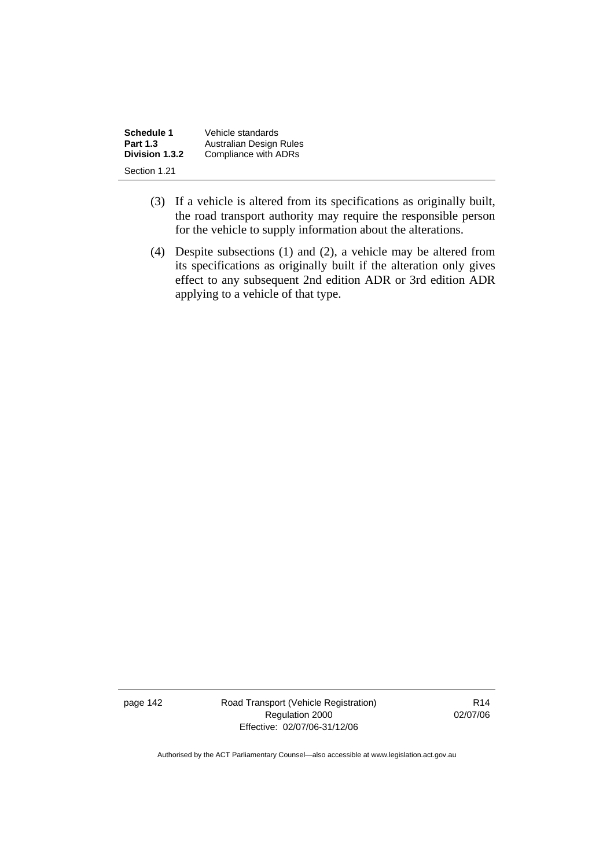| Schedule 1      | Vehicle standards       |
|-----------------|-------------------------|
| <b>Part 1.3</b> | Australian Design Rules |
| Division 1.3.2  | Compliance with ADRs    |
| Section 1.21    |                         |

- (3) If a vehicle is altered from its specifications as originally built, the road transport authority may require the responsible person for the vehicle to supply information about the alterations.
- (4) Despite subsections (1) and (2), a vehicle may be altered from its specifications as originally built if the alteration only gives effect to any subsequent 2nd edition ADR or 3rd edition ADR applying to a vehicle of that type.

page 142 Road Transport (Vehicle Registration) Regulation 2000 Effective: 02/07/06-31/12/06

R14 02/07/06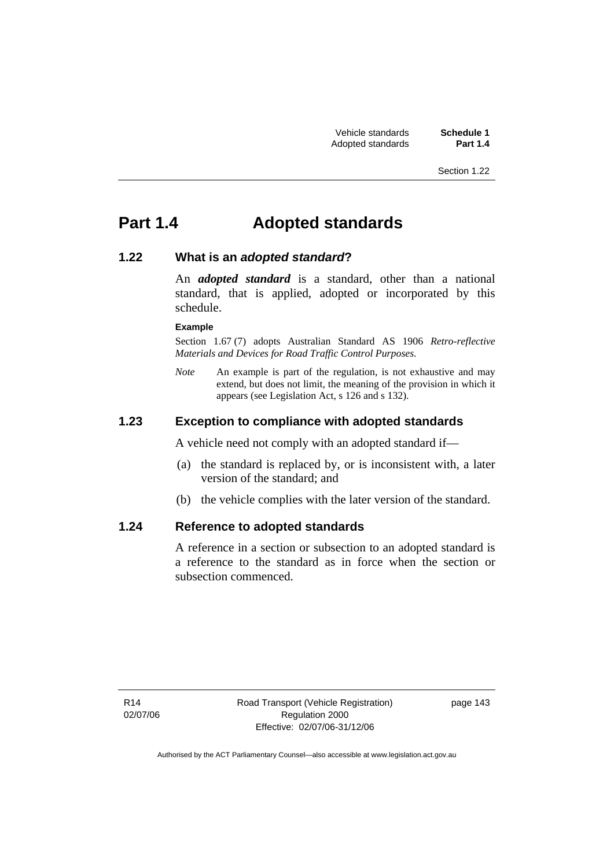# **Part 1.4 Adopted standards**

#### **1.22 What is an** *adopted standard***?**

An *adopted standard* is a standard, other than a national standard, that is applied, adopted or incorporated by this schedule.

#### **Example**

Section 1.67 (7) adopts Australian Standard AS 1906 *Retro-reflective Materials and Devices for Road Traffic Control Purposes*.

*Note* An example is part of the regulation, is not exhaustive and may extend, but does not limit, the meaning of the provision in which it appears (see Legislation Act, s 126 and s 132).

#### **1.23 Exception to compliance with adopted standards**

A vehicle need not comply with an adopted standard if—

- (a) the standard is replaced by, or is inconsistent with, a later version of the standard; and
- (b) the vehicle complies with the later version of the standard.

#### **1.24 Reference to adopted standards**

A reference in a section or subsection to an adopted standard is a reference to the standard as in force when the section or subsection commenced.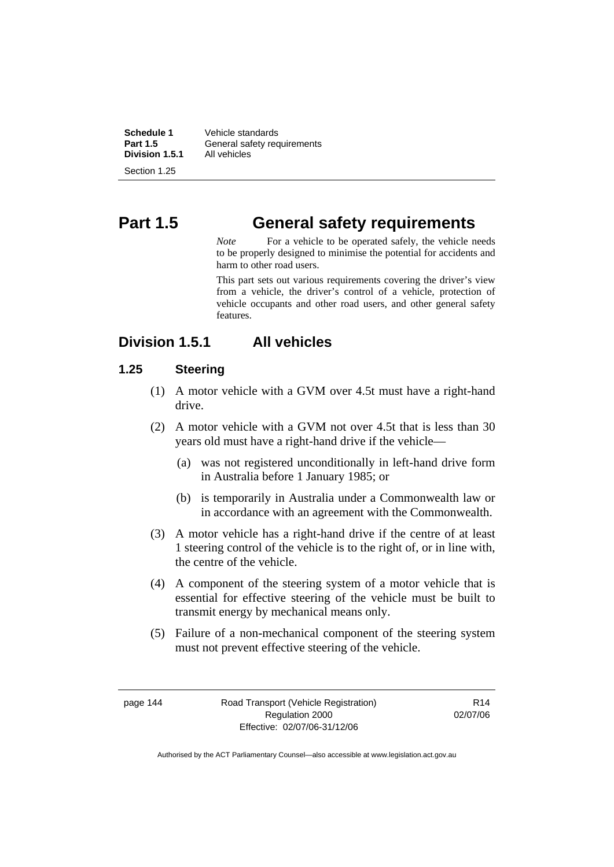| Schedule 1      | Vehicle standards           |
|-----------------|-----------------------------|
| <b>Part 1.5</b> | General safety requirements |
| Division 1.5.1  | All vehicles                |
| Section 1.25    |                             |

# **Part 1.5 General safety requirements**

*Note* For a vehicle to be operated safely, the vehicle needs to be properly designed to minimise the potential for accidents and harm to other road users.

This part sets out various requirements covering the driver's view from a vehicle, the driver's control of a vehicle, protection of vehicle occupants and other road users, and other general safety features.

## **Division 1.5.1 All vehicles**

## **1.25 Steering**

- (1) A motor vehicle with a GVM over 4.5t must have a right-hand drive.
- (2) A motor vehicle with a GVM not over 4.5t that is less than 30 years old must have a right-hand drive if the vehicle—
	- (a) was not registered unconditionally in left-hand drive form in Australia before 1 January 1985; or
	- (b) is temporarily in Australia under a Commonwealth law or in accordance with an agreement with the Commonwealth.
- (3) A motor vehicle has a right-hand drive if the centre of at least 1 steering control of the vehicle is to the right of, or in line with, the centre of the vehicle.
- (4) A component of the steering system of a motor vehicle that is essential for effective steering of the vehicle must be built to transmit energy by mechanical means only.
- (5) Failure of a non-mechanical component of the steering system must not prevent effective steering of the vehicle.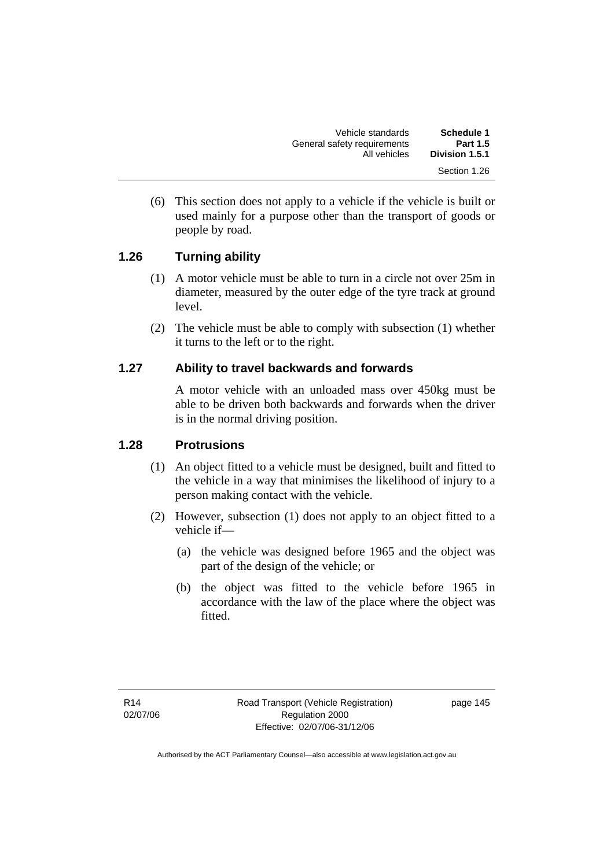| Vehicle standards           | Schedule 1                     |
|-----------------------------|--------------------------------|
| General safety requirements | <b>Part 1.5</b>                |
| All vehicles                | Division 1.5.1<br>Section 1.26 |

 (6) This section does not apply to a vehicle if the vehicle is built or used mainly for a purpose other than the transport of goods or people by road.

#### **1.26 Turning ability**

- (1) A motor vehicle must be able to turn in a circle not over 25m in diameter, measured by the outer edge of the tyre track at ground level.
- (2) The vehicle must be able to comply with subsection (1) whether it turns to the left or to the right.

#### **1.27 Ability to travel backwards and forwards**

A motor vehicle with an unloaded mass over 450kg must be able to be driven both backwards and forwards when the driver is in the normal driving position.

#### **1.28 Protrusions**

- (1) An object fitted to a vehicle must be designed, built and fitted to the vehicle in a way that minimises the likelihood of injury to a person making contact with the vehicle.
- (2) However, subsection (1) does not apply to an object fitted to a vehicle if—
	- (a) the vehicle was designed before 1965 and the object was part of the design of the vehicle; or
	- (b) the object was fitted to the vehicle before 1965 in accordance with the law of the place where the object was fitted.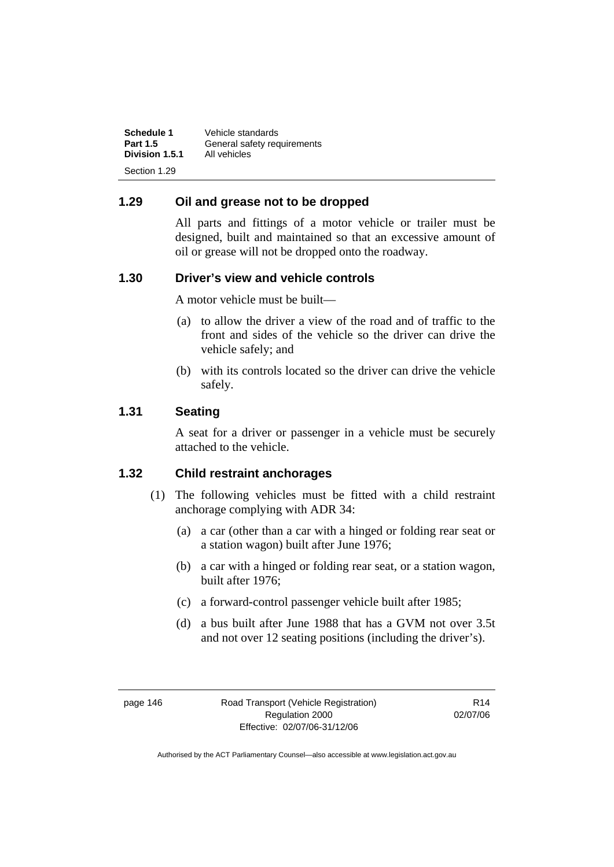| Schedule 1      | Vehicle standards           |
|-----------------|-----------------------------|
| <b>Part 1.5</b> | General safety requirements |
| Division 1.5.1  | All vehicles                |
| Section 1.29    |                             |

#### **1.29 Oil and grease not to be dropped**

All parts and fittings of a motor vehicle or trailer must be designed, built and maintained so that an excessive amount of oil or grease will not be dropped onto the roadway.

#### **1.30 Driver's view and vehicle controls**

A motor vehicle must be built—

- (a) to allow the driver a view of the road and of traffic to the front and sides of the vehicle so the driver can drive the vehicle safely; and
- (b) with its controls located so the driver can drive the vehicle safely.

#### **1.31 Seating**

A seat for a driver or passenger in a vehicle must be securely attached to the vehicle.

#### **1.32 Child restraint anchorages**

- (1) The following vehicles must be fitted with a child restraint anchorage complying with ADR 34:
	- (a) a car (other than a car with a hinged or folding rear seat or a station wagon) built after June 1976;
	- (b) a car with a hinged or folding rear seat, or a station wagon, built after 1976;
	- (c) a forward-control passenger vehicle built after 1985;
	- (d) a bus built after June 1988 that has a GVM not over 3.5t and not over 12 seating positions (including the driver's).

R14 02/07/06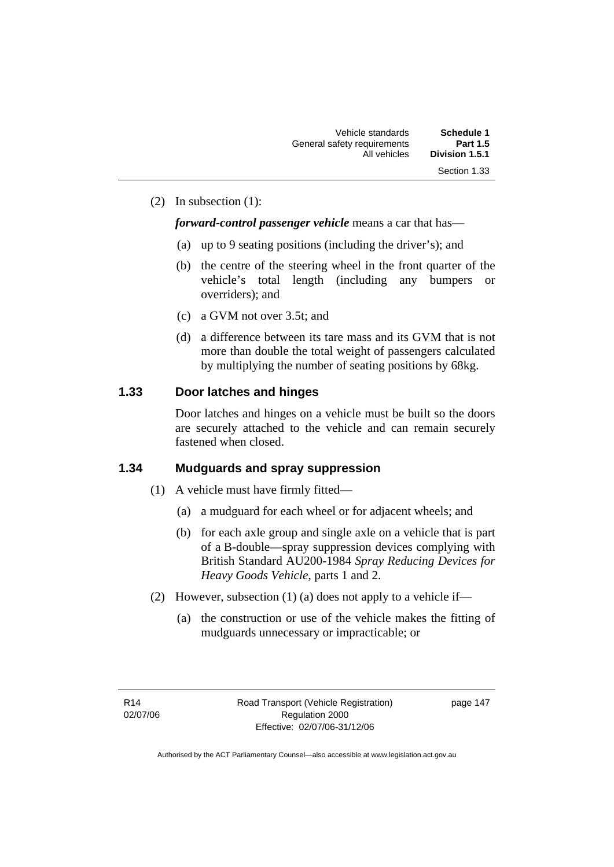(2) In subsection (1):

#### *forward-control passenger vehicle* means a car that has—

- (a) up to 9 seating positions (including the driver's); and
- (b) the centre of the steering wheel in the front quarter of the vehicle's total length (including any bumpers or overriders); and
- (c) a GVM not over 3.5t; and
- (d) a difference between its tare mass and its GVM that is not more than double the total weight of passengers calculated by multiplying the number of seating positions by 68kg.

## **1.33 Door latches and hinges**

Door latches and hinges on a vehicle must be built so the doors are securely attached to the vehicle and can remain securely fastened when closed.

## **1.34 Mudguards and spray suppression**

- (1) A vehicle must have firmly fitted—
	- (a) a mudguard for each wheel or for adjacent wheels; and
	- (b) for each axle group and single axle on a vehicle that is part of a B-double—spray suppression devices complying with British Standard AU200-1984 *Spray Reducing Devices for Heavy Goods Vehicle*, parts 1 and 2.
- (2) However, subsection (1) (a) does not apply to a vehicle if—
	- (a) the construction or use of the vehicle makes the fitting of mudguards unnecessary or impracticable; or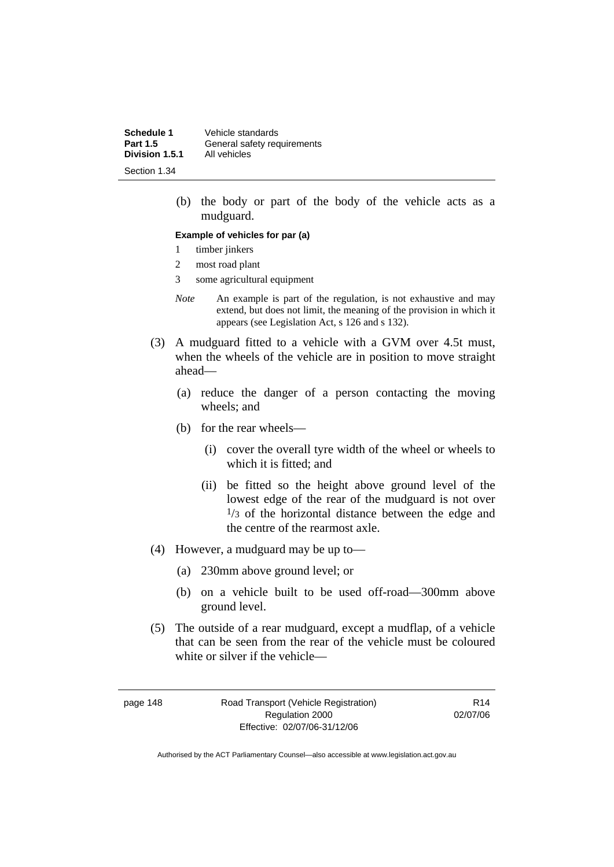**Schedule 1** Vehicle standards<br>**Part 1.5** General safety reg **General safety requirements**<br>All vehicles **Division 1.5.1** Section 1.34

> (b) the body or part of the body of the vehicle acts as a mudguard.

#### **Example of vehicles for par (a)**

- 1 timber jinkers
- 2 most road plant
- 3 some agricultural equipment
- *Note* An example is part of the regulation, is not exhaustive and may extend, but does not limit, the meaning of the provision in which it appears (see Legislation Act, s 126 and s 132).
- (3) A mudguard fitted to a vehicle with a GVM over 4.5t must, when the wheels of the vehicle are in position to move straight ahead—
	- (a) reduce the danger of a person contacting the moving wheels; and
	- (b) for the rear wheels—
		- (i) cover the overall tyre width of the wheel or wheels to which it is fitted; and
		- (ii) be fitted so the height above ground level of the lowest edge of the rear of the mudguard is not over  $1/3$  of the horizontal distance between the edge and the centre of the rearmost axle.
- (4) However, a mudguard may be up to—
	- (a) 230mm above ground level; or
	- (b) on a vehicle built to be used off-road—300mm above ground level.
- (5) The outside of a rear mudguard, except a mudflap, of a vehicle that can be seen from the rear of the vehicle must be coloured white or silver if the vehicle—

page 148 Road Transport (Vehicle Registration) Regulation 2000 Effective: 02/07/06-31/12/06

R14 02/07/06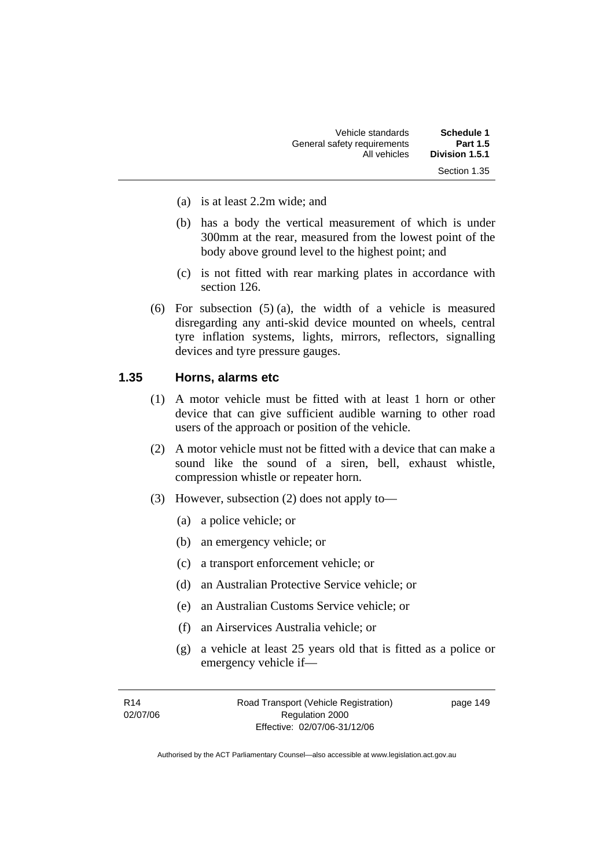| Schedule 1      | Vehicle standards           |
|-----------------|-----------------------------|
| <b>Part 1.5</b> | General safety requirements |
| Division 1.5.1  | All vehicles                |
| Section 1.35    |                             |

- (a) is at least 2.2m wide; and
- (b) has a body the vertical measurement of which is under 300mm at the rear, measured from the lowest point of the body above ground level to the highest point; and
- (c) is not fitted with rear marking plates in accordance with section 126.
- (6) For subsection (5) (a), the width of a vehicle is measured disregarding any anti-skid device mounted on wheels, central tyre inflation systems, lights, mirrors, reflectors, signalling devices and tyre pressure gauges.

#### **1.35 Horns, alarms etc**

- (1) A motor vehicle must be fitted with at least 1 horn or other device that can give sufficient audible warning to other road users of the approach or position of the vehicle.
- (2) A motor vehicle must not be fitted with a device that can make a sound like the sound of a siren, bell, exhaust whistle, compression whistle or repeater horn.
- (3) However, subsection (2) does not apply to—
	- (a) a police vehicle; or
	- (b) an emergency vehicle; or
	- (c) a transport enforcement vehicle; or
	- (d) an Australian Protective Service vehicle; or
	- (e) an Australian Customs Service vehicle; or
	- (f) an Airservices Australia vehicle; or
	- (g) a vehicle at least 25 years old that is fitted as a police or emergency vehicle if—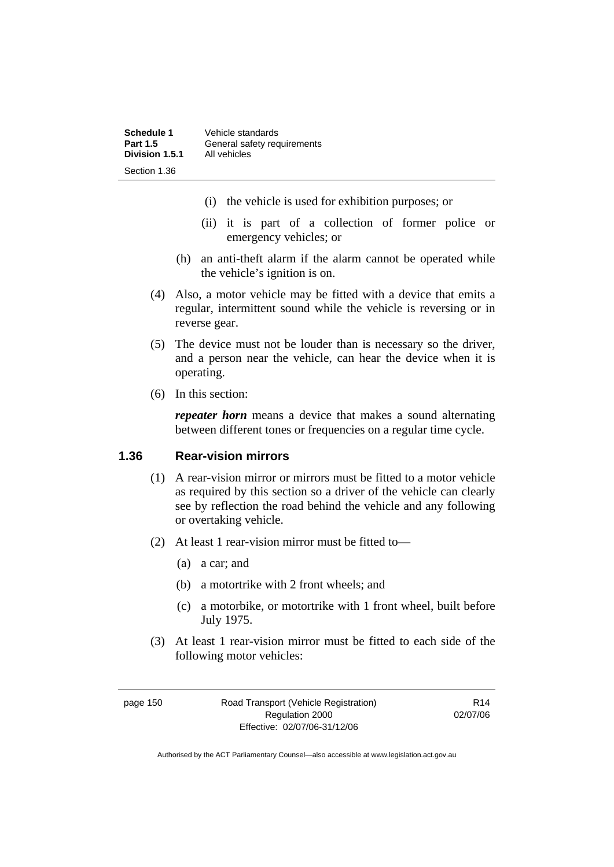| Schedule 1      | Vehicle standards           |
|-----------------|-----------------------------|
| <b>Part 1.5</b> | General safety requirements |
| Division 1.5.1  | All vehicles                |
| Section 1.36    |                             |

- (i) the vehicle is used for exhibition purposes; or
- (ii) it is part of a collection of former police or emergency vehicles; or
- (h) an anti-theft alarm if the alarm cannot be operated while the vehicle's ignition is on.
- (4) Also, a motor vehicle may be fitted with a device that emits a regular, intermittent sound while the vehicle is reversing or in reverse gear.
- (5) The device must not be louder than is necessary so the driver, and a person near the vehicle, can hear the device when it is operating.
- (6) In this section:

*repeater horn* means a device that makes a sound alternating between different tones or frequencies on a regular time cycle.

#### **1.36 Rear-vision mirrors**

- (1) A rear-vision mirror or mirrors must be fitted to a motor vehicle as required by this section so a driver of the vehicle can clearly see by reflection the road behind the vehicle and any following or overtaking vehicle.
- (2) At least 1 rear-vision mirror must be fitted to—
	- (a) a car; and
	- (b) a motortrike with 2 front wheels; and
	- (c) a motorbike, or motortrike with 1 front wheel, built before July 1975.
- (3) At least 1 rear-vision mirror must be fitted to each side of the following motor vehicles:

page 150 Road Transport (Vehicle Registration) Regulation 2000 Effective: 02/07/06-31/12/06

R14 02/07/06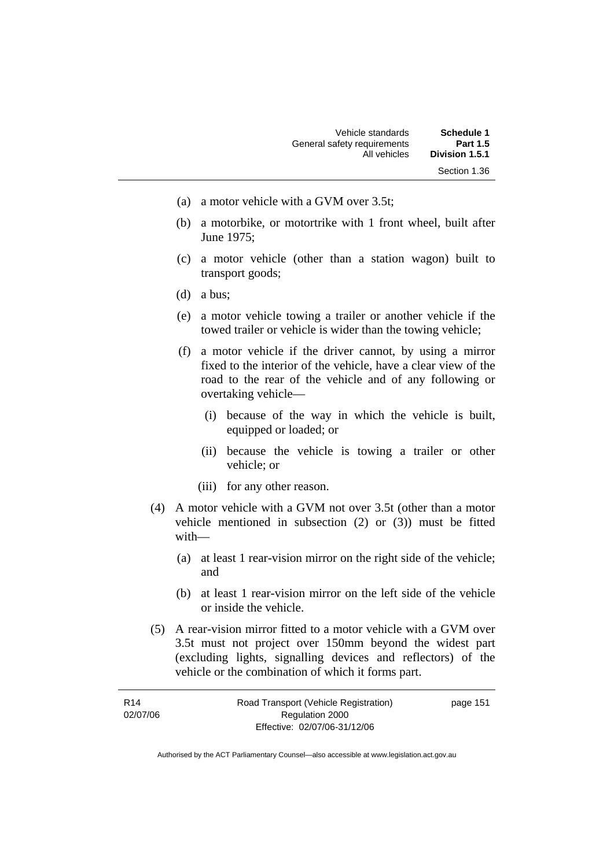- (a) a motor vehicle with a GVM over 3.5t;
- (b) a motorbike, or motortrike with 1 front wheel, built after June 1975;
- (c) a motor vehicle (other than a station wagon) built to transport goods;
- (d) a bus;
- (e) a motor vehicle towing a trailer or another vehicle if the towed trailer or vehicle is wider than the towing vehicle;
- (f) a motor vehicle if the driver cannot, by using a mirror fixed to the interior of the vehicle, have a clear view of the road to the rear of the vehicle and of any following or overtaking vehicle—
	- (i) because of the way in which the vehicle is built, equipped or loaded; or
	- (ii) because the vehicle is towing a trailer or other vehicle; or
	- (iii) for any other reason.
- (4) A motor vehicle with a GVM not over 3.5t (other than a motor vehicle mentioned in subsection (2) or (3)) must be fitted with—
	- (a) at least 1 rear-vision mirror on the right side of the vehicle; and
	- (b) at least 1 rear-vision mirror on the left side of the vehicle or inside the vehicle.
- (5) A rear-vision mirror fitted to a motor vehicle with a GVM over 3.5t must not project over 150mm beyond the widest part (excluding lights, signalling devices and reflectors) of the vehicle or the combination of which it forms part.

| R14      | Road Transport (Vehicle Registration) | page 151 |
|----------|---------------------------------------|----------|
| 02/07/06 | Regulation 2000                       |          |
|          | Effective: 02/07/06-31/12/06          |          |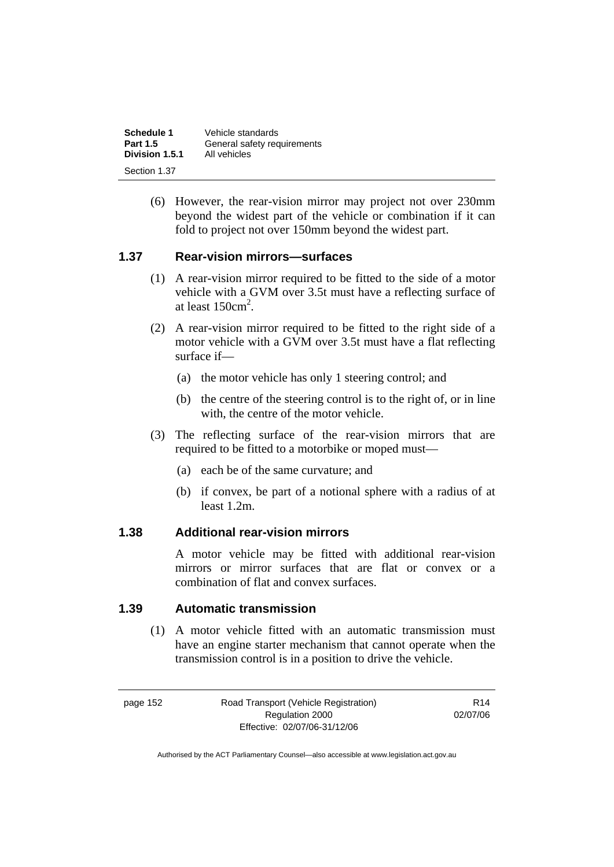| Schedule 1      | Vehicle standards           |
|-----------------|-----------------------------|
| <b>Part 1.5</b> | General safety requirements |
| Division 1.5.1  | All vehicles                |
| Section 1.37    |                             |

 (6) However, the rear-vision mirror may project not over 230mm beyond the widest part of the vehicle or combination if it can fold to project not over 150mm beyond the widest part.

#### **1.37 Rear-vision mirrors—surfaces**

- (1) A rear-vision mirror required to be fitted to the side of a motor vehicle with a GVM over 3.5t must have a reflecting surface of at least  $150 \text{cm}^2$ .
- (2) A rear-vision mirror required to be fitted to the right side of a motor vehicle with a GVM over 3.5t must have a flat reflecting surface if—
	- (a) the motor vehicle has only 1 steering control; and
	- (b) the centre of the steering control is to the right of, or in line with, the centre of the motor vehicle.
- (3) The reflecting surface of the rear-vision mirrors that are required to be fitted to a motorbike or moped must—
	- (a) each be of the same curvature; and
	- (b) if convex, be part of a notional sphere with a radius of at least 1.2m.

#### **1.38 Additional rear-vision mirrors**

A motor vehicle may be fitted with additional rear-vision mirrors or mirror surfaces that are flat or convex or a combination of flat and convex surfaces.

#### **1.39 Automatic transmission**

 (1) A motor vehicle fitted with an automatic transmission must have an engine starter mechanism that cannot operate when the transmission control is in a position to drive the vehicle.

page 152 Road Transport (Vehicle Registration) Regulation 2000 Effective: 02/07/06-31/12/06

R14 02/07/06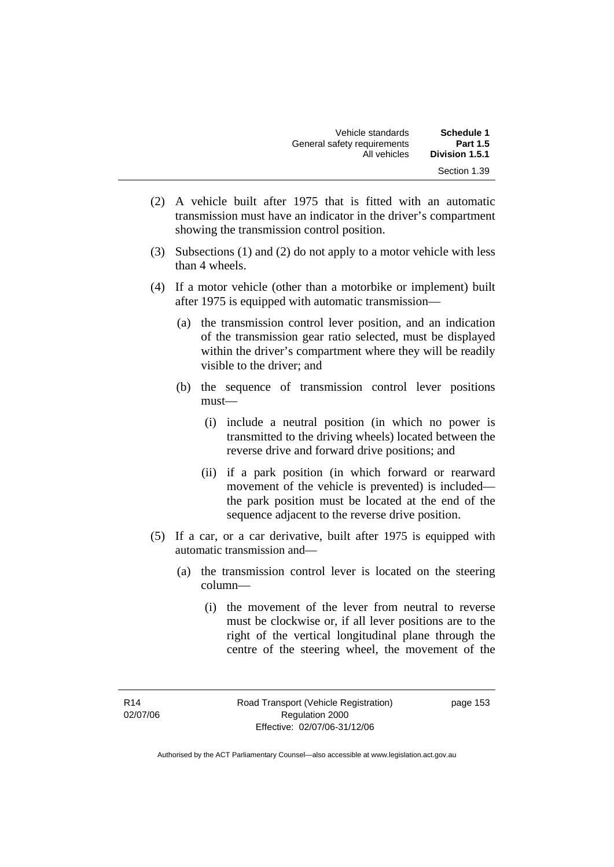| Schedule 1      | Vehicle standards           |
|-----------------|-----------------------------|
| <b>Part 1.5</b> | General safety requirements |
| Division 1.5.1  | All vehicles                |
| Section 1.39    |                             |

- (2) A vehicle built after 1975 that is fitted with an automatic transmission must have an indicator in the driver's compartment showing the transmission control position.
- (3) Subsections (1) and (2) do not apply to a motor vehicle with less than 4 wheels.
- (4) If a motor vehicle (other than a motorbike or implement) built after 1975 is equipped with automatic transmission—
	- (a) the transmission control lever position, and an indication of the transmission gear ratio selected, must be displayed within the driver's compartment where they will be readily visible to the driver; and
	- (b) the sequence of transmission control lever positions must—
		- (i) include a neutral position (in which no power is transmitted to the driving wheels) located between the reverse drive and forward drive positions; and
		- (ii) if a park position (in which forward or rearward movement of the vehicle is prevented) is included the park position must be located at the end of the sequence adjacent to the reverse drive position.
- (5) If a car, or a car derivative, built after 1975 is equipped with automatic transmission and—
	- (a) the transmission control lever is located on the steering column—
		- (i) the movement of the lever from neutral to reverse must be clockwise or, if all lever positions are to the right of the vertical longitudinal plane through the centre of the steering wheel, the movement of the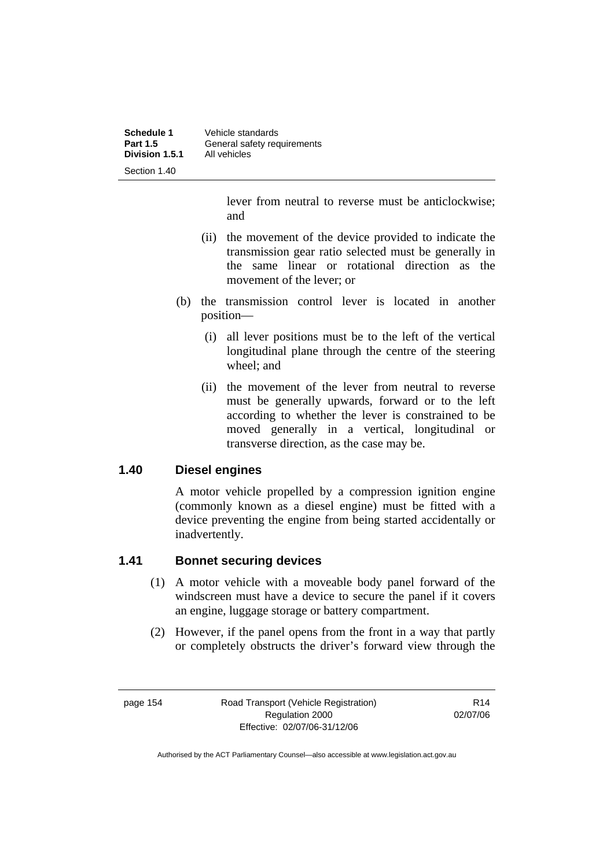| Schedule 1<br><b>Part 1.5</b> | Vehicle standards<br>General safety requirements |
|-------------------------------|--------------------------------------------------|
| Division 1.5.1                | All vehicles                                     |
| Section 1.40                  |                                                  |

lever from neutral to reverse must be anticlockwise; and

- (ii) the movement of the device provided to indicate the transmission gear ratio selected must be generally in the same linear or rotational direction as the movement of the lever; or
- (b) the transmission control lever is located in another position—
	- (i) all lever positions must be to the left of the vertical longitudinal plane through the centre of the steering wheel; and
	- (ii) the movement of the lever from neutral to reverse must be generally upwards, forward or to the left according to whether the lever is constrained to be moved generally in a vertical, longitudinal or transverse direction, as the case may be.

#### **1.40 Diesel engines**

A motor vehicle propelled by a compression ignition engine (commonly known as a diesel engine) must be fitted with a device preventing the engine from being started accidentally or inadvertently.

#### **1.41 Bonnet securing devices**

- (1) A motor vehicle with a moveable body panel forward of the windscreen must have a device to secure the panel if it covers an engine, luggage storage or battery compartment.
- (2) However, if the panel opens from the front in a way that partly or completely obstructs the driver's forward view through the

page 154 Road Transport (Vehicle Registration) Regulation 2000 Effective: 02/07/06-31/12/06

R14 02/07/06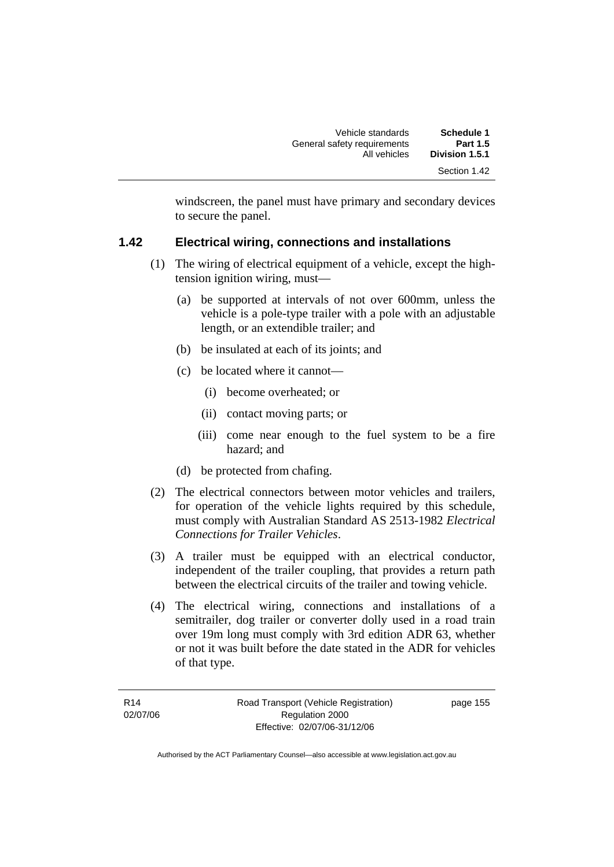| Schedule 1      | Vehicle standards           |
|-----------------|-----------------------------|
| <b>Part 1.5</b> | General safety requirements |
| Division 1.5.1  | All vehicles                |
| Section 1.42    |                             |

windscreen, the panel must have primary and secondary devices to secure the panel.

#### **1.42 Electrical wiring, connections and installations**

- (1) The wiring of electrical equipment of a vehicle, except the hightension ignition wiring, must—
	- (a) be supported at intervals of not over 600mm, unless the vehicle is a pole-type trailer with a pole with an adjustable length, or an extendible trailer; and
	- (b) be insulated at each of its joints; and
	- (c) be located where it cannot—
		- (i) become overheated; or
		- (ii) contact moving parts; or
		- (iii) come near enough to the fuel system to be a fire hazard; and
	- (d) be protected from chafing.
- (2) The electrical connectors between motor vehicles and trailers, for operation of the vehicle lights required by this schedule, must comply with Australian Standard AS 2513-1982 *Electrical Connections for Trailer Vehicles*.
- (3) A trailer must be equipped with an electrical conductor, independent of the trailer coupling, that provides a return path between the electrical circuits of the trailer and towing vehicle.
- (4) The electrical wiring, connections and installations of a semitrailer, dog trailer or converter dolly used in a road train over 19m long must comply with 3rd edition ADR 63, whether or not it was built before the date stated in the ADR for vehicles of that type.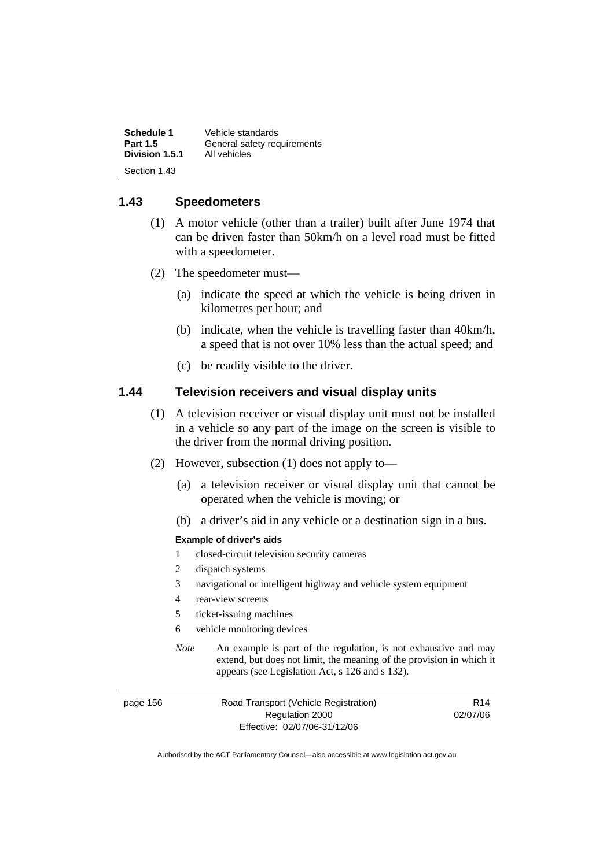| <b>Schedule 1</b> | Vehicle standards           |
|-------------------|-----------------------------|
| <b>Part 1.5</b>   | General safety requirements |
| Division 1.5.1    | All vehicles                |
| Section 1.43      |                             |

#### **1.43 Speedometers**

- (1) A motor vehicle (other than a trailer) built after June 1974 that can be driven faster than 50km/h on a level road must be fitted with a speedometer.
- (2) The speedometer must—
	- (a) indicate the speed at which the vehicle is being driven in kilometres per hour; and
	- (b) indicate, when the vehicle is travelling faster than 40km/h, a speed that is not over 10% less than the actual speed; and
	- (c) be readily visible to the driver.

#### **1.44 Television receivers and visual display units**

- (1) A television receiver or visual display unit must not be installed in a vehicle so any part of the image on the screen is visible to the driver from the normal driving position.
- (2) However, subsection (1) does not apply to—
	- (a) a television receiver or visual display unit that cannot be operated when the vehicle is moving; or
	- (b) a driver's aid in any vehicle or a destination sign in a bus.

#### **Example of driver's aids**

- 1 closed-circuit television security cameras
- 2 dispatch systems
- 3 navigational or intelligent highway and vehicle system equipment
- 4 rear-view screens
- 5 ticket-issuing machines
- 6 vehicle monitoring devices
- *Note* An example is part of the regulation, is not exhaustive and may extend, but does not limit, the meaning of the provision in which it appears (see Legislation Act, s 126 and s 132).

| page 156 | Road Transport (Vehicle Registration) | R <sub>14</sub> |
|----------|---------------------------------------|-----------------|
|          | Regulation 2000                       | 02/07/06        |
|          | Effective: 02/07/06-31/12/06          |                 |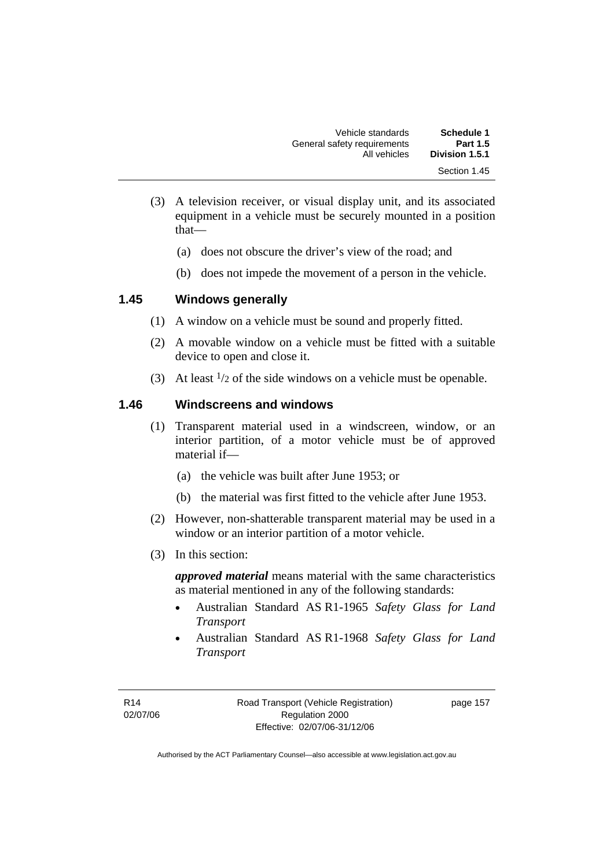| Schedule 1<br><b>Part 1.5</b> | Vehicle standards                           |  |
|-------------------------------|---------------------------------------------|--|
| Division 1.5.1                | General safety requirements<br>All vehicles |  |
| Section 1.45                  |                                             |  |

- (3) A television receiver, or visual display unit, and its associated equipment in a vehicle must be securely mounted in a position that—
	- (a) does not obscure the driver's view of the road; and
	- (b) does not impede the movement of a person in the vehicle.

#### **1.45 Windows generally**

- (1) A window on a vehicle must be sound and properly fitted.
- (2) A movable window on a vehicle must be fitted with a suitable device to open and close it.
- (3) At least  $\frac{1}{2}$  of the side windows on a vehicle must be openable.

#### **1.46 Windscreens and windows**

- (1) Transparent material used in a windscreen, window, or an interior partition, of a motor vehicle must be of approved material if—
	- (a) the vehicle was built after June 1953; or
	- (b) the material was first fitted to the vehicle after June 1953.
- (2) However, non-shatterable transparent material may be used in a window or an interior partition of a motor vehicle.
- (3) In this section:

*approved material* means material with the same characteristics as material mentioned in any of the following standards:

- Australian Standard AS R1-1965 *Safety Glass for Land Transport*
- Australian Standard AS R1-1968 *Safety Glass for Land Transport*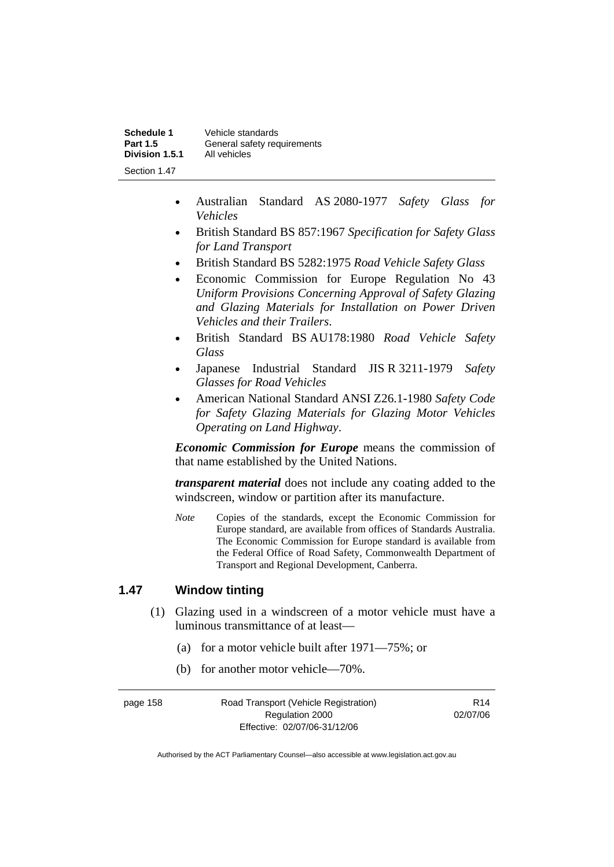| Schedule 1      | Vehicle standards           |
|-----------------|-----------------------------|
| <b>Part 1.5</b> | General safety requirements |
| Division 1.5.1  | All vehicles                |
| Section 1 47    |                             |

- Australian Standard AS 2080-1977 *Safety Glass for Vehicles*
- British Standard BS 857:1967 *Specification for Safety Glass for Land Transport*
- British Standard BS 5282:1975 *Road Vehicle Safety Glass*
- Economic Commission for Europe Regulation No 43 *Uniform Provisions Concerning Approval of Safety Glazing and Glazing Materials for Installation on Power Driven Vehicles and their Trailers*.
- British Standard BS AU178:1980 *Road Vehicle Safety Glass*
- Japanese Industrial Standard JIS R 3211-1979 *Safety Glasses for Road Vehicles*
- American National Standard ANSI Z26.1-1980 *Safety Code for Safety Glazing Materials for Glazing Motor Vehicles Operating on Land Highway*.

*Economic Commission for Europe* means the commission of that name established by the United Nations.

*transparent material* does not include any coating added to the windscreen, window or partition after its manufacture.

*Note* Copies of the standards, except the Economic Commission for Europe standard, are available from offices of Standards Australia. The Economic Commission for Europe standard is available from the Federal Office of Road Safety, Commonwealth Department of Transport and Regional Development, Canberra.

#### **1.47 Window tinting**

- (1) Glazing used in a windscreen of a motor vehicle must have a luminous transmittance of at least—
	- (a) for a motor vehicle built after 1971—75%; or
	- (b) for another motor vehicle—70%.

page 158 Road Transport (Vehicle Registration) Regulation 2000 Effective: 02/07/06-31/12/06 R14 02/07/06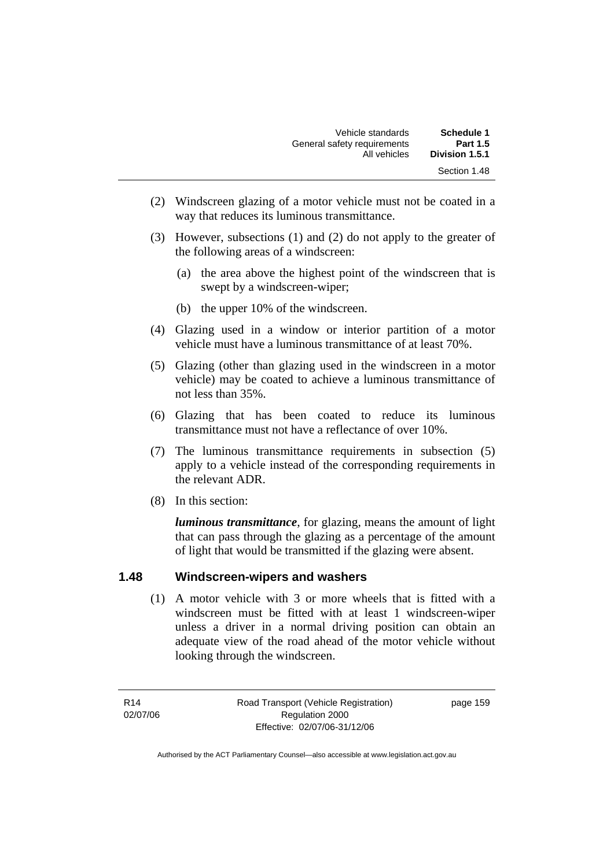| <b>Schedule 1</b> | Vehicle standards           |
|-------------------|-----------------------------|
| <b>Part 1.5</b>   | General safety requirements |
| Division 1.5.1    | All vehicles                |
| Section 1.48      |                             |

- (2) Windscreen glazing of a motor vehicle must not be coated in a way that reduces its luminous transmittance.
- (3) However, subsections (1) and (2) do not apply to the greater of the following areas of a windscreen:
	- (a) the area above the highest point of the windscreen that is swept by a windscreen-wiper;
	- (b) the upper 10% of the windscreen.
- (4) Glazing used in a window or interior partition of a motor vehicle must have a luminous transmittance of at least 70%.
- (5) Glazing (other than glazing used in the windscreen in a motor vehicle) may be coated to achieve a luminous transmittance of not less than 35%.
- (6) Glazing that has been coated to reduce its luminous transmittance must not have a reflectance of over 10%.
- (7) The luminous transmittance requirements in subsection (5) apply to a vehicle instead of the corresponding requirements in the relevant ADR.
- (8) In this section:

*luminous transmittance*, for glazing, means the amount of light that can pass through the glazing as a percentage of the amount of light that would be transmitted if the glazing were absent.

#### **1.48 Windscreen-wipers and washers**

 (1) A motor vehicle with 3 or more wheels that is fitted with a windscreen must be fitted with at least 1 windscreen-wiper unless a driver in a normal driving position can obtain an adequate view of the road ahead of the motor vehicle without looking through the windscreen.

R14 02/07/06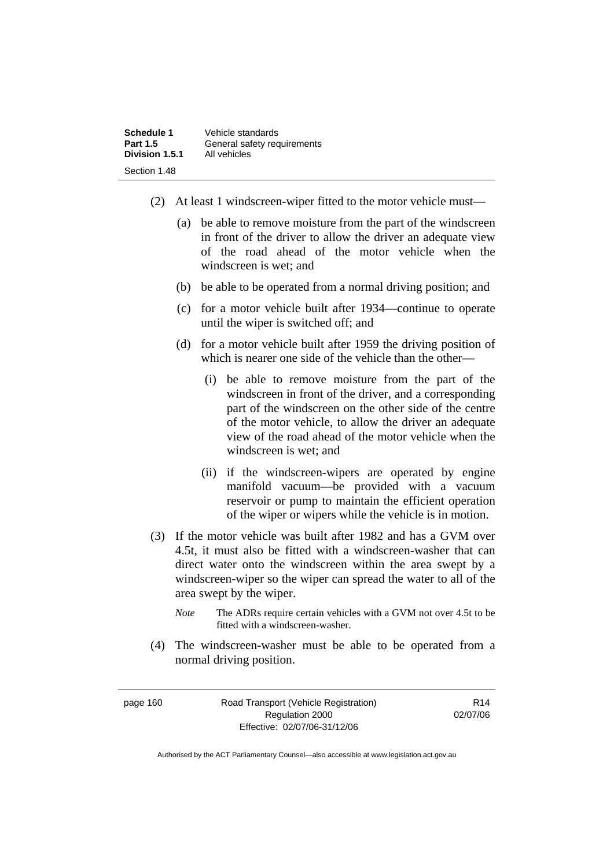| Schedule 1      | Vehicle standards           |
|-----------------|-----------------------------|
| <b>Part 1.5</b> | General safety requirements |
| Division 1.5.1  | All vehicles                |
| Section 1.48    |                             |

- (2) At least 1 windscreen-wiper fitted to the motor vehicle must—
	- (a) be able to remove moisture from the part of the windscreen in front of the driver to allow the driver an adequate view of the road ahead of the motor vehicle when the windscreen is wet; and
	- (b) be able to be operated from a normal driving position; and
	- (c) for a motor vehicle built after 1934—continue to operate until the wiper is switched off; and
	- (d) for a motor vehicle built after 1959 the driving position of which is nearer one side of the vehicle than the other—
		- (i) be able to remove moisture from the part of the windscreen in front of the driver, and a corresponding part of the windscreen on the other side of the centre of the motor vehicle, to allow the driver an adequate view of the road ahead of the motor vehicle when the windscreen is wet; and
		- (ii) if the windscreen-wipers are operated by engine manifold vacuum—be provided with a vacuum reservoir or pump to maintain the efficient operation of the wiper or wipers while the vehicle is in motion.
- (3) If the motor vehicle was built after 1982 and has a GVM over 4.5t, it must also be fitted with a windscreen-washer that can direct water onto the windscreen within the area swept by a windscreen-wiper so the wiper can spread the water to all of the area swept by the wiper.
	- *Note* The ADRs require certain vehicles with a GVM not over 4.5t to be fitted with a windscreen-washer.
- (4) The windscreen-washer must be able to be operated from a normal driving position.

| page 160 |  |  |
|----------|--|--|
|----------|--|--|

160 Road Transport (Vehicle Registration) Regulation 2000 Effective: 02/07/06-31/12/06

R14 02/07/06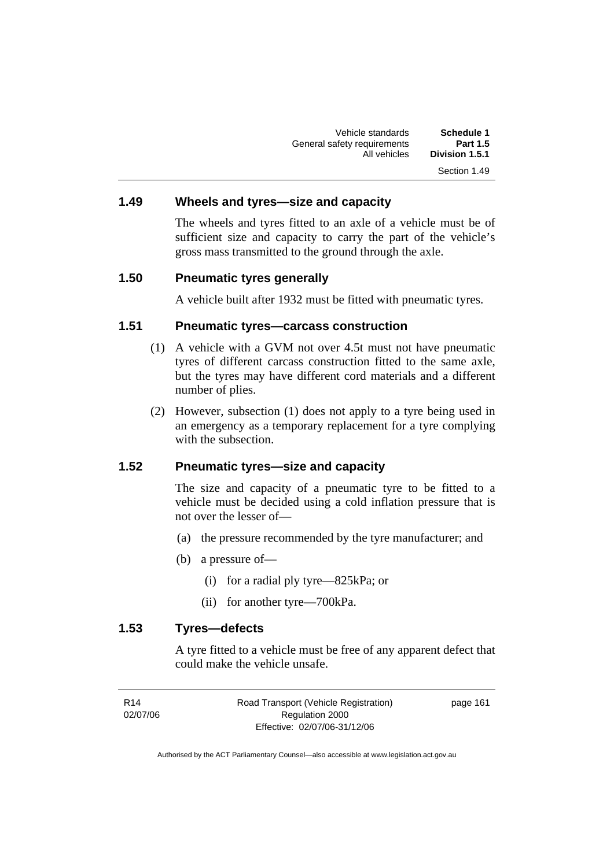Vehicle standards **Schedule 1**  General safety requirements<br>All vehicles Division 1.5.1 Section 1.49

#### **1.49 Wheels and tyres—size and capacity**

The wheels and tyres fitted to an axle of a vehicle must be of sufficient size and capacity to carry the part of the vehicle's gross mass transmitted to the ground through the axle.

#### **1.50 Pneumatic tyres generally**

A vehicle built after 1932 must be fitted with pneumatic tyres.

#### **1.51 Pneumatic tyres—carcass construction**

- (1) A vehicle with a GVM not over 4.5t must not have pneumatic tyres of different carcass construction fitted to the same axle, but the tyres may have different cord materials and a different number of plies.
- (2) However, subsection (1) does not apply to a tyre being used in an emergency as a temporary replacement for a tyre complying with the subsection.

#### **1.52 Pneumatic tyres—size and capacity**

The size and capacity of a pneumatic tyre to be fitted to a vehicle must be decided using a cold inflation pressure that is not over the lesser of—

- (a) the pressure recommended by the tyre manufacturer; and
- (b) a pressure of—
	- (i) for a radial ply tyre—825kPa; or
	- (ii) for another tyre—700kPa.

#### **1.53 Tyres—defects**

A tyre fitted to a vehicle must be free of any apparent defect that could make the vehicle unsafe.

| R <sub>14</sub> | Road Transport (Vehicle Registration) | page 161 |
|-----------------|---------------------------------------|----------|
| 02/07/06        | Regulation 2000                       |          |
|                 | Effective: 02/07/06-31/12/06          |          |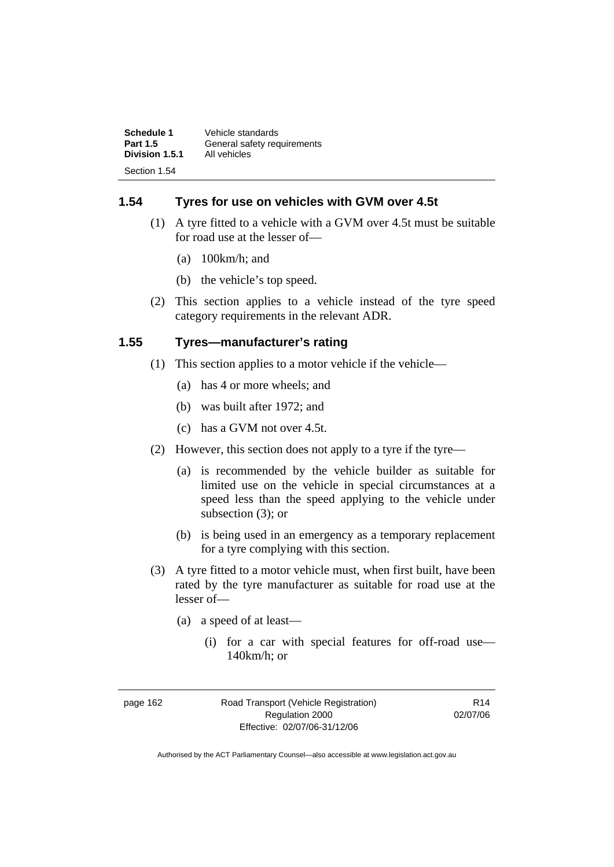| Schedule 1      | Vehicle standards           |
|-----------------|-----------------------------|
| <b>Part 1.5</b> | General safety requirements |
| Division 1.5.1  | All vehicles                |
| Section 1.54    |                             |

#### **1.54 Tyres for use on vehicles with GVM over 4.5t**

- (1) A tyre fitted to a vehicle with a GVM over 4.5t must be suitable for road use at the lesser of—
	- (a) 100km/h; and
	- (b) the vehicle's top speed.
- (2) This section applies to a vehicle instead of the tyre speed category requirements in the relevant ADR.

#### **1.55 Tyres—manufacturer's rating**

- (1) This section applies to a motor vehicle if the vehicle—
	- (a) has 4 or more wheels; and
	- (b) was built after 1972; and
	- (c) has a GVM not over 4.5t.
- (2) However, this section does not apply to a tyre if the tyre—
	- (a) is recommended by the vehicle builder as suitable for limited use on the vehicle in special circumstances at a speed less than the speed applying to the vehicle under subsection (3); or
	- (b) is being used in an emergency as a temporary replacement for a tyre complying with this section.
- (3) A tyre fitted to a motor vehicle must, when first built, have been rated by the tyre manufacturer as suitable for road use at the lesser of—
	- (a) a speed of at least—
		- (i) for a car with special features for off-road use— 140km/h; or

page 162 Road Transport (Vehicle Registration) Regulation 2000 Effective: 02/07/06-31/12/06

R14 02/07/06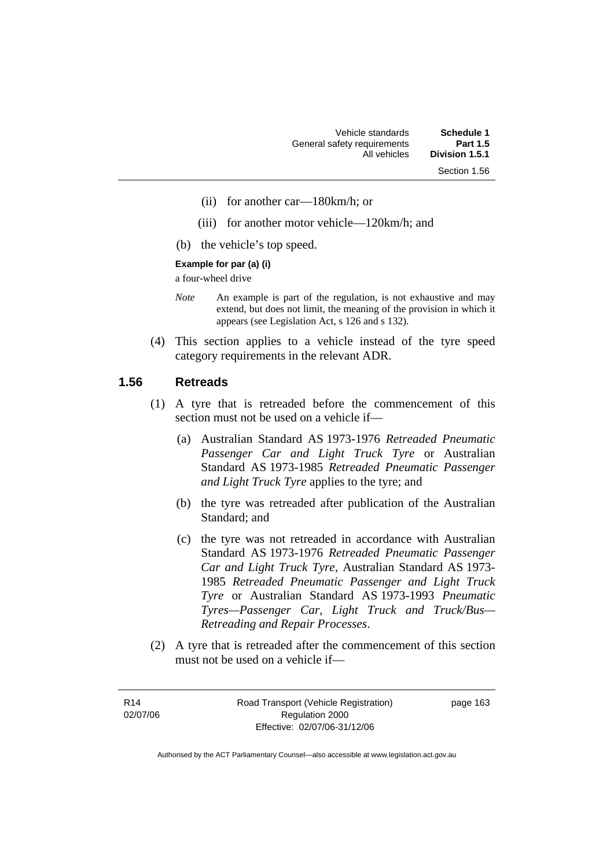- (ii) for another car—180km/h; or
- (iii) for another motor vehicle—120km/h; and
- (b) the vehicle's top speed.

#### **Example for par (a) (i)**

a four-wheel drive

- *Note* An example is part of the regulation, is not exhaustive and may extend, but does not limit, the meaning of the provision in which it appears (see Legislation Act, s 126 and s 132).
- (4) This section applies to a vehicle instead of the tyre speed category requirements in the relevant ADR.

#### **1.56 Retreads**

- (1) A tyre that is retreaded before the commencement of this section must not be used on a vehicle if—
	- (a) Australian Standard AS 1973-1976 *Retreaded Pneumatic Passenger Car and Light Truck Tyre* or Australian Standard AS 1973-1985 *Retreaded Pneumatic Passenger and Light Truck Tyre* applies to the tyre; and
	- (b) the tyre was retreaded after publication of the Australian Standard; and
	- (c) the tyre was not retreaded in accordance with Australian Standard AS 1973-1976 *Retreaded Pneumatic Passenger Car and Light Truck Tyre*, Australian Standard AS 1973- 1985 *Retreaded Pneumatic Passenger and Light Truck Tyre* or Australian Standard AS 1973-1993 *Pneumatic Tyres—Passenger Car, Light Truck and Truck/Bus— Retreading and Repair Processes*.
- (2) A tyre that is retreaded after the commencement of this section must not be used on a vehicle if—

R14 02/07/06 page 163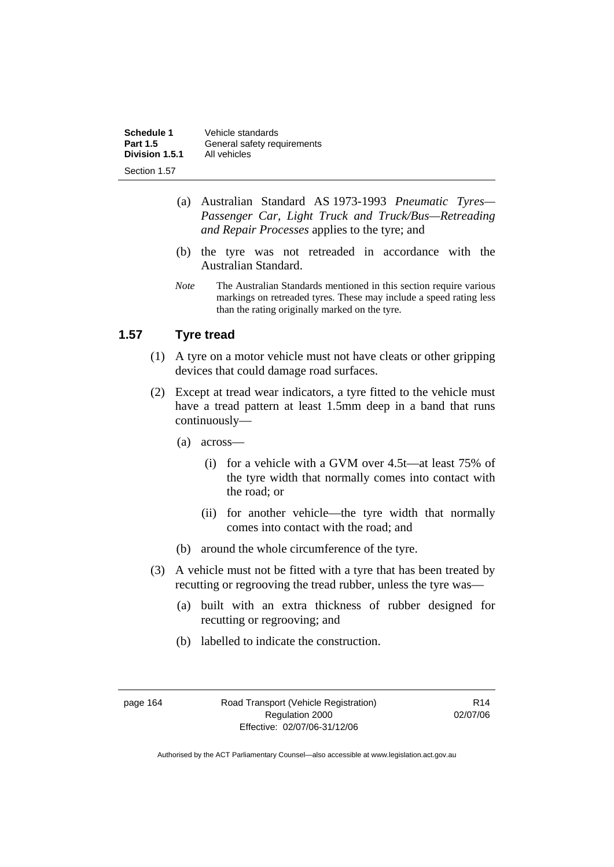| Schedule 1      | Vehicle standards           |
|-----------------|-----------------------------|
| <b>Part 1.5</b> | General safety requirements |
| Division 1.5.1  | All vehicles                |
| Section 1.57    |                             |

- (a) Australian Standard AS 1973-1993 *Pneumatic Tyres— Passenger Car, Light Truck and Truck/Bus—Retreading and Repair Processes* applies to the tyre; and
- (b) the tyre was not retreaded in accordance with the Australian Standard.
- *Note* The Australian Standards mentioned in this section require various markings on retreaded tyres. These may include a speed rating less than the rating originally marked on the tyre.

#### **1.57 Tyre tread**

- (1) A tyre on a motor vehicle must not have cleats or other gripping devices that could damage road surfaces.
- (2) Except at tread wear indicators, a tyre fitted to the vehicle must have a tread pattern at least 1.5mm deep in a band that runs continuously—
	- (a) across—
		- (i) for a vehicle with a GVM over 4.5t—at least 75% of the tyre width that normally comes into contact with the road; or
		- (ii) for another vehicle—the tyre width that normally comes into contact with the road; and
	- (b) around the whole circumference of the tyre.
- (3) A vehicle must not be fitted with a tyre that has been treated by recutting or regrooving the tread rubber, unless the tyre was—
	- (a) built with an extra thickness of rubber designed for recutting or regrooving; and
	- (b) labelled to indicate the construction.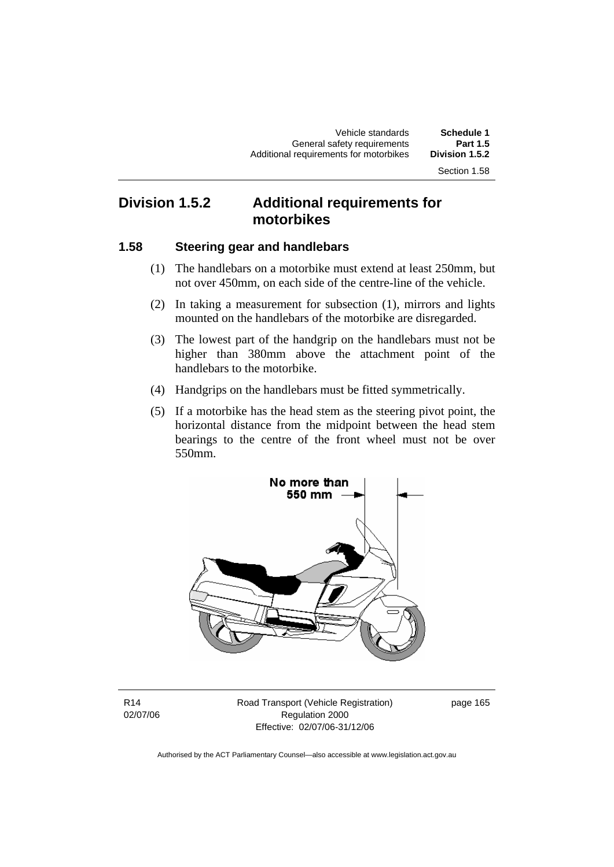# **Division 1.5.2 Additional requirements for motorbikes**

#### **1.58 Steering gear and handlebars**

- (1) The handlebars on a motorbike must extend at least 250mm, but not over 450mm, on each side of the centre-line of the vehicle.
- (2) In taking a measurement for subsection (1), mirrors and lights mounted on the handlebars of the motorbike are disregarded.
- (3) The lowest part of the handgrip on the handlebars must not be higher than 380mm above the attachment point of the handlebars to the motorbike.
- (4) Handgrips on the handlebars must be fitted symmetrically.
- (5) If a motorbike has the head stem as the steering pivot point, the horizontal distance from the midpoint between the head stem bearings to the centre of the front wheel must not be over 550mm.



R14 02/07/06 Road Transport (Vehicle Registration) Regulation 2000 Effective: 02/07/06-31/12/06

page 165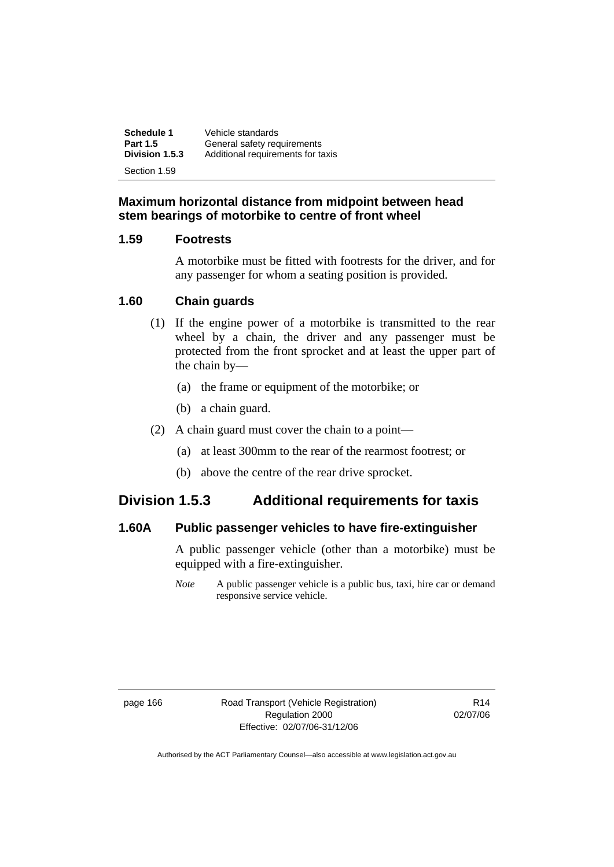**Schedule 1** Vehicle standards<br>**Part 1.5** General safety reg **Part 1.5 General safety requirements**<br>**Division 1.5.3** Additional requirements for ta **Division 1.5.3** Additional requirements for taxis Section 1.59

#### **Maximum horizontal distance from midpoint between head stem bearings of motorbike to centre of front wheel**

#### **1.59 Footrests**

A motorbike must be fitted with footrests for the driver, and for any passenger for whom a seating position is provided.

#### **1.60 Chain guards**

- (1) If the engine power of a motorbike is transmitted to the rear wheel by a chain, the driver and any passenger must be protected from the front sprocket and at least the upper part of the chain by—
	- (a) the frame or equipment of the motorbike; or
	- (b) a chain guard.
- (2) A chain guard must cover the chain to a point—
	- (a) at least 300mm to the rear of the rearmost footrest; or
	- (b) above the centre of the rear drive sprocket.

### **Division 1.5.3 Additional requirements for taxis**

#### **1.60A Public passenger vehicles to have fire-extinguisher**

A public passenger vehicle (other than a motorbike) must be equipped with a fire-extinguisher.

*Note* A public passenger vehicle is a public bus, taxi, hire car or demand responsive service vehicle.

page 166 Road Transport (Vehicle Registration) Regulation 2000 Effective: 02/07/06-31/12/06

R14 02/07/06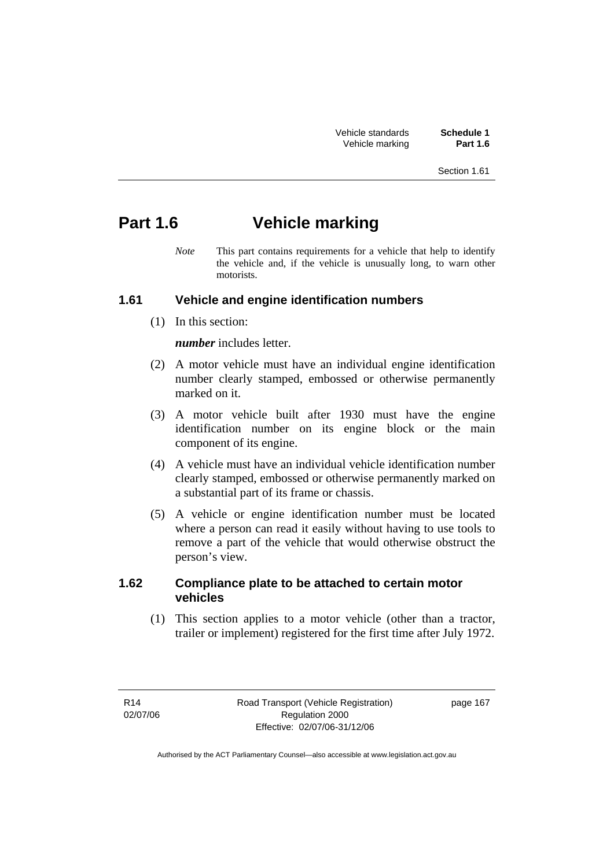| Vehicle standards |  |
|-------------------|--|
| Vehicle marking   |  |

Schedule 1 **Part 1.6** 

# **Part 1.6 Vehicle marking**

*Note* This part contains requirements for a vehicle that help to identify the vehicle and, if the vehicle is unusually long, to warn other motorists.

#### **1.61 Vehicle and engine identification numbers**

(1) In this section:

*number* includes letter.

- (2) A motor vehicle must have an individual engine identification number clearly stamped, embossed or otherwise permanently marked on it.
- (3) A motor vehicle built after 1930 must have the engine identification number on its engine block or the main component of its engine.
- (4) A vehicle must have an individual vehicle identification number clearly stamped, embossed or otherwise permanently marked on a substantial part of its frame or chassis.
- (5) A vehicle or engine identification number must be located where a person can read it easily without having to use tools to remove a part of the vehicle that would otherwise obstruct the person's view.

#### **1.62 Compliance plate to be attached to certain motor vehicles**

 (1) This section applies to a motor vehicle (other than a tractor, trailer or implement) registered for the first time after July 1972.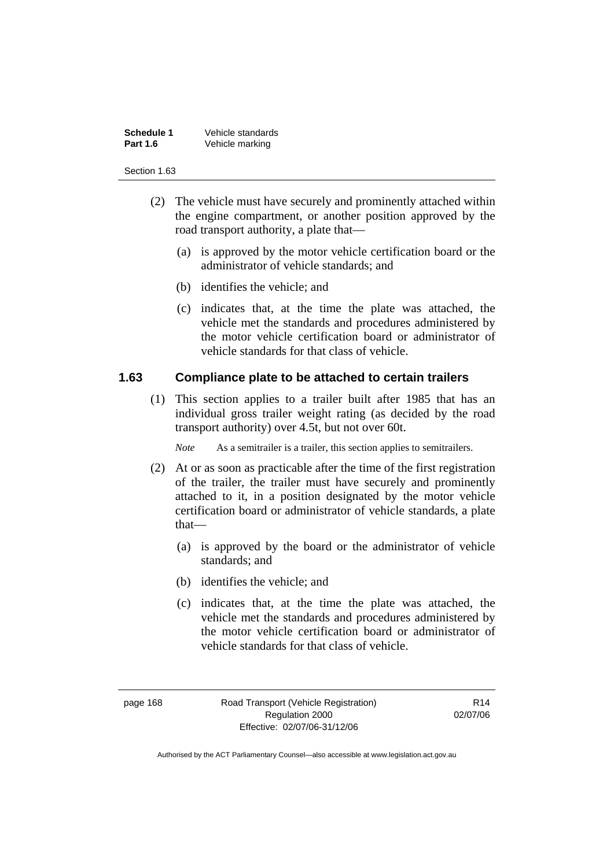| <b>Schedule 1</b> | Vehicle standards |
|-------------------|-------------------|
| <b>Part 1.6</b>   | Vehicle marking   |

- (2) The vehicle must have securely and prominently attached within the engine compartment, or another position approved by the road transport authority, a plate that—
	- (a) is approved by the motor vehicle certification board or the administrator of vehicle standards; and
	- (b) identifies the vehicle; and
	- (c) indicates that, at the time the plate was attached, the vehicle met the standards and procedures administered by the motor vehicle certification board or administrator of vehicle standards for that class of vehicle.

#### **1.63 Compliance plate to be attached to certain trailers**

 (1) This section applies to a trailer built after 1985 that has an individual gross trailer weight rating (as decided by the road transport authority) over 4.5t, but not over 60t.

*Note* As a semitrailer is a trailer, this section applies to semitrailers.

- (2) At or as soon as practicable after the time of the first registration of the trailer, the trailer must have securely and prominently attached to it, in a position designated by the motor vehicle certification board or administrator of vehicle standards, a plate that—
	- (a) is approved by the board or the administrator of vehicle standards; and
	- (b) identifies the vehicle; and
	- (c) indicates that, at the time the plate was attached, the vehicle met the standards and procedures administered by the motor vehicle certification board or administrator of vehicle standards for that class of vehicle.

page 168 Road Transport (Vehicle Registration) Regulation 2000 Effective: 02/07/06-31/12/06

R14 02/07/06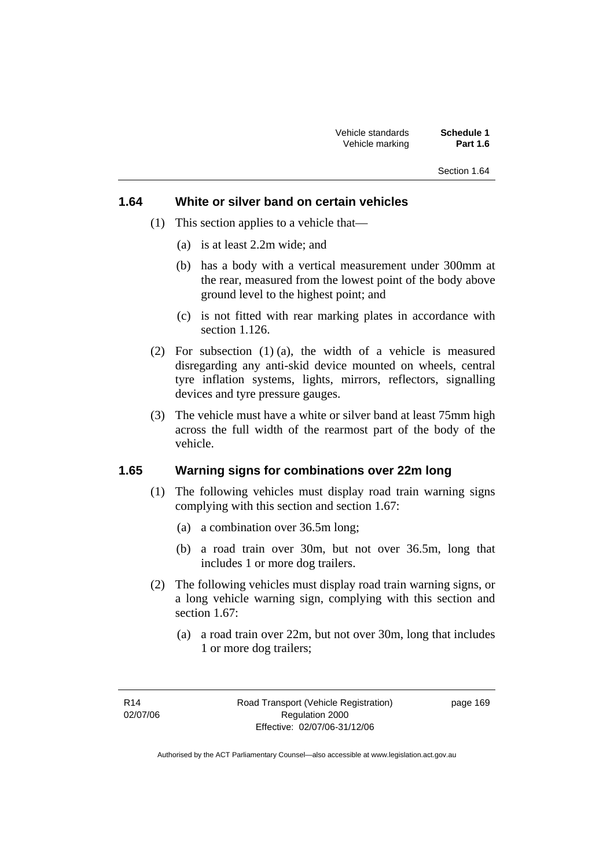#### **1.64 White or silver band on certain vehicles**

- (1) This section applies to a vehicle that—
	- (a) is at least 2.2m wide; and
	- (b) has a body with a vertical measurement under 300mm at the rear, measured from the lowest point of the body above ground level to the highest point; and
	- (c) is not fitted with rear marking plates in accordance with section 1.126.
- (2) For subsection (1) (a), the width of a vehicle is measured disregarding any anti-skid device mounted on wheels, central tyre inflation systems, lights, mirrors, reflectors, signalling devices and tyre pressure gauges.
- (3) The vehicle must have a white or silver band at least 75mm high across the full width of the rearmost part of the body of the vehicle.

#### **1.65 Warning signs for combinations over 22m long**

- (1) The following vehicles must display road train warning signs complying with this section and section 1.67:
	- (a) a combination over 36.5m long;
	- (b) a road train over 30m, but not over 36.5m, long that includes 1 or more dog trailers.
- (2) The following vehicles must display road train warning signs, or a long vehicle warning sign, complying with this section and section 1.67:
	- (a) a road train over 22m, but not over 30m, long that includes 1 or more dog trailers;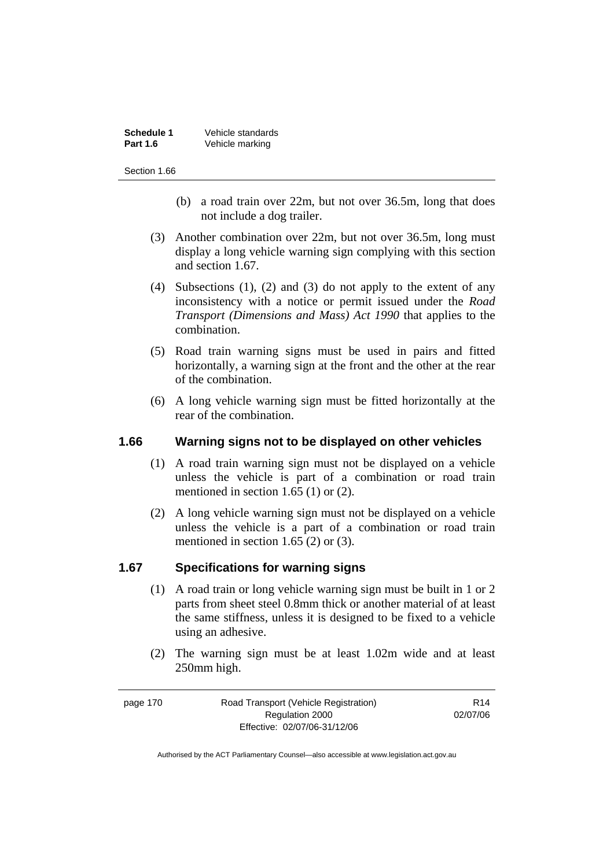| <b>Schedule 1</b> | Vehicle standards |
|-------------------|-------------------|
| <b>Part 1.6</b>   | Vehicle marking   |

- (b) a road train over 22m, but not over 36.5m, long that does not include a dog trailer.
- (3) Another combination over 22m, but not over 36.5m, long must display a long vehicle warning sign complying with this section and section 1.67.
- (4) Subsections (1), (2) and (3) do not apply to the extent of any inconsistency with a notice or permit issued under the *Road Transport (Dimensions and Mass) Act 1990* that applies to the combination.
- (5) Road train warning signs must be used in pairs and fitted horizontally, a warning sign at the front and the other at the rear of the combination.
- (6) A long vehicle warning sign must be fitted horizontally at the rear of the combination.

#### **1.66 Warning signs not to be displayed on other vehicles**

- (1) A road train warning sign must not be displayed on a vehicle unless the vehicle is part of a combination or road train mentioned in section 1.65 (1) or (2).
- (2) A long vehicle warning sign must not be displayed on a vehicle unless the vehicle is a part of a combination or road train mentioned in section 1.65 (2) or (3).

#### **1.67 Specifications for warning signs**

- (1) A road train or long vehicle warning sign must be built in 1 or 2 parts from sheet steel 0.8mm thick or another material of at least the same stiffness, unless it is designed to be fixed to a vehicle using an adhesive.
- (2) The warning sign must be at least 1.02m wide and at least 250mm high.

| page 170 | Road Transport (Vehicle Registration) | R <sub>14</sub> |
|----------|---------------------------------------|-----------------|
|          | Regulation 2000                       | 02/07/06        |
|          | Effective: 02/07/06-31/12/06          |                 |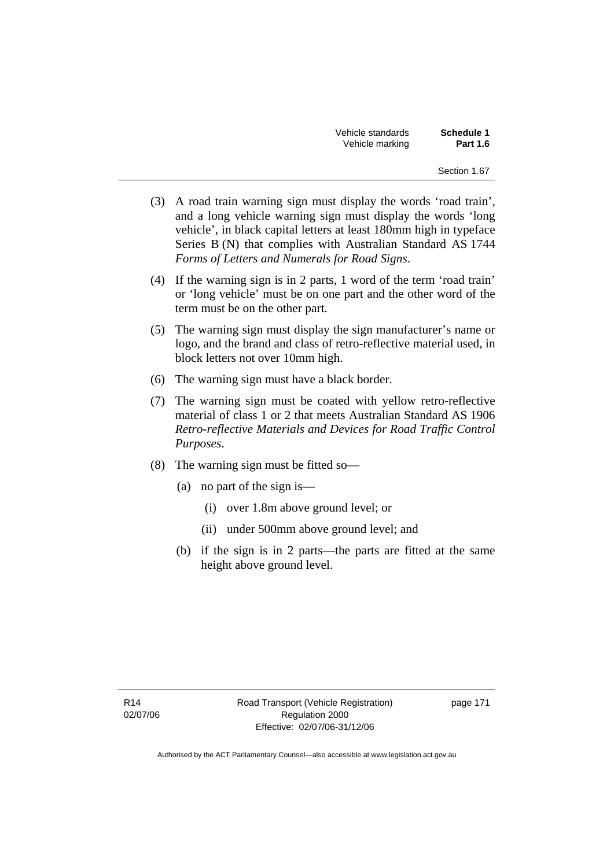| Vehicle standards | <b>Schedule 1</b> |
|-------------------|-------------------|
| Vehicle marking   | <b>Part 1.6</b>   |

- (3) A road train warning sign must display the words 'road train', and a long vehicle warning sign must display the words 'long vehicle', in black capital letters at least 180mm high in typeface Series B (N) that complies with Australian Standard AS 1744 *Forms of Letters and Numerals for Road Signs*.
- (4) If the warning sign is in 2 parts, 1 word of the term 'road train' or 'long vehicle' must be on one part and the other word of the term must be on the other part.
- (5) The warning sign must display the sign manufacturer's name or logo, and the brand and class of retro-reflective material used, in block letters not over 10mm high.
- (6) The warning sign must have a black border.
- (7) The warning sign must be coated with yellow retro-reflective material of class 1 or 2 that meets Australian Standard AS 1906 *Retro-reflective Materials and Devices for Road Traffic Control Purposes*.
- (8) The warning sign must be fitted so—
	- (a) no part of the sign is—
		- (i) over 1.8m above ground level; or
		- (ii) under 500mm above ground level; and
	- (b) if the sign is in 2 parts—the parts are fitted at the same height above ground level.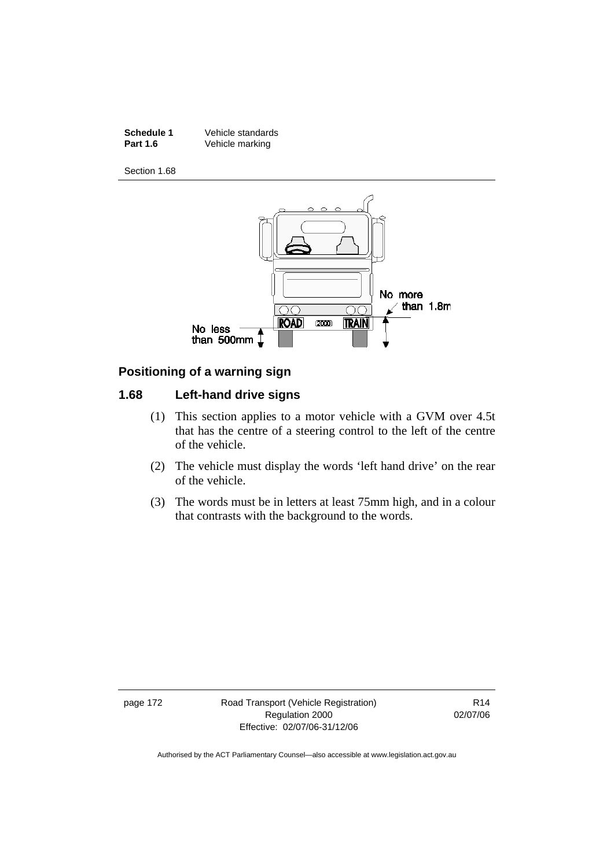**Schedule 1** Vehicle standards<br> **Part 1.6** Vehicle marking **Vehicle marking** 

Section 1.68



#### **Positioning of a warning sign**

#### **1.68 Left-hand drive signs**

- (1) This section applies to a motor vehicle with a GVM over 4.5t that has the centre of a steering control to the left of the centre of the vehicle.
- (2) The vehicle must display the words 'left hand drive' on the rear of the vehicle.
- (3) The words must be in letters at least 75mm high, and in a colour that contrasts with the background to the words.

page 172 Road Transport (Vehicle Registration) Regulation 2000 Effective: 02/07/06-31/12/06

R14 02/07/06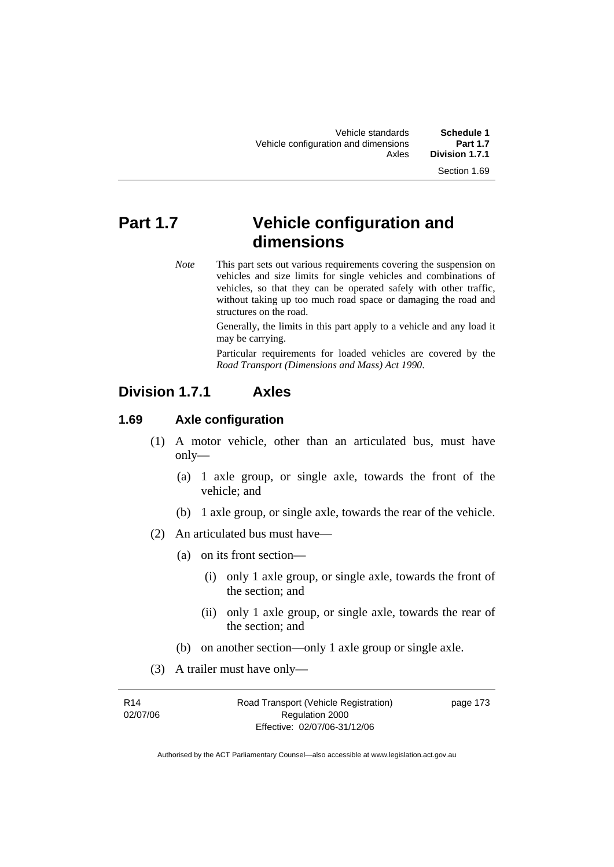# **Part 1.7 Vehicle configuration and dimensions**

*Note* This part sets out various requirements covering the suspension on vehicles and size limits for single vehicles and combinations of vehicles, so that they can be operated safely with other traffic, without taking up too much road space or damaging the road and structures on the road.

> Generally, the limits in this part apply to a vehicle and any load it may be carrying.

> Particular requirements for loaded vehicles are covered by the *Road Transport (Dimensions and Mass) Act 1990*.

### **Division 1.7.1 Axles**

#### **1.69 Axle configuration**

- (1) A motor vehicle, other than an articulated bus, must have only—
	- (a) 1 axle group, or single axle, towards the front of the vehicle; and
	- (b) 1 axle group, or single axle, towards the rear of the vehicle.
- (2) An articulated bus must have—
	- (a) on its front section—
		- (i) only 1 axle group, or single axle, towards the front of the section; and
		- (ii) only 1 axle group, or single axle, towards the rear of the section; and
	- (b) on another section—only 1 axle group or single axle.
- (3) A trailer must have only—

| R <sub>14</sub> | Road Transport (Vehicle Registration) | page 173 |
|-----------------|---------------------------------------|----------|
| 02/07/06        | Regulation 2000                       |          |
|                 | Effective: 02/07/06-31/12/06          |          |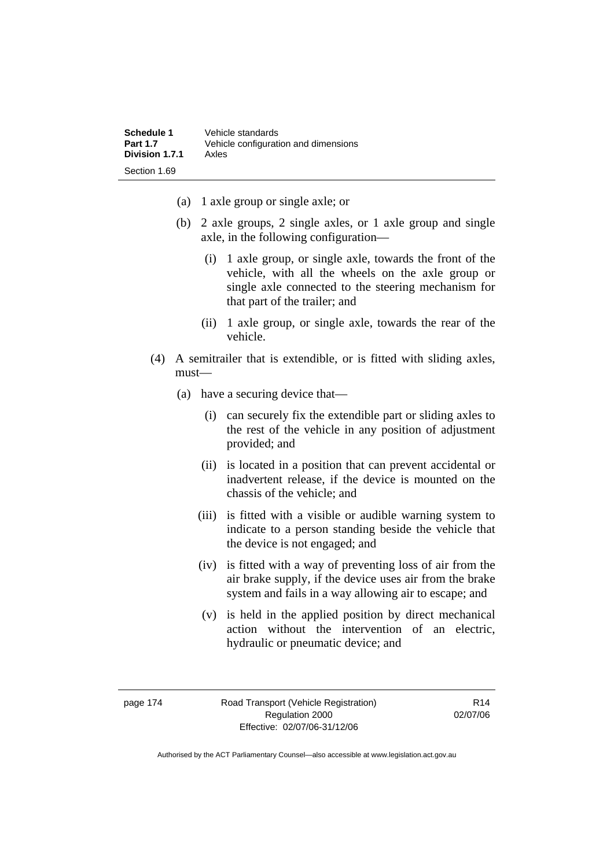| Schedule 1      | Vehicle standards                    |
|-----------------|--------------------------------------|
| <b>Part 1.7</b> | Vehicle configuration and dimensions |
| Division 1.7.1  | Axles                                |
| Section 1.69    |                                      |

- (a) 1 axle group or single axle; or
- (b) 2 axle groups, 2 single axles, or 1 axle group and single axle, in the following configuration—
	- (i) 1 axle group, or single axle, towards the front of the vehicle, with all the wheels on the axle group or single axle connected to the steering mechanism for that part of the trailer; and
	- (ii) 1 axle group, or single axle, towards the rear of the vehicle.
- (4) A semitrailer that is extendible, or is fitted with sliding axles, must—
	- (a) have a securing device that—
		- (i) can securely fix the extendible part or sliding axles to the rest of the vehicle in any position of adjustment provided; and
		- (ii) is located in a position that can prevent accidental or inadvertent release, if the device is mounted on the chassis of the vehicle; and
		- (iii) is fitted with a visible or audible warning system to indicate to a person standing beside the vehicle that the device is not engaged; and
		- (iv) is fitted with a way of preventing loss of air from the air brake supply, if the device uses air from the brake system and fails in a way allowing air to escape; and
		- (v) is held in the applied position by direct mechanical action without the intervention of an electric, hydraulic or pneumatic device; and

page 174 Road Transport (Vehicle Registration) Regulation 2000 Effective: 02/07/06-31/12/06

R14 02/07/06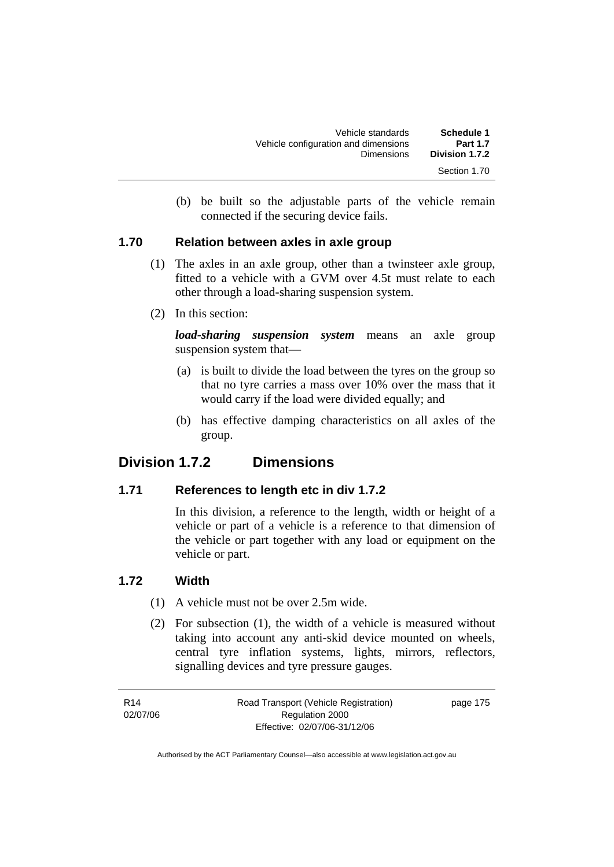| Schedule 1<br><b>Part 1.7</b> | Vehicle standards<br>Vehicle configuration and dimensions |
|-------------------------------|-----------------------------------------------------------|
| Division 1.7.2                | <b>Dimensions</b>                                         |
| Section 1.70                  |                                                           |

 (b) be built so the adjustable parts of the vehicle remain connected if the securing device fails.

#### **1.70 Relation between axles in axle group**

- (1) The axles in an axle group, other than a twinsteer axle group, fitted to a vehicle with a GVM over 4.5t must relate to each other through a load-sharing suspension system.
- (2) In this section:

*load-sharing suspension system* means an axle group suspension system that—

- (a) is built to divide the load between the tyres on the group so that no tyre carries a mass over 10% over the mass that it would carry if the load were divided equally; and
- (b) has effective damping characteristics on all axles of the group.

### **Division 1.7.2 Dimensions**

#### **1.71 References to length etc in div 1.7.2**

In this division, a reference to the length, width or height of a vehicle or part of a vehicle is a reference to that dimension of the vehicle or part together with any load or equipment on the vehicle or part.

#### **1.72 Width**

- (1) A vehicle must not be over 2.5m wide.
- (2) For subsection (1), the width of a vehicle is measured without taking into account any anti-skid device mounted on wheels, central tyre inflation systems, lights, mirrors, reflectors, signalling devices and tyre pressure gauges.

R14 02/07/06 Road Transport (Vehicle Registration) Regulation 2000 Effective: 02/07/06-31/12/06

page 175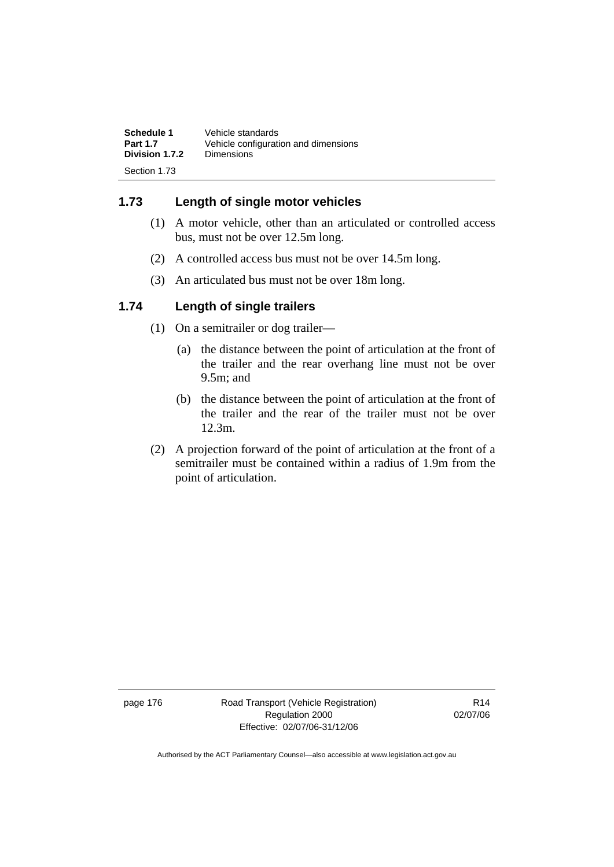| Schedule 1      | Vehicle standards                    |
|-----------------|--------------------------------------|
| <b>Part 1.7</b> | Vehicle configuration and dimensions |
| Division 1.7.2  | Dimensions                           |
| Section 1.73    |                                      |

### **1.73 Length of single motor vehicles**

- (1) A motor vehicle, other than an articulated or controlled access bus, must not be over 12.5m long.
- (2) A controlled access bus must not be over 14.5m long.
- (3) An articulated bus must not be over 18m long.

#### **1.74 Length of single trailers**

- (1) On a semitrailer or dog trailer—
	- (a) the distance between the point of articulation at the front of the trailer and the rear overhang line must not be over 9.5m; and
	- (b) the distance between the point of articulation at the front of the trailer and the rear of the trailer must not be over 12.3m.
- (2) A projection forward of the point of articulation at the front of a semitrailer must be contained within a radius of 1.9m from the point of articulation.

page 176 Road Transport (Vehicle Registration) Regulation 2000 Effective: 02/07/06-31/12/06

R14 02/07/06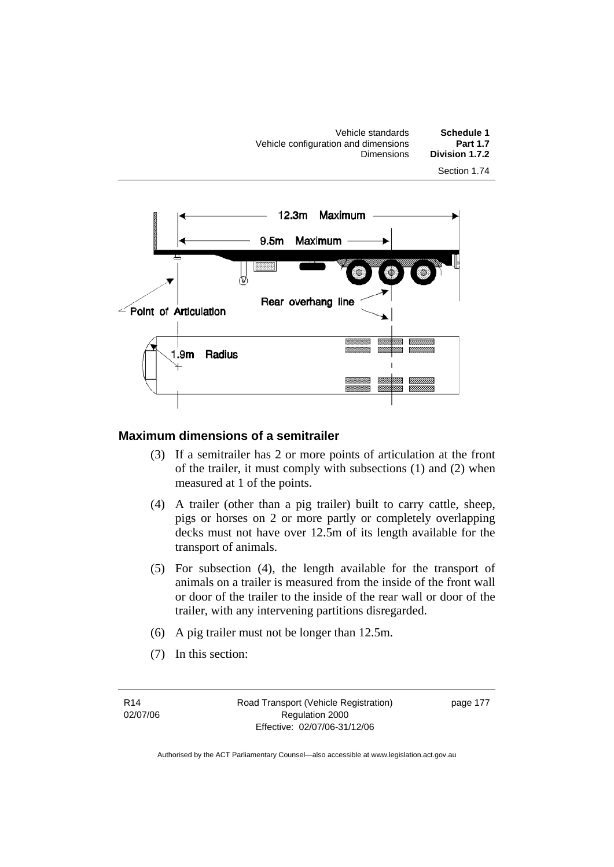Vehicle standards **Schedule 1**  Vehicle configuration and dimensions **Part 1.7 Division 1.7.2** Section 1.74



#### **Maximum dimensions of a semitrailer**

- (3) If a semitrailer has 2 or more points of articulation at the front of the trailer, it must comply with subsections (1) and (2) when measured at 1 of the points.
- (4) A trailer (other than a pig trailer) built to carry cattle, sheep, pigs or horses on 2 or more partly or completely overlapping decks must not have over 12.5m of its length available for the transport of animals.
- (5) For subsection (4), the length available for the transport of animals on a trailer is measured from the inside of the front wall or door of the trailer to the inside of the rear wall or door of the trailer, with any intervening partitions disregarded.
- (6) A pig trailer must not be longer than 12.5m.
- (7) In this section:

R14 02/07/06 Road Transport (Vehicle Registration) Regulation 2000 Effective: 02/07/06-31/12/06

page 177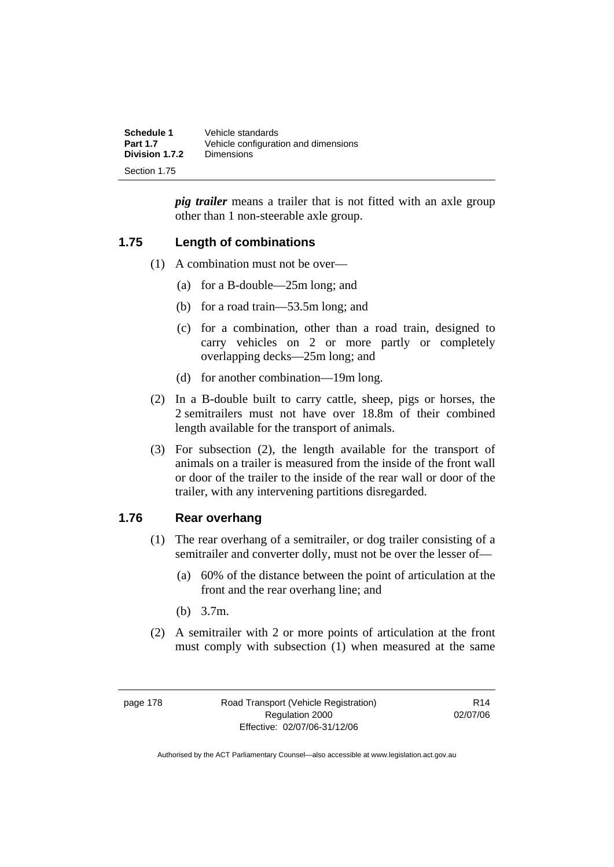| <b>Schedule 1</b> | Vehicle standards                    |
|-------------------|--------------------------------------|
| <b>Part 1.7</b>   | Vehicle configuration and dimensions |
| Division 1.7.2    | <b>Dimensions</b>                    |
| Section 1.75      |                                      |

*pig trailer* means a trailer that is not fitted with an axle group other than 1 non-steerable axle group.

#### **1.75 Length of combinations**

- (1) A combination must not be over—
	- (a) for a B-double—25m long; and
	- (b) for a road train—53.5m long; and
	- (c) for a combination, other than a road train, designed to carry vehicles on 2 or more partly or completely overlapping decks—25m long; and
	- (d) for another combination—19m long.
- (2) In a B-double built to carry cattle, sheep, pigs or horses, the 2 semitrailers must not have over 18.8m of their combined length available for the transport of animals.
- (3) For subsection (2), the length available for the transport of animals on a trailer is measured from the inside of the front wall or door of the trailer to the inside of the rear wall or door of the trailer, with any intervening partitions disregarded.

#### **1.76 Rear overhang**

- (1) The rear overhang of a semitrailer, or dog trailer consisting of a semitrailer and converter dolly, must not be over the lesser of—
	- (a) 60% of the distance between the point of articulation at the front and the rear overhang line; and
	- (b) 3.7m.
- (2) A semitrailer with 2 or more points of articulation at the front must comply with subsection (1) when measured at the same

R14 02/07/06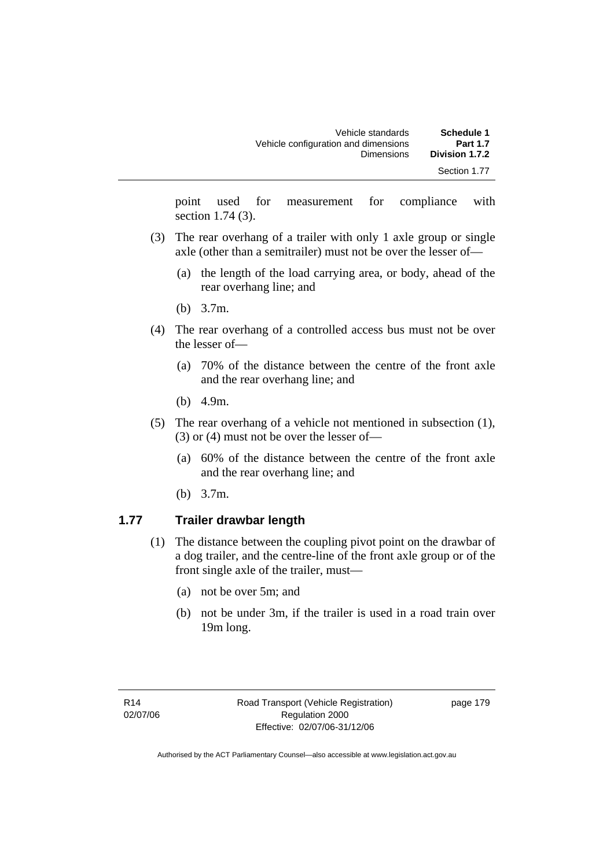| Schedule 1      | Vehicle standards                    |
|-----------------|--------------------------------------|
| <b>Part 1.7</b> | Vehicle configuration and dimensions |
| Division 1.7.2  | <b>Dimensions</b>                    |
| Section 1.77    |                                      |

point used for measurement for compliance with section 1.74 (3).

- (3) The rear overhang of a trailer with only 1 axle group or single axle (other than a semitrailer) must not be over the lesser of—
	- (a) the length of the load carrying area, or body, ahead of the rear overhang line; and
	- (b) 3.7m.
- (4) The rear overhang of a controlled access bus must not be over the lesser of—
	- (a) 70% of the distance between the centre of the front axle and the rear overhang line; and
	- (b) 4.9m.
- (5) The rear overhang of a vehicle not mentioned in subsection (1), (3) or (4) must not be over the lesser of—
	- (a) 60% of the distance between the centre of the front axle and the rear overhang line; and
	- (b) 3.7m.

#### **1.77 Trailer drawbar length**

- (1) The distance between the coupling pivot point on the drawbar of a dog trailer, and the centre-line of the front axle group or of the front single axle of the trailer, must—
	- (a) not be over 5m; and
	- (b) not be under 3m, if the trailer is used in a road train over 19m long.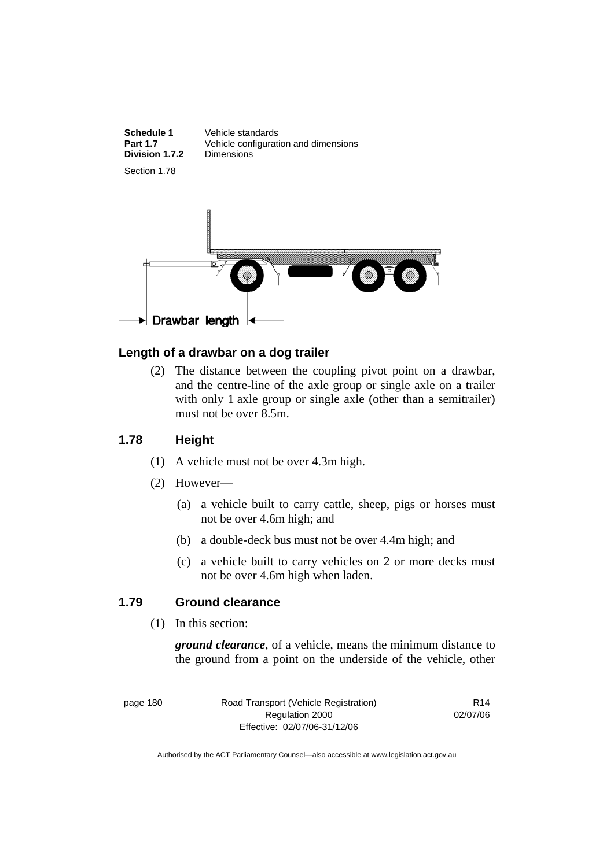**Schedule 1** Vehicle standards<br>**Part 1.7** Vehicle configurati Vehicle configuration and dimensions<br>Dimensions **Division 1.7.2** 





#### **Length of a drawbar on a dog trailer**

 (2) The distance between the coupling pivot point on a drawbar, and the centre-line of the axle group or single axle on a trailer with only 1 axle group or single axle (other than a semitrailer) must not be over 8.5m.

#### **1.78 Height**

- (1) A vehicle must not be over 4.3m high.
- (2) However—
	- (a) a vehicle built to carry cattle, sheep, pigs or horses must not be over 4.6m high; and
	- (b) a double-deck bus must not be over 4.4m high; and
	- (c) a vehicle built to carry vehicles on 2 or more decks must not be over 4.6m high when laden.

#### **1.79 Ground clearance**

(1) In this section:

*ground clearance*, of a vehicle, means the minimum distance to the ground from a point on the underside of the vehicle, other

page 180 Road Transport (Vehicle Registration) Regulation 2000 Effective: 02/07/06-31/12/06

R14 02/07/06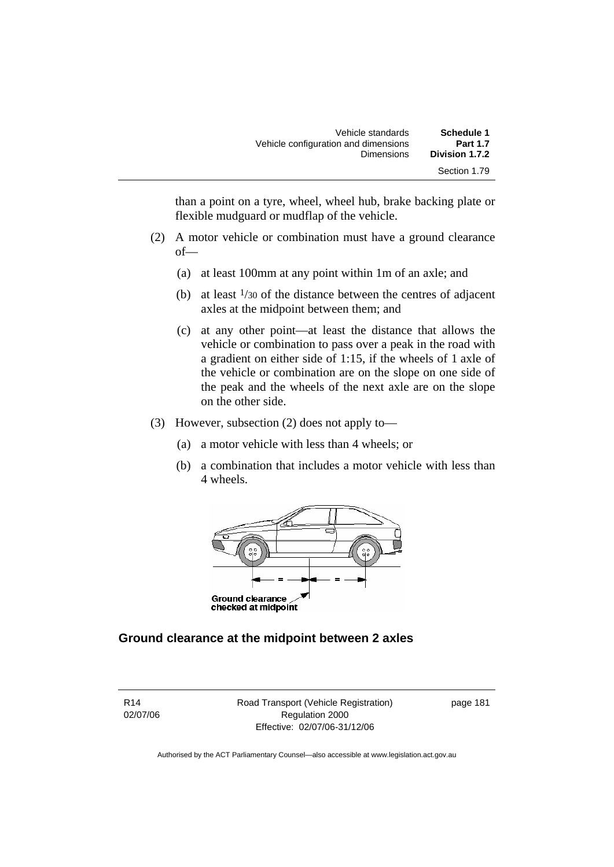| Schedule 1      | Vehicle standards                    |
|-----------------|--------------------------------------|
| <b>Part 1.7</b> | Vehicle configuration and dimensions |
| Division 1.7.2  | <b>Dimensions</b>                    |
| Section 1.79    |                                      |

than a point on a tyre, wheel, wheel hub, brake backing plate or flexible mudguard or mudflap of the vehicle.

- (2) A motor vehicle or combination must have a ground clearance of—
	- (a) at least 100mm at any point within 1m of an axle; and
	- (b) at least  $\frac{1}{30}$  of the distance between the centres of adjacent axles at the midpoint between them; and
	- (c) at any other point—at least the distance that allows the vehicle or combination to pass over a peak in the road with a gradient on either side of 1:15, if the wheels of 1 axle of the vehicle or combination are on the slope on one side of the peak and the wheels of the next axle are on the slope on the other side.
- (3) However, subsection (2) does not apply to—
	- (a) a motor vehicle with less than 4 wheels; or
	- (b) a combination that includes a motor vehicle with less than 4 wheels.



#### **Ground clearance at the midpoint between 2 axles**

R14 02/07/06 Road Transport (Vehicle Registration) Regulation 2000 Effective: 02/07/06-31/12/06

page 181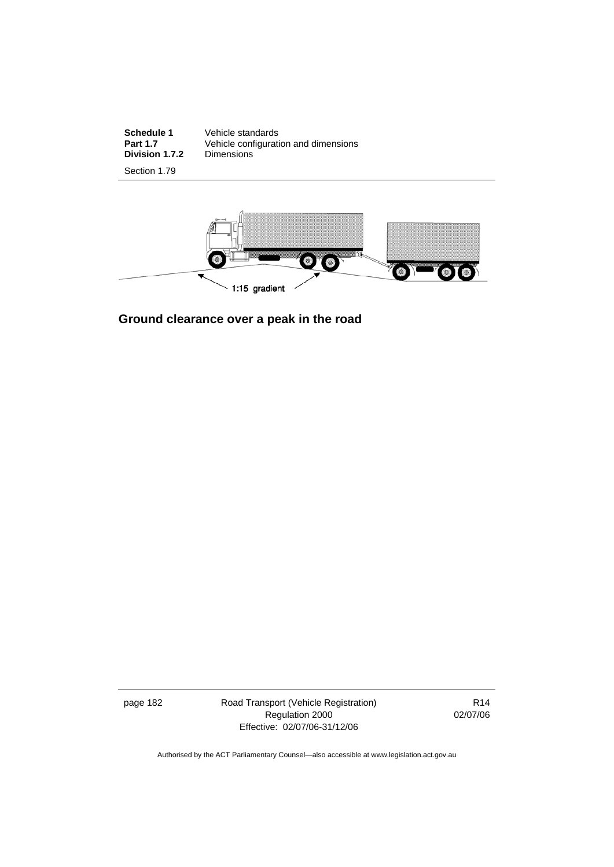**Schedule 1** Vehicle standards **Part 1.7** Vehicle configuration and dimensions **Division 1.7.2** Dimensions

Section 1.79



**Ground clearance over a peak in the road** 

page 182 Road Transport (Vehicle Registration) Regulation 2000 Effective: 02/07/06-31/12/06

R14 02/07/06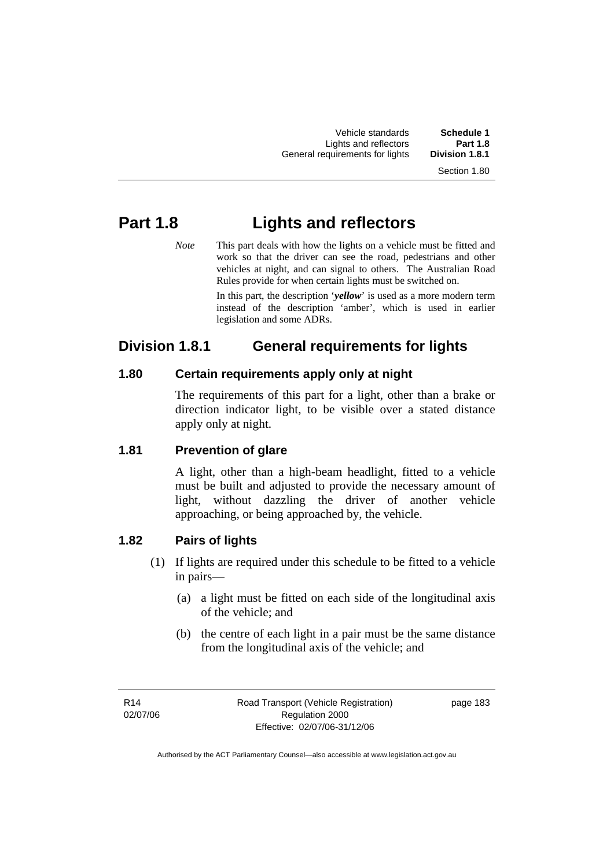Vehicle standards **Schedule 1**  Lights and reflectors **Part 1.8 General requirements for lights** 

Section 1.80

# **Part 1.8 Lights and reflectors**

*Note* This part deals with how the lights on a vehicle must be fitted and work so that the driver can see the road, pedestrians and other vehicles at night, and can signal to others. The Australian Road Rules provide for when certain lights must be switched on.

> In this part, the description '*yellow*' is used as a more modern term instead of the description 'amber', which is used in earlier legislation and some ADRs.

## **Division 1.8.1 General requirements for lights**

### **1.80 Certain requirements apply only at night**

The requirements of this part for a light, other than a brake or direction indicator light, to be visible over a stated distance apply only at night.

#### **1.81 Prevention of glare**

A light, other than a high-beam headlight, fitted to a vehicle must be built and adjusted to provide the necessary amount of light, without dazzling the driver of another vehicle approaching, or being approached by, the vehicle.

### **1.82 Pairs of lights**

- (1) If lights are required under this schedule to be fitted to a vehicle in pairs—
	- (a) a light must be fitted on each side of the longitudinal axis of the vehicle; and
	- (b) the centre of each light in a pair must be the same distance from the longitudinal axis of the vehicle; and

page 183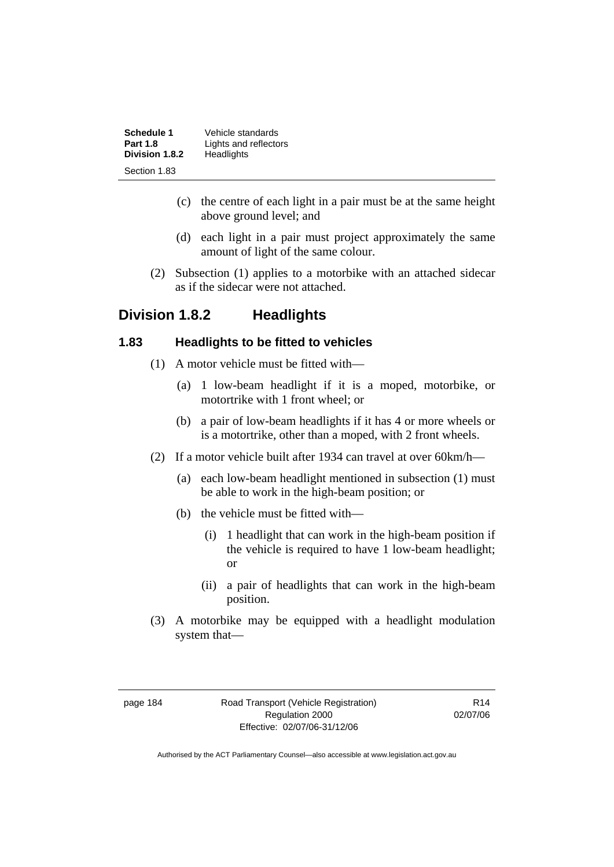| Schedule 1      | Vehicle standards     |
|-----------------|-----------------------|
| <b>Part 1.8</b> | Lights and reflectors |
| Division 1.8.2  | Headlights            |
| Section 1.83    |                       |

- (c) the centre of each light in a pair must be at the same height above ground level; and
- (d) each light in a pair must project approximately the same amount of light of the same colour.
- (2) Subsection (1) applies to a motorbike with an attached sidecar as if the sidecar were not attached.

### **Division 1.8.2 Headlights**

#### **1.83 Headlights to be fitted to vehicles**

- (1) A motor vehicle must be fitted with—
	- (a) 1 low-beam headlight if it is a moped, motorbike, or motortrike with 1 front wheel; or
	- (b) a pair of low-beam headlights if it has 4 or more wheels or is a motortrike, other than a moped, with 2 front wheels.
- (2) If a motor vehicle built after 1934 can travel at over 60km/h—
	- (a) each low-beam headlight mentioned in subsection (1) must be able to work in the high-beam position; or
	- (b) the vehicle must be fitted with—
		- (i) 1 headlight that can work in the high-beam position if the vehicle is required to have 1 low-beam headlight; or
		- (ii) a pair of headlights that can work in the high-beam position.
- (3) A motorbike may be equipped with a headlight modulation system that—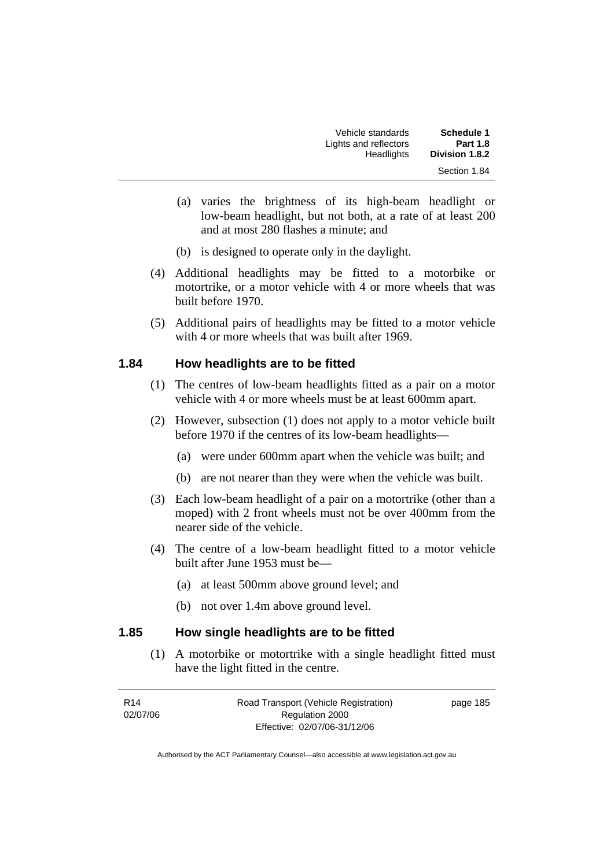| <b>Schedule 1</b> | Vehicle standards     |
|-------------------|-----------------------|
| <b>Part 1.8</b>   | Lights and reflectors |
| Division 1.8.2    | Headlights            |
| Section 1.84      |                       |

- (a) varies the brightness of its high-beam headlight or low-beam headlight, but not both, at a rate of at least 200 and at most 280 flashes a minute; and
- (b) is designed to operate only in the daylight.
- (4) Additional headlights may be fitted to a motorbike or motortrike, or a motor vehicle with 4 or more wheels that was built before 1970.
- (5) Additional pairs of headlights may be fitted to a motor vehicle with 4 or more wheels that was built after 1969.

#### **1.84 How headlights are to be fitted**

- (1) The centres of low-beam headlights fitted as a pair on a motor vehicle with 4 or more wheels must be at least 600mm apart.
- (2) However, subsection (1) does not apply to a motor vehicle built before 1970 if the centres of its low-beam headlights—
	- (a) were under 600mm apart when the vehicle was built; and
	- (b) are not nearer than they were when the vehicle was built.
- (3) Each low-beam headlight of a pair on a motortrike (other than a moped) with 2 front wheels must not be over 400mm from the nearer side of the vehicle.
- (4) The centre of a low-beam headlight fitted to a motor vehicle built after June 1953 must be—
	- (a) at least 500mm above ground level; and
	- (b) not over 1.4m above ground level.

#### **1.85 How single headlights are to be fitted**

 (1) A motorbike or motortrike with a single headlight fitted must have the light fitted in the centre.

| R <sub>14</sub> | Road Transport (Vehicle Registration) | page 185 |
|-----------------|---------------------------------------|----------|
| 02/07/06        | Regulation 2000                       |          |
|                 | Effective: 02/07/06-31/12/06          |          |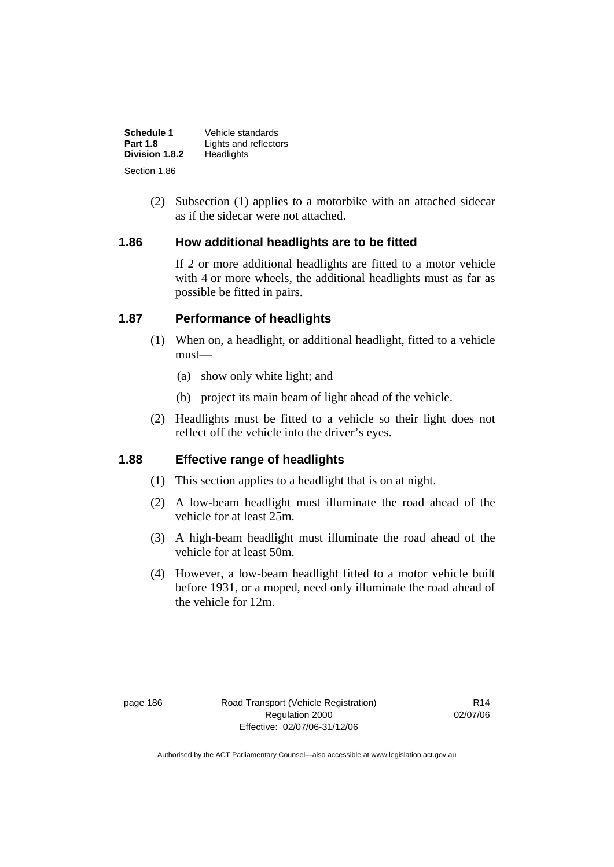| Schedule 1      | Vehicle standards     |
|-----------------|-----------------------|
| <b>Part 1.8</b> | Lights and reflectors |
| Division 1.8.2  | Headlights            |
| Section 1.86    |                       |

 (2) Subsection (1) applies to a motorbike with an attached sidecar as if the sidecar were not attached.

#### **1.86 How additional headlights are to be fitted**

If 2 or more additional headlights are fitted to a motor vehicle with 4 or more wheels, the additional headlights must as far as possible be fitted in pairs.

#### **1.87 Performance of headlights**

- (1) When on, a headlight, or additional headlight, fitted to a vehicle must—
	- (a) show only white light; and
	- (b) project its main beam of light ahead of the vehicle.
- (2) Headlights must be fitted to a vehicle so their light does not reflect off the vehicle into the driver's eyes.

#### **1.88 Effective range of headlights**

- (1) This section applies to a headlight that is on at night.
- (2) A low-beam headlight must illuminate the road ahead of the vehicle for at least 25m.
- (3) A high-beam headlight must illuminate the road ahead of the vehicle for at least 50m.
- (4) However, a low-beam headlight fitted to a motor vehicle built before 1931, or a moped, need only illuminate the road ahead of the vehicle for 12m.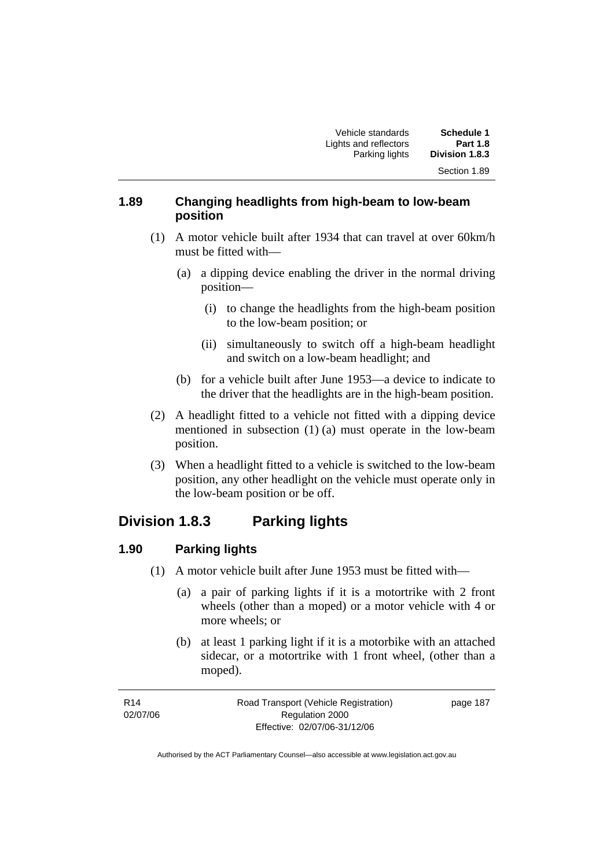#### **1.89 Changing headlights from high-beam to low-beam position**

- (1) A motor vehicle built after 1934 that can travel at over 60km/h must be fitted with—
	- (a) a dipping device enabling the driver in the normal driving position—
		- (i) to change the headlights from the high-beam position to the low-beam position; or
		- (ii) simultaneously to switch off a high-beam headlight and switch on a low-beam headlight; and
	- (b) for a vehicle built after June 1953—a device to indicate to the driver that the headlights are in the high-beam position.
- (2) A headlight fitted to a vehicle not fitted with a dipping device mentioned in subsection (1) (a) must operate in the low-beam position.
- (3) When a headlight fitted to a vehicle is switched to the low-beam position, any other headlight on the vehicle must operate only in the low-beam position or be off.

## **Division 1.8.3 Parking lights**

### **1.90 Parking lights**

- (1) A motor vehicle built after June 1953 must be fitted with—
	- (a) a pair of parking lights if it is a motortrike with 2 front wheels (other than a moped) or a motor vehicle with 4 or more wheels; or
	- (b) at least 1 parking light if it is a motorbike with an attached sidecar, or a motortrike with 1 front wheel, (other than a moped).

page 187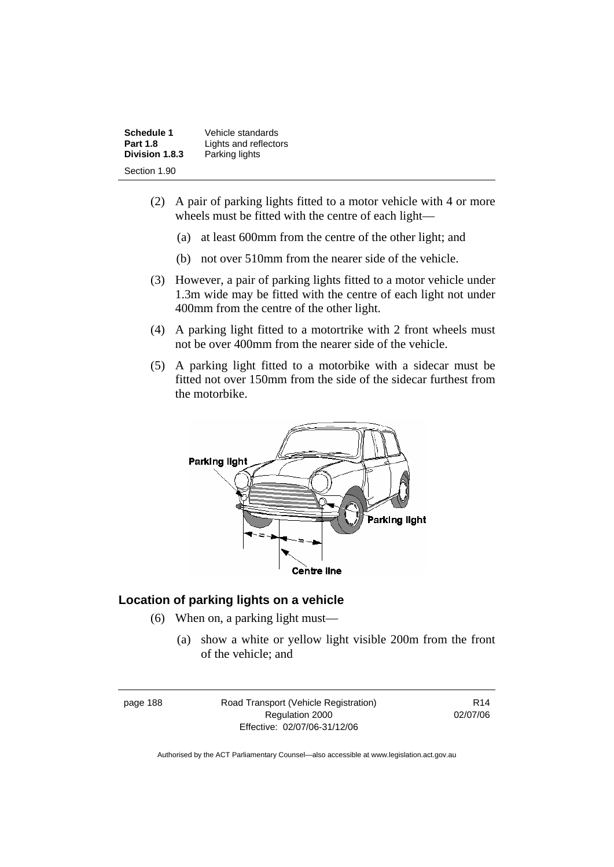| Schedule 1      | Vehicle standards     |
|-----------------|-----------------------|
| <b>Part 1.8</b> | Lights and reflectors |
| Division 1.8.3  | Parking lights        |
| Section 1.90    |                       |

- (2) A pair of parking lights fitted to a motor vehicle with 4 or more wheels must be fitted with the centre of each light—
	- (a) at least 600mm from the centre of the other light; and
	- (b) not over 510mm from the nearer side of the vehicle.
- (3) However, a pair of parking lights fitted to a motor vehicle under 1.3m wide may be fitted with the centre of each light not under 400mm from the centre of the other light.
- (4) A parking light fitted to a motortrike with 2 front wheels must not be over 400mm from the nearer side of the vehicle.
- (5) A parking light fitted to a motorbike with a sidecar must be fitted not over 150mm from the side of the sidecar furthest from the motorbike.



#### **Location of parking lights on a vehicle**

- (6) When on, a parking light must—
	- (a) show a white or yellow light visible 200m from the front of the vehicle; and

page 188 Road Transport (Vehicle Registration) Regulation 2000 Effective: 02/07/06-31/12/06

R14 02/07/06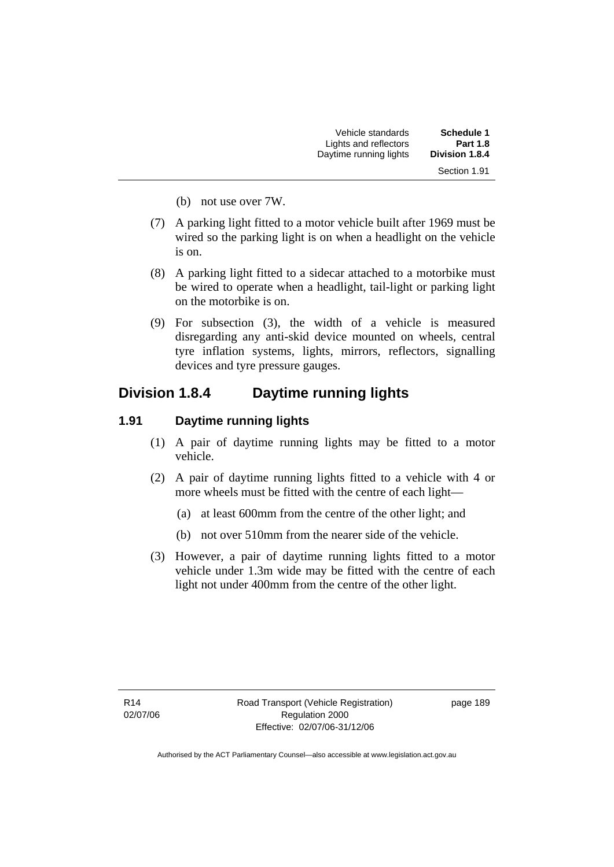| Schedule 1      | Vehicle standards      |
|-----------------|------------------------|
| <b>Part 1.8</b> | Lights and reflectors  |
| Division 1.8.4  | Daytime running lights |
| Section 1.91    |                        |

- (b) not use over 7W.
- (7) A parking light fitted to a motor vehicle built after 1969 must be wired so the parking light is on when a headlight on the vehicle is on.
- (8) A parking light fitted to a sidecar attached to a motorbike must be wired to operate when a headlight, tail-light or parking light on the motorbike is on.
- (9) For subsection (3), the width of a vehicle is measured disregarding any anti-skid device mounted on wheels, central tyre inflation systems, lights, mirrors, reflectors, signalling devices and tyre pressure gauges.

### **Division 1.8.4 Daytime running lights**

#### **1.91 Daytime running lights**

- (1) A pair of daytime running lights may be fitted to a motor vehicle.
- (2) A pair of daytime running lights fitted to a vehicle with 4 or more wheels must be fitted with the centre of each light—
	- (a) at least 600mm from the centre of the other light; and
	- (b) not over 510mm from the nearer side of the vehicle.
- (3) However, a pair of daytime running lights fitted to a motor vehicle under 1.3m wide may be fitted with the centre of each light not under 400mm from the centre of the other light.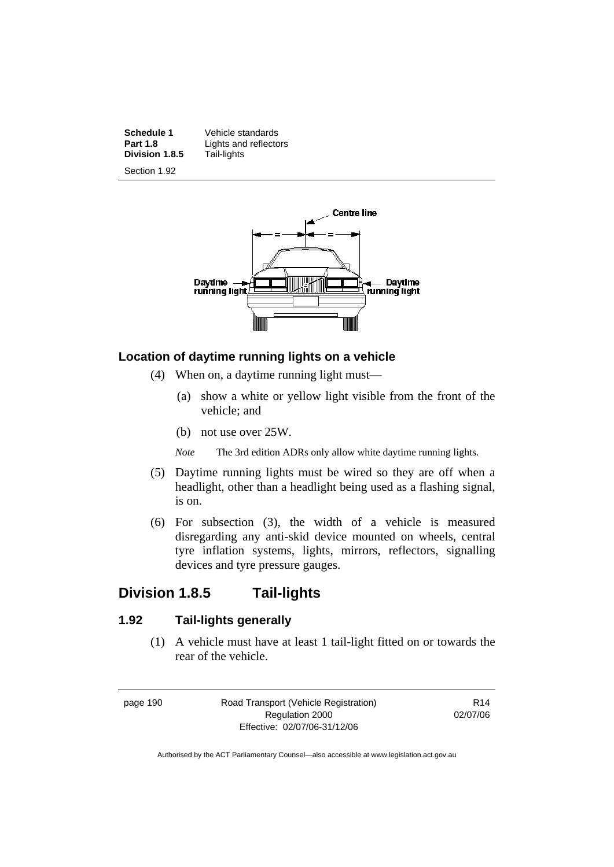**Division 1.8.5** 

**Schedule 1 Vehicle standards**<br>**Part 1.8 Lights and reflector Lights and reflectors**<br>Tail-lights

Section 1.92



#### **Location of daytime running lights on a vehicle**

- (4) When on, a daytime running light must—
	- (a) show a white or yellow light visible from the front of the vehicle; and
	- (b) not use over 25W.

*Note* The 3rd edition ADRs only allow white daytime running lights.

- (5) Daytime running lights must be wired so they are off when a headlight, other than a headlight being used as a flashing signal, is on.
- (6) For subsection (3), the width of a vehicle is measured disregarding any anti-skid device mounted on wheels, central tyre inflation systems, lights, mirrors, reflectors, signalling devices and tyre pressure gauges.

### **Division 1.8.5 Tail-lights**

#### **1.92 Tail-lights generally**

 (1) A vehicle must have at least 1 tail-light fitted on or towards the rear of the vehicle.

page 190 Road Transport (Vehicle Registration) Regulation 2000 Effective: 02/07/06-31/12/06

R14 02/07/06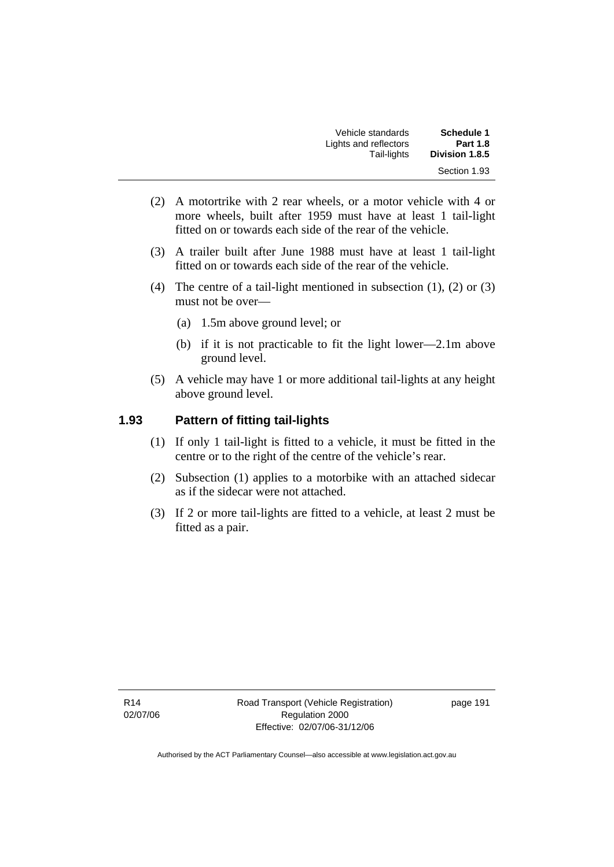| Schedule 1      | Vehicle standards     |
|-----------------|-----------------------|
| <b>Part 1.8</b> | Lights and reflectors |
| Division 1.8.5  | Tail-lights           |
| Section 1.93    |                       |

- (2) A motortrike with 2 rear wheels, or a motor vehicle with 4 or more wheels, built after 1959 must have at least 1 tail-light fitted on or towards each side of the rear of the vehicle.
- (3) A trailer built after June 1988 must have at least 1 tail-light fitted on or towards each side of the rear of the vehicle.
- (4) The centre of a tail-light mentioned in subsection (1), (2) or (3) must not be over—
	- (a) 1.5m above ground level; or
	- (b) if it is not practicable to fit the light lower—2.1m above ground level.
- (5) A vehicle may have 1 or more additional tail-lights at any height above ground level.

#### **1.93 Pattern of fitting tail-lights**

- (1) If only 1 tail-light is fitted to a vehicle, it must be fitted in the centre or to the right of the centre of the vehicle's rear.
- (2) Subsection (1) applies to a motorbike with an attached sidecar as if the sidecar were not attached.
- (3) If 2 or more tail-lights are fitted to a vehicle, at least 2 must be fitted as a pair.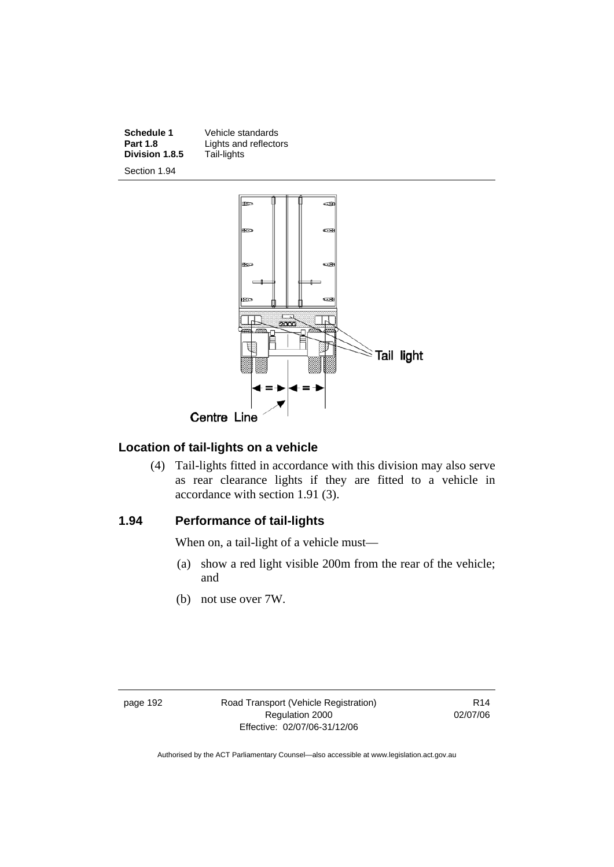**Division 1.8.5** 



Section 1.94



### **Location of tail-lights on a vehicle**

 (4) Tail-lights fitted in accordance with this division may also serve as rear clearance lights if they are fitted to a vehicle in accordance with section 1.91 (3).

#### **1.94 Performance of tail-lights**

When on, a tail-light of a vehicle must—

- (a) show a red light visible 200m from the rear of the vehicle; and
- (b) not use over 7W.

page 192 Road Transport (Vehicle Registration) Regulation 2000 Effective: 02/07/06-31/12/06

R14 02/07/06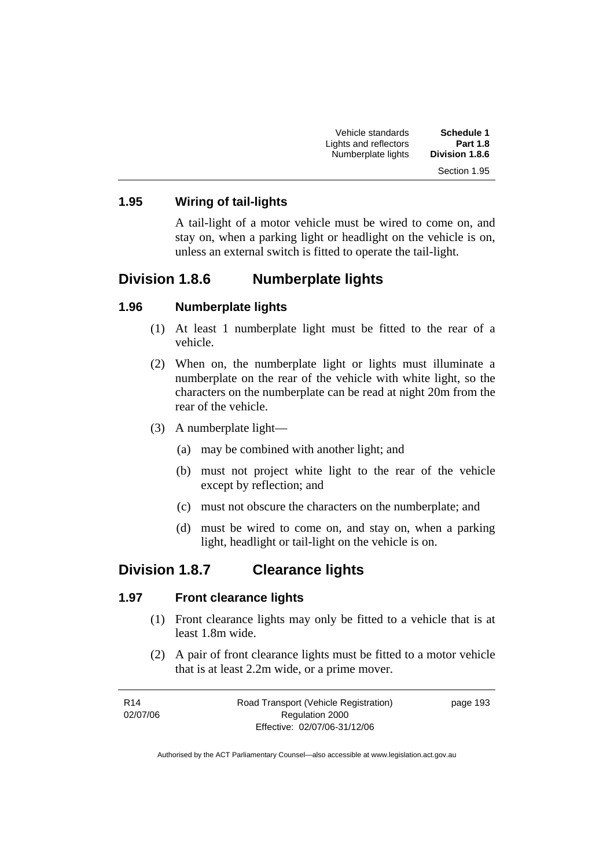| <b>Schedule 1</b>     | Vehicle standards     |
|-----------------------|-----------------------|
| <b>Part 1.8</b>       | Lights and reflectors |
| <b>Division 1.8.6</b> | Numberplate lights    |
| Section 1.95          |                       |

#### **1.95 Wiring of tail-lights**

A tail-light of a motor vehicle must be wired to come on, and stay on, when a parking light or headlight on the vehicle is on, unless an external switch is fitted to operate the tail-light.

### **Division 1.8.6 Numberplate lights**

#### **1.96 Numberplate lights**

- (1) At least 1 numberplate light must be fitted to the rear of a vehicle.
- (2) When on, the numberplate light or lights must illuminate a numberplate on the rear of the vehicle with white light, so the characters on the numberplate can be read at night 20m from the rear of the vehicle.
- (3) A numberplate light—
	- (a) may be combined with another light; and
	- (b) must not project white light to the rear of the vehicle except by reflection; and
	- (c) must not obscure the characters on the numberplate; and
	- (d) must be wired to come on, and stay on, when a parking light, headlight or tail-light on the vehicle is on.

#### **Division 1.8.7 Clearance lights**

#### **1.97 Front clearance lights**

- (1) Front clearance lights may only be fitted to a vehicle that is at least 1.8m wide.
- (2) A pair of front clearance lights must be fitted to a motor vehicle that is at least 2.2m wide, or a prime mover.

| R14      | Road Transport (Vehicle Registration) | page 193 |
|----------|---------------------------------------|----------|
| 02/07/06 | Regulation 2000                       |          |
|          | Effective: 02/07/06-31/12/06          |          |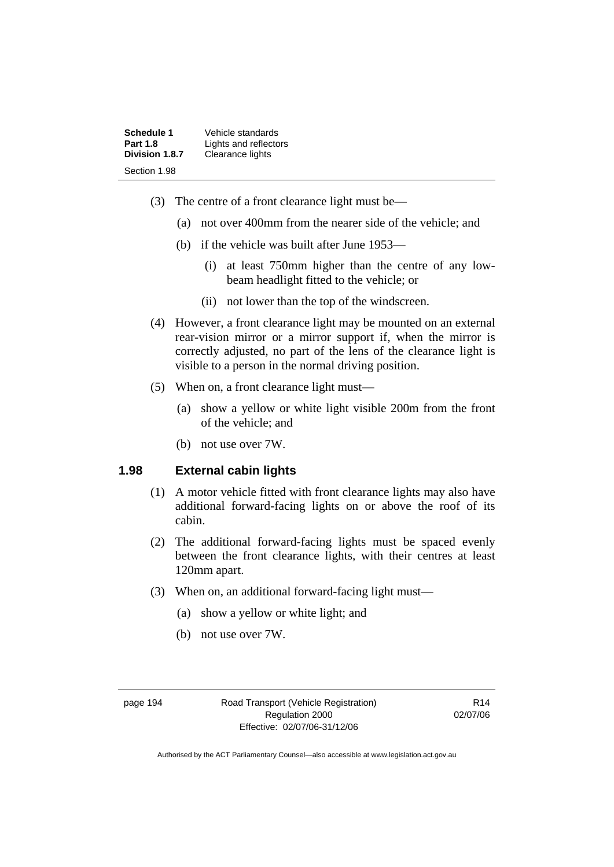| Schedule 1      | Vehicle standards     |
|-----------------|-----------------------|
| <b>Part 1.8</b> | Lights and reflectors |
| Division 1.8.7  | Clearance lights      |
| Section 1.98    |                       |

- (3) The centre of a front clearance light must be—
	- (a) not over 400mm from the nearer side of the vehicle; and
	- (b) if the vehicle was built after June 1953—
		- (i) at least 750mm higher than the centre of any lowbeam headlight fitted to the vehicle; or
		- (ii) not lower than the top of the windscreen.
- (4) However, a front clearance light may be mounted on an external rear-vision mirror or a mirror support if, when the mirror is correctly adjusted, no part of the lens of the clearance light is visible to a person in the normal driving position.
- (5) When on, a front clearance light must—
	- (a) show a yellow or white light visible 200m from the front of the vehicle; and
	- (b) not use over 7W.

#### **1.98 External cabin lights**

- (1) A motor vehicle fitted with front clearance lights may also have additional forward-facing lights on or above the roof of its cabin.
- (2) The additional forward-facing lights must be spaced evenly between the front clearance lights, with their centres at least 120mm apart.
- (3) When on, an additional forward-facing light must—
	- (a) show a yellow or white light; and
	- (b) not use over 7W.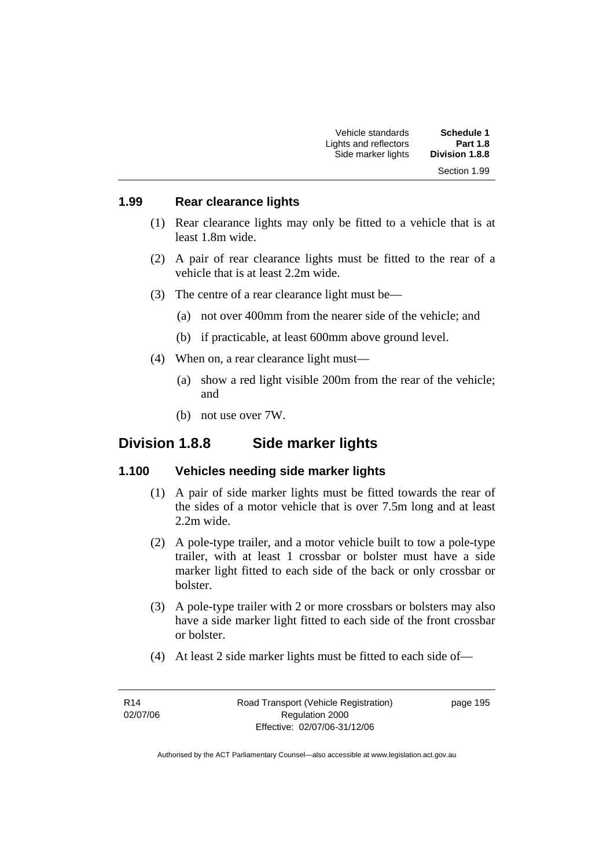| Schedule 1      | Vehicle standards     |
|-----------------|-----------------------|
| <b>Part 1.8</b> | Lights and reflectors |
| Division 1.8.8  | Side marker lights    |
| Section 1.99    |                       |

#### **1.99 Rear clearance lights**

- (1) Rear clearance lights may only be fitted to a vehicle that is at least 1.8m wide.
- (2) A pair of rear clearance lights must be fitted to the rear of a vehicle that is at least 2.2m wide.
- (3) The centre of a rear clearance light must be—
	- (a) not over 400mm from the nearer side of the vehicle; and
	- (b) if practicable, at least 600mm above ground level.
- (4) When on, a rear clearance light must—
	- (a) show a red light visible 200m from the rear of the vehicle; and
	- (b) not use over 7W.

### **Division 1.8.8 Side marker lights**

#### **1.100 Vehicles needing side marker lights**

- (1) A pair of side marker lights must be fitted towards the rear of the sides of a motor vehicle that is over 7.5m long and at least 2.2m wide.
- (2) A pole-type trailer, and a motor vehicle built to tow a pole-type trailer, with at least 1 crossbar or bolster must have a side marker light fitted to each side of the back or only crossbar or bolster.
- (3) A pole-type trailer with 2 or more crossbars or bolsters may also have a side marker light fitted to each side of the front crossbar or bolster.
- (4) At least 2 side marker lights must be fitted to each side of—

R14 02/07/06 page 195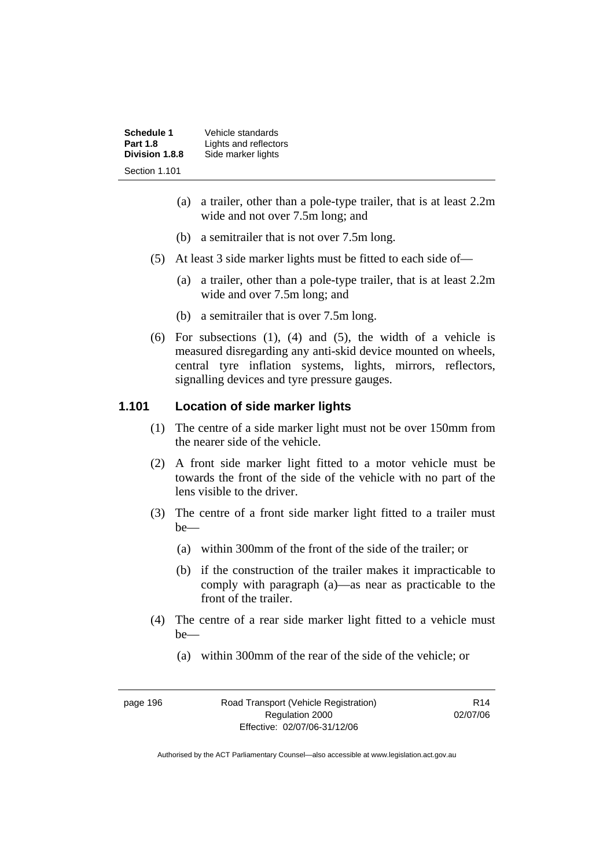| <b>Schedule 1</b> | Vehicle standards     |
|-------------------|-----------------------|
| <b>Part 1.8</b>   | Lights and reflectors |
| Division 1.8.8    | Side marker lights    |
| Section 1.101     |                       |

- (a) a trailer, other than a pole-type trailer, that is at least 2.2m wide and not over 7.5m long; and
- (b) a semitrailer that is not over 7.5m long.
- (5) At least 3 side marker lights must be fitted to each side of—
	- (a) a trailer, other than a pole-type trailer, that is at least 2.2m wide and over 7.5m long; and
	- (b) a semitrailer that is over 7.5m long.
- (6) For subsections (1), (4) and (5), the width of a vehicle is measured disregarding any anti-skid device mounted on wheels, central tyre inflation systems, lights, mirrors, reflectors, signalling devices and tyre pressure gauges.

#### **1.101 Location of side marker lights**

- (1) The centre of a side marker light must not be over 150mm from the nearer side of the vehicle.
- (2) A front side marker light fitted to a motor vehicle must be towards the front of the side of the vehicle with no part of the lens visible to the driver.
- (3) The centre of a front side marker light fitted to a trailer must be—
	- (a) within 300mm of the front of the side of the trailer; or
	- (b) if the construction of the trailer makes it impracticable to comply with paragraph (a)—as near as practicable to the front of the trailer.
- (4) The centre of a rear side marker light fitted to a vehicle must be—
	- (a) within 300mm of the rear of the side of the vehicle; or

| page 196 |  |
|----------|--|
|          |  |
|          |  |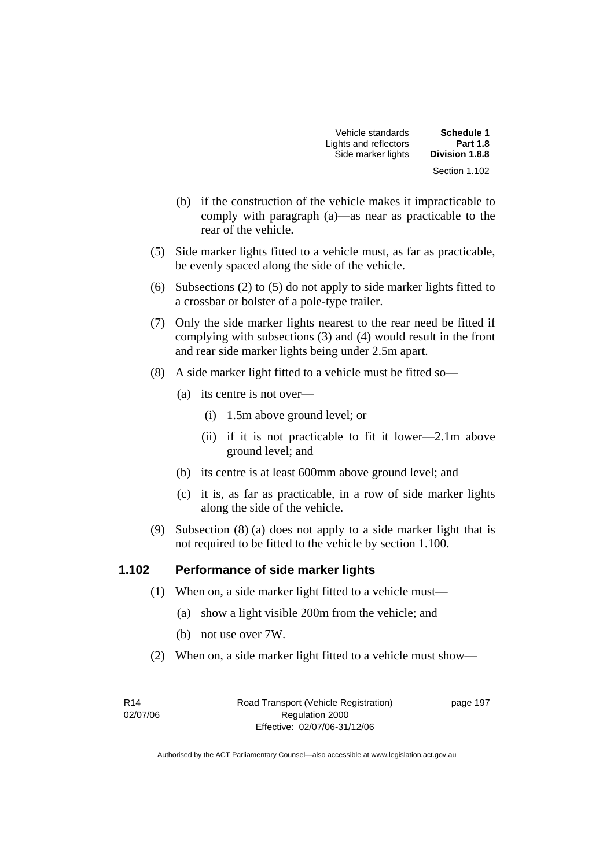| Schedule 1            | Vehicle standards     |
|-----------------------|-----------------------|
| <b>Part 1.8</b>       | Lights and reflectors |
| <b>Division 1.8.8</b> | Side marker lights    |
| Section 1.102         |                       |

- (b) if the construction of the vehicle makes it impracticable to comply with paragraph (a)—as near as practicable to the rear of the vehicle.
- (5) Side marker lights fitted to a vehicle must, as far as practicable, be evenly spaced along the side of the vehicle.
- (6) Subsections (2) to (5) do not apply to side marker lights fitted to a crossbar or bolster of a pole-type trailer.
- (7) Only the side marker lights nearest to the rear need be fitted if complying with subsections (3) and (4) would result in the front and rear side marker lights being under 2.5m apart.
- (8) A side marker light fitted to a vehicle must be fitted so—
	- (a) its centre is not over—
		- (i) 1.5m above ground level; or
		- (ii) if it is not practicable to fit it lower—2.1m above ground level; and
	- (b) its centre is at least 600mm above ground level; and
	- (c) it is, as far as practicable, in a row of side marker lights along the side of the vehicle.
- (9) Subsection (8) (a) does not apply to a side marker light that is not required to be fitted to the vehicle by section 1.100.

#### **1.102 Performance of side marker lights**

- (1) When on, a side marker light fitted to a vehicle must—
	- (a) show a light visible 200m from the vehicle; and
	- (b) not use over 7W.
- (2) When on, a side marker light fitted to a vehicle must show—

R14 02/07/06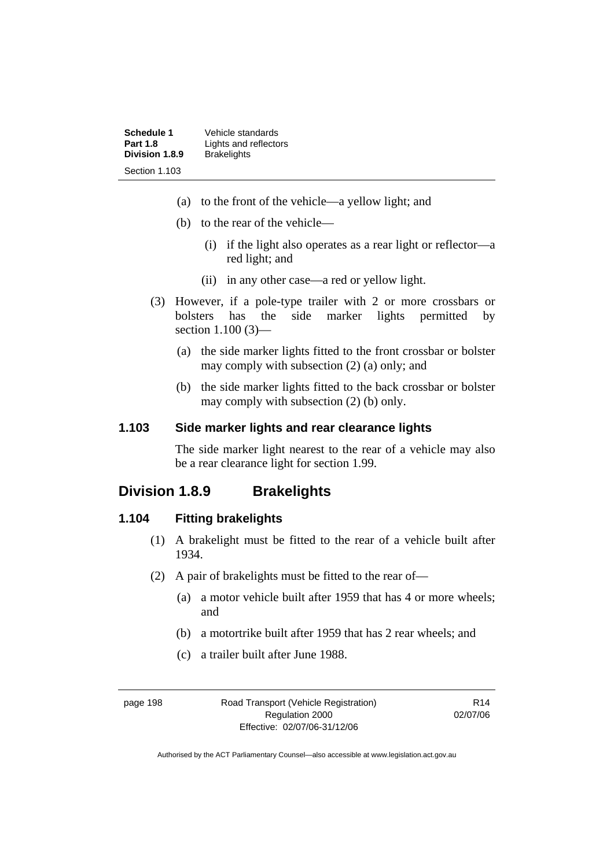| Schedule 1      | Vehicle standards     |
|-----------------|-----------------------|
| <b>Part 1.8</b> | Lights and reflectors |
| Division 1.8.9  | <b>Brakelights</b>    |
| Section 1.103   |                       |

- (a) to the front of the vehicle—a yellow light; and
- (b) to the rear of the vehicle—
	- (i) if the light also operates as a rear light or reflector—a red light; and
	- (ii) in any other case—a red or yellow light.
- (3) However, if a pole-type trailer with 2 or more crossbars or bolsters has the side marker lights permitted by section 1.100 (3)—
	- (a) the side marker lights fitted to the front crossbar or bolster may comply with subsection (2) (a) only; and
	- (b) the side marker lights fitted to the back crossbar or bolster may comply with subsection (2) (b) only.

## **1.103 Side marker lights and rear clearance lights**

The side marker light nearest to the rear of a vehicle may also be a rear clearance light for section 1.99.

# **Division 1.8.9 Brakelights**

#### **1.104 Fitting brakelights**

- (1) A brakelight must be fitted to the rear of a vehicle built after 1934.
- (2) A pair of brakelights must be fitted to the rear of—
	- (a) a motor vehicle built after 1959 that has 4 or more wheels; and
	- (b) a motortrike built after 1959 that has 2 rear wheels; and
	- (c) a trailer built after June 1988.

page 198 Road Transport (Vehicle Registration) Regulation 2000 Effective: 02/07/06-31/12/06

R14 02/07/06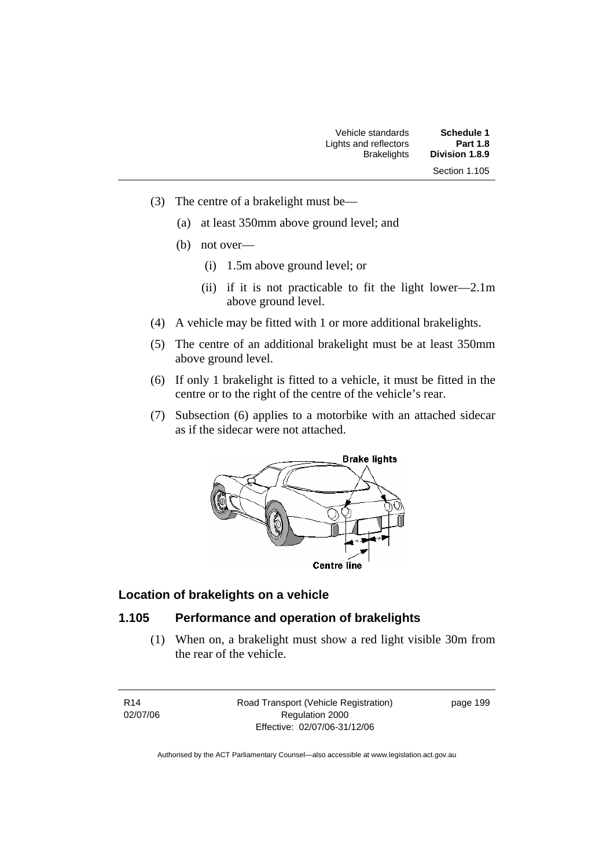| Schedule 1      | Vehicle standards     |
|-----------------|-----------------------|
| <b>Part 1.8</b> | Lights and reflectors |
| Division 1.8.9  | <b>Brakelights</b>    |
| Section 1.105   |                       |

- (3) The centre of a brakelight must be—
	- (a) at least 350mm above ground level; and
	- (b) not over—
		- (i) 1.5m above ground level; or
		- (ii) if it is not practicable to fit the light lower—2.1m above ground level.
- (4) A vehicle may be fitted with 1 or more additional brakelights.
- (5) The centre of an additional brakelight must be at least 350mm above ground level.
- (6) If only 1 brakelight is fitted to a vehicle, it must be fitted in the centre or to the right of the centre of the vehicle's rear.
- (7) Subsection (6) applies to a motorbike with an attached sidecar as if the sidecar were not attached.



#### **Location of brakelights on a vehicle**

## **1.105 Performance and operation of brakelights**

 (1) When on, a brakelight must show a red light visible 30m from the rear of the vehicle.

R14 02/07/06 Road Transport (Vehicle Registration) Regulation 2000 Effective: 02/07/06-31/12/06

page 199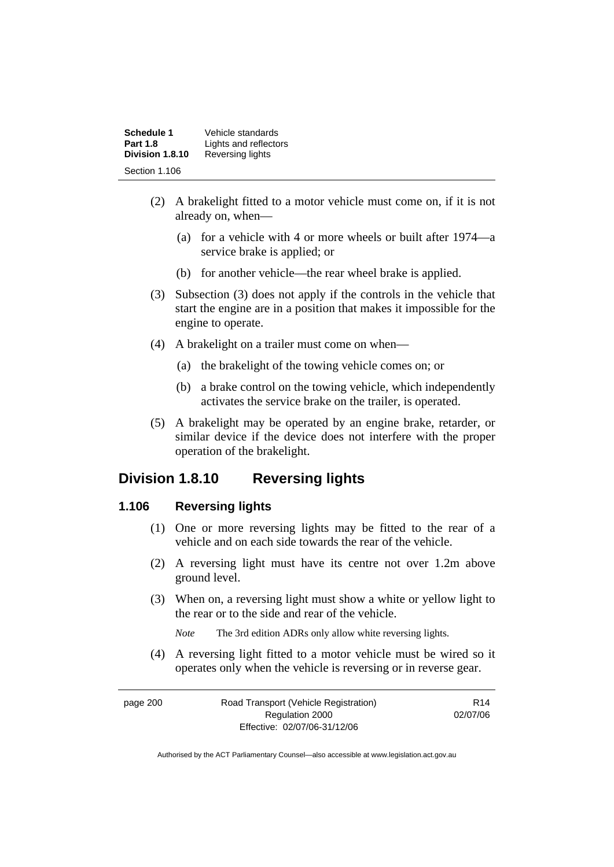| Schedule 1<br><b>Part 1.8</b> | Vehicle standards<br>Lights and reflectors |
|-------------------------------|--------------------------------------------|
| Division 1.8.10               | Reversing lights                           |
| Section 1.106                 |                                            |

- (2) A brakelight fitted to a motor vehicle must come on, if it is not already on, when—
	- (a) for a vehicle with 4 or more wheels or built after 1974—a service brake is applied; or
	- (b) for another vehicle—the rear wheel brake is applied.
- (3) Subsection (3) does not apply if the controls in the vehicle that start the engine are in a position that makes it impossible for the engine to operate.
- (4) A brakelight on a trailer must come on when—
	- (a) the brakelight of the towing vehicle comes on; or
	- (b) a brake control on the towing vehicle, which independently activates the service brake on the trailer, is operated.
- (5) A brakelight may be operated by an engine brake, retarder, or similar device if the device does not interfere with the proper operation of the brakelight.

# **Division 1.8.10 Reversing lights**

#### **1.106 Reversing lights**

- (1) One or more reversing lights may be fitted to the rear of a vehicle and on each side towards the rear of the vehicle.
- (2) A reversing light must have its centre not over 1.2m above ground level.
- (3) When on, a reversing light must show a white or yellow light to the rear or to the side and rear of the vehicle.

*Note* The 3rd edition ADRs only allow white reversing lights.

 (4) A reversing light fitted to a motor vehicle must be wired so it operates only when the vehicle is reversing or in reverse gear.

| page 200 | Road Transport (Vehicle Registration) | R14      |
|----------|---------------------------------------|----------|
|          | Regulation 2000                       | 02/07/06 |
|          | Effective: 02/07/06-31/12/06          |          |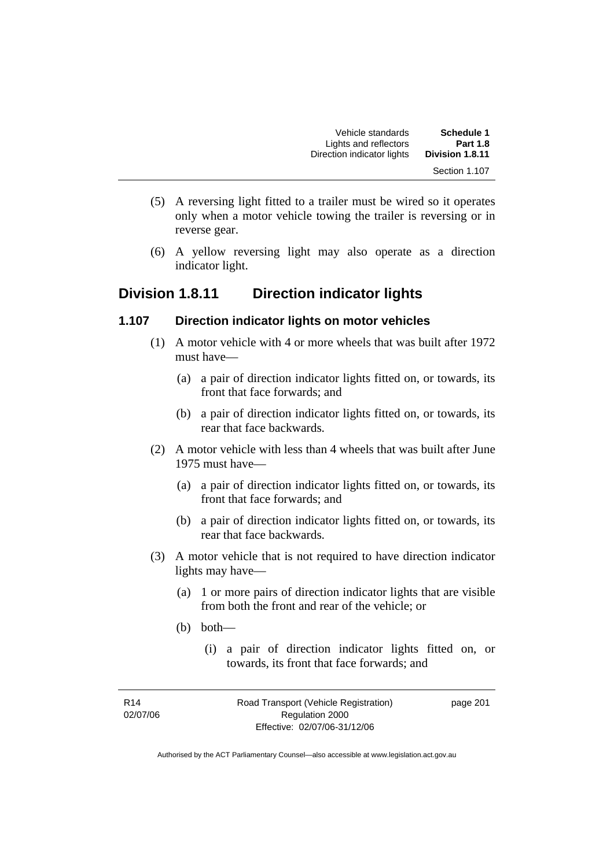| <b>Schedule 1</b> | Vehicle standards          |  |
|-------------------|----------------------------|--|
| <b>Part 1.8</b>   | Lights and reflectors      |  |
| Division 1.8.11   | Direction indicator lights |  |
| Section 1.107     |                            |  |

- (5) A reversing light fitted to a trailer must be wired so it operates only when a motor vehicle towing the trailer is reversing or in reverse gear.
- (6) A yellow reversing light may also operate as a direction indicator light.

# **Division 1.8.11 Direction indicator lights**

#### **1.107 Direction indicator lights on motor vehicles**

- (1) A motor vehicle with 4 or more wheels that was built after 1972 must have—
	- (a) a pair of direction indicator lights fitted on, or towards, its front that face forwards; and
	- (b) a pair of direction indicator lights fitted on, or towards, its rear that face backwards.
- (2) A motor vehicle with less than 4 wheels that was built after June 1975 must have—
	- (a) a pair of direction indicator lights fitted on, or towards, its front that face forwards; and
	- (b) a pair of direction indicator lights fitted on, or towards, its rear that face backwards.
- (3) A motor vehicle that is not required to have direction indicator lights may have—
	- (a) 1 or more pairs of direction indicator lights that are visible from both the front and rear of the vehicle; or
	- (b) both—
		- (i) a pair of direction indicator lights fitted on, or towards, its front that face forwards; and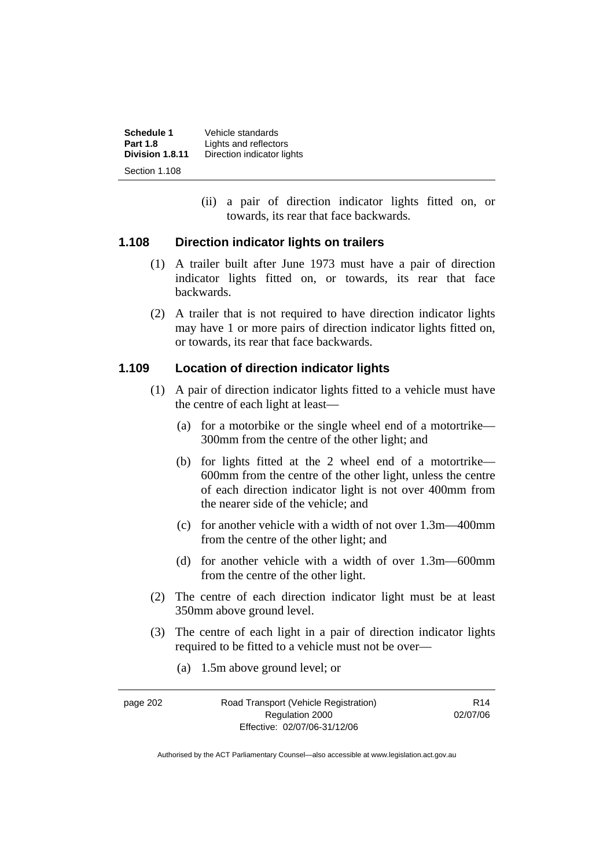**Schedule 1** Vehicle standards<br>**Part 1.8 Lights** and reflector **Part 1.8** Lights and reflectors<br>**Division 1.8.11** Direction indicator lic Direction indicator lights Section 1.108

> (ii) a pair of direction indicator lights fitted on, or towards, its rear that face backwards.

#### **1.108 Direction indicator lights on trailers**

- (1) A trailer built after June 1973 must have a pair of direction indicator lights fitted on, or towards, its rear that face backwards.
- (2) A trailer that is not required to have direction indicator lights may have 1 or more pairs of direction indicator lights fitted on, or towards, its rear that face backwards.

#### **1.109 Location of direction indicator lights**

- (1) A pair of direction indicator lights fitted to a vehicle must have the centre of each light at least—
	- (a) for a motorbike or the single wheel end of a motortrike— 300mm from the centre of the other light; and
	- (b) for lights fitted at the 2 wheel end of a motortrike— 600mm from the centre of the other light, unless the centre of each direction indicator light is not over 400mm from the nearer side of the vehicle; and
	- (c) for another vehicle with a width of not over 1.3m—400mm from the centre of the other light; and
	- (d) for another vehicle with a width of over 1.3m—600mm from the centre of the other light.
- (2) The centre of each direction indicator light must be at least 350mm above ground level.
- (3) The centre of each light in a pair of direction indicator lights required to be fitted to a vehicle must not be over—
	- (a) 1.5m above ground level; or

| page 202 | Road Transport (Vehicle Registration) | R <sub>14</sub> |
|----------|---------------------------------------|-----------------|
|          | Regulation 2000                       | 02/07/06        |
|          | Effective: 02/07/06-31/12/06          |                 |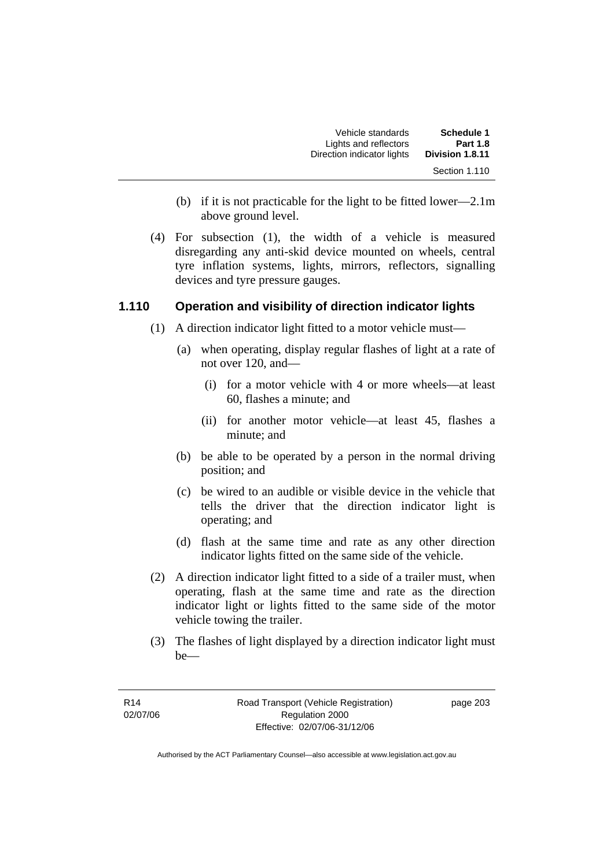| Vehicle standards          | <b>Schedule 1</b> |
|----------------------------|-------------------|
| Lights and reflectors      | <b>Part 1.8</b>   |
| Direction indicator lights | Division 1.8.11   |
|                            | Section 1.110     |

- (b) if it is not practicable for the light to be fitted lower—2.1m above ground level.
- (4) For subsection (1), the width of a vehicle is measured disregarding any anti-skid device mounted on wheels, central tyre inflation systems, lights, mirrors, reflectors, signalling devices and tyre pressure gauges.

### **1.110 Operation and visibility of direction indicator lights**

- (1) A direction indicator light fitted to a motor vehicle must—
	- (a) when operating, display regular flashes of light at a rate of not over 120, and—
		- (i) for a motor vehicle with 4 or more wheels—at least 60, flashes a minute; and
		- (ii) for another motor vehicle—at least 45, flashes a minute; and
	- (b) be able to be operated by a person in the normal driving position; and
	- (c) be wired to an audible or visible device in the vehicle that tells the driver that the direction indicator light is operating; and
	- (d) flash at the same time and rate as any other direction indicator lights fitted on the same side of the vehicle.
- (2) A direction indicator light fitted to a side of a trailer must, when operating, flash at the same time and rate as the direction indicator light or lights fitted to the same side of the motor vehicle towing the trailer.
- (3) The flashes of light displayed by a direction indicator light must be—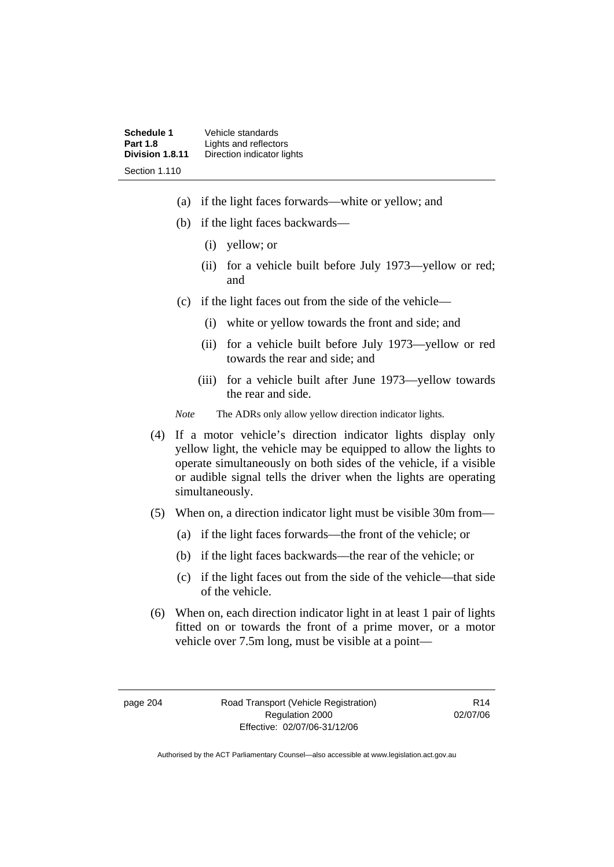**Schedule 1 Vehicle standards**<br>**Part 1.8 Lights and reflector Part 1.8** Lights and reflectors<br>**Division 1.8.11** Direction indicator lic **Direction indicator lights** Section 1.110

- (a) if the light faces forwards—white or yellow; and
- (b) if the light faces backwards—
	- (i) yellow; or
	- (ii) for a vehicle built before July 1973—yellow or red; and
- (c) if the light faces out from the side of the vehicle—
	- (i) white or yellow towards the front and side; and
	- (ii) for a vehicle built before July 1973—yellow or red towards the rear and side; and
	- (iii) for a vehicle built after June 1973—yellow towards the rear and side.

*Note* The ADRs only allow yellow direction indicator lights.

- (4) If a motor vehicle's direction indicator lights display only yellow light, the vehicle may be equipped to allow the lights to operate simultaneously on both sides of the vehicle, if a visible or audible signal tells the driver when the lights are operating simultaneously.
- (5) When on, a direction indicator light must be visible 30m from—
	- (a) if the light faces forwards—the front of the vehicle; or
	- (b) if the light faces backwards—the rear of the vehicle; or
	- (c) if the light faces out from the side of the vehicle—that side of the vehicle.
- (6) When on, each direction indicator light in at least 1 pair of lights fitted on or towards the front of a prime mover, or a motor vehicle over 7.5m long, must be visible at a point—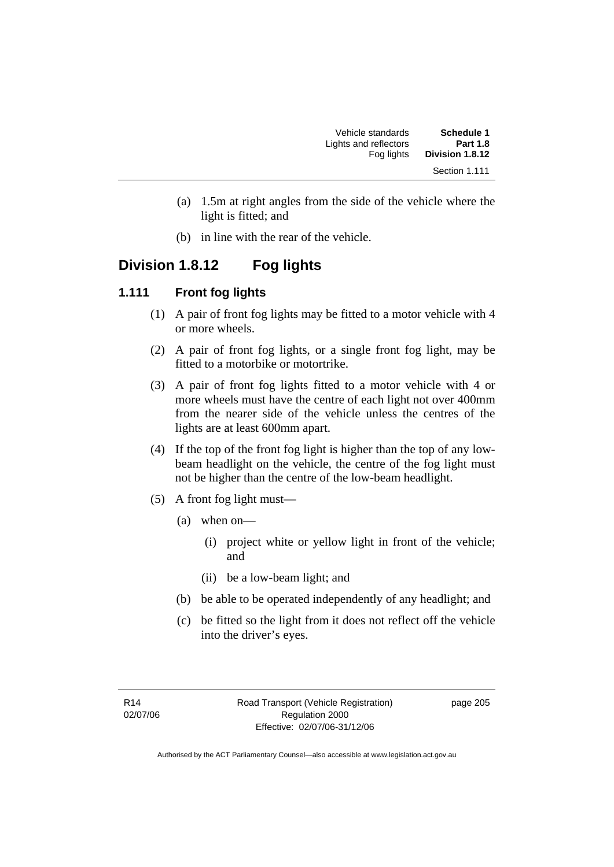| <b>Schedule 1</b><br><b>Part 1.8</b> | Vehicle standards<br>Lights and reflectors |
|--------------------------------------|--------------------------------------------|
| Division 1.8.12                      | Fog lights                                 |
| Section 1.111                        |                                            |

- (a) 1.5m at right angles from the side of the vehicle where the light is fitted; and
- (b) in line with the rear of the vehicle.

# **Division 1.8.12 Fog lights**

#### **1.111 Front fog lights**

- (1) A pair of front fog lights may be fitted to a motor vehicle with 4 or more wheels.
- (2) A pair of front fog lights, or a single front fog light, may be fitted to a motorbike or motortrike.
- (3) A pair of front fog lights fitted to a motor vehicle with 4 or more wheels must have the centre of each light not over 400mm from the nearer side of the vehicle unless the centres of the lights are at least 600mm apart.
- (4) If the top of the front fog light is higher than the top of any lowbeam headlight on the vehicle, the centre of the fog light must not be higher than the centre of the low-beam headlight.
- (5) A front fog light must—
	- (a) when on—
		- (i) project white or yellow light in front of the vehicle; and
		- (ii) be a low-beam light; and
	- (b) be able to be operated independently of any headlight; and
	- (c) be fitted so the light from it does not reflect off the vehicle into the driver's eyes.

page 205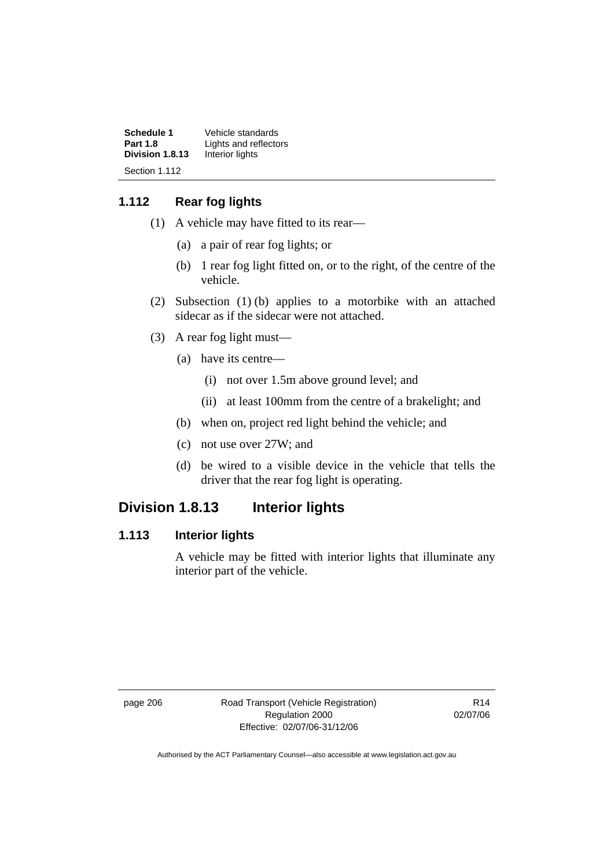| Schedule 1      | Vehicle standards     |
|-----------------|-----------------------|
| <b>Part 1.8</b> | Lights and reflectors |
| Division 1.8.13 | Interior lights       |
| Section 1.112   |                       |

## **1.112 Rear fog lights**

- (1) A vehicle may have fitted to its rear—
	- (a) a pair of rear fog lights; or
	- (b) 1 rear fog light fitted on, or to the right, of the centre of the vehicle.
- (2) Subsection (1) (b) applies to a motorbike with an attached sidecar as if the sidecar were not attached.
- (3) A rear fog light must—
	- (a) have its centre—
		- (i) not over 1.5m above ground level; and
		- (ii) at least 100mm from the centre of a brakelight; and
	- (b) when on, project red light behind the vehicle; and
	- (c) not use over 27W; and
	- (d) be wired to a visible device in the vehicle that tells the driver that the rear fog light is operating.

# **Division 1.8.13 Interior lights**

## **1.113 Interior lights**

A vehicle may be fitted with interior lights that illuminate any interior part of the vehicle.

page 206 Road Transport (Vehicle Registration) Regulation 2000 Effective: 02/07/06-31/12/06

R14 02/07/06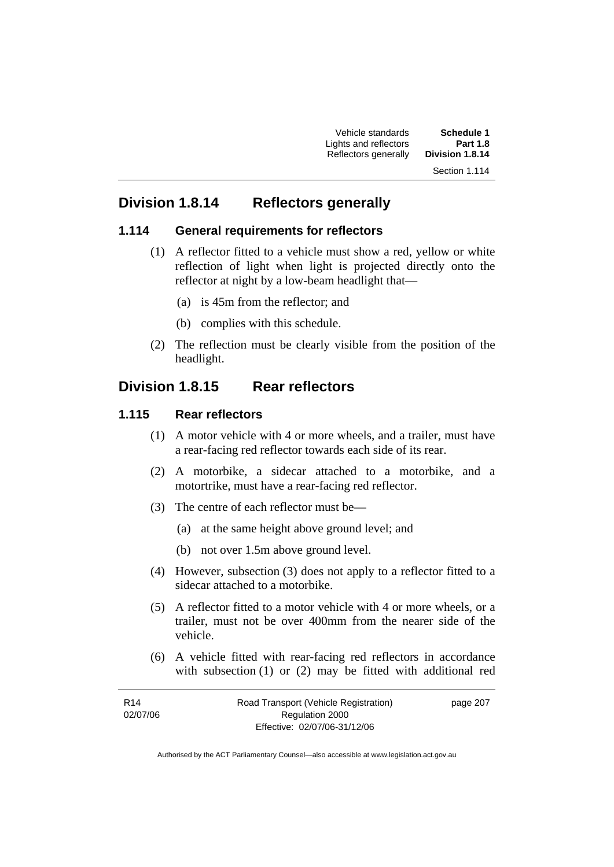Vehicle standards **Schedule 1**  Lights and reflectors **Part 1.8**   $R$ eflectors generally Section 1.114

# **Division 1.8.14 Reflectors generally**

#### **1.114 General requirements for reflectors**

- (1) A reflector fitted to a vehicle must show a red, yellow or white reflection of light when light is projected directly onto the reflector at night by a low-beam headlight that—
	- (a) is 45m from the reflector; and
	- (b) complies with this schedule.
- (2) The reflection must be clearly visible from the position of the headlight.

# **Division 1.8.15 Rear reflectors**

#### **1.115 Rear reflectors**

- (1) A motor vehicle with 4 or more wheels, and a trailer, must have a rear-facing red reflector towards each side of its rear.
- (2) A motorbike, a sidecar attached to a motorbike, and a motortrike, must have a rear-facing red reflector.
- (3) The centre of each reflector must be—
	- (a) at the same height above ground level; and
	- (b) not over 1.5m above ground level.
- (4) However, subsection (3) does not apply to a reflector fitted to a sidecar attached to a motorbike.
- (5) A reflector fitted to a motor vehicle with 4 or more wheels, or a trailer, must not be over 400mm from the nearer side of the vehicle.
- (6) A vehicle fitted with rear-facing red reflectors in accordance with subsection (1) or (2) may be fitted with additional red

| R <sub>14</sub> | Road Transport (Vehicle Registration) | page 207 |
|-----------------|---------------------------------------|----------|
| 02/07/06        | Regulation 2000                       |          |
|                 | Effective: 02/07/06-31/12/06          |          |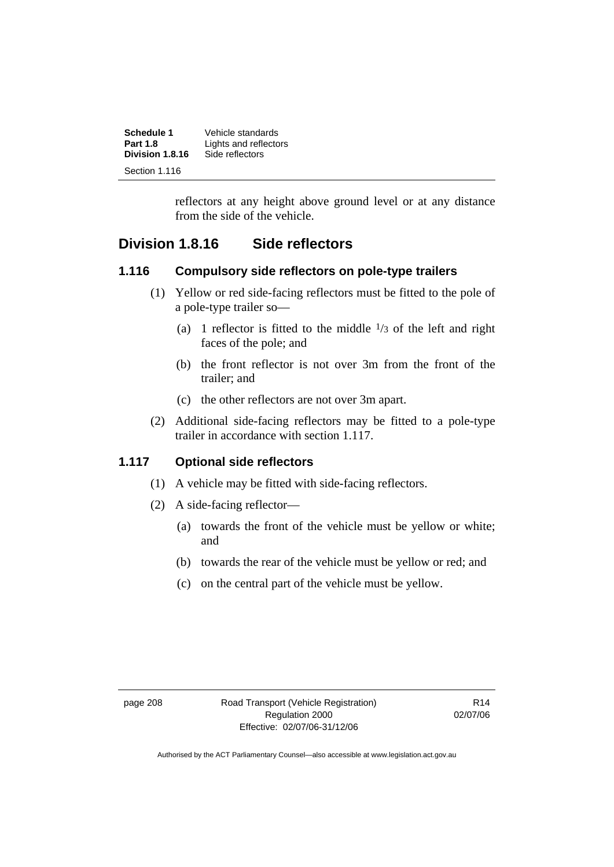| Schedule 1      | Vehicle standards     |
|-----------------|-----------------------|
| <b>Part 1.8</b> | Lights and reflectors |
| Division 1.8.16 | Side reflectors       |
| Section 1.116   |                       |

reflectors at any height above ground level or at any distance from the side of the vehicle.

# **Division 1.8.16 Side reflectors**

#### **1.116 Compulsory side reflectors on pole-type trailers**

- (1) Yellow or red side-facing reflectors must be fitted to the pole of a pole-type trailer so—
	- (a) 1 reflector is fitted to the middle  $\frac{1}{3}$  of the left and right faces of the pole; and
	- (b) the front reflector is not over 3m from the front of the trailer; and
	- (c) the other reflectors are not over 3m apart.
- (2) Additional side-facing reflectors may be fitted to a pole-type trailer in accordance with section 1.117.

## **1.117 Optional side reflectors**

- (1) A vehicle may be fitted with side-facing reflectors.
- (2) A side-facing reflector—
	- (a) towards the front of the vehicle must be yellow or white; and
	- (b) towards the rear of the vehicle must be yellow or red; and
	- (c) on the central part of the vehicle must be yellow.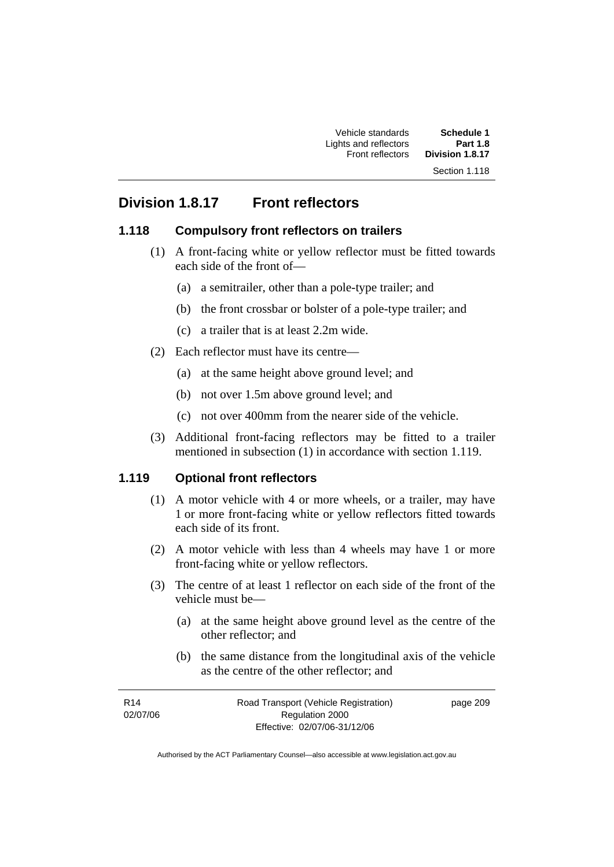# **Division 1.8.17 Front reflectors**

## **1.118 Compulsory front reflectors on trailers**

- (1) A front-facing white or yellow reflector must be fitted towards each side of the front of—
	- (a) a semitrailer, other than a pole-type trailer; and
	- (b) the front crossbar or bolster of a pole-type trailer; and
	- (c) a trailer that is at least 2.2m wide.
- (2) Each reflector must have its centre—
	- (a) at the same height above ground level; and
	- (b) not over 1.5m above ground level; and
	- (c) not over 400mm from the nearer side of the vehicle.
- (3) Additional front-facing reflectors may be fitted to a trailer mentioned in subsection (1) in accordance with section 1.119.

#### **1.119 Optional front reflectors**

- (1) A motor vehicle with 4 or more wheels, or a trailer, may have 1 or more front-facing white or yellow reflectors fitted towards each side of its front.
- (2) A motor vehicle with less than 4 wheels may have 1 or more front-facing white or yellow reflectors.
- (3) The centre of at least 1 reflector on each side of the front of the vehicle must be—
	- (a) at the same height above ground level as the centre of the other reflector; and
	- (b) the same distance from the longitudinal axis of the vehicle as the centre of the other reflector; and

| R <sub>14</sub> | Road Transport (Vehicle Registration) | page 209 |
|-----------------|---------------------------------------|----------|
| 02/07/06        | Regulation 2000                       |          |
|                 | Effective: 02/07/06-31/12/06          |          |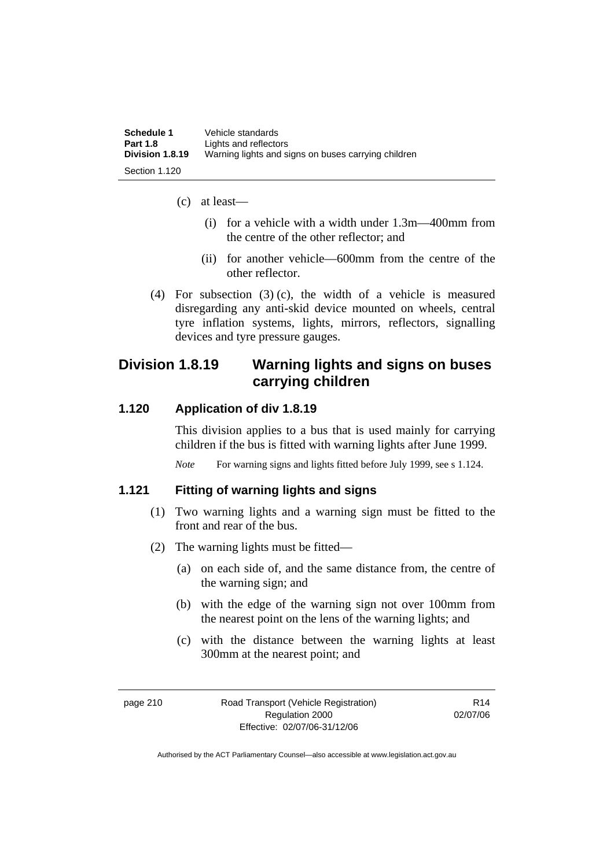| Schedule 1      | Vehicle standards                                   |
|-----------------|-----------------------------------------------------|
| <b>Part 1.8</b> | Lights and reflectors                               |
| Division 1.8.19 | Warning lights and signs on buses carrying children |
| Section 1.120   |                                                     |

- (c) at least—
	- (i) for a vehicle with a width under 1.3m—400mm from the centre of the other reflector; and
	- (ii) for another vehicle—600mm from the centre of the other reflector.
- (4) For subsection (3) (c), the width of a vehicle is measured disregarding any anti-skid device mounted on wheels, central tyre inflation systems, lights, mirrors, reflectors, signalling devices and tyre pressure gauges.

# **Division 1.8.19 Warning lights and signs on buses carrying children**

### **1.120 Application of div 1.8.19**

This division applies to a bus that is used mainly for carrying children if the bus is fitted with warning lights after June 1999.

*Note* For warning signs and lights fitted before July 1999, see s 1.124.

### **1.121 Fitting of warning lights and signs**

- (1) Two warning lights and a warning sign must be fitted to the front and rear of the bus.
- (2) The warning lights must be fitted—
	- (a) on each side of, and the same distance from, the centre of the warning sign; and
	- (b) with the edge of the warning sign not over 100mm from the nearest point on the lens of the warning lights; and
	- (c) with the distance between the warning lights at least 300mm at the nearest point; and

R14 02/07/06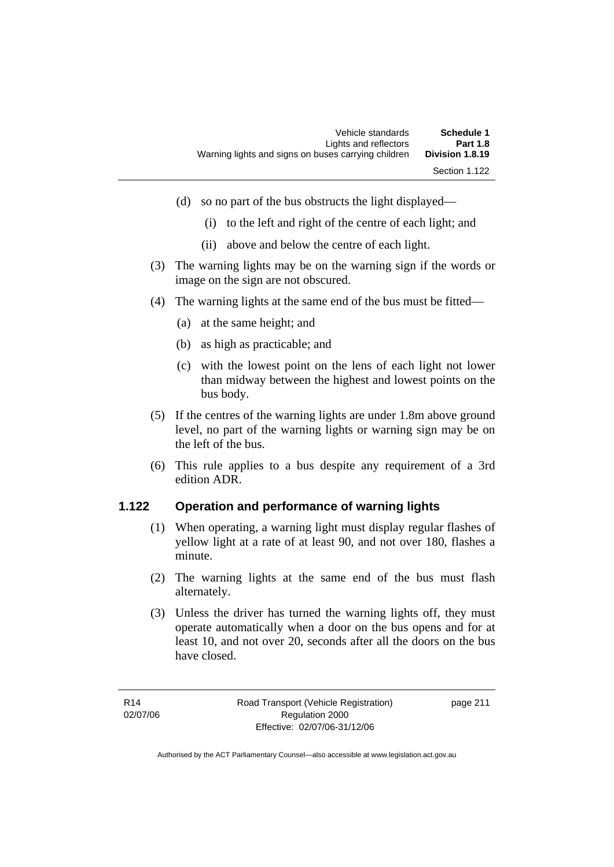- (d) so no part of the bus obstructs the light displayed—
	- (i) to the left and right of the centre of each light; and
	- (ii) above and below the centre of each light.
- (3) The warning lights may be on the warning sign if the words or image on the sign are not obscured.
- (4) The warning lights at the same end of the bus must be fitted—
	- (a) at the same height; and
	- (b) as high as practicable; and
	- (c) with the lowest point on the lens of each light not lower than midway between the highest and lowest points on the bus body.
- (5) If the centres of the warning lights are under 1.8m above ground level, no part of the warning lights or warning sign may be on the left of the bus.
- (6) This rule applies to a bus despite any requirement of a 3rd edition ADR.

## **1.122 Operation and performance of warning lights**

- (1) When operating, a warning light must display regular flashes of yellow light at a rate of at least 90, and not over 180, flashes a minute.
- (2) The warning lights at the same end of the bus must flash alternately.
- (3) Unless the driver has turned the warning lights off, they must operate automatically when a door on the bus opens and for at least 10, and not over 20, seconds after all the doors on the bus have closed.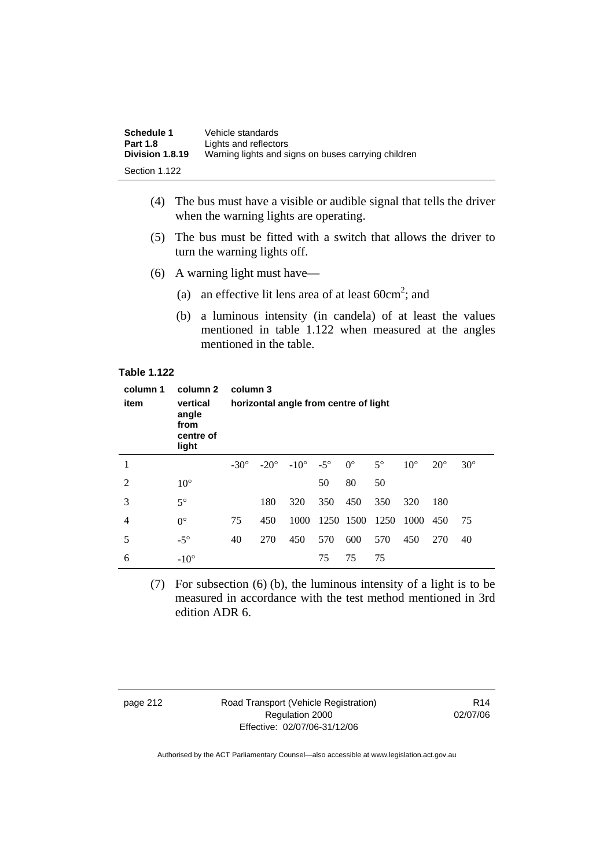| Schedule 1      | Vehicle standards                                   |
|-----------------|-----------------------------------------------------|
| <b>Part 1.8</b> | Lights and reflectors                               |
| Division 1.8.19 | Warning lights and signs on buses carrying children |
| Section 1.122   |                                                     |

- (4) The bus must have a visible or audible signal that tells the driver when the warning lights are operating.
- (5) The bus must be fitted with a switch that allows the driver to turn the warning lights off.
- (6) A warning light must have—
- (a) an effective lit lens area of at least  $60 \text{cm}^2$ ; and
	- (b) a luminous intensity (in candela) of at least the values mentioned in table 1.122 when measured at the angles mentioned in the table.

#### **Table 1.122**

| column 1<br>item | column 2<br>vertical<br>angle<br>from<br>centre of<br>light | column 3<br>horizontal angle from centre of light |     |                             |            |             |           |              |            |            |
|------------------|-------------------------------------------------------------|---------------------------------------------------|-----|-----------------------------|------------|-------------|-----------|--------------|------------|------------|
| 1                |                                                             | $-30^\circ$                                       |     | $-20^{\circ}$ $-10^{\circ}$ | $-5^\circ$ | $0^{\circ}$ | $5^\circ$ | $10^{\circ}$ | $20^\circ$ | $30^\circ$ |
| $\overline{2}$   | $10^{\circ}$                                                |                                                   |     |                             | 50         | 80          | 50        |              |            |            |
| 3                | $5^\circ$                                                   |                                                   | 180 | 320                         | 350        | 450         | 350       | 320          | 180        |            |
| 4                | $0^{\circ}$                                                 | 75                                                | 450 | 1000                        |            | 1250 1500   | 1250      | 1000         | 450        | 75         |
| 5                | $-5^\circ$                                                  | 40                                                | 270 | 450                         | 570        | 600         | 570       | 450          | 270        | 40         |
| 6                | $-10^\circ$                                                 |                                                   |     |                             | 75         | 75          | 75        |              |            |            |

 (7) For subsection (6) (b), the luminous intensity of a light is to be measured in accordance with the test method mentioned in 3rd edition ADR 6.

page 212 Road Transport (Vehicle Registration) Regulation 2000 Effective: 02/07/06-31/12/06

R14 02/07/06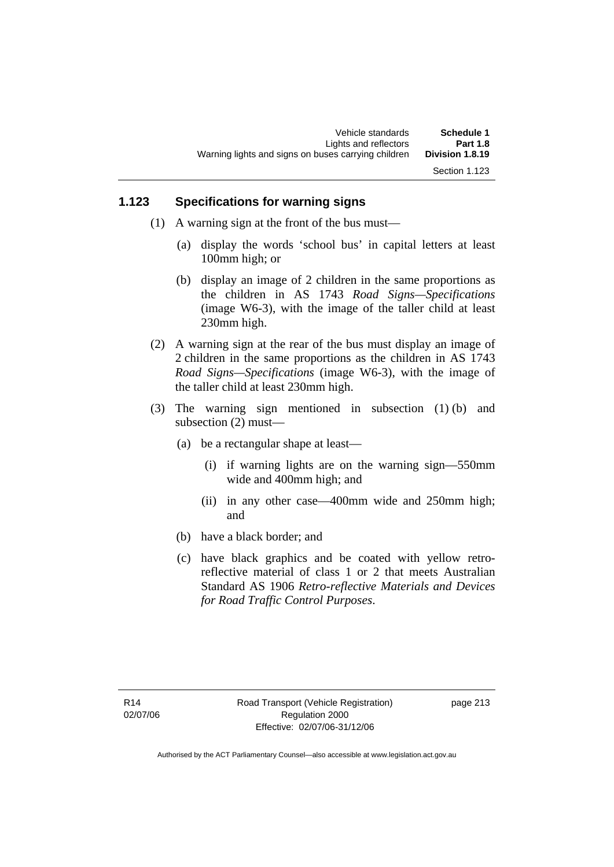## **1.123 Specifications for warning signs**

- (1) A warning sign at the front of the bus must—
	- (a) display the words 'school bus' in capital letters at least 100mm high; or
	- (b) display an image of 2 children in the same proportions as the children in AS 1743 *Road Signs—Specifications*  (image W6-3), with the image of the taller child at least 230mm high.
- (2) A warning sign at the rear of the bus must display an image of 2 children in the same proportions as the children in AS 1743 *Road Signs—Specifications* (image W6-3), with the image of the taller child at least 230mm high.
- (3) The warning sign mentioned in subsection (1) (b) and subsection (2) must—
	- (a) be a rectangular shape at least—
		- (i) if warning lights are on the warning sign—550mm wide and 400mm high; and
		- (ii) in any other case—400mm wide and 250mm high; and
	- (b) have a black border; and
	- (c) have black graphics and be coated with yellow retroreflective material of class 1 or 2 that meets Australian Standard AS 1906 *Retro-reflective Materials and Devices for Road Traffic Control Purposes*.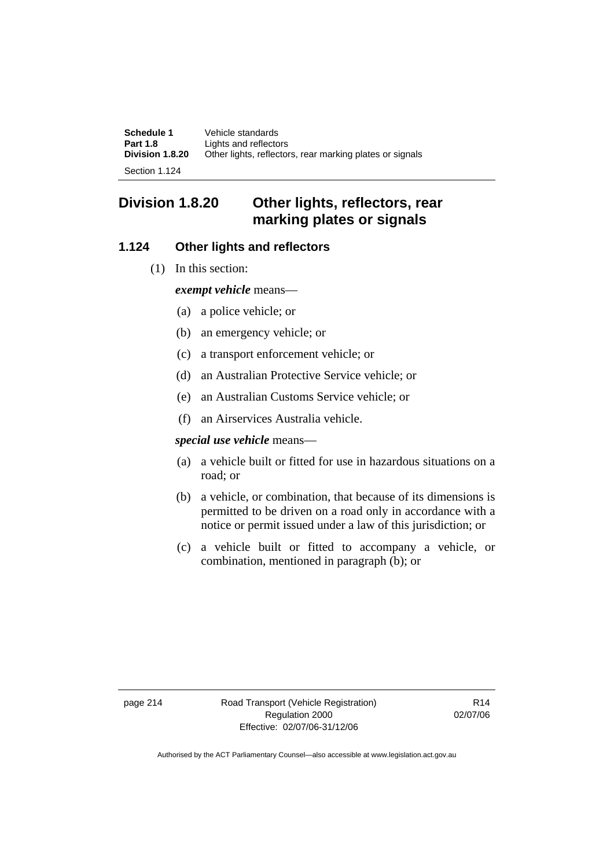**Schedule 1** Vehicle standards<br>**Part 1.8 Lights** and reflector **Part 1.8** Lights and reflectors<br>**Division 1.8.20** Other lights, reflector Other lights, reflectors, rear marking plates or signals

Section 1.124

# **Division 1.8.20 Other lights, reflectors, rear marking plates or signals**

## **1.124 Other lights and reflectors**

(1) In this section:

*exempt vehicle* means—

- (a) a police vehicle; or
- (b) an emergency vehicle; or
- (c) a transport enforcement vehicle; or
- (d) an Australian Protective Service vehicle; or
- (e) an Australian Customs Service vehicle; or
- (f) an Airservices Australia vehicle.

#### *special use vehicle* means—

- (a) a vehicle built or fitted for use in hazardous situations on a road; or
- (b) a vehicle, or combination, that because of its dimensions is permitted to be driven on a road only in accordance with a notice or permit issued under a law of this jurisdiction; or
- (c) a vehicle built or fitted to accompany a vehicle, or combination, mentioned in paragraph (b); or

page 214 Road Transport (Vehicle Registration) Regulation 2000 Effective: 02/07/06-31/12/06

R14 02/07/06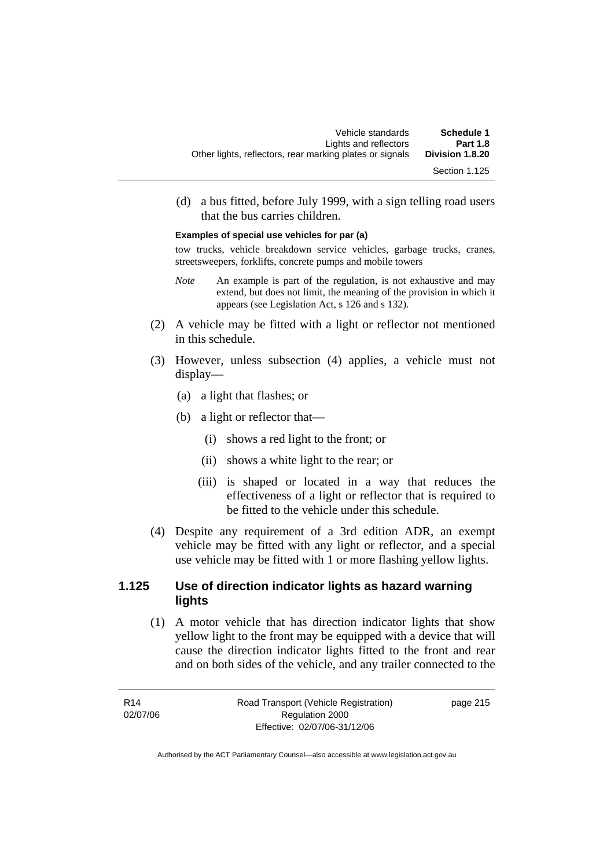(d) a bus fitted, before July 1999, with a sign telling road users that the bus carries children.

#### **Examples of special use vehicles for par (a)**

tow trucks, vehicle breakdown service vehicles, garbage trucks, cranes, streetsweepers, forklifts, concrete pumps and mobile towers

- *Note* An example is part of the regulation, is not exhaustive and may extend, but does not limit, the meaning of the provision in which it appears (see Legislation Act, s 126 and s 132).
- (2) A vehicle may be fitted with a light or reflector not mentioned in this schedule.
- (3) However, unless subsection (4) applies, a vehicle must not display—
	- (a) a light that flashes; or
	- (b) a light or reflector that—
		- (i) shows a red light to the front; or
		- (ii) shows a white light to the rear; or
		- (iii) is shaped or located in a way that reduces the effectiveness of a light or reflector that is required to be fitted to the vehicle under this schedule.
- (4) Despite any requirement of a 3rd edition ADR, an exempt vehicle may be fitted with any light or reflector, and a special use vehicle may be fitted with 1 or more flashing yellow lights.

#### **1.125 Use of direction indicator lights as hazard warning lights**

 (1) A motor vehicle that has direction indicator lights that show yellow light to the front may be equipped with a device that will cause the direction indicator lights fitted to the front and rear and on both sides of the vehicle, and any trailer connected to the

R14 02/07/06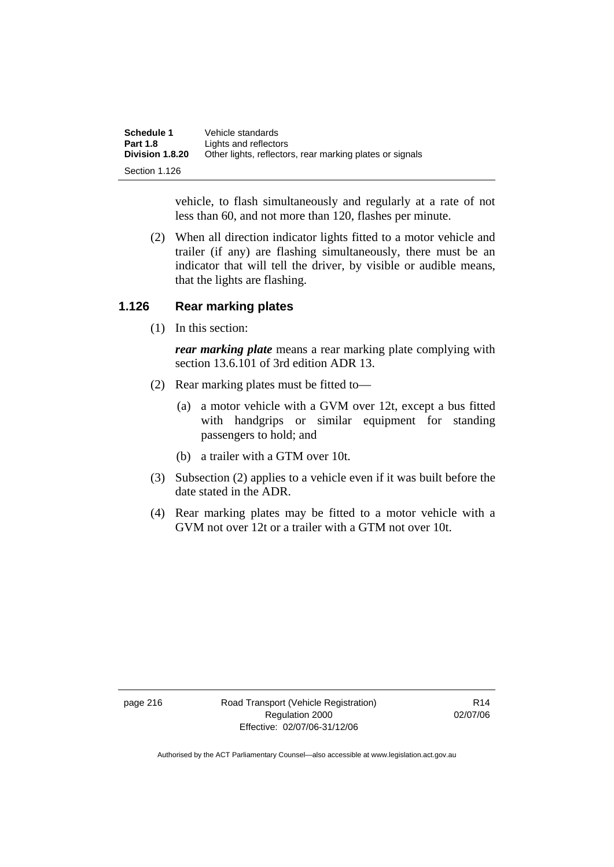| Schedule 1      | Vehicle standards                                        |
|-----------------|----------------------------------------------------------|
| <b>Part 1.8</b> | Lights and reflectors                                    |
| Division 1.8.20 | Other lights, reflectors, rear marking plates or signals |
| Section 1.126   |                                                          |

vehicle, to flash simultaneously and regularly at a rate of not less than 60, and not more than 120, flashes per minute.

 (2) When all direction indicator lights fitted to a motor vehicle and trailer (if any) are flashing simultaneously, there must be an indicator that will tell the driver, by visible or audible means, that the lights are flashing.

#### **1.126 Rear marking plates**

(1) In this section:

*rear marking plate* means a rear marking plate complying with section 13.6.101 of 3rd edition ADR 13.

- (2) Rear marking plates must be fitted to—
	- (a) a motor vehicle with a GVM over 12t, except a bus fitted with handgrips or similar equipment for standing passengers to hold; and
	- (b) a trailer with a GTM over 10t.
- (3) Subsection (2) applies to a vehicle even if it was built before the date stated in the ADR.
- (4) Rear marking plates may be fitted to a motor vehicle with a GVM not over 12t or a trailer with a GTM not over 10t.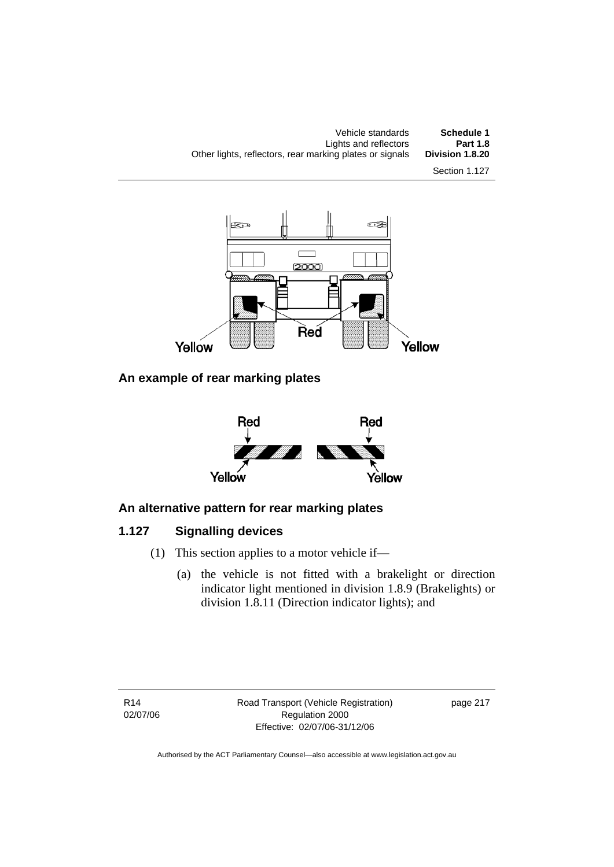

**An example of rear marking plates** 



# **An alternative pattern for rear marking plates**

# **1.127 Signalling devices**

- (1) This section applies to a motor vehicle if—
	- (a) the vehicle is not fitted with a brakelight or direction indicator light mentioned in division 1.8.9 (Brakelights) or division 1.8.11 (Direction indicator lights); and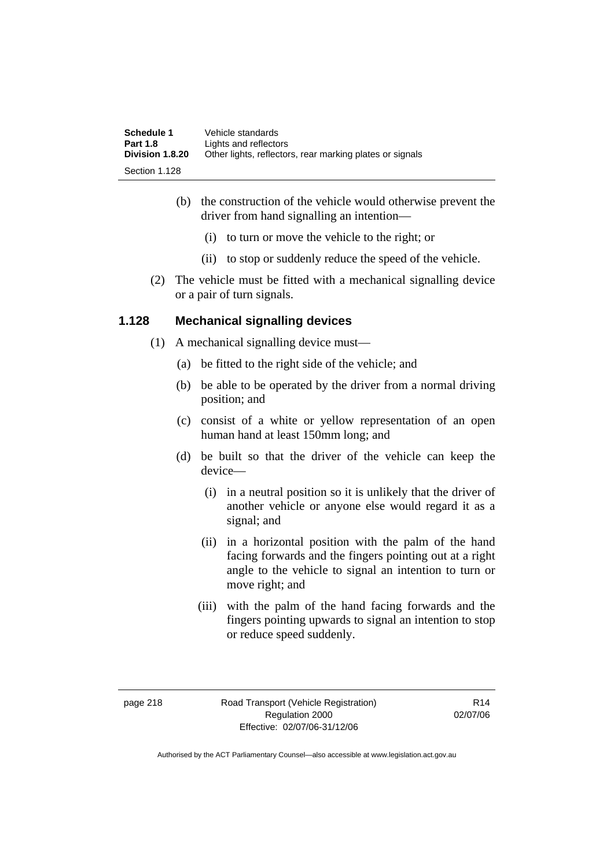| Schedule 1      | Vehicle standards                                        |
|-----------------|----------------------------------------------------------|
| <b>Part 1.8</b> | Lights and reflectors                                    |
| Division 1.8.20 | Other lights, reflectors, rear marking plates or signals |
| Section 1.128   |                                                          |

- (b) the construction of the vehicle would otherwise prevent the driver from hand signalling an intention—
	- (i) to turn or move the vehicle to the right; or
	- (ii) to stop or suddenly reduce the speed of the vehicle.
- (2) The vehicle must be fitted with a mechanical signalling device or a pair of turn signals.

#### **1.128 Mechanical signalling devices**

- (1) A mechanical signalling device must—
	- (a) be fitted to the right side of the vehicle; and
	- (b) be able to be operated by the driver from a normal driving position; and
	- (c) consist of a white or yellow representation of an open human hand at least 150mm long; and
	- (d) be built so that the driver of the vehicle can keep the device—
		- (i) in a neutral position so it is unlikely that the driver of another vehicle or anyone else would regard it as a signal; and
		- (ii) in a horizontal position with the palm of the hand facing forwards and the fingers pointing out at a right angle to the vehicle to signal an intention to turn or move right; and
		- (iii) with the palm of the hand facing forwards and the fingers pointing upwards to signal an intention to stop or reduce speed suddenly.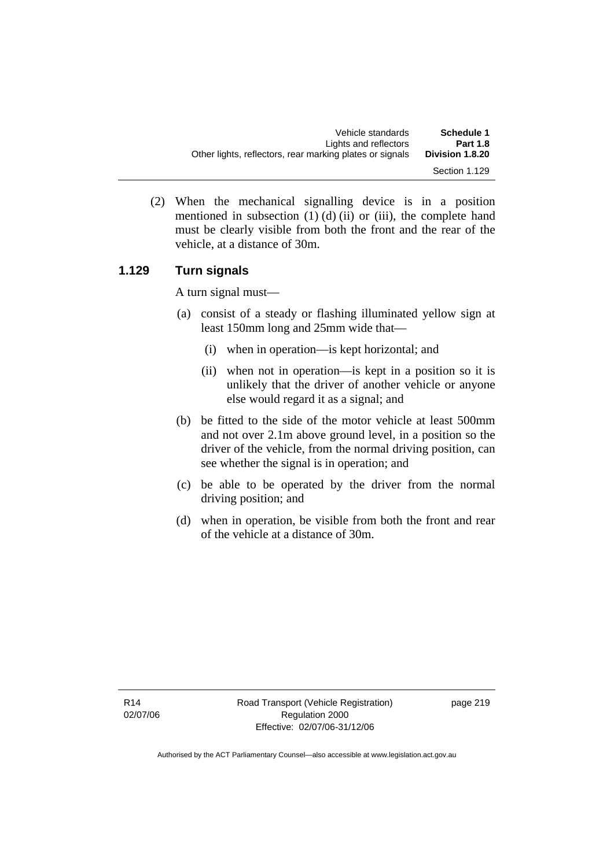| Vehicle standards                                        | Schedule 1      |
|----------------------------------------------------------|-----------------|
| Lights and reflectors                                    | <b>Part 1.8</b> |
| Other lights, reflectors, rear marking plates or signals | Division 1.8.20 |
|                                                          | Section 1.129   |

 (2) When the mechanical signalling device is in a position mentioned in subsection  $(1)$   $(d)$   $(ii)$  or  $(iii)$ , the complete hand must be clearly visible from both the front and the rear of the vehicle, at a distance of 30m.

## **1.129 Turn signals**

A turn signal must—

- (a) consist of a steady or flashing illuminated yellow sign at least 150mm long and 25mm wide that—
	- (i) when in operation—is kept horizontal; and
	- (ii) when not in operation—is kept in a position so it is unlikely that the driver of another vehicle or anyone else would regard it as a signal; and
- (b) be fitted to the side of the motor vehicle at least 500mm and not over 2.1m above ground level, in a position so the driver of the vehicle, from the normal driving position, can see whether the signal is in operation; and
- (c) be able to be operated by the driver from the normal driving position; and
- (d) when in operation, be visible from both the front and rear of the vehicle at a distance of 30m.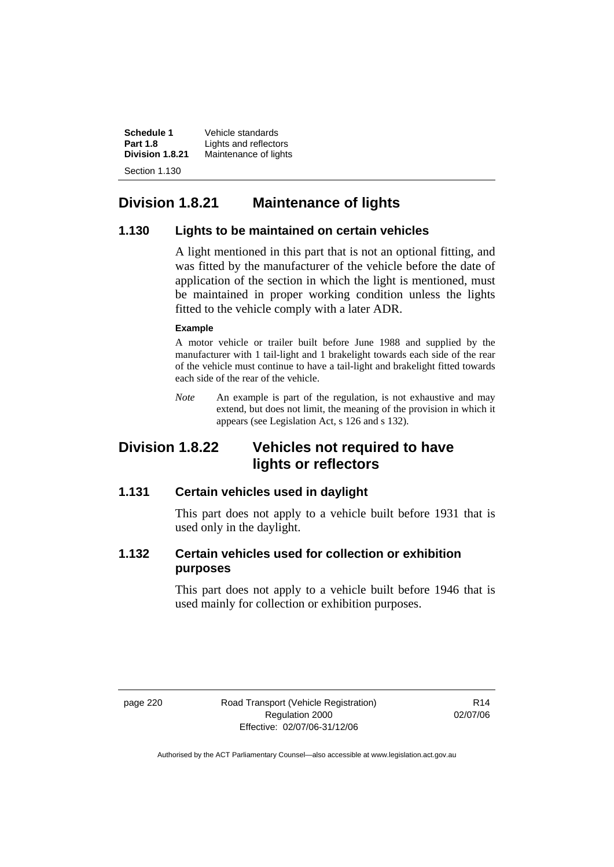**Schedule 1** Vehicle standards<br>**Part 1.8 Lights** and reflector **Part 1.8** Lights and reflectors<br>**Division 1.8.21** Maintenance of lights **Division 1.8.21** Maintenance of lights Section 1.130

# **Division 1.8.21 Maintenance of lights**

#### **1.130 Lights to be maintained on certain vehicles**

A light mentioned in this part that is not an optional fitting, and was fitted by the manufacturer of the vehicle before the date of application of the section in which the light is mentioned, must be maintained in proper working condition unless the lights fitted to the vehicle comply with a later ADR.

#### **Example**

A motor vehicle or trailer built before June 1988 and supplied by the manufacturer with 1 tail-light and 1 brakelight towards each side of the rear of the vehicle must continue to have a tail-light and brakelight fitted towards each side of the rear of the vehicle.

*Note* An example is part of the regulation, is not exhaustive and may extend, but does not limit, the meaning of the provision in which it appears (see Legislation Act, s 126 and s 132).

# **Division 1.8.22 Vehicles not required to have lights or reflectors**

## **1.131 Certain vehicles used in daylight**

This part does not apply to a vehicle built before 1931 that is used only in the daylight.

## **1.132 Certain vehicles used for collection or exhibition purposes**

This part does not apply to a vehicle built before 1946 that is used mainly for collection or exhibition purposes.

page 220 Road Transport (Vehicle Registration) Regulation 2000 Effective: 02/07/06-31/12/06

R14 02/07/06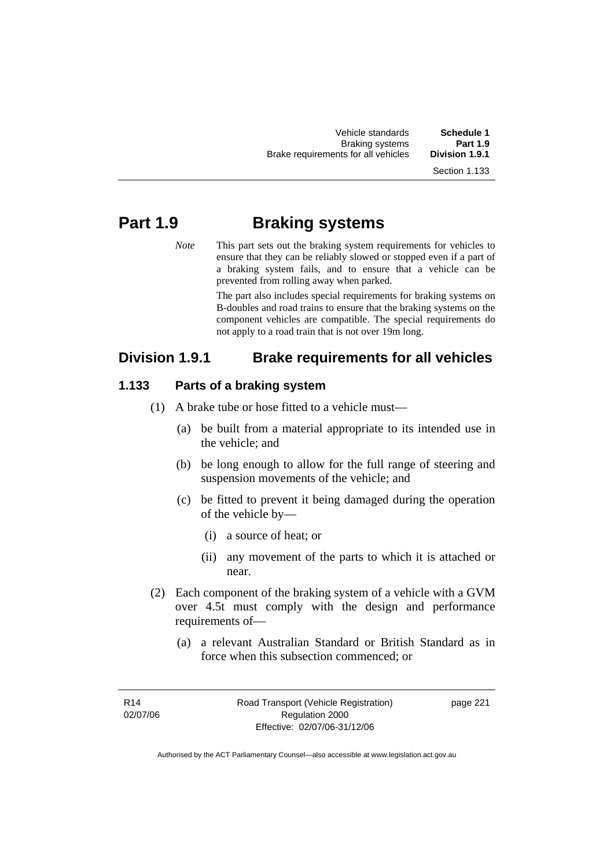| Vehicle standards                   | Schedule 1      |
|-------------------------------------|-----------------|
| <b>Braking systems</b>              | <b>Part 1.9</b> |
| Brake requirements for all vehicles | Division 1.9.1  |
|                                     |                 |

Section 1.133

# **Part 1.9 Braking systems**

*Note* This part sets out the braking system requirements for vehicles to ensure that they can be reliably slowed or stopped even if a part of a braking system fails, and to ensure that a vehicle can be prevented from rolling away when parked.

> The part also includes special requirements for braking systems on B-doubles and road trains to ensure that the braking systems on the component vehicles are compatible. The special requirements do not apply to a road train that is not over 19m long.

# **Division 1.9.1 Brake requirements for all vehicles**

#### **1.133 Parts of a braking system**

- (1) A brake tube or hose fitted to a vehicle must—
	- (a) be built from a material appropriate to its intended use in the vehicle; and
	- (b) be long enough to allow for the full range of steering and suspension movements of the vehicle; and
	- (c) be fitted to prevent it being damaged during the operation of the vehicle by—
		- (i) a source of heat; or
		- (ii) any movement of the parts to which it is attached or near.
- (2) Each component of the braking system of a vehicle with a GVM over 4.5t must comply with the design and performance requirements of—
	- (a) a relevant Australian Standard or British Standard as in force when this subsection commenced; or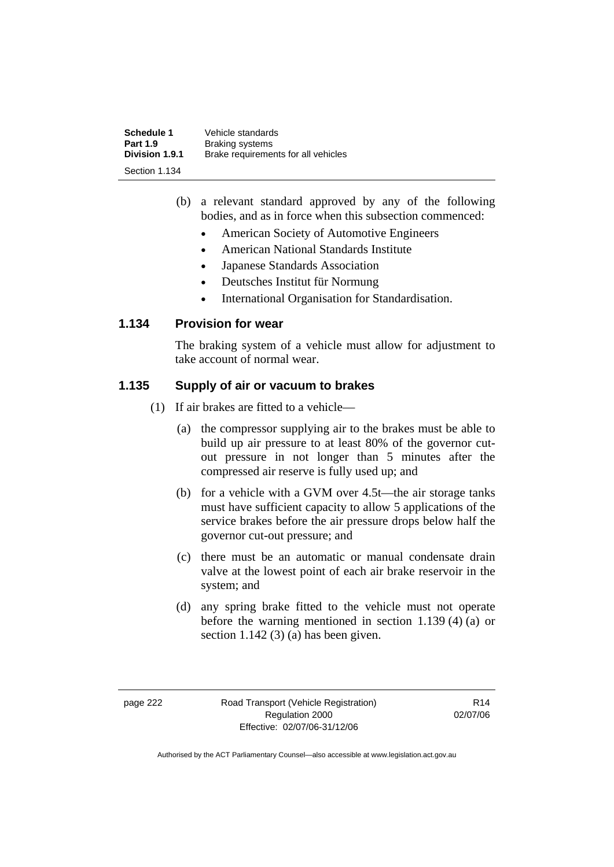| <b>Schedule 1</b><br><b>Part 1.9</b> | Vehicle standards<br><b>Braking systems</b> |
|--------------------------------------|---------------------------------------------|
| <b>Division 1.9.1</b>                | Brake requirements for all vehicles         |
| Section 1.134                        |                                             |

- (b) a relevant standard approved by any of the following bodies, and as in force when this subsection commenced:
	- American Society of Automotive Engineers
	- American National Standards Institute
	- Japanese Standards Association
	- Deutsches Institut für Normung
	- International Organisation for Standardisation.

### **1.134 Provision for wear**

The braking system of a vehicle must allow for adjustment to take account of normal wear.

## **1.135 Supply of air or vacuum to brakes**

- (1) If air brakes are fitted to a vehicle—
	- (a) the compressor supplying air to the brakes must be able to build up air pressure to at least 80% of the governor cutout pressure in not longer than 5 minutes after the compressed air reserve is fully used up; and
	- (b) for a vehicle with a GVM over 4.5t—the air storage tanks must have sufficient capacity to allow 5 applications of the service brakes before the air pressure drops below half the governor cut-out pressure; and
	- (c) there must be an automatic or manual condensate drain valve at the lowest point of each air brake reservoir in the system; and
	- (d) any spring brake fitted to the vehicle must not operate before the warning mentioned in section 1.139 (4) (a) or section 1.142 (3) (a) has been given.

page 222 Road Transport (Vehicle Registration) Regulation 2000 Effective: 02/07/06-31/12/06

R14 02/07/06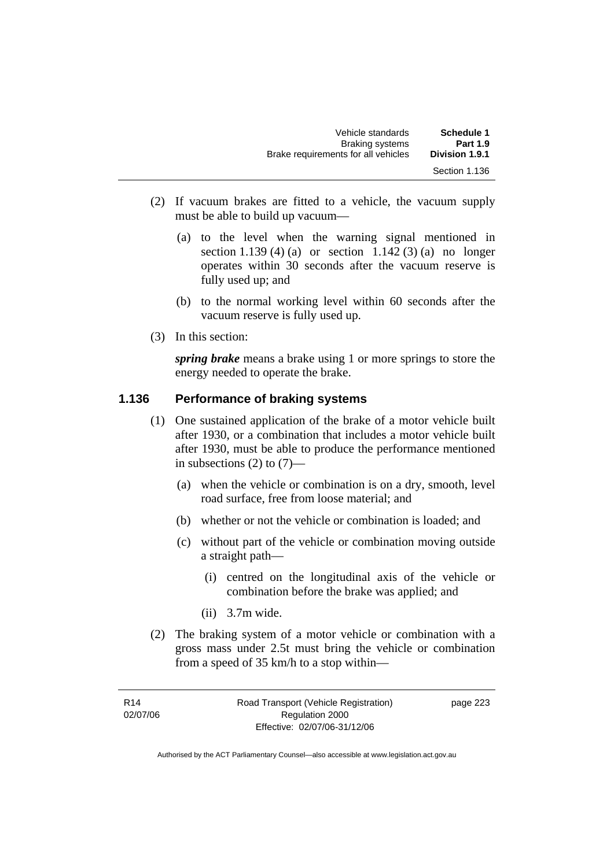| Vehicle standards                   | Schedule 1      |
|-------------------------------------|-----------------|
| <b>Braking systems</b>              | <b>Part 1.9</b> |
| Brake requirements for all vehicles | Division 1.9.1  |
|                                     | Section 1.136   |

- (2) If vacuum brakes are fitted to a vehicle, the vacuum supply must be able to build up vacuum—
	- (a) to the level when the warning signal mentioned in section 1.139 (4) (a) or section 1.142 (3) (a) no longer operates within 30 seconds after the vacuum reserve is fully used up; and
	- (b) to the normal working level within 60 seconds after the vacuum reserve is fully used up.
- (3) In this section:

*spring brake* means a brake using 1 or more springs to store the energy needed to operate the brake.

#### **1.136 Performance of braking systems**

- (1) One sustained application of the brake of a motor vehicle built after 1930, or a combination that includes a motor vehicle built after 1930, must be able to produce the performance mentioned in subsections  $(2)$  to  $(7)$ —
	- (a) when the vehicle or combination is on a dry, smooth, level road surface, free from loose material; and
	- (b) whether or not the vehicle or combination is loaded; and
	- (c) without part of the vehicle or combination moving outside a straight path—
		- (i) centred on the longitudinal axis of the vehicle or combination before the brake was applied; and
		- (ii) 3.7m wide.
- (2) The braking system of a motor vehicle or combination with a gross mass under 2.5t must bring the vehicle or combination from a speed of 35 km/h to a stop within—

page 223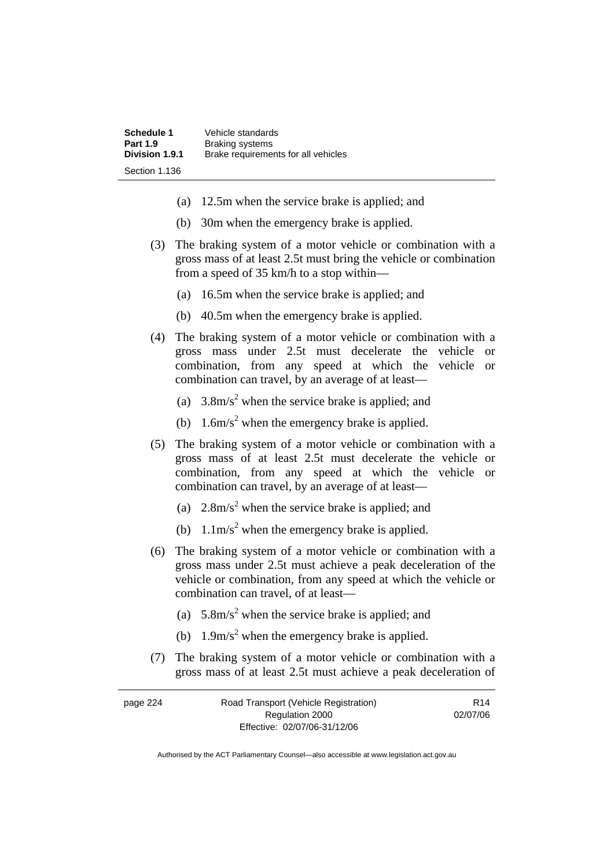| <b>Schedule 1</b> | Vehicle standards                   |
|-------------------|-------------------------------------|
| <b>Part 1.9</b>   | <b>Braking systems</b>              |
| Division 1.9.1    | Brake requirements for all vehicles |
| Section 1.136     |                                     |

- (a) 12.5m when the service brake is applied; and
- (b) 30m when the emergency brake is applied.
- (3) The braking system of a motor vehicle or combination with a gross mass of at least 2.5t must bring the vehicle or combination from a speed of 35 km/h to a stop within—
	- (a) 16.5m when the service brake is applied; and
	- (b) 40.5m when the emergency brake is applied.
- (4) The braking system of a motor vehicle or combination with a gross mass under 2.5t must decelerate the vehicle or combination, from any speed at which the vehicle or combination can travel, by an average of at least—
- (a)  $3.8 \text{m/s}^2$  when the service brake is applied; and
- (b)  $1.6 \text{m/s}^2$  when the emergency brake is applied.
	- (5) The braking system of a motor vehicle or combination with a gross mass of at least 2.5t must decelerate the vehicle or combination, from any speed at which the vehicle or combination can travel, by an average of at least—
- (a)  $2.8 \text{m/s}^2$  when the service brake is applied; and
- (b)  $1.1 \text{m/s}^2$  when the emergency brake is applied.
	- (6) The braking system of a motor vehicle or combination with a gross mass under 2.5t must achieve a peak deceleration of the vehicle or combination, from any speed at which the vehicle or combination can travel, of at least—
- (a)  $5.8 \text{m/s}^2$  when the service brake is applied; and
- (b)  $1.9 \text{m/s}^2$  when the emergency brake is applied.
	- (7) The braking system of a motor vehicle or combination with a gross mass of at least 2.5t must achieve a peak deceleration of

| page 224 | Road Transport (Vehicle Registration) | R <sub>14</sub> |
|----------|---------------------------------------|-----------------|
|          | Regulation 2000                       | 02/07/06        |
|          | Effective: 02/07/06-31/12/06          |                 |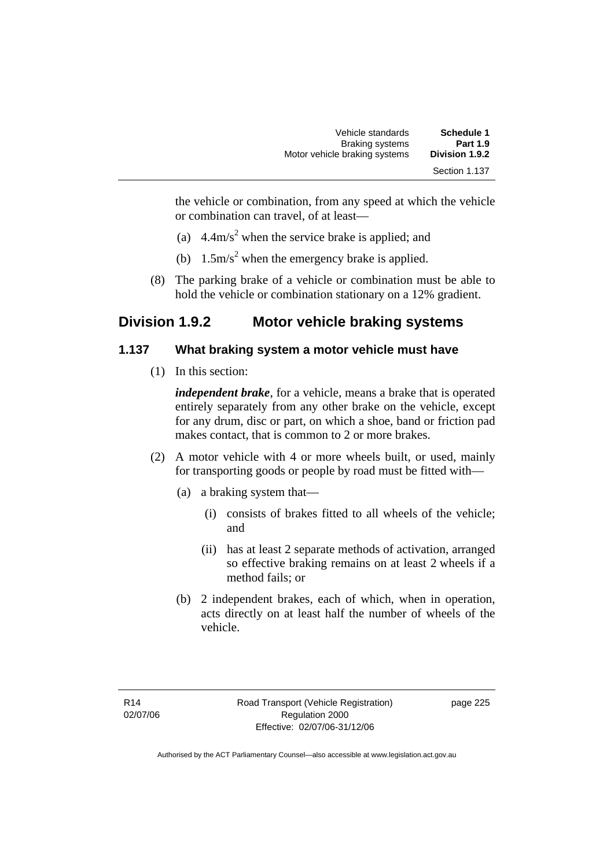| Vehicle standards             | Schedule 1                      |
|-------------------------------|---------------------------------|
| <b>Braking systems</b>        | <b>Part 1.9</b>                 |
| Motor vehicle braking systems | Division 1.9.2<br>Section 1.137 |

the vehicle or combination, from any speed at which the vehicle or combination can travel, of at least—

- (a)  $4.4 \text{m/s}^2$  when the service brake is applied; and
- (b)  $1.5 \text{m/s}^2$  when the emergency brake is applied.
	- (8) The parking brake of a vehicle or combination must be able to hold the vehicle or combination stationary on a 12% gradient.

# **Division 1.9.2 Motor vehicle braking systems**

#### **1.137 What braking system a motor vehicle must have**

(1) In this section:

*independent brake*, for a vehicle, means a brake that is operated entirely separately from any other brake on the vehicle, except for any drum, disc or part, on which a shoe, band or friction pad makes contact, that is common to 2 or more brakes.

- (2) A motor vehicle with 4 or more wheels built, or used, mainly for transporting goods or people by road must be fitted with—
	- (a) a braking system that—
		- (i) consists of brakes fitted to all wheels of the vehicle; and
		- (ii) has at least 2 separate methods of activation, arranged so effective braking remains on at least 2 wheels if a method fails; or
	- (b) 2 independent brakes, each of which, when in operation, acts directly on at least half the number of wheels of the vehicle.

page 225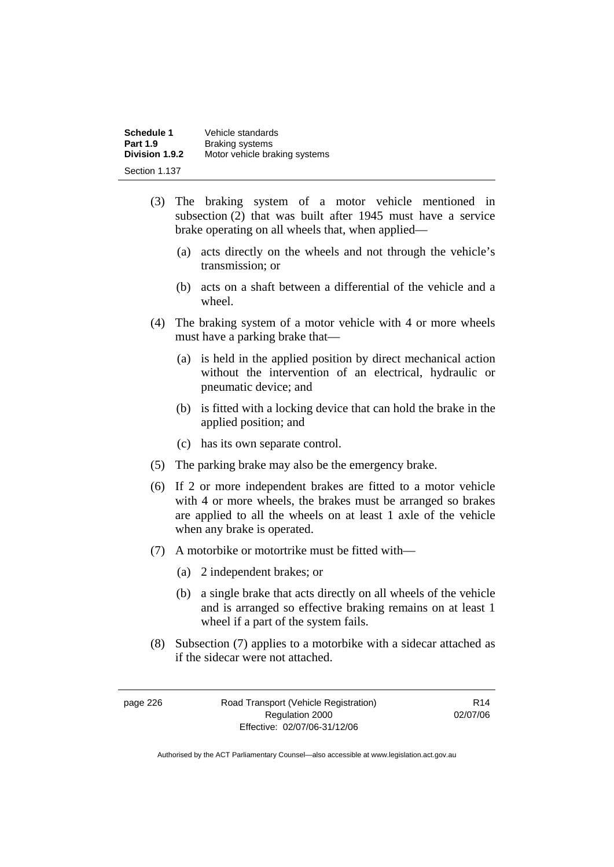| Schedule 1      | Vehicle standards             |
|-----------------|-------------------------------|
| <b>Part 1.9</b> | <b>Braking systems</b>        |
| Division 1.9.2  | Motor vehicle braking systems |
| Section 1.137   |                               |

- (3) The braking system of a motor vehicle mentioned in subsection (2) that was built after 1945 must have a service brake operating on all wheels that, when applied—
	- (a) acts directly on the wheels and not through the vehicle's transmission; or
	- (b) acts on a shaft between a differential of the vehicle and a wheel.
- (4) The braking system of a motor vehicle with 4 or more wheels must have a parking brake that—
	- (a) is held in the applied position by direct mechanical action without the intervention of an electrical, hydraulic or pneumatic device; and
	- (b) is fitted with a locking device that can hold the brake in the applied position; and
	- (c) has its own separate control.
- (5) The parking brake may also be the emergency brake.
- (6) If 2 or more independent brakes are fitted to a motor vehicle with 4 or more wheels, the brakes must be arranged so brakes are applied to all the wheels on at least 1 axle of the vehicle when any brake is operated.
- (7) A motorbike or motortrike must be fitted with—
	- (a) 2 independent brakes; or
	- (b) a single brake that acts directly on all wheels of the vehicle and is arranged so effective braking remains on at least 1 wheel if a part of the system fails.
- (8) Subsection (7) applies to a motorbike with a sidecar attached as if the sidecar were not attached.

page 226 Road Transport (Vehicle Registration) Regulation 2000 Effective: 02/07/06-31/12/06

R14 02/07/06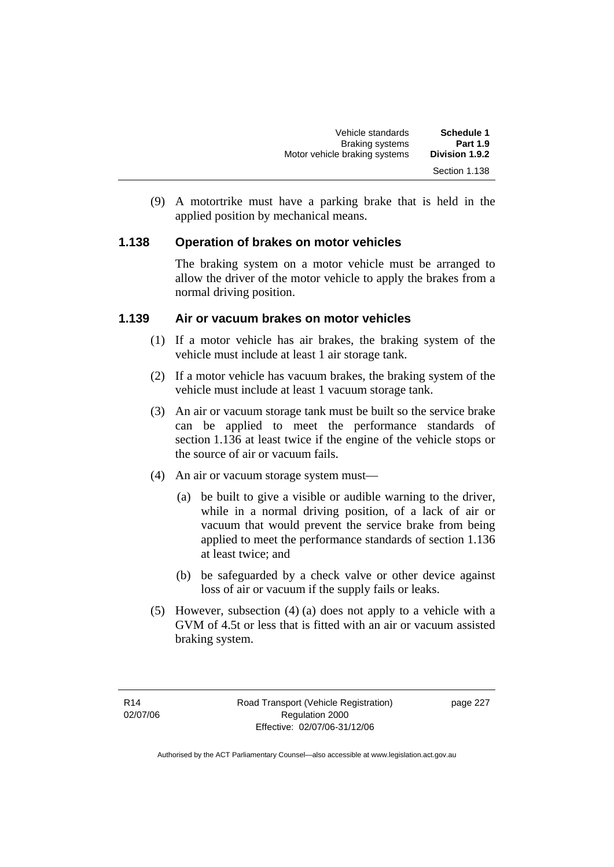| Vehicle standards             | <b>Schedule 1</b> |
|-------------------------------|-------------------|
| <b>Braking systems</b>        | <b>Part 1.9</b>   |
| Motor vehicle braking systems | Division 1.9.2    |
|                               | Section 1.138     |

 (9) A motortrike must have a parking brake that is held in the applied position by mechanical means.

## **1.138 Operation of brakes on motor vehicles**

The braking system on a motor vehicle must be arranged to allow the driver of the motor vehicle to apply the brakes from a normal driving position.

#### **1.139 Air or vacuum brakes on motor vehicles**

- (1) If a motor vehicle has air brakes, the braking system of the vehicle must include at least 1 air storage tank.
- (2) If a motor vehicle has vacuum brakes, the braking system of the vehicle must include at least 1 vacuum storage tank.
- (3) An air or vacuum storage tank must be built so the service brake can be applied to meet the performance standards of section 1.136 at least twice if the engine of the vehicle stops or the source of air or vacuum fails.
- (4) An air or vacuum storage system must—
	- (a) be built to give a visible or audible warning to the driver, while in a normal driving position, of a lack of air or vacuum that would prevent the service brake from being applied to meet the performance standards of section 1.136 at least twice; and
	- (b) be safeguarded by a check valve or other device against loss of air or vacuum if the supply fails or leaks.
- (5) However, subsection (4) (a) does not apply to a vehicle with a GVM of 4.5t or less that is fitted with an air or vacuum assisted braking system.

page 227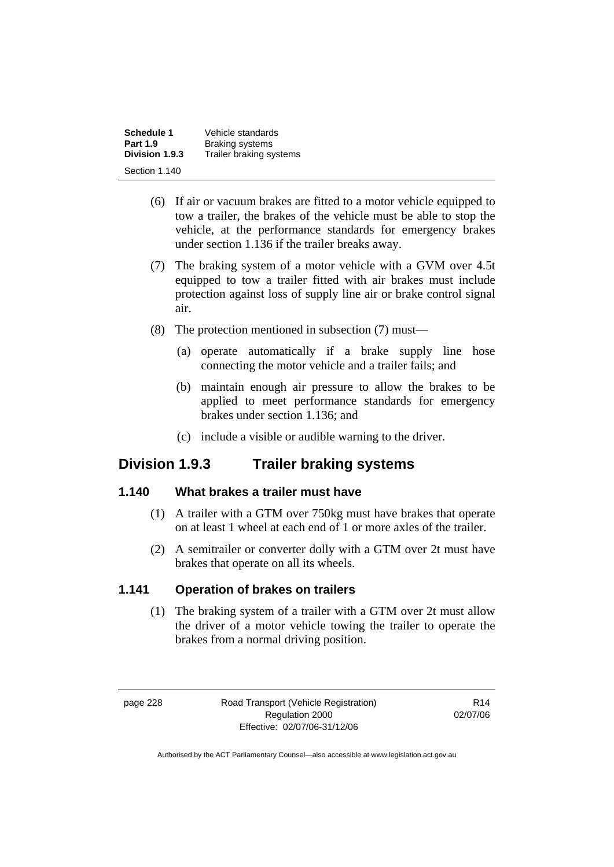| Schedule 1      | Vehicle standards       |
|-----------------|-------------------------|
| <b>Part 1.9</b> | <b>Braking systems</b>  |
| Division 1.9.3  | Trailer braking systems |
| Section 1.140   |                         |

- (6) If air or vacuum brakes are fitted to a motor vehicle equipped to tow a trailer, the brakes of the vehicle must be able to stop the vehicle, at the performance standards for emergency brakes under section 1.136 if the trailer breaks away.
- (7) The braking system of a motor vehicle with a GVM over 4.5t equipped to tow a trailer fitted with air brakes must include protection against loss of supply line air or brake control signal air.
- (8) The protection mentioned in subsection (7) must—
	- (a) operate automatically if a brake supply line hose connecting the motor vehicle and a trailer fails; and
	- (b) maintain enough air pressure to allow the brakes to be applied to meet performance standards for emergency brakes under section 1.136; and
	- (c) include a visible or audible warning to the driver.

# **Division 1.9.3 Trailer braking systems**

## **1.140 What brakes a trailer must have**

- (1) A trailer with a GTM over 750kg must have brakes that operate on at least 1 wheel at each end of 1 or more axles of the trailer.
- (2) A semitrailer or converter dolly with a GTM over 2t must have brakes that operate on all its wheels.

# **1.141 Operation of brakes on trailers**

 (1) The braking system of a trailer with a GTM over 2t must allow the driver of a motor vehicle towing the trailer to operate the brakes from a normal driving position.

page 228 Road Transport (Vehicle Registration) Regulation 2000 Effective: 02/07/06-31/12/06

R14 02/07/06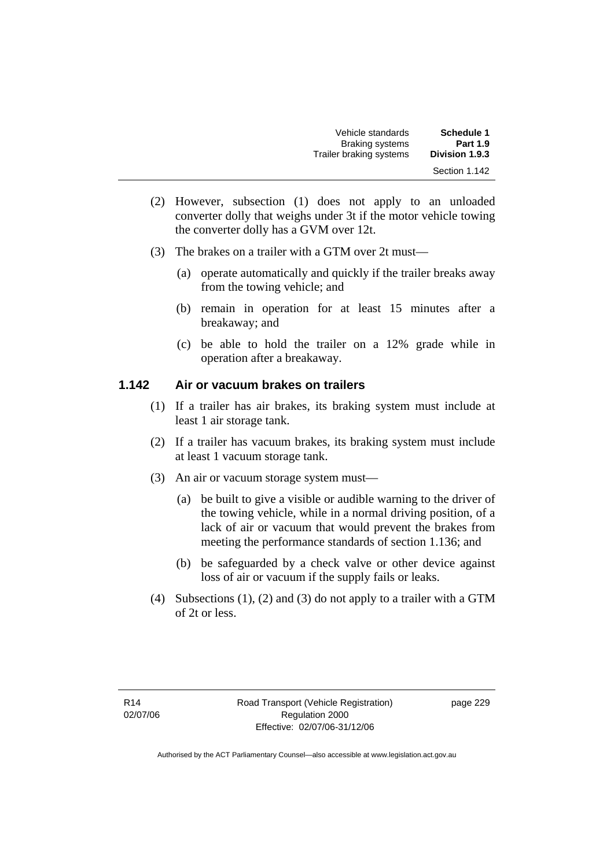| Vehicle standards       | Schedule 1      |
|-------------------------|-----------------|
| <b>Braking systems</b>  | <b>Part 1.9</b> |
| Trailer braking systems | Division 1.9.3  |
|                         | Section 1.142   |

- (2) However, subsection (1) does not apply to an unloaded converter dolly that weighs under 3t if the motor vehicle towing the converter dolly has a GVM over 12t.
- (3) The brakes on a trailer with a GTM over 2t must—
	- (a) operate automatically and quickly if the trailer breaks away from the towing vehicle; and
	- (b) remain in operation for at least 15 minutes after a breakaway; and
	- (c) be able to hold the trailer on a 12% grade while in operation after a breakaway.

#### **1.142 Air or vacuum brakes on trailers**

- (1) If a trailer has air brakes, its braking system must include at least 1 air storage tank.
- (2) If a trailer has vacuum brakes, its braking system must include at least 1 vacuum storage tank.
- (3) An air or vacuum storage system must—
	- (a) be built to give a visible or audible warning to the driver of the towing vehicle, while in a normal driving position, of a lack of air or vacuum that would prevent the brakes from meeting the performance standards of section 1.136; and
	- (b) be safeguarded by a check valve or other device against loss of air or vacuum if the supply fails or leaks.
- (4) Subsections (1), (2) and (3) do not apply to a trailer with a GTM of 2t or less.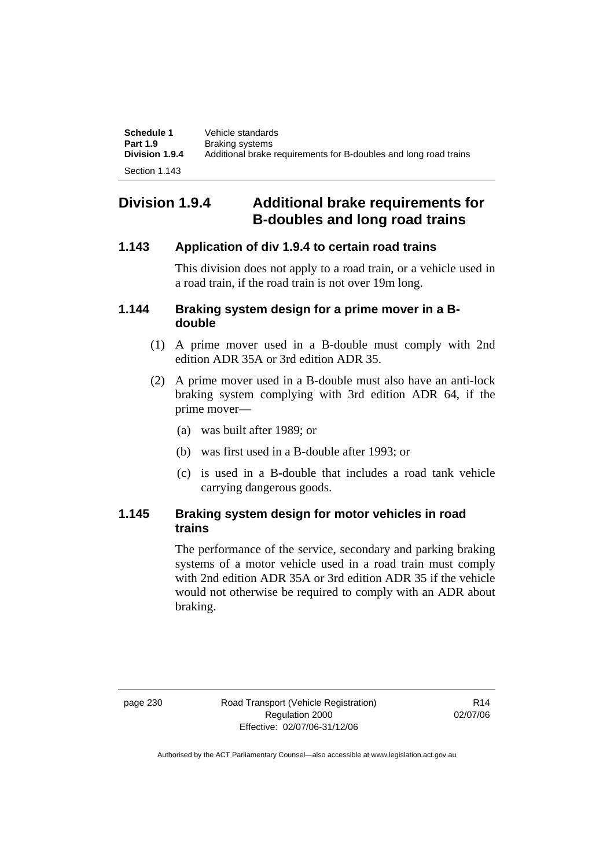| Schedule 1<br><b>Part 1.9</b> | Vehicle standards<br><b>Braking systems</b>                      |
|-------------------------------|------------------------------------------------------------------|
| <b>Division 1.9.4</b>         | Additional brake requirements for B-doubles and long road trains |
| Section 1.143                 |                                                                  |

# **Division 1.9.4 Additional brake requirements for B-doubles and long road trains**

## **1.143 Application of div 1.9.4 to certain road trains**

This division does not apply to a road train, or a vehicle used in a road train, if the road train is not over 19m long.

### **1.144 Braking system design for a prime mover in a Bdouble**

- (1) A prime mover used in a B-double must comply with 2nd edition ADR 35A or 3rd edition ADR 35.
- (2) A prime mover used in a B-double must also have an anti-lock braking system complying with 3rd edition ADR 64, if the prime mover—
	- (a) was built after 1989; or
	- (b) was first used in a B-double after 1993; or
	- (c) is used in a B-double that includes a road tank vehicle carrying dangerous goods.

## **1.145 Braking system design for motor vehicles in road trains**

The performance of the service, secondary and parking braking systems of a motor vehicle used in a road train must comply with 2nd edition ADR 35A or 3rd edition ADR 35 if the vehicle would not otherwise be required to comply with an ADR about braking.

page 230 Road Transport (Vehicle Registration) Regulation 2000 Effective: 02/07/06-31/12/06

R14 02/07/06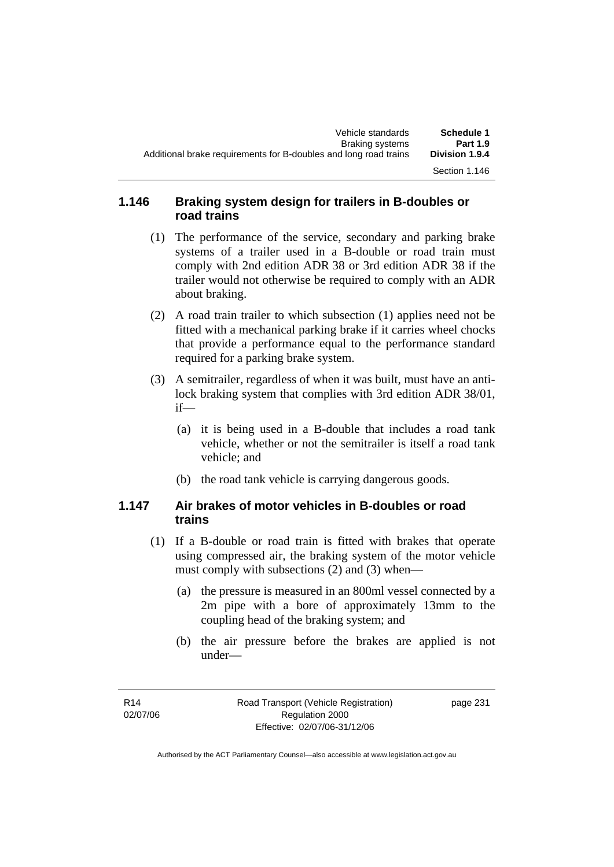## **1.146 Braking system design for trailers in B-doubles or road trains**

- (1) The performance of the service, secondary and parking brake systems of a trailer used in a B-double or road train must comply with 2nd edition ADR 38 or 3rd edition ADR 38 if the trailer would not otherwise be required to comply with an ADR about braking.
- (2) A road train trailer to which subsection (1) applies need not be fitted with a mechanical parking brake if it carries wheel chocks that provide a performance equal to the performance standard required for a parking brake system.
- (3) A semitrailer, regardless of when it was built, must have an antilock braking system that complies with 3rd edition ADR 38/01, if—
	- (a) it is being used in a B-double that includes a road tank vehicle, whether or not the semitrailer is itself a road tank vehicle; and
	- (b) the road tank vehicle is carrying dangerous goods.

## **1.147 Air brakes of motor vehicles in B-doubles or road trains**

- (1) If a B-double or road train is fitted with brakes that operate using compressed air, the braking system of the motor vehicle must comply with subsections (2) and (3) when—
	- (a) the pressure is measured in an 800ml vessel connected by a 2m pipe with a bore of approximately 13mm to the coupling head of the braking system; and
	- (b) the air pressure before the brakes are applied is not under—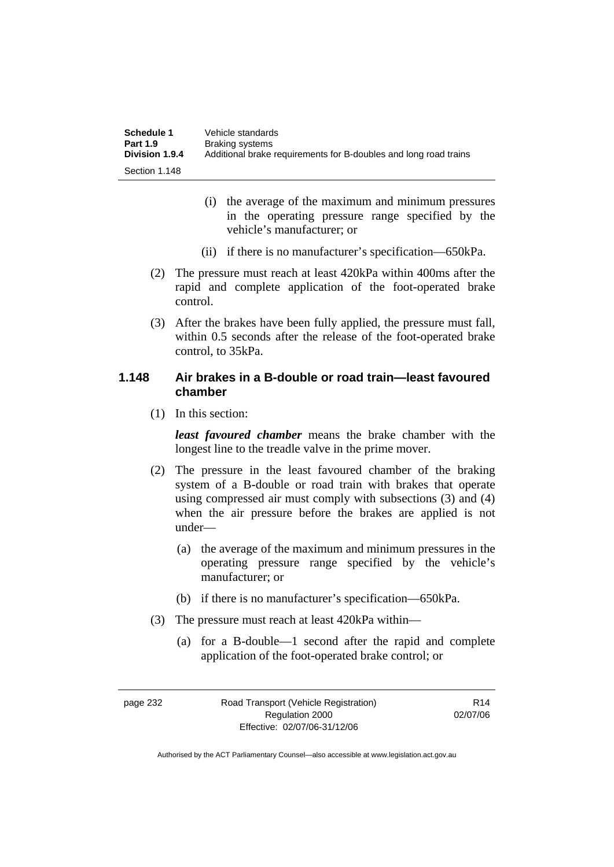| Schedule 1      | Vehicle standards                                                |
|-----------------|------------------------------------------------------------------|
| <b>Part 1.9</b> | Braking systems                                                  |
| Division 1.9.4  | Additional brake requirements for B-doubles and long road trains |
| Section 1.148   |                                                                  |

- (i) the average of the maximum and minimum pressures in the operating pressure range specified by the vehicle's manufacturer; or
- (ii) if there is no manufacturer's specification—650kPa.
- (2) The pressure must reach at least 420kPa within 400ms after the rapid and complete application of the foot-operated brake control.
- (3) After the brakes have been fully applied, the pressure must fall, within 0.5 seconds after the release of the foot-operated brake control, to 35kPa.

### **1.148 Air brakes in a B-double or road train—least favoured chamber**

(1) In this section:

*least favoured chamber* means the brake chamber with the longest line to the treadle valve in the prime mover.

- (2) The pressure in the least favoured chamber of the braking system of a B-double or road train with brakes that operate using compressed air must comply with subsections (3) and (4) when the air pressure before the brakes are applied is not under—
	- (a) the average of the maximum and minimum pressures in the operating pressure range specified by the vehicle's manufacturer; or
	- (b) if there is no manufacturer's specification—650kPa.
- (3) The pressure must reach at least 420kPa within—
	- (a) for a B-double—1 second after the rapid and complete application of the foot-operated brake control; or

R14 02/07/06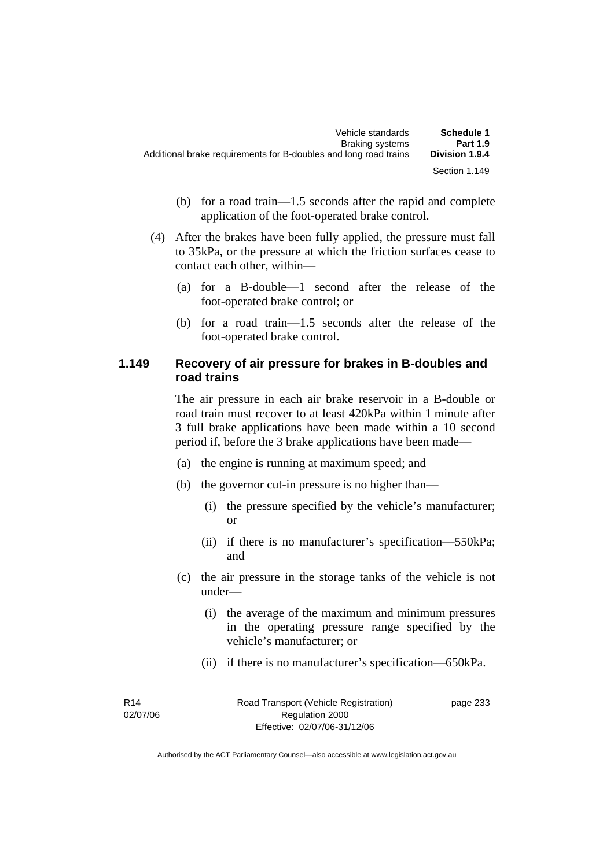| Vehicle standards                                                | Schedule 1            |
|------------------------------------------------------------------|-----------------------|
| Braking systems                                                  | <b>Part 1.9</b>       |
| Additional brake requirements for B-doubles and long road trains | <b>Division 1.9.4</b> |
|                                                                  | Section 1.149         |

- (b) for a road train—1.5 seconds after the rapid and complete application of the foot-operated brake control.
- (4) After the brakes have been fully applied, the pressure must fall to 35kPa, or the pressure at which the friction surfaces cease to contact each other, within—
	- (a) for a B-double—1 second after the release of the foot-operated brake control; or
	- (b) for a road train—1.5 seconds after the release of the foot-operated brake control.

#### **1.149 Recovery of air pressure for brakes in B-doubles and road trains**

The air pressure in each air brake reservoir in a B-double or road train must recover to at least 420kPa within 1 minute after 3 full brake applications have been made within a 10 second period if, before the 3 brake applications have been made—

- (a) the engine is running at maximum speed; and
- (b) the governor cut-in pressure is no higher than—
	- (i) the pressure specified by the vehicle's manufacturer; or
	- (ii) if there is no manufacturer's specification—550kPa; and
- (c) the air pressure in the storage tanks of the vehicle is not under—
	- (i) the average of the maximum and minimum pressures in the operating pressure range specified by the vehicle's manufacturer; or
	- (ii) if there is no manufacturer's specification—650kPa.

| R <sub>14</sub> | Road Transport (Vehicle Registration) | page 233 |
|-----------------|---------------------------------------|----------|
| 02/07/06        | Regulation 2000                       |          |
|                 | Effective: 02/07/06-31/12/06          |          |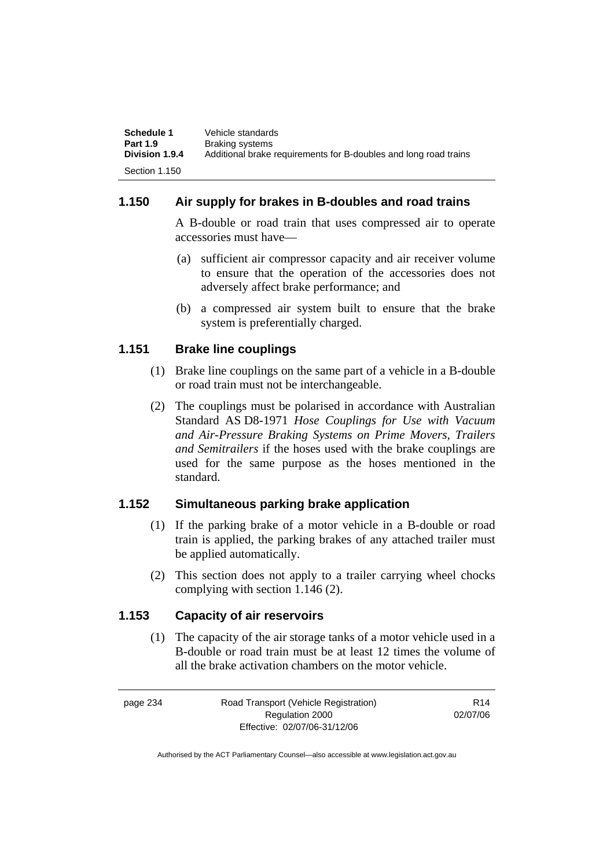| Schedule 1      | Vehicle standards                                                |
|-----------------|------------------------------------------------------------------|
| <b>Part 1.9</b> | Braking systems                                                  |
| Division 1.9.4  | Additional brake requirements for B-doubles and long road trains |
| Section 1.150   |                                                                  |

#### **1.150 Air supply for brakes in B-doubles and road trains**

A B-double or road train that uses compressed air to operate accessories must have—

- (a) sufficient air compressor capacity and air receiver volume to ensure that the operation of the accessories does not adversely affect brake performance; and
- (b) a compressed air system built to ensure that the brake system is preferentially charged.

#### **1.151 Brake line couplings**

- (1) Brake line couplings on the same part of a vehicle in a B-double or road train must not be interchangeable.
- (2) The couplings must be polarised in accordance with Australian Standard AS D8-1971 *Hose Couplings for Use with Vacuum and Air-Pressure Braking Systems on Prime Movers, Trailers and Semitrailers* if the hoses used with the brake couplings are used for the same purpose as the hoses mentioned in the standard.

#### **1.152 Simultaneous parking brake application**

- (1) If the parking brake of a motor vehicle in a B-double or road train is applied, the parking brakes of any attached trailer must be applied automatically.
- (2) This section does not apply to a trailer carrying wheel chocks complying with section 1.146 (2).

#### **1.153 Capacity of air reservoirs**

 (1) The capacity of the air storage tanks of a motor vehicle used in a B-double or road train must be at least 12 times the volume of all the brake activation chambers on the motor vehicle.

| page 234 | Road Transport (Vehicle Registration) | R <sub>14</sub> |
|----------|---------------------------------------|-----------------|
|          | Regulation 2000                       | 02/07/06        |
|          | Effective: 02/07/06-31/12/06          |                 |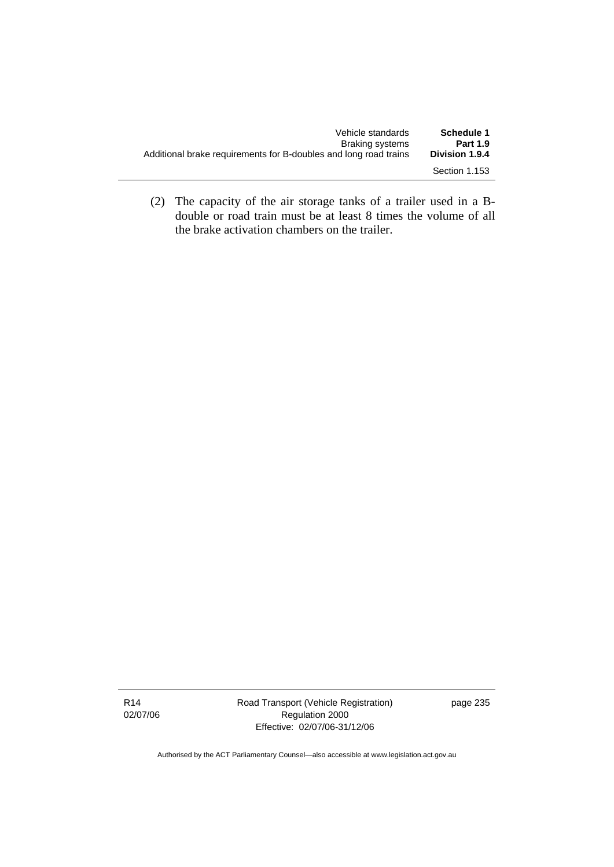| Vehicle standards                                                | Schedule 1            |
|------------------------------------------------------------------|-----------------------|
| Braking systems                                                  | <b>Part 1.9</b>       |
| Additional brake requirements for B-doubles and long road trains | <b>Division 1.9.4</b> |
|                                                                  | Section 1.153         |

 (2) The capacity of the air storage tanks of a trailer used in a Bdouble or road train must be at least 8 times the volume of all the brake activation chambers on the trailer.

Road Transport (Vehicle Registration) Regulation 2000 Effective: 02/07/06-31/12/06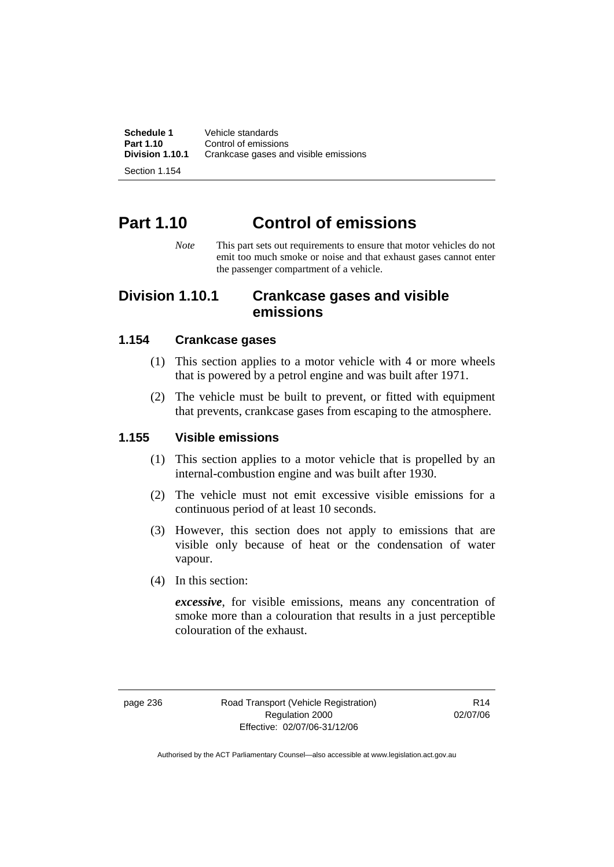**Schedule 1 Vehicle standards**<br>**Part 1.10 Control of emission Part 1.10 Control of emissions**<br>**Division 1.10.1 Crankcase gases an Division 1.10.1** Crankcase gases and visible emissions

Section 1.154

# **Part 1.10 Control of emissions**

*Note* This part sets out requirements to ensure that motor vehicles do not emit too much smoke or noise and that exhaust gases cannot enter the passenger compartment of a vehicle.

### **Division 1.10.1 Crankcase gases and visible emissions**

#### **1.154 Crankcase gases**

- (1) This section applies to a motor vehicle with 4 or more wheels that is powered by a petrol engine and was built after 1971.
- (2) The vehicle must be built to prevent, or fitted with equipment that prevents, crankcase gases from escaping to the atmosphere.

#### **1.155 Visible emissions**

- (1) This section applies to a motor vehicle that is propelled by an internal-combustion engine and was built after 1930.
- (2) The vehicle must not emit excessive visible emissions for a continuous period of at least 10 seconds.
- (3) However, this section does not apply to emissions that are visible only because of heat or the condensation of water vapour.
- (4) In this section:

*excessive*, for visible emissions, means any concentration of smoke more than a colouration that results in a just perceptible colouration of the exhaust.

page 236 Road Transport (Vehicle Registration) Regulation 2000 Effective: 02/07/06-31/12/06

R14 02/07/06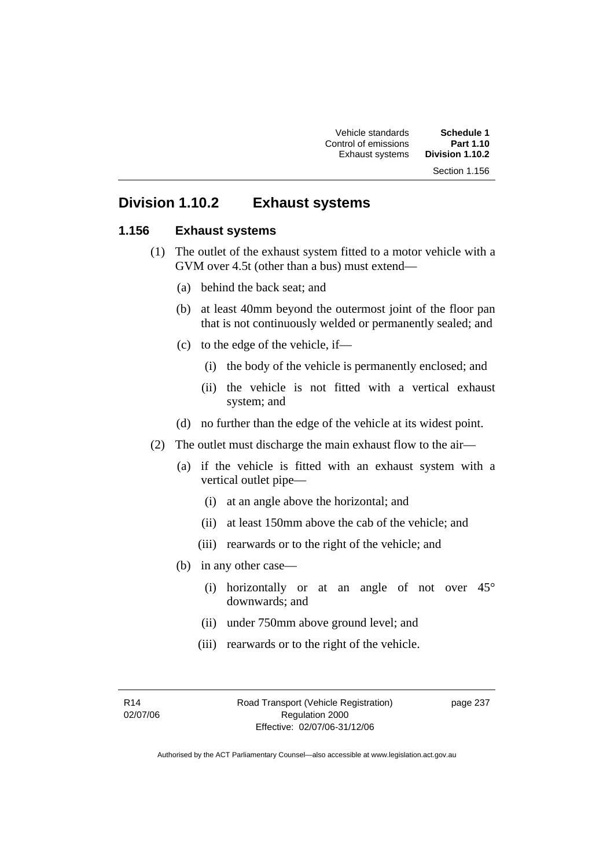Vehicle standards **Schedule 1**  Control of emissions **Part 1.10 Exhaust systems** Section 1.156

## **Division 1.10.2 Exhaust systems**

#### **1.156 Exhaust systems**

- (1) The outlet of the exhaust system fitted to a motor vehicle with a GVM over 4.5t (other than a bus) must extend—
	- (a) behind the back seat; and
	- (b) at least 40mm beyond the outermost joint of the floor pan that is not continuously welded or permanently sealed; and
	- (c) to the edge of the vehicle, if—
		- (i) the body of the vehicle is permanently enclosed; and
		- (ii) the vehicle is not fitted with a vertical exhaust system; and
	- (d) no further than the edge of the vehicle at its widest point.
- (2) The outlet must discharge the main exhaust flow to the air—
	- (a) if the vehicle is fitted with an exhaust system with a vertical outlet pipe—
		- (i) at an angle above the horizontal; and
		- (ii) at least 150mm above the cab of the vehicle; and
		- (iii) rearwards or to the right of the vehicle; and
	- (b) in any other case—
		- (i) horizontally or at an angle of not over 45° downwards; and
		- (ii) under 750mm above ground level; and
		- (iii) rearwards or to the right of the vehicle.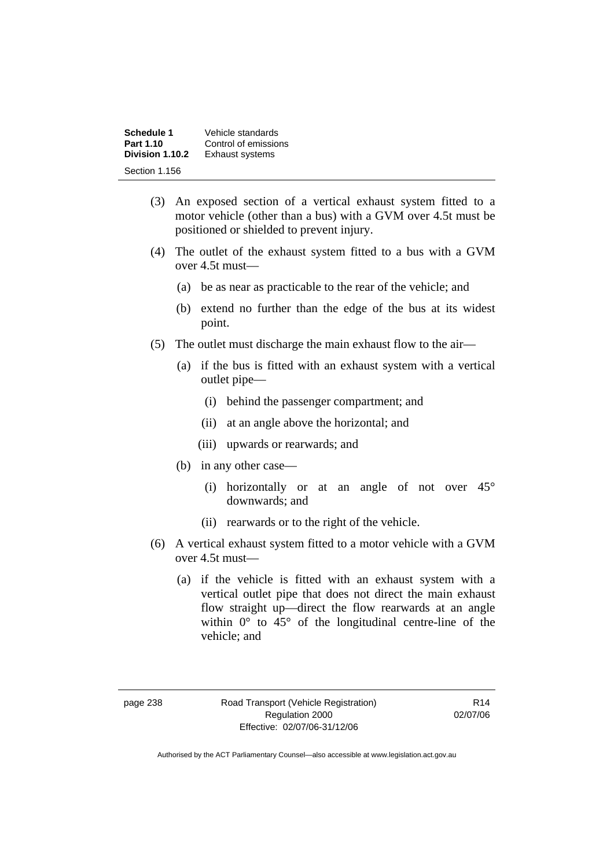| Schedule 1      | Vehicle standards      |
|-----------------|------------------------|
| Part 1.10       | Control of emissions   |
| Division 1.10.2 | <b>Exhaust systems</b> |
| Section 1.156   |                        |

- (3) An exposed section of a vertical exhaust system fitted to a motor vehicle (other than a bus) with a GVM over 4.5t must be positioned or shielded to prevent injury.
- (4) The outlet of the exhaust system fitted to a bus with a GVM over 4.5t must—
	- (a) be as near as practicable to the rear of the vehicle; and
	- (b) extend no further than the edge of the bus at its widest point.
- (5) The outlet must discharge the main exhaust flow to the air—
	- (a) if the bus is fitted with an exhaust system with a vertical outlet pipe—
		- (i) behind the passenger compartment; and
		- (ii) at an angle above the horizontal; and
		- (iii) upwards or rearwards; and
	- (b) in any other case—
		- (i) horizontally or at an angle of not over 45° downwards; and
		- (ii) rearwards or to the right of the vehicle.
- (6) A vertical exhaust system fitted to a motor vehicle with a GVM over 4.5t must—
	- (a) if the vehicle is fitted with an exhaust system with a vertical outlet pipe that does not direct the main exhaust flow straight up—direct the flow rearwards at an angle within  $0^{\circ}$  to  $45^{\circ}$  of the longitudinal centre-line of the vehicle; and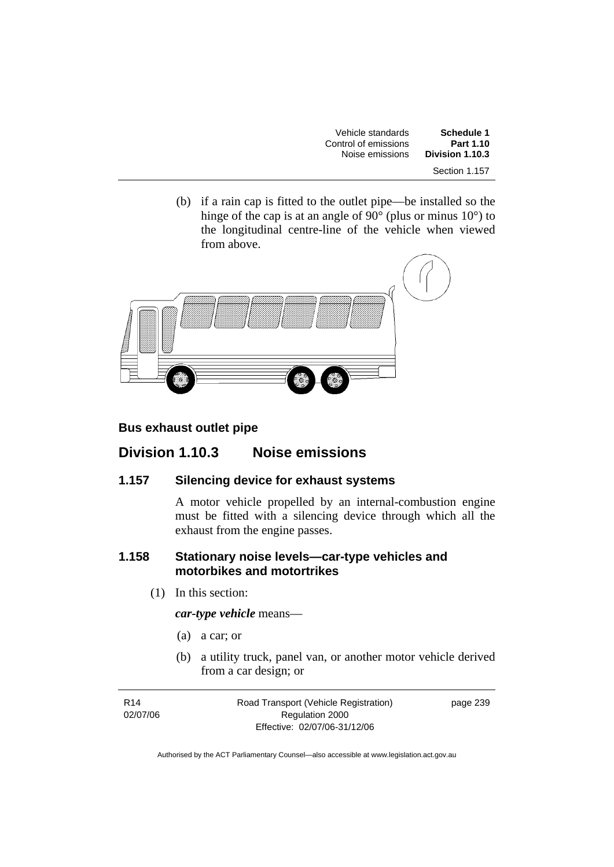| Vehicle standards    | Schedule 1      |
|----------------------|-----------------|
| Control of emissions | Part 1.10       |
| Noise emissions      | Division 1.10.3 |
|                      | Section 1.157   |

 (b) if a rain cap is fitted to the outlet pipe—be installed so the hinge of the cap is at an angle of 90 $^{\circ}$  (plus or minus 10 $^{\circ}$ ) to the longitudinal centre-line of the vehicle when viewed from above.



#### **Bus exhaust outlet pipe**

### **Division 1.10.3 Noise emissions**

#### **1.157 Silencing device for exhaust systems**

A motor vehicle propelled by an internal-combustion engine must be fitted with a silencing device through which all the exhaust from the engine passes.

### **1.158 Stationary noise levels—car-type vehicles and motorbikes and motortrikes**

(1) In this section:

*car-type vehicle* means—

- (a) a car; or
- (b) a utility truck, panel van, or another motor vehicle derived from a car design; or

| R <sub>14</sub> | Road Transport (Vehicle Registration) | page 239 |
|-----------------|---------------------------------------|----------|
| 02/07/06        | Regulation 2000                       |          |
|                 | Effective: 02/07/06-31/12/06          |          |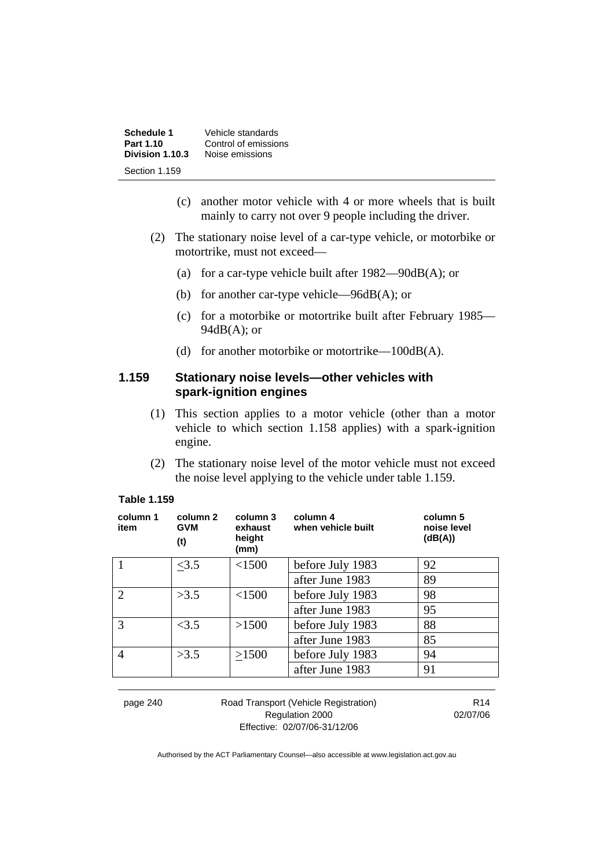| Schedule 1      | Vehicle standards    |
|-----------------|----------------------|
| Part 1.10       | Control of emissions |
| Division 1.10.3 | Noise emissions      |
| Section 1.159   |                      |

- (c) another motor vehicle with 4 or more wheels that is built mainly to carry not over 9 people including the driver.
- (2) The stationary noise level of a car-type vehicle, or motorbike or motortrike, must not exceed—
	- (a) for a car-type vehicle built after 1982—90dB(A); or
	- (b) for another car-type vehicle—96dB(A); or
	- (c) for a motorbike or motortrike built after February 1985—  $94dB(A)$ ; or
	- (d) for another motorbike or motortrike— $100dB(A)$ .

#### **1.159 Stationary noise levels—other vehicles with spark-ignition engines**

- (1) This section applies to a motor vehicle (other than a motor vehicle to which section 1.158 applies) with a spark-ignition engine.
- (2) The stationary noise level of the motor vehicle must not exceed the noise level applying to the vehicle under table 1.159.

| column 1<br>item | column 2<br><b>GVM</b><br>(t) | column 3<br>exhaust<br>height<br>(mm) | column 4<br>when vehicle built | column 5<br>noise level<br>(dB(A)) |
|------------------|-------------------------------|---------------------------------------|--------------------------------|------------------------------------|
|                  | <3.5                          | <1500                                 | before July 1983               | 92                                 |
|                  |                               |                                       | after June 1983                | 89                                 |
| $\mathcal{D}$    | >3.5                          | <1500                                 | before July 1983               | 98                                 |
|                  |                               |                                       | after June 1983                | 95                                 |
| 3                | <3.5                          | >1500                                 | before July 1983               | 88                                 |
|                  |                               |                                       | after June 1983                | 85                                 |
| 4                | >3.5                          | >1500                                 | before July 1983               | 94                                 |
|                  |                               |                                       | after June 1983                | 91                                 |
|                  |                               |                                       |                                |                                    |

#### **Table 1.159**

| page 240 | Road Transport (Vehicle Registration) | R <sub>14</sub> |
|----------|---------------------------------------|-----------------|
|          | Regulation 2000                       | 02/07/06        |
|          | Effective: 02/07/06-31/12/06          |                 |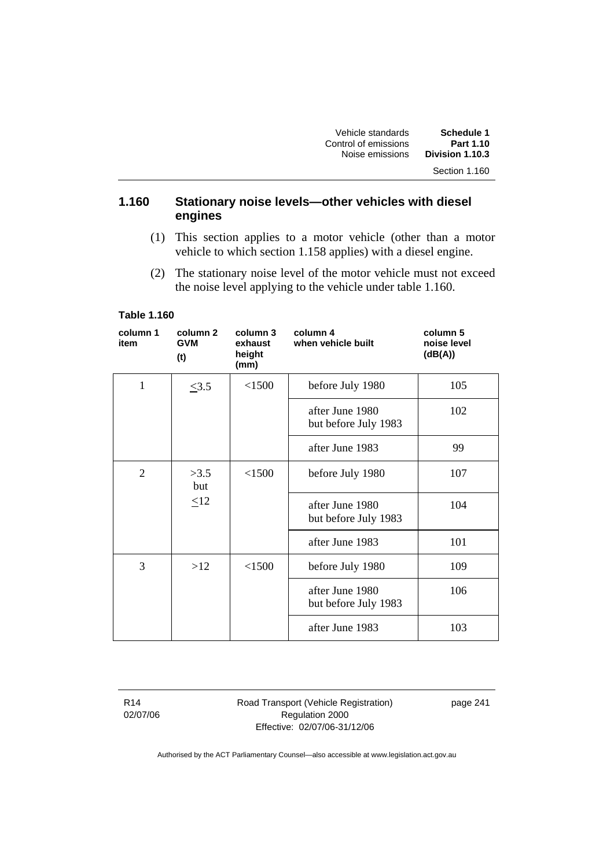| Schedule 1      | Vehicle standards    |
|-----------------|----------------------|
| Part 1.10       | Control of emissions |
| Division 1.10.3 | Noise emissions      |
| Section 1.160   |                      |

#### **1.160 Stationary noise levels—other vehicles with diesel engines**

- (1) This section applies to a motor vehicle (other than a motor vehicle to which section 1.158 applies) with a diesel engine.
- (2) The stationary noise level of the motor vehicle must not exceed the noise level applying to the vehicle under table 1.160.

#### **Table 1.160**

| column 1<br>item | column <sub>2</sub><br><b>GVM</b><br>(t) | column 3<br>exhaust<br>height<br>(mm) | column 4<br>when vehicle built          | column 5<br>noise level<br>(dB(A)) |
|------------------|------------------------------------------|---------------------------------------|-----------------------------------------|------------------------------------|
| $\mathbf{1}$     | $\leq 3.5$                               | < 1500                                | before July 1980                        | 105                                |
|                  |                                          |                                       | after June 1980<br>but before July 1983 | 102                                |
|                  |                                          |                                       | after June 1983                         | 99                                 |
| 2                | >3.5<br>but                              | < 1500                                | before July 1980                        | 107                                |
|                  | $\leq12$                                 |                                       | after June 1980<br>but before July 1983 | 104                                |
|                  |                                          |                                       | after June 1983                         | 101                                |
| 3                | >12                                      | < 1500                                | before July 1980                        | 109                                |
|                  |                                          |                                       | after June 1980<br>but before July 1983 | 106                                |
|                  |                                          |                                       | after June 1983                         | 103                                |

R14 02/07/06 Road Transport (Vehicle Registration) Regulation 2000 Effective: 02/07/06-31/12/06

page 241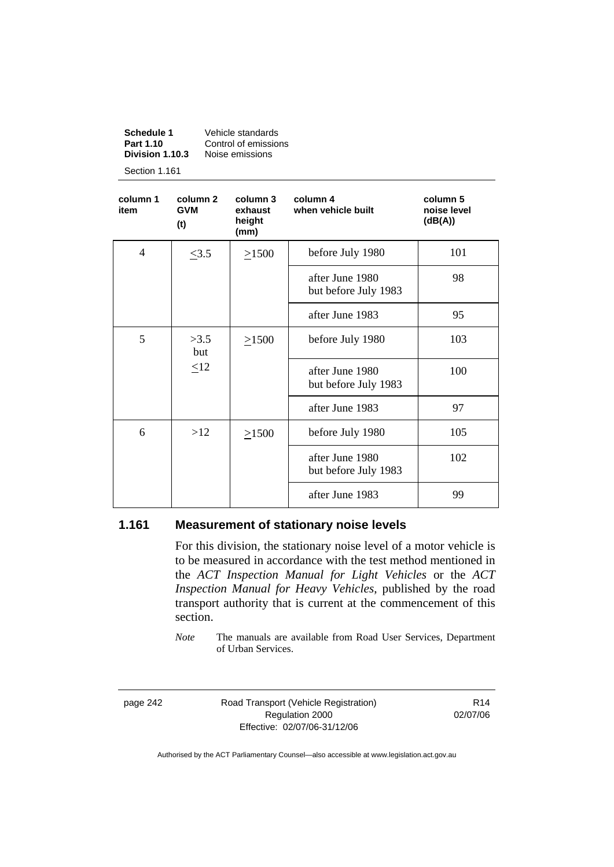| Vehicle standards    |
|----------------------|
| Control of emissions |
| Noise emissions      |
|                      |

Section 1.161

| column 1<br>item | column <sub>2</sub><br><b>GVM</b><br>(t) | column 3<br>exhaust<br>height<br>(mm) | column 4<br>when vehicle built          | column 5<br>noise level<br>(dB(A)) |
|------------------|------------------------------------------|---------------------------------------|-----------------------------------------|------------------------------------|
| $\overline{4}$   | $\leq 3.5$                               | $\geq$ 1500                           | before July 1980                        | 101                                |
|                  |                                          |                                       | after June 1980<br>but before July 1983 | 98                                 |
|                  |                                          |                                       | after June 1983                         | 95                                 |
| 5                | >3.5<br>but<br>$\leq12$                  | >1500                                 | before July 1980                        | 103                                |
|                  |                                          |                                       | after June 1980<br>but before July 1983 | 100                                |
|                  |                                          |                                       | after June 1983                         | 97                                 |
| 6                | >12                                      | $\geq 1500$                           | before July 1980                        | 105                                |
|                  |                                          |                                       | after June 1980<br>but before July 1983 | 102                                |
|                  |                                          |                                       | after June 1983                         | 99                                 |

#### **1.161 Measurement of stationary noise levels**

For this division, the stationary noise level of a motor vehicle is to be measured in accordance with the test method mentioned in the *ACT Inspection Manual for Light Vehicles* or the *ACT Inspection Manual for Heavy Vehicles*, published by the road transport authority that is current at the commencement of this section.

*Note* The manuals are available from Road User Services, Department of Urban Services.

page 242 Road Transport (Vehicle Registration) Regulation 2000 Effective: 02/07/06-31/12/06

R14 02/07/06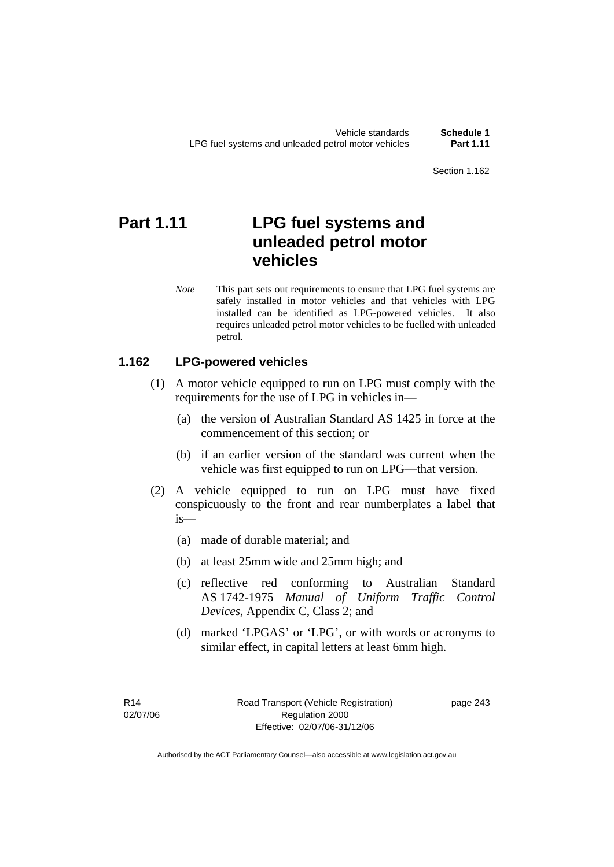# **Part 1.11 LPG fuel systems and unleaded petrol motor vehicles**

*Note* This part sets out requirements to ensure that LPG fuel systems are safely installed in motor vehicles and that vehicles with LPG installed can be identified as LPG-powered vehicles. It also requires unleaded petrol motor vehicles to be fuelled with unleaded petrol.

#### **1.162 LPG-powered vehicles**

- (1) A motor vehicle equipped to run on LPG must comply with the requirements for the use of LPG in vehicles in—
	- (a) the version of Australian Standard AS 1425 in force at the commencement of this section; or
	- (b) if an earlier version of the standard was current when the vehicle was first equipped to run on LPG—that version.
- (2) A vehicle equipped to run on LPG must have fixed conspicuously to the front and rear numberplates a label that is—
	- (a) made of durable material; and
	- (b) at least 25mm wide and 25mm high; and
	- (c) reflective red conforming to Australian Standard AS 1742-1975 *Manual of Uniform Traffic Control Devices*, Appendix C, Class 2; and
	- (d) marked 'LPGAS' or 'LPG', or with words or acronyms to similar effect, in capital letters at least 6mm high.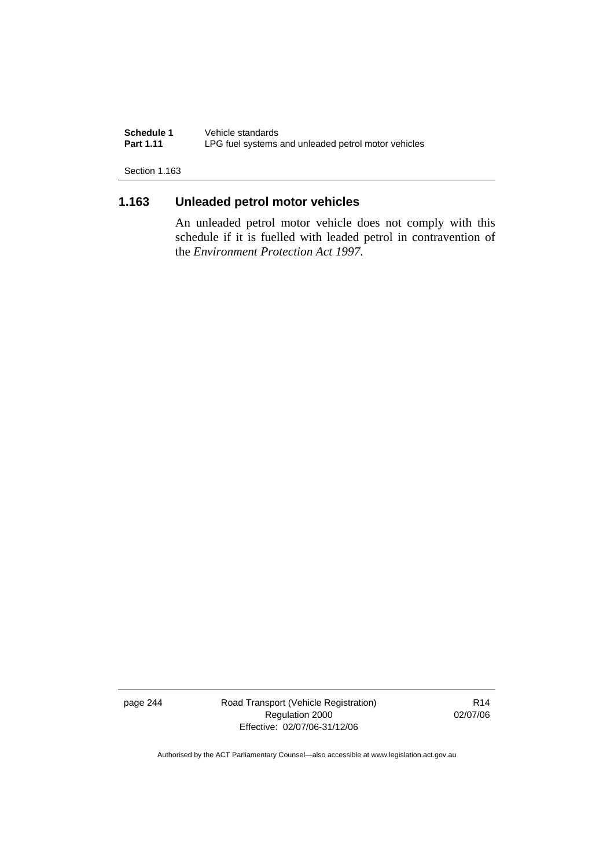**Schedule 1** Vehicle standards<br>**Part 1.11** LPG fuel systems LPG fuel systems and unleaded petrol motor vehicles

Section 1.163

### **1.163 Unleaded petrol motor vehicles**

An unleaded petrol motor vehicle does not comply with this schedule if it is fuelled with leaded petrol in contravention of the *Environment Protection Act 1997*.

page 244 Road Transport (Vehicle Registration) Regulation 2000 Effective: 02/07/06-31/12/06

R14 02/07/06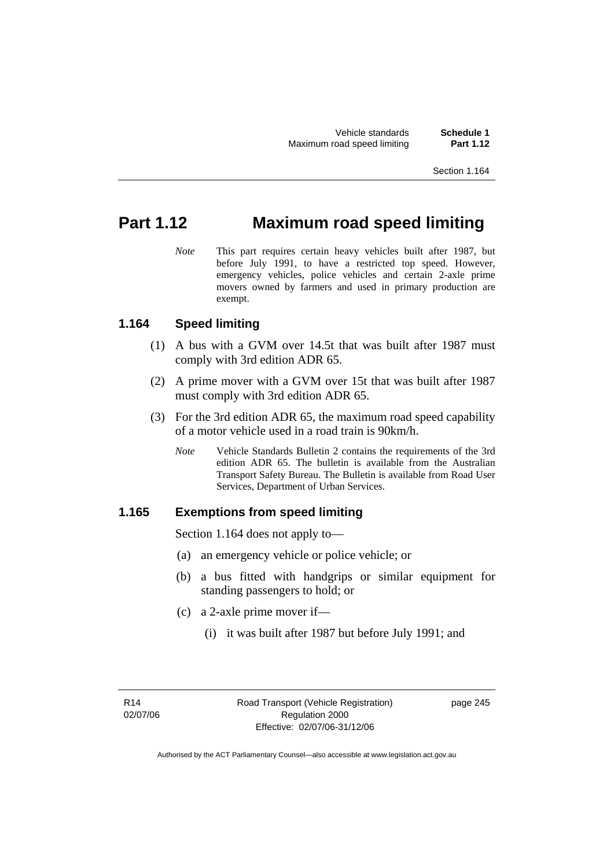Vehicle standards **Schedule 1 Maximum road speed limiting** 

# **Part 1.12 Maximum road speed limiting**

*Note* This part requires certain heavy vehicles built after 1987, but before July 1991, to have a restricted top speed. However, emergency vehicles, police vehicles and certain 2-axle prime movers owned by farmers and used in primary production are exempt.

#### **1.164 Speed limiting**

- (1) A bus with a GVM over 14.5t that was built after 1987 must comply with 3rd edition ADR 65.
- (2) A prime mover with a GVM over 15t that was built after 1987 must comply with 3rd edition ADR 65.
- (3) For the 3rd edition ADR 65, the maximum road speed capability of a motor vehicle used in a road train is 90km/h.
	- *Note* Vehicle Standards Bulletin 2 contains the requirements of the 3rd edition ADR 65. The bulletin is available from the Australian Transport Safety Bureau. The Bulletin is available from Road User Services, Department of Urban Services.

#### **1.165 Exemptions from speed limiting**

Section 1.164 does not apply to—

- (a) an emergency vehicle or police vehicle; or
- (b) a bus fitted with handgrips or similar equipment for standing passengers to hold; or
- (c) a 2-axle prime mover if—
	- (i) it was built after 1987 but before July 1991; and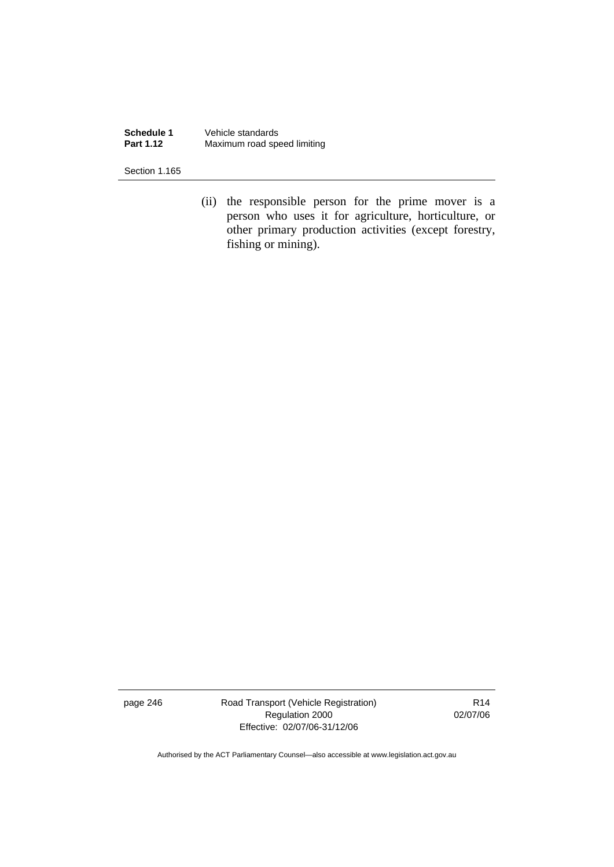**Schedule 1** Vehicle standards<br>**Part 1.12** Maximum road spe **Maximum road speed limiting** 

Section 1.165

 (ii) the responsible person for the prime mover is a person who uses it for agriculture, horticulture, or other primary production activities (except forestry, fishing or mining).

page 246 Road Transport (Vehicle Registration) Regulation 2000 Effective: 02/07/06-31/12/06

R14 02/07/06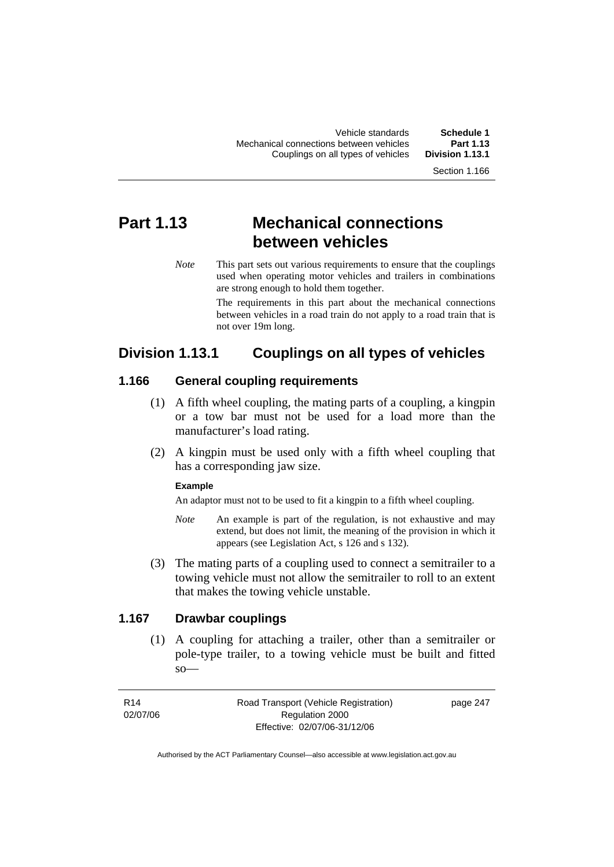Vehicle standards **Schedule 1**  Mechanical connections between vehicles **Part 1.13**  Couplings on all types of vehicles

# **Part 1.13 Mechanical connections between vehicles**

*Note* This part sets out various requirements to ensure that the couplings used when operating motor vehicles and trailers in combinations are strong enough to hold them together.

> The requirements in this part about the mechanical connections between vehicles in a road train do not apply to a road train that is not over 19m long.

## **Division 1.13.1 Couplings on all types of vehicles**

#### **1.166 General coupling requirements**

- (1) A fifth wheel coupling, the mating parts of a coupling, a kingpin or a tow bar must not be used for a load more than the manufacturer's load rating.
- (2) A kingpin must be used only with a fifth wheel coupling that has a corresponding jaw size.

#### **Example**

An adaptor must not to be used to fit a kingpin to a fifth wheel coupling.

- *Note* An example is part of the regulation, is not exhaustive and may extend, but does not limit, the meaning of the provision in which it appears (see Legislation Act, s 126 and s 132).
- (3) The mating parts of a coupling used to connect a semitrailer to a towing vehicle must not allow the semitrailer to roll to an extent that makes the towing vehicle unstable.

### **1.167 Drawbar couplings**

 (1) A coupling for attaching a trailer, other than a semitrailer or pole-type trailer, to a towing vehicle must be built and fitted  $so$ —

R14 02/07/06 Road Transport (Vehicle Registration) Regulation 2000 Effective: 02/07/06-31/12/06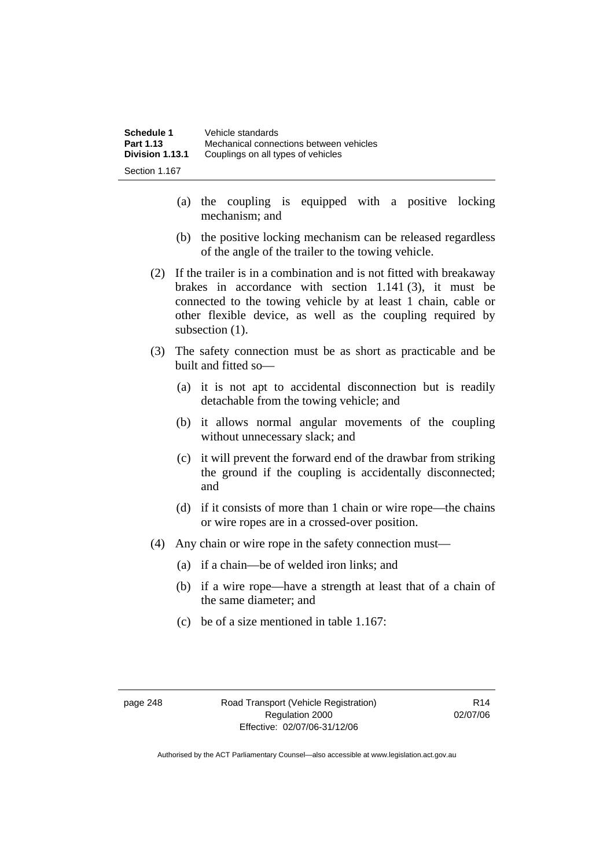| Schedule 1      | Vehicle standards                       |
|-----------------|-----------------------------------------|
| Part 1.13       | Mechanical connections between vehicles |
| Division 1.13.1 | Couplings on all types of vehicles      |
| Section 1.167   |                                         |

- (a) the coupling is equipped with a positive locking mechanism; and
- (b) the positive locking mechanism can be released regardless of the angle of the trailer to the towing vehicle.
- (2) If the trailer is in a combination and is not fitted with breakaway brakes in accordance with section 1.141 (3), it must be connected to the towing vehicle by at least 1 chain, cable or other flexible device, as well as the coupling required by subsection  $(1)$ .
- (3) The safety connection must be as short as practicable and be built and fitted so—
	- (a) it is not apt to accidental disconnection but is readily detachable from the towing vehicle; and
	- (b) it allows normal angular movements of the coupling without unnecessary slack; and
	- (c) it will prevent the forward end of the drawbar from striking the ground if the coupling is accidentally disconnected; and
	- (d) if it consists of more than 1 chain or wire rope—the chains or wire ropes are in a crossed-over position.
- (4) Any chain or wire rope in the safety connection must—
	- (a) if a chain—be of welded iron links; and
	- (b) if a wire rope—have a strength at least that of a chain of the same diameter; and
	- (c) be of a size mentioned in table 1.167: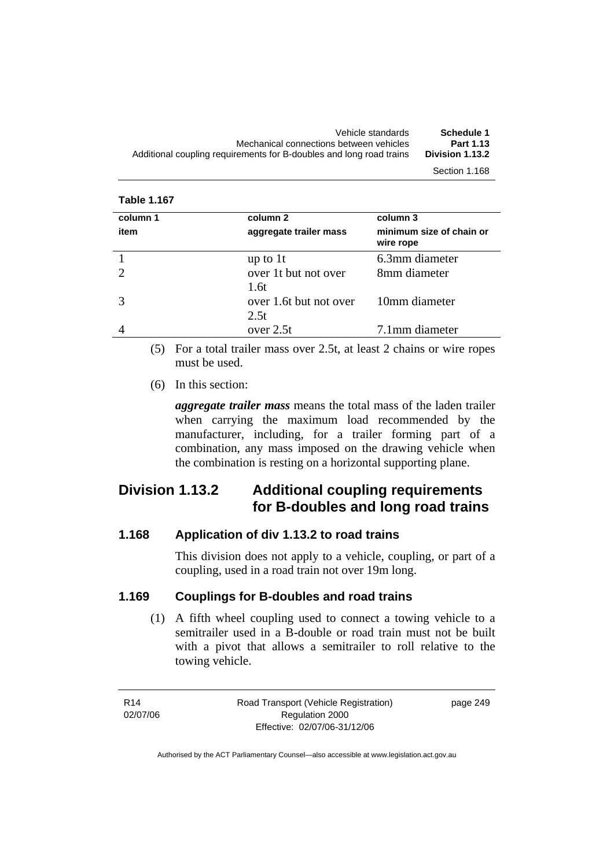| Schedule 1      | Vehicle standards                                                   |
|-----------------|---------------------------------------------------------------------|
| Part 1.13       | Mechanical connections between vehicles                             |
| Division 1.13.2 | Additional coupling requirements for B-doubles and long road trains |
| Section 1.168   |                                                                     |

| column 1 | column 2                       | column 3                              |
|----------|--------------------------------|---------------------------------------|
| item     | aggregate trailer mass         | minimum size of chain or<br>wire rope |
|          | up to $1t$                     | 6.3mm diameter                        |
|          | over 1t but not over<br>1.6t   | 8mm diameter                          |
|          | over 1.6t but not over<br>2.5t | 10mm diameter                         |
|          | over 2.5t                      | 7.1mm diameter                        |

 (5) For a total trailer mass over 2.5t, at least 2 chains or wire ropes must be used.

(6) In this section:

*aggregate trailer mass* means the total mass of the laden trailer when carrying the maximum load recommended by the manufacturer, including, for a trailer forming part of a combination, any mass imposed on the drawing vehicle when the combination is resting on a horizontal supporting plane.

# **Division 1.13.2 Additional coupling requirements for B-doubles and long road trains**

#### **1.168 Application of div 1.13.2 to road trains**

This division does not apply to a vehicle, coupling, or part of a coupling, used in a road train not over 19m long.

#### **1.169 Couplings for B-doubles and road trains**

 (1) A fifth wheel coupling used to connect a towing vehicle to a semitrailer used in a B-double or road train must not be built with a pivot that allows a semitrailer to roll relative to the towing vehicle.

R14 02/07/06 Road Transport (Vehicle Registration) Regulation 2000 Effective: 02/07/06-31/12/06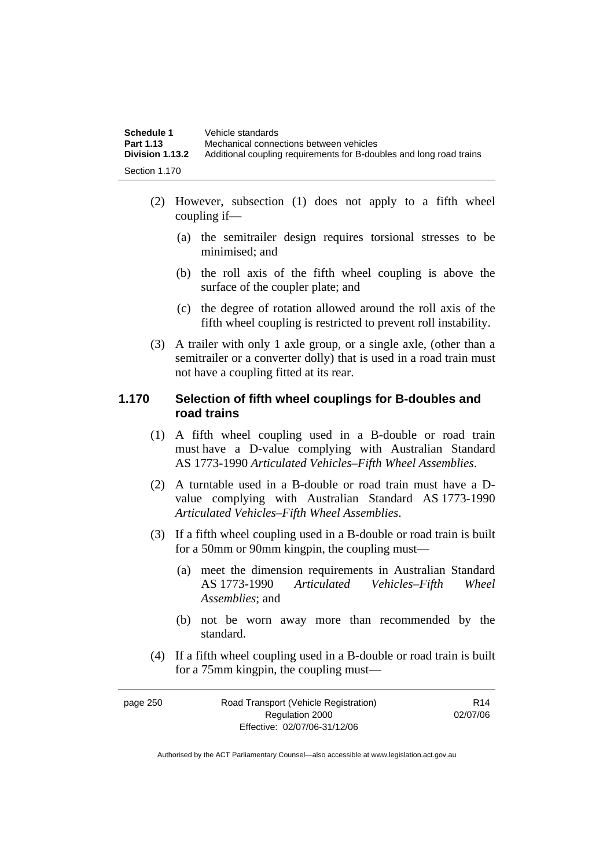| Schedule 1      | Vehicle standards                                                   |
|-----------------|---------------------------------------------------------------------|
| Part 1.13       | Mechanical connections between vehicles                             |
| Division 1.13.2 | Additional coupling requirements for B-doubles and long road trains |
| Section 1.170   |                                                                     |

- (2) However, subsection (1) does not apply to a fifth wheel coupling if—
	- (a) the semitrailer design requires torsional stresses to be minimised; and
	- (b) the roll axis of the fifth wheel coupling is above the surface of the coupler plate; and
	- (c) the degree of rotation allowed around the roll axis of the fifth wheel coupling is restricted to prevent roll instability.
- (3) A trailer with only 1 axle group, or a single axle, (other than a semitrailer or a converter dolly) that is used in a road train must not have a coupling fitted at its rear.

#### **1.170 Selection of fifth wheel couplings for B-doubles and road trains**

- (1) A fifth wheel coupling used in a B-double or road train must have a D-value complying with Australian Standard AS 1773-1990 *Articulated Vehicles–Fifth Wheel Assemblies*.
- (2) A turntable used in a B-double or road train must have a Dvalue complying with Australian Standard AS 1773-1990 *Articulated Vehicles–Fifth Wheel Assemblies*.
- (3) If a fifth wheel coupling used in a B-double or road train is built for a 50mm or 90mm kingpin, the coupling must—
	- (a) meet the dimension requirements in Australian Standard AS 1773-1990 *Articulated Vehicles–Fifth Wheel Assemblies*; and
	- (b) not be worn away more than recommended by the standard.
- (4) If a fifth wheel coupling used in a B-double or road train is built for a 75mm kingpin, the coupling must—

| page 250 | Road Transport (Vehicle Registration) | R <sub>14</sub> |
|----------|---------------------------------------|-----------------|
|          | Regulation 2000                       | 02/07/06        |
|          | Effective: 02/07/06-31/12/06          |                 |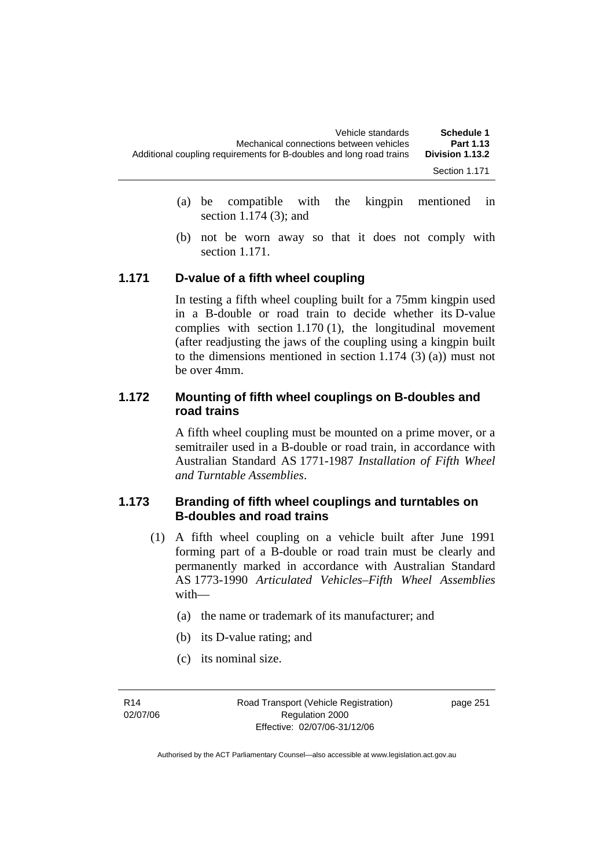| Schedule 1      | Vehicle standards                                                   |
|-----------------|---------------------------------------------------------------------|
| Part 1.13       | Mechanical connections between vehicles                             |
| Division 1.13.2 | Additional coupling requirements for B-doubles and long road trains |
| Section 1.171   |                                                                     |

- (a) be compatible with the kingpin mentioned in section 1.174 (3); and
- (b) not be worn away so that it does not comply with section 1.171.

#### **1.171 D-value of a fifth wheel coupling**

In testing a fifth wheel coupling built for a 75mm kingpin used in a B-double or road train to decide whether its D-value complies with section 1.170 (1), the longitudinal movement (after readjusting the jaws of the coupling using a kingpin built to the dimensions mentioned in section 1.174 (3) (a)) must not be over 4mm.

#### **1.172 Mounting of fifth wheel couplings on B-doubles and road trains**

A fifth wheel coupling must be mounted on a prime mover, or a semitrailer used in a B-double or road train, in accordance with Australian Standard AS 1771-1987 *Installation of Fifth Wheel and Turntable Assemblies*.

#### **1.173 Branding of fifth wheel couplings and turntables on B-doubles and road trains**

- (1) A fifth wheel coupling on a vehicle built after June 1991 forming part of a B-double or road train must be clearly and permanently marked in accordance with Australian Standard AS 1773-1990 *Articulated Vehicles–Fifth Wheel Assemblies* with—
	- (a) the name or trademark of its manufacturer; and
	- (b) its D-value rating; and
	- (c) its nominal size.

R14 02/07/06 Road Transport (Vehicle Registration) Regulation 2000 Effective: 02/07/06-31/12/06

page 251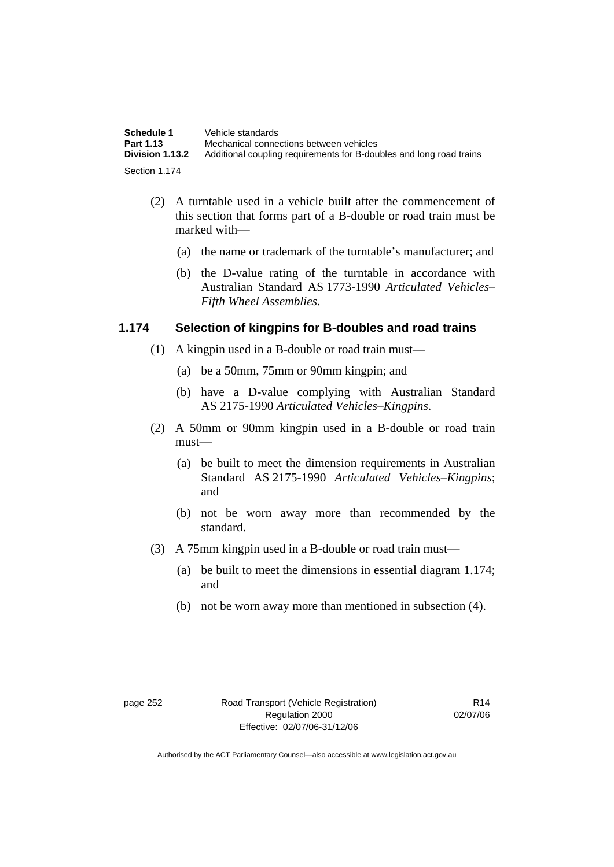| Schedule 1      | Vehicle standards                                                   |
|-----------------|---------------------------------------------------------------------|
| Part 1.13       | Mechanical connections between vehicles                             |
| Division 1.13.2 | Additional coupling requirements for B-doubles and long road trains |
| Section 1.174   |                                                                     |

- (2) A turntable used in a vehicle built after the commencement of this section that forms part of a B-double or road train must be marked with—
	- (a) the name or trademark of the turntable's manufacturer; and
	- (b) the D-value rating of the turntable in accordance with Australian Standard AS 1773-1990 *Articulated Vehicles– Fifth Wheel Assemblies*.

#### **1.174 Selection of kingpins for B-doubles and road trains**

- (1) A kingpin used in a B-double or road train must—
	- (a) be a 50mm, 75mm or 90mm kingpin; and
	- (b) have a D-value complying with Australian Standard AS 2175-1990 *Articulated Vehicles–Kingpins*.
- (2) A 50mm or 90mm kingpin used in a B-double or road train must—
	- (a) be built to meet the dimension requirements in Australian Standard AS 2175-1990 *Articulated Vehicles–Kingpins*; and
	- (b) not be worn away more than recommended by the standard.
- (3) A 75mm kingpin used in a B-double or road train must—
	- (a) be built to meet the dimensions in essential diagram 1.174; and
	- (b) not be worn away more than mentioned in subsection (4).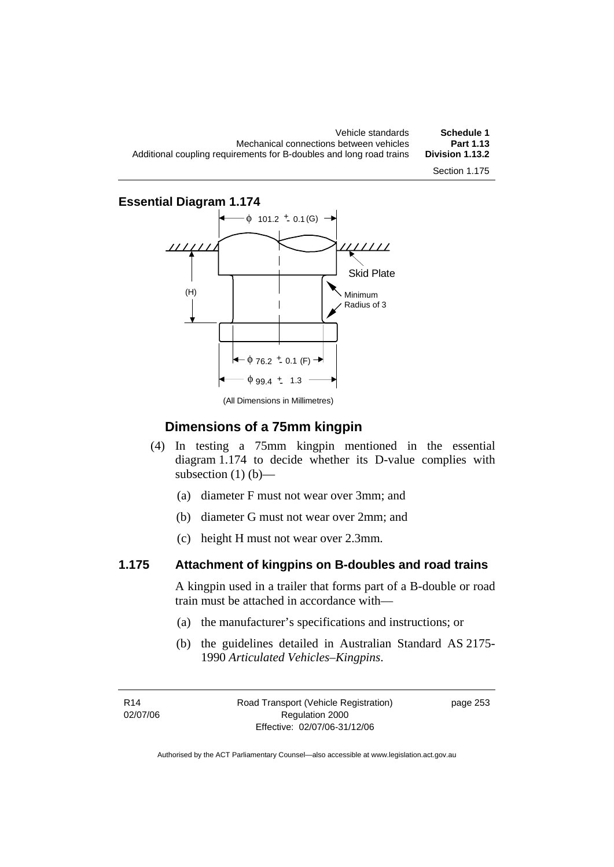Vehicle standards **Schedule 1**  Mechanical connections between vehicles **Part 1.13**  Additional coupling requirements for B-doubles and long road trains Section 1.175

**Essential Diagram 1.174** 



(All Dimensions in Millimetres)

#### **Dimensions of a 75mm kingpin**

- (4) In testing a 75mm kingpin mentioned in the essential diagram 1.174 to decide whether its D-value complies with subsection  $(1)$   $(b)$ —
	- (a) diameter F must not wear over 3mm; and
	- (b) diameter G must not wear over 2mm; and
	- (c) height H must not wear over 2.3mm.

#### **1.175 Attachment of kingpins on B-doubles and road trains**

A kingpin used in a trailer that forms part of a B-double or road train must be attached in accordance with—

- (a) the manufacturer's specifications and instructions; or
- (b) the guidelines detailed in Australian Standard AS 2175- 1990 *Articulated Vehicles–Kingpins*.

R14 02/07/06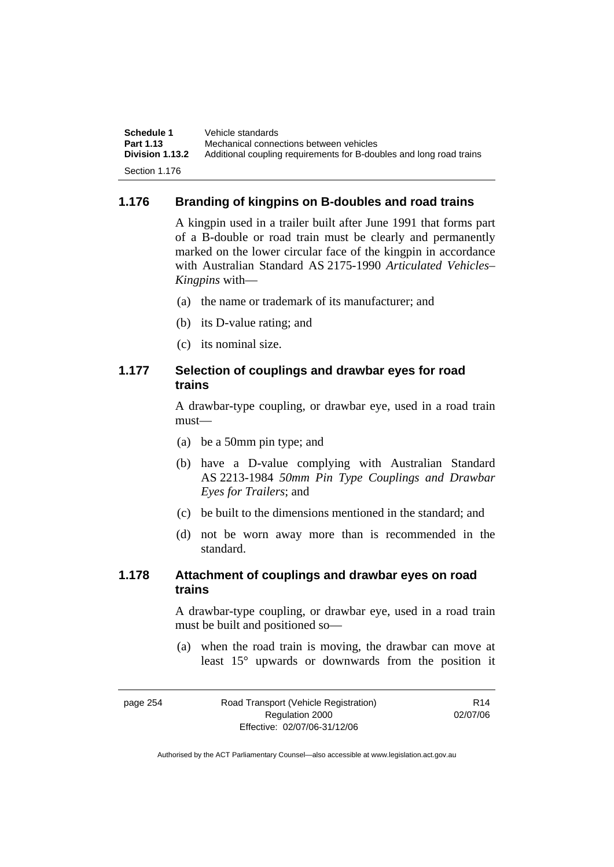| Schedule 1      | Vehicle standards                                                   |
|-----------------|---------------------------------------------------------------------|
| Part 1.13       | Mechanical connections between vehicles                             |
| Division 1.13.2 | Additional coupling requirements for B-doubles and long road trains |
| Section 1.176   |                                                                     |

#### **1.176 Branding of kingpins on B-doubles and road trains**

A kingpin used in a trailer built after June 1991 that forms part of a B-double or road train must be clearly and permanently marked on the lower circular face of the kingpin in accordance with Australian Standard AS 2175-1990 *Articulated Vehicles– Kingpins* with—

- (a) the name or trademark of its manufacturer; and
- (b) its D-value rating; and
- (c) its nominal size.

#### **1.177 Selection of couplings and drawbar eyes for road trains**

A drawbar-type coupling, or drawbar eye, used in a road train must—

- (a) be a 50mm pin type; and
- (b) have a D-value complying with Australian Standard AS 2213-1984 *50mm Pin Type Couplings and Drawbar Eyes for Trailers*; and
- (c) be built to the dimensions mentioned in the standard; and
- (d) not be worn away more than is recommended in the standard.

#### **1.178 Attachment of couplings and drawbar eyes on road trains**

A drawbar-type coupling, or drawbar eye, used in a road train must be built and positioned so—

 (a) when the road train is moving, the drawbar can move at least 15° upwards or downwards from the position it

| page 254 | Road Transport (Vehicle Registration) | R <sub>14</sub> |
|----------|---------------------------------------|-----------------|
|          | Regulation 2000                       | 02/07/06        |
|          | Effective: 02/07/06-31/12/06          |                 |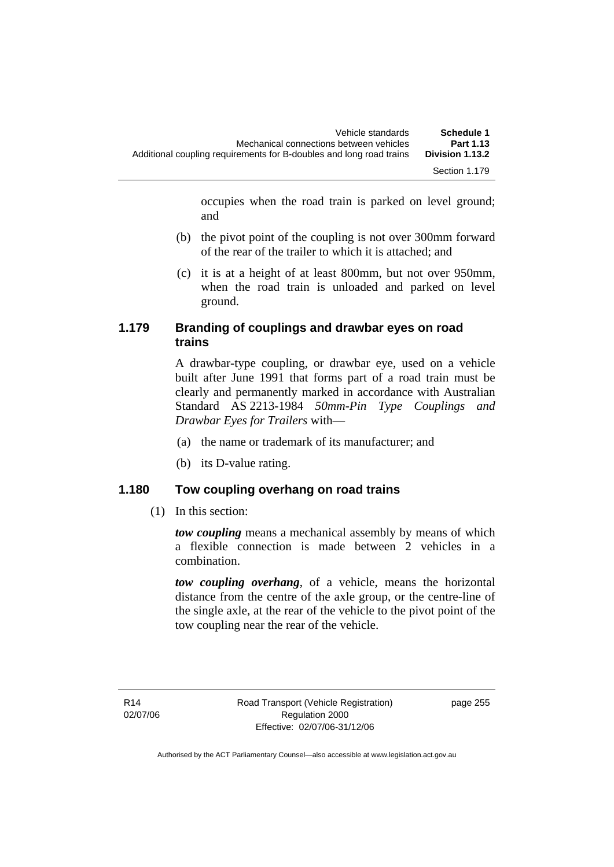occupies when the road train is parked on level ground; and

- (b) the pivot point of the coupling is not over 300mm forward of the rear of the trailer to which it is attached; and
- (c) it is at a height of at least 800mm, but not over 950mm, when the road train is unloaded and parked on level ground.

#### **1.179 Branding of couplings and drawbar eyes on road trains**

A drawbar-type coupling, or drawbar eye, used on a vehicle built after June 1991 that forms part of a road train must be clearly and permanently marked in accordance with Australian Standard AS 2213-1984 *50mm-Pin Type Couplings and Drawbar Eyes for Trailers* with—

- (a) the name or trademark of its manufacturer; and
- (b) its D-value rating.

#### **1.180 Tow coupling overhang on road trains**

(1) In this section:

*tow coupling* means a mechanical assembly by means of which a flexible connection is made between 2 vehicles in a combination.

*tow coupling overhang*, of a vehicle, means the horizontal distance from the centre of the axle group, or the centre-line of the single axle, at the rear of the vehicle to the pivot point of the tow coupling near the rear of the vehicle.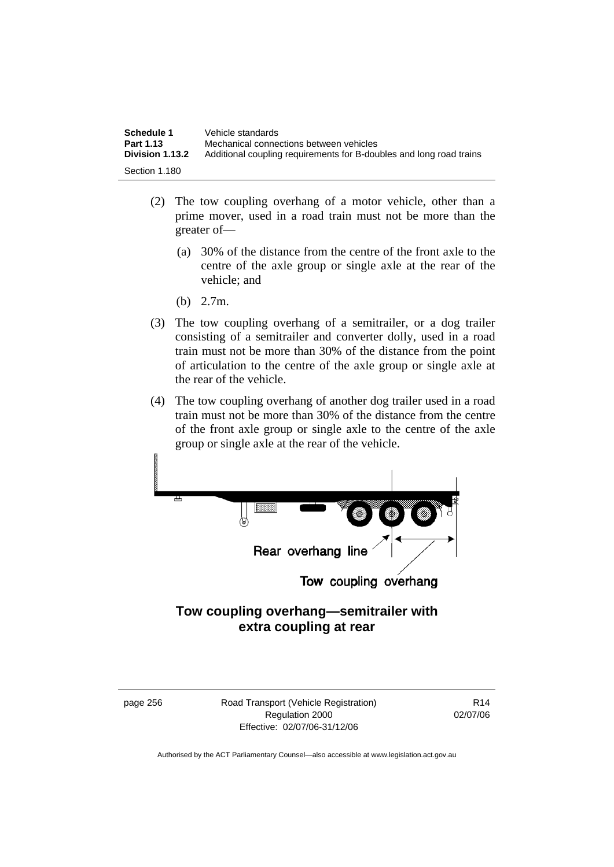| Schedule 1                          | Vehicle standards                                                                                              |
|-------------------------------------|----------------------------------------------------------------------------------------------------------------|
| Part 1.13<br><b>Division 1.13.2</b> | Mechanical connections between vehicles<br>Additional coupling requirements for B-doubles and long road trains |
| Section 1.180                       |                                                                                                                |

- (2) The tow coupling overhang of a motor vehicle, other than a prime mover, used in a road train must not be more than the greater of—
	- (a) 30% of the distance from the centre of the front axle to the centre of the axle group or single axle at the rear of the vehicle; and
	- (b) 2.7m.
- (3) The tow coupling overhang of a semitrailer, or a dog trailer consisting of a semitrailer and converter dolly, used in a road train must not be more than 30% of the distance from the point of articulation to the centre of the axle group or single axle at the rear of the vehicle.
- (4) The tow coupling overhang of another dog trailer used in a road train must not be more than 30% of the distance from the centre of the front axle group or single axle to the centre of the axle group or single axle at the rear of the vehicle.



### **Tow coupling overhang—semitrailer with extra coupling at rear**

page 256 Road Transport (Vehicle Registration) Regulation 2000 Effective: 02/07/06-31/12/06

R14 02/07/06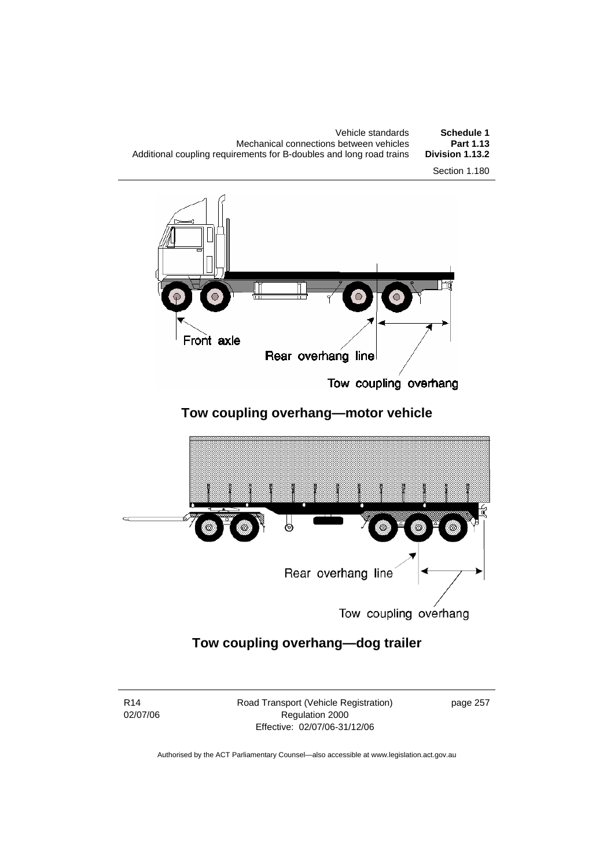| Schedule 1      | Vehicle standards                                                   |
|-----------------|---------------------------------------------------------------------|
| Part 1.13       | Mechanical connections between vehicles                             |
| Division 1.13.2 | Additional coupling requirements for B-doubles and long road trains |
| Section 1.180   |                                                                     |



Tow coupling overhang

# **Tow coupling overhang—motor vehicle**



Tow coupling overhang

# **Tow coupling overhang—dog trailer**

R14 02/07/06 Road Transport (Vehicle Registration) Regulation 2000 Effective: 02/07/06-31/12/06

page 257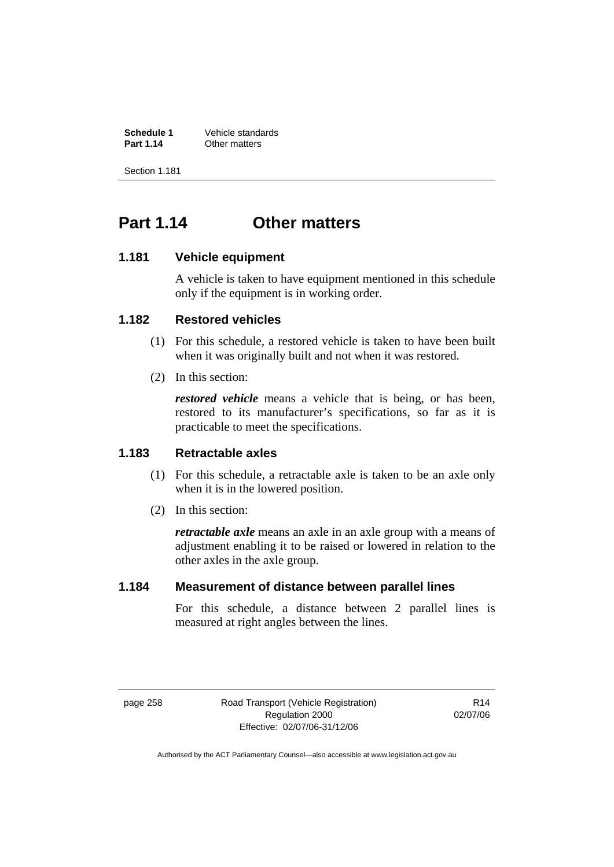**Schedule 1** Vehicle standards<br> **Part 1.14** Other matters **Other matters** 

Section 1.181

# **Part 1.14 Other matters**

#### **1.181 Vehicle equipment**

A vehicle is taken to have equipment mentioned in this schedule only if the equipment is in working order.

#### **1.182 Restored vehicles**

- (1) For this schedule, a restored vehicle is taken to have been built when it was originally built and not when it was restored.
- (2) In this section:

*restored vehicle* means a vehicle that is being, or has been, restored to its manufacturer's specifications, so far as it is practicable to meet the specifications.

#### **1.183 Retractable axles**

- (1) For this schedule, a retractable axle is taken to be an axle only when it is in the lowered position.
- (2) In this section:

*retractable axle* means an axle in an axle group with a means of adjustment enabling it to be raised or lowered in relation to the other axles in the axle group.

#### **1.184 Measurement of distance between parallel lines**

For this schedule, a distance between 2 parallel lines is measured at right angles between the lines.

page 258 Road Transport (Vehicle Registration) Regulation 2000 Effective: 02/07/06-31/12/06

R14 02/07/06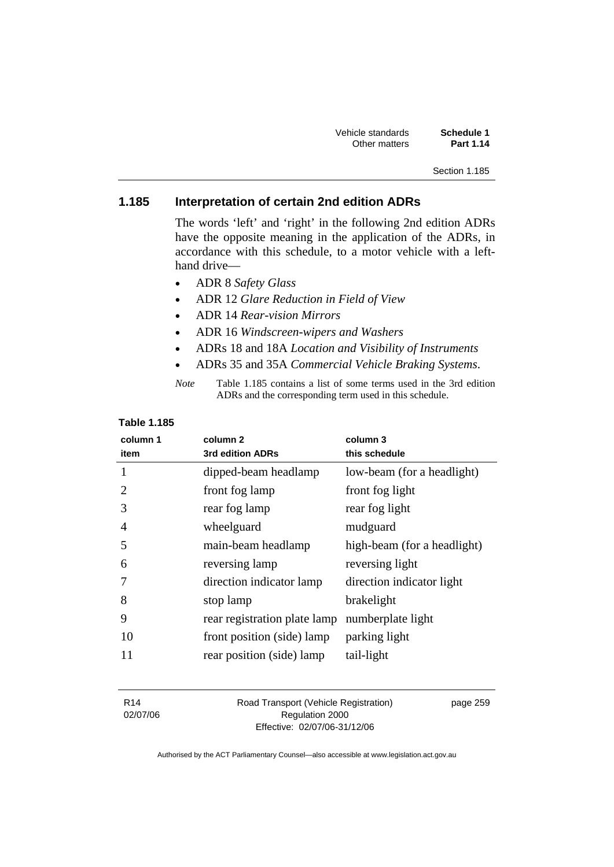| Vehicle standards | Schedule 1 |
|-------------------|------------|
| Other matters     | Part 1.14  |

#### Section 1.185

#### **1.185 Interpretation of certain 2nd edition ADRs**

The words 'left' and 'right' in the following 2nd edition ADRs have the opposite meaning in the application of the ADRs, in accordance with this schedule, to a motor vehicle with a lefthand drive—

- ADR 8 *Safety Glass*
- ADR 12 *Glare Reduction in Field of View*
- ADR 14 *Rear-vision Mirrors*
- ADR 16 *Windscreen-wipers and Washers*
- ADRs 18 and 18A *Location and Visibility of Instruments*
- ADRs 35 and 35A *Commercial Vehicle Braking Systems*.

| Note | Table 1.185 contains a list of some terms used in the 3rd edition |
|------|-------------------------------------------------------------------|
|      | ADRs and the corresponding term used in this schedule.            |

#### **Table 1.185**

| column 1<br>item | column <sub>2</sub><br>3rd edition ADRs | column 3<br>this schedule   |
|------------------|-----------------------------------------|-----------------------------|
| 1                | dipped-beam headlamp                    | low-beam (for a headlight)  |
| 2                | front fog lamp                          | front fog light             |
| 3                | rear fog lamp                           | rear fog light              |
| 4                | wheelguard                              | mudguard                    |
| 5                | main-beam headlamp                      | high-beam (for a headlight) |
| 6                | reversing lamp                          | reversing light             |
| 7                | direction indicator lamp                | direction indicator light   |
| 8                | stop lamp                               | brakelight                  |
| 9                | rear registration plate lamp            | numberplate light           |
| 10               | front position (side) lamp              | parking light               |
| 11               | rear position (side) lamp               | tail-light                  |

R14 02/07/06 Road Transport (Vehicle Registration) Regulation 2000 Effective: 02/07/06-31/12/06

page 259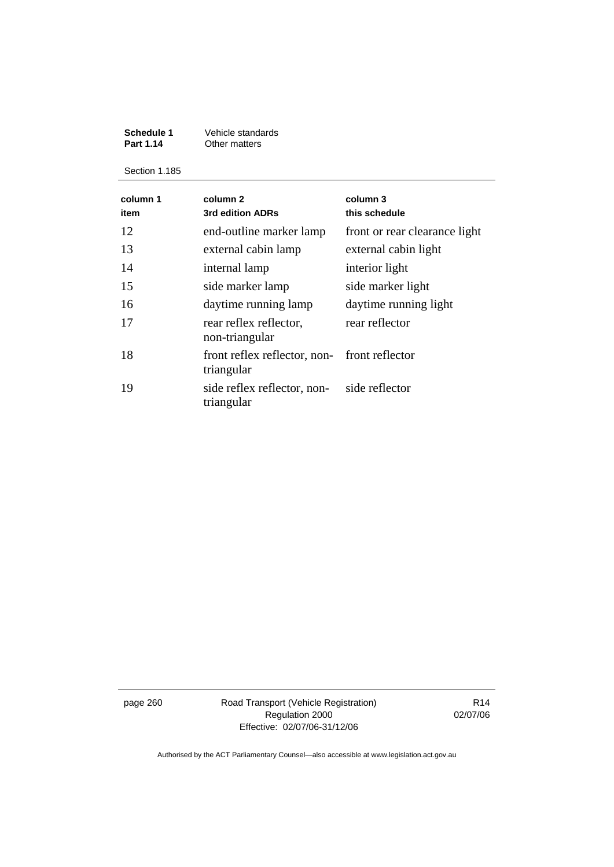#### **Schedule 1** Vehicle standards<br>**Part 1.14** Other matters **Part 1.14 Other matters**

Section 1.185

| column 1<br>item | column <sub>2</sub><br>3rd edition ADRs                       | column 3<br>this schedule     |
|------------------|---------------------------------------------------------------|-------------------------------|
| 12               | end-outline marker lamp                                       | front or rear clearance light |
| 13               | external cabin lamp                                           | external cabin light          |
| 14               | internal lamp                                                 | interior light                |
| 15               | side marker lamp                                              | side marker light             |
| 16               | daytime running lamp                                          | daytime running light         |
| 17               | rear reflex reflector,<br>non-triangular                      | rear reflector                |
| 18               | front reflex reflector, non-<br>front reflector<br>triangular |                               |
| 19               | side reflex reflector, non-<br>triangular                     | side reflector                |

page 260 Road Transport (Vehicle Registration) Regulation 2000 Effective: 02/07/06-31/12/06

R14 02/07/06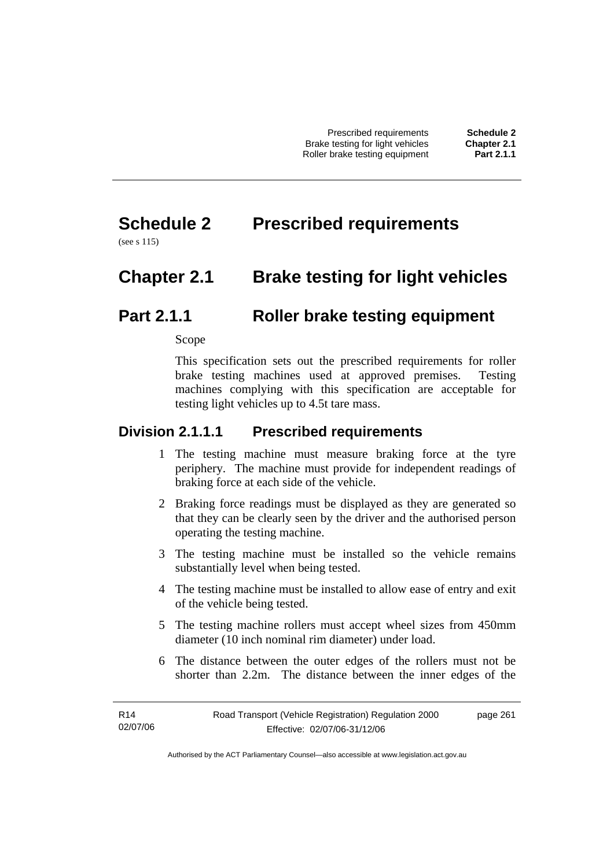Prescribed requirements **Schedule 2**  Brake testing for light vehicles **Chapter 2.1 Roller brake testing equipment** 

# **Schedule 2 Prescribed requirements**

(see s 115)

# **Chapter 2.1 Brake testing for light vehicles**

# **Part 2.1.1 Roller brake testing equipment**

Scope

This specification sets out the prescribed requirements for roller brake testing machines used at approved premises. Testing machines complying with this specification are acceptable for testing light vehicles up to 4.5t tare mass.

### **Division 2.1.1.1 Prescribed requirements**

- 1 The testing machine must measure braking force at the tyre periphery. The machine must provide for independent readings of braking force at each side of the vehicle.
- 2 Braking force readings must be displayed as they are generated so that they can be clearly seen by the driver and the authorised person operating the testing machine.
- 3 The testing machine must be installed so the vehicle remains substantially level when being tested.
- 4 The testing machine must be installed to allow ease of entry and exit of the vehicle being tested.
- 5 The testing machine rollers must accept wheel sizes from 450mm diameter (10 inch nominal rim diameter) under load.
- 6 The distance between the outer edges of the rollers must not be shorter than 2.2m. The distance between the inner edges of the

page 261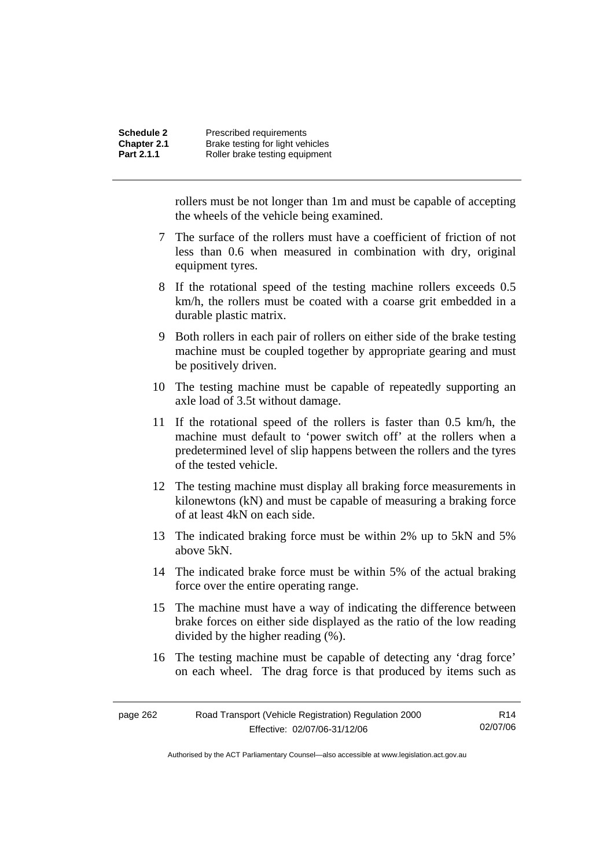rollers must be not longer than 1m and must be capable of accepting the wheels of the vehicle being examined.

- 7 The surface of the rollers must have a coefficient of friction of not less than 0.6 when measured in combination with dry, original equipment tyres.
- 8 If the rotational speed of the testing machine rollers exceeds 0.5 km/h, the rollers must be coated with a coarse grit embedded in a durable plastic matrix.
- 9 Both rollers in each pair of rollers on either side of the brake testing machine must be coupled together by appropriate gearing and must be positively driven.
- 10 The testing machine must be capable of repeatedly supporting an axle load of 3.5t without damage.
- 11 If the rotational speed of the rollers is faster than 0.5 km/h, the machine must default to 'power switch off' at the rollers when a predetermined level of slip happens between the rollers and the tyres of the tested vehicle.
- 12 The testing machine must display all braking force measurements in kilonewtons (kN) and must be capable of measuring a braking force of at least 4kN on each side.
- 13 The indicated braking force must be within 2% up to 5kN and 5% above 5kN.
- 14 The indicated brake force must be within 5% of the actual braking force over the entire operating range.
- 15 The machine must have a way of indicating the difference between brake forces on either side displayed as the ratio of the low reading divided by the higher reading (%).
- 16 The testing machine must be capable of detecting any 'drag force' on each wheel. The drag force is that produced by items such as

| page 262 | Road Transport (Vehicle Registration) Regulation 2000 | R14      |
|----------|-------------------------------------------------------|----------|
|          | Effective: 02/07/06-31/12/06                          | 02/07/06 |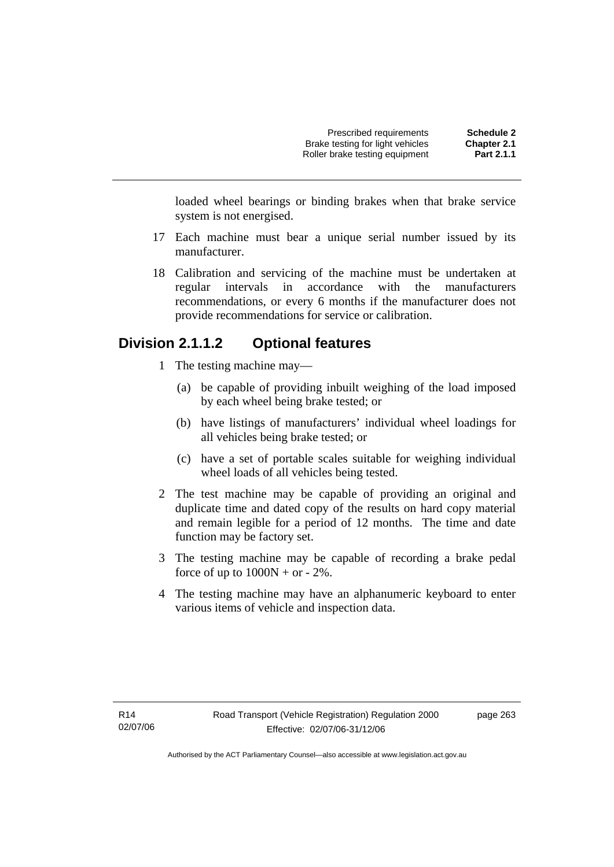loaded wheel bearings or binding brakes when that brake service system is not energised.

- 17 Each machine must bear a unique serial number issued by its manufacturer.
- 18 Calibration and servicing of the machine must be undertaken at regular intervals in accordance with the manufacturers recommendations, or every 6 months if the manufacturer does not provide recommendations for service or calibration.

# **Division 2.1.1.2 Optional features**

- 1 The testing machine may—
	- (a) be capable of providing inbuilt weighing of the load imposed by each wheel being brake tested; or
	- (b) have listings of manufacturers' individual wheel loadings for all vehicles being brake tested; or
	- (c) have a set of portable scales suitable for weighing individual wheel loads of all vehicles being tested.
- 2 The test machine may be capable of providing an original and duplicate time and dated copy of the results on hard copy material and remain legible for a period of 12 months. The time and date function may be factory set.
- 3 The testing machine may be capable of recording a brake pedal force of up to  $1000N + or - 2\%$ .
- 4 The testing machine may have an alphanumeric keyboard to enter various items of vehicle and inspection data.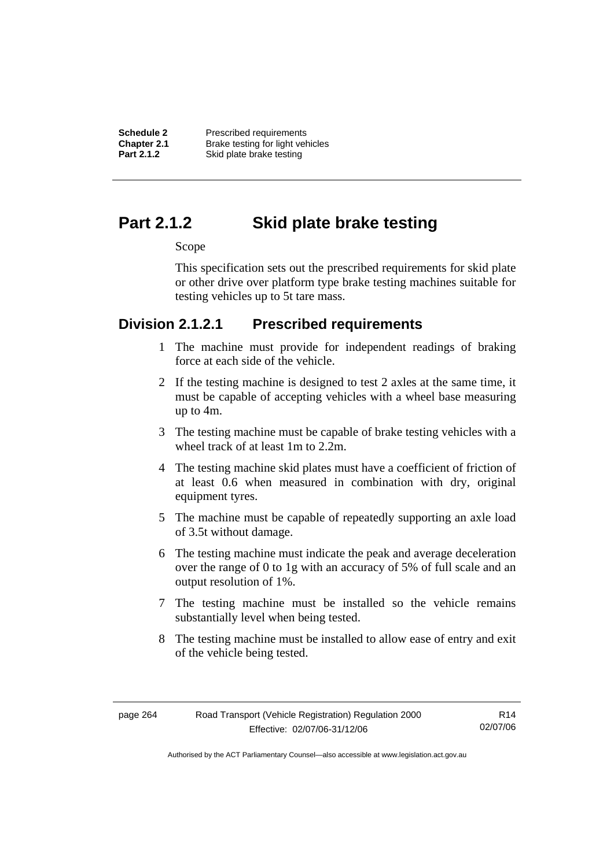**Schedule 2** Prescribed requirements<br> **Chapter 2.1** Brake testing for light ver-**Chapter 2.1** Brake testing for light vehicles<br> **Part 2.1.2** Skid plate brake testing **Skid plate brake testing** 

# **Part 2.1.2 Skid plate brake testing**

### Scope

This specification sets out the prescribed requirements for skid plate or other drive over platform type brake testing machines suitable for testing vehicles up to 5t tare mass.

### **Division 2.1.2.1 Prescribed requirements**

- 1 The machine must provide for independent readings of braking force at each side of the vehicle.
- 2 If the testing machine is designed to test 2 axles at the same time, it must be capable of accepting vehicles with a wheel base measuring up to 4m.
- 3 The testing machine must be capable of brake testing vehicles with a wheel track of at least 1m to 2.2m.
- 4 The testing machine skid plates must have a coefficient of friction of at least 0.6 when measured in combination with dry, original equipment tyres.
- 5 The machine must be capable of repeatedly supporting an axle load of 3.5t without damage.
- 6 The testing machine must indicate the peak and average deceleration over the range of 0 to 1g with an accuracy of 5% of full scale and an output resolution of 1%.
- 7 The testing machine must be installed so the vehicle remains substantially level when being tested.
- 8 The testing machine must be installed to allow ease of entry and exit of the vehicle being tested.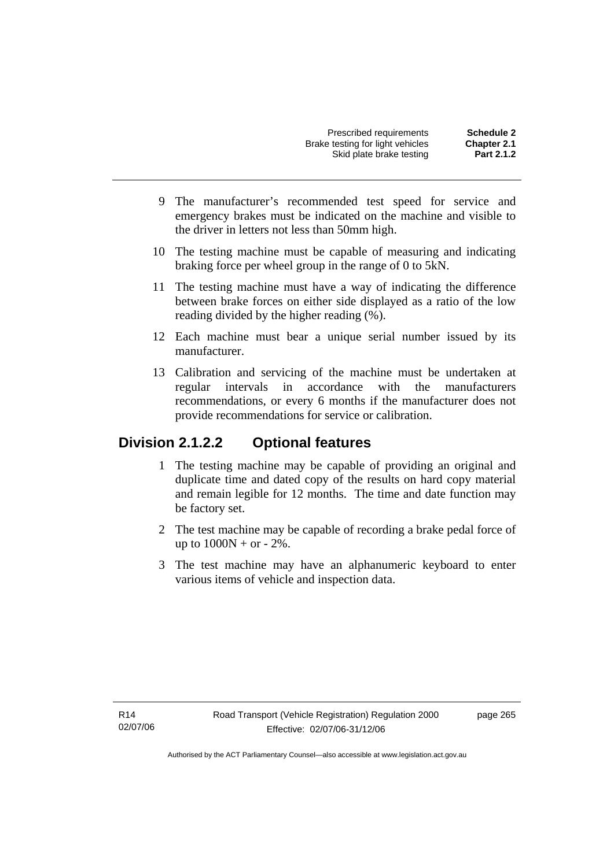| Prescribed requirements          | <b>Schedule 2</b>  |
|----------------------------------|--------------------|
| Brake testing for light vehicles | <b>Chapter 2.1</b> |
| Skid plate brake testing         | Part 2.1.2         |

- 9 The manufacturer's recommended test speed for service and emergency brakes must be indicated on the machine and visible to the driver in letters not less than 50mm high.
- 10 The testing machine must be capable of measuring and indicating braking force per wheel group in the range of 0 to 5kN.
- 11 The testing machine must have a way of indicating the difference between brake forces on either side displayed as a ratio of the low reading divided by the higher reading (%).
- 12 Each machine must bear a unique serial number issued by its manufacturer.
- 13 Calibration and servicing of the machine must be undertaken at regular intervals in accordance with the manufacturers recommendations, or every 6 months if the manufacturer does not provide recommendations for service or calibration.

### **Division 2.1.2.2 Optional features**

- 1 The testing machine may be capable of providing an original and duplicate time and dated copy of the results on hard copy material and remain legible for 12 months. The time and date function may be factory set.
- 2 The test machine may be capable of recording a brake pedal force of up to  $1000N + or - 2\%$ .
- 3 The test machine may have an alphanumeric keyboard to enter various items of vehicle and inspection data.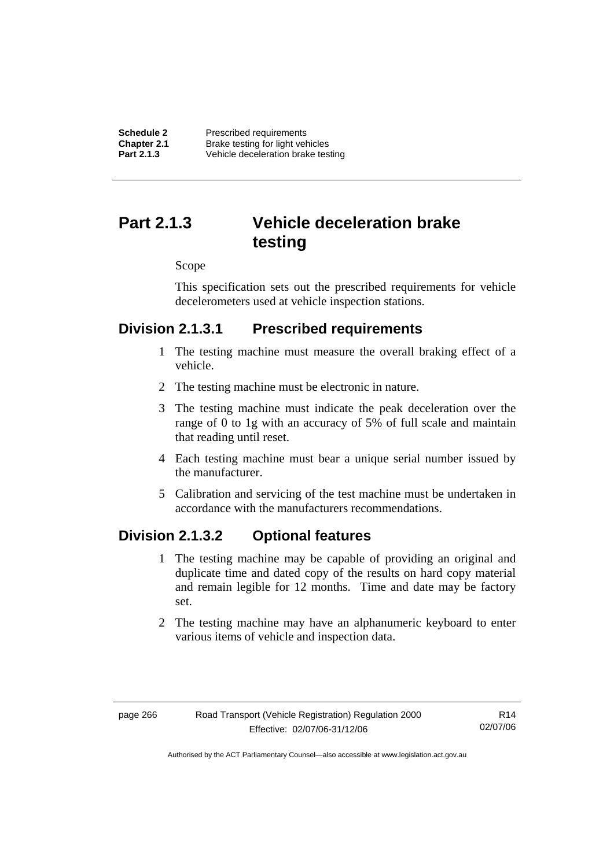# **Part 2.1.3 Vehicle deceleration brake testing**

#### Scope

This specification sets out the prescribed requirements for vehicle decelerometers used at vehicle inspection stations.

### **Division 2.1.3.1 Prescribed requirements**

- 1 The testing machine must measure the overall braking effect of a vehicle.
- 2 The testing machine must be electronic in nature.
- 3 The testing machine must indicate the peak deceleration over the range of 0 to 1g with an accuracy of 5% of full scale and maintain that reading until reset.
- 4 Each testing machine must bear a unique serial number issued by the manufacturer.
- 5 Calibration and servicing of the test machine must be undertaken in accordance with the manufacturers recommendations.

### **Division 2.1.3.2 Optional features**

- 1 The testing machine may be capable of providing an original and duplicate time and dated copy of the results on hard copy material and remain legible for 12 months. Time and date may be factory set.
- 2 The testing machine may have an alphanumeric keyboard to enter various items of vehicle and inspection data.

R14 02/07/06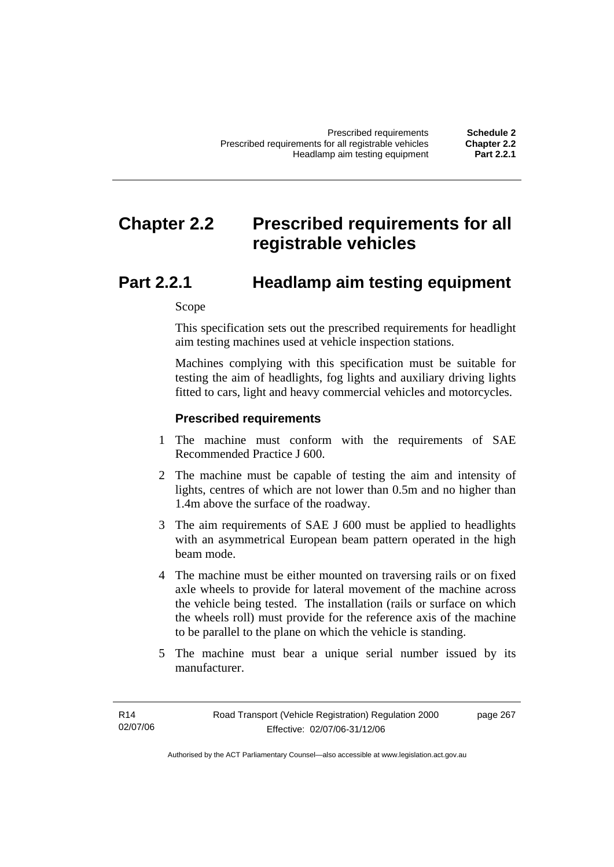# **Chapter 2.2 Prescribed requirements for all registrable vehicles**

# **Part 2.2.1 Headlamp aim testing equipment**

Scope

This specification sets out the prescribed requirements for headlight aim testing machines used at vehicle inspection stations.

Machines complying with this specification must be suitable for testing the aim of headlights, fog lights and auxiliary driving lights fitted to cars, light and heavy commercial vehicles and motorcycles.

#### **Prescribed requirements**

- 1 The machine must conform with the requirements of SAE Recommended Practice J 600.
- 2 The machine must be capable of testing the aim and intensity of lights, centres of which are not lower than 0.5m and no higher than 1.4m above the surface of the roadway.
- 3 The aim requirements of SAE J 600 must be applied to headlights with an asymmetrical European beam pattern operated in the high beam mode.
- 4 The machine must be either mounted on traversing rails or on fixed axle wheels to provide for lateral movement of the machine across the vehicle being tested. The installation (rails or surface on which the wheels roll) must provide for the reference axis of the machine to be parallel to the plane on which the vehicle is standing.
- 5 The machine must bear a unique serial number issued by its manufacturer.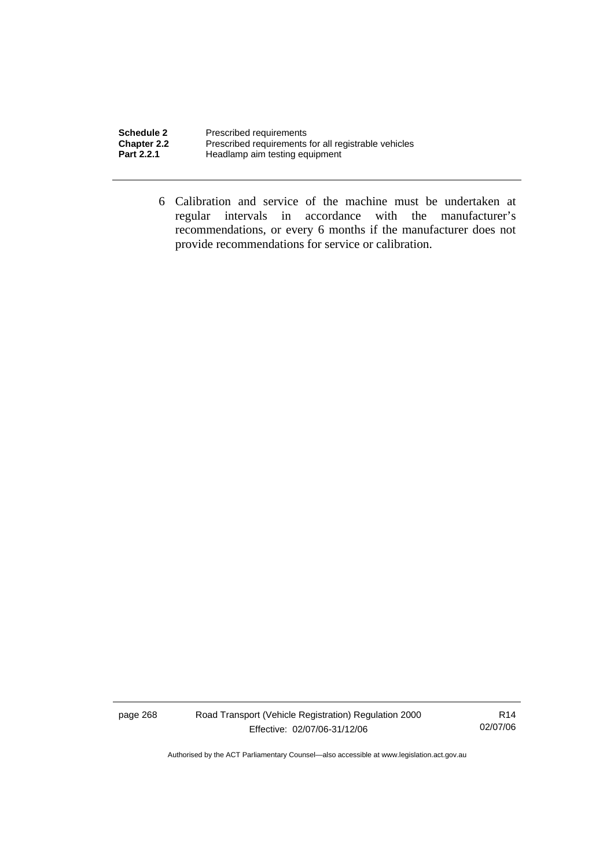| <b>Schedule 2</b> | Prescribed requirements                              |
|-------------------|------------------------------------------------------|
| Chapter 2.2       | Prescribed requirements for all registrable vehicles |
| <b>Part 2.2.1</b> | Headlamp aim testing equipment                       |

 6 Calibration and service of the machine must be undertaken at regular intervals in accordance with the manufacturer's recommendations, or every 6 months if the manufacturer does not provide recommendations for service or calibration.

page 268 Road Transport (Vehicle Registration) Regulation 2000 Effective: 02/07/06-31/12/06

R14 02/07/06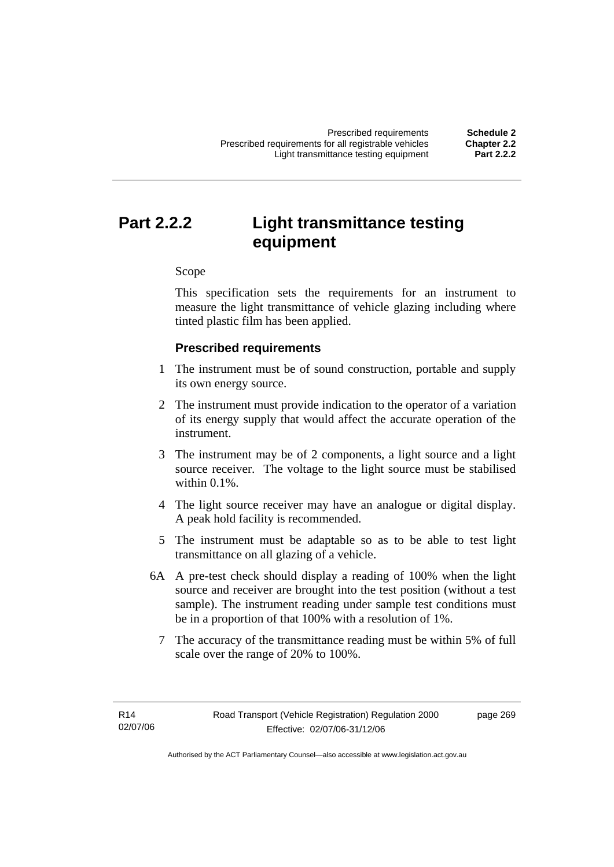# **Part 2.2.2 Light transmittance testing equipment**

Scope

This specification sets the requirements for an instrument to measure the light transmittance of vehicle glazing including where tinted plastic film has been applied.

# **Prescribed requirements**

- 1 The instrument must be of sound construction, portable and supply its own energy source.
- 2 The instrument must provide indication to the operator of a variation of its energy supply that would affect the accurate operation of the instrument.
- 3 The instrument may be of 2 components, a light source and a light source receiver. The voltage to the light source must be stabilised within 0.1%
- 4 The light source receiver may have an analogue or digital display. A peak hold facility is recommended.
- 5 The instrument must be adaptable so as to be able to test light transmittance on all glazing of a vehicle.
- 6A A pre-test check should display a reading of 100% when the light source and receiver are brought into the test position (without a test sample). The instrument reading under sample test conditions must be in a proportion of that 100% with a resolution of 1%.
	- 7 The accuracy of the transmittance reading must be within 5% of full scale over the range of 20% to 100%.

page 269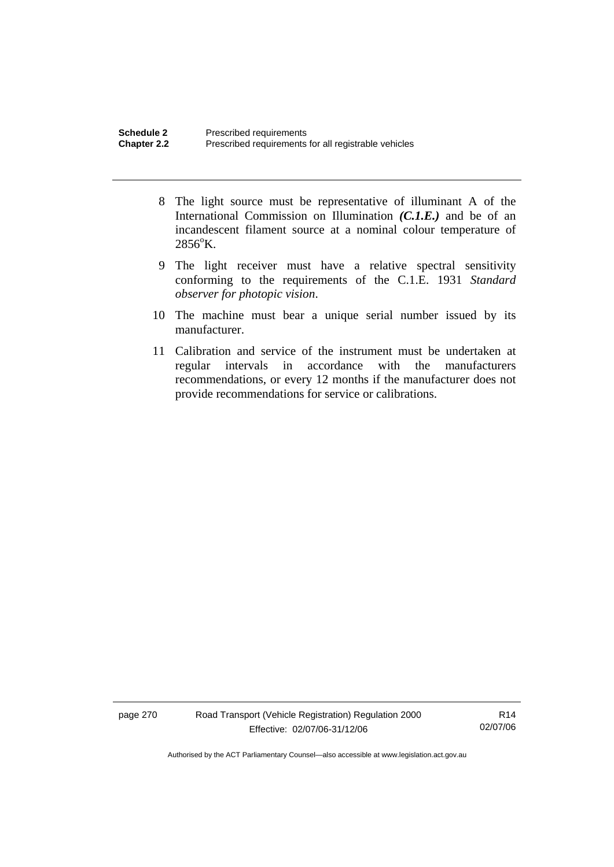- 8 The light source must be representative of illuminant A of the International Commission on Illumination *(C.1.E.)* and be of an incandescent filament source at a nominal colour temperature of  $2856^{\circ}$ K.
- 9 The light receiver must have a relative spectral sensitivity conforming to the requirements of the C.1.E. 1931 *Standard observer for photopic vision*.
- 10 The machine must bear a unique serial number issued by its manufacturer.
- 11 Calibration and service of the instrument must be undertaken at regular intervals in accordance with the manufacturers recommendations, or every 12 months if the manufacturer does not provide recommendations for service or calibrations.

page 270 Road Transport (Vehicle Registration) Regulation 2000 Effective: 02/07/06-31/12/06

R14 02/07/06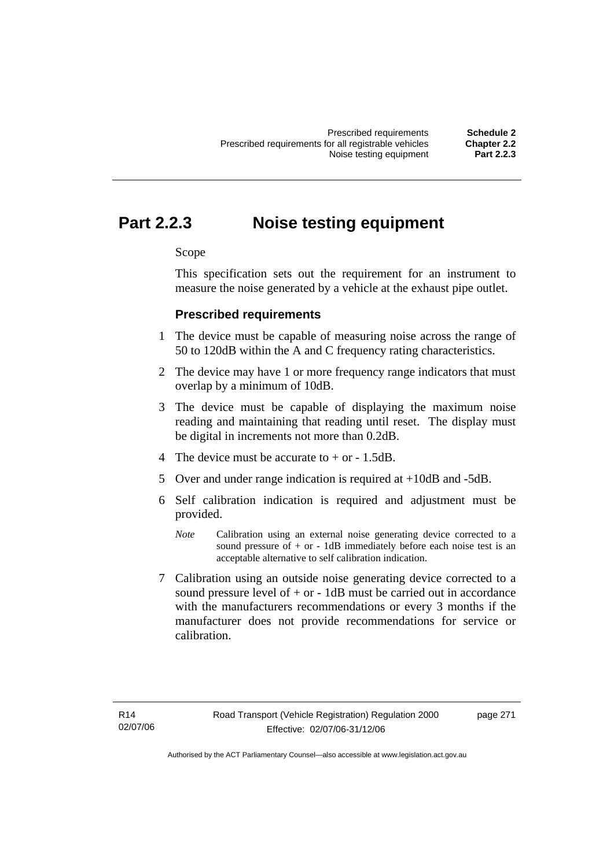# **Part 2.2.3 Noise testing equipment**

# Scope

This specification sets out the requirement for an instrument to measure the noise generated by a vehicle at the exhaust pipe outlet.

# **Prescribed requirements**

- 1 The device must be capable of measuring noise across the range of 50 to 120dB within the A and C frequency rating characteristics.
- 2 The device may have 1 or more frequency range indicators that must overlap by a minimum of 10dB.
- 3 The device must be capable of displaying the maximum noise reading and maintaining that reading until reset. The display must be digital in increments not more than 0.2dB.
- 4 The device must be accurate to + or 1.5dB.
- 5 Over and under range indication is required at +10dB and -5dB.
- 6 Self calibration indication is required and adjustment must be provided.
	- *Note* Calibration using an external noise generating device corrected to a sound pressure of  $+$  or  $-$  1dB immediately before each noise test is an acceptable alternative to self calibration indication.
- 7 Calibration using an outside noise generating device corrected to a sound pressure level of  $+$  or  $-$  1dB must be carried out in accordance with the manufacturers recommendations or every 3 months if the manufacturer does not provide recommendations for service or calibration.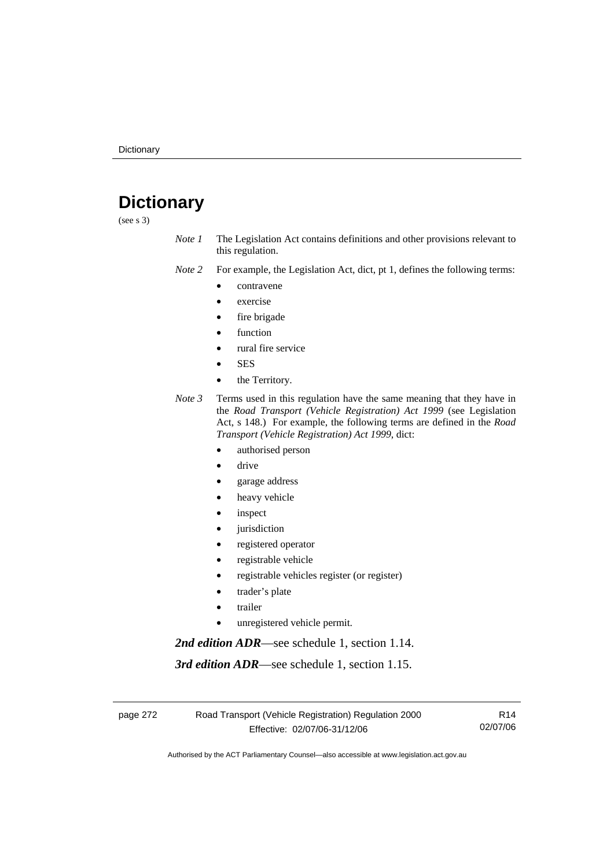# **Dictionary**

(see s 3)

*Note 1* The Legislation Act contains definitions and other provisions relevant to this regulation.

*Note 2* For example, the Legislation Act, dict, pt 1, defines the following terms:

- contravene
- exercise
- fire brigade
- function
- rural fire service
- **SES**
- the Territory.
- *Note 3* Terms used in this regulation have the same meaning that they have in the *Road Transport (Vehicle Registration) Act 1999* (see Legislation Act, s 148.) For example, the following terms are defined in the *Road Transport (Vehicle Registration) Act 1999*, dict:
	- authorised person
	- drive
	- garage address
	- heavy vehicle
	- inspect
	- jurisdiction
	- registered operator
	- registrable vehicle
	- registrable vehicles register (or register)
	- trader's plate
	- **trailer**
	- unregistered vehicle permit.

*2nd edition ADR*—see schedule 1, section 1.14.

*3rd edition ADR*—see schedule 1, section 1.15.

page 272 Road Transport (Vehicle Registration) Regulation 2000 Effective: 02/07/06-31/12/06

R14 02/07/06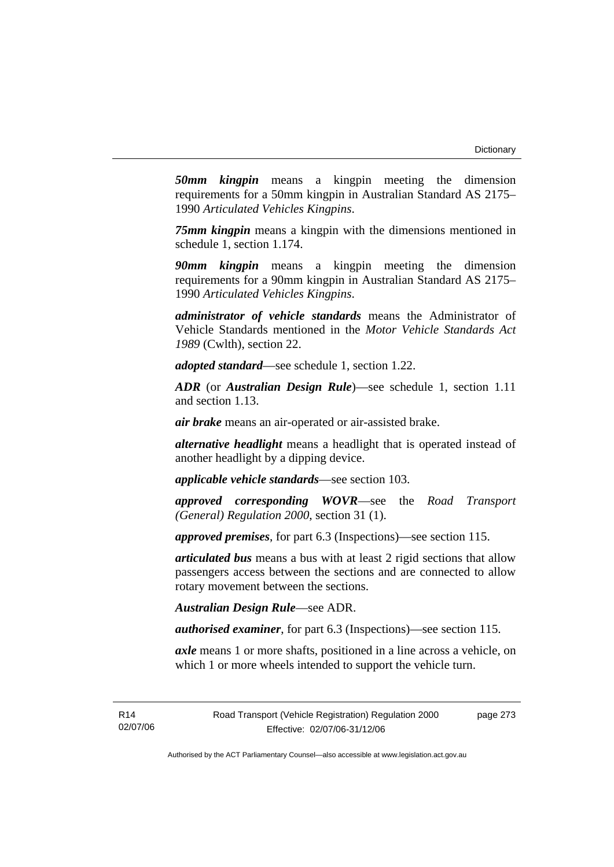*50mm kingpin* means a kingpin meeting the dimension requirements for a 50mm kingpin in Australian Standard AS 2175– 1990 *Articulated Vehicles Kingpins*.

*75mm kingpin* means a kingpin with the dimensions mentioned in schedule 1, section 1.174.

*90mm kingpin* means a kingpin meeting the dimension requirements for a 90mm kingpin in Australian Standard AS 2175– 1990 *Articulated Vehicles Kingpins*.

*administrator of vehicle standards* means the Administrator of Vehicle Standards mentioned in the *Motor Vehicle Standards Act 1989* (Cwlth), section 22.

*adopted standard*—see schedule 1, section 1.22.

*ADR* (or *Australian Design Rule*)—see schedule 1, section 1.11 and section 1.13.

*air brake* means an air-operated or air-assisted brake.

*alternative headlight* means a headlight that is operated instead of another headlight by a dipping device.

*applicable vehicle standards*—see section 103.

*approved corresponding WOVR*—see the *Road Transport (General) Regulation 2000*, section 31 (1).

*approved premises*, for part 6.3 (Inspections)—see section 115.

*articulated bus* means a bus with at least 2 rigid sections that allow passengers access between the sections and are connected to allow rotary movement between the sections.

*Australian Design Rule*—see ADR.

*authorised examiner*, for part 6.3 (Inspections)—see section 115.

*axle* means 1 or more shafts, positioned in a line across a vehicle, on which 1 or more wheels intended to support the vehicle turn.

page 273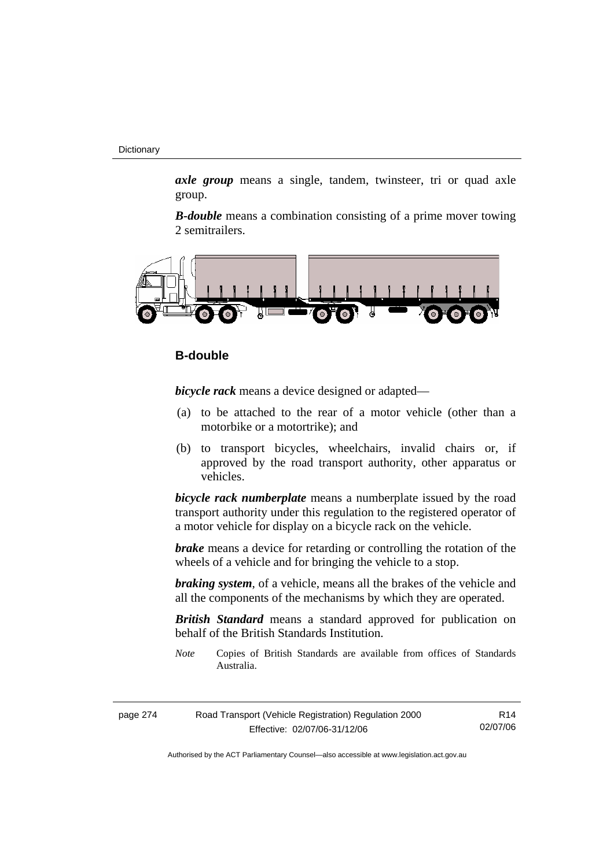*axle group* means a single, tandem, twinsteer, tri or quad axle group.

*B-double* means a combination consisting of a prime mover towing 2 semitrailers.



# **B-double**

*bicycle rack* means a device designed or adapted—

- (a) to be attached to the rear of a motor vehicle (other than a motorbike or a motortrike); and
- (b) to transport bicycles, wheelchairs, invalid chairs or, if approved by the road transport authority, other apparatus or vehicles.

*bicycle rack numberplate* means a numberplate issued by the road transport authority under this regulation to the registered operator of a motor vehicle for display on a bicycle rack on the vehicle.

*brake* means a device for retarding or controlling the rotation of the wheels of a vehicle and for bringing the vehicle to a stop.

*braking system*, of a vehicle, means all the brakes of the vehicle and all the components of the mechanisms by which they are operated.

*British Standard* means a standard approved for publication on behalf of the British Standards Institution.

*Note* Copies of British Standards are available from offices of Standards Australia.

| page 274 | Road Transport (Vehicle Registration) Regulation 2000 | R <sub>14</sub> |
|----------|-------------------------------------------------------|-----------------|
|          | Effective: 02/07/06-31/12/06                          | 02/07/06        |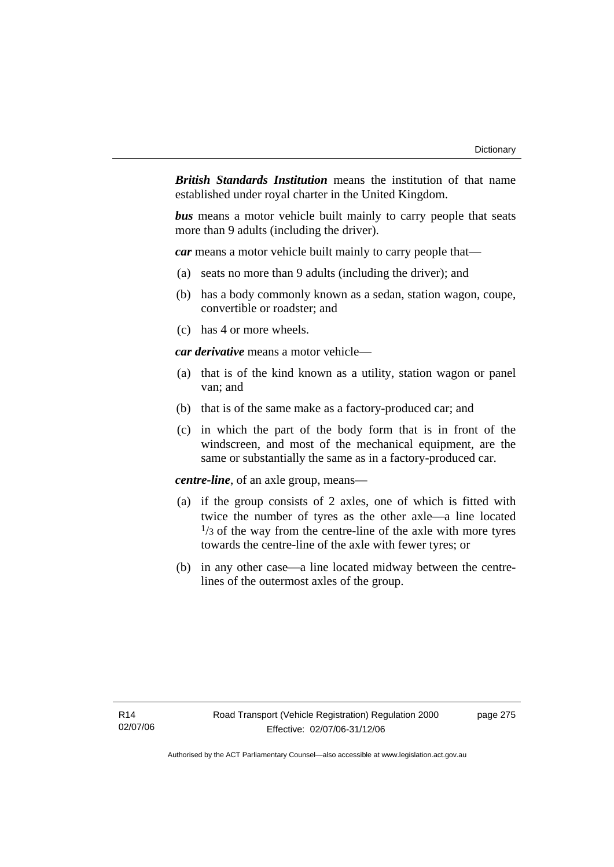*British Standards Institution* means the institution of that name established under royal charter in the United Kingdom.

*bus* means a motor vehicle built mainly to carry people that seats more than 9 adults (including the driver).

*car* means a motor vehicle built mainly to carry people that—

- (a) seats no more than 9 adults (including the driver); and
- (b) has a body commonly known as a sedan, station wagon, coupe, convertible or roadster; and
- (c) has 4 or more wheels.

*car derivative* means a motor vehicle—

- (a) that is of the kind known as a utility, station wagon or panel van; and
- (b) that is of the same make as a factory-produced car; and
- (c) in which the part of the body form that is in front of the windscreen, and most of the mechanical equipment, are the same or substantially the same as in a factory-produced car.

*centre-line*, of an axle group, means—

- (a) if the group consists of 2 axles, one of which is fitted with twice the number of tyres as the other axle—a line located  $\frac{1}{3}$  of the way from the centre-line of the axle with more tyres towards the centre-line of the axle with fewer tyres; or
- (b) in any other case—a line located midway between the centrelines of the outermost axles of the group.

page 275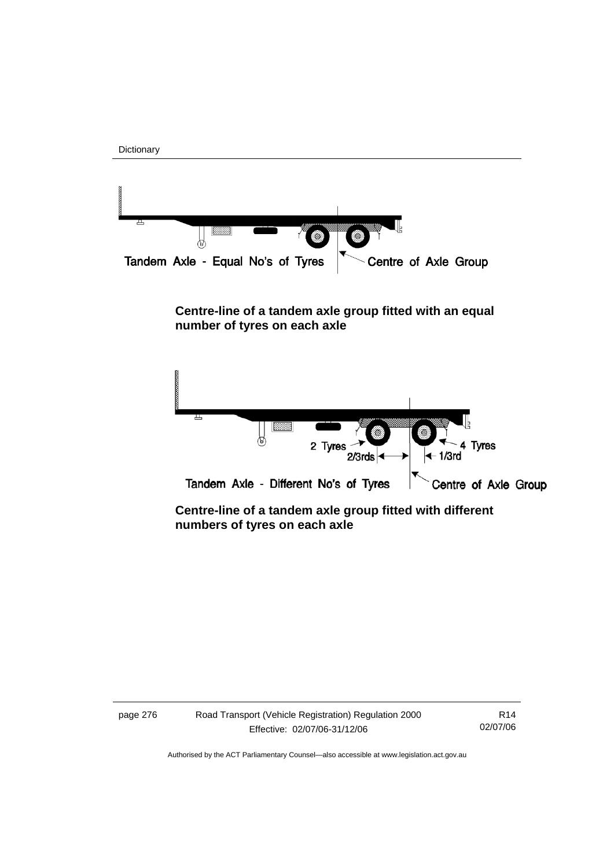



# **Centre-line of a tandem axle group fitted with an equal number of tyres on each axle**



 **Centre-line of a tandem axle group fitted with different numbers of tyres on each axle** 

| page 276 | Road Transport (Vehicle Registration) Regulation 2000 | R <sub>14</sub> |
|----------|-------------------------------------------------------|-----------------|
|          | Effective: 02/07/06-31/12/06                          | 02/07/06        |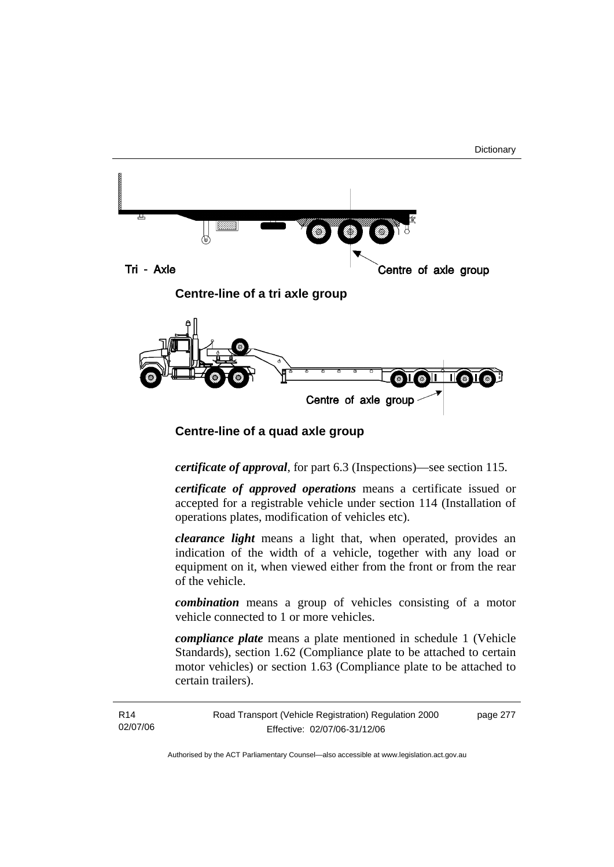page 277



# **Centre-line of a quad axle group**

# *certificate of approval*, for part 6.3 (Inspections)—see section 115.

*certificate of approved operations* means a certificate issued or accepted for a registrable vehicle under section 114 (Installation of operations plates, modification of vehicles etc).

*clearance light* means a light that, when operated, provides an indication of the width of a vehicle, together with any load or equipment on it, when viewed either from the front or from the rear of the vehicle.

*combination* means a group of vehicles consisting of a motor vehicle connected to 1 or more vehicles.

*compliance plate* means a plate mentioned in schedule 1 (Vehicle Standards), section 1.62 (Compliance plate to be attached to certain motor vehicles) or section 1.63 (Compliance plate to be attached to certain trailers).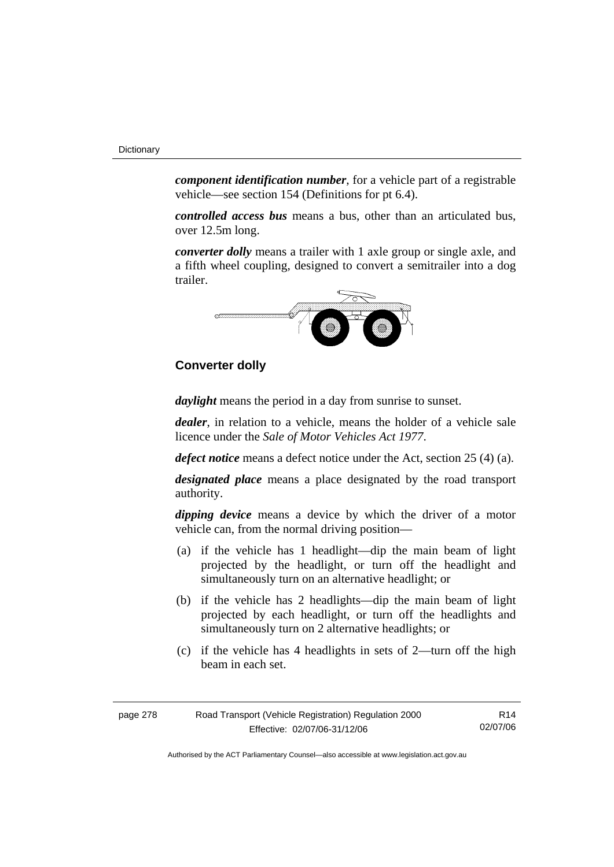*component identification number*, for a vehicle part of a registrable vehicle—see section 154 (Definitions for pt 6.4).

*controlled access bus* means a bus, other than an articulated bus, over 12.5m long.

*converter dolly* means a trailer with 1 axle group or single axle, and a fifth wheel coupling, designed to convert a semitrailer into a dog trailer.



# **Converter dolly**

*daylight* means the period in a day from sunrise to sunset.

*dealer*, in relation to a vehicle, means the holder of a vehicle sale licence under the *Sale of Motor Vehicles Act 1977*.

*defect notice* means a defect notice under the Act, section 25 (4) (a).

*designated place* means a place designated by the road transport authority.

*dipping device* means a device by which the driver of a motor vehicle can, from the normal driving position—

- (a) if the vehicle has 1 headlight—dip the main beam of light projected by the headlight, or turn off the headlight and simultaneously turn on an alternative headlight; or
- (b) if the vehicle has 2 headlights—dip the main beam of light projected by each headlight, or turn off the headlights and simultaneously turn on 2 alternative headlights; or
- (c) if the vehicle has 4 headlights in sets of 2—turn off the high beam in each set.

| page 278 | Road Transport (Vehicle Registration) Regulation 2000 | R14      |
|----------|-------------------------------------------------------|----------|
|          | Effective: 02/07/06-31/12/06                          | 02/07/06 |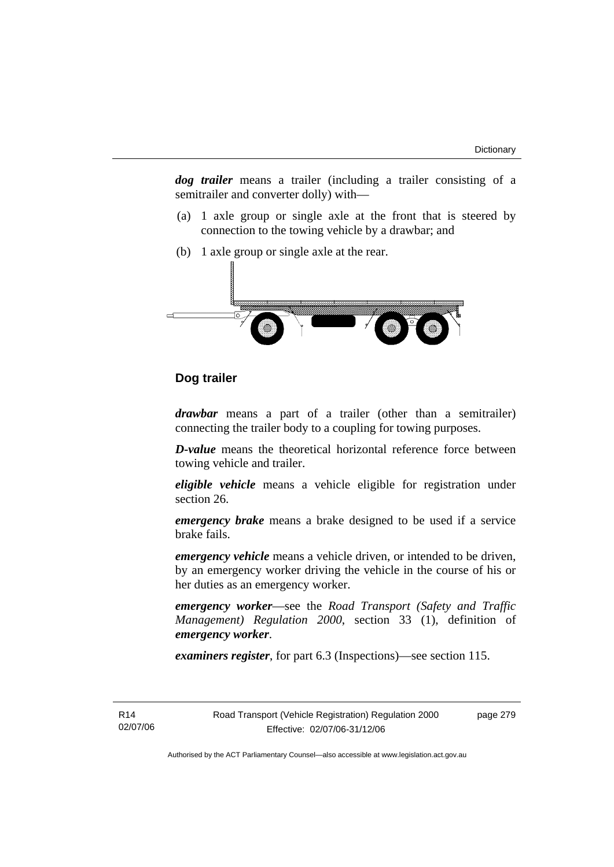*dog trailer* means a trailer (including a trailer consisting of a semitrailer and converter dolly) with—

- (a) 1 axle group or single axle at the front that is steered by connection to the towing vehicle by a drawbar; and
- (b) 1 axle group or single axle at the rear.



# **Dog trailer**

*drawbar* means a part of a trailer (other than a semitrailer) connecting the trailer body to a coupling for towing purposes.

*D-value* means the theoretical horizontal reference force between towing vehicle and trailer.

*eligible vehicle* means a vehicle eligible for registration under section 26.

*emergency brake* means a brake designed to be used if a service brake fails.

*emergency vehicle* means a vehicle driven, or intended to be driven, by an emergency worker driving the vehicle in the course of his or her duties as an emergency worker.

*emergency worker*—see the *Road Transport (Safety and Traffic Management) Regulation 2000*, section 33 (1), definition of *emergency worker*.

*examiners register*, for part 6.3 (Inspections)—see section 115.

R14 02/07/06 page 279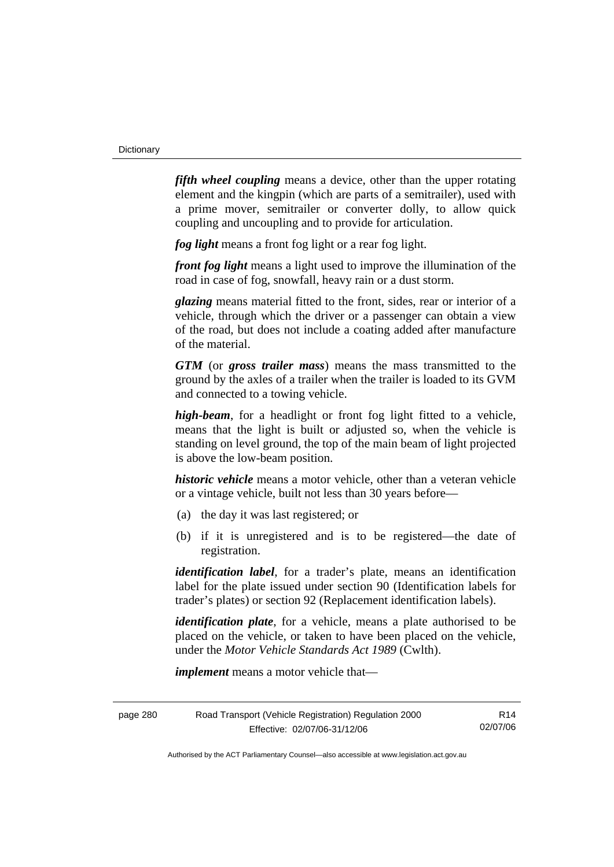*fifth wheel coupling* means a device, other than the upper rotating element and the kingpin (which are parts of a semitrailer), used with a prime mover, semitrailer or converter dolly, to allow quick coupling and uncoupling and to provide for articulation.

*fog light* means a front fog light or a rear fog light.

*front fog light* means a light used to improve the illumination of the road in case of fog, snowfall, heavy rain or a dust storm.

*glazing* means material fitted to the front, sides, rear or interior of a vehicle, through which the driver or a passenger can obtain a view of the road, but does not include a coating added after manufacture of the material.

*GTM* (or *gross trailer mass*) means the mass transmitted to the ground by the axles of a trailer when the trailer is loaded to its GVM and connected to a towing vehicle.

*high-beam*, for a headlight or front fog light fitted to a vehicle, means that the light is built or adjusted so, when the vehicle is standing on level ground, the top of the main beam of light projected is above the low-beam position.

*historic vehicle* means a motor vehicle, other than a veteran vehicle or a vintage vehicle, built not less than 30 years before—

- (a) the day it was last registered; or
- (b) if it is unregistered and is to be registered—the date of registration.

*identification label*, for a trader's plate, means an identification label for the plate issued under section 90 (Identification labels for trader's plates) or section 92 (Replacement identification labels).

*identification plate*, for a vehicle, means a plate authorised to be placed on the vehicle, or taken to have been placed on the vehicle, under the *Motor Vehicle Standards Act 1989* (Cwlth).

*implement* means a motor vehicle that—

| page 280 | Road Transport (Vehicle Registration) Regulation 2000 | R14      |
|----------|-------------------------------------------------------|----------|
|          | Effective: 02/07/06-31/12/06                          | 02/07/06 |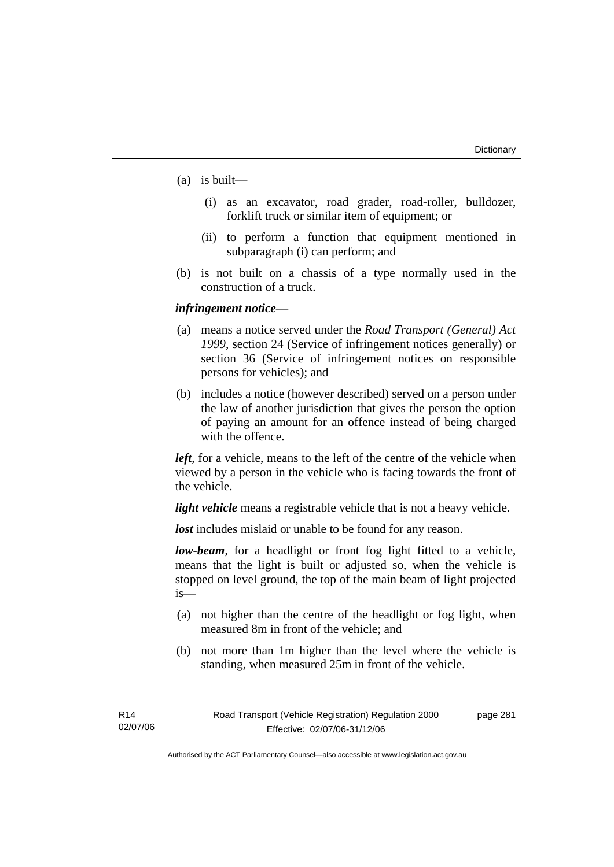- (a) is built—
	- (i) as an excavator, road grader, road-roller, bulldozer, forklift truck or similar item of equipment; or
	- (ii) to perform a function that equipment mentioned in subparagraph (i) can perform; and
- (b) is not built on a chassis of a type normally used in the construction of a truck.

# *infringement notice*—

- (a) means a notice served under the *Road Transport (General) Act 1999*, section 24 (Service of infringement notices generally) or section 36 (Service of infringement notices on responsible persons for vehicles); and
- (b) includes a notice (however described) served on a person under the law of another jurisdiction that gives the person the option of paying an amount for an offence instead of being charged with the offence.

*left*, for a vehicle, means to the left of the centre of the vehicle when viewed by a person in the vehicle who is facing towards the front of the vehicle.

*light vehicle* means a registrable vehicle that is not a heavy vehicle.

*lost* includes mislaid or unable to be found for any reason.

*low-beam*, for a headlight or front fog light fitted to a vehicle, means that the light is built or adjusted so, when the vehicle is stopped on level ground, the top of the main beam of light projected is—

- (a) not higher than the centre of the headlight or fog light, when measured 8m in front of the vehicle; and
- (b) not more than 1m higher than the level where the vehicle is standing, when measured 25m in front of the vehicle.

page 281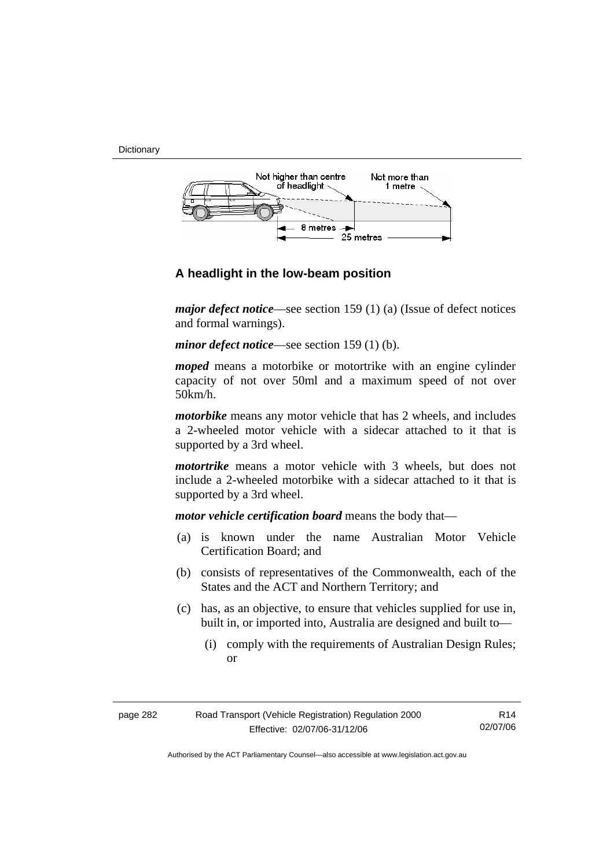**Dictionary** 



# **A headlight in the low-beam position**

*major defect notice*—see section 159 (1) (a) (Issue of defect notices and formal warnings).

*minor defect notice*—see section 159 (1) (b).

*moped* means a motorbike or motortrike with an engine cylinder capacity of not over 50ml and a maximum speed of not over 50km/h.

*motorbike* means any motor vehicle that has 2 wheels, and includes a 2-wheeled motor vehicle with a sidecar attached to it that is supported by a 3rd wheel.

*motortrike* means a motor vehicle with 3 wheels, but does not include a 2-wheeled motorbike with a sidecar attached to it that is supported by a 3rd wheel.

*motor vehicle certification board* means the body that—

- (a) is known under the name Australian Motor Vehicle Certification Board; and
- (b) consists of representatives of the Commonwealth, each of the States and the ACT and Northern Territory; and
- (c) has, as an objective, to ensure that vehicles supplied for use in, built in, or imported into, Australia are designed and built to—
	- (i) comply with the requirements of Australian Design Rules; or

| page 282 | Road Transport (Vehicle Registration) Regulation 2000 | R14      |
|----------|-------------------------------------------------------|----------|
|          | Effective: 02/07/06-31/12/06                          | 02/07/06 |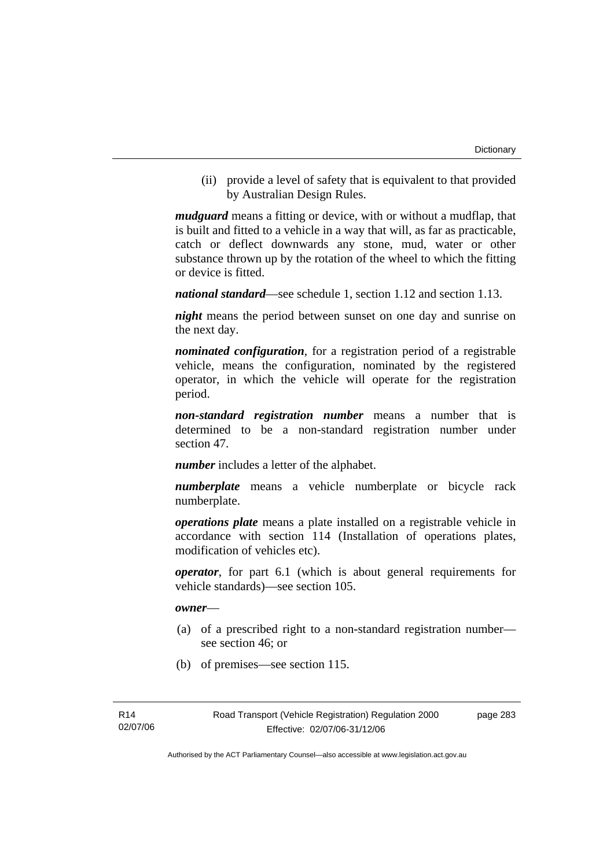(ii) provide a level of safety that is equivalent to that provided by Australian Design Rules.

*mudguard* means a fitting or device, with or without a mudflap, that is built and fitted to a vehicle in a way that will, as far as practicable, catch or deflect downwards any stone, mud, water or other substance thrown up by the rotation of the wheel to which the fitting or device is fitted.

*national standard*—see schedule 1, section 1.12 and section 1.13.

*night* means the period between sunset on one day and sunrise on the next day.

*nominated configuration*, for a registration period of a registrable vehicle, means the configuration, nominated by the registered operator, in which the vehicle will operate for the registration period.

*non-standard registration number* means a number that is determined to be a non-standard registration number under section 47.

*number* includes a letter of the alphabet.

*numberplate* means a vehicle numberplate or bicycle rack numberplate.

*operations plate* means a plate installed on a registrable vehicle in accordance with section 114 (Installation of operations plates, modification of vehicles etc).

*operator*, for part 6.1 (which is about general requirements for vehicle standards)—see section 105.

#### *owner*—

- (a) of a prescribed right to a non-standard registration number see section 46; or
- (b) of premises—see section 115.

page 283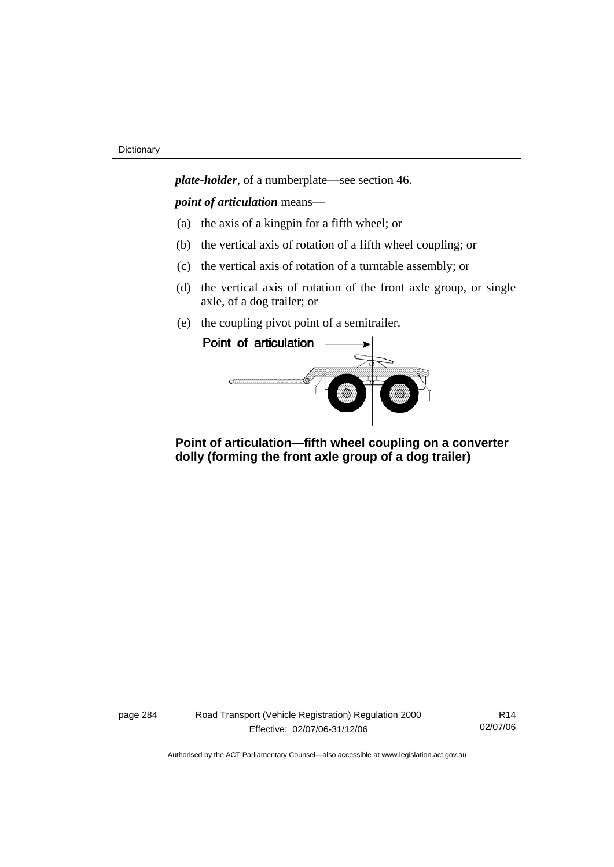*plate-holder*, of a numberplate—see section 46.

*point of articulation* means—

- (a) the axis of a kingpin for a fifth wheel; or
- (b) the vertical axis of rotation of a fifth wheel coupling; or
- (c) the vertical axis of rotation of a turntable assembly; or
- (d) the vertical axis of rotation of the front axle group, or single axle, of a dog trailer; or
- (e) the coupling pivot point of a semitrailer.



 **Point of articulation—fifth wheel coupling on a converter dolly (forming the front axle group of a dog trailer)** 

page 284 Road Transport (Vehicle Registration) Regulation 2000 Effective: 02/07/06-31/12/06

R14 02/07/06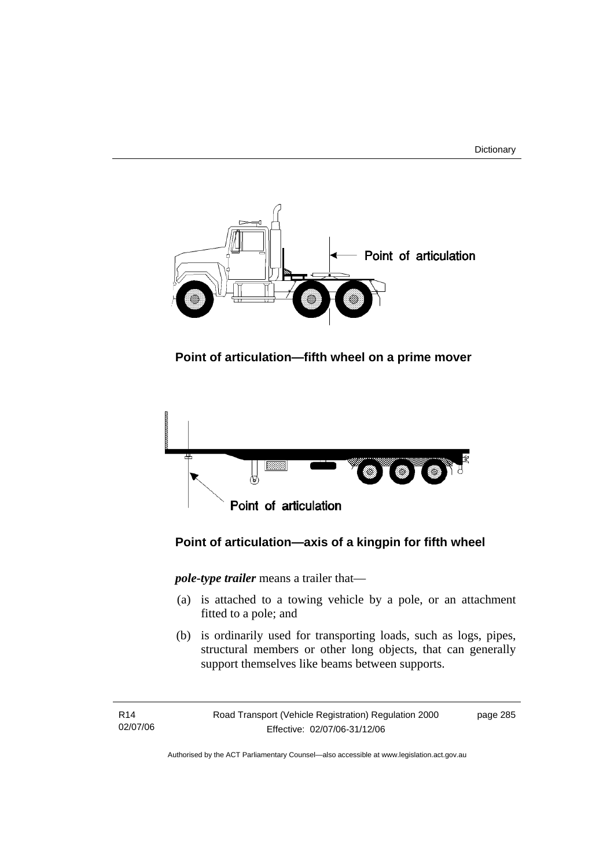



 **Point of articulation—fifth wheel on a prime mover** 



# **Point of articulation—axis of a kingpin for fifth wheel**

*pole-type trailer* means a trailer that—

- (a) is attached to a towing vehicle by a pole, or an attachment fitted to a pole; and
- (b) is ordinarily used for transporting loads, such as logs, pipes, structural members or other long objects, that can generally support themselves like beams between supports.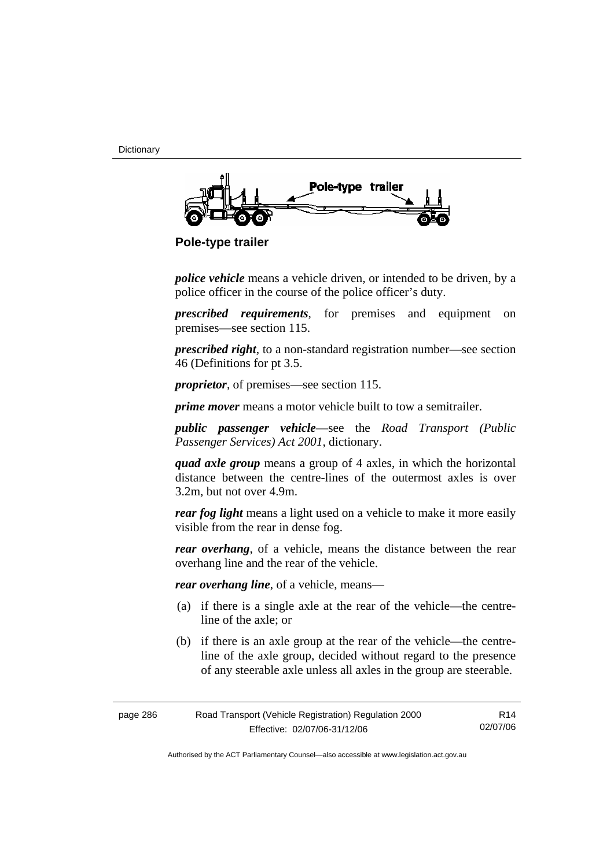**Dictionary** 



 **Pole-type trailer** 

*police vehicle* means a vehicle driven, or intended to be driven, by a police officer in the course of the police officer's duty.

*prescribed requirements*, for premises and equipment on premises—see section 115.

*prescribed right*, to a non-standard registration number—see section 46 (Definitions for pt 3.5.

*proprietor*, of premises—see section 115.

*prime mover* means a motor vehicle built to tow a semitrailer.

*public passenger vehicle*—see the *Road Transport (Public Passenger Services) Act 2001*, dictionary.

*quad axle group* means a group of 4 axles, in which the horizontal distance between the centre-lines of the outermost axles is over 3.2m, but not over 4.9m.

*rear fog light* means a light used on a vehicle to make it more easily visible from the rear in dense fog.

*rear overhang*, of a vehicle, means the distance between the rear overhang line and the rear of the vehicle.

*rear overhang line*, of a vehicle, means—

- (a) if there is a single axle at the rear of the vehicle—the centreline of the axle; or
- (b) if there is an axle group at the rear of the vehicle—the centreline of the axle group, decided without regard to the presence of any steerable axle unless all axles in the group are steerable.

| page 286 | Road Transport (Vehicle Registration) Regulation 2000 | R14      |
|----------|-------------------------------------------------------|----------|
|          | Effective: 02/07/06-31/12/06                          | 02/07/06 |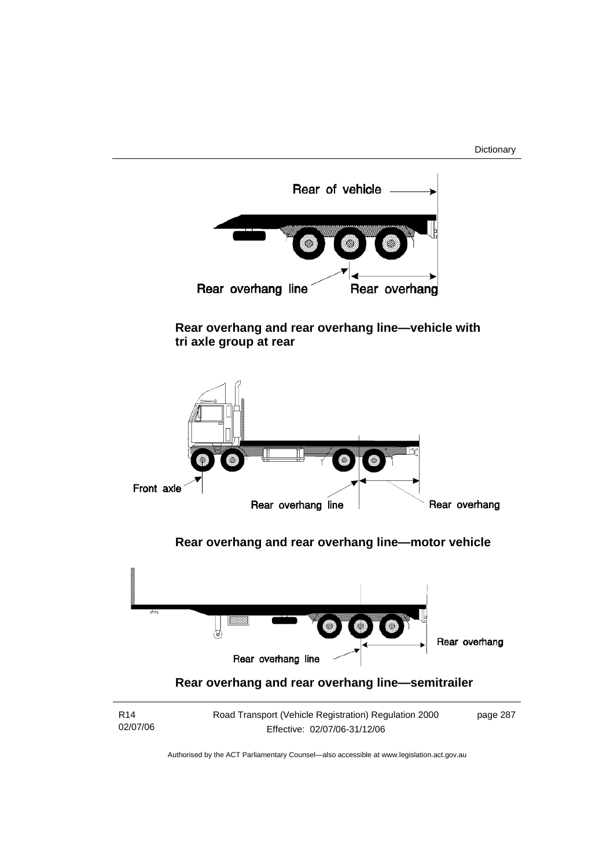

 **Rear overhang and rear overhang line—vehicle with tri axle group at rear** 



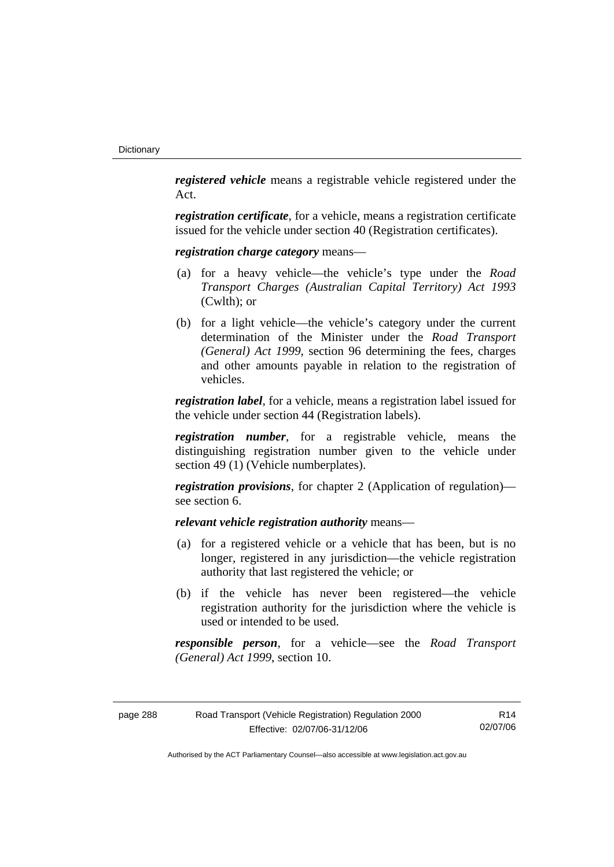*registered vehicle* means a registrable vehicle registered under the Act.

*registration certificate*, for a vehicle, means a registration certificate issued for the vehicle under section 40 (Registration certificates).

*registration charge category* means—

- (a) for a heavy vehicle—the vehicle's type under the *Road Transport Charges (Australian Capital Territory) Act 1993*  (Cwlth); or
- (b) for a light vehicle—the vehicle's category under the current determination of the Minister under the *Road Transport (General) Act 1999*, section 96 determining the fees, charges and other amounts payable in relation to the registration of vehicles.

*registration label*, for a vehicle, means a registration label issued for the vehicle under section 44 (Registration labels).

*registration number*, for a registrable vehicle, means the distinguishing registration number given to the vehicle under section 49 (1) (Vehicle numberplates).

*registration provisions*, for chapter 2 (Application of regulation) see section 6.

*relevant vehicle registration authority* means—

- (a) for a registered vehicle or a vehicle that has been, but is no longer, registered in any jurisdiction—the vehicle registration authority that last registered the vehicle; or
- (b) if the vehicle has never been registered—the vehicle registration authority for the jurisdiction where the vehicle is used or intended to be used.

*responsible person*, for a vehicle—see the *Road Transport (General) Act 1999*, section 10.

| page 288 | Road Transport (Vehicle Registration) Regulation 2000 | R14      |
|----------|-------------------------------------------------------|----------|
|          | Effective: 02/07/06-31/12/06                          | 02/07/06 |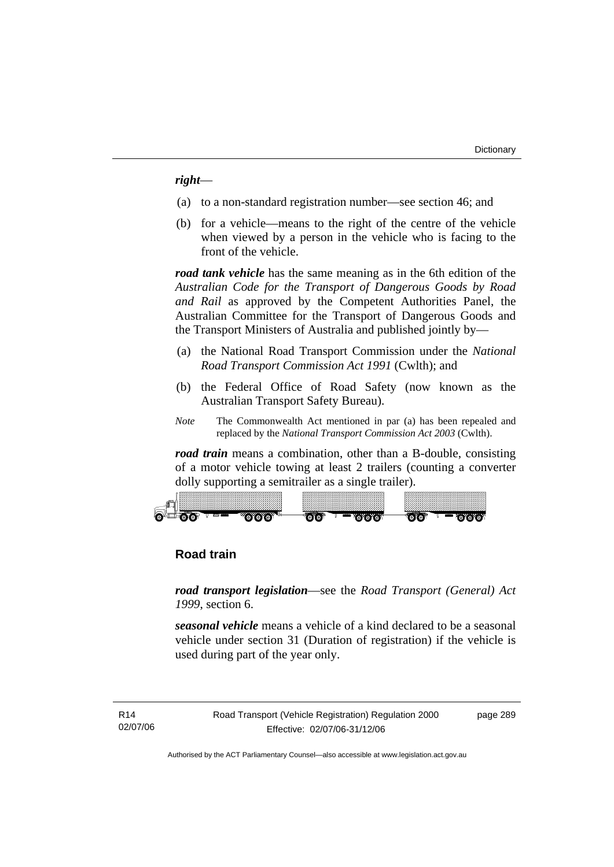# *right*—

- (a) to a non-standard registration number—see section 46; and
- (b) for a vehicle—means to the right of the centre of the vehicle when viewed by a person in the vehicle who is facing to the front of the vehicle.

*road tank vehicle* has the same meaning as in the 6th edition of the *Australian Code for the Transport of Dangerous Goods by Road and Rail* as approved by the Competent Authorities Panel, the Australian Committee for the Transport of Dangerous Goods and the Transport Ministers of Australia and published jointly by—

- (a) the National Road Transport Commission under the *National Road Transport Commission Act 1991* (Cwlth); and
- (b) the Federal Office of Road Safety (now known as the Australian Transport Safety Bureau).
- *Note* The Commonwealth Act mentioned in par (a) has been repealed and replaced by the *National Transport Commission Act 2003* (Cwlth).

*road train* means a combination, other than a B-double, consisting of a motor vehicle towing at least 2 trailers (counting a converter dolly supporting a semitrailer as a single trailer).



# **Road train**

*road transport legislation*—see the *Road Transport (General) Act 1999*, section 6.

*seasonal vehicle* means a vehicle of a kind declared to be a seasonal vehicle under section 31 (Duration of registration) if the vehicle is used during part of the year only.

R14 02/07/06 Road Transport (Vehicle Registration) Regulation 2000 Effective: 02/07/06-31/12/06

page 289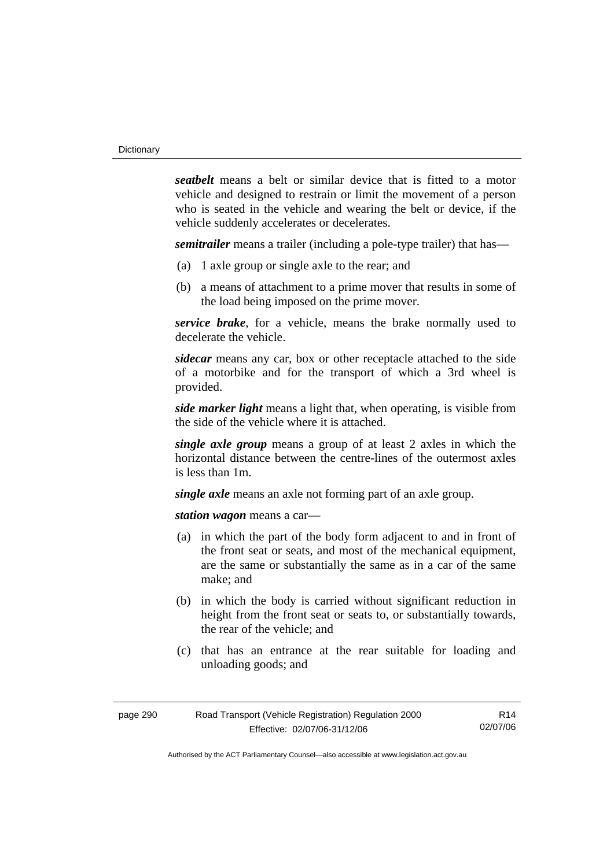*seatbelt* means a belt or similar device that is fitted to a motor vehicle and designed to restrain or limit the movement of a person who is seated in the vehicle and wearing the belt or device, if the vehicle suddenly accelerates or decelerates.

*semitrailer* means a trailer (including a pole-type trailer) that has—

- (a) 1 axle group or single axle to the rear; and
- (b) a means of attachment to a prime mover that results in some of the load being imposed on the prime mover.

*service brake*, for a vehicle, means the brake normally used to decelerate the vehicle.

*sidecar* means any car, box or other receptacle attached to the side of a motorbike and for the transport of which a 3rd wheel is provided.

*side marker light* means a light that, when operating, is visible from the side of the vehicle where it is attached.

*single axle group* means a group of at least 2 axles in which the horizontal distance between the centre-lines of the outermost axles is less than 1m.

*single axle* means an axle not forming part of an axle group.

*station wagon* means a car—

- (a) in which the part of the body form adjacent to and in front of the front seat or seats, and most of the mechanical equipment, are the same or substantially the same as in a car of the same make; and
- (b) in which the body is carried without significant reduction in height from the front seat or seats to, or substantially towards, the rear of the vehicle; and
- (c) that has an entrance at the rear suitable for loading and unloading goods; and

| page 290 | Road Transport (Vehicle Registration) Regulation 2000 | R <sub>14</sub> |
|----------|-------------------------------------------------------|-----------------|
|          | Effective: 02/07/06-31/12/06                          | 02/07/06        |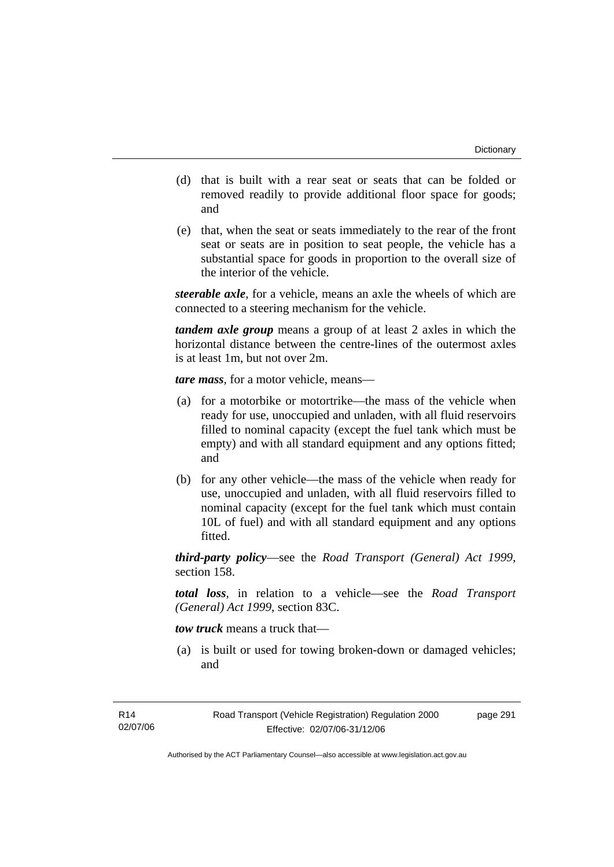- (d) that is built with a rear seat or seats that can be folded or removed readily to provide additional floor space for goods; and
- (e) that, when the seat or seats immediately to the rear of the front seat or seats are in position to seat people, the vehicle has a substantial space for goods in proportion to the overall size of the interior of the vehicle.

*steerable axle*, for a vehicle, means an axle the wheels of which are connected to a steering mechanism for the vehicle.

*tandem axle group* means a group of at least 2 axles in which the horizontal distance between the centre-lines of the outermost axles is at least 1m, but not over 2m.

*tare mass*, for a motor vehicle, means—

- (a) for a motorbike or motortrike—the mass of the vehicle when ready for use, unoccupied and unladen, with all fluid reservoirs filled to nominal capacity (except the fuel tank which must be empty) and with all standard equipment and any options fitted; and
- (b) for any other vehicle—the mass of the vehicle when ready for use, unoccupied and unladen, with all fluid reservoirs filled to nominal capacity (except for the fuel tank which must contain 10L of fuel) and with all standard equipment and any options fitted.

*third-party policy*—see the *Road Transport (General) Act 1999*, section 158.

*total loss*, in relation to a vehicle—see the *Road Transport (General) Act 1999*, section 83C.

*tow truck* means a truck that—

 (a) is built or used for towing broken-down or damaged vehicles; and

page 291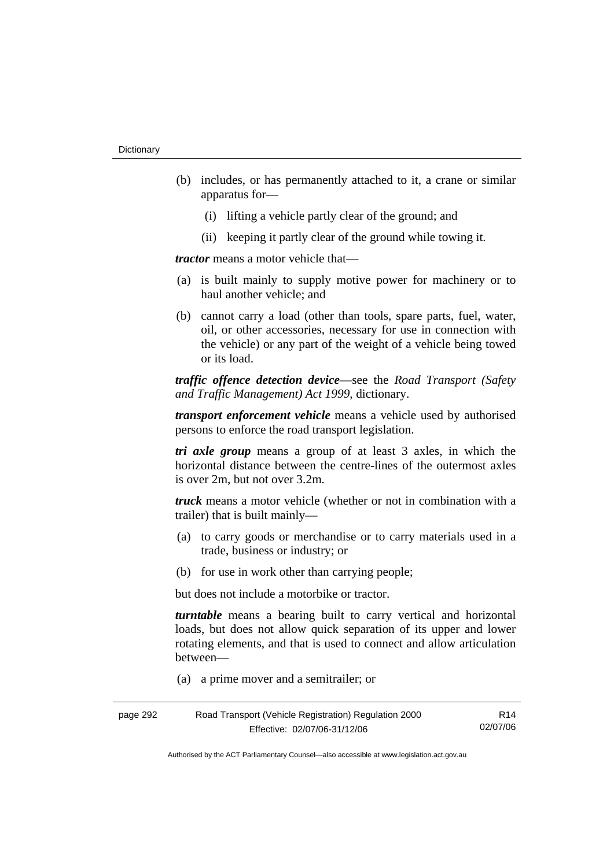- (b) includes, or has permanently attached to it, a crane or similar apparatus for—
	- (i) lifting a vehicle partly clear of the ground; and
	- (ii) keeping it partly clear of the ground while towing it.

*tractor* means a motor vehicle that—

- (a) is built mainly to supply motive power for machinery or to haul another vehicle; and
- (b) cannot carry a load (other than tools, spare parts, fuel, water, oil, or other accessories, necessary for use in connection with the vehicle) or any part of the weight of a vehicle being towed or its load.

*traffic offence detection device*—see the *Road Transport (Safety and Traffic Management) Act 1999*, dictionary.

*transport enforcement vehicle* means a vehicle used by authorised persons to enforce the road transport legislation.

*tri axle group* means a group of at least 3 axles, in which the horizontal distance between the centre-lines of the outermost axles is over 2m, but not over 3.2m.

*truck* means a motor vehicle (whether or not in combination with a trailer) that is built mainly—

- (a) to carry goods or merchandise or to carry materials used in a trade, business or industry; or
- (b) for use in work other than carrying people;

but does not include a motorbike or tractor.

*turntable* means a bearing built to carry vertical and horizontal loads, but does not allow quick separation of its upper and lower rotating elements, and that is used to connect and allow articulation between—

(a) a prime mover and a semitrailer; or

| page 292 | Road Transport (Vehicle Registration) Regulation 2000 | R14      |
|----------|-------------------------------------------------------|----------|
|          | Effective: 02/07/06-31/12/06                          | 02/07/06 |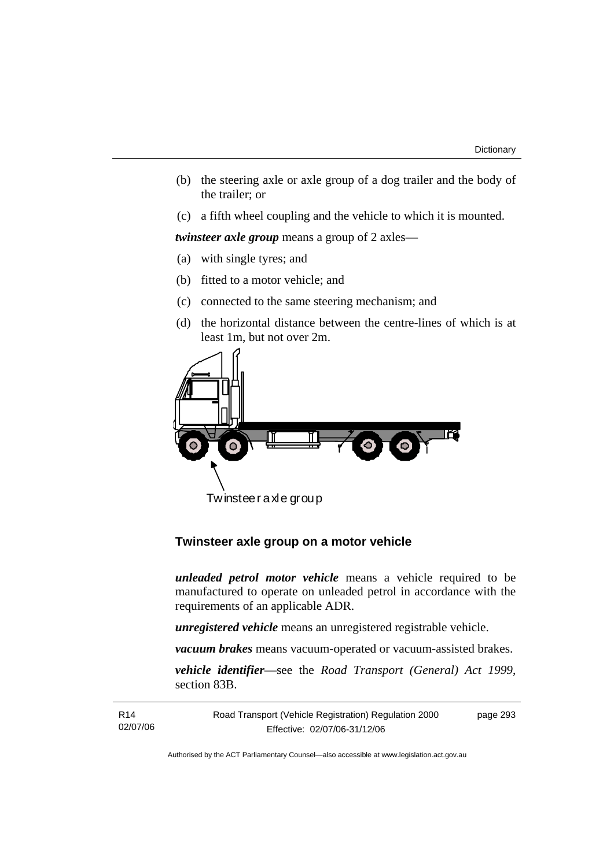- (b) the steering axle or axle group of a dog trailer and the body of the trailer; or
- (c) a fifth wheel coupling and the vehicle to which it is mounted.

*twinsteer axle group* means a group of 2 axles—

- (a) with single tyres; and
- (b) fitted to a motor vehicle; and
- (c) connected to the same steering mechanism; and
- (d) the horizontal distance between the centre-lines of which is at least 1m, but not over 2m.



Twinsteer axle group

# **Twinsteer axle group on a motor vehicle**

*unleaded petrol motor vehicle* means a vehicle required to be manufactured to operate on unleaded petrol in accordance with the requirements of an applicable ADR.

*unregistered vehicle* means an unregistered registrable vehicle.

*vacuum brakes* means vacuum-operated or vacuum-assisted brakes.

*vehicle identifier*—see the *Road Transport (General) Act 1999*, section 83B.

R14 02/07/06 Road Transport (Vehicle Registration) Regulation 2000 Effective: 02/07/06-31/12/06 page 293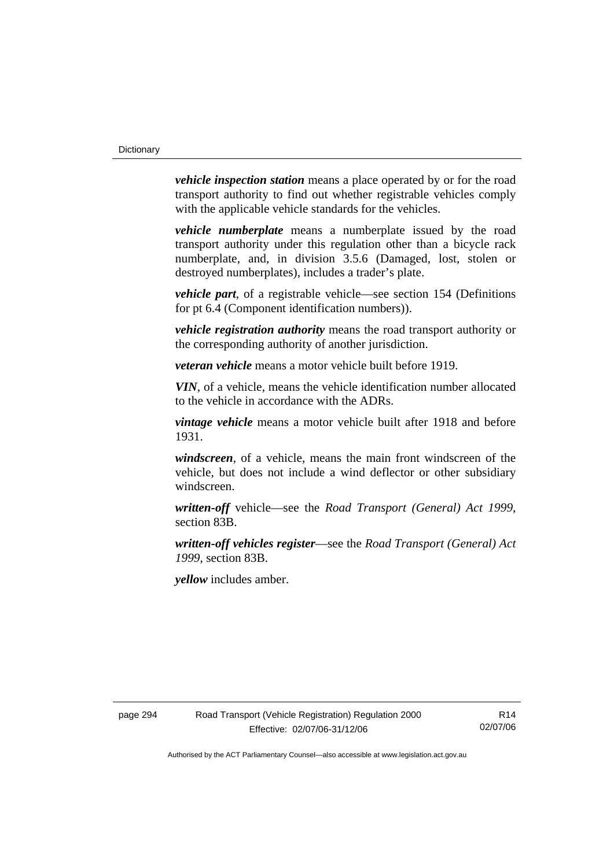*vehicle inspection station* means a place operated by or for the road transport authority to find out whether registrable vehicles comply with the applicable vehicle standards for the vehicles.

*vehicle numberplate* means a numberplate issued by the road transport authority under this regulation other than a bicycle rack numberplate, and, in division 3.5.6 (Damaged, lost, stolen or destroyed numberplates), includes a trader's plate.

*vehicle part*, of a registrable vehicle—see section 154 (Definitions for pt 6.4 (Component identification numbers)).

*vehicle registration authority* means the road transport authority or the corresponding authority of another jurisdiction.

*veteran vehicle* means a motor vehicle built before 1919.

*VIN*, of a vehicle, means the vehicle identification number allocated to the vehicle in accordance with the ADRs.

*vintage vehicle* means a motor vehicle built after 1918 and before 1931.

*windscreen*, of a vehicle, means the main front windscreen of the vehicle, but does not include a wind deflector or other subsidiary windscreen.

*written-off* vehicle—see the *Road Transport (General) Act 1999*, section 83B.

*written-off vehicles register*—see the *Road Transport (General) Act 1999*, section 83B.

*yellow* includes amber.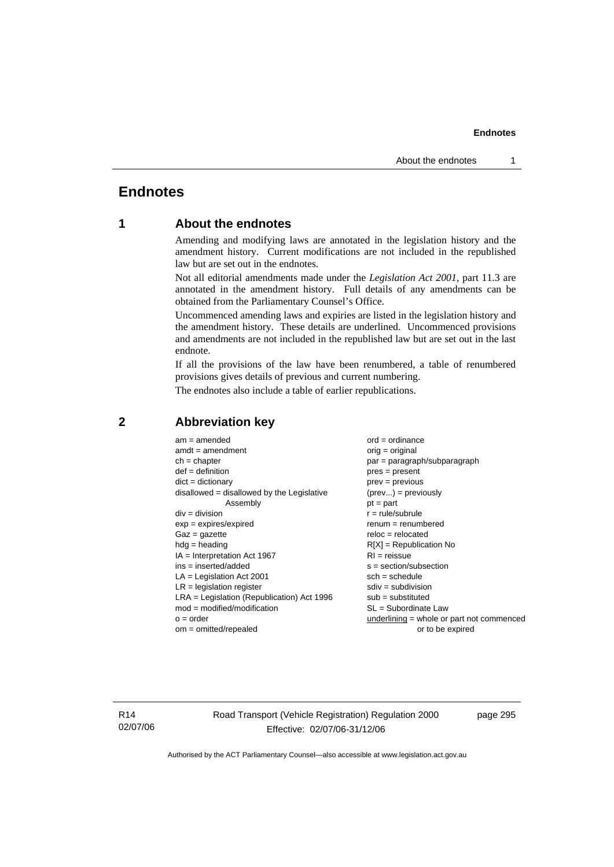# **Endnotes**

# **1 About the endnotes**

Amending and modifying laws are annotated in the legislation history and the amendment history. Current modifications are not included in the republished law but are set out in the endnotes.

Not all editorial amendments made under the *Legislation Act 2001*, part 11.3 are annotated in the amendment history. Full details of any amendments can be obtained from the Parliamentary Counsel's Office.

Uncommenced amending laws and expiries are listed in the legislation history and the amendment history. These details are underlined. Uncommenced provisions and amendments are not included in the republished law but are set out in the last endnote.

If all the provisions of the law have been renumbered, a table of renumbered provisions gives details of previous and current numbering.

The endnotes also include a table of earlier republications.

| $am = amended$                               | $ord = ordinance$                         |
|----------------------------------------------|-------------------------------------------|
| $amdt = amendment$                           | $orig = original$                         |
| $ch = chapter$                               | par = paragraph/subparagraph              |
| $def = definition$                           | $pres = present$                          |
| $dict = dictionary$                          | $prev = previous$                         |
| $disallowed = disallowed by the Legislative$ | $(\text{prev}) = \text{previously}$       |
| Assembly                                     | $pt = part$                               |
| $div = division$                             | $r = rule/subrule$                        |
| $exp = expires/expired$                      | $renum = renumbered$                      |
| $Gaz = qazette$                              | $reloc = relocated$                       |
| $hdg =$ heading                              | $R[X]$ = Republication No                 |
| $IA = Interpretation Act 1967$               | $RI = reissue$                            |
| $ins = inserted/added$                       | $s = section/subsection$                  |
| $LA =$ Legislation Act 2001                  | $sch = schedule$                          |
| $LR =$ legislation register                  | $sdiv = subdivision$                      |
| $LRA =$ Legislation (Republication) Act 1996 | $sub = substituted$                       |
| $mod = modified/modification$                | $SL = Subordinate$ Law                    |
| $o = order$                                  | underlining = whole or part not commenced |
| $om = omitted/repealed$                      | or to be expired                          |

### **2 Abbreviation key**

R14 02/07/06 Road Transport (Vehicle Registration) Regulation 2000 Effective: 02/07/06-31/12/06

page 295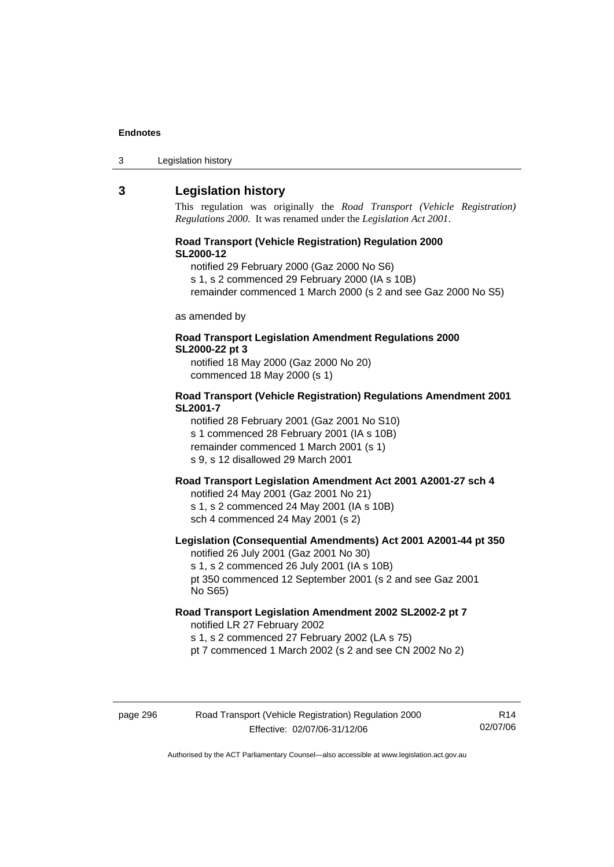| Legislation history<br>3 |
|--------------------------|
|--------------------------|

### **3 Legislation history**

This regulation was originally the *Road Transport (Vehicle Registration) Regulations 2000*. It was renamed under the *Legislation Act 2001*.

#### **Road Transport (Vehicle Registration) Regulation 2000 SL2000-12**

notified 29 February 2000 (Gaz 2000 No S6)

s 1, s 2 commenced 29 February 2000 (IA s 10B)

remainder commenced 1 March 2000 (s 2 and see Gaz 2000 No S5)

as amended by

#### **Road Transport Legislation Amendment Regulations 2000 SL2000-22 pt 3**

notified 18 May 2000 (Gaz 2000 No 20) commenced 18 May 2000 (s 1)

#### **Road Transport (Vehicle Registration) Regulations Amendment 2001 SL2001-7**

notified 28 February 2001 (Gaz 2001 No S10) s 1 commenced 28 February 2001 (IA s 10B) remainder commenced 1 March 2001 (s 1) s 9, s 12 disallowed 29 March 2001

# **Road Transport Legislation Amendment Act 2001 A2001-27 sch 4**

notified 24 May 2001 (Gaz 2001 No 21) s 1, s 2 commenced 24 May 2001 (IA s 10B) sch 4 commenced 24 May 2001 (s 2)

#### **Legislation (Consequential Amendments) Act 2001 A2001-44 pt 350**  notified 26 July 2001 (Gaz 2001 No 30)

s 1, s 2 commenced 26 July 2001 (IA s 10B) pt 350 commenced 12 September 2001 (s 2 and see Gaz 2001 No S65)

#### **Road Transport Legislation Amendment 2002 SL2002-2 pt 7**

notified LR 27 February 2002 s 1, s 2 commenced 27 February 2002 (LA s 75) pt 7 commenced 1 March 2002 (s 2 and see CN 2002 No 2)

# page 296 Road Transport (Vehicle Registration) Regulation 2000 Effective: 02/07/06-31/12/06

R14 02/07/06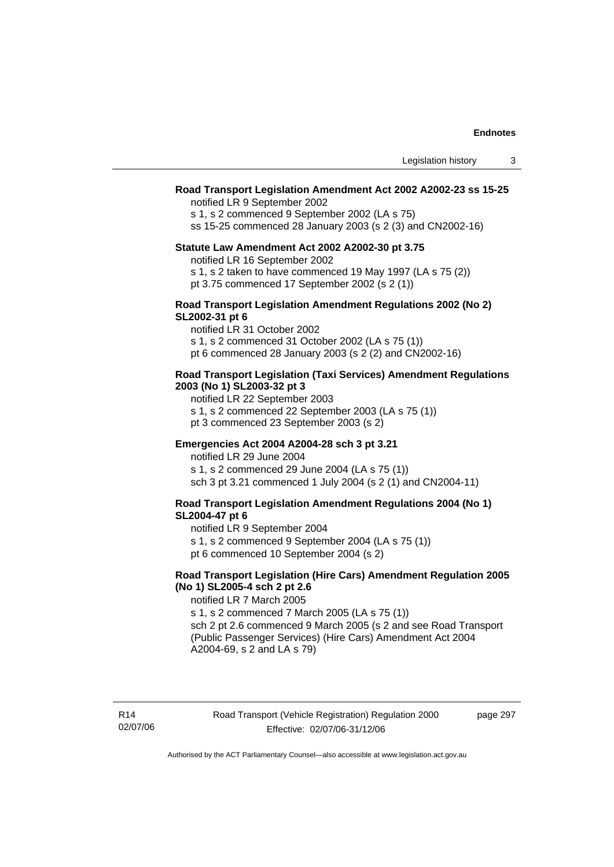#### **Road Transport Legislation Amendment Act 2002 A2002-23 ss 15-25**

notified LR 9 September 2002

s 1, s 2 commenced 9 September 2002 (LA s 75)

ss 15-25 commenced 28 January 2003 (s 2 (3) and CN2002-16)

#### **Statute Law Amendment Act 2002 A2002-30 pt 3.75**

notified LR 16 September 2002

s 1, s 2 taken to have commenced 19 May 1997 (LA s 75 (2))

pt 3.75 commenced 17 September 2002 (s 2 (1))

#### **Road Transport Legislation Amendment Regulations 2002 (No 2) SL2002-31 pt 6**

notified LR 31 October 2002

s 1, s 2 commenced 31 October 2002 (LA s 75 (1))

pt 6 commenced 28 January 2003 (s 2 (2) and CN2002-16)

#### **Road Transport Legislation (Taxi Services) Amendment Regulations 2003 (No 1) SL2003-32 pt 3**

notified LR 22 September 2003

- s 1, s 2 commenced 22 September 2003 (LA s 75 (1))
- pt 3 commenced 23 September 2003 (s 2)

#### **Emergencies Act 2004 A2004-28 sch 3 pt 3.21**

notified LR 29 June 2004 s 1, s 2 commenced 29 June 2004 (LA s 75 (1)) sch 3 pt 3.21 commenced 1 July 2004 (s 2 (1) and CN2004-11)

#### **Road Transport Legislation Amendment Regulations 2004 (No 1) SL2004-47 pt 6**

notified LR 9 September 2004

s 1, s 2 commenced 9 September 2004 (LA s 75 (1)) pt 6 commenced 10 September 2004 (s 2)

#### **Road Transport Legislation (Hire Cars) Amendment Regulation 2005 (No 1) SL2005-4 sch 2 pt 2.6**

notified LR 7 March 2005

s 1, s 2 commenced 7 March 2005 (LA s 75 (1)) sch 2 pt 2.6 commenced 9 March 2005 (s 2 and see Road Transport (Public Passenger Services) (Hire Cars) Amendment Act 2004 A2004-69, s 2 and LA s 79)

page 297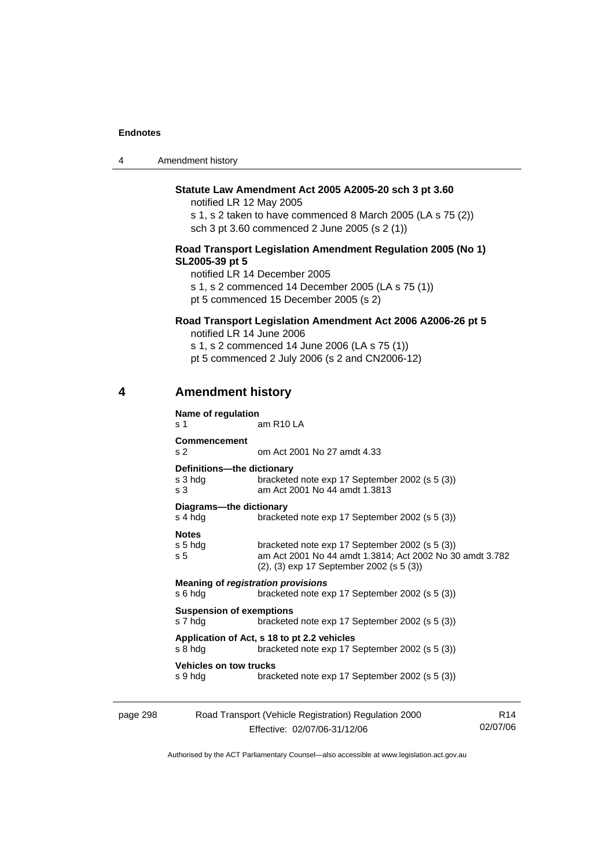| $\boldsymbol{\Lambda}$ | Amendment history |
|------------------------|-------------------|
|------------------------|-------------------|

### **Statute Law Amendment Act 2005 A2005-20 sch 3 pt 3.60**

notified LR 12 May 2005

s 1, s 2 taken to have commenced 8 March 2005 (LA s 75 (2)) sch 3 pt 3.60 commenced 2 June 2005 (s 2 (1))

#### **Road Transport Legislation Amendment Regulation 2005 (No 1) SL2005-39 pt 5**

notified LR 14 December 2005 s 1, s 2 commenced 14 December 2005 (LA s 75 (1))

pt 5 commenced 15 December 2005 (s 2)

### **Road Transport Legislation Amendment Act 2006 A2006-26 pt 5**

notified LR 14 June 2006

s 1, s 2 commenced 14 June 2006 (LA s 75 (1))

pt 5 commenced 2 July 2006 (s 2 and CN2006-12)

# **4 Amendment history**

| s 1                                                       | Name of regulation<br>am R <sub>10</sub> LA                                                                                                            |
|-----------------------------------------------------------|--------------------------------------------------------------------------------------------------------------------------------------------------------|
| <b>Commencement</b><br>s <sub>2</sub>                     | om Act 2001 No 27 amdt 4.33                                                                                                                            |
| Definitions---the dictionary<br>s 3 hdg<br>s <sub>3</sub> | bracketed note exp 17 September 2002 (s 5 (3))<br>am Act 2001 No 44 amdt 1.3813                                                                        |
| Diagrams---the dictionary<br>s 4 hdg                      | bracketed note exp 17 September 2002 (s 5 (3))                                                                                                         |
| <b>Notes</b><br>s 5 hdg<br>s <sub>5</sub>                 | bracketed note exp 17 September 2002 (s 5 (3))<br>am Act 2001 No 44 amdt 1.3814; Act 2002 No 30 amdt 3.782<br>(2), (3) exp 17 September 2002 (s 5 (3)) |
| s 6 hda                                                   | <b>Meaning of registration provisions</b><br>bracketed note exp 17 September 2002 (s 5 (3))                                                            |
| <b>Suspension of exemptions</b><br>s 7 hdg                | bracketed note exp 17 September 2002 (s 5 (3))                                                                                                         |
| s 8 hdg                                                   | Application of Act, s 18 to pt 2.2 vehicles<br>bracketed note exp 17 September 2002 (s 5 (3))                                                          |
| <b>Vehicles on tow trucks</b><br>s 9 hda                  | bracketed note exp 17 September 2002 (s 5 (3))                                                                                                         |

| page 298 | R14                          |          |
|----------|------------------------------|----------|
|          | Effective: 02/07/06-31/12/06 | 02/07/06 |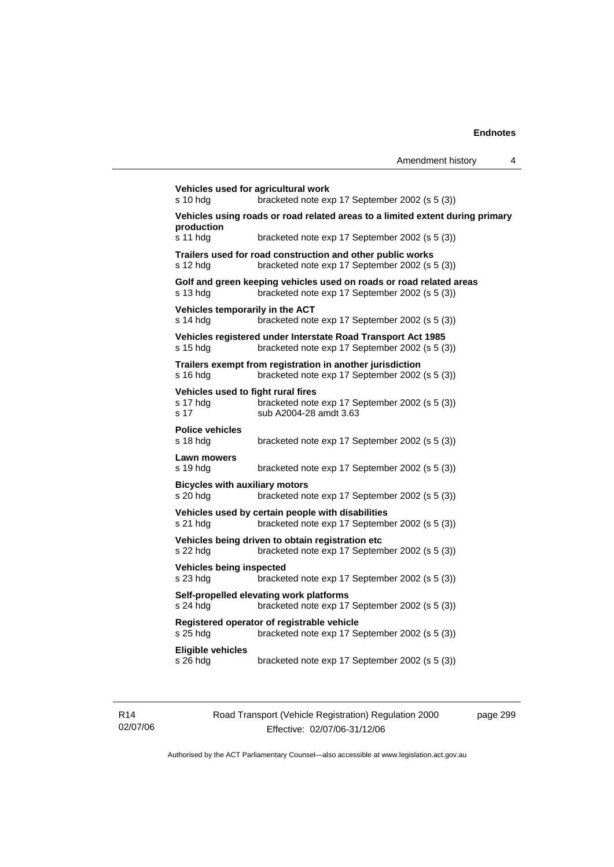```
Vehicles used for agricultural work 
s 10 hdg bracketed note exp 17 September 2002 (s 5 (3)) 
Vehicles using roads or road related areas to a limited extent during primary 
production 
s 11 hdg bracketed note exp 17 September 2002 (s 5 (3)) 
Trailers used for road construction and other public works 
s 12 hdg bracketed note exp 17 September 2002 (s 5 (3)) 
Golf and green keeping vehicles used on roads or road related areas 
s 13 hdg bracketed note exp 17 September 2002 (s 5 (3)) 
Vehicles temporarily in the ACT 
s 14 hdg bracketed note exp 17 September 2002 (s 5 (3)) 
Vehicles registered under Interstate Road Transport Act 1985 
s 15 hdg bracketed note exp 17 September 2002 (s 5 (3)) 
Trailers exempt from registration in another jurisdiction 
s 16 hdg bracketed note exp 17 September 2002 (s 5 (3)) 
Vehicles used to fight rural fires 
                 bracketed note exp 17 September 2002 (s 5 (3))
s 17 sub A2004-28 amdt 3.63 
Police vehicles 
s 18 hdg bracketed note exp 17 September 2002 (s 5 (3)) 
Lawn mowers 
s 19 hdg bracketed note exp 17 September 2002 (s 5 (3)) 
Bicycles with auxiliary motors 
s 20 hdg bracketed note exp 17 September 2002 (s 5 (3)) 
Vehicles used by certain people with disabilities 
s 21 hdg bracketed note exp 17 September 2002 (s 5 (3)) 
Vehicles being driven to obtain registration etc 
s 22 hdg bracketed note exp 17 September 2002 (s 5 (3)) 
Vehicles being inspected 
s 23 hdg bracketed note exp 17 September 2002 (s 5 (3)) 
Self-propelled elevating work platforms 
s 24 hdg bracketed note exp 17 September 2002 (s 5 (3)) 
Registered operator of registrable vehicle 
s 25 hdg bracketed note exp 17 September 2002 (s 5 (3)) 
Eligible vehicles 
s 26 hdg bracketed note exp 17 September 2002 (s 5 (3))
```
R14 02/07/06 Road Transport (Vehicle Registration) Regulation 2000 Effective: 02/07/06-31/12/06

page 299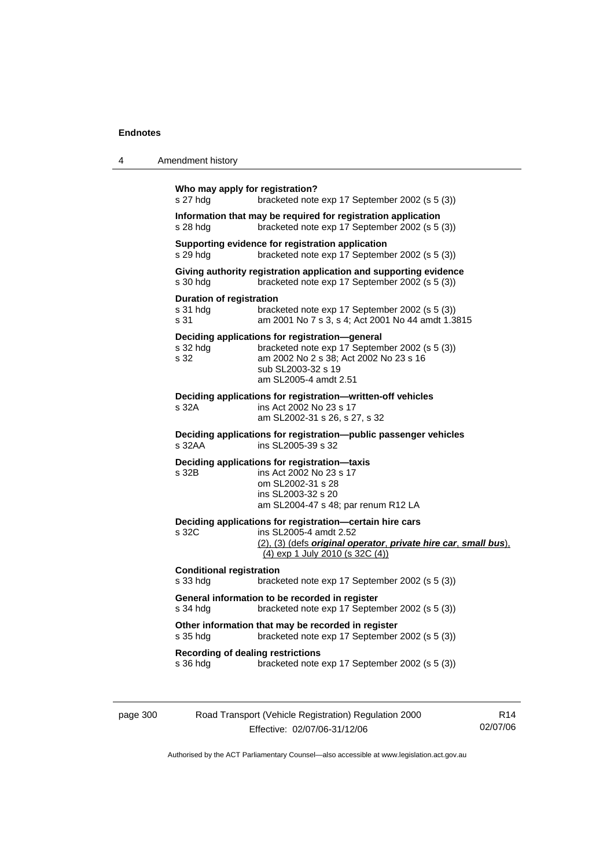| 4        | Amendment history                                                                                                                                                                                             |
|----------|---------------------------------------------------------------------------------------------------------------------------------------------------------------------------------------------------------------|
|          | Who may apply for registration?<br>s 27 hdg<br>bracketed note exp 17 September 2002 (s 5 (3))                                                                                                                 |
|          | Information that may be required for registration application<br>bracketed note exp 17 September 2002 (s 5 (3))<br>$s$ 28 hdg                                                                                 |
|          | Supporting evidence for registration application<br>bracketed note exp 17 September 2002 (s 5 (3))<br>s 29 hdg                                                                                                |
|          | Giving authority registration application and supporting evidence<br>$s$ 30 hdg<br>bracketed note exp 17 September 2002 (s 5 (3))                                                                             |
|          | <b>Duration of registration</b><br>bracketed note exp 17 September 2002 (s 5 (3))<br>s 31 hdg<br>s 31<br>am 2001 No 7 s 3, s 4; Act 2001 No 44 amdt 1.3815                                                    |
|          | Deciding applications for registration-general<br>bracketed note exp 17 September 2002 (s 5 (3))<br>s 32 hdg<br>s 32<br>am 2002 No 2 s 38; Act 2002 No 23 s 16<br>sub SL2003-32 s 19<br>am SL2005-4 amdt 2.51 |
|          | Deciding applications for registration-written-off vehicles<br>s 32A<br>ins Act 2002 No 23 s 17<br>am SL2002-31 s 26, s 27, s 32                                                                              |
|          | Deciding applications for registration—public passenger vehicles<br>s 32AA<br>ins SL2005-39 s 32                                                                                                              |
|          | Deciding applications for registration-taxis<br>s 32B<br>ins Act 2002 No 23 s 17<br>om SL2002-31 s 28<br>ins SL2003-32 s 20<br>am SL2004-47 s 48; par renum R12 LA                                            |
|          | Deciding applications for registration-certain hire cars<br>s 32C<br>ins SL2005-4 amdt 2.52<br>(2), (3) (defs original operator, private hire car, small bus),<br><u>(4) exp 1 July 2010 (s 32C (4))</u>      |
|          | <b>Conditional registration</b><br>s 33 hdg<br>bracketed note exp 17 September 2002 (s 5 (3))                                                                                                                 |
|          | General information to be recorded in register<br>bracketed note exp 17 September 2002 (s 5 (3))<br>s 34 hdg                                                                                                  |
|          | Other information that may be recorded in register<br>bracketed note exp 17 September 2002 (s 5 (3))<br>s 35 hdg                                                                                              |
|          | <b>Recording of dealing restrictions</b><br>bracketed note exp 17 September 2002 (s 5 (3))<br>s 36 hdg                                                                                                        |
| page 300 | Road Transport (Vehicle Registration) Regulation 2000<br>R <sub>14</sub>                                                                                                                                      |

Effective: 02/07/06-31/12/06 02/07/06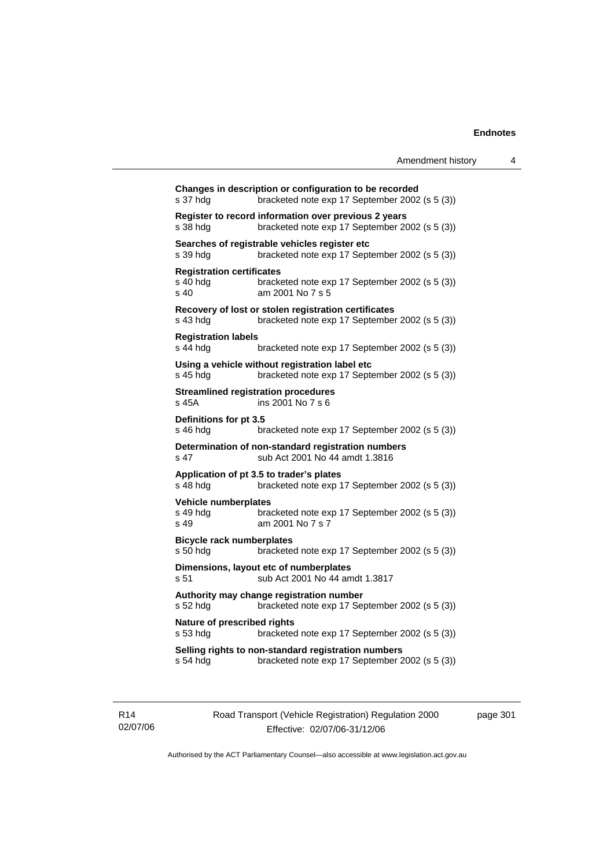| Amendment history |  |
|-------------------|--|
|-------------------|--|

| s 37 hdg                                             | Changes in description or configuration to be recorded<br>bracketed note exp 17 September 2002 (s 5 (3)) |
|------------------------------------------------------|----------------------------------------------------------------------------------------------------------|
| s 38 hdg                                             | Register to record information over previous 2 years<br>bracketed note exp 17 September 2002 (s 5 (3))   |
| s 39 hdg                                             | Searches of registrable vehicles register etc<br>bracketed note exp 17 September 2002 (s 5 (3))          |
| <b>Registration certificates</b><br>s 40 hda<br>s 40 | bracketed note exp 17 September 2002 (s 5 (3))<br>am 2001 No 7 s 5                                       |
| s 43 hdg                                             | Recovery of lost or stolen registration certificates<br>bracketed note exp 17 September 2002 (s 5 (3))   |
| <b>Registration labels</b><br>s 44 hdg               | bracketed note exp 17 September 2002 (s 5 (3))                                                           |
| s 45 hdg                                             | Using a vehicle without registration label etc<br>bracketed note exp 17 September 2002 (s 5 (3))         |
| s 45A                                                | <b>Streamlined registration procedures</b><br>ins 2001 No 7 s 6                                          |
| Definitions for pt 3.5<br>s 46 hdg                   | bracketed note exp 17 September 2002 (s 5 (3))                                                           |
| s 47                                                 | Determination of non-standard registration numbers<br>sub Act 2001 No 44 amdt 1.3816                     |
| s 48 hdg                                             | Application of pt 3.5 to trader's plates<br>bracketed note exp 17 September 2002 (s 5 (3))               |
| Vehicle numberplates<br>s 49 hdg<br>s 49             | bracketed note exp 17 September 2002 (s 5 (3))<br>am 2001 No 7 s 7                                       |
| <b>Bicycle rack numberplates</b><br>s 50 hdg         | bracketed note exp 17 September 2002 (s 5 (3))                                                           |
| s 51                                                 | Dimensions, layout etc of numberplates<br>sub Act 2001 No 44 amdt 1.3817                                 |
| s 52 hdg                                             | Authority may change registration number<br>bracketed note exp 17 September 2002 (s 5 (3))               |
| Nature of prescribed rights<br>s 53 hdg              | bracketed note exp 17 September 2002 (s 5 (3))                                                           |
| s 54 hdg                                             | Selling rights to non-standard registration numbers<br>bracketed note exp 17 September 2002 (s 5 (3))    |
|                                                      |                                                                                                          |

R14 02/07/06 Road Transport (Vehicle Registration) Regulation 2000 Effective: 02/07/06-31/12/06

page 301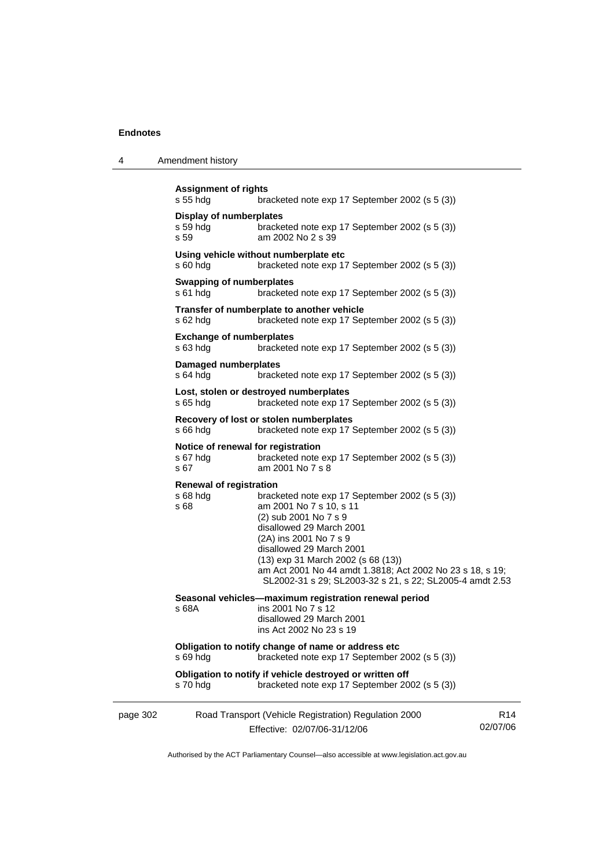4 Amendment history

|          | <b>Assignment of rights</b><br>s 55 hdg             | bracketed note exp 17 September 2002 (s 5 (3))                                                                                                                                                                                                                                                                                                      |                             |
|----------|-----------------------------------------------------|-----------------------------------------------------------------------------------------------------------------------------------------------------------------------------------------------------------------------------------------------------------------------------------------------------------------------------------------------------|-----------------------------|
|          | <b>Display of numberplates</b><br>s 59 hdg<br>s 59  | bracketed note exp 17 September 2002 (s 5 (3))<br>am 2002 No 2 s 39                                                                                                                                                                                                                                                                                 |                             |
|          | $s60h$ dg                                           | Using vehicle without numberplate etc<br>bracketed note exp 17 September 2002 (s 5 (3))                                                                                                                                                                                                                                                             |                             |
|          | <b>Swapping of numberplates</b><br>$s61$ hdg        | bracketed note exp 17 September 2002 (s 5 (3))                                                                                                                                                                                                                                                                                                      |                             |
|          | s 62 hdg                                            | Transfer of numberplate to another vehicle<br>bracketed note exp 17 September 2002 (s 5 (3))                                                                                                                                                                                                                                                        |                             |
|          | <b>Exchange of numberplates</b><br>s 63 hdg         | bracketed note exp 17 September 2002 (s 5 (3))                                                                                                                                                                                                                                                                                                      |                             |
|          | <b>Damaged numberplates</b><br>$s$ 64 hdg           | bracketed note exp 17 September 2002 (s 5 (3))                                                                                                                                                                                                                                                                                                      |                             |
|          | s 65 hdg                                            | Lost, stolen or destroyed numberplates<br>bracketed note exp 17 September 2002 (s 5 (3))                                                                                                                                                                                                                                                            |                             |
|          | $s66h$ dg                                           | Recovery of lost or stolen numberplates<br>bracketed note exp 17 September 2002 (s 5 (3))                                                                                                                                                                                                                                                           |                             |
|          | s 67 hdg<br>s 67                                    | Notice of renewal for registration<br>bracketed note exp 17 September 2002 (s 5 (3))<br>am 2001 No 7 s 8                                                                                                                                                                                                                                            |                             |
|          | <b>Renewal of registration</b><br>$s68h$ dg<br>s 68 | bracketed note exp 17 September 2002 (s 5 (3))<br>am 2001 No 7 s 10, s 11<br>(2) sub 2001 No 7 s 9<br>disallowed 29 March 2001<br>(2A) ins 2001 No 7 s 9<br>disallowed 29 March 2001<br>(13) exp 31 March 2002 (s 68 (13))<br>am Act 2001 No 44 amdt 1.3818; Act 2002 No 23 s 18, s 19;<br>SL2002-31 s 29; SL2003-32 s 21, s 22; SL2005-4 amdt 2.53 |                             |
|          | s 68A                                               | Seasonal vehicles-maximum registration renewal period<br>ins 2001 No 7 s 12<br>disallowed 29 March 2001<br>ins Act 2002 No 23 s 19                                                                                                                                                                                                                  |                             |
|          | s 69 hdg                                            | Obligation to notify change of name or address etc<br>bracketed note exp 17 September 2002 (s 5 (3))                                                                                                                                                                                                                                                |                             |
|          | s 70 hdg                                            | Obligation to notify if vehicle destroyed or written off<br>bracketed note exp 17 September 2002 (s 5 (3))                                                                                                                                                                                                                                          |                             |
| page 302 |                                                     | Road Transport (Vehicle Registration) Regulation 2000<br>Effective: 02/07/06-31/12/06                                                                                                                                                                                                                                                               | R <sub>14</sub><br>02/07/06 |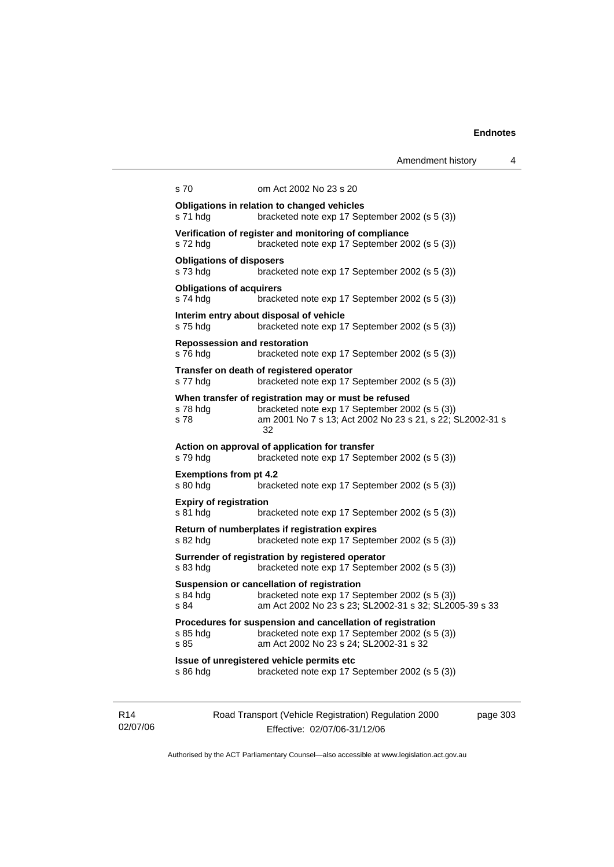|                                                 |                                                                                                                                                                           | Amendment history | 4 |
|-------------------------------------------------|---------------------------------------------------------------------------------------------------------------------------------------------------------------------------|-------------------|---|
| s 70                                            | om Act 2002 No 23 s 20                                                                                                                                                    |                   |   |
| s 71 hdg                                        | Obligations in relation to changed vehicles<br>bracketed note exp 17 September 2002 (s 5 (3))                                                                             |                   |   |
| s 72 hdg                                        | Verification of register and monitoring of compliance<br>bracketed note exp 17 September 2002 (s 5 (3))                                                                   |                   |   |
| <b>Obligations of disposers</b><br>s 73 hdg     | bracketed note exp 17 September 2002 (s 5 (3))                                                                                                                            |                   |   |
| <b>Obligations of acquirers</b><br>s 74 hdg     | bracketed note exp 17 September 2002 (s 5 (3))                                                                                                                            |                   |   |
| s 75 hdg                                        | Interim entry about disposal of vehicle<br>bracketed note exp 17 September 2002 (s 5 (3))                                                                                 |                   |   |
| <b>Repossession and restoration</b><br>s 76 hdg | bracketed note exp 17 September 2002 (s 5 (3))                                                                                                                            |                   |   |
| s 77 hdg                                        | Transfer on death of registered operator<br>bracketed note exp 17 September 2002 (s 5 (3))                                                                                |                   |   |
| s 78 hdg<br>s 78                                | When transfer of registration may or must be refused<br>bracketed note exp 17 September 2002 (s 5 (3))<br>am 2001 No 7 s 13; Act 2002 No 23 s 21, s 22; SL2002-31 s<br>32 |                   |   |
| s 79 hdg                                        | Action on approval of application for transfer<br>bracketed note exp 17 September 2002 (s 5 (3))                                                                          |                   |   |
| <b>Exemptions from pt 4.2</b><br>s 80 hdg       | bracketed note exp 17 September 2002 (s 5 (3))                                                                                                                            |                   |   |
| <b>Expiry of registration</b><br>s 81 hdg       | bracketed note exp 17 September 2002 (s 5 (3))                                                                                                                            |                   |   |
| s 82 hdg                                        | Return of numberplates if registration expires<br>bracketed note exp 17 September 2002 (s 5 (3))                                                                          |                   |   |
| s 83 hdg                                        | Surrender of registration by registered operator<br>bracketed note exp 17 September 2002 (s 5 (3))                                                                        |                   |   |
| s 84 hdg<br>s 84                                | Suspension or cancellation of registration<br>bracketed note exp 17 September 2002 (s 5 (3))<br>am Act 2002 No 23 s 23; SL2002-31 s 32; SL2005-39 s 33                    |                   |   |
| s 85 hdg<br>s 85                                | Procedures for suspension and cancellation of registration<br>bracketed note exp 17 September 2002 (s 5 (3))<br>am Act 2002 No 23 s 24; SL2002-31 s 32                    |                   |   |
| s 86 hdg                                        | Issue of unregistered vehicle permits etc<br>bracketed note exp 17 September 2002 (s 5 (3))                                                                               |                   |   |
|                                                 |                                                                                                                                                                           |                   |   |

R14 02/07/06 Road Transport (Vehicle Registration) Regulation 2000 Effective: 02/07/06-31/12/06

page 303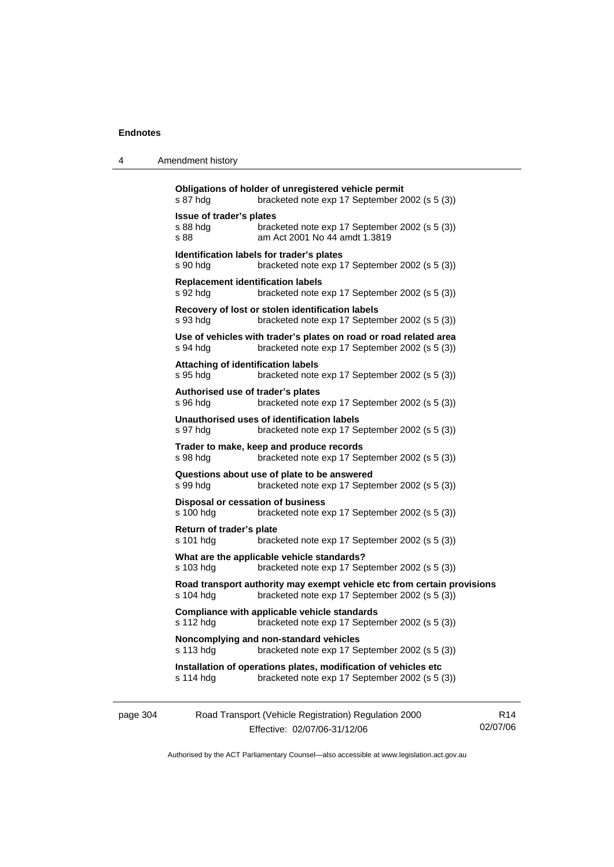4 Amendment history

| s 87 hdg                                     | bracketed note exp 17 September 2002 (s 5 (3))                                                                            |
|----------------------------------------------|---------------------------------------------------------------------------------------------------------------------------|
| Issue of trader's plates<br>s 88 hda<br>s 88 | bracketed note exp 17 September 2002 (s 5 (3))<br>am Act 2001 No 44 amdt 1.3819                                           |
| s 90 hdg                                     | Identification labels for trader's plates<br>bracketed note exp 17 September 2002 (s 5 (3))                               |
| s 92 hda                                     | <b>Replacement identification labels</b><br>bracketed note exp 17 September 2002 (s 5 (3))                                |
| s 93 hda                                     | Recovery of lost or stolen identification labels<br>bracketed note exp 17 September 2002 (s 5 (3))                        |
| s 94 hda                                     | Use of vehicles with trader's plates on road or road related area<br>bracketed note exp 17 September 2002 (s 5 (3))       |
| s 95 hda                                     | <b>Attaching of identification labels</b><br>bracketed note exp 17 September 2002 (s 5 (3))                               |
| s 96 hda                                     | Authorised use of trader's plates<br>bracketed note exp 17 September 2002 (s 5 (3))                                       |
| s 97 hdg                                     | Unauthorised uses of identification labels<br>bracketed note exp 17 September 2002 (s 5 (3))                              |
| s 98 hdg                                     | Trader to make, keep and produce records<br>bracketed note exp 17 September 2002 (s 5 (3))                                |
| s 99 hdg                                     | Questions about use of plate to be answered<br>bracketed note exp 17 September 2002 (s 5 (3))                             |
| s 100 hdg                                    | Disposal or cessation of business<br>bracketed note exp 17 September 2002 (s 5 (3))                                       |
| Return of trader's plate<br>s 101 hdg        | bracketed note exp 17 September 2002 (s 5 (3))                                                                            |
| s 103 hdg                                    | What are the applicable vehicle standards?<br>bracketed note exp 17 September 2002 (s 5 (3))                              |
| s 104 hdg                                    | Road transport authority may exempt vehicle etc from certain provisions<br>bracketed note exp 17 September 2002 (s 5 (3)) |
| s 112 hdg                                    | Compliance with applicable vehicle standards<br>bracketed note exp 17 September 2002 (s 5 (3))                            |
| s 113 hda                                    | Noncomplying and non-standard vehicles<br>bracketed note exp 17 September 2002 (s 5 (3))                                  |
| s 114 hdg                                    | Installation of operations plates, modification of vehicles etc<br>bracketed note exp 17 September 2002 (s 5 (3))         |

| page 304 | Road Transport (Vehicle Registration) Regulation 2000 | R14      |
|----------|-------------------------------------------------------|----------|
|          | Effective: 02/07/06-31/12/06                          | 02/07/06 |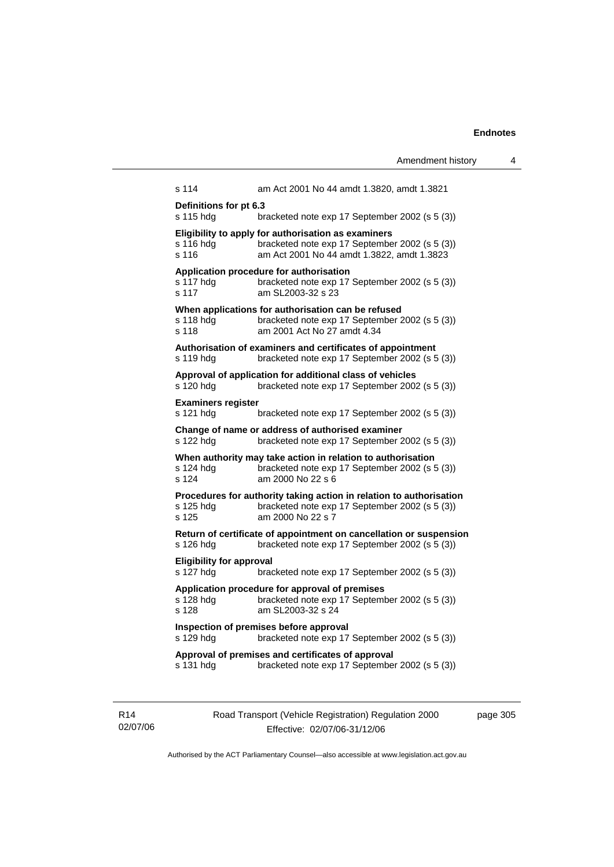|                                                                                                                  | Amendment history                                                                                                                                   | 4 |  |  |
|------------------------------------------------------------------------------------------------------------------|-----------------------------------------------------------------------------------------------------------------------------------------------------|---|--|--|
| s 114                                                                                                            | am Act 2001 No 44 amdt 1.3820, amdt 1.3821                                                                                                          |   |  |  |
| Definitions for pt 6.3<br>s 115 hdg                                                                              | bracketed note exp 17 September 2002 (s 5 (3))                                                                                                      |   |  |  |
| s 116 hdg<br>s 116                                                                                               | Eligibility to apply for authorisation as examiners<br>bracketed note exp 17 September 2002 (s 5 (3))<br>am Act 2001 No 44 amdt 1.3822, amdt 1.3823 |   |  |  |
| s 117 hdg<br>s 117                                                                                               | Application procedure for authorisation<br>bracketed note exp 17 September 2002 (s 5 (3))<br>am SL2003-32 s 23                                      |   |  |  |
| s 118 hdg<br>s 118                                                                                               | When applications for authorisation can be refused<br>bracketed note exp 17 September 2002 (s 5 (3))<br>am 2001 Act No 27 amdt 4.34                 |   |  |  |
| s 119 hdg                                                                                                        | Authorisation of examiners and certificates of appointment<br>bracketed note exp 17 September 2002 (s 5 (3))                                        |   |  |  |
| s 120 hdg                                                                                                        | Approval of application for additional class of vehicles<br>bracketed note exp 17 September 2002 (s 5 (3))                                          |   |  |  |
| <b>Examiners register</b><br>s 121 hdg                                                                           | bracketed note exp 17 September 2002 (s 5 (3))                                                                                                      |   |  |  |
| s 122 hdg                                                                                                        | Change of name or address of authorised examiner<br>bracketed note exp 17 September 2002 (s 5 (3))                                                  |   |  |  |
| s 124 hdg<br>s 124                                                                                               | When authority may take action in relation to authorisation<br>bracketed note exp 17 September 2002 (s 5 (3))<br>am 2000 No 22 s 6                  |   |  |  |
| s 125 hdg<br>s 125                                                                                               | Procedures for authority taking action in relation to authorisation<br>bracketed note exp 17 September 2002 (s 5 (3))<br>am 2000 No 22 s 7          |   |  |  |
| s 126 hdg                                                                                                        | Return of certificate of appointment on cancellation or suspension<br>bracketed note exp 17 September 2002 (s 5 (3))                                |   |  |  |
| <b>Eligibility for approval</b><br>s 127 hdg                                                                     | bracketed note exp 17 September 2002 (s 5 (3))                                                                                                      |   |  |  |
| s 128 hdg<br>s 128                                                                                               | Application procedure for approval of premises<br>bracketed note exp 17 September 2002 (s 5 (3))<br>am SL2003-32 s 24                               |   |  |  |
| s 129 hdg                                                                                                        | Inspection of premises before approval<br>bracketed note exp 17 September 2002 (s 5 (3))                                                            |   |  |  |
| Approval of premises and certificates of approval<br>bracketed note exp 17 September 2002 (s 5 (3))<br>s 131 hdg |                                                                                                                                                     |   |  |  |
|                                                                                                                  |                                                                                                                                                     |   |  |  |

R14 02/07/06 Road Transport (Vehicle Registration) Regulation 2000 Effective: 02/07/06-31/12/06

page 305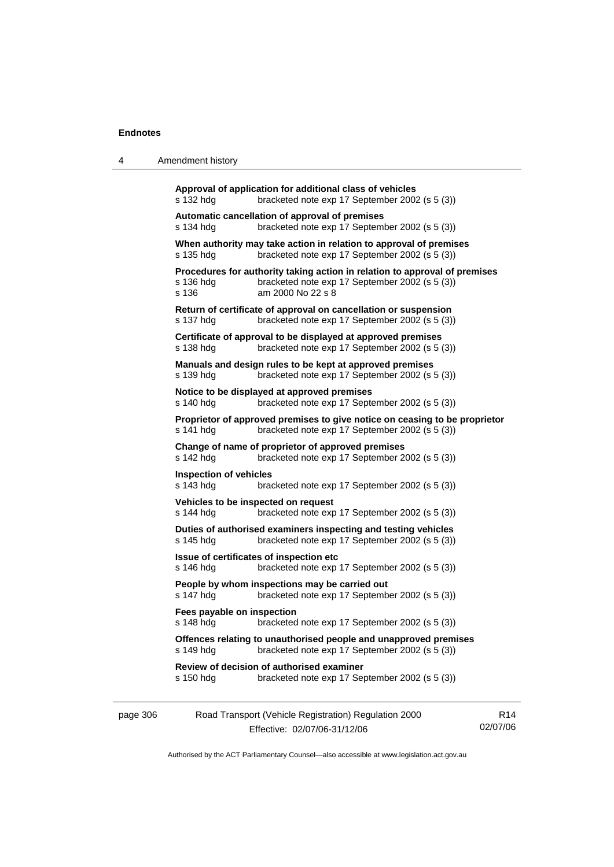4 Amendment history

| Road Transport (Vehicle Registration) Regulation 2000                                                                                             | R <sub>14</sub> |
|---------------------------------------------------------------------------------------------------------------------------------------------------|-----------------|
| Review of decision of authorised examiner<br>bracketed note exp 17 September 2002 (s 5 (3))                                                       |                 |
| Offences relating to unauthorised people and unapproved premises<br>bracketed note exp 17 September 2002 (s 5 (3))                                |                 |
| Fees payable on inspection<br>bracketed note exp 17 September 2002 (s 5 (3))                                                                      |                 |
| People by whom inspections may be carried out<br>bracketed note exp 17 September 2002 (s 5 (3))                                                   |                 |
| Issue of certificates of inspection etc<br>bracketed note exp 17 September 2002 (s 5 (3))                                                         |                 |
| Duties of authorised examiners inspecting and testing vehicles<br>bracketed note exp 17 September 2002 (s 5 (3))                                  |                 |
| Vehicles to be inspected on request<br>bracketed note exp 17 September 2002 (s 5 (3))                                                             |                 |
| <b>Inspection of vehicles</b><br>bracketed note exp 17 September 2002 (s 5 (3))                                                                   |                 |
| Change of name of proprietor of approved premises<br>bracketed note exp 17 September 2002 (s 5 (3))                                               |                 |
| Proprietor of approved premises to give notice on ceasing to be proprietor<br>bracketed note exp 17 September 2002 (s 5 (3))                      |                 |
| Notice to be displayed at approved premises<br>bracketed note exp 17 September 2002 (s 5 (3))                                                     |                 |
| Manuals and design rules to be kept at approved premises<br>bracketed note exp 17 September 2002 (s 5 (3))                                        |                 |
| Certificate of approval to be displayed at approved premises<br>bracketed note exp 17 September 2002 (s 5 (3))                                    |                 |
| Return of certificate of approval on cancellation or suspension<br>bracketed note exp 17 September 2002 (s 5 (3))                                 |                 |
| Procedures for authority taking action in relation to approval of premises<br>bracketed note exp 17 September 2002 (s 5 (3))<br>am 2000 No 22 s 8 |                 |
| When authority may take action in relation to approval of premises<br>bracketed note exp 17 September 2002 (s 5 (3))                              |                 |
| Automatic cancellation of approval of premises<br>bracketed note exp 17 September 2002 (s 5 (3))                                                  |                 |
| Approval of application for additional class of vehicles<br>bracketed note exp 17 September 2002 (s 5 (3))                                        |                 |
|                                                                                                                                                   |                 |

Authorised by the ACT Parliamentary Counsel—also accessible at www.legislation.act.gov.au

02/07/06

Effective: 02/07/06-31/12/06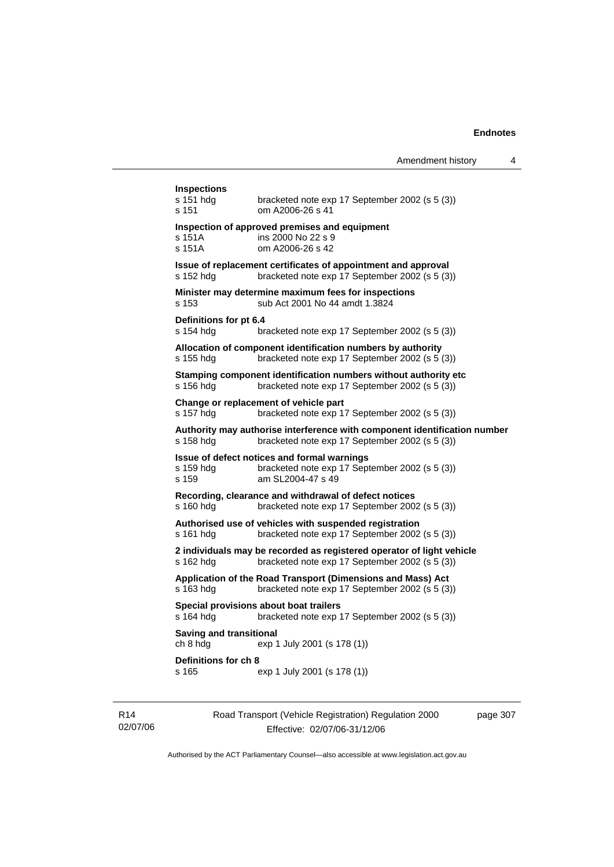| <b>Inspections</b><br>s 151 hdg<br>s 151   | bracketed note exp 17 September 2002 (s 5 (3))<br>om A2006-26 s 41                                                          |
|--------------------------------------------|-----------------------------------------------------------------------------------------------------------------------------|
| s 151A<br>s 151A                           | Inspection of approved premises and equipment<br>ins 2000 No 22 s 9<br>om A2006-26 s 42                                     |
| s 152 hdg                                  | Issue of replacement certificates of appointment and approval<br>bracketed note exp 17 September 2002 (s 5 (3))             |
| s 153                                      | Minister may determine maximum fees for inspections<br>sub Act 2001 No 44 amdt 1.3824                                       |
| Definitions for pt 6.4<br>s 154 hdg        | bracketed note exp 17 September 2002 (s 5 (3))                                                                              |
| s 155 hdg                                  | Allocation of component identification numbers by authority<br>bracketed note exp 17 September 2002 (s 5 (3))               |
| s 156 hdg                                  | Stamping component identification numbers without authority etc<br>bracketed note exp 17 September 2002 (s 5 (3))           |
| s 157 hdg                                  | Change or replacement of vehicle part<br>bracketed note exp 17 September 2002 (s 5 (3))                                     |
| s 158 hdg                                  | Authority may authorise interference with component identification number<br>bracketed note exp 17 September 2002 (s 5 (3)) |
| s 159 hdg<br>s 159                         | Issue of defect notices and formal warnings<br>bracketed note exp 17 September 2002 (s 5 (3))<br>am SL2004-47 s 49          |
| s 160 hdg                                  | Recording, clearance and withdrawal of defect notices<br>bracketed note exp 17 September 2002 (s 5 (3))                     |
| s 161 hdg                                  | Authorised use of vehicles with suspended registration<br>bracketed note exp 17 September 2002 (s 5 (3))                    |
| s 162 hdg                                  | 2 individuals may be recorded as registered operator of light vehicle<br>bracketed note exp 17 September 2002 (s 5 (3))     |
| s 163 hdg                                  | Application of the Road Transport (Dimensions and Mass) Act<br>bracketed note exp 17 September 2002 (s 5 (3))               |
| s 164 hdg                                  | Special provisions about boat trailers<br>bracketed note exp 17 September 2002 (s 5 (3))                                    |
| <b>Saving and transitional</b><br>ch 8 hdg | exp 1 July 2001 (s 178 (1))                                                                                                 |
| Definitions for ch 8                       | exp 1 July 2001 (s 178 (1))                                                                                                 |

R14 02/07/06 Road Transport (Vehicle Registration) Regulation 2000 Effective: 02/07/06-31/12/06

page 307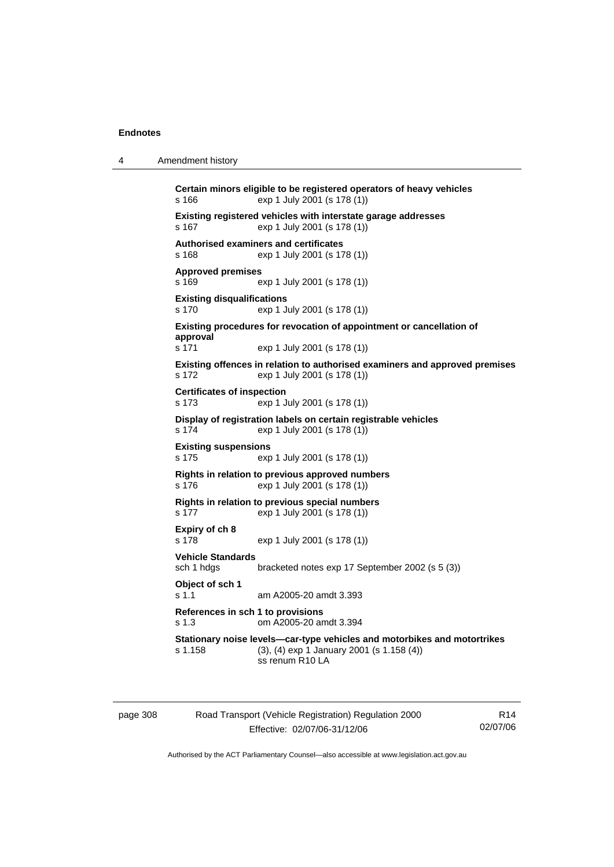4 Amendment history

```
Certain minors eligible to be registered operators of heavy vehicles 
s 166 exp 1 July 2001 (s 178 (1)) 
Existing registered vehicles with interstate garage addresses 
s 167 exp 1 July 2001 (s 178 (1)) 
Authorised examiners and certificates 
s 168 exp 1 July 2001 (s 178 (1)) 
Approved premises 
s 169 exp 1 July 2001 (s 178 (1)) 
Existing disqualifications 
s 170 exp 1 July 2001 (s 178 (1)) 
Existing procedures for revocation of appointment or cancellation of 
approval 
s 171 exp 1 July 2001 (s 178 (1)) 
Existing offences in relation to authorised examiners and approved premises 
s 172 exp 1 July 2001 (s 178 (1)) 
Certificates of inspection 
s 173 exp 1 July 2001 (s 178 (1)) 
Display of registration labels on certain registrable vehicles 
s 174 exp 1 July 2001 (s 178 (1)) 
Existing suspensions 
s 175 exp 1 July 2001 (s 178 (1)) 
Rights in relation to previous approved numbers 
s 176 exp 1 July 2001 (s 178 (1)) 
Rights in relation to previous special numbers 
s 177 exp 1 July 2001 (s 178 (1)) 
Expiry of ch 8 
s 178 exp 1 July 2001 (s 178 (1)) 
Vehicle Standards 
sch 1 hdgs bracketed notes exp 17 September 2002 (s 5 (3)) 
Object of sch 1 
s 1.1 am A2005-20 amdt 3.393 
References in sch 1 to provisions 
s 1.3 om A2005-20 amdt 3.394 
Stationary noise levels—car-type vehicles and motorbikes and motortrikes 
s 1.158 (3), (4) exp 1 January 2001 (s 1.158 (4)) 
                  ss renum R10 LA
```

| page 308 | Road Transport (Vehicle Registration) Regulation 2000 | R <sub>14</sub> |
|----------|-------------------------------------------------------|-----------------|
|          | Effective: 02/07/06-31/12/06                          | 02/07/06        |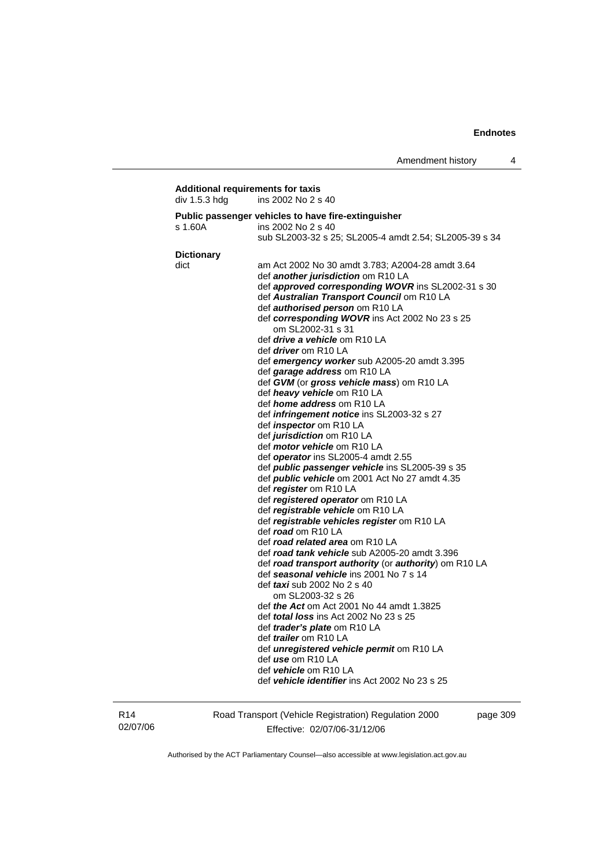| div 1.5.3 hdg     | ins 2002 No 2 s 40                                                                     |
|-------------------|----------------------------------------------------------------------------------------|
|                   | Public passenger vehicles to have fire-extinguisher                                    |
| s 1.60A           | ins 2002 No 2 s 40                                                                     |
|                   | sub SL2003-32 s 25; SL2005-4 amdt 2.54; SL2005-39 s 34                                 |
| <b>Dictionary</b> |                                                                                        |
| dict              | am Act 2002 No 30 amdt 3.783; A2004-28 amdt 3.64                                       |
|                   | def <i>another jurisdiction</i> om R10 LA                                              |
|                   | def approved corresponding WOVR ins SL2002-31 s 30                                     |
|                   | def Australian Transport Council om R10 LA                                             |
|                   | def <b>authorised person</b> om R10 LA                                                 |
|                   | def corresponding WOVR ins Act 2002 No 23 s 25<br>om SL2002-31 s 31                    |
|                   | def <i>drive a vehicle</i> om R10 LA                                                   |
|                   | def <i>driver</i> om R10 LA                                                            |
|                   | def emergency worker sub A2005-20 amdt 3.395                                           |
|                   | def garage address om R10 LA                                                           |
|                   | def GVM (or gross vehicle mass) om R10 LA                                              |
|                   | def heavy vehicle om R10 LA                                                            |
|                   | def home address om R10 LA                                                             |
|                   | def infringement notice ins SL2003-32 s 27                                             |
|                   | def <i>inspector</i> om R10 LA                                                         |
|                   | def <i>jurisdiction</i> om R10 LA                                                      |
|                   | def motor vehicle om R10 LA                                                            |
|                   | def operator ins SL2005-4 amdt 2.55<br>def public passenger vehicle ins SL2005-39 s 35 |
|                   | def <b>public vehicle</b> om 2001 Act No 27 amdt 4.35                                  |
|                   | def register om R10 LA                                                                 |
|                   | def registered operator om R10 LA                                                      |
|                   | def registrable vehicle om R10 LA                                                      |
|                   | def registrable vehicles register om R10 LA                                            |
|                   | def road om R10 LA                                                                     |
|                   | def road related area om R10 LA                                                        |
|                   | def road tank vehicle sub A2005-20 amdt 3.396                                          |
|                   | def road transport authority (or authority) om R10 LA                                  |
|                   | def seasonal vehicle ins 2001 No 7 s 14                                                |
|                   | def <i>taxi</i> sub 2002 No 2 s 40<br>om SL2003-32 s 26                                |
|                   | def <i>the Act</i> om Act 2001 No 44 amdt 1.3825                                       |
|                   | def <i>total loss</i> ins Act 2002 No 23 s 25                                          |
|                   | def <i>trader's plate</i> om R10 LA                                                    |
|                   | def <i>trailer</i> om R10 LA                                                           |
|                   | def unregistered vehicle permit om R10 LA                                              |
|                   | def <i>use</i> om R10 LA                                                               |
|                   | def vehicle om R10 LA                                                                  |
|                   | def vehicle identifier ins Act 2002 No 23 s 25                                         |

R14 02/07/06 Road Transport (Vehicle Registration) Regulation 2000 Effective: 02/07/06-31/12/06

page 309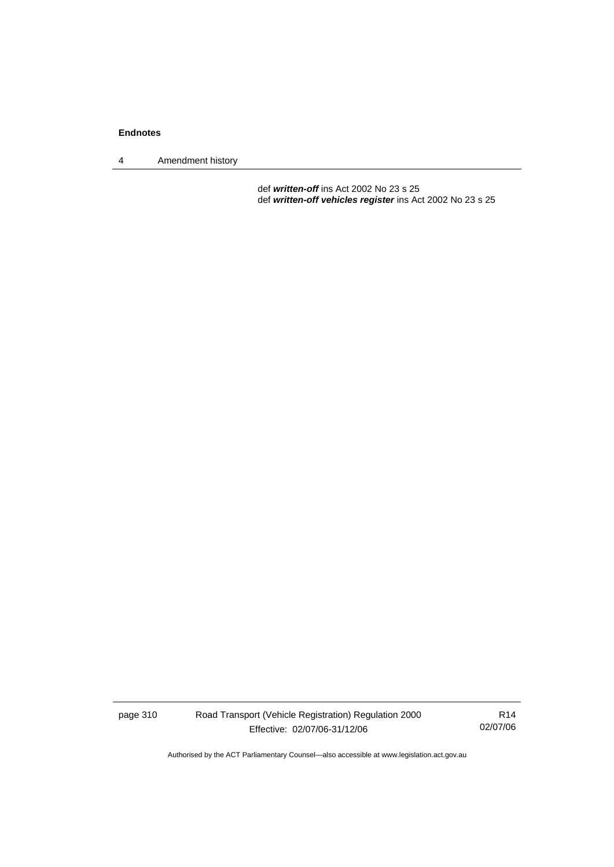4 Amendment history

 def *written-off* ins Act 2002 No 23 s 25 def *written-off vehicles register* ins Act 2002 No 23 s 25

page 310 Road Transport (Vehicle Registration) Regulation 2000 Effective: 02/07/06-31/12/06

R14 02/07/06